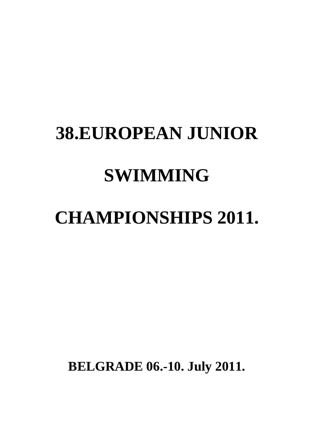# **38.EUROPEAN JUNIOR SWIMMING**

# **CHAMPIONSHIPS 2011.**

**BELGRADE 06.-10. July 2011.**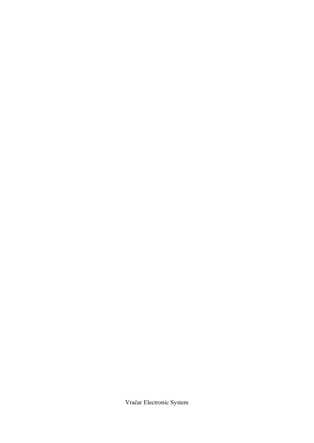Vračar Electronic System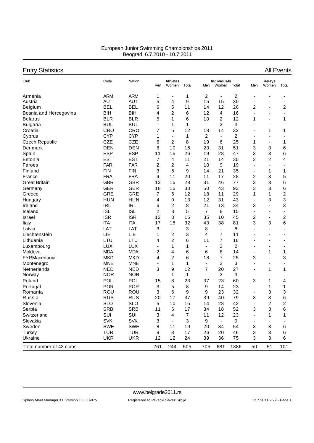| European Junior Swimming Championships 2011 |  |
|---------------------------------------------|--|
| Beograd, 6.7.2010 - 10.7.2011               |  |

## Entry Statistics All Events

| Club                     | Code       | Nation     | Men | <b>Athletes</b><br>Women | Total                     | Men                      | Individuals<br>Women         | Total          | Men                      | Relays<br>Women          | Total          |
|--------------------------|------------|------------|-----|--------------------------|---------------------------|--------------------------|------------------------------|----------------|--------------------------|--------------------------|----------------|
| Armenia                  | <b>ARM</b> | <b>ARM</b> | 1   | $\overline{a}$           | 1                         | 2                        | $\qquad \qquad \blacksquare$ | 2              | ٠                        |                          |                |
| Austria                  | <b>AUT</b> | <b>AUT</b> | 5   | 4                        | 9                         | 15                       | 15                           | 30             | ٠                        |                          | ٠              |
| Belgium                  | <b>BEL</b> | <b>BEL</b> | 6   | 5                        | 11                        | 14                       | 12                           | 26             | 2                        | ÷                        | 2              |
| Bosnia and Hercegovina   | <b>BIH</b> | <b>BIH</b> | 4   | $\overline{2}$           | 6                         | 12                       | 4                            | 16             | $\overline{\phantom{0}}$ | ٠                        | $\blacksquare$ |
| <b>Belarus</b>           | <b>BLR</b> | <b>BLR</b> | 5   | 1                        | 6                         | 10                       | $\overline{2}$               | 12             | 1                        | ÷                        | 1              |
| <b>Bulgaria</b>          | <b>BUL</b> | <b>BUL</b> | ÷,  | 1                        | 1                         | $\overline{\phantom{a}}$ | 3                            | 3              | $\blacksquare$           | ÷                        | ÷,             |
| Croatia                  | CRO        | CRO        | 7   | 5                        | 12                        | 18                       | 14                           | 32             | $\blacksquare$           | 1                        | 1              |
| Cyprus                   | <b>CYP</b> | <b>CYP</b> | 1   | $\overline{\phantom{a}}$ | 1                         | $\overline{c}$           | $\qquad \qquad \blacksquare$ | $\overline{2}$ | $\overline{a}$           | ٠                        |                |
| <b>Czech Republic</b>    | <b>CZE</b> | <b>CZE</b> | 6   | 2                        | 8                         | 19                       | 6                            | 25             | 1                        | ٠                        | 1              |
| Denmark                  | <b>DEN</b> | <b>DEN</b> | 6   | 10                       | 16                        | 20                       | 31                           | 51             | 3                        | 3                        | 6              |
| Spain                    | <b>ESP</b> | <b>ESP</b> | 11  | 15                       | 26                        | 19                       | 28                           | 47             | 3                        | 3                        | 6              |
| Estonia                  | <b>EST</b> | <b>EST</b> | 7   | 4                        | 11                        | 21                       | 14                           | 35             | 2                        | 2                        | 4              |
| Faroes                   | <b>FAR</b> | <b>FAR</b> | 2   | $\overline{2}$           | 4                         | 10                       | 9                            | 19             | ٠                        | ÷                        |                |
| Finland                  | <b>FIN</b> | <b>FIN</b> | 3   | 6                        | 9                         | 14                       | 21                           | 35             | $\overline{\phantom{a}}$ | 1                        | 1              |
| France                   | <b>FRA</b> | <b>FRA</b> | 9   | 11                       | 20                        | 11                       | 17                           | 28             | 2                        | 3                        | 5              |
| <b>Great Britain</b>     | <b>GBR</b> | <b>GBR</b> | 13  | 15                       | 28                        | 31                       | 46                           | 77             | 3                        | 3                        | 6              |
| Germany                  | <b>GER</b> | <b>GER</b> | 18  | 15                       | 33                        | 50                       | 43                           | 93             | 3                        | 3                        | 6              |
| Greece                   | <b>GRE</b> | <b>GRE</b> | 7   | 5                        | 12                        | 18                       | 11                           | 29             | 1                        | 1                        | 2              |
| Hungary                  | <b>HUN</b> | <b>HUN</b> | 4   | 9                        | 13                        | 12                       | 31                           | 43             | ٠                        | 3                        | 3              |
| Ireland                  | <b>IRL</b> | <b>IRL</b> | 6   | $\overline{2}$           | 8                         | 21                       | 13                           | 34             | 3                        | $\overline{\phantom{a}}$ | 3              |
| Iceland                  | <b>ISL</b> | <b>ISL</b> | 2   | 3                        | 5                         | 7                        | 8                            | 15             | $\overline{\phantom{a}}$ | ٠                        | ٠              |
| Israel                   | <b>ISR</b> | <b>ISR</b> | 12  | 3                        | 15                        | 35                       | 10                           | 45             | 2                        | $\overline{\phantom{a}}$ | 2              |
| Italy                    | <b>ITA</b> | <b>ITA</b> | 17  | 15                       | 32                        | 43                       | 38                           | 81             | 3                        | 3                        | 6              |
| Latvia                   | LAT        | LAT        | 3   | $\overline{\phantom{a}}$ | 3                         | 8                        | $\blacksquare$               | 8              | $\overline{\phantom{0}}$ | $\blacksquare$           | ٠              |
| Liechtenstein            | LIE        | LIE        | 1   | $\overline{c}$           | 3                         | 4                        | $\overline{7}$               | 11             |                          | ۰                        | $\blacksquare$ |
| Lithuania                | LTU        | LTU        | 4   | $\overline{c}$           | 6                         | 11                       | $\overline{7}$               | 18             |                          | ۰                        |                |
| Luxembourg               | LUX        | <b>LUX</b> | ÷,  | 1                        | 1                         | $\overline{\phantom{a}}$ | 2                            | 2              | $\overline{\phantom{0}}$ | ٠                        | -              |
| Moldova                  | <b>MDA</b> | <b>MDA</b> | 2   | 4                        | 6                         | 6                        | 8                            | 14             | $\overline{\phantom{0}}$ | 1                        | 1              |
| FYRMacedonia             | <b>MKD</b> | <b>MKD</b> | 4   | $\overline{2}$           | 6                         | 18                       | 7                            | 25             | 3                        | ä,                       | 3              |
| Montenegro               | <b>MNE</b> | <b>MNE</b> | ÷,  | 1                        | 1                         | $\blacksquare$           | 3                            | 3              | ä,                       | $\blacksquare$           | $\overline{a}$ |
| Netherlands              | <b>NED</b> | <b>NED</b> | 3   | 9                        | 12                        | $\overline{7}$           | 20                           | 27             | $\overline{\phantom{0}}$ | 1                        | 1              |
| Norway                   | <b>NOR</b> | <b>NOR</b> | ÷,  | 1                        | 1                         | $\blacksquare$           | $\sqrt{3}$                   | 3              | ٠                        | ÷                        | ٠              |
| Poland                   | <b>POL</b> | POL        | 15  | 8                        | 23                        | 37                       | 23                           | 60             | 3                        | 1                        | 4              |
| Portugal                 | <b>POR</b> | <b>POR</b> | 3   | 5                        | 8                         | 9                        | 14                           | 23             | ٠                        | 1                        | 1              |
| Romania                  | ROU        | ROU        | 3   | 6                        | 9                         | 9                        | 23                           | 32             | $\blacksquare$           | 3                        | 3              |
| Russia                   | <b>RUS</b> | <b>RUS</b> | 20  | 17                       | 37                        | 39                       | 40                           | 79             | 3                        | 3                        | 6              |
| Slovenia                 | <b>SLO</b> | <b>SLO</b> | 5   | 10                       | 15                        | 14                       | 28                           | 42             | $\overline{\phantom{a}}$ | 2                        | 2              |
| Serbia                   | <b>SRB</b> | SRB        | 11  | 6                        | 17                        | 34                       | 18                           | 52             | 3                        | 3                        | 6              |
| Switzerland              | SUI        | SUI        | 3   | 4                        | $\overline{7}$            | 11                       | 12                           | 23             |                          | 1                        | 1              |
| Slovakia                 | <b>SVK</b> | <b>SVK</b> | 3   | $\blacksquare$           | $\ensuremath{\mathsf{3}}$ | 9                        | $\overline{\phantom{a}}$     | 9              |                          |                          |                |
| Sweden                   | <b>SWE</b> | SWE        | 8   | 11                       | 19                        | 20                       | 34                           | 54             | 3                        | 3                        | 6              |
| Turkey                   | <b>TUR</b> | <b>TUR</b> | 9   | 8                        | 17                        | 26                       | 20                           | 46             | 3                        | 3                        | 6              |
| Ukraine                  | <b>UKR</b> | <b>UKR</b> | 12  | 12                       | 24                        | 39                       | 36                           | 75             | 3                        | 3                        | 6              |
|                          |            |            |     |                          |                           |                          |                              |                |                          |                          |                |
| Total number of 43 clubs |            |            | 261 | 244                      | 505                       | 705                      | 681                          | 1386           | 50                       | 51                       | 101            |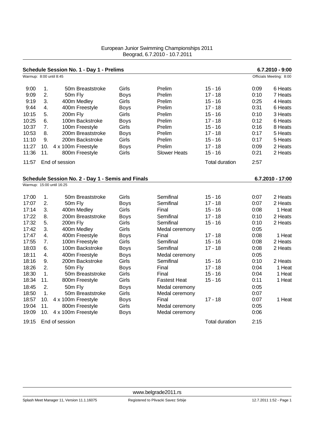|                         |     | Schedule Session No. 1 - Day 1 - Prelims          |             |                     |                       |      | $6.7.2010 - 9:00$       |
|-------------------------|-----|---------------------------------------------------|-------------|---------------------|-----------------------|------|-------------------------|
| Warmup: 8:00 until 8:45 |     |                                                   |             |                     |                       |      | Officials Meeting: 8:00 |
| 9:00                    | 1.  | 50m Breaststroke                                  | Girls       | Prelim              | $15 - 16$             | 0:09 | 6 Heats                 |
| 9:09                    | 2.  | 50m Fly                                           | <b>Boys</b> | Prelim              | $17 - 18$             | 0:10 | 7 Heats                 |
| 9:19                    | 3.  | 400m Medley                                       | Girls       | Prelim              | $15 - 16$             | 0:25 | 4 Heats                 |
| 9:44                    | 4.  | 400m Freestyle                                    | <b>Boys</b> | Prelim              | $17 - 18$             | 0:31 | 6 Heats                 |
| 10:15                   | 5.  | 200m Fly                                          | Girls       | Prelim              | $15 - 16$             | 0:10 | 3 Heats                 |
| 10:25                   | 6.  | 100m Backstroke                                   | <b>Boys</b> | Prelim              | $17 - 18$             | 0:12 | 6 Heats                 |
| 10:37                   | 7.  | 100m Freestyle                                    | Girls       | Prelim              | $15 - 16$             | 0:16 | 8 Heats                 |
| 10:53                   | 8.  | 200m Breaststroke                                 | <b>Boys</b> | Prelim              | $17 - 18$             | 0:17 | 5 Heats                 |
| 11:10                   | 9.  | 200m Backstroke                                   | Girls       | Prelim              | $15 - 16$             | 0:17 | 5 Heats                 |
| 11:27                   | 10. | 4 x 100m Freestyle                                | <b>Boys</b> | Prelim              | $17 - 18$             | 0:09 | 2 Heats                 |
| 11:36                   | 11. | 800m Freestyle                                    | Girls       | <b>Slower Heats</b> | $15 - 16$             | 0:21 | 2 Heats                 |
| 11:57                   |     | End of session                                    |             |                     | <b>Total duration</b> | 2:57 |                         |
|                         |     | Schedule Session No. 2 - Day 1 - Semis and Finals |             |                     |                       |      | 6.7.2010 - 17:00        |
|                         |     | Warmup: 15:00 until 16:25                         |             |                     |                       |      |                         |
| 17:00                   | 1.  | 50m Breaststroke                                  | Girls       | Semifinal           | $15 - 16$             | 0:07 | 2 Heats                 |
| 17:07                   | 2.  | 50m Fly                                           | <b>Boys</b> | Semifinal           | $17 - 18$             | 0:07 | 2 Heats                 |
| 17:14                   | 3.  | 400m Medley                                       | Girls       | Final               | $15 - 16$             | 0:08 | 1 Heat                  |
| 17:22                   | 8.  | 200m Breaststroke                                 | <b>Boys</b> | Semifinal           | $17 - 18$             | 0:10 | 2 Heats                 |
| 17:32                   | 5.  | 200m Fly                                          | Girls       | Semifinal           | $15 - 16$             | 0:10 | 2 Heats                 |
| 17:42                   | 3.  | 400m Medley                                       | Girls       | Medal ceremony      |                       | 0:05 |                         |
| 17:47                   | 4.  | 400m Freestyle                                    | <b>Boys</b> | Final               | $17 - 18$             | 0:08 | 1 Heat                  |
| 17:55                   | 7.  | 100m Freestyle                                    | Girls       | Semifinal           | $15 - 16$             | 0:08 | 2 Heats                 |
| 18:03                   | 6.  | 100m Backstroke                                   | <b>Boys</b> | Semifinal           | 17 - 18               | 0:08 | 2 Heats                 |
| 18:11                   | 4.  | 400m Freestyle                                    | <b>Boys</b> | Medal ceremony      |                       | 0:05 |                         |
| 18:16                   | 9.  | 200m Backstroke                                   | Girls       | Semifinal           | $15 - 16$             | 0:10 | 2 Heats                 |
| 18:26                   | 2.  | 50m Fly                                           | <b>Boys</b> | Final               | $17 - 18$             | 0:04 | 1 Heat                  |
| 18:30                   | 1.  | 50m Breaststroke                                  | Girls       | Final               | $15 - 16$             | 0:04 | 1 Heat                  |
| 18:34                   | 11. | 800m Freestyle                                    | Girls       | <b>Fastest Heat</b> | $15 - 16$             | 0:11 | 1 Heat                  |
| 18:45                   | 2.  | 50m Fly                                           | <b>Boys</b> | Medal ceremony      |                       | 0:05 |                         |
| 18:50                   | 1.  | 50m Breaststroke                                  | Girls       | Medal ceremony      |                       | 0:07 |                         |
| 18:57                   | 10. | 4 x 100m Freestyle                                | <b>Boys</b> | Final               | 17 - 18               | 0:07 | 1 Heat                  |
| 19:04                   | 11. | 800m Freestyle                                    | Girls       | Medal ceremony      |                       | 0:05 |                         |
| 19:09                   | 10. | 4 x 100m Freestyle                                | <b>Boys</b> | Medal ceremony      |                       | 0:06 |                         |
| 19:15                   |     | End of session                                    |             |                     | <b>Total duration</b> | 2:15 |                         |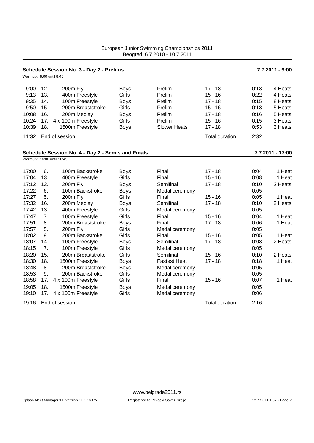|                         |     | Schedule Session No. 3 - Day 2 - Prelims          |             |                     |                       |      | 7.7.2011 - 9:00  |
|-------------------------|-----|---------------------------------------------------|-------------|---------------------|-----------------------|------|------------------|
| Warmup: 8:00 until 8:45 |     |                                                   |             |                     |                       |      |                  |
| 9:00                    | 12. | 200m Fly                                          | <b>Boys</b> | Prelim              | $17 - 18$             | 0:13 | 4 Heats          |
| 9:13                    | 13. | 400m Freestyle                                    | Girls       | Prelim              | $15 - 16$             | 0:22 | 4 Heats          |
| 9:35                    | 14. | 100m Freestyle                                    | <b>Boys</b> | Prelim              | $17 - 18$             | 0:15 | 8 Heats          |
| 9:50                    | 15. | 200m Breaststroke                                 | Girls       | Prelim              | $15 - 16$             | 0:18 | 5 Heats          |
| 10:08                   | 16. | 200m Medley                                       | <b>Boys</b> | Prelim              | $17 - 18$             | 0:16 | 5 Heats          |
| 10:24                   | 17. | 4 x 100m Freestyle                                | Girls       | Prelim              | $15 - 16$             | 0:15 | 3 Heats          |
| 10:39                   | 18. | 1500m Freestyle                                   | <b>Boys</b> | <b>Slower Heats</b> | $17 - 18$             | 0:53 | 3 Heats          |
| 11:32                   |     | End of session                                    |             |                     | <b>Total duration</b> | 2:32 |                  |
|                         |     | Schedule Session No. 4 - Day 2 - Semis and Finals |             |                     |                       |      | 7.7.2011 - 17:00 |
|                         |     | Warmup: 16:00 until 16:45                         |             |                     |                       |      |                  |
| 17:00                   | 6.  | 100m Backstroke                                   | <b>Boys</b> | Final               | $17 - 18$             | 0:04 | 1 Heat           |
| 17:04                   | 13. | 400m Freestyle                                    | Girls       | Final               | $15 - 16$             | 0:08 | 1 Heat           |
| 17:12                   | 12. | 200m Fly                                          | <b>Boys</b> | Semifinal           | $17 - 18$             | 0:10 | 2 Heats          |
| 17:22                   | 6.  | 100m Backstroke                                   | <b>Boys</b> | Medal ceremony      |                       | 0:05 |                  |
| 17:27                   | 5.  | 200m Fly                                          | Girls       | Final               | $15 - 16$             | 0:05 | 1 Heat           |
| 17:32                   | 16. | 200m Medley                                       | <b>Boys</b> | Semifinal           | $17 - 18$             | 0:10 | 2 Heats          |
| 17:42                   | 13. | 400m Freestyle                                    | Girls       | Medal ceremony      |                       | 0:05 |                  |
| 17:47                   | 7.  | 100m Freestyle                                    | Girls       | Final               | $15 - 16$             | 0:04 | 1 Heat           |
| 17:51                   | 8.  | 200m Breaststroke                                 | <b>Boys</b> | Final               | $17 - 18$             | 0:06 | 1 Heat           |
| 17:57                   | 5.  | 200m Fly                                          | Girls       | Medal ceremony      |                       | 0:05 |                  |
| 18:02                   | 9.  | 200m Backstroke                                   | Girls       | Final               | $15 - 16$             | 0:05 | 1 Heat           |
| 18:07                   | 14. | 100m Freestyle                                    | <b>Boys</b> | Semifinal           | $17 - 18$             | 0:08 | 2 Heats          |
| 18:15                   | 7.  | 100m Freestyle                                    | Girls       | Medal ceremony      |                       | 0:05 |                  |
| 18:20                   | 15. | 200m Breaststroke                                 | Girls       | Semifinal           | $15 - 16$             | 0:10 | 2 Heats          |
| 18:30                   | 18. | 1500m Freestyle                                   | <b>Boys</b> | <b>Fastest Heat</b> | $17 - 18$             | 0:18 | 1 Heat           |
| 18:48                   | 8.  | 200m Breaststroke                                 | <b>Boys</b> | Medal ceremony      |                       | 0:05 |                  |
| 18:53                   | 9.  | 200m Backstroke                                   | Girls       | Medal ceremony      |                       | 0:05 |                  |
| 18:58                   | 17. | 4 x 100m Freestyle                                | Girls       | Final               | $15 - 16$             | 0:07 | 1 Heat           |
| 19:05                   | 18. | 1500m Freestyle                                   | <b>Boys</b> | Medal ceremony      |                       | 0:05 |                  |
| 19:10                   | 17. | 4 x 100m Freestyle                                | Girls       | Medal ceremony      |                       | 0:06 |                  |
| 19:16                   |     | End of session                                    |             |                     | <b>Total duration</b> | 2:16 |                  |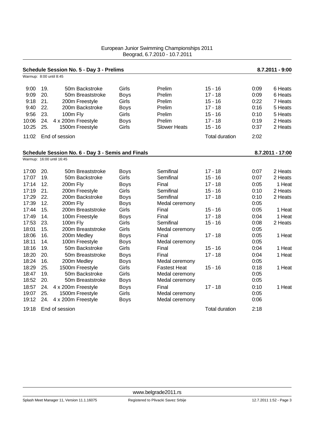| Warmup: 8:00 until 8:45 |     | Schedule Session No. 5 - Day 3 - Prelims          |             |                     |                       |      | 8.7.2011 - 9:00  |
|-------------------------|-----|---------------------------------------------------|-------------|---------------------|-----------------------|------|------------------|
|                         |     |                                                   |             |                     |                       |      |                  |
| 9:00                    | 19. | 50m Backstroke                                    | Girls       | Prelim              | $15 - 16$             | 0:09 | 6 Heats          |
| 9:09                    | 20. | 50m Breaststroke                                  | <b>Boys</b> | Prelim              | $17 - 18$             | 0:09 | 6 Heats          |
| 9:18                    | 21. | 200m Freestyle                                    | Girls       | Prelim              | $15 - 16$             | 0:22 | 7 Heats          |
| 9:40                    | 22. | 200m Backstroke                                   | <b>Boys</b> | Prelim              | $17 - 18$             | 0:16 | 5 Heats          |
| 9:56                    | 23. | 100m Fly                                          | Girls       | Prelim              | $15 - 16$             | 0:10 | 5 Heats          |
| 10:06                   | 24. | 4 x 200m Freestyle                                | <b>Boys</b> | Prelim              | $17 - 18$             | 0:19 | 2 Heats          |
| 10:25                   | 25. | 1500m Freestyle                                   | Girls       | <b>Slower Heats</b> | $15 - 16$             | 0:37 | 2 Heats          |
| 11:02                   |     | End of session                                    |             |                     | <b>Total duration</b> | 2:02 |                  |
|                         |     | Schedule Session No. 6 - Day 3 - Semis and Finals |             |                     |                       |      | 8.7.2011 - 17:00 |
|                         |     | Warmup: 16:00 until 16:45                         |             |                     |                       |      |                  |
| 17:00                   | 20. | 50m Breaststroke                                  | <b>Boys</b> | Semifinal           | 17 - 18               | 0:07 | 2 Heats          |
| 17:07                   | 19. | 50m Backstroke                                    | Girls       | Semifinal           | $15 - 16$             | 0:07 | 2 Heats          |
| 17:14                   | 12. | 200m Fly                                          | <b>Boys</b> | Final               | $17 - 18$             | 0:05 | 1 Heat           |
| 17:19                   | 21. | 200m Freestyle                                    | Girls       | Semifinal           | $15 - 16$             | 0:10 | 2 Heats          |
| 17:29                   | 22. | 200m Backstroke                                   | <b>Boys</b> | Semifinal           | $17 - 18$             | 0:10 | 2 Heats          |
| 17:39                   | 12. | 200m Fly                                          | <b>Boys</b> | Medal ceremony      |                       | 0:05 |                  |
| 17:44                   | 15. | 200m Breaststroke                                 | Girls       | Final               | $15 - 16$             | 0:05 | 1 Heat           |
| 17:49                   | 14. | 100m Freestyle                                    | <b>Boys</b> | Final               | $17 - 18$             | 0:04 | 1 Heat           |
| 17:53                   | 23. | 100m Fly                                          | Girls       | Semifinal           | $15 - 16$             | 0:08 | 2 Heats          |
| 18:01                   | 15. | 200m Breaststroke                                 | Girls       | Medal ceremony      |                       | 0:05 |                  |
| 18:06                   | 16. | 200m Medley                                       | <b>Boys</b> | Final               | $17 - 18$             | 0:05 | 1 Heat           |
| 18:11                   | 14. | 100m Freestyle                                    | <b>Boys</b> | Medal ceremony      |                       | 0:05 |                  |
| 18:16                   | 19. | 50m Backstroke                                    | Girls       | Final               | $15 - 16$             | 0:04 | 1 Heat           |
| 18:20                   | 20. | 50m Breaststroke                                  | <b>Boys</b> | Final               | $17 - 18$             | 0:04 | 1 Heat           |
| 18:24                   | 16. | 200m Medley                                       | <b>Boys</b> | Medal ceremony      |                       | 0:05 |                  |
| 18:29                   | 25. | 1500m Freestyle                                   | Girls       | <b>Fastest Heat</b> | $15 - 16$             | 0:18 | 1 Heat           |
| 18:47                   | 19. | 50m Backstroke                                    | Girls       | Medal ceremony      |                       | 0:05 |                  |
| 18:52                   | 20. | 50m Breaststroke                                  | <b>Boys</b> | Medal ceremony      |                       | 0:05 |                  |
| 18:57                   | 24. | 4 x 200m Freestyle                                | <b>Boys</b> | Final               | $17 - 18$             | 0:10 | 1 Heat           |
| 19:07                   | 25. | 1500m Freestyle                                   | Girls       | Medal ceremony      |                       | 0:05 |                  |
| 19:12                   | 24. | 4 x 200m Freestyle                                | Boys        | Medal ceremony      |                       | 0:06 |                  |
| 19:18                   |     | End of session                                    |             |                     | <b>Total duration</b> | 2:18 |                  |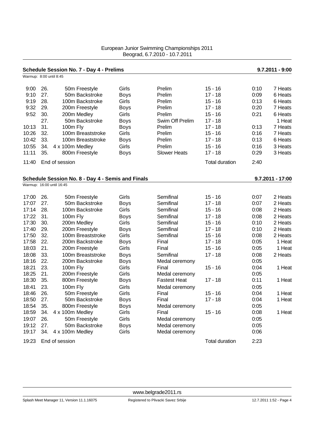| Warmup: 8:00 until 8:45 |     | Schedule Session No. 7 - Day 4 - Prelims          |             |                     |                       |      | $9.7.2011 - 9:00$  |
|-------------------------|-----|---------------------------------------------------|-------------|---------------------|-----------------------|------|--------------------|
|                         |     |                                                   |             |                     |                       |      |                    |
| 9:00                    | 26. | 50m Freestyle                                     | Girls       | Prelim              | $15 - 16$             | 0:10 | 7 Heats            |
| 9:10                    | 27. | 50m Backstroke                                    | <b>Boys</b> | Prelim              | $17 - 18$             | 0:09 | 6 Heats            |
| 9:19                    | 28. | 100m Backstroke                                   | Girls       | Prelim              | $15 - 16$             | 0:13 | 6 Heats            |
| 9:32                    | 29. | 200m Freestyle                                    | <b>Boys</b> | Prelim              | $17 - 18$             | 0:20 | 7 Heats            |
| 9:52                    | 30. | 200m Medley                                       | Girls       | Prelim              | $15 - 16$             | 0:21 | 6 Heats            |
|                         | 27. | 50m Backstroke                                    | <b>Boys</b> | Swim Off Prelim     | $17 - 18$             |      | 1 Heat             |
| 10:13                   | 31. | 100m Fly                                          | <b>Boys</b> | Prelim              | $17 - 18$             | 0:13 | 7 Heats            |
| 10:26                   | 32. | 100m Breaststroke                                 | Girls       | Prelim              | $15 - 16$             | 0:16 | 7 Heats            |
| 10:42                   | 33. | 100m Breaststroke                                 | <b>Boys</b> | Prelim              | $17 - 18$             | 0:13 | 6 Heats            |
| 10:55                   | 34. | 4 x 100m Medley                                   | Girls       | Prelim              | $15 - 16$             | 0:16 | 3 Heats            |
| 11:11                   | 35. | 800m Freestyle                                    | <b>Boys</b> | <b>Slower Heats</b> | $17 - 18$             | 0:29 | 3 Heats            |
| 11:40                   |     | End of session                                    |             |                     | <b>Total duration</b> | 2:40 |                    |
|                         |     | Schedule Session No. 8 - Day 4 - Semis and Finals |             |                     |                       |      | $9.7.2011 - 17:00$ |
|                         |     | Warmup: 16:00 until 16:45                         |             |                     |                       |      |                    |
|                         |     |                                                   |             |                     |                       |      |                    |
| 17:00                   | 26. | 50m Freestyle                                     | Girls       | Semifinal           | $15 - 16$             | 0:07 | 2 Heats            |
| 17:07                   | 27. | 50m Backstroke                                    | <b>Boys</b> | Semifinal           | $17 - 18$             | 0:07 | 2 Heats            |
| 17:14                   | 28. | 100m Backstroke                                   | Girls       | Semifinal           | $15 - 16$             | 0:08 | 2 Heats            |
| 17:22                   | 31. | 100m Fly                                          | <b>Boys</b> | Semifinal           | $17 - 18$             | 0:08 | 2 Heats            |
| 17:30                   | 30. | 200m Medley                                       | Girls       | Semifinal           | $15 - 16$             | 0:10 | 2 Heats            |
| 17:40                   | 29. | 200m Freestyle                                    | <b>Boys</b> | Semifinal           | $17 - 18$             | 0:10 | 2 Heats            |
| 17:50                   | 32. | 100m Breaststroke                                 | Girls       | Semifinal           | $15 - 16$             | 0:08 | 2 Heats            |
| 17:58                   | 22. | 200m Backstroke                                   | <b>Boys</b> | Final               | $17 - 18$             | 0:05 | 1 Heat             |
| 18:03                   | 21. | 200m Freestyle                                    | Girls       | Final               | $15 - 16$             | 0:05 | 1 Heat             |
| 18:08                   | 33. | 100m Breaststroke                                 | <b>Boys</b> | Semifinal           | $17 - 18$             | 0:08 | 2 Heats            |
| 18:16                   | 22. | 200m Backstroke                                   | <b>Boys</b> | Medal ceremony      |                       | 0:05 |                    |
| 18:21                   | 23. | 100m Fly                                          | Girls       | Final               | $15 - 16$             | 0:04 | 1 Heat             |
| 18:25                   | 21. | 200m Freestyle                                    | Girls       | Medal ceremony      |                       | 0:05 |                    |
| 18:30                   | 35. | 800m Freestyle                                    | <b>Boys</b> | <b>Fastest Heat</b> | $17 - 18$             | 0:11 | 1 Heat             |
| 18:41                   | 23. | 100m Fly                                          | Girls       | Medal ceremony      |                       | 0:05 |                    |
| 18:46                   | 26. | 50m Freestyle                                     | Girls       | Final               | $15 - 16$             | 0:04 | 1 Heat             |
| 18:50                   | 27. | 50m Backstroke                                    | <b>Boys</b> | Final               | $17 - 18$             | 0:04 | 1 Heat             |
| 18:54                   | 35. | 800m Freestyle                                    | <b>Boys</b> | Medal ceremony      |                       | 0:05 |                    |
| 18:59                   | 34. | 4 x 100m Medley                                   | Girls       | Final               | $15 - 16$             | 0:08 | 1 Heat             |
| 19:07                   | 26. | 50m Freestyle                                     | Girls       | Medal ceremony      |                       | 0:05 |                    |
| 19:12                   | 27. | 50m Backstroke                                    | <b>Boys</b> | Medal ceremony      |                       | 0:05 |                    |
| 19:17                   | 34. | 4 x 100m Medley                                   | Girls       | Medal ceremony      |                       | 0:06 |                    |
| 19:23                   |     | End of session                                    |             |                     | <b>Total duration</b> | 2:23 |                    |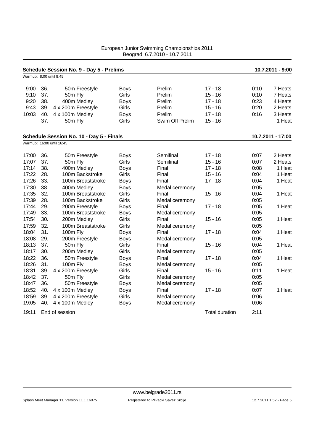|                         |     | Schedule Session No. 9 - Day 5 - Prelims |             |                 |                |      | 10.7.2011 - 9:00  |
|-------------------------|-----|------------------------------------------|-------------|-----------------|----------------|------|-------------------|
| Warmup: 8:00 until 8:45 |     |                                          |             |                 |                |      |                   |
| 9:00                    | 36. | 50m Freestyle                            | <b>Boys</b> | Prelim          | $17 - 18$      | 0:10 | 7 Heats           |
| 9:10                    | 37. | 50m Fly                                  | Girls       | Prelim          | $15 - 16$      | 0:10 | 7 Heats           |
| 9:20                    | 38. | 400m Medley                              | <b>Boys</b> | Prelim          | $17 - 18$      | 0:23 | 4 Heats           |
| 9:43                    | 39. | 4 x 200m Freestyle                       | Girls       | Prelim          | $15 - 16$      | 0:20 | 2 Heats           |
| 10:03                   | 40. | 4 x 100m Medley                          | <b>Boys</b> | Prelim          | $17 - 18$      | 0:16 | 3 Heats           |
|                         | 37. | 50m Fly                                  | Girls       | Swim Off Prelim | $15 - 16$      |      | 1 Heat            |
|                         |     | Schedule Session No. 10 - Day 5 - Finals |             |                 |                |      | 10.7.2011 - 17:00 |
|                         |     | Warmup: 16:00 until 16:45                |             |                 |                |      |                   |
| 17:00                   | 36. | 50m Freestyle                            | <b>Boys</b> | Semifinal       | $17 - 18$      | 0:07 | 2 Heats           |
| 17:07                   | 37. | 50m Fly                                  | Girls       | Semifinal       | $15 - 16$      | 0:07 | 2 Heats           |
| 17:14                   | 38. | 400m Medley                              | <b>Boys</b> | Final           | $17 - 18$      | 0:08 | 1 Heat            |
| 17:22                   | 28. | 100m Backstroke                          | Girls       | Final           | $15 - 16$      | 0:04 | 1 Heat            |
| 17:26                   | 33. | 100m Breaststroke                        | <b>Boys</b> | Final           | $17 - 18$      | 0:04 | 1 Heat            |
| 17:30                   | 38. | 400m Medley                              | <b>Boys</b> | Medal ceremony  |                | 0:05 |                   |
| 17:35                   | 32. | 100m Breaststroke                        | Girls       | Final           | $15 - 16$      | 0:04 | 1 Heat            |
| 17:39                   | 28. | 100m Backstroke                          | Girls       | Medal ceremony  |                | 0:05 |                   |
| 17:44                   | 29. | 200m Freestyle                           | <b>Boys</b> | Final           | $17 - 18$      | 0:05 | 1 Heat            |
| 17:49                   | 33. | 100m Breaststroke                        | <b>Boys</b> | Medal ceremony  |                | 0:05 |                   |
| 17:54                   | 30. | 200m Medley                              | Girls       | Final           | $15 - 16$      | 0:05 | 1 Heat            |
| 17:59                   | 32. | 100m Breaststroke                        | Girls       | Medal ceremony  |                | 0:05 |                   |
| 18:04                   | 31. | 100m Fly                                 | <b>Boys</b> | Final           | $17 - 18$      | 0:04 | 1 Heat            |
| 18:08                   | 29. | 200m Freestyle                           | <b>Boys</b> | Medal ceremony  |                | 0:05 |                   |
| 18:13                   | 37. | 50m Fly                                  | Girls       | Final           | $15 - 16$      | 0:04 | 1 Heat            |
| 18:17                   | 30. | 200m Medley                              | Girls       | Medal ceremony  |                | 0:05 |                   |
| 18:22                   | 36. | 50m Freestyle                            | <b>Boys</b> | Final           | $17 - 18$      | 0:04 | 1 Heat            |
| 18:26                   | 31. | 100m Fly                                 | <b>Boys</b> | Medal ceremony  |                | 0:05 |                   |
| 18:31                   | 39. | 4 x 200m Freestyle                       | Girls       | Final           | $15 - 16$      | 0:11 | 1 Heat            |
| 18:42                   | 37. | 50m Fly                                  | Girls       | Medal ceremony  |                | 0:05 |                   |
| 18:47                   | 36. | 50m Freestyle                            | <b>Boys</b> | Medal ceremony  |                | 0:05 |                   |
| 18:52                   | 40. | 4 x 100m Medley                          | <b>Boys</b> | Final           | $17 - 18$      | 0:07 | 1 Heat            |
| 18:59                   | 39. | 4 x 200m Freestyle                       | Girls       | Medal ceremony  |                | 0:06 |                   |
| 19:05                   | 40. | 4 x 100m Medley                          | <b>Boys</b> | Medal ceremony  |                | 0:06 |                   |
| 19:11                   |     | End of session                           |             |                 | Total duration | 2:11 |                   |

Splash Meet Manager 11, Version 11.1.16075 Registered to Plivacki Savez Srbije 12.7.2011 1:52 - Page 5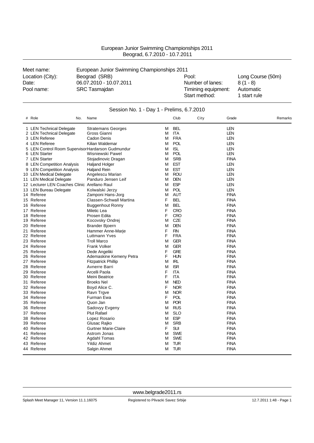| European Junior Swimming Championships 2011 |
|---------------------------------------------|
| Beograd, 6.7.2010 - 10.7.2011               |

| Meet name:       | European Junior Swimming Championships 2011 |                                      |                           |  |  |  |
|------------------|---------------------------------------------|--------------------------------------|---------------------------|--|--|--|
| Location (City): | Beograd (SRB)                               | Pool:                                | Long Course (50m)         |  |  |  |
| Date:            | 06.07.2010 - 10.07.2011                     | Number of lanes:                     | $8(1 - 8)$                |  |  |  |
| Pool name:       | <b>SRC Tasmajdan</b>                        | Timining equipment:<br>Start method: | Automatic<br>1 start rule |  |  |  |

| # Role                                           | No. | Name                        |   |            | Club       | City | Grade       | Remarks |  |
|--------------------------------------------------|-----|-----------------------------|---|------------|------------|------|-------------|---------|--|
| 1 LEN Technical Delegate                         |     | <b>Stratemans Georges</b>   | M |            | <b>BEL</b> |      | LEN         |         |  |
| 2 LEN Technical Delegate                         |     | Gross Gianni                | M | <b>ITA</b> |            |      | LEN         |         |  |
| 3 LEN Referee                                    |     | Cadon Denis                 | М |            | <b>FRA</b> |      | LEN         |         |  |
| 4 LEN Referee                                    |     | Kilian Waldemar             | М |            | <b>POL</b> |      | LEN         |         |  |
| 5 LEN Control Room SupervisorHardarson Gudmundur |     |                             | M | <b>ISL</b> |            |      | <b>LEN</b>  |         |  |
| 6 LEN Starter                                    |     | Wisniewski Pawel            | М |            | <b>POL</b> |      | <b>LEN</b>  |         |  |
| 7 LEN Starter                                    |     | Stojadinovic Dragan         | M |            | <b>SRB</b> |      | <b>FINA</b> |         |  |
| 8 LEN Competition Analysis                       |     | <b>Haljand Holger</b>       | М |            | <b>EST</b> |      | <b>LEN</b>  |         |  |
| 9 LEN Competition Analysis                       |     | <b>Haljand Rein</b>         | М |            | <b>EST</b> |      | LEN         |         |  |
| 10 LEN Medical Delegate                          |     | Angelescu Marian            | М |            | <b>ROU</b> |      | <b>LEN</b>  |         |  |
| 11 LEN Medical Delegate                          |     | Panduro Jensen Leif         | M |            | <b>DEN</b> |      | LEN         |         |  |
| 12 Lecturer LEN Coaches Clinic Arellano Raul     |     |                             | М |            | <b>ESP</b> |      | <b>LEN</b>  |         |  |
| 13 LEN Bureau Delegate                           |     | Kolwalski Jerzy             | М |            | <b>POL</b> |      | <b>LEN</b>  |         |  |
| 14 Referee                                       |     | Zamponi Hans-Jorg           | М |            | <b>AUT</b> |      | <b>FINA</b> |         |  |
| 15 Referee                                       |     | Classen-Schwall Martina     | F |            | <b>BEL</b> |      | <b>FINA</b> |         |  |
| 16 Referee                                       |     | <b>Buggenhout Ronny</b>     | M |            | <b>BEL</b> |      | <b>FINA</b> |         |  |
| 17 Referee                                       |     | Miletic Lea                 | F |            | <b>CRO</b> |      | <b>FINA</b> |         |  |
| 18 Referee                                       |     | Prosen Edita                | F |            | <b>CRO</b> |      | <b>FINA</b> |         |  |
| 19 Referee                                       |     | Kocovsky Ondrej             | М |            | CZE        |      | <b>FINA</b> |         |  |
| 20 Referee                                       |     | <b>Brander Bjoern</b>       | M |            | <b>DEN</b> |      | <b>FINA</b> |         |  |
| 21 Referee                                       |     | Hammer Anne-Marje           | F | <b>FIN</b> |            |      | <b>FINA</b> |         |  |
| 22 Referee                                       |     | Luttmann Yves               | F |            | <b>FRA</b> |      | <b>FINA</b> |         |  |
| 23 Referee                                       |     | <b>Troll Marco</b>          | M |            | <b>GER</b> |      | <b>FINA</b> |         |  |
| 24 Referee                                       |     | <b>Frank Volker</b>         | M |            | <b>GER</b> |      | <b>FINA</b> |         |  |
| 25 Referee                                       |     | Dede Angeliki               | F |            | <b>GRE</b> |      | <b>FINA</b> |         |  |
| 26 Referee                                       |     | Ademaskine Kemeny Petra     | F |            | <b>HUN</b> |      | <b>FINA</b> |         |  |
| 27 Referee                                       |     | <b>Fitzpatrick Phillip</b>  | M | <b>IRL</b> |            |      | <b>FINA</b> |         |  |
| 28 Referee                                       |     | Avnerre Barri               | м |            | <b>ISR</b> |      | <b>FINA</b> |         |  |
| 29 Referee                                       |     | Arcelli Paola               | F | <b>ITA</b> |            |      | <b>FINA</b> |         |  |
| 30 Referee                                       |     | Meini Beatrice              | F | <b>ITA</b> |            |      | <b>FINA</b> |         |  |
| 31 Referee                                       |     | <b>Broeks Nel</b>           | М |            | <b>NED</b> |      | <b>FINA</b> |         |  |
| 32 Referee                                       |     | Boyd Alice C.               | F |            | <b>NOR</b> |      | <b>FINA</b> |         |  |
| 33 Referee                                       |     | Ravn Trgve                  | M |            | <b>NOR</b> |      | <b>FINA</b> |         |  |
| 34 Referee                                       |     | Furman Ewa                  | F |            | <b>POL</b> |      | <b>FINA</b> |         |  |
| 35 Referee                                       |     | Quon Jan                    | M |            | <b>POR</b> |      | <b>FINA</b> |         |  |
| 36 Referee                                       |     | Sadovyy Evgeny              | M |            | <b>RUS</b> |      | <b>FINA</b> |         |  |
| 37 Referee                                       |     | <b>Plut Rafael</b>          | М |            | <b>SLO</b> |      | <b>FINA</b> |         |  |
| 38 Referee                                       |     | Lopez Rosario               | M |            | <b>ESP</b> |      | <b>FINA</b> |         |  |
| 39 Referee                                       |     | Glusac Rajko                | M |            | <b>SRB</b> |      | <b>FINA</b> |         |  |
| 40 Referee                                       |     | <b>Gurtner Marie-Claire</b> | F |            | <b>SUI</b> |      | <b>FINA</b> |         |  |
| 41 Referee                                       |     | Astrom Jonas                | M |            | <b>SWE</b> |      | <b>FINA</b> |         |  |
| 42 Referee                                       |     | Agdahl Tomas                | M |            | <b>SWE</b> |      | <b>FINA</b> |         |  |
| 43 Referee                                       |     | Yildiz Ahmet                | М |            | TUR        |      | <b>FINA</b> |         |  |
| 44 Referee                                       |     | Salgin Ahmet                | М |            | <b>TUR</b> |      | <b>FINA</b> |         |  |

### Session No. 1 - Day 1 - Prelims, 6.7.2010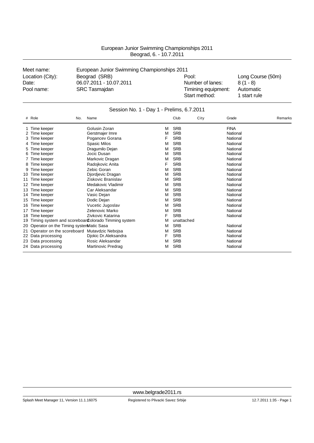| Meet name:       | European Junior Swimming Championships 2011 |                                      |                           |
|------------------|---------------------------------------------|--------------------------------------|---------------------------|
| Location (City): | Beograd (SRB)                               | Pool:                                | Long Course (50m)         |
| Date:            | 06.07.2011 - 10.07.2011                     | Number of lanes:                     | $8(1 - 8)$                |
| Pool name:       | <b>SRC Tasmajdan</b>                        | Timining equipment:<br>Start method: | Automatic<br>1 start rule |

| Session No. 1 - Day 1 - Prelims, 6.7.2011 |  |  |  |  |  |
|-------------------------------------------|--|--|--|--|--|
|-------------------------------------------|--|--|--|--|--|

| #  | Role                                    | Name<br>No.                                         |   | Club       | City | Grade       | Remarks |
|----|-----------------------------------------|-----------------------------------------------------|---|------------|------|-------------|---------|
|    | Time keeper                             | Golusin Zoran                                       | M | <b>SRB</b> |      | <b>FINA</b> |         |
|    | Time keeper                             | Gerstmajer Imre                                     | M | <b>SRB</b> |      | National    |         |
| 3  | Time keeper                             | Pogancev Gorana                                     | F | <b>SRB</b> |      | National    |         |
|    | Time keeper                             | Spasic Milos                                        | M | <b>SRB</b> |      | National    |         |
| 5  | Time keeper                             | Dragumilo Dejan                                     | M | <b>SRB</b> |      | National    |         |
| 6  | Time keeper                             | Jocic Dusan                                         | M | <b>SRB</b> |      | National    |         |
|    | Time keeper                             | Markovic Dragan                                     | M | <b>SRB</b> |      | National    |         |
|    | Time keeper                             | Radojkovic Anita                                    | F | <b>SRB</b> |      | National    |         |
|    | Time keeper                             | Zebic Goran                                         | м | <b>SRB</b> |      | National    |         |
| 10 | Time keeper                             | Djordjevic Dragan                                   | M | <b>SRB</b> |      | National    |         |
| 11 | Time keeper                             | Ziskovic Branislav                                  | M | <b>SRB</b> |      | National    |         |
| 12 | Time keeper                             | Medakovic Vladimir                                  | M | <b>SRB</b> |      | National    |         |
| 13 | Time keeper                             | Car Aleksandar                                      | M | <b>SRB</b> |      | National    |         |
| 14 | Time keeper                             | Vasic Dejan                                         | M | <b>SRB</b> |      | National    |         |
| 15 | Time keeper                             | Dodic Dejan                                         | M | <b>SRB</b> |      | National    |         |
| 16 | Time keeper                             | Vucetic Jugoslav                                    | M | <b>SRB</b> |      | National    |         |
| 17 | Time keeper                             | Zelenovic Marko                                     | M | <b>SRB</b> |      | National    |         |
| 18 | Time keeper                             | Zivkovic Katarina                                   | F | <b>SRB</b> |      | National    |         |
| 19 |                                         | Timing system and scoreboar Colorado Timming system | M | unattached |      |             |         |
| 20 | Operator on the Timing systemMatic Sasa |                                                     | M | <b>SRB</b> |      | National    |         |
| 21 |                                         | Operator on the scoreboard Mutavdzic Nebojsa        | M | <b>SRB</b> |      | National    |         |
|    | 22 Data processing                      | Djokic Dr.Aleksandra                                | F | <b>SRB</b> |      | National    |         |
|    | 23 Data processing                      | Rosic Aleksandar                                    | M | <b>SRB</b> |      | National    |         |
|    | 24 Data processing                      | Martinovic Predrag                                  | M | <b>SRB</b> |      | National    |         |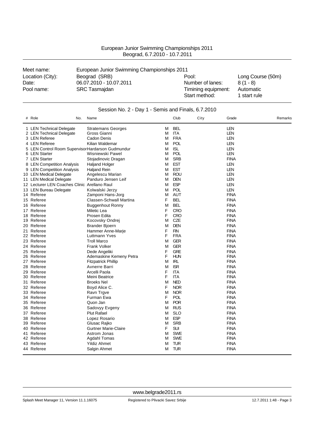| European Junior Swimming Championships 2011<br>Beograd, 6.7.2010 - 10.7.2011 |
|------------------------------------------------------------------------------|
|------------------------------------------------------------------------------|

| Meet name:       | European Junior Swimming Championships 2011 |                                      |                           |  |  |  |  |
|------------------|---------------------------------------------|--------------------------------------|---------------------------|--|--|--|--|
| Location (City): | Beograd (SRB)                               | Pool:                                | Long Course (50m)         |  |  |  |  |
| Date:            | 06.07.2010 - 10.07.2011                     | Number of lanes:                     | $8(1 - 8)$                |  |  |  |  |
| Pool name:       | <b>SRC Tasmajdan</b>                        | Timining equipment:<br>Start method: | Automatic<br>1 start rule |  |  |  |  |

| Session No. 2 - Day 1 - Semis and Finals, 6.7.2010 |                                                  |                             |   |            |      |             |         |
|----------------------------------------------------|--------------------------------------------------|-----------------------------|---|------------|------|-------------|---------|
|                                                    | # Role<br>No.                                    | Name                        |   | Club       | City | Grade       | Remarks |
|                                                    | 1 LEN Technical Delegate                         | <b>Stratemans Georges</b>   | м | <b>BEL</b> |      | <b>LEN</b>  |         |
|                                                    | 2 LEN Technical Delegate                         | Gross Gianni                | M | ITA        |      | LEN         |         |
|                                                    | 3 LEN Referee                                    | Cadon Denis                 | М | <b>FRA</b> |      | <b>LEN</b>  |         |
|                                                    | 4 LEN Referee                                    | Kilian Waldemar             | М | <b>POL</b> |      | <b>LEN</b>  |         |
|                                                    | 5 LEN Control Room SupervisorHardarson Gudmundur |                             | М | <b>ISL</b> |      | <b>LEN</b>  |         |
|                                                    | 6 LEN Starter                                    | Wisniewski Pawel            | M | <b>POL</b> |      | <b>LEN</b>  |         |
|                                                    | 7 LEN Starter                                    | Stojadinovic Dragan         | M | <b>SRB</b> |      | <b>FINA</b> |         |
|                                                    | 8 LEN Competition Analysis                       | <b>Haljand Holger</b>       | М | <b>EST</b> |      | <b>LEN</b>  |         |
|                                                    | 9 LEN Competition Analysis                       | Haljand Rein                | м | <b>EST</b> |      | <b>LEN</b>  |         |
|                                                    | 10 LEN Medical Delegate                          | Angelescu Marian            | М | <b>ROU</b> |      | LEN         |         |
|                                                    | 11 LEN Medical Delegate                          | Panduro Jensen Leif         | М | <b>DEN</b> |      | <b>LEN</b>  |         |
|                                                    | 12 Lecturer LEN Coaches Clinic Arellano Raul     |                             | м | <b>ESP</b> |      | <b>LEN</b>  |         |
|                                                    | 13 LEN Bureau Delegate                           | Kolwalski Jerzy             | м | <b>POL</b> |      | <b>LEN</b>  |         |
|                                                    | 14 Referee                                       | Zamponi Hans-Jorg           | M | <b>AUT</b> |      | <b>FINA</b> |         |
|                                                    | 15 Referee                                       | Classen-Schwall Martina     | F | <b>BEL</b> |      | <b>FINA</b> |         |
|                                                    | 16 Referee                                       | <b>Buggenhout Ronny</b>     | M | <b>BEL</b> |      | <b>FINA</b> |         |
|                                                    | 17 Referee                                       | Miletic Lea                 | F | <b>CRO</b> |      | <b>FINA</b> |         |
|                                                    | 18 Referee                                       | Prosen Edita                | F | <b>CRO</b> |      | <b>FINA</b> |         |
|                                                    | 19 Referee                                       | Kocovsky Ondrej             | M | <b>CZE</b> |      | <b>FINA</b> |         |
|                                                    | 20 Referee                                       | Brander Bjoern              | М | <b>DEN</b> |      | <b>FINA</b> |         |
| 21                                                 | Referee                                          | Hammer Anne-Marje           | F | <b>FIN</b> |      | <b>FINA</b> |         |
|                                                    | 22 Referee                                       | Luttmann Yves               | F | <b>FRA</b> |      | <b>FINA</b> |         |
|                                                    | 23 Referee                                       | <b>Troll Marco</b>          | M | <b>GER</b> |      | <b>FINA</b> |         |
|                                                    | 24 Referee                                       | <b>Frank Volker</b>         | M | <b>GER</b> |      | <b>FINA</b> |         |
|                                                    | 25 Referee                                       | Dede Angeliki               | F | <b>GRE</b> |      | <b>FINA</b> |         |
|                                                    | 26 Referee                                       | Ademaskine Kemeny Petra     | F | <b>HUN</b> |      | <b>FINA</b> |         |
|                                                    | 27 Referee                                       | <b>Fitzpatrick Phillip</b>  | M | <b>IRL</b> |      | <b>FINA</b> |         |
|                                                    | 28 Referee                                       | Avnerre Barri               | M | <b>ISR</b> |      | <b>FINA</b> |         |
|                                                    | 29 Referee                                       | Arcelli Paola               | F | <b>ITA</b> |      | <b>FINA</b> |         |
|                                                    | 30 Referee                                       | Meini Beatrice              | F | <b>ITA</b> |      | <b>FINA</b> |         |
|                                                    | 31 Referee                                       | <b>Broeks Nel</b>           | M | <b>NED</b> |      | <b>FINA</b> |         |
|                                                    | 32 Referee                                       | Boyd Alice C.               | F | <b>NOR</b> |      | <b>FINA</b> |         |
|                                                    | 33 Referee                                       | Ravn Trgve                  | M | <b>NOR</b> |      | <b>FINA</b> |         |
|                                                    | 34 Referee                                       | Furman Ewa                  | F | <b>POL</b> |      | <b>FINA</b> |         |
|                                                    | 35 Referee                                       | Quon Jan                    | М | <b>POR</b> |      | <b>FINA</b> |         |
|                                                    | 36 Referee                                       | Sadovyy Evgeny              | М | <b>RUS</b> |      | <b>FINA</b> |         |
|                                                    | 37 Referee                                       | <b>Plut Rafael</b>          | M | <b>SLO</b> |      | <b>FINA</b> |         |
|                                                    | 38 Referee                                       | Lopez Rosario               | м | <b>ESP</b> |      | <b>FINA</b> |         |
|                                                    | 39 Referee                                       | Glusac Rajko                | M | <b>SRB</b> |      | <b>FINA</b> |         |
|                                                    | 40 Referee                                       | <b>Gurtner Marie-Claire</b> | F | <b>SUI</b> |      | <b>FINA</b> |         |
|                                                    | 41 Referee                                       | Astrom Jonas                | м | <b>SWE</b> |      | <b>FINA</b> |         |
|                                                    | 42 Referee                                       | Agdahl Tomas                | M | <b>SWE</b> |      | <b>FINA</b> |         |
|                                                    | 43 Referee                                       | Yildiz Ahmet                | M | <b>TUR</b> |      | <b>FINA</b> |         |
|                                                    | 44 Referee                                       | Salgin Ahmet                | м | <b>TUR</b> |      | <b>FINA</b> |         |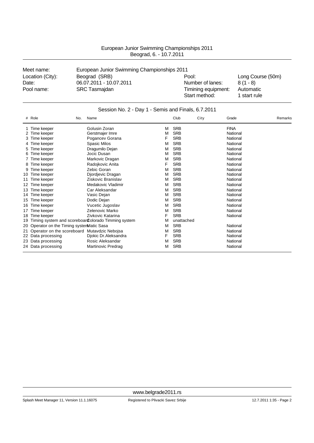| Meet name:       | European Junior Swimming Championships 2011 |                     |                   |
|------------------|---------------------------------------------|---------------------|-------------------|
| Location (City): | Beograd (SRB)                               | Pool:               | Long Course (50m) |
| Date:            | 06.07.2011 - 10.07.2011                     | Number of lanes:    | $8(1 - 8)$        |
| Pool name:       | <b>SRC Tasmajdan</b>                        | Timining equipment: | Automatic         |
|                  |                                             | Start method:       | 1 start rule      |

|    | Session No. 2 - Day 1 - Semis and Finals, 6.7.2011 |                                                     |   |            |      |             |         |  |
|----|----------------------------------------------------|-----------------------------------------------------|---|------------|------|-------------|---------|--|
|    | # Role                                             | Name<br>No.                                         |   | Club       | City | Grade       | Remarks |  |
|    | Time keeper                                        | Golusin Zoran                                       | М | <b>SRB</b> |      | <b>FINA</b> |         |  |
|    | Time keeper                                        | Gerstmajer Imre                                     | м | <b>SRB</b> |      | National    |         |  |
|    | Time keeper                                        | Pogancev Gorana                                     | F | <b>SRB</b> |      | National    |         |  |
|    | Time keeper                                        | <b>Spasic Milos</b>                                 | М | <b>SRB</b> |      | National    |         |  |
|    | Time keeper                                        | Dragumilo Dejan                                     | м | <b>SRB</b> |      | National    |         |  |
| 6  | Time keeper                                        | Jocic Dusan                                         | М | <b>SRB</b> |      | National    |         |  |
|    | Time keeper                                        | Markovic Dragan                                     | М | <b>SRB</b> |      | National    |         |  |
|    | Time keeper                                        | Radojkovic Anita                                    | F | <b>SRB</b> |      | National    |         |  |
|    | Time keeper                                        | Zebic Goran                                         | М | <b>SRB</b> |      | National    |         |  |
| 10 | Time keeper                                        | Djordjevic Dragan                                   | М | <b>SRB</b> |      | National    |         |  |
| 11 | Time keeper                                        | Ziskovic Branislav                                  | М | <b>SRB</b> |      | National    |         |  |
| 12 | Time keeper                                        | Medakovic Vladimir                                  | М | <b>SRB</b> |      | National    |         |  |
| 13 | Time keeper                                        | Car Aleksandar                                      | М | <b>SRB</b> |      | National    |         |  |
| 14 | Time keeper                                        | Vasic Dejan                                         | М | <b>SRB</b> |      | National    |         |  |
| 15 | Time keeper                                        | Dodic Dejan                                         | М | <b>SRB</b> |      | National    |         |  |
| 16 | Time keeper                                        | Vucetic Jugoslav                                    | М | <b>SRB</b> |      | National    |         |  |
| 17 | Time keeper                                        | Zelenovic Marko                                     | м | <b>SRB</b> |      | National    |         |  |
| 18 | Time keeper                                        | Zivkovic Katarina                                   | F | <b>SRB</b> |      | National    |         |  |
| 19 |                                                    | Timing system and scoreboar Colorado Timming system | М | unattached |      |             |         |  |
| 20 | Operator on the Timing systemMatic Sasa            |                                                     | М | <b>SRB</b> |      | National    |         |  |
| 21 | Operator on the scoreboard Mutavdzic Nebojsa       |                                                     | М | <b>SRB</b> |      | National    |         |  |
|    | 22 Data processing                                 | Djokic Dr.Aleksandra                                | F | <b>SRB</b> |      | National    |         |  |
| 23 | Data processing                                    | Rosic Aleksandar                                    | М | <b>SRB</b> |      | National    |         |  |
|    | 24 Data processing                                 | Martinovic Predrag                                  | М | <b>SRB</b> |      | National    |         |  |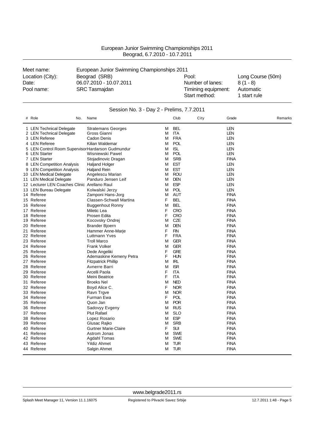| European Junior Swimming Championships 2011 |
|---------------------------------------------|
| Beograd, 6.7.2010 - 10.7.2011               |

| Meet name:          | European Junior Swimming Championships 2011     |                                         |                         |  |  |  |
|---------------------|-------------------------------------------------|-----------------------------------------|-------------------------|--|--|--|
| Location (City):    | Beograd (SRB)                                   | Pool:                                   | Long Course (50m)       |  |  |  |
| Date:<br>Pool name: | 06.07.2010 - 10.07.2011<br><b>SRC Tasmajdan</b> | Number of lanes:<br>Timining equipment: | $8(1 - 8)$<br>Automatic |  |  |  |
|                     |                                                 | Start method:                           | 1 start rule            |  |  |  |

| # Role<br>No.                                    | Name                           |   | Club       | City | Grade       | Remarks |
|--------------------------------------------------|--------------------------------|---|------------|------|-------------|---------|
| 1 LEN Technical Delegate                         | <b>Stratemans Georges</b>      | M | <b>BEL</b> |      | <b>LEN</b>  |         |
| 2 LEN Technical Delegate                         | Gross Gianni                   | М | <b>ITA</b> |      | LEN         |         |
| 3 LEN Referee                                    | Cadon Denis                    | М | <b>FRA</b> |      | <b>LEN</b>  |         |
| 4 LEN Referee                                    | Kilian Waldemar                | м | <b>POL</b> |      | <b>LEN</b>  |         |
| 5 LEN Control Room SupervisorHardarson Gudmundur |                                | М | <b>ISL</b> |      | LEN         |         |
| 6 LEN Starter                                    | Wisniewski Pawel               | M | POL        |      | <b>LEN</b>  |         |
| 7 LEN Starter                                    | Stojadinovic Dragan            | М | <b>SRB</b> |      | <b>FINA</b> |         |
| 8 LEN Competition Analysis                       | <b>Haljand Holger</b>          | M | <b>EST</b> |      | <b>LEN</b>  |         |
| 9 LEN Competition Analysis                       | <b>Haljand Rein</b>            | м | <b>EST</b> |      | LEN         |         |
| 10 LEN Medical Delegate                          | Angelescu Marian               | М | ROU        |      | LEN         |         |
| 11 LEN Medical Delegate                          | Panduro Jensen Leif            | M | <b>DEN</b> |      | LEN         |         |
| 12 Lecturer LEN Coaches Clinic Arellano Raul     |                                | М | <b>ESP</b> |      | <b>LEN</b>  |         |
| 13 LEN Bureau Delegate                           | Kolwalski Jerzy                | M | POL        |      | <b>LEN</b>  |         |
| 14 Referee                                       | Zamponi Hans-Jorg              | M | <b>AUT</b> |      | <b>FINA</b> |         |
| 15 Referee                                       | <b>Classen-Schwall Martina</b> | F | <b>BEL</b> |      | <b>FINA</b> |         |
| 16 Referee                                       | <b>Buggenhout Ronny</b>        | M | <b>BEL</b> |      | <b>FINA</b> |         |
| 17 Referee                                       | Miletic Lea                    | F | <b>CRO</b> |      | <b>FINA</b> |         |
| 18 Referee                                       | Prosen Edita                   | F | <b>CRO</b> |      | <b>FINA</b> |         |
| 19 Referee                                       | Kocovsky Ondrej                | М | <b>CZE</b> |      | <b>FINA</b> |         |
| 20 Referee                                       | <b>Brander Bjoern</b>          | M | <b>DEN</b> |      | <b>FINA</b> |         |
| 21 Referee                                       | Hammer Anne-Marje              | F | <b>FIN</b> |      | <b>FINA</b> |         |
| 22 Referee                                       | Luttmann Yves                  | F | <b>FRA</b> |      | <b>FINA</b> |         |
| 23 Referee                                       | <b>Troll Marco</b>             | M | <b>GER</b> |      | <b>FINA</b> |         |
| 24 Referee                                       | <b>Frank Volker</b>            | M | <b>GER</b> |      | <b>FINA</b> |         |
| 25 Referee                                       | Dede Angeliki                  | F | <b>GRE</b> |      | <b>FINA</b> |         |
| 26 Referee                                       | Ademaskine Kemeny Petra        | F | <b>HUN</b> |      | <b>FINA</b> |         |
| 27 Referee                                       | <b>Fitzpatrick Phillip</b>     | М | <b>IRL</b> |      | <b>FINA</b> |         |
| 28 Referee                                       | Avnerre Barri                  | M | <b>ISR</b> |      | <b>FINA</b> |         |
| 29 Referee                                       | Arcelli Paola                  | F | <b>ITA</b> |      | <b>FINA</b> |         |
| 30 Referee                                       | Meini Beatrice                 | F | <b>ITA</b> |      | <b>FINA</b> |         |
| 31 Referee                                       | <b>Broeks Nel</b>              | М | <b>NED</b> |      | <b>FINA</b> |         |
| 32 Referee                                       | Boyd Alice C.                  | F | <b>NOR</b> |      | <b>FINA</b> |         |
| 33 Referee                                       | Ravn Trgve                     | M | <b>NOR</b> |      | <b>FINA</b> |         |
| 34 Referee                                       | Furman Ewa                     | F | <b>POL</b> |      | <b>FINA</b> |         |
| 35 Referee                                       | Quon Jan                       | M | <b>POR</b> |      | <b>FINA</b> |         |
| 36 Referee                                       | Sadovyy Evgeny                 | М | <b>RUS</b> |      | <b>FINA</b> |         |
| 37 Referee                                       | <b>Plut Rafael</b>             | м | <b>SLO</b> |      | <b>FINA</b> |         |
| 38 Referee                                       | Lopez Rosario                  | M | <b>ESP</b> |      | <b>FINA</b> |         |
| 39 Referee                                       | Glusac Rajko                   | M | <b>SRB</b> |      | <b>FINA</b> |         |
| 40 Referee                                       | <b>Gurtner Marie-Claire</b>    | F | <b>SUI</b> |      | <b>FINA</b> |         |
| 41 Referee                                       | Astrom Jonas                   | М | <b>SWE</b> |      | <b>FINA</b> |         |
| 42 Referee                                       | Agdahl Tomas                   | M | <b>SWE</b> |      | <b>FINA</b> |         |
| 43 Referee                                       | <b>Yildiz Ahmet</b>            | M | TUR        |      | <b>FINA</b> |         |
| 44 Referee                                       | Salgin Ahmet                   | М | <b>TUR</b> |      | <b>FINA</b> |         |

#### Session No. 3 - Day 2 - Prelims, 7.7.2011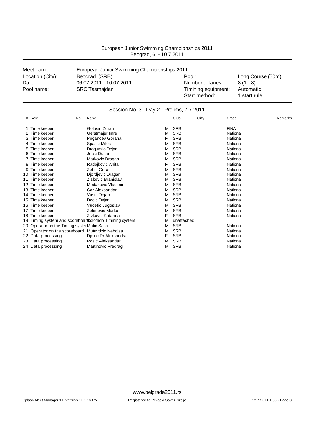| Meet name:       | European Junior Swimming Championships 2011 |                     |                   |
|------------------|---------------------------------------------|---------------------|-------------------|
| Location (City): | Beograd (SRB)                               | Pool:               | Long Course (50m) |
| Date:            | 06.07.2011 - 10.07.2011                     | Number of lanes:    | $8(1 - 8)$        |
| Pool name:       | SRC Tasmajdan                               | Timining equipment: | Automatic         |
|                  |                                             | Start method:       | 1 start rule      |

### Session No. 3 - Day 2 - Prelims, 7.7.2011

|     | # Role                                  | No. | Name                                                |   | Club       | City | Grade       | Remarks |
|-----|-----------------------------------------|-----|-----------------------------------------------------|---|------------|------|-------------|---------|
|     | Time keeper                             |     | Golusin Zoran                                       | M | <b>SRB</b> |      | <b>FINA</b> |         |
|     | Time keeper                             |     | Gerstmajer Imre                                     | M | <b>SRB</b> |      | National    |         |
| 3.  | Time keeper                             |     | Pogancev Gorana                                     | F | <b>SRB</b> |      | National    |         |
|     | Time keeper                             |     | <b>Spasic Milos</b>                                 | M | <b>SRB</b> |      | National    |         |
| 5   | Time keeper                             |     | Dragumilo Dejan                                     | м | <b>SRB</b> |      | National    |         |
|     | Time keeper                             |     | Jocic Dusan                                         | M | <b>SRB</b> |      | National    |         |
|     | Time keeper                             |     | Markovic Dragan                                     | M | <b>SRB</b> |      | National    |         |
| 8   | Time keeper                             |     | Radojkovic Anita                                    | F | <b>SRB</b> |      | National    |         |
|     | Time keeper                             |     | Zebic Goran                                         | M | <b>SRB</b> |      | National    |         |
| 10  | Time keeper                             |     | Djordjevic Dragan                                   | M | <b>SRB</b> |      | National    |         |
|     | Time keeper                             |     | Ziskovic Branislav                                  | M | <b>SRB</b> |      | National    |         |
| 12  | Time keeper                             |     | Medakovic Vladimir                                  | M | <b>SRB</b> |      | National    |         |
| 13. | Time keeper                             |     | Car Aleksandar                                      | M | <b>SRB</b> |      | National    |         |
| 14  | Time keeper                             |     | Vasic Dejan                                         | м | <b>SRB</b> |      | National    |         |
| 15  | Time keeper                             |     | Dodic Dejan                                         | м | <b>SRB</b> |      | National    |         |
| 16  | Time keeper                             |     | Vucetic Jugoslav                                    | M | <b>SRB</b> |      | National    |         |
| 17  | Time keeper                             |     | Zelenovic Marko                                     | M | <b>SRB</b> |      | National    |         |
| 18  | Time keeper                             |     | Zivkovic Katarina                                   | F | <b>SRB</b> |      | National    |         |
| 19  |                                         |     | Timing system and scoreboar Colorado Timming system | M | unattached |      |             |         |
| 20  | Operator on the Timing systemMatic Sasa |     |                                                     | M | <b>SRB</b> |      | National    |         |
| 21  | Operator on the scoreboard              |     | Mutavdzic Nebojsa                                   | M | <b>SRB</b> |      | National    |         |
| 22  | Data processing                         |     | Djokic Dr.Aleksandra                                | F | <b>SRB</b> |      | National    |         |
|     | 23 Data processing                      |     | Rosic Aleksandar                                    | M | <b>SRB</b> |      | National    |         |
|     | 24 Data processing                      |     | Martinovic Predrag                                  | М | <b>SRB</b> |      | National    |         |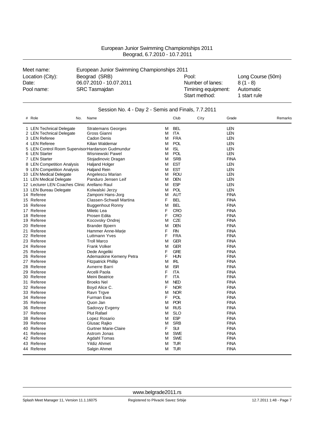| <b>PUDY 10.1.2010</b> 10.1.2011 |                                             |                     |                   |  |  |  |  |
|---------------------------------|---------------------------------------------|---------------------|-------------------|--|--|--|--|
| Meet name:                      | European Junior Swimming Championships 2011 |                     |                   |  |  |  |  |
| Location (City):                | Beograd (SRB)                               | Pool:               | Long Course (50m) |  |  |  |  |
| Date:                           | 06.07.2010 - 10.07.2011                     | Number of lanes:    | $8(1 - 8)$        |  |  |  |  |
| Pool name:                      | <b>SRC Tasmajdan</b>                        | Timining equipment: | Automatic         |  |  |  |  |
|                                 |                                             | Start method:       | 1 start rule      |  |  |  |  |

| Session No. 4 - Day 2 - Semis and Finals, 7.7.2011 |                                |   |            |      |             |         |  |
|----------------------------------------------------|--------------------------------|---|------------|------|-------------|---------|--|
| # Role<br>No.                                      | Name                           |   | Club       | City | Grade       | Remarks |  |
| 1 LEN Technical Delegate                           | <b>Stratemans Georges</b>      | M | <b>BEL</b> |      | <b>LEN</b>  |         |  |
| 2 LEN Technical Delegate                           | Gross Gianni                   | м | <b>ITA</b> |      | <b>LEN</b>  |         |  |
| 3 LEN Referee                                      | Cadon Denis                    | м | <b>FRA</b> |      | <b>LEN</b>  |         |  |
| 4 LEN Referee                                      | Kilian Waldemar                | M | <b>POL</b> |      | <b>LEN</b>  |         |  |
| 5 LEN Control Room SupervisorHardarson Gudmundur   |                                | M | <b>ISL</b> |      | LEN         |         |  |
| 6 LEN Starter                                      | Wisniewski Pawel               | м | <b>POL</b> |      | LEN         |         |  |
| 7 LEN Starter                                      | Stojadinovic Dragan            | м | <b>SRB</b> |      | <b>FINA</b> |         |  |
| 8 LEN Competition Analysis                         | Haljand Holger                 | M | <b>EST</b> |      | <b>LEN</b>  |         |  |
| 9 LEN Competition Analysis                         | <b>Haljand Rein</b>            | M | <b>EST</b> |      | <b>LEN</b>  |         |  |
| 10 LEN Medical Delegate                            | Angelescu Marian               | м | <b>ROU</b> |      | LEN         |         |  |
| 11 LEN Medical Delegate                            | Panduro Jensen Leif            | M | <b>DEN</b> |      | <b>LEN</b>  |         |  |
| 12 Lecturer LEN Coaches Clinic Arellano Raul       |                                | M | <b>ESP</b> |      | LEN         |         |  |
| 13 LEN Bureau Delegate                             | Kolwalski Jerzy                | М | <b>POL</b> |      | <b>LEN</b>  |         |  |
| 14 Referee                                         | Zamponi Hans-Jorg              | м | <b>AUT</b> |      | <b>FINA</b> |         |  |
| 15 Referee                                         | <b>Classen-Schwall Martina</b> | F | <b>BEL</b> |      | <b>FINA</b> |         |  |
| 16 Referee                                         | <b>Buggenhout Ronny</b>        | M | <b>BEL</b> |      | <b>FINA</b> |         |  |
| 17 Referee                                         | Miletic Lea                    | F | <b>CRO</b> |      | <b>FINA</b> |         |  |
| 18 Referee                                         | Prosen Edita                   | F | <b>CRO</b> |      | <b>FINA</b> |         |  |
| 19 Referee                                         | Kocovsky Ondrej                | M | <b>CZE</b> |      | <b>FINA</b> |         |  |
| 20 Referee                                         | Brander Bjoern                 | M | <b>DEN</b> |      | <b>FINA</b> |         |  |
| 21 Referee                                         | Hammer Anne-Marje              | F | <b>FIN</b> |      | <b>FINA</b> |         |  |
| 22 Referee                                         | Luttmann Yves                  | F | <b>FRA</b> |      | <b>FINA</b> |         |  |
| 23 Referee                                         | <b>Troll Marco</b>             | M | <b>GER</b> |      | <b>FINA</b> |         |  |
| 24 Referee                                         | <b>Frank Volker</b>            | M | <b>GER</b> |      | <b>FINA</b> |         |  |
| 25 Referee                                         | Dede Angeliki                  | F | <b>GRE</b> |      | <b>FINA</b> |         |  |
| 26 Referee                                         | Ademaskine Kemeny Petra        | F | <b>HUN</b> |      | <b>FINA</b> |         |  |
| 27 Referee                                         | <b>Fitzpatrick Phillip</b>     | M | <b>IRL</b> |      | <b>FINA</b> |         |  |
| 28 Referee                                         | Avnerre Barri                  | м | <b>ISR</b> |      | <b>FINA</b> |         |  |
| 29 Referee                                         | Arcelli Paola                  | F | <b>ITA</b> |      | <b>FINA</b> |         |  |
| 30 Referee                                         | Meini Beatrice                 | F | <b>ITA</b> |      | <b>FINA</b> |         |  |
| 31 Referee                                         | <b>Broeks Nel</b>              | M | <b>NED</b> |      | <b>FINA</b> |         |  |
| 32 Referee                                         | Boyd Alice C.                  | F | <b>NOR</b> |      | <b>FINA</b> |         |  |
| 33 Referee                                         | Ravn Trgve                     | M | <b>NOR</b> |      | <b>FINA</b> |         |  |
| 34 Referee                                         | Furman Ewa                     | F | <b>POL</b> |      | <b>FINA</b> |         |  |
| 35 Referee                                         | Quon Jan                       | M | <b>POR</b> |      | <b>FINA</b> |         |  |
| 36 Referee                                         | Sadovyy Evgeny                 | M | <b>RUS</b> |      | <b>FINA</b> |         |  |
| 37 Referee                                         | <b>Plut Rafael</b>             | м | <b>SLO</b> |      | <b>FINA</b> |         |  |
| 38 Referee                                         | Lopez Rosario                  | м | <b>ESP</b> |      | <b>FINA</b> |         |  |
| 39 Referee                                         | Glusac Rajko                   | M | <b>SRB</b> |      | <b>FINA</b> |         |  |
| 40 Referee                                         | <b>Gurtner Marie-Claire</b>    | F | <b>SUI</b> |      | <b>FINA</b> |         |  |
| 41 Referee                                         | Astrom Jonas                   | м | <b>SWE</b> |      | <b>FINA</b> |         |  |
| 42 Referee                                         | Agdahl Tomas                   | M | <b>SWE</b> |      | <b>FINA</b> |         |  |
| 43 Referee                                         | <b>Yildiz Ahmet</b>            | M | <b>TUR</b> |      | <b>FINA</b> |         |  |
| 44 Referee                                         | Salgin Ahmet                   | м | <b>TUR</b> |      | <b>FINA</b> |         |  |

Splash Meet Manager 11, Version 11.1.16075 Registered to Plivacki Savez Srbije 12.7.2011 1:48 - Page 7

Salgin Ahmet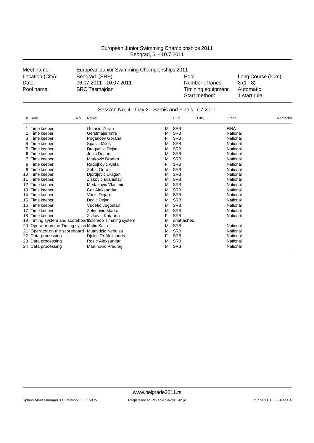| Meet name:       | European Junior Swimming Championships 2011 |                     |                   |
|------------------|---------------------------------------------|---------------------|-------------------|
| Location (City): | Beograd (SRB)                               | Pool:               | Long Course (50m) |
| Date:            | 06.07.2011 - 10.07.2011                     | Number of lanes:    | $8(1 - 8)$        |
| Pool name:       | <b>SRC Tasmajdan</b>                        | Timining equipment: | Automatic         |
|                  |                                             | Start method:       | 1 start rule      |

|    | Session No. 4 - Day 2 - Semis and Finals, 7.7.2011 |                                                     |   |            |      |             |         |
|----|----------------------------------------------------|-----------------------------------------------------|---|------------|------|-------------|---------|
|    | # Role<br>No.                                      | Name                                                |   | Club       | City | Grade       | Remarks |
|    | 1 Time keeper                                      | Golusin Zoran                                       | M | <b>SRB</b> |      | <b>FINA</b> |         |
|    | 2 Time keeper                                      | Gerstmajer Imre                                     | M | <b>SRB</b> |      | National    |         |
| 3  | Time keeper                                        | Pogancey Gorana                                     | F | <b>SRB</b> |      | National    |         |
|    | 4 Time keeper                                      | Spasic Milos                                        | M | <b>SRB</b> |      | National    |         |
| 5  | Time keeper                                        | Dragumilo Dejan                                     | M | <b>SRB</b> |      | National    |         |
| 6  | Time keeper                                        | Jocic Dusan                                         | M | <b>SRB</b> |      | National    |         |
|    | Time keeper                                        | Markovic Dragan                                     | M | <b>SRB</b> |      | National    |         |
|    | Time keeper                                        | Radojkovic Anita                                    | F | <b>SRB</b> |      | National    |         |
|    | Time keeper                                        | Zebic Goran                                         | M | <b>SRB</b> |      | National    |         |
| 10 | Time keeper                                        | Djordjevic Dragan                                   | M | <b>SRB</b> |      | National    |         |
| 11 | Time keeper                                        | Ziskovic Branislav                                  | M | <b>SRB</b> |      | National    |         |
| 12 | Time keeper                                        | Medakovic Vladimir                                  | M | <b>SRB</b> |      | National    |         |
| 13 | Time keeper                                        | Car Aleksandar                                      | M | <b>SRB</b> |      | National    |         |
| 14 | Time keeper                                        | Vasic Dejan                                         | M | <b>SRB</b> |      | National    |         |
| 15 | Time keeper                                        | Dodic Dejan                                         | м | <b>SRB</b> |      | National    |         |
| 16 | Time keeper                                        | Vucetic Jugoslav                                    | M | <b>SRB</b> |      | National    |         |
| 17 | Time keeper                                        | Zelenovic Marko                                     | м | <b>SRB</b> |      | National    |         |
| 18 | Time keeper                                        | Zivkovic Katarina                                   | F | <b>SRB</b> |      | National    |         |
| 19 |                                                    | Timing system and scoreboar Colorado Timming system | M | unattached |      |             |         |
| 20 | Operator on the Timing systemMatic Sasa            |                                                     | M | <b>SRB</b> |      | National    |         |
|    | 21 Operator on the scoreboard                      | Mutavdzic Nebojsa                                   | м | <b>SRB</b> |      | National    |         |
|    | 22 Data processing                                 | Djokic Dr.Aleksandra                                | F | <b>SRB</b> |      | National    |         |
|    | 23 Data processing                                 | Rosic Aleksandar                                    | м | <b>SRB</b> |      | National    |         |
|    | 24 Data processing                                 | Martinovic Predrag                                  | M | <b>SRB</b> |      | National    |         |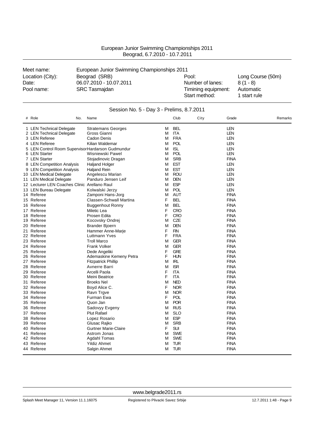| European Junior Swimming Championships 2011 |
|---------------------------------------------|
| Beograd, 6.7.2010 - 10.7.2011               |

| Meet name:       | European Junior Swimming Championships 2011 |                                      |                           |  |  |  |
|------------------|---------------------------------------------|--------------------------------------|---------------------------|--|--|--|
| Location (City): | Beograd (SRB)                               | Pool:                                | Long Course (50m)         |  |  |  |
| Date:            | 06.07.2010 - 10.07.2011                     | Number of lanes:                     | $8(1 - 8)$                |  |  |  |
| Pool name:       | <b>SRC Tasmajdan</b>                        | Timining equipment:<br>Start method: | Automatic<br>1 start rule |  |  |  |

| Session No. 5 - Day 3 - Prelims, 8.7.2011 |                                                   |                                |   |            |      |             |         |  |
|-------------------------------------------|---------------------------------------------------|--------------------------------|---|------------|------|-------------|---------|--|
|                                           | # Role<br>No.                                     | Name                           |   | Club       | City | Grade       | Remarks |  |
|                                           | 1 LEN Technical Delegate                          | <b>Stratemans Georges</b>      | м | <b>BEL</b> |      | <b>LEN</b>  |         |  |
|                                           | 2 LEN Technical Delegate                          | Gross Gianni                   | M | ITA        |      | LEN         |         |  |
|                                           | 3 LEN Referee                                     | Cadon Denis                    | М | <b>FRA</b> |      | <b>LEN</b>  |         |  |
|                                           | 4 LEN Referee                                     | Kilian Waldemar                | M | <b>POL</b> |      | <b>LEN</b>  |         |  |
|                                           | 5 LEN Control Room Supervisor Hardarson Gudmundur |                                | М | <b>ISL</b> |      | <b>LEN</b>  |         |  |
|                                           | 6 LEN Starter                                     | Wisniewski Pawel               | М | <b>POL</b> |      | <b>LEN</b>  |         |  |
|                                           | 7 LEN Starter                                     | Stojadinovic Dragan            | M | <b>SRB</b> |      | <b>FINA</b> |         |  |
|                                           | 8 LEN Competition Analysis                        | <b>Haljand Holger</b>          | м | <b>EST</b> |      | <b>LEN</b>  |         |  |
|                                           | 9 LEN Competition Analysis                        | <b>Haljand Rein</b>            | М | <b>EST</b> |      | <b>LEN</b>  |         |  |
|                                           | 10 LEN Medical Delegate                           | Angelescu Marian               | M | <b>ROU</b> |      | <b>LEN</b>  |         |  |
|                                           | 11 LEN Medical Delegate                           | Panduro Jensen Leif            | м | <b>DEN</b> |      | <b>LEN</b>  |         |  |
|                                           | 12 Lecturer LEN Coaches Clinic Arellano Raul      |                                | M | <b>ESP</b> |      | LEN         |         |  |
|                                           | 13 LEN Bureau Delegate                            | Kolwalski Jerzy                | М | <b>POL</b> |      | <b>LEN</b>  |         |  |
|                                           | 14 Referee                                        | Zamponi Hans-Jorg              | M | <b>AUT</b> |      | <b>FINA</b> |         |  |
|                                           | 15 Referee                                        | <b>Classen-Schwall Martina</b> | F | <b>BEL</b> |      | <b>FINA</b> |         |  |
|                                           | 16 Referee                                        | <b>Buggenhout Ronny</b>        | M | <b>BEL</b> |      | <b>FINA</b> |         |  |
|                                           | 17 Referee                                        | Miletic Lea                    | F | <b>CRO</b> |      | <b>FINA</b> |         |  |
|                                           | 18 Referee                                        | Prosen Edita                   | F | <b>CRO</b> |      | <b>FINA</b> |         |  |
|                                           | 19 Referee                                        | Kocovsky Ondrej                | M | <b>CZE</b> |      | <b>FINA</b> |         |  |
|                                           | 20 Referee                                        | <b>Brander Bjoern</b>          | M | <b>DEN</b> |      | <b>FINA</b> |         |  |
| 21                                        | Referee                                           | Hammer Anne-Marje              | F | <b>FIN</b> |      | <b>FINA</b> |         |  |
|                                           | 22 Referee                                        | Luttmann Yves                  | F | <b>FRA</b> |      | <b>FINA</b> |         |  |
|                                           | 23 Referee                                        | <b>Troll Marco</b>             | M | <b>GER</b> |      | <b>FINA</b> |         |  |
|                                           | 24 Referee                                        | <b>Frank Volker</b>            | M | <b>GER</b> |      | <b>FINA</b> |         |  |
|                                           | 25 Referee                                        | Dede Angeliki                  | F | <b>GRE</b> |      | <b>FINA</b> |         |  |
|                                           | 26 Referee                                        | Ademaskine Kemeny Petra        | F | <b>HUN</b> |      | <b>FINA</b> |         |  |
|                                           | 27 Referee                                        | <b>Fitzpatrick Phillip</b>     | M | IRL        |      | <b>FINA</b> |         |  |
|                                           | 28 Referee                                        | Avnerre Barri                  | M | <b>ISR</b> |      | <b>FINA</b> |         |  |
|                                           | 29 Referee                                        | Arcelli Paola                  | F | <b>ITA</b> |      | <b>FINA</b> |         |  |
|                                           | 30 Referee                                        | Meini Beatrice                 | F | <b>ITA</b> |      | <b>FINA</b> |         |  |
|                                           | 31 Referee                                        | <b>Broeks Nel</b>              | M | <b>NED</b> |      | <b>FINA</b> |         |  |
|                                           | 32 Referee                                        | Boyd Alice C.                  | F | <b>NOR</b> |      | <b>FINA</b> |         |  |
|                                           | 33 Referee                                        | Ravn Trgve                     | M | <b>NOR</b> |      | <b>FINA</b> |         |  |
|                                           | 34 Referee                                        | Furman Ewa                     | F | <b>POL</b> |      | <b>FINA</b> |         |  |
|                                           | 35 Referee                                        | Quon Jan                       | M | <b>POR</b> |      | <b>FINA</b> |         |  |
|                                           | 36 Referee                                        | Sadovyy Evgeny                 | M | <b>RUS</b> |      | <b>FINA</b> |         |  |
|                                           | 37 Referee                                        | <b>Plut Rafael</b>             | M | <b>SLO</b> |      | <b>FINA</b> |         |  |
|                                           | 38 Referee                                        | Lopez Rosario                  | М | <b>ESP</b> |      | <b>FINA</b> |         |  |
|                                           | 39 Referee                                        | Glusac Rajko                   | M | <b>SRB</b> |      | <b>FINA</b> |         |  |
|                                           | 40 Referee                                        | <b>Gurtner Marie-Claire</b>    | F | <b>SUI</b> |      | <b>FINA</b> |         |  |
|                                           | 41 Referee                                        | Astrom Jonas                   | м | <b>SWE</b> |      | <b>FINA</b> |         |  |
|                                           | 42 Referee                                        | Agdahl Tomas                   | м | <b>SWE</b> |      | <b>FINA</b> |         |  |
|                                           | 43 Referee                                        | <b>Yildiz Ahmet</b>            | M | <b>TUR</b> |      | <b>FINA</b> |         |  |
|                                           | 44 Referee                                        | Salgin Ahmet                   | M | <b>TUR</b> |      | <b>FINA</b> |         |  |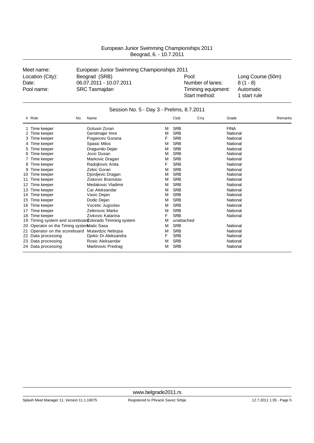| Meet name:       | European Junior Swimming Championships 2011 |                                      |                           |
|------------------|---------------------------------------------|--------------------------------------|---------------------------|
| Location (City): | Beograd (SRB)                               | Pool:                                | Long Course (50m)         |
| Date:            | 06.07.2011 - 10.07.2011                     | Number of lanes:                     | $8(1 - 8)$                |
| Pool name:       | <b>SRC Tasmajdan</b>                        | Timining equipment:<br>Start method: | Automatic<br>1 start rule |

|    | # Role<br>No.                                | Name                                                |   | Club       | City | Grade       | Remarks |
|----|----------------------------------------------|-----------------------------------------------------|---|------------|------|-------------|---------|
|    | Time keeper                                  | Golusin Zoran                                       | М | <b>SRB</b> |      | <b>FINA</b> |         |
|    | Time keeper                                  | Gerstmajer Imre                                     | M | <b>SRB</b> |      | National    |         |
|    | Time keeper                                  | Pogancev Gorana                                     | F | <b>SRB</b> |      | National    |         |
|    | Time keeper                                  | <b>Spasic Milos</b>                                 | м | <b>SRB</b> |      | National    |         |
| 5  | Time keeper                                  | Dragumilo Dejan                                     | м | <b>SRB</b> |      | National    |         |
| 6  | Time keeper                                  | Jocic Dusan                                         | м | <b>SRB</b> |      | National    |         |
|    | Time keeper                                  | Markovic Dragan                                     | м | <b>SRB</b> |      | National    |         |
| 8  | Time keeper                                  | Radojkovic Anita                                    | F | <b>SRB</b> |      | National    |         |
|    | Time keeper                                  | Zebic Goran                                         | м | <b>SRB</b> |      | National    |         |
| 10 | Time keeper                                  | Djordjevic Dragan                                   | м | <b>SRB</b> |      | National    |         |
| 11 | Time keeper                                  | Ziskovic Branislav                                  | м | <b>SRB</b> |      | National    |         |
| 12 | Time keeper                                  | Medakovic Vladimir                                  | м | <b>SRB</b> |      | National    |         |
| 13 | Time keeper                                  | Car Aleksandar                                      | м | <b>SRB</b> |      | National    |         |
| 14 | Time keeper                                  | Vasic Dejan                                         | м | <b>SRB</b> |      | National    |         |
| 15 | Time keeper                                  | Dodic Dejan                                         | м | <b>SRB</b> |      | National    |         |
| 16 | Time keeper                                  | Vucetic Jugoslav                                    | M | <b>SRB</b> |      | National    |         |
| 17 | Time keeper                                  | Zelenovic Marko                                     | м | <b>SRB</b> |      | National    |         |
| 18 | Time keeper                                  | Zivkovic Katarina                                   | F | <b>SRB</b> |      | National    |         |
| 19 |                                              | Timing system and scoreboar Colorado Timming system | м | unattached |      |             |         |
| 20 | Operator on the Timing systemMatic Sasa      |                                                     | м | <b>SRB</b> |      | National    |         |
| 21 | Operator on the scoreboard Mutavdzic Nebojsa |                                                     | м | <b>SRB</b> |      | National    |         |
|    | 22 Data processing                           | Djokic Dr.Aleksandra                                | F | <b>SRB</b> |      | National    |         |
|    | 23 Data processing                           | Rosic Aleksandar                                    | м | <b>SRB</b> |      | National    |         |
|    | 24 Data processing                           | Martinovic Predrag                                  | М | <b>SRB</b> |      | National    |         |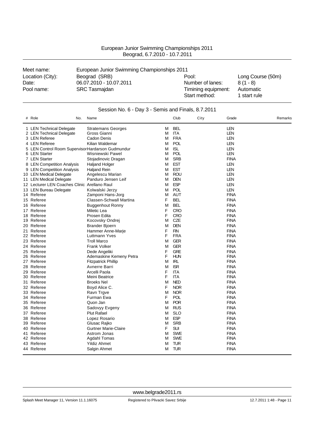| Beograd, 6.7.2010 - 10.7.2011 |                                             |                  |                   |  |  |  |  |
|-------------------------------|---------------------------------------------|------------------|-------------------|--|--|--|--|
| Meet name:                    | European Junior Swimming Championships 2011 |                  |                   |  |  |  |  |
| Location (City):              | Beograd (SRB)                               | Pool:            | Long Course (50m) |  |  |  |  |
| Date:                         | 06.07.2010 - 10.07.2011                     | Number of lanes: | $8(1 - 8)$        |  |  |  |  |

European Junior Swimming Championships 2011

| Pool name:                                        | <b>SRC Tasmajdan</b>                               |   |            | Timining equipment:<br>Start method: |             | Automatic<br>1 start rule |         |
|---------------------------------------------------|----------------------------------------------------|---|------------|--------------------------------------|-------------|---------------------------|---------|
|                                                   | Session No. 6 - Day 3 - Semis and Finals, 8.7.2011 |   |            |                                      |             |                           |         |
| # Role<br>No.                                     | Name                                               |   | Club       | City                                 | Grade       |                           | Remarks |
| 1 LEN Technical Delegate                          | <b>Stratemans Georges</b>                          | M | <b>BEL</b> |                                      | LEN         |                           |         |
| 2 LEN Technical Delegate                          | Gross Gianni                                       | М | ITA        |                                      | LEN         |                           |         |
| 3 LEN Referee                                     | Cadon Denis                                        | м | <b>FRA</b> |                                      | LEN         |                           |         |
| 4 LEN Referee                                     | Kilian Waldemar                                    |   | M POL      |                                      | LEN         |                           |         |
| 5 LEN Control Room Supervisor Hardarson Gudmundur |                                                    | м | <b>ISL</b> |                                      | LEN         |                           |         |
| 6 LEN Starter                                     | Wisniewski Pawel                                   | м | POL        |                                      | LEN         |                           |         |
| 7 LEN Starter                                     | Stojadinovic Dragan                                | M | <b>SRB</b> |                                      | <b>FINA</b> |                           |         |
| 8 LEN Competition Analysis                        | <b>Haljand Holger</b>                              | M | <b>EST</b> |                                      | LEN         |                           |         |
|                                                   |                                                    |   |            |                                      |             |                           |         |

| 3 LEN Referee                                    | Cadon Denis                 | м | FRA        | LEN         |
|--------------------------------------------------|-----------------------------|---|------------|-------------|
| 4 LEN Referee                                    | Kilian Waldemar             | M | <b>POL</b> | LEN         |
| 5 LEN Control Room SupervisorHardarson Gudmundur |                             | M | <b>ISL</b> | LEN         |
| 6 LEN Starter                                    | Wisniewski Pawel            | M | <b>POL</b> | LEN         |
| 7 LEN Starter                                    | Stojadinovic Dragan         | м | <b>SRB</b> | <b>FINA</b> |
| 8 LEN Competition Analysis                       | <b>Haljand Holger</b>       | M | <b>EST</b> | <b>LEN</b>  |
| 9 LEN Competition Analysis                       | <b>Haljand Rein</b>         | M | <b>EST</b> | LEN         |
| 10 LEN Medical Delegate                          | Angelescu Marian            | M | <b>ROU</b> | LEN         |
| 11 LEN Medical Delegate                          | Panduro Jensen Leif         | M | <b>DEN</b> | <b>LEN</b>  |
| 12 Lecturer LEN Coaches Clinic Arellano Raul     |                             | м | <b>ESP</b> | <b>LEN</b>  |
| 13 LEN Bureau Delegate                           | Kolwalski Jerzy             | M | POL        | <b>LEN</b>  |
| 14 Referee                                       | Zamponi Hans-Jorg           | M | <b>AUT</b> | <b>FINA</b> |
| 15 Referee                                       | Classen-Schwall Martina     | F | <b>BEL</b> | <b>FINA</b> |
| 16 Referee                                       | <b>Buggenhout Ronny</b>     | M | <b>BEL</b> | <b>FINA</b> |
| 17 Referee                                       | <b>Miletic Lea</b>          | F | <b>CRO</b> | <b>FINA</b> |
| 18 Referee                                       | Prosen Edita                | F | <b>CRO</b> | <b>FINA</b> |
| 19 Referee                                       | Kocovsky Ondrej             | M | CZE        | <b>FINA</b> |
| 20 Referee                                       | <b>Brander Bjoern</b>       | M | <b>DEN</b> | <b>FINA</b> |
| 21 Referee                                       | Hammer Anne-Marje           | F | <b>FIN</b> | <b>FINA</b> |
| 22 Referee                                       | Luttmann Yves               | F | <b>FRA</b> | <b>FINA</b> |
| 23 Referee                                       | <b>Troll Marco</b>          | M | <b>GER</b> | <b>FINA</b> |
| 24 Referee                                       | <b>Frank Volker</b>         | M | <b>GER</b> | <b>FINA</b> |
| 25 Referee                                       | Dede Angeliki               | F | <b>GRE</b> | <b>FINA</b> |
| 26 Referee                                       | Ademaskine Kemeny Petra     | F | <b>HUN</b> | <b>FINA</b> |
| 27 Referee                                       | <b>Fitzpatrick Phillip</b>  | M | <b>IRL</b> | <b>FINA</b> |
| 28 Referee                                       | Avnerre Barri               | M | <b>ISR</b> | <b>FINA</b> |
| 29 Referee                                       | Arcelli Paola               | F | <b>ITA</b> | <b>FINA</b> |
| 30 Referee                                       | Meini Beatrice              | F | <b>ITA</b> | <b>FINA</b> |
| 31 Referee                                       | <b>Broeks Nel</b>           | M | <b>NED</b> | <b>FINA</b> |
| 32 Referee                                       | Boyd Alice C.               | F | <b>NOR</b> | <b>FINA</b> |
| 33 Referee                                       | Ravn Trgve                  | M | <b>NOR</b> | <b>FINA</b> |
| 34 Referee                                       | Furman Ewa                  | F | <b>POL</b> | <b>FINA</b> |
| 35 Referee                                       | Quon Jan                    | M | <b>POR</b> | <b>FINA</b> |
| 36 Referee                                       | Sadovyy Evgeny              | M | <b>RUS</b> | <b>FINA</b> |
| 37 Referee                                       | <b>Plut Rafael</b>          | M | <b>SLO</b> | <b>FINA</b> |
| 38 Referee                                       | Lopez Rosario               | M | <b>ESP</b> | <b>FINA</b> |
| 39 Referee                                       | Glusac Rajko                | M | <b>SRB</b> | <b>FINA</b> |
| 40 Referee                                       | <b>Gurtner Marie-Claire</b> | F | <b>SUI</b> | <b>FINA</b> |
| 41 Referee                                       | Astrom Jonas                | M | <b>SWE</b> | <b>FINA</b> |
| 42 Referee                                       | Agdahl Tomas                | M | <b>SWE</b> | <b>FINA</b> |
| 43 Referee                                       | <b>Yildiz Ahmet</b>         | M | <b>TUR</b> | <b>FINA</b> |
| 44 Referee                                       | Salgin Ahmet                | M | <b>TUR</b> | <b>FINA</b> |
|                                                  |                             |   |            |             |

#### <www.belgrade2011.rs>

 $\frac{1}{2}$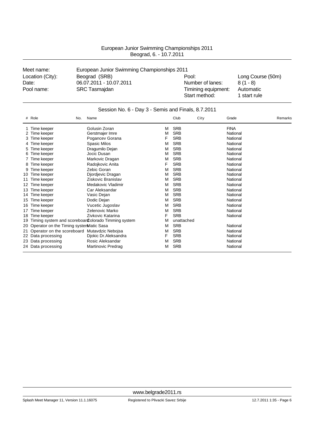| Meet name:       | European Junior Swimming Championships 2011 |                     |                   |
|------------------|---------------------------------------------|---------------------|-------------------|
| Location (City): | Beograd (SRB)                               | Pool:               | Long Course (50m) |
| Date:            | 06.07.2011 - 10.07.2011                     | Number of lanes:    | $8(1 - 8)$        |
| Pool name:       | <b>SRC Tasmajdan</b>                        | Timining equipment: | Automatic         |
|                  |                                             | Start method:       | 1 start rule      |

|    | Session No. 6 - Day 3 - Semis and Finals, 8.7.2011 |                                                     |   |            |      |             |         |
|----|----------------------------------------------------|-----------------------------------------------------|---|------------|------|-------------|---------|
|    | # Role<br>No.                                      | Name                                                |   | Club       | City | Grade       | Remarks |
|    | Time keeper                                        | Golusin Zoran                                       | M | <b>SRB</b> |      | <b>FINA</b> |         |
|    | Time keeper                                        | Gerstmajer Imre                                     | M | <b>SRB</b> |      | National    |         |
|    | Time keeper                                        | Pogancev Gorana                                     | F | <b>SRB</b> |      | National    |         |
|    | Time keeper                                        | <b>Spasic Milos</b>                                 | M | <b>SRB</b> |      | National    |         |
|    | Time keeper                                        | Dragumilo Dejan                                     | M | <b>SRB</b> |      | National    |         |
| 6  | Time keeper                                        | Jocic Dusan                                         | M | <b>SRB</b> |      | National    |         |
|    | Time keeper                                        | Markovic Dragan                                     | M | <b>SRB</b> |      | National    |         |
|    | Time keeper                                        | Radojkovic Anita                                    | F | <b>SRB</b> |      | National    |         |
| 9  | Time keeper                                        | Zebic Goran                                         | M | <b>SRB</b> |      | National    |         |
| 10 | Time keeper                                        | Djordjevic Dragan                                   | M | <b>SRB</b> |      | National    |         |
|    | Time keeper                                        | Ziskovic Branislav                                  | м | <b>SRB</b> |      | National    |         |
| 12 | Time keeper                                        | Medakovic Vladimir                                  | M | <b>SRB</b> |      | National    |         |
| 13 | Time keeper                                        | Car Aleksandar                                      | M | <b>SRB</b> |      | National    |         |
| 14 | Time keeper                                        | Vasic Dejan                                         | м | <b>SRB</b> |      | National    |         |
| 15 | Time keeper                                        | Dodic Dejan                                         | M | <b>SRB</b> |      | National    |         |
| 16 | Time keeper                                        | Vucetic Jugoslav                                    | M | <b>SRB</b> |      | National    |         |
| 17 | Time keeper                                        | Zelenovic Marko                                     | м | <b>SRB</b> |      | National    |         |
| 18 | Time keeper                                        | Zivkovic Katarina                                   | F | <b>SRB</b> |      | National    |         |
| 19 |                                                    | Timing system and scoreboar Colorado Timming system | м | unattached |      |             |         |
| 20 | Operator on the Timing systemMatic Sasa            |                                                     | M | <b>SRB</b> |      | National    |         |
| 21 | Operator on the scoreboard Mutavdzic Nebojsa       |                                                     | M | <b>SRB</b> |      | National    |         |
|    | 22 Data processing                                 | Djokic Dr. Aleksandra                               | F | <b>SRB</b> |      | National    |         |
|    | 23 Data processing                                 | Rosic Aleksandar                                    | м | <b>SRB</b> |      | National    |         |
|    | 24 Data processing                                 | <b>Martinovic Predrag</b>                           | М | <b>SRB</b> |      | National    |         |

Splash Meet Manager 11, Version 11.1.16075 Registered to Plivacki Savez Srbije 12.7.2011 1:35 - Page 6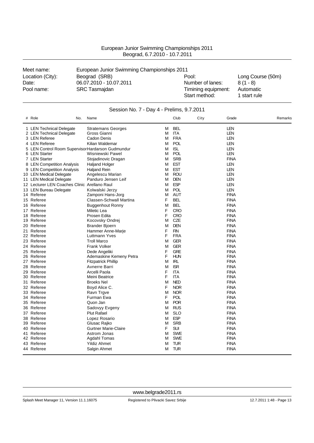| European Junior Swimming Championships 2011 |
|---------------------------------------------|
| Beograd, 6.7.2010 - 10.7.2011               |

| Meet name:       | European Junior Swimming Championships 2011 |                                      |                           |  |  |
|------------------|---------------------------------------------|--------------------------------------|---------------------------|--|--|
| Location (City): | Beograd (SRB)                               | Pool:                                | Long Course (50m)         |  |  |
| Date:            | 06.07.2010 - 10.07.2011                     | Number of lanes:                     | $8(1 - 8)$                |  |  |
| Pool name:       | <b>SRC Tasmajdan</b>                        | Timining equipment:<br>Start method: | Automatic<br>1 start rule |  |  |

| # Role<br>No.                                    | Name                                        |        | Club                     | City | Grade                      | Remarks |
|--------------------------------------------------|---------------------------------------------|--------|--------------------------|------|----------------------------|---------|
| 1 LEN Technical Delegate                         | <b>Stratemans Georges</b>                   | м      | <b>BEL</b>               |      | <b>LEN</b>                 |         |
| 2 LEN Technical Delegate                         | Gross Gianni                                | Μ      | ITA                      |      | LEN                        |         |
| 3 LEN Referee                                    | Cadon Denis                                 | м      | <b>FRA</b>               |      | <b>LEN</b>                 |         |
| 4 LEN Referee                                    | Kilian Waldemar                             | М      | POL                      |      | <b>LEN</b>                 |         |
| 5 LEN Control Room SupervisorHardarson Gudmundur |                                             | М      | <b>ISL</b>               |      | <b>LEN</b>                 |         |
| 6 LEN Starter                                    | Wisniewski Pawel                            | М      | POL                      |      | <b>LEN</b>                 |         |
| 7 LEN Starter                                    | Stojadinovic Dragan                         | м      | <b>SRB</b>               |      | <b>FINA</b>                |         |
| 8 LEN Competition Analysis                       | Haljand Holger                              | М      | <b>EST</b>               |      | <b>LEN</b>                 |         |
| 9 LEN Competition Analysis                       | Haljand Rein                                | м      | <b>EST</b>               |      | LEN                        |         |
| 10 LEN Medical Delegate                          | Angelescu Marian                            | М      | <b>ROU</b>               |      | <b>LEN</b>                 |         |
| 11 LEN Medical Delegate                          | Panduro Jensen Leif                         | Μ      | <b>DEN</b>               |      | LEN                        |         |
| 12 Lecturer LEN Coaches Clinic Arellano Raul     |                                             | м      | <b>ESP</b>               |      | <b>LEN</b>                 |         |
| 13 LEN Bureau Delegate                           | Kolwalski Jerzy                             | М      | <b>POL</b>               |      | <b>LEN</b>                 |         |
| 14 Referee                                       | Zamponi Hans-Jorg                           | М      | <b>AUT</b>               |      | <b>FINA</b>                |         |
| 15 Referee                                       | Classen-Schwall Martina                     | F      | <b>BEL</b>               |      | <b>FINA</b>                |         |
| 16 Referee                                       | <b>Buggenhout Ronny</b>                     | М      | <b>BEL</b>               |      | <b>FINA</b>                |         |
| 17 Referee                                       | Miletic Lea                                 | F      | <b>CRO</b>               |      | <b>FINA</b>                |         |
| 18 Referee                                       | Prosen Edita                                | F      | <b>CRO</b>               |      | <b>FINA</b>                |         |
| 19 Referee                                       | Kocovsky Ondrej                             | Μ      | CZE                      |      | <b>FINA</b>                |         |
| 20 Referee                                       | <b>Brander Bjoern</b>                       | M      | <b>DEN</b>               |      | <b>FINA</b>                |         |
| 21 Referee                                       | Hammer Anne-Marje                           | F      | <b>FIN</b>               |      | <b>FINA</b>                |         |
| 22 Referee                                       | Luttmann Yves                               | F      | <b>FRA</b>               |      | <b>FINA</b>                |         |
| 23 Referee                                       | <b>Troll Marco</b>                          | М      | <b>GER</b>               |      | <b>FINA</b>                |         |
| 24 Referee                                       | <b>Frank Volker</b>                         | М      | <b>GER</b>               |      | <b>FINA</b>                |         |
| 25 Referee                                       | Dede Angeliki                               | F      | <b>GRE</b>               |      | <b>FINA</b>                |         |
| 26 Referee                                       | Ademaskine Kemeny Petra                     | F      | <b>HUN</b>               |      | <b>FINA</b>                |         |
| 27 Referee                                       | Fitzpatrick Phillip                         | М      | <b>IRL</b>               |      | <b>FINA</b>                |         |
| 28 Referee                                       | Avnerre Barri                               | М      | <b>ISR</b>               |      | <b>FINA</b>                |         |
| 29 Referee                                       | Arcelli Paola                               | F      | <b>ITA</b>               |      | <b>FINA</b>                |         |
| 30 Referee                                       | Meini Beatrice                              | F      | <b>ITA</b>               |      | <b>FINA</b>                |         |
| 31 Referee                                       | <b>Broeks Nel</b>                           | М      | <b>NED</b>               |      | <b>FINA</b>                |         |
| 32 Referee                                       | Boyd Alice C.                               | F      | <b>NOR</b>               |      | <b>FINA</b>                |         |
| 33 Referee                                       | Ravn Trgve                                  | М      | <b>NOR</b>               |      | <b>FINA</b>                |         |
| 34 Referee                                       | Furman Ewa                                  | F      | <b>POL</b>               |      | <b>FINA</b>                |         |
| 35 Referee                                       | Quon Jan                                    | м      | <b>POR</b>               |      | <b>FINA</b>                |         |
| 36 Referee                                       | Sadovyy Evgeny                              | М      | <b>RUS</b>               |      | <b>FINA</b>                |         |
| 37 Referee                                       | <b>Plut Rafael</b>                          | м      | SLO                      |      | <b>FINA</b>                |         |
| 38 Referee                                       | Lopez Rosario                               | М      | <b>ESP</b><br><b>SRB</b> |      | <b>FINA</b><br><b>FINA</b> |         |
| 39 Referee                                       | Glusac Rajko                                | м<br>F | <b>SUI</b>               |      |                            |         |
| 40 Referee<br>41 Referee                         | <b>Gurtner Marie-Claire</b><br>Astrom Jonas |        | <b>SWE</b>               |      | <b>FINA</b><br><b>FINA</b> |         |
| 42 Referee                                       | Agdahl Tomas                                | М<br>M | <b>SWE</b>               |      | <b>FINA</b>                |         |
| 43 Referee                                       | <b>Yildiz Ahmet</b>                         | м      | <b>TUR</b>               |      | <b>FINA</b>                |         |
| 44 Referee                                       |                                             | М      | <b>TUR</b>               |      | <b>FINA</b>                |         |
|                                                  | Salgin Ahmet                                |        |                          |      |                            |         |

### Session No. 7 - Day 4 - Prelims, 9.7.2011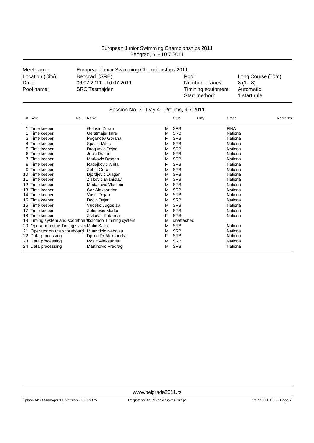| Meet name:       | European Junior Swimming Championships 2011 |                     |                   |
|------------------|---------------------------------------------|---------------------|-------------------|
| Location (City): | Beograd (SRB)                               | Pool:               | Long Course (50m) |
| Date:            | 06.07.2011 - 10.07.2011                     | Number of lanes:    | $8(1 - 8)$        |
| Pool name:       | <b>SRC Tasmajdan</b>                        | Timining equipment: | Automatic         |
|                  |                                             | Start method:       | 1 start rule      |

### Session No. 7 - Day 4 - Prelims, 9.7.2011

| #  | Role                                    | Name<br>No.                                         |   | Club       | City | Grade       | Remarks |
|----|-----------------------------------------|-----------------------------------------------------|---|------------|------|-------------|---------|
|    | 1 Time keeper                           | Golusin Zoran                                       | M | <b>SRB</b> |      | <b>FINA</b> |         |
|    | Time keeper                             | Gerstmajer Imre                                     | M | <b>SRB</b> |      | National    |         |
| 3  | Time keeper                             | Pogancev Gorana                                     | F | <b>SRB</b> |      | National    |         |
|    | Time keeper                             | Spasic Milos                                        | M | <b>SRB</b> |      | National    |         |
| 5  | Time keeper                             | Dragumilo Dejan                                     | M | <b>SRB</b> |      | National    |         |
| 6  | Time keeper                             | Jocic Dusan                                         | м | <b>SRB</b> |      | National    |         |
|    | Time keeper                             | Markovic Dragan                                     | M | <b>SRB</b> |      | National    |         |
|    | Time keeper                             | Radojkovic Anita                                    | F | <b>SRB</b> |      | National    |         |
|    | Time keeper                             | Zebic Goran                                         | м | <b>SRB</b> |      | National    |         |
| 10 | Time keeper                             | Djordjevic Dragan                                   | M | <b>SRB</b> |      | National    |         |
| 11 | Time keeper                             | Ziskovic Branislav                                  | M | <b>SRB</b> |      | National    |         |
| 12 | Time keeper                             | Medakovic Vladimir                                  | M | <b>SRB</b> |      | National    |         |
| 13 | Time keeper                             | Car Aleksandar                                      | M | <b>SRB</b> |      | National    |         |
| 14 | Time keeper                             | Vasic Dejan                                         | M | <b>SRB</b> |      | National    |         |
| 15 | Time keeper                             | Dodic Dejan                                         | M | <b>SRB</b> |      | National    |         |
| 16 | Time keeper                             | Vucetic Jugoslav                                    | M | <b>SRB</b> |      | National    |         |
| 17 | Time keeper                             | Zelenovic Marko                                     | M | <b>SRB</b> |      | National    |         |
| 18 | Time keeper                             | Zivkovic Katarina                                   | F | <b>SRB</b> |      | National    |         |
| 19 |                                         | Timing system and scoreboar Colorado Timming system | M | unattached |      |             |         |
| 20 | Operator on the Timing systemMatic Sasa |                                                     | M | <b>SRB</b> |      | National    |         |
| 21 |                                         | Operator on the scoreboard Mutavdzic Nebojsa        | M | <b>SRB</b> |      | National    |         |
|    | 22 Data processing                      | Djokic Dr.Aleksandra                                | F | <b>SRB</b> |      | National    |         |
|    | 23 Data processing                      | Rosic Aleksandar                                    | м | <b>SRB</b> |      | National    |         |
|    | 24 Data processing                      | Martinovic Predrag                                  | М | <b>SRB</b> |      | National    |         |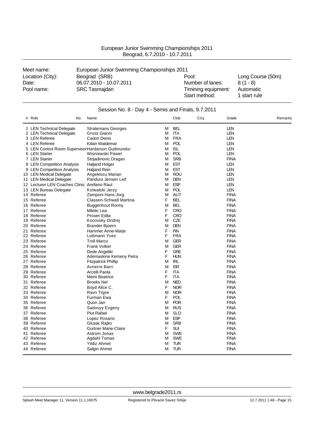| European Junior Swimming Championships 2011 |  |
|---------------------------------------------|--|
| Beograd, 6.7.2010 - 10.7.2011               |  |
|                                             |  |

| Meet name:       | European Junior Swimming Championships 2011 |                     |                   |  |  |
|------------------|---------------------------------------------|---------------------|-------------------|--|--|
| Location (City): | Beograd (SRB)                               | Pool:               | Long Course (50m) |  |  |
| Date:            | 06.07.2010 - 10.07.2011                     | Number of lanes:    | $8(1 - 8)$        |  |  |
| Pool name:       | <b>SRC Tasmajdan</b>                        | Timining equipment: | Automatic         |  |  |
|                  |                                             | Start method:       | 1 start rule      |  |  |

| Session No. 8 - Day 4 - Semis and Finals, 9.7.2011 |                                                   |                                          |        |                   |      |                            |         |
|----------------------------------------------------|---------------------------------------------------|------------------------------------------|--------|-------------------|------|----------------------------|---------|
|                                                    | # Role<br>No.                                     | Name                                     |        | Club              | City | Grade                      | Remarks |
|                                                    | 1 LEN Technical Delegate                          | <b>Stratemans Georges</b>                | М      | <b>BEL</b>        |      | <b>LEN</b>                 |         |
|                                                    | 2 LEN Technical Delegate                          | Gross Gianni                             | M      | ITA               |      | LEN                        |         |
|                                                    | 3 LEN Referee                                     | Cadon Denis                              | M      | <b>FRA</b>        |      | <b>LEN</b>                 |         |
|                                                    | 4 LEN Referee                                     | Kilian Waldemar                          | м      | POL               |      | <b>LEN</b>                 |         |
|                                                    | 5 LEN Control Room Supervisor Hardarson Gudmundur |                                          | M      | <b>ISL</b>        |      | LEN                        |         |
|                                                    | 6 LEN Starter                                     | Wisniewski Pawel                         | M      | <b>POL</b>        |      | LEN                        |         |
|                                                    | 7 LEN Starter                                     | Stojadinovic Dragan                      | м      | <b>SRB</b>        |      | <b>FINA</b>                |         |
|                                                    | 8 LEN Competition Analysis                        | <b>Haljand Holger</b>                    | M      | <b>EST</b>        |      | <b>LEN</b>                 |         |
|                                                    | 9 LEN Competition Analysis                        | <b>Haljand Rein</b>                      | М      | <b>EST</b>        |      | <b>LEN</b>                 |         |
|                                                    | 10 LEN Medical Delegate                           | Angelescu Marian                         | м      | <b>ROU</b>        |      | <b>LEN</b>                 |         |
|                                                    | 11 LEN Medical Delegate                           | Panduro Jensen Leif                      | M      | <b>DEN</b>        |      | <b>LEN</b>                 |         |
|                                                    | 12 Lecturer LEN Coaches Clinic Arellano Raul      |                                          | M      | <b>ESP</b>        |      | <b>LEN</b>                 |         |
|                                                    | 13 LEN Bureau Delegate                            | Kolwalski Jerzy                          | м      | <b>POL</b>        |      | LEN                        |         |
|                                                    | 14 Referee                                        | Zamponi Hans-Jorg                        | M      | AUT               |      | <b>FINA</b>                |         |
|                                                    | 15 Referee                                        | Classen-Schwall Martina                  | F      | <b>BEL</b>        |      | <b>FINA</b>                |         |
|                                                    | 16 Referee                                        | <b>Buggenhout Ronny</b>                  | M      | <b>BEL</b>        |      | <b>FINA</b>                |         |
|                                                    | 17 Referee                                        | Miletic Lea                              | F      | <b>CRO</b>        |      | <b>FINA</b>                |         |
|                                                    | 18 Referee                                        | Prosen Edita                             | F      | CRO               |      | <b>FINA</b>                |         |
|                                                    | 19 Referee                                        | Kocovsky Ondrej                          | M      | CZE               |      | <b>FINA</b>                |         |
|                                                    | 20 Referee                                        | Brander Bjoern                           | M      | <b>DEN</b>        |      | <b>FINA</b>                |         |
|                                                    | 21 Referee                                        | Hammer Anne-Marje                        | F      | <b>FIN</b>        |      | <b>FINA</b>                |         |
|                                                    | 22 Referee                                        | Luttmann Yves                            | F      | <b>FRA</b>        |      | <b>FINA</b>                |         |
|                                                    | 23 Referee                                        | <b>Troll Marco</b>                       | M      | <b>GER</b>        |      | <b>FINA</b>                |         |
|                                                    | 24 Referee                                        | <b>Frank Volker</b>                      | M      | <b>GER</b>        |      | <b>FINA</b>                |         |
|                                                    | 25 Referee                                        |                                          | F      | <b>GRE</b>        |      | <b>FINA</b>                |         |
|                                                    | 26 Referee                                        | Dede Angeliki<br>Ademaskine Kemeny Petra | F      | <b>HUN</b>        |      | <b>FINA</b>                |         |
|                                                    | 27 Referee                                        |                                          | м      | IRL               |      | <b>FINA</b>                |         |
|                                                    |                                                   | <b>Fitzpatrick Phillip</b>               |        |                   |      |                            |         |
|                                                    | 28 Referee                                        | Avnerre Barri                            | M      | <b>ISR</b>        |      | <b>FINA</b>                |         |
|                                                    | 29 Referee                                        | Arcelli Paola                            | F<br>F | <b>ITA</b><br>ITA |      | <b>FINA</b><br><b>FINA</b> |         |
|                                                    | 30 Referee                                        | Meini Beatrice                           |        |                   |      |                            |         |
|                                                    | 31 Referee                                        | <b>Broeks Nel</b>                        | M      | <b>NED</b>        |      | <b>FINA</b>                |         |
|                                                    | 32 Referee                                        | Boyd Alice C.                            | F      | <b>NOR</b>        |      | <b>FINA</b>                |         |
|                                                    | 33 Referee                                        | Ravn Trgve                               | M      | <b>NOR</b>        |      | <b>FINA</b>                |         |
|                                                    | 34 Referee                                        | Furman Ewa                               | F      | <b>POL</b>        |      | <b>FINA</b>                |         |
|                                                    | 35 Referee                                        | Quon Jan                                 | м      | <b>POR</b>        |      | <b>FINA</b>                |         |
|                                                    | 36 Referee                                        | Sadovyy Evgeny                           | M      | <b>RUS</b>        |      | <b>FINA</b>                |         |
|                                                    | 37 Referee                                        | <b>Plut Rafael</b>                       | M      | <b>SLO</b>        |      | <b>FINA</b>                |         |
|                                                    | 38 Referee                                        | Lopez Rosario                            | M      | <b>ESP</b>        |      | <b>FINA</b>                |         |
|                                                    | 39 Referee                                        | Glusac Rajko                             | M      | <b>SRB</b>        |      | <b>FINA</b>                |         |
|                                                    | 40 Referee                                        | <b>Gurtner Marie-Claire</b>              | F      | <b>SUI</b>        |      | <b>FINA</b>                |         |
|                                                    | 41 Referee                                        | Astrom Jonas                             | м      | <b>SWE</b>        |      | <b>FINA</b>                |         |
|                                                    | 42 Referee                                        | Agdahl Tomas                             | M      | <b>SWE</b>        |      | <b>FINA</b>                |         |
|                                                    | 43 Referee                                        | <b>Yildiz Ahmet</b>                      | М      | <b>TUR</b>        |      | <b>FINA</b>                |         |
|                                                    | 44 Referee                                        | Salgin Ahmet                             | М      | TUR               |      | <b>FINA</b>                |         |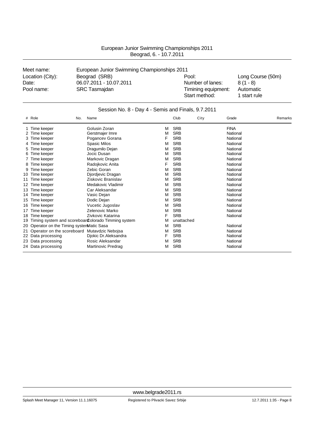| Meet name:       | European Junior Swimming Championships 2011 |                     |                   |
|------------------|---------------------------------------------|---------------------|-------------------|
| Location (City): | Beograd (SRB)                               | Pool:               | Long Course (50m) |
| Date:            | 06.07.2011 - 10.07.2011                     | Number of lanes:    | $8(1 - 8)$        |
| Pool name:       | <b>SRC Tasmajdan</b>                        | Timining equipment: | Automatic         |
|                  |                                             | Start method:       | 1 start rule      |

|    | Session No. 8 - Day 4 - Semis and Finals, 9.7.2011 |                                                     |   |            |      |             |         |  |
|----|----------------------------------------------------|-----------------------------------------------------|---|------------|------|-------------|---------|--|
|    | # Role                                             | Name<br>No.                                         |   | Club       | City | Grade       | Remarks |  |
|    | Time keeper                                        | Golusin Zoran                                       | М | <b>SRB</b> |      | <b>FINA</b> |         |  |
|    | Time keeper                                        | Gerstmajer Imre                                     | М | <b>SRB</b> |      | National    |         |  |
| 3  | Time keeper                                        | Pogancev Gorana                                     | F | <b>SRB</b> |      | National    |         |  |
|    | Time keeper                                        | <b>Spasic Milos</b>                                 | М | <b>SRB</b> |      | National    |         |  |
|    | Time keeper                                        | Dragumilo Dejan                                     | М | <b>SRB</b> |      | National    |         |  |
| 6  | Time keeper                                        | Jocic Dusan                                         | М | <b>SRB</b> |      | National    |         |  |
|    | Time keeper                                        | Markovic Dragan                                     | М | <b>SRB</b> |      | National    |         |  |
|    | Time keeper                                        | Radojkovic Anita                                    | F | <b>SRB</b> |      | National    |         |  |
|    | Time keeper                                        | Zebic Goran                                         | М | <b>SRB</b> |      | National    |         |  |
| 10 | Time keeper                                        | Djordjevic Dragan                                   | М | <b>SRB</b> |      | National    |         |  |
| 11 | Time keeper                                        | Ziskovic Branislav                                  | М | <b>SRB</b> |      | National    |         |  |
| 12 | Time keeper                                        | Medakovic Vladimir                                  | М | <b>SRB</b> |      | National    |         |  |
| 13 | Time keeper                                        | Car Aleksandar                                      | М | <b>SRB</b> |      | National    |         |  |
| 14 | Time keeper                                        | Vasic Dejan                                         | M | <b>SRB</b> |      | National    |         |  |
| 15 | Time keeper                                        | Dodic Dejan                                         | М | <b>SRB</b> |      | National    |         |  |
| 16 | Time keeper                                        | Vucetic Jugoslav                                    | М | <b>SRB</b> |      | National    |         |  |
| 17 | Time keeper                                        | Zelenovic Marko                                     | м | <b>SRB</b> |      | National    |         |  |
| 18 | Time keeper                                        | Zivkovic Katarina                                   | F | <b>SRB</b> |      | National    |         |  |
| 19 |                                                    | Timing system and scoreboar Colorado Timming system | М | unattached |      |             |         |  |
| 20 | Operator on the Timing systemMatic Sasa            |                                                     | М | <b>SRB</b> |      | National    |         |  |
| 21 | Operator on the scoreboard Mutavdzic Nebojsa       |                                                     | М | <b>SRB</b> |      | National    |         |  |
|    | 22 Data processing                                 | Djokic Dr.Aleksandra                                | F | <b>SRB</b> |      | National    |         |  |
| 23 | Data processing                                    | Rosic Aleksandar                                    | М | <b>SRB</b> |      | National    |         |  |
|    | 24 Data processing                                 | Martinovic Predrag                                  | М | <b>SRB</b> |      | National    |         |  |

Splash Meet Manager 11, Version 11.1.16075 Registered to Plivacki Savez Srbije 12.7.2011 1:35 - Page 8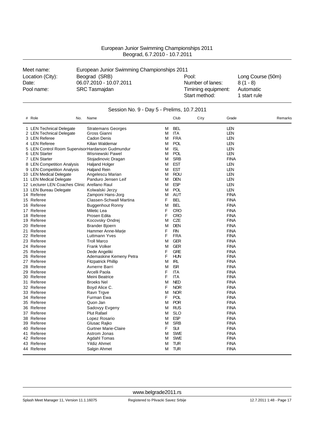| European Junior Swimming Championships 2011 |
|---------------------------------------------|
| Beograd, 6.7.2010 - 10.7.2011               |

| Meet name:       | European Junior Swimming Championships 2011 |                     |                   |  |
|------------------|---------------------------------------------|---------------------|-------------------|--|
| Location (City): | Beograd (SRB)                               | Pool:               | Long Course (50m) |  |
| Date:            | 06.07.2010 - 10.07.2011                     | Number of lanes:    | $8(1 - 8)$        |  |
| Pool name:       | <b>SRC Tasmajdan</b>                        | Timining equipment: | Automatic         |  |
|                  |                                             | Start method:       | 1 start rule      |  |

| Session No. 9 - Day 5 - Prelims, 10.7.2011 |                                                  |                                |   |            |      |             |         |
|--------------------------------------------|--------------------------------------------------|--------------------------------|---|------------|------|-------------|---------|
|                                            | # Role<br>No.                                    | Name                           |   | Club       | City | Grade       | Remarks |
|                                            | 1 LEN Technical Delegate                         | <b>Stratemans Georges</b>      | м | <b>BEL</b> |      | LEN         |         |
|                                            | 2 LEN Technical Delegate                         | Gross Gianni                   | М | <b>ITA</b> |      | <b>LEN</b>  |         |
|                                            | 3 LEN Referee                                    | Cadon Denis                    | М | <b>FRA</b> |      | LEN         |         |
|                                            | 4 LEN Referee                                    | Kilian Waldemar                | М | <b>POL</b> |      | LEN         |         |
|                                            | 5 LEN Control Room SupervisorHardarson Gudmundur |                                | М | <b>ISL</b> |      | <b>LEN</b>  |         |
|                                            | 6 LEN Starter                                    | Wisniewski Pawel               | м | <b>POL</b> |      | <b>LEN</b>  |         |
|                                            | 7 LEN Starter                                    | Stojadinovic Dragan            | м | <b>SRB</b> |      | <b>FINA</b> |         |
|                                            | 8 LEN Competition Analysis                       | Haljand Holger                 | Μ | <b>EST</b> |      | LEN         |         |
|                                            | 9 LEN Competition Analysis                       | <b>Haljand Rein</b>            | м | <b>EST</b> |      | <b>LEN</b>  |         |
|                                            | 10 LEN Medical Delegate                          | Angelescu Marian               | М | <b>ROU</b> |      | LEN         |         |
|                                            | 11 LEN Medical Delegate                          | Panduro Jensen Leif            | м | <b>DEN</b> |      | <b>LEN</b>  |         |
|                                            | 12 Lecturer LEN Coaches Clinic Arellano Raul     |                                | м | <b>ESP</b> |      | <b>LEN</b>  |         |
|                                            | 13 LEN Bureau Delegate                           | Kolwalski Jerzy                | М | <b>POL</b> |      | <b>LEN</b>  |         |
|                                            | 14 Referee                                       | Zamponi Hans-Jorg              | Μ | <b>AUT</b> |      | <b>FINA</b> |         |
|                                            | 15 Referee                                       | <b>Classen-Schwall Martina</b> | F | <b>BEL</b> |      | <b>FINA</b> |         |
|                                            | 16 Referee                                       | Buggenhout Ronny               | м | <b>BEL</b> |      | <b>FINA</b> |         |
|                                            | 17 Referee                                       | Miletic Lea                    | F | <b>CRO</b> |      | <b>FINA</b> |         |
|                                            | 18 Referee                                       | Prosen Edita                   | F | <b>CRO</b> |      | <b>FINA</b> |         |
|                                            | 19 Referee                                       | Kocovsky Ondrej                | М | CZE        |      | <b>FINA</b> |         |
|                                            | 20 Referee                                       | <b>Brander Bjoern</b>          | М | <b>DEN</b> |      | <b>FINA</b> |         |
|                                            | 21 Referee                                       | Hammer Anne-Marje              | F | <b>FIN</b> |      | <b>FINA</b> |         |
|                                            | 22 Referee                                       | Luttmann Yves                  | F | <b>FRA</b> |      | <b>FINA</b> |         |
|                                            | 23 Referee                                       | <b>Troll Marco</b>             | Μ | <b>GER</b> |      | <b>FINA</b> |         |
|                                            | 24 Referee                                       | <b>Frank Volker</b>            | M | <b>GER</b> |      | <b>FINA</b> |         |
|                                            | 25 Referee                                       | Dede Angeliki                  | F | <b>GRE</b> |      | <b>FINA</b> |         |
|                                            | 26 Referee                                       | Ademaskine Kemeny Petra        | F | <b>HUN</b> |      | <b>FINA</b> |         |
|                                            | 27 Referee                                       | <b>Fitzpatrick Phillip</b>     | М | <b>IRL</b> |      | <b>FINA</b> |         |
|                                            | 28 Referee                                       | Avnerre Barri                  | М | <b>ISR</b> |      | <b>FINA</b> |         |
|                                            | 29 Referee                                       | Arcelli Paola                  | F | <b>ITA</b> |      | <b>FINA</b> |         |
|                                            | 30 Referee                                       | Meini Beatrice                 | F | <b>ITA</b> |      | <b>FINA</b> |         |
|                                            | 31 Referee                                       | <b>Broeks Nel</b>              | м | <b>NED</b> |      | <b>FINA</b> |         |
|                                            | 32 Referee                                       | Boyd Alice C.                  | F | <b>NOR</b> |      | <b>FINA</b> |         |
|                                            | 33 Referee                                       | Ravn Trgve                     | Μ | <b>NOR</b> |      | <b>FINA</b> |         |
|                                            | 34 Referee                                       | Furman Ewa                     | F | <b>POL</b> |      | <b>FINA</b> |         |
|                                            | 35 Referee                                       | Quon Jan                       | М | <b>POR</b> |      | <b>FINA</b> |         |
|                                            | 36 Referee                                       | Sadovyy Evgeny                 | м | <b>RUS</b> |      | <b>FINA</b> |         |
|                                            | 37 Referee                                       | <b>Plut Rafael</b>             | м | SLO        |      | <b>FINA</b> |         |
|                                            | 38 Referee                                       | Lopez Rosario                  | м | <b>ESP</b> |      | <b>FINA</b> |         |
|                                            | 39 Referee                                       | Glusac Rajko                   | М | <b>SRB</b> |      | <b>FINA</b> |         |
|                                            | 40 Referee                                       | <b>Gurtner Marie-Claire</b>    | F | <b>SUI</b> |      | <b>FINA</b> |         |
|                                            | 41 Referee                                       | Astrom Jonas                   | м | <b>SWE</b> |      | <b>FINA</b> |         |
|                                            | 42 Referee                                       | Agdahl Tomas                   | м | <b>SWE</b> |      | <b>FINA</b> |         |
|                                            | 43 Referee                                       | <b>Yildiz Ahmet</b>            | M | TUR        |      | <b>FINA</b> |         |
|                                            | 44 Referee                                       | Salgin Ahmet                   | М | <b>TUR</b> |      | <b>FINA</b> |         |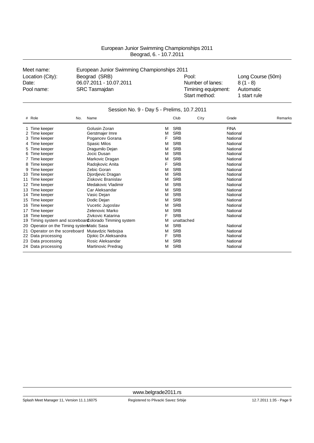| Meet name:       | European Junior Swimming Championships 2011 |                     |                   |
|------------------|---------------------------------------------|---------------------|-------------------|
| Location (City): | Beograd (SRB)                               | Pool:               | Long Course (50m) |
| Date:            | 06.07.2011 - 10.07.2011                     | Number of lanes:    | $8(1 - 8)$        |
| Pool name:       | <b>SRC Tasmajdan</b>                        | Timining equipment: | Automatic         |
|                  |                                             | Start method:       | 1 start rule      |

|    | Session No. 9 - Day 5 - Prelims, 10.7.2011   |                                                     |   |            |      |             |         |  |
|----|----------------------------------------------|-----------------------------------------------------|---|------------|------|-------------|---------|--|
|    | # Role<br>No.                                | Name                                                |   | Club       | City | Grade       | Remarks |  |
|    | Time keeper                                  | Golusin Zoran                                       | M | <b>SRB</b> |      | <b>FINA</b> |         |  |
|    | Time keeper                                  | Gerstmajer Imre                                     | M | <b>SRB</b> |      | National    |         |  |
| З  | Time keeper                                  | Pogancev Gorana                                     | F | <b>SRB</b> |      | National    |         |  |
|    | Time keeper                                  | <b>Spasic Milos</b>                                 | M | <b>SRB</b> |      | National    |         |  |
| 5  | Time keeper                                  | Dragumilo Dejan                                     | M | <b>SRB</b> |      | National    |         |  |
| 6  | Time keeper                                  | Jocic Dusan                                         | M | <b>SRB</b> |      | National    |         |  |
|    | Time keeper                                  | Markovic Dragan                                     | M | <b>SRB</b> |      | National    |         |  |
|    | Time keeper                                  | Radojkovic Anita                                    | F | <b>SRB</b> |      | National    |         |  |
| 9  | Time keeper                                  | Zebic Goran                                         | M | <b>SRB</b> |      | National    |         |  |
| 10 | Time keeper                                  | Djordjevic Dragan                                   | M | <b>SRB</b> |      | National    |         |  |
| 11 | Time keeper                                  | Ziskovic Branislav                                  | M | <b>SRB</b> |      | National    |         |  |
| 12 | Time keeper                                  | Medakovic Vladimir                                  | M | <b>SRB</b> |      | National    |         |  |
| 13 | Time keeper                                  | Car Aleksandar                                      | M | <b>SRB</b> |      | National    |         |  |
| 14 | Time keeper                                  | Vasic Dejan                                         | M | <b>SRB</b> |      | National    |         |  |
| 15 | Time keeper                                  | Dodic Dejan                                         | M | <b>SRB</b> |      | National    |         |  |
| 16 | Time keeper                                  | Vucetic Jugoslav                                    | M | <b>SRB</b> |      | National    |         |  |
| 17 | Time keeper                                  | Zelenovic Marko                                     | M | <b>SRB</b> |      | National    |         |  |
| 18 | Time keeper                                  | Zivkovic Katarina                                   | F | <b>SRB</b> |      | National    |         |  |
| 19 |                                              | Timing system and scoreboar Colorado Timming system | M | unattached |      |             |         |  |
| 20 | Operator on the Timing systemMatic Sasa      |                                                     | M | <b>SRB</b> |      | National    |         |  |
| 21 | Operator on the scoreboard Mutavdzic Nebojsa |                                                     | M | <b>SRB</b> |      | National    |         |  |
|    | 22 Data processing                           | Djokic Dr.Aleksandra                                | F | <b>SRB</b> |      | National    |         |  |
|    | 23 Data processing                           | Rosic Aleksandar                                    | M | <b>SRB</b> |      | National    |         |  |
|    | 24 Data processing                           | Martinovic Predrag                                  | М | <b>SRB</b> |      | National    |         |  |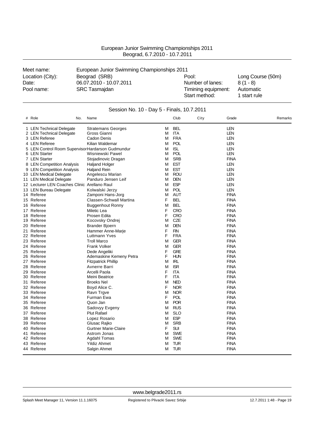| European Junior Swimming Championships 2011 |
|---------------------------------------------|
| Beograd, 6.7.2010 - 10.7.2011               |

| Meet name:       | European Junior Swimming Championships 2011 |                                      |                           |  |  |
|------------------|---------------------------------------------|--------------------------------------|---------------------------|--|--|
| Location (City): | Beograd (SRB)                               | Pool:                                | Long Course (50m)         |  |  |
| Date:            | 06.07.2010 - 10.07.2011                     | Number of lanes:                     | $8(1 - 8)$                |  |  |
| Pool name:       | <b>SRC Tasmajdan</b>                        | Timining equipment:<br>Start method: | Automatic<br>1 start rule |  |  |

| Session No. 10 - Day 5 - Finals, 10.7.2011 |                                                  |                                          |        |                          |      |                            |  |         |
|--------------------------------------------|--------------------------------------------------|------------------------------------------|--------|--------------------------|------|----------------------------|--|---------|
|                                            | # Role<br>No.                                    | Name                                     |        | Club                     | City | Grade                      |  | Remarks |
|                                            | 1 LEN Technical Delegate                         | <b>Stratemans Georges</b>                | м      | <b>BEL</b>               |      | LEN                        |  |         |
|                                            | 2 LEN Technical Delegate                         | Gross Gianni                             | м      | ITA                      |      | LEN                        |  |         |
|                                            | 3 LEN Referee                                    | Cadon Denis                              | М      | <b>FRA</b>               |      | LEN                        |  |         |
|                                            | 4 LEN Referee                                    | Kilian Waldemar                          | М      | <b>POL</b>               |      | LEN                        |  |         |
|                                            | 5 LEN Control Room SupervisorHardarson Gudmundur |                                          | м      | <b>ISL</b>               |      | <b>LEN</b>                 |  |         |
|                                            | 6 LEN Starter                                    | Wisniewski Pawel                         | М      | <b>POL</b>               |      | LEN                        |  |         |
|                                            | 7 LEN Starter                                    | Stojadinovic Dragan                      | M      | <b>SRB</b>               |      | <b>FINA</b>                |  |         |
|                                            | 8 LEN Competition Analysis                       | <b>Haljand Holger</b>                    | M      | <b>EST</b>               |      | LEN                        |  |         |
|                                            | 9 LEN Competition Analysis                       | <b>Haljand Rein</b>                      | М      | <b>EST</b>               |      | <b>LEN</b>                 |  |         |
|                                            | 10 LEN Medical Delegate                          | Angelescu Marian                         | м      | ROU                      |      | LEN                        |  |         |
|                                            | 11 LEN Medical Delegate                          | Panduro Jensen Leif                      | M      | <b>DEN</b>               |      | LEN                        |  |         |
|                                            | 12 Lecturer LEN Coaches Clinic Arellano Raul     |                                          | М      | <b>ESP</b>               |      | LEN                        |  |         |
|                                            | 13 LEN Bureau Delegate                           | Kolwalski Jerzy                          | М      | <b>POL</b>               |      | <b>LEN</b>                 |  |         |
|                                            | 14 Referee                                       | Zamponi Hans-Jorg                        | M      | <b>AUT</b>               |      | <b>FINA</b>                |  |         |
|                                            | 15 Referee                                       | Classen-Schwall Martina                  | F      | <b>BEL</b>               |      | <b>FINA</b>                |  |         |
|                                            | 16 Referee                                       | <b>Buggenhout Ronny</b>                  | M      | <b>BEL</b>               |      | <b>FINA</b>                |  |         |
|                                            | 17 Referee                                       | Miletic Lea                              | F      | <b>CRO</b>               |      | <b>FINA</b>                |  |         |
|                                            | 18 Referee                                       | Prosen Edita                             | F      | <b>CRO</b>               |      | <b>FINA</b>                |  |         |
|                                            | 19 Referee                                       | Kocovsky Ondrej                          | М      | <b>CZE</b>               |      | <b>FINA</b>                |  |         |
|                                            | 20 Referee                                       | Brander Bjoern                           | M      | <b>DEN</b>               |      | <b>FINA</b>                |  |         |
|                                            | 21 Referee                                       | Hammer Anne-Marje                        | F<br>F | <b>FIN</b><br><b>FRA</b> |      | <b>FINA</b><br><b>FINA</b> |  |         |
|                                            | 22 Referee                                       | Luttmann Yves                            |        |                          |      |                            |  |         |
|                                            | 23 Referee                                       | <b>Troll Marco</b>                       | M      | <b>GER</b>               |      | <b>FINA</b>                |  |         |
|                                            | 24 Referee                                       | <b>Frank Volker</b>                      | M      | <b>GER</b>               |      | <b>FINA</b>                |  |         |
|                                            | 25 Referee<br>26 Referee                         | Dede Angeliki<br>Ademaskine Kemeny Petra | F<br>F | <b>GRE</b><br><b>HUN</b> |      | <b>FINA</b><br><b>FINA</b> |  |         |
|                                            | 27 Referee                                       |                                          | M      | <b>IRL</b>               |      | <b>FINA</b>                |  |         |
|                                            | 28 Referee                                       | <b>Fitzpatrick Phillip</b>               | М      | <b>ISR</b>               |      | <b>FINA</b>                |  |         |
|                                            | 29 Referee                                       | Avnerre Barri<br>Arcelli Paola           | F      | ITA                      |      | <b>FINA</b>                |  |         |
|                                            | 30 Referee                                       | Meini Beatrice                           | F      | <b>ITA</b>               |      | <b>FINA</b>                |  |         |
|                                            | 31 Referee                                       | <b>Broeks Nel</b>                        | M      | <b>NED</b>               |      | <b>FINA</b>                |  |         |
|                                            | 32 Referee                                       | Boyd Alice C.                            | F      | <b>NOR</b>               |      | <b>FINA</b>                |  |         |
|                                            | 33 Referee                                       | Ravn Trgve                               | М      | <b>NOR</b>               |      | <b>FINA</b>                |  |         |
|                                            | 34 Referee                                       | Furman Ewa                               | F      | POL                      |      | <b>FINA</b>                |  |         |
|                                            | 35 Referee                                       | Quon Jan                                 | М      | <b>POR</b>               |      | <b>FINA</b>                |  |         |
|                                            | 36 Referee                                       | Sadovyy Evgeny                           | M      | <b>RUS</b>               |      | <b>FINA</b>                |  |         |
|                                            | 37 Referee                                       | <b>Plut Rafael</b>                       | M      | <b>SLO</b>               |      | <b>FINA</b>                |  |         |
|                                            | 38 Referee                                       | Lopez Rosario                            | M      | <b>ESP</b>               |      | <b>FINA</b>                |  |         |
|                                            | 39 Referee                                       | Glusac Rajko                             | M      | <b>SRB</b>               |      | <b>FINA</b>                |  |         |
|                                            | 40 Referee                                       | <b>Gurtner Marie-Claire</b>              | F      | SUI                      |      | <b>FINA</b>                |  |         |
|                                            | 41 Referee                                       | Astrom Jonas                             | М      | <b>SWE</b>               |      | <b>FINA</b>                |  |         |
|                                            | 42 Referee                                       | Agdahl Tomas                             | м      | <b>SWE</b>               |      | <b>FINA</b>                |  |         |
|                                            | 43 Referee                                       | <b>Yildiz Ahmet</b>                      | M      | <b>TUR</b>               |      | <b>FINA</b>                |  |         |
|                                            | 44 Referee                                       | Salgin Ahmet                             | M      | <b>TUR</b>               |      | <b>FINA</b>                |  |         |
|                                            |                                                  |                                          |        |                          |      |                            |  |         |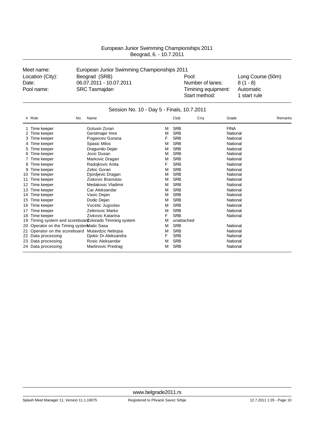| Meet name:       | European Junior Swimming Championships 2011 |                                      |                           |
|------------------|---------------------------------------------|--------------------------------------|---------------------------|
| Location (City): | Beograd (SRB)                               | Pool:                                | Long Course (50m)         |
| Date:            | 06.07.2011 - 10.07.2011                     | Number of lanes:                     | $8(1 - 8)$                |
| Pool name:       | <b>SRC Tasmajdan</b>                        | Timining equipment:<br>Start method: | Automatic<br>1 start rule |

|    | Session No. 10 - Day 5 - Finals, 10.7.2011      |                                                     |   |            |      |             |         |  |  |  |  |  |  |  |
|----|-------------------------------------------------|-----------------------------------------------------|---|------------|------|-------------|---------|--|--|--|--|--|--|--|
|    | # Role<br>No.                                   | Name                                                |   | Club       | City | Grade       | Remarks |  |  |  |  |  |  |  |
|    | 1 Time keeper                                   | Golusin Zoran                                       | М | <b>SRB</b> |      | <b>FINA</b> |         |  |  |  |  |  |  |  |
|    | 2 Time keeper                                   | Gerstmajer Imre                                     | M | <b>SRB</b> |      | National    |         |  |  |  |  |  |  |  |
|    | Time keeper                                     | Pogancev Gorana                                     | F | <b>SRB</b> |      | National    |         |  |  |  |  |  |  |  |
|    | 4 Time keeper                                   | Spasic Milos                                        | M | <b>SRB</b> |      | National    |         |  |  |  |  |  |  |  |
| 5. | Time keeper                                     | Dragumilo Dejan                                     | M | <b>SRB</b> |      | National    |         |  |  |  |  |  |  |  |
| 6  | Time keeper                                     | Jocic Dusan                                         | м | <b>SRB</b> |      | National    |         |  |  |  |  |  |  |  |
|    | Time keeper                                     | Markovic Dragan                                     | M | <b>SRB</b> |      | National    |         |  |  |  |  |  |  |  |
| 8  | Time keeper                                     | Radojkovic Anita                                    | F | <b>SRB</b> |      | National    |         |  |  |  |  |  |  |  |
| 9  | Time keeper                                     | Zebic Goran                                         | M | <b>SRB</b> |      | National    |         |  |  |  |  |  |  |  |
| 10 | Time keeper                                     | Djordjevic Dragan                                   | M | <b>SRB</b> |      | National    |         |  |  |  |  |  |  |  |
| 11 | Time keeper                                     | Ziskovic Branislav                                  | M | <b>SRB</b> |      | National    |         |  |  |  |  |  |  |  |
| 12 | Time keeper                                     | Medakovic Vladimir                                  | М | <b>SRB</b> |      | National    |         |  |  |  |  |  |  |  |
| 13 | Time keeper                                     | Car Aleksandar                                      | м | <b>SRB</b> |      | National    |         |  |  |  |  |  |  |  |
| 14 | Time keeper                                     | Vasic Dejan                                         | M | <b>SRB</b> |      | National    |         |  |  |  |  |  |  |  |
| 15 | Time keeper                                     | Dodic Dejan                                         | М | <b>SRB</b> |      | National    |         |  |  |  |  |  |  |  |
| 16 | Time keeper                                     | Vucetic Jugoslav                                    | М | <b>SRB</b> |      | National    |         |  |  |  |  |  |  |  |
| 17 | Time keeper                                     | Zelenovic Marko                                     | M | <b>SRB</b> |      | National    |         |  |  |  |  |  |  |  |
| 18 | Time keeper                                     | Zivkovic Katarina                                   | F | <b>SRB</b> |      | National    |         |  |  |  |  |  |  |  |
| 19 |                                                 | Timing system and scoreboar Colorado Timming system | M | unattached |      |             |         |  |  |  |  |  |  |  |
|    | 20 Operator on the Timing systemMatic Sasa      |                                                     | М | <b>SRB</b> |      | National    |         |  |  |  |  |  |  |  |
|    | 21 Operator on the scoreboard Mutavdzic Nebojsa |                                                     | M | <b>SRB</b> |      | National    |         |  |  |  |  |  |  |  |
|    | 22 Data processing                              | Djokic Dr.Aleksandra                                | F | <b>SRB</b> |      | National    |         |  |  |  |  |  |  |  |
|    | 23 Data processing                              | Rosic Aleksandar                                    | М | <b>SRB</b> |      | National    |         |  |  |  |  |  |  |  |
|    | 24 Data processing                              | Martinovic Predrag                                  | М | <b>SRB</b> |      | National    |         |  |  |  |  |  |  |  |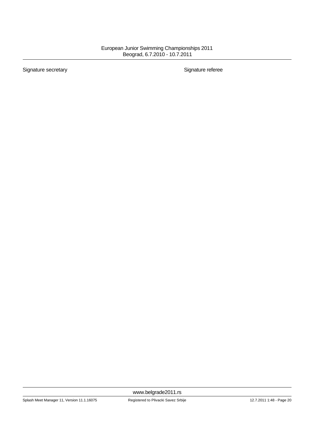Signature secretary **Signature referee**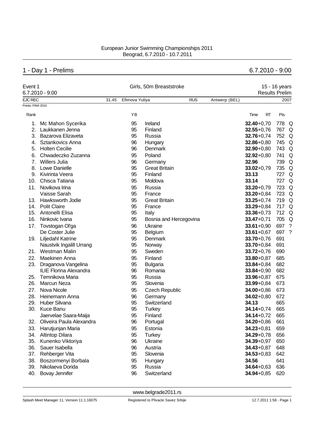# 1 - Day 1 - Prelims 6.7.2010 - 9:00

| Event 1           | $6.7.2010 - 9:00$             |       | Girls, 50m Breaststroke |                        | <b>Results Prelim</b> | 15 - 16 years |                |       |                    |
|-------------------|-------------------------------|-------|-------------------------|------------------------|-----------------------|---------------|----------------|-------|--------------------|
| <b>EJC REC</b>    |                               | 31.45 | Efimova Yuliya          |                        | <b>RUS</b>            | Antwerp (BEL) |                |       | 2007               |
| Points: FINA 2010 |                               |       |                         |                        |                       |               |                |       |                    |
| Rank              |                               |       | YB                      |                        |                       |               | Time<br>RT     | Pts   |                    |
| 1.                | Mc Mahon Sycerika             |       | 95                      | Ireland                |                       |               | $32.40 + 0.70$ | 778   | Q                  |
| 2.                | Laukkanen Jenna               |       | 95                      | Finland                |                       |               | $32.55 + 0.76$ | 767   | Q                  |
| 3.                | Bazarova Elizaveta            |       | 95                      | Russia                 |                       |               | $32.76 + 0.74$ | 752 Q |                    |
|                   | 4. Sztankovics Anna           |       | 96                      | Hungary                |                       |               | $32.86 + 0.80$ | 745 Q |                    |
| 5.                | <b>Holten Cecilie</b>         |       | 96                      | <b>Denmark</b>         |                       |               | $32.90 + 0.80$ | 743 Q |                    |
| 6.                | Chwadeczko Zuzanna            |       | 95                      | Poland                 |                       |               | $32.92 + 0.80$ | 741   | Q                  |
| 7.                | <b>Willers Julia</b>          |       | 96                      | Germany                |                       |               | 32.96          | 739   | Q                  |
| 8.                | Lowe Danielle                 |       | 95                      | <b>Great Britain</b>   |                       |               | $33.02 + 0.79$ | 735 Q |                    |
| 9.                | Kivirinta Veera               |       | 95                      | Finland                |                       |               | 33.13          | 727   | Q                  |
| 10.               | Chisca Tatiana                |       | 95                      | Moldova                |                       |               | 33.14          | 727   | Q                  |
| 11.               | Novikova Irina                |       | 95                      | Russia                 |                       |               | $33.20 + 0.79$ | 723   | Q                  |
|                   | Vaisse Sarah                  |       | 95                      | France                 |                       |               | $33.20 + 0.84$ | 723   | Q                  |
|                   | 13. Hawksworth Jodie          |       | 95                      | <b>Great Britain</b>   |                       |               | $33.25 + 0.74$ | 719   | Q                  |
| 14.               | <b>Polit Claire</b>           |       | 95                      | France                 |                       |               | $33.29 + 0.84$ | 717   | Q                  |
| 15.               | Antonelli Elisa               |       | 95                      | Italy                  |                       |               | $33.36 + 0.73$ | 712   | Q                  |
| 16.               | Ninkovic Ivana                |       | 95                      | Bosnia and Hercegovina |                       |               | $33.47 + 0.71$ | 705 Q |                    |
| 17.               | Tovstogan Ol'ga               |       | 96                      | Ukraine                |                       |               | $33.61 + 0.90$ | 697   | $\overline{\cdot}$ |
|                   | De Coster Julie               |       | 95                      | Belgium                |                       |               | $33.61 + 0.67$ | 697   | ?                  |
|                   | 19. Liljedahl Katrine         |       | 95                      | Denmark                |                       |               | $33.70 + 0.76$ | 691   |                    |
|                   | Naustvik Ingalill Urrang      |       | 95                      | Norway                 |                       |               | $33.70 + 0.84$ | 691   |                    |
| 21.               | Westman Malin                 |       | 95                      | Sweden                 |                       |               | $33.72 + 0.76$ | 690   |                    |
| 22.               | Maekinen Anna                 |       | 95                      | Finland                |                       |               | $33.80 + 0.87$ | 685   |                    |
| 23.               | Draganova Vangelina           |       | 95                      | <b>Bulgaria</b>        |                       |               | $33.84 + 0.84$ | 682   |                    |
|                   | <b>ILIE Florina Alexandra</b> |       | 96                      | Romania                |                       |               | $33.84 + 0.90$ | 682   |                    |
| 25.               | Temnikova Maria               |       | 95                      | Russia                 |                       |               | $33.96 + 0.87$ | 675   |                    |
| 26.               | <b>Marcun Neza</b>            |       | 95                      | Slovenia               |                       |               | $33.99 + 0.84$ | 673   |                    |
| 27.               | Nova Nicole                   |       | 95                      | <b>Czech Republic</b>  |                       |               | $34.00 + 0.86$ | 673   |                    |
| 28.               | Heinemann Anna                |       | 96                      | Germany                |                       |               | $34.02 + 0.80$ | 672   |                    |
| 29.               | Huber Silvana                 |       | 95                      | Switzerland            |                       |               | 34.13          | 665   |                    |
| 30.               | Kuce Banu                     |       | 95                      | <b>Turkey</b>          |                       |               | $34.14 + 0.74$ | 665   |                    |
|                   | Jaervelae Saara-Maija         |       | 95                      | Finland                |                       |               | $34.14 + 0.72$ | 665   |                    |
| 32.               | Oliveira Paula Alexandra      |       | 96                      | Portugal               |                       |               | $34.20 + 0.86$ | 661   |                    |
| 33.               | Harutjunjan Maria             |       | 95                      | Estonia                |                       |               | $34.23 + 0.81$ | 659   |                    |
| 34.               | Altintop Dilara               |       | 95                      | <b>Turkey</b>          |                       |               | $34.29 + 0.78$ | 656   |                    |
| 35.               | Kunenko Viktoriya             |       | 96                      | Ukraine                |                       |               | $34.39 + 0.97$ | 650   |                    |
| 36.               | Sauer Isabella                |       | 96                      | Austria                |                       |               | $34.43 + 0.87$ | 648   |                    |
| 37.               | Rehberger Vita                |       | 95                      | Slovenia               |                       |               | $34.53 + 0.83$ | 642   |                    |
| 38.               | Boszormenyi Borbala           |       | 95                      | Hungary                |                       |               | 34.56          | 641   |                    |
| 39.               | Nikolaeva Dorida              |       | 95                      | Russia                 |                       |               | $34.64 + 0.63$ | 636   |                    |
| 40.               | Bovay Jennifer                |       | 96                      | Switzerland            |                       |               | $34.94 + 0.85$ | 620   |                    |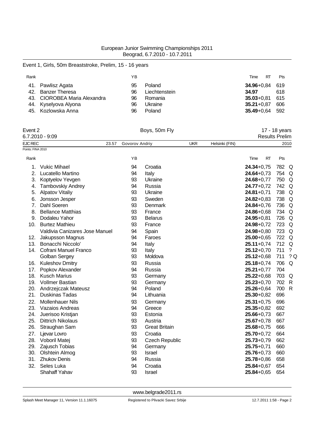### Event 1, Girls, 50m Breaststroke, Prelim, 15 - 16 years

| Rank |                              | ΥB |               | RT<br>Time             | Pts   |
|------|------------------------------|----|---------------|------------------------|-------|
|      | 41. Pawlisz Agata            | 95 | Poland        | <b>34.96</b> +0.84 619 |       |
|      | 42. Banzer Theresa           | 96 | Liechtenstein | 34.97                  | 618   |
|      | 43. CIOROBEA Maria Alexandra | 96 | Romania       | $35.03 + 0.81$         | 615   |
|      | 44. Kyselyova Alyona         | 96 | Ukraine       | $35.21 + 0.87$         | 606   |
|      | 45. Kozlowska Anna           | 96 | Poland        | $35.49 + 0.64$         | - 592 |

| Event 2           |                                |                | Boys, 50m Fly         |            |                |                       | 17 - 18 years |              |
|-------------------|--------------------------------|----------------|-----------------------|------------|----------------|-----------------------|---------------|--------------|
|                   | $6.7.2010 - 9:09$              |                |                       |            |                | <b>Results Prelim</b> |               |              |
| <b>EJC REC</b>    | 23.57                          | Govorov Andriy |                       | <b>UKR</b> | Helsinki (FIN) |                       |               | 2010         |
| Points: FINA 2010 |                                |                |                       |            |                |                       |               |              |
| Rank              |                                | YB             |                       |            |                | Time<br><b>RT</b>     | Pts           |              |
| 1.                | <b>Vukic Mihael</b>            | 94             | Croatia               |            |                | $24.34 + 0.75$        | 782 Q         |              |
| 2.                | Lucatello Martino              | 94             | Italy                 |            |                | $24.64 + 0.73$        | 754           | Q            |
| 3.                | Koptyelov Yevgen               | 93             | Ukraine               |            |                | $24.68 + 0.77$        | 750           | Q            |
|                   | 4. Tambovskiy Andrey           | 94             | Russia                |            |                | $24.77 + 0.72$        | 742           | Q            |
| 5.                | <b>Alpatov Vitaliy</b>         | 93             | Ukraine               |            |                | $24.81 + 0.71$        | 738           | Q            |
| 6.                | Jonsson Jesper                 | 93             | Sweden                |            |                | $24.82 + 0.83$        | 738           | Q            |
| 7.                | Dahl Soeren                    | 93             | Denmark               |            |                | $24.84 + 0.76$        | 736           | Q            |
| 8.                | <b>Bellance Matthias</b>       | 93             | France                |            |                | $24.86 + 0.68$        | 734           | Q            |
| 9.                | Dodaleu Yahor                  | 93             | <b>Belarus</b>        |            |                | $24.95 + 0.81$        | 726           | Q            |
| 10.               | <b>Burtez Mathieu</b>          | 93             | France                |            |                | $24.98 + 0.72$        | 723           | Q            |
|                   | Valdivia Canizares Jose Manuel | 94             | Spain                 |            |                | $24.98 + 0.80$        | 723           | Q            |
| 12.               | Jakupsson Magnus               | 94             | Faroes                |            |                | $25.00 + 0.65$        | 722           | Q            |
| 13.               | Bonacchi Niccolo'              | 94             | Italy                 |            |                | $25.11+0,74$          | 712           | Q            |
| 14.               | Cofrani Manuel Franco          | 93             | Italy                 |            |                | $25.12 + 0.70$        | 711           | $\ddot{?}$   |
|                   | Golban Sergey                  | 93             | Moldova               |            |                | $25.12 + 0.68$        | 711           | ?Q           |
| 16.               | <b>Kuleshov Dmitry</b>         | 93             | Russia                |            |                | $25.18 + 0.74$        | 706           | Q            |
| 17.               | Popkov Alexander               | 94             | Russia                |            |                | $25.21 + 0.77$        | 704           |              |
| 18.               | <b>Kusch Marius</b>            | 93             | Germany               |            |                | $25.22 + 0.68$        | 703           | Q            |
| 19.               | <b>Vollmer Bastian</b>         | 93             | Germany               |            |                | $25.23 + 0.70$        | 702           | $\mathsf{R}$ |
| 20.               | Andrzejczak Mateusz            | 94             | Poland                |            |                | $25.26 + 0.64$        | 700           | R            |
| 21.               | <b>Duskinas Tadas</b>          | 94             | Lithuania             |            |                | $25.30 + 0.82$        | 696           |              |
| 22.               | <b>Mollenhauer Nils</b>        | 93             | Germany               |            |                | $25.31 + 0.75$        | 696           |              |
| 23.               | Vazaios Andreas                | 94             | Greece                |            |                | $25.35 + 0.82$        | 692           |              |
| 24.               | Juerisoo Kristjan              | 93             | Estonia               |            |                | $25.66 + 0.73$        | 667           |              |
| 25.               | <b>Dittrich Nikolaus</b>       | 93             | Austria               |            |                | $25.67 + 0.78$        | 667           |              |
| 26.               | Straughan Sam                  | 93             | <b>Great Britain</b>  |            |                | $25.68 + 0.75$        | 666           |              |
| 27.               | Ljevar Lovro                   | 93             | Croatia               |            |                | $25.70 + 0.72$        | 664           |              |
| 28.               | Voboril Matej                  | 93             | <b>Czech Republic</b> |            |                | $25.73 + 0.79$        | 662           |              |
| 29.               | Zajusch Tobias                 | 94             | Germany               |            |                | $25.75 + 0.71$        | 660           |              |
| 30.               | Olshtein Almog                 | 93             | Israel                |            |                | $25.76 + 0.73$        | 660           |              |
| 31.               | <b>Zhukov Denis</b>            | 94             | Russia                |            |                | $25.78 + 0.86$        | 658           |              |
| 32.               | Seles Luka                     | 94             | Croatia               |            |                | $25.84 + 0.67$        | 654           |              |
|                   | Shahaff Yahav                  | 93             | Israel                |            |                | $25.84 + 0.65$        | 654           |              |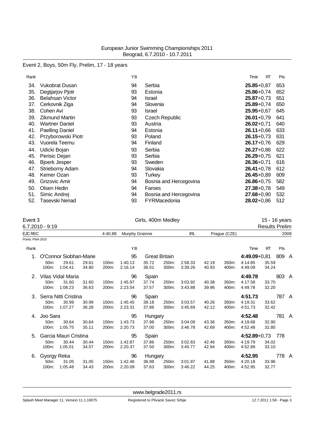### Event 2, Boys, 50m Fly, Prelim, 17 - 18 years

| Rank |                        | ΥB |                        | Time           | RT | Pts |
|------|------------------------|----|------------------------|----------------|----|-----|
| 34.  | Vukobrat Dusan         | 94 | Serbia                 | $25.85 + 0.87$ |    | 653 |
| 35.  | Degtjarjov Pjotr       | 93 | Estonia                | $25.86 + 0.74$ |    | 652 |
| 36.  | <b>Belahsan Victor</b> | 94 | Israel                 | $25.87 + 0.73$ |    | 651 |
| 37.  | Cerkovnik Ziga         | 94 | Slovenia               | $25.89 + 0.74$ |    | 650 |
| 38.  | Cohen Avi              | 93 | Israel                 | $25.95 + 0.67$ |    | 645 |
| 39.  | <b>Zikmund Martin</b>  | 93 | <b>Czech Republic</b>  | $26.01 + 0.79$ |    | 641 |
| 40.  | <b>Wartner Daniel</b>  | 93 | Austria                | $26.02 + 0.71$ |    | 640 |
| 41.  | <b>Paelling Daniel</b> | 94 | Estonia                | $26.11+0.66$   |    | 633 |
| 42.  | Przyborowski Piotr     | 93 | Poland                 | $26.15 + 0.73$ |    | 631 |
| 43.  | Vuorela Teemu          | 94 | Finland                | $26.17 + 0.76$ |    | 629 |
| 44.  | Udicki Bojan           | 93 | Serbia                 | $26.27 + 0.86$ |    | 622 |
| 45.  | Perisic Dejan          | 93 | Serbia                 | $26.29 + 0.75$ |    | 621 |
| 46.  | <b>Bjoerk Jesper</b>   | 93 | Sweden                 | $26.36 + 0.71$ |    | 616 |
| 47.  | Strieborny Adam        | 94 | Slovakia               | $26.41 + 0.78$ |    | 612 |
| 48.  | Kemer Ozan             | 93 | Turkey                 | $26.45 + 0.89$ |    | 609 |
| 49.  | Grizovic Amir          | 94 | Bosnia and Hercegovina | $26.86 + 0.75$ |    | 582 |
| 50.  | Olsen Hedin            | 94 | Faroes                 | $27.38 + 0.78$ |    | 549 |
| 51.  | Simic Andrej           | 94 | Bosnia and Hercegovina | 27.68+0,90     |    | 532 |
| 52.  | Tasevski Nenad         | 93 | FYRMacedonia           | 28.02+0,86     |    | 512 |

# Event 3 Girls, 400m Medley 15 - 16 years<br>
6.7.2010 - 9:19 Results Prelim

|                   | $6.7.2010 - 9:19$          |                        |                |                |                    |                      |                |                    |                |                |                    | <b>Results Prelim</b> |       |      |
|-------------------|----------------------------|------------------------|----------------|----------------|--------------------|----------------------|----------------|--------------------|----------------|----------------|--------------------|-----------------------|-------|------|
| <b>EJC REC</b>    |                            |                        |                | 4:40.88        | Murphy Grainne     |                      |                | <b>IRL</b>         |                | Prague (CZE)   |                    |                       |       | 2009 |
| Points: FINA 2010 |                            |                        |                |                |                    |                      |                |                    |                |                |                    |                       |       |      |
| Rank              |                            |                        |                |                | YB                 |                      |                |                    |                |                | Time               | RT                    | Pts   |      |
| 1.                |                            | O'Connor Siobhan-Marie |                |                | 95                 | <b>Great Britain</b> |                |                    |                |                | $4:49.09 + 0.81$   |                       | 809 A |      |
|                   | 50 <sub>m</sub> :<br>100m: | 29.61<br>1:04.41       | 29.61<br>34.80 | 150m:<br>200m: | 1:40.13<br>2:16.14 | 35.72<br>36.01       | 250m:<br>300m: | 2:58.33<br>3:39.26 | 42.19<br>40.93 | 350m:<br>400m: | 4:14.85<br>4:49.09 | 35.59<br>34.24        |       |      |
| 2.                |                            | Vilas Vidal Maria      |                |                | 96                 | Spain                |                |                    |                |                | 4:49.78            |                       | 803 A |      |
|                   | 50m:                       | 31.60                  | 31.60          | 150m:          | 1:45.97            | 37.74                | 250m:          | 3:03.92            | 40.38          | 350m:          | 4:17.58            | 33.70                 |       |      |
|                   | 100m:                      | 1:08.23                | 36.63          | 200m:          | 2:23.54            | 37.57                | 300m:          | 3:43.88            | 39.96          | 400m:          | 4:49.78            | 32.20                 |       |      |
| 3.                |                            | Serra Nitti Cristina   |                |                | 96                 | Spain                |                |                    |                |                | 4:51.73            |                       | 787 A |      |
|                   | 50m:                       | 30.99                  | 30.99          | 150m:          | 1:45.45            | 38.18                | 250m:          | 3:03.57            | 40.26          | 350m:          | 4:19.31            | 33.62                 |       |      |
|                   | 100m:                      | 1:07.27                | 36.28          | 200m:          | 2:23.31            | 37.86                | 300m:          | 3:45.69            | 42.12          | 400m:          | 4:51.73            | 32.42                 |       |      |
| 4.                | Joo Sara                   |                        |                |                | 95                 | Hungary              |                |                    |                |                | 4:52.48            |                       | 781 A |      |
|                   | 50 <sub>m</sub> :          | 30.64                  | 30.64          | 150m:          | 1:43.73            | 37.98                | 250m:          | 3:04.09            | 43.36          | 350m:          | 4:19.68            | 32.90                 |       |      |
|                   | 100m:                      | 1:05.75                | 35.11          | 200m:          | 2:20.73            | 37.00                | 300m:          | 3:46.78            | 42.69          | 400m:          | 4:52.48            | 32.80                 |       |      |
| 5.                |                            | Garcia Mauri Cristina  |                |                | 95                 | Spain                |                |                    |                |                | $4:52.89 + 0.73$   |                       | 778   |      |
|                   | 50m:                       | 30.44                  | 30.44          | 150m:          | 1:42.87            | 37.86                | 250m:          | 3:02.83            | 42.46          | 350m:          | 4:19.79            | 34.02                 |       |      |
|                   | 100m:                      | 1:05.01                | 34.57          | 200m:          | 2:20.37            | 37.50                | 300m:          | 3:45.77            | 42.94          | 400m:          | 4:52.89            | 33.10                 |       |      |
| 6.                | Gyorgy Reka                |                        |                |                | 96                 | Hungary              |                |                    |                |                | 4:52.95            |                       | 778 A |      |
|                   | 50 <sub>m</sub> :          | 31.05                  | 31.05          | 150m:          | 1:42.46            | 36.98                | 250m:          | 3:01.97            | 41.88          | 350m:          | 4:20.18            | 33.96                 |       |      |
|                   | 100m:                      | 1:05.48                | 34.43          | 200m:          | 2:20.09            | 37.63                | 300m:          | 3:46.22            | 44.25          | 400m:          | 4:52.95            | 32.77                 |       |      |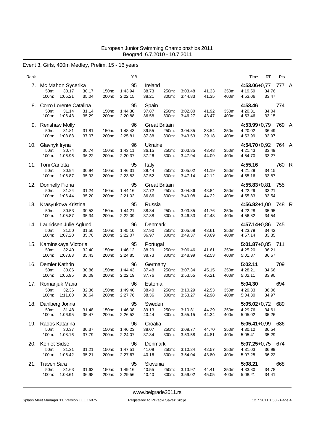### Event 3, Girls, 400m Medley, Prelim, 15 - 16 years

| Rank |                                                             |                                  | ΥB                       |                                        |                |                    |                |                | Time                                     | RT             | Pts   |   |
|------|-------------------------------------------------------------|----------------------------------|--------------------------|----------------------------------------|----------------|--------------------|----------------|----------------|------------------------------------------|----------------|-------|---|
| 7.   | Mc Mahon Sycerika<br>50m:<br>30.17<br>100m:<br>1:05.21      | 30.17<br>150m:<br>35.04<br>200m: | 95<br>1:43.94<br>2:22.15 | Ireland<br>38.73<br>38.21              | 250m:<br>300m: | 3:03.48<br>3:44.83 | 41.33<br>41.35 | 350m:<br>400m: | $4:53.06 + 0.77$<br>4:19.59<br>4:53.06   | 34.76<br>33.47 | 777 A |   |
| 8.   | Corro Lorente Catalina<br>50m:<br>31.14<br>100m:<br>1:06.43 | 31.14<br>150m:<br>35.29<br>200m: | 95<br>1:44.30<br>2:20.88 | Spain<br>37.87<br>36.58                | 250m:<br>300m: | 3:02.80<br>3:46.27 | 41.92<br>43.47 | 350m.<br>400m: | 4:53.46<br>4:20.31<br>4:53.46            | 34.04<br>33.15 | 774   |   |
|      | 9. Renshaw Molly<br>50m:<br>31.81<br>100m:<br>1:08.88       | 31.81<br>150m:<br>37.07<br>200m: | 96<br>1:48.43<br>2:25.81 | <b>Great Britain</b><br>39.55<br>37.38 | 250m:<br>300m: | 3:04.35<br>3:43.53 | 38.54<br>39.18 | 350m.<br>400m: | 4:53.99+0,79 769 A<br>4:20.02<br>4:53.99 | 36.49<br>33.97 |       |   |
| 10.  | Glavnyk Iryna<br>50m:<br>30.74<br>100m:<br>1:06.96          | 30.74<br>150m:<br>36.22<br>200m: | 96<br>1:43.11<br>2:20.37 | Ukraine<br>36.15<br>37.26              | 250m:<br>300m: | 3:03.85<br>3:47.94 | 43.48<br>44.09 | 350m:<br>400m: | 4:54.70+0,92 764 A<br>4:21.43<br>4:54.70 | 33.49<br>33.27 |       |   |
| 11.  | Toni Carlotta<br>50m:<br>30.94<br>1:06.87<br>100m:          | 30.94<br>150m:<br>35.93<br>200m: | 95<br>1:46.31<br>2:23.83 | Italy<br>39.44<br>37.52                | 250m:<br>300m: | 3:05.02<br>3:47.14 | 41.19<br>42.12 | 350m:<br>400m: | 4:55.16<br>4:21.29<br>4:55.16            | 34.15<br>33.87 | 760 R |   |
| 12.  | Donnelly Fiona<br>50m:<br>31.24<br>100m:<br>1:06.44         | 31.24<br>150m:<br>35.20<br>200m: | 95<br>1:44.16<br>2:21.02 | <b>Great Britain</b><br>37.72<br>36.86 | 250m:<br>300m: | 3:04.86<br>3:49.08 | 43.84<br>44.22 | 350m:<br>400m: | 4:55.83+0,81 755<br>4:22.29<br>4:55.83   | 33.21<br>33.54 |       |   |
| 13.  | Krasyukova Kristina<br>50m:<br>30.53<br>1:05.87<br>100m:    | 30.53<br>150m:<br>35.34<br>200m: | 95<br>1:44.21<br>2:22.09 | Russia<br>38.34<br>37.88               | 250m:<br>300m: | 3:03.85<br>3:46.33 | 41.76<br>42.48 | 350m:<br>400m: | $4:56.82+1,00$<br>4:22.28<br>4:56.82     | 35.95<br>34.54 | 748   | R |
| 14.  | Lauridsen Julie Aglund<br>50m:<br>31.50<br>1:07.20<br>100m: | 31.50<br>150m:<br>35.70<br>200m: | 96<br>1:45.10<br>2:22.07 | Denmark<br>37.90<br>36.97              | 250m:<br>300m: | 3:05.68<br>3:49.37 | 43.61<br>43.69 | 350m:<br>400m: | 4:57.14+0,86 745<br>4:23.79<br>4:57.14   | 34.42<br>33.35 |       |   |
| 15.  | Kaminskaya Victoria<br>50m:<br>32.40<br>1:07.83<br>100m:    | 32.40<br>150m:<br>35.43<br>200m: | 95<br>1:46.12<br>2:24.85 | Portugal<br>38.29<br>38.73             | 250m:<br>300m: | 3:06.46<br>3:48.99 | 41.61<br>42.53 | 350m:<br>400m: | $5:01.87+0.85$ 711<br>4:25.20<br>5:01.87 | 36.21<br>36.67 |       |   |
| 16.  | Demler Kathrin<br>50m:<br>30.86<br>100m:<br>1:06.95         | 30.86<br>150m:<br>36.09<br>200m: | 96<br>1.44.43<br>2:22.19 | Germany<br>37.48<br>37.76              | 250m:<br>300m: | 3:07.34<br>3:53.55 | 45.15<br>46.21 | 350m:<br>400m: | 5:02.11<br>4:28.21<br>5:02.11            | 34.66<br>33.90 | 709   |   |
| 17.  | Romanjuk Maria<br>50m:<br>32.36<br>100m:<br>1:11.00         | 32.36<br>150m:<br>38.64<br>200m: | 96<br>1:49.40<br>2:27.76 | Estonia<br>38.40<br>38.36              | 250m:<br>300m: | 3:10.29<br>3:53.27 | 42.53<br>42.98 | 350m:<br>400m: | 5:04.30<br>4:29.33<br>5:04.30            | 36.06<br>34.97 | 694   |   |
|      | 18. Dahlberg Jonna<br>31.48<br>50m:<br>1:06.95<br>100m:     | 31.48<br>150m:<br>35.47<br>200m: | 95<br>1:46.08<br>2:26.52 | Sweden<br>39.13<br>40.44               | 250m:<br>300m: | 3:10.81<br>3:55.15 | 44.29<br>44.34 | 350m:<br>400m: | $5:05.02 + 0.72$<br>4:29.76<br>5:05.02   | 34.61<br>35.26 | 689   |   |
| 19.  | Rados Katarina<br>50m:<br>30.37<br>100m:<br>1:08.16         | 30.37<br>150m:<br>37.79<br>200m: | 96<br>1:46.23<br>2:24.07 | Croatia<br>38.07<br>37.84              | 250m:<br>300m: | 3:08.77<br>3:53.58 | 44.70<br>44.81 | 350m:<br>400m: | $5:05.41+0.99$ 686<br>4:30.12<br>5:05.41 | 36.54<br>35.29 |       |   |
| 20.  | <b>Kehlet Sidse</b><br>50m:<br>31.21<br>1:06.42<br>100m:    | 31.21<br>150m:<br>35.21<br>200m: | 96<br>1:47.51<br>2:27.67 | Denmark<br>41.09<br>40.16              | 250m:<br>300m: | 3:10.24<br>3:54.04 | 42.57<br>43.80 | 350m:<br>400m: | $5:07.25+0.75$ 674<br>4:31.03<br>5:07.25 | 36.99<br>36.22 |       |   |
| 21.  | <b>Traven Sara</b><br>50m:<br>31.63<br>100m:<br>1:08.61     | 31.63<br>150m:<br>36.98<br>200m: | 95<br>1:49.16<br>2:29.56 | Slovenia<br>40.55<br>40.40             | 250m:<br>300m: | 3:13.97<br>3:59.02 | 44.41<br>45.05 | 350m:<br>400m: | 5:08.21<br>4:33.80<br>5:08.21            | 34.78<br>34.41 | 668   |   |

<www.belgrade2011.rs>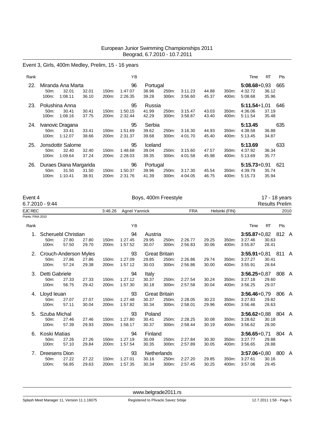#### Event 3, Girls, 400m Medley, Prelim, 15 - 16 years

| Rank |                   |                            |                |                | ΥB                 |                   |                |                    |                |                | Time                        | <b>RT</b>      | Pts |
|------|-------------------|----------------------------|----------------|----------------|--------------------|-------------------|----------------|--------------------|----------------|----------------|-----------------------------|----------------|-----|
| 22.  | 50 <sub>m</sub> : | Miranda Ana Marta<br>32.01 | 32.01          | 150m:          | 96<br>1:47.07      | Portugal<br>38.96 | 250m:          | 3:11.23            | 44.88          | 350m:          | $5:08.68 + 0.93$<br>4:32.72 | 36.12          | 665 |
| 23.  | 100m:             | 1:08.11<br>Polushina Anna  | 36.10          | 200m:          | 2:26.35<br>95      | 39.28<br>Russia   | 300m:          | 3:56.60            | 45.37          | 400m:          | 5:08.68<br>$5:11.54+1.01$   | 35.96          | 646 |
|      | 50m:<br>100m:     | 30.41<br>1:08.16           | 30.41<br>37.75 | 150m:<br>200m: | 1:50.15<br>2:32.44 | 41.99<br>42.29    | 250m:<br>300m: | 3:15.47<br>3:58.87 | 43.03<br>43.40 | 350m:<br>400m: | 4:36.06<br>5:11.54          | 37.19<br>35.48 |     |
| 24.  |                   | Ivanovic Dragana           |                |                | 95                 | Serbia            |                |                    |                |                | 5:13.45                     |                | 635 |
|      | 50 <sub>m</sub> : | 33.41                      | 33.41          | 150m:          | 1:51.69            | 39.62             | 250m:          | 3.16.30            | 44.93          | 350m:          | 4:38.58                     | 36.88          |     |
|      | 100m:             | 1:12.07                    | 38.66          | 200m:          | 2:31.37            | 39.68             | 300m:          | 4:01.70            | 45.40          | 400m:          | 5:13.45                     | 34.87          |     |
| 25.  |                   | Jonsdottir Salome          |                |                | 95                 | Iceland           |                |                    |                |                | 5:13.69                     |                | 633 |
|      | 50 <sub>m</sub> : | 32.40                      | 32.40          | 150m:          | 1:48.68            | 39.04             | 250m:          | 3:15.60            | 47.57          | 350m:          | 4:37.92                     | 36.34          |     |
|      | 100m:             | 1:09.64                    | 37.24          | 200m:          | 2:28.03            | 39.35             | 300m:          | 4:01.58            | 45.98          | 400m:          | 5:13.69                     | 35.77          |     |
| 26.  |                   | Duraes Diana Margarida     |                |                | 96                 | Portugal          |                |                    |                |                | $5:15.73+0.91$              |                | 621 |
|      | 50 <sub>m</sub> : | 31.50                      | 31.50          | 150m:          | 1:50.37            | 39.96             | 250m:          | 3:17.30            | 45.54          | 350m:          | 4:39.79                     | 35.74          |     |
|      | 100m:             | 1:10.41                    | 38.91          | 200m:          | 2:31.76            | 41.39             | 300m:          | 4:04.05            | 46.75          | 400m:          | 5:15.73                     | 35.94          |     |

| Event 4           | 6.7.2010 - 9:44            |                       |                |                |                    |                | Boys, 400m Freestyle |                    |                |                |                    |                | 17 - 18 years<br><b>Results Prelim</b> |      |
|-------------------|----------------------------|-----------------------|----------------|----------------|--------------------|----------------|----------------------|--------------------|----------------|----------------|--------------------|----------------|----------------------------------------|------|
| <b>EJC REC</b>    |                            |                       |                | 3:46.26        | Agnel Yannick      |                |                      | <b>FRA</b>         |                | Helsinki (FIN) |                    |                |                                        | 2010 |
| Points: FINA 2010 |                            |                       |                |                |                    |                |                      |                    |                |                |                    |                |                                        |      |
| Rank              |                            |                       |                |                | YB                 |                |                      |                    |                |                | Time               | RT             | Pts                                    |      |
| 1.                |                            | Scheruebl Christian   |                |                | 94                 | Austria        |                      |                    |                |                | $3:55.87+0.82$     |                | 812 A                                  |      |
|                   | 50m:<br>100m:              | 27.80<br>57.50        | 27.80<br>29.70 | 150m:<br>200m: | 1:27.45<br>1:57.52 | 29.95<br>30.07 | 250m:<br>300m:       | 2:26.77<br>2:56.83 | 29.25<br>30.06 | 350m:<br>400m: | 3:27.46<br>3:55.87 | 30.63<br>28.41 |                                        |      |
| 2.                |                            | Crouch-Anderson Myles |                |                | 93                 |                | <b>Great Britain</b> |                    |                |                | $3:55.91 + 0.81$   |                | 811 A                                  |      |
|                   | 50 <sub>m</sub> :<br>100m: | 27.86<br>57.24        | 27.86<br>29.38 | 150m:<br>200m: | 1:27.09<br>1:57.12 | 29.85<br>30.03 | 250m:<br>300m:       | 2:26.86<br>2:56.86 | 29.74<br>30.00 | 350m:<br>400m: | 3:27.27<br>3:55.91 | 30.41<br>28.64 |                                        |      |
| 3.                | Detti Gabriele             |                       |                |                | 94                 | Italy          |                      |                    |                |                | $3:56.25+0.87$     |                | 808 A                                  |      |
|                   | 50m:<br>100m:              | 27.33<br>56.75        | 27.33<br>29.42 | 150m:<br>200m: | 1:27.12<br>1:57.30 | 30.37<br>30.18 | 250m:<br>300m:       | 2:27.54<br>2:57.58 | 30.24<br>30.04 | 350m:<br>400m: | 3:27.18<br>3:56.25 | 29.60<br>29.07 |                                        |      |
| 4.                | Lloyd leuan                |                       |                |                | 93                 |                | <b>Great Britain</b> |                    |                |                | $3:56.46+0.79$     |                | 806 A                                  |      |
|                   | 50m:<br>100m:              | 27.07<br>57.11        | 27.07<br>30.04 | 150m:<br>200m: | 1:27.48<br>1:57.82 | 30.37<br>30.34 | 250m:<br>300m:       | 2:28.05<br>2:58.01 | 30.23<br>29.96 | 350m:<br>400m: | 3:27.83<br>3:56.46 | 29.82<br>28.63 |                                        |      |
| 5.                | Szuba Michal               |                       |                |                | 93                 | Poland         |                      |                    |                |                | $3:56.62+0.88$     |                | 804 A                                  |      |
|                   | 50m:<br>100m:              | 27.46<br>57.39        | 27.46<br>29.93 | 150m:<br>200m: | 1:27.80<br>1:58.17 | 30.41<br>30.37 | 250m:<br>300m:       | 2:28.25<br>2:58.44 | 30.08<br>30.19 | 350m:<br>400m: | 3:28.62<br>3:56.62 | 30.18<br>28.00 |                                        |      |
| 6.                | Koski Matias               |                       |                |                | 94                 | Finland        |                      |                    |                |                | $3:56.65+0.71$     |                | 804 A                                  |      |
|                   | 50m:<br>100m:              | 27.26<br>57.10        | 27.26<br>29.84 | 150m:<br>200m: | 1:27.19<br>1:57.54 | 30.09<br>30.35 | 250m:<br>300m:       | 2:27.84<br>2:57.89 | 30.30<br>30.05 | 350m:<br>400m: | 3:27.77<br>3:56.65 | 29.88<br>28.88 |                                        |      |
| 7.                | Dreesens Dion              |                       |                |                | 93                 |                | Netherlands          |                    |                |                | $3:57.06 + 0.80$   |                | 800 A                                  |      |

<www.belgrade2011.rs>

50m: 27.22 27.22 150m: 1:27.01 30.16 250m: 2:27.20 29.85 350m: 3:27.61 30.16 100m: 56.85 29.63 200m: 1:57.35 30.34 300m: 2:57.45 30.25 400m: 3:57.06 29.45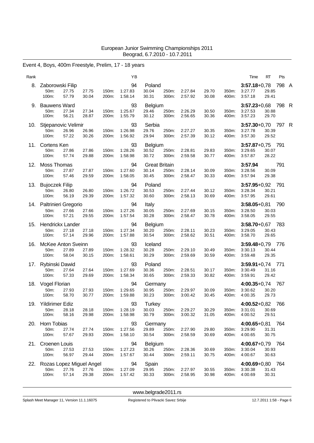# Event 4, Boys, 400m Freestyle, Prelim, 17 - 18 years

| Rank |                                                |                |                |                | ΥB                       |                                        |                |                    |                |                | Time                                     | RT             | Pts   |  |
|------|------------------------------------------------|----------------|----------------|----------------|--------------------------|----------------------------------------|----------------|--------------------|----------------|----------------|------------------------------------------|----------------|-------|--|
| 8.   | Zaborowski Filip<br>50m:<br>100m:              | 27.75<br>57.79 | 27.75<br>30.04 | 150m:<br>200m: | 94<br>1:27.83<br>1.58.14 | Poland<br>30.04<br>30.31               | 250m:<br>300m: | 2:27.84<br>2:57.92 | 29.70<br>30.08 | 350m:<br>400m: | $3:57.18 + 0.78$<br>3:27.77<br>3:57.18   | 29.85<br>29.41 | 798 A |  |
| 9.   | <b>Bauwens Ward</b><br>50m:<br>100m:           | 27.34<br>56.21 | 27.34<br>28.87 | 150m:<br>200m: | 93<br>1:25.67<br>1:55.79 | <b>Belgium</b><br>29.46<br>30.12       | 250m:<br>300m: | 2:26.29<br>2:56.65 | 30.50<br>30.36 | 350m:<br>400m: | $3:57.23 + 0.68$<br>3:27.53<br>3:57.23   | 30.88<br>29.70 | 798 R |  |
| 10.  | Stjepanovic Velimir<br>50m:<br>100m:           | 26.96<br>57.22 | 26.96<br>30.26 | 150m:<br>200m: | 93<br>1:26.98<br>1:56.92 | Serbia<br>29.76<br>29.94               | 250m:<br>300m: | 2:27.27<br>2:57.39 | 30.35<br>30.12 | 350m:<br>400m: | 3:57.30+0,70 797 R<br>3:27.78<br>3:57.30 | 30.39<br>29.52 |       |  |
| 11.  | Cortens Ken<br>50m:<br>100m:                   | 27.86<br>57.74 | 27.86<br>29.88 | 150m:<br>200m: | 93<br>1:28.26<br>1:58.98 | <b>Belgium</b><br>30.52<br>30.72       | 250m:<br>300m: | 2:28.81<br>2:59.58 | 29.83<br>30.77 | 350m:<br>400m: | $3:57.87+0.75$ 791<br>3:29.65<br>3:57.87 | 30.07<br>28.22 |       |  |
| 12.  | Moss Thomas<br>50m:<br>100m:                   | 27.87<br>57.46 | 27.87<br>29.59 | 150m:<br>200m: | 94<br>1:27.60<br>1:58.05 | <b>Great Britain</b><br>30.14<br>30.45 | 250m:<br>300m: | 2:28.14<br>2:58.47 | 30.09<br>30.33 | 350m:<br>400m: | 3:57.94<br>3:28.56<br>3:57.94            | 30.09<br>29.38 | 791   |  |
| 13.  | <b>Bujoczek Filip</b><br>50m:<br>100m:         | 26.80<br>56.19 | 26.80<br>29.39 | 150m:<br>200m: | 94<br>1:26.72<br>1:57.32 | Poland<br>30.53<br>30.60               | 250m:<br>300m: | 2:27.44<br>2:58.13 | 30.12<br>30.69 | 350m:<br>400m: | $3:57.95 + 0.92$<br>3:28.34<br>3:57.95   | 30.21<br>29.61 | 791   |  |
| 14.  | Paltrinieri Gregorio<br>50m:<br>100m:          | 27.66<br>57.21 | 27.66<br>29.55 | 150m:<br>200m: | 94<br>1:27.26<br>1:57.54 | Italy<br>30.05<br>30.28                | 250m:<br>300m: | 2:27.69<br>2:58.47 | 30.15<br>30.78 | 350m:<br>400m: | $3:58.05 + 0.81$<br>3:28.50<br>3:58.05   | 30.03<br>29.55 | 790   |  |
| 15.  | Hendrickx Lander<br>50 <sub>m</sub> :<br>100m: | 27.18<br>57.14 | 27.18<br>29.96 | 150m:<br>200m: | 94<br>1:27.34<br>1:57.88 | Belgium<br>30.20<br>30.54              | 250m:<br>300m: | 2:28.11<br>2:58.62 | 30.23<br>30.51 | 350m:<br>400m: | 3:58.70+0,67 783<br>3:29.05<br>3:58.70   | 30.43<br>29.65 |       |  |
| 16.  | McKee Anton Sveinn<br>50m:<br>100m:            | 27.89<br>58.04 | 27.89<br>30.15 | 150m:<br>200m: | 93<br>1:28.32<br>1:58.61 | Iceland<br>30.28<br>30.29              | 250m:<br>300m: | 2:29.10<br>2:59.69 | 30.49<br>30.59 | 350m:<br>400m: | $3:59.48 + 0.79$<br>3:30.13<br>3:59.48   | 30.44<br>29.35 | 776   |  |
| 17.  | Rybinski Dawid<br>50m:<br>100m:                | 27.64<br>57.33 | 27.64<br>29.69 | 150m:<br>200m: | 93<br>1:27.69<br>1:58.34 | Poland<br>30.36<br>30.65               | 250m:<br>300m: | 2:28.51<br>2:59.33 | 30.17<br>30.82 | 350m:<br>400m: | $3:59.91+0.74$ 771<br>3:30.49<br>3:59.91 | 31.16<br>29.42 |       |  |
| 18.  | Vogel Florian<br>50m:<br>100m:                 | 27.93<br>58.70 | 27.93<br>30.77 | 150m:<br>200m: | 94<br>1:29.65<br>1:59.88 | Germany<br>30.95<br>30.23              | 250m:<br>300m: | 2:29.97<br>3:00.42 | 30.09<br>30.45 | 350m:<br>400m: | $4:00.35 + 0.74$<br>3:30.62<br>4:00.35   | 30.20<br>29.73 | - 767 |  |
| 19.  | <b>Yildirimer Ediz</b><br>50m:<br>100m:        | 28.18<br>58.16 | 28.18<br>29.98 | 150m:<br>200m: | 93<br>1:28.19<br>1:58.98 | Turkey<br>30.03<br>30.79               | 250m:<br>300m: | 2:29.27<br>3:00.32 | 30.29<br>31.05 | 350m:<br>400m: | $4:00.52 + 0.82$<br>3:31.01<br>4:00.52   | 30.69<br>29.51 | 766   |  |
| 20.  | Horn Tobias<br>50m:<br>100m:                   | 27.74<br>57.67 | 27.74<br>29.93 | 150m:<br>200m: | 93<br>1:27.56<br>1:58.10 | Germany<br>29.89<br>30.54              | 250m:<br>300m: | 2:27.90<br>2:58.59 | 29.80<br>30.69 | 350m:<br>400m: | 4:00.65+0,81 764<br>3:29.90<br>4:00.65   | 31.31<br>30.75 |       |  |
| 21.  | Croenen Louis<br>50m:<br>100m:                 | 27.53<br>56.97 | 27.53<br>29.44 | 150m:<br>200m: | 94<br>1:27.23<br>1:57.67 | Belgium<br>30.26<br>30.44              | 250m:<br>300m: | 2:28.36<br>2:59.11 | 30.69<br>30.75 | 350m:<br>400m: | 4:00.67+0,79 764<br>3:30.04<br>4:00.67   | 30.93<br>30.63 |       |  |
| 22.  | Rozas Lopez Miguel Angel<br>50m:<br>100m:      | 27.76<br>57.14 | 27.76<br>29.38 | 150m:<br>200m: | 94<br>1:27.09<br>1:57.42 | Spain<br>29.95<br>30.33                | 250m:<br>300m: | 2:27.97<br>2:58.95 | 30.55<br>30.98 | 350m:<br>400m: | 4:00.69+0,80 764<br>3:30.38<br>4:00.69   | 31.43<br>30.31 |       |  |

<www.belgrade2011.rs>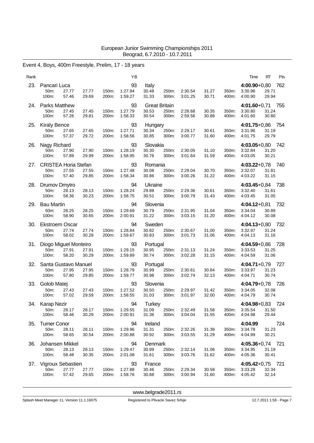# Event 4, Boys, 400m Freestyle, Prelim, 17 - 18 years

| Rank |                                                     |                |                |                | YB                       |                                        |                |                    |                |                | Time                                   | RT             | Pts   |
|------|-----------------------------------------------------|----------------|----------------|----------------|--------------------------|----------------------------------------|----------------|--------------------|----------------|----------------|----------------------------------------|----------------|-------|
| 23.  | Pancari Luca<br>50 <sub>m</sub> :<br>100m:          | 27.77<br>57.46 | 27.77<br>29.69 | 150m:<br>200m: | 93<br>1:27.94<br>1:59.27 | Italy<br>30.48<br>31.33                | 250m:<br>300m: | 2:30.54<br>3:01.25 | 31.27<br>30.71 | 350m:<br>400m: | $4:00.90 + 0,80$<br>3:30.96<br>4:00.90 | 29.71<br>29.94 | 762   |
| 24.  | <b>Parks Matthew</b><br>50m:<br>100m:               | 27.45<br>57.26 | 27.45<br>29.81 | 150m:<br>200m: | 93<br>1:27.79<br>1:58.33 | <b>Great Britain</b><br>30.53<br>30.54 | 250m:<br>300m: | 2:28.68<br>2:59.56 | 30.35<br>30.88 | 350m:<br>400m: | $4:01.60 + 0.71$<br>3:30.80<br>4:01.60 | 31.24<br>30.80 | 755   |
| 25.  | <b>Kiraly Bence</b><br>50 <sub>m</sub> :<br>100m:   | 27.65<br>57.37 | 27.65<br>29.72 | 150m:<br>200m: | 93<br>1:27.71<br>1:58.56 | Hungary<br>30.34<br>30.85              | 250m:<br>300m: | 2:29.17<br>3:00.77 | 30.61<br>31.60 | 350m:<br>400m: | 4:01.75+0,86 754<br>3:31.96<br>4:01.75 | 31.19<br>29.79 |       |
| 26.  | Nagy Richard<br>50 <sub>m</sub> :<br>100m:          | 27.90<br>57.89 | 27.90<br>29.99 | 150m:<br>200m: | 93<br>1:28.19<br>1:58.95 | Slovakia<br>30.30<br>30.76             | 250m:<br>300m: | 2:30.05<br>3:01.64 | 31.10<br>31.59 | 350m:<br>400m: | 4:03.05+0,80 742<br>3:32.84<br>4:03.05 | 31.20<br>30.21 |       |
| 27.  | <b>CRISTEA Horia Stefan</b><br>50m:<br>100m:        | 27.55<br>57.40 | 27.55<br>29.85 | 150m:<br>200m: | 93<br>1:27.48<br>1:58.34 | Romania<br>30.08<br>30.86              | 250m:<br>300m: | 2:29.04<br>3:00.26 | 30.70<br>31.22 | 350m:<br>400m: | 4:03.22+0,78 740<br>3:32.07<br>4:03.22 | 31.81<br>31.15 |       |
| 28.  | Drumov Dmytro<br>50m:<br>100m:                      | 28.13<br>58.36 | 28.13<br>30.23 | 150m:<br>200m: | 94<br>1:28.24<br>1:58.75 | Ukraine<br>29.88<br>30.51              | 250m:<br>300m: | 2:29.36<br>3:00.79 | 30.61<br>31.43 | 350m:<br>400m: | 4:03.45+0,84 738<br>3:32.40<br>4:03.45 | 31.61<br>31.05 |       |
| 29.  | <b>Bau Martin</b><br>50 <sub>m</sub> :<br>100m:     | 28.25<br>58.90 | 28.25<br>30.65 | 150m:<br>200m: | 94<br>1:29.69<br>2:00.91 | Slovenia<br>30.79<br>31.22             | 250m:<br>300m: | 2:31.95<br>3:03.15 | 31.04<br>31.20 | 350m:<br>400m: | $4:04.12+0.81$<br>3:34.04<br>4:04.12   | 30.89<br>30.08 | 732   |
| 30.  | <b>Ekstroem Oscar</b><br>50 <sub>m</sub> :<br>100m: | 27.74<br>58.02 | 27.74<br>30.28 | 150m:<br>200m: | 94<br>1:28.84<br>1:59.67 | Sweden<br>30.82<br>30.83               | 250m:<br>300m: | 2:30.67<br>3:01.73 | 31.00<br>31.06 | 350m:<br>400m: | $4:04.13 + 0.80$<br>3:32.97<br>4:04.13 | 31.24<br>31.16 | - 732 |
| 31.  | Diogo Miguel Monteiro<br>50m:<br>100m:              | 27.91<br>58.20 | 27.91<br>30.29 | 150m:<br>200m: | 93<br>1:29.15<br>1:59.89 | Portugal<br>30.95<br>30.74             | 250m:<br>300m: | 2:31.13<br>3:02.28 | 31.24<br>31.15 | 350m:<br>400m: | $4:04.59 + 0.86$<br>3:33.53<br>4:04.59 | 31.25<br>31.06 | 728   |
| 32.  | Santa Gustavo Manuel<br>50 <sub>m</sub> :<br>100m:  | 27.95<br>57.80 | 27.95<br>29.85 | 150m:<br>200m: | 93<br>1:28.79<br>1:59.77 | Portugal<br>30.99<br>30.98             | 250m:<br>300m: | 2:30.61<br>3:02.74 | 30.84<br>32.13 | 350m:<br>400m: | 4:04.71+0,79 727<br>3:33.97<br>4:04.71 | 31.23<br>30.74 |       |
| 33.  | Golob Matej<br>50m:<br>100m:                        | 27.43<br>57.02 | 27.43<br>29.59 | 150m:<br>200m: | 93<br>1:27.52<br>1:58.55 | Slovenia<br>30.50<br>31.03             | 250m:<br>300m: | 2:29.97<br>3:01.97 | 31.42<br>32.00 | 350m:<br>400m: | 4:04.79+0,78<br>3:34.05<br>4:04.79     | 32.08<br>30.74 | 726   |
|      | 34. Karap Nezir<br>50m:<br>100m:                    | 28.17<br>58.46 | 28.17<br>30.29 | 150m:<br>200m: | 94<br>1:29.55<br>2:00.91 | Turkey<br>31.09<br>31.36               | 250m:<br>300m: | 2:32.49<br>3:04.04 | 31.58<br>31.55 | 350m:<br>400m: | $4:04.98 + 0.83$<br>3:35.54<br>4:04.98 | 31.50<br>29.44 | 724   |
| 35.  | <b>Turner Conor</b><br>50m:<br>100m:                | 28.11<br>58.65 | 28.11<br>30.54 | 150m:<br>200m: | 94<br>1:29.96<br>2:00.88 | Ireland<br>31.31<br>30.92              | 250m:<br>300m: | 2:32.26<br>3:03.55 | 31.38<br>31.29 | 350m:<br>400m: | 4:04.99<br>3:34.78<br>4:04.99          | 31.23<br>30.21 | 724   |
| 36.  | Johansen Mikkel<br>50m:<br>100m:                    | 28.13<br>58.48 | 28.13<br>30.35 | 150m:<br>200m: | 94<br>1:29.47<br>2:01.08 | Denmark<br>30.99<br>31.61              | 250m:<br>300m: | 2:32.14<br>3:03.76 | 31.06<br>31.62 | 350m:<br>400m: | 4:05.36+0,74 721<br>3:34.95<br>4:05.36 | 31.19<br>30.41 |       |
| 37.  | Vigroux Sebastien<br>50m:<br>100m:                  | 27.77<br>57.42 | 27.77<br>29.65 | 150m:<br>200m: | 93<br>1:27.88<br>1:58.76 | France<br>30.46<br>30.88               | 250m:<br>300m: | 2:29.34<br>3:00.94 | 30.58<br>31.60 | 350m:<br>400m: | 4:05.42+0,75 721<br>3:33.28<br>4:05.42 | 32.34<br>32.14 |       |

<www.belgrade2011.rs>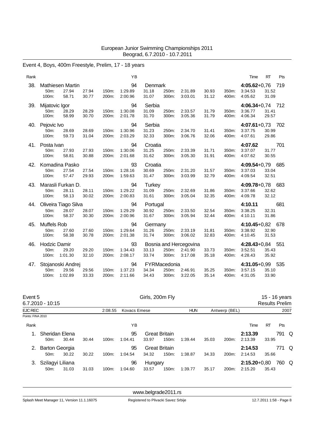# Event 4, Boys, 400m Freestyle, Prelim, 17 - 18 years

| Rank |                                       |                  |                |                | YB                       |                            |                                |                                              |                |                | Time                                     | RT             | Pts   |
|------|---------------------------------------|------------------|----------------|----------------|--------------------------|----------------------------|--------------------------------|----------------------------------------------|----------------|----------------|------------------------------------------|----------------|-------|
| 38.  | Mathiesen Martin<br>50m:<br>100m:     | 27.94<br>58.71   | 27.94<br>30.77 | 150m:<br>200m: | 94<br>1:29.89<br>2:00.96 | Denmark<br>31.18<br>31.07  | 250m:<br>300m:                 | 2:31.89<br>3:03.01                           | 30.93<br>31.12 | 350m:<br>400m: | $4:05.62 + 0.76$<br>3:34.53<br>4:05.62   | 31.52<br>31.09 | - 719 |
| 39.  | Mijatovic Igor<br>50m:<br>100m:       | 28.29<br>58.99   | 28.29<br>30.70 | 150m:<br>200m: | 94<br>1:30.08<br>2:01.78 | Serbia<br>31.09<br>31.70   | 250m:<br>300m:                 | 2:33.57<br>3:05.36                           | 31.79<br>31.79 | 350m:<br>400m: | 4:06.34+0,74 712<br>3:36.77<br>4:06.34   | 31.41<br>29.57 |       |
| 40.  | Pejovic Ivo<br>50m:<br>100m:          | 28.69<br>59.73   | 28.69<br>31.04 | 150m:<br>200m: | 94<br>1:30.96<br>2:03.29 | Serbia<br>31.23<br>32.33   | 250m:<br>300m:                 | 2:34.70<br>3:06.76                           | 31.41<br>32.06 | 350m:<br>400m: | 4:07.61+0,73 702<br>3:37.75<br>4:07.61   | 30.99<br>29.86 |       |
| 41.  | Posta Ivan<br>50m:<br>100m:           | 27.93<br>58.81   | 27.93<br>30.88 | 150m:<br>200m: | 94<br>1:30.06<br>2:01.68 | Croatia<br>31.25<br>31.62  | 250m:<br>300m:                 | 2:33.39<br>3:05.30                           | 31.71<br>31.91 | 350m:<br>400m: | 4:07.62<br>3:37.07<br>4:07.62            | 31.77<br>30.55 | 701   |
| 42.  | Komadina Pasko<br>50m:<br>100m:       | 27.54<br>57.47   | 27.54<br>29.93 | 150m:<br>200m: | 93<br>1:28.16<br>1:59.63 | Croatia<br>30.69<br>31.47  | 250m:<br>300m:                 | 2:31.20<br>3:03.99                           | 31.57<br>32.79 | 350m:<br>400m: | 4:09.54+0,79 685<br>3:37.03<br>4:09.54   | 33.04<br>32.51 |       |
| 43.  | Marasli Furkan D.<br>50m:<br>100m:    | 28.11<br>58.13   | 28.11<br>30.02 | 150m:<br>200m: | 94<br>1:29.22<br>2:00.83 | Turkey<br>31.09<br>31.61   | 250m:<br>300m:                 | 2:32.69<br>3:05.04                           | 31.86<br>32.35 | 350m:<br>400m: | 4:09.78+0,78 683<br>3:37.66<br>4:09.78   | 32.62<br>32.12 |       |
| 44.  | Oliveira Tiago Silva<br>50m:<br>100m: | 28.07<br>58.37   | 28.07<br>30.30 | 150m:<br>200m: | 94<br>1:29.29<br>2:00.96 | Portugal<br>30.92<br>31.67 | 250m:<br>300m:                 | 2:33.50<br>3:05.94                           | 32.54<br>32.44 | 350m:<br>400m: | 4:10.11<br>3:38.25<br>4:10.11            | 32.31<br>31.86 | 681   |
| 45.  | Muffels Rob<br>50m:<br>100m:          | 27.60<br>58.38   | 27.60<br>30.78 | 150m:<br>200m: | 94<br>1:29.64<br>2:01.38 | Germany<br>31.26<br>31.74  | 250m:<br>300m:                 | 2:33.19<br>3:06.02                           | 31.81<br>32.83 | 350m:<br>400m: | 4:10.45+0,82 678<br>3:38.92<br>4:10.45   | 32.90<br>31.53 |       |
| 46.  | Hodzic Damir<br>50m:<br>100m:         | 29.20<br>1:01.30 | 29.20<br>32.10 | 150m:<br>200m: | 93<br>1:34.43<br>2:08.17 | 33.13<br>33.74             | 250m:<br>300m:                 | Bosnia and Hercegovina<br>2:41.90<br>3:17.08 | 33.73<br>35.18 | 350m:<br>400m: | $4:28.43+0.84$ 551<br>3.52.51<br>4:28.43 | 35.43<br>35.92 |       |
| 47.  | Stojanoski Andrej<br>50m:<br>100m:    | 29.56<br>1:02.89 | 29.56<br>33.33 | 150m:<br>200m: | 94<br>1:37.23<br>2:11.66 | 34.34<br>34.43             | FYRMacedonia<br>250m:<br>300m: | 2:46.91<br>3:22.05                           | 35.25<br>35.14 | 350m:<br>400m: | 4:31.05+0,99 535<br>3:57.15<br>4:31.05   | 35.10<br>33.90 |       |

| Event 5           | $6.7.2010 - 10:15$                         |       |       | Girls, 200m Fly |                     |                  |                                  |            |       | 15 - 16 years<br><b>Results Prelim</b> |                             |       |       |     |  |
|-------------------|--------------------------------------------|-------|-------|-----------------|---------------------|------------------|----------------------------------|------------|-------|----------------------------------------|-----------------------------|-------|-------|-----|--|
| <b>EJC REC</b>    |                                            |       |       | 2:08.55         | <b>Kovacs Emese</b> |                  |                                  | <b>HUN</b> |       | Antwerp (BEL)                          |                             |       | 2007  |     |  |
| Points: FINA 2010 |                                            |       |       |                 |                     |                  |                                  |            |       |                                        |                             |       |       |     |  |
| Rank              |                                            |       |       |                 | ΥB                  |                  |                                  |            |       |                                        | Time                        | RT    | Pts   |     |  |
| $1_{-}$           | Sheridan Elena<br>50 <sub>m</sub> :        | 30.44 | 30.44 | 100m:           | 95<br>1:04.41       | 33.97            | <b>Great Britain</b><br>150m:    | 1:39.44    | 35.03 | 200m:                                  | 2:13.39<br>2:13.39          | 33.95 | 791   | - Q |  |
| 2.                | <b>Barton Georgia</b><br>50 <sub>m</sub> : | 30.22 | 30.22 | $100m$ :        | 95<br>1:04.54       | 34.32            | <b>Great Britain</b><br>$150m$ : | 1:38.87    | 34.33 | 200m:                                  | 2:14.53<br>2:14.53          | 35.66 | 771 Q |     |  |
|                   | Szilagyi Liliana<br>50m:                   | 31.03 | 31.03 | 100m:           | 96<br>1:04.60       | Hungary<br>33.57 | 150m:                            | 1:39.77    | 35.17 | 200m:                                  | $2:15.20 + 0.80$<br>2:15.20 | 35.43 | 760 Q |     |  |

<www.belgrade2011.rs>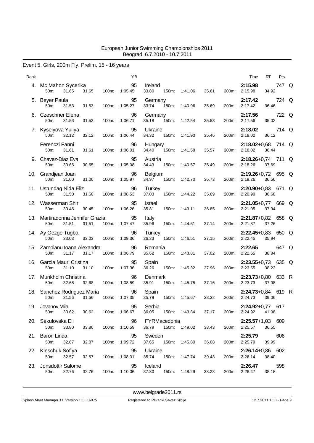### Event 5, Girls, 200m Fly, Prelim, 15 - 16 years

|     |                                                   |       |       | ΥB                  |                                |       |                     |       |       | Time                                    | RT    | Pts   |  |
|-----|---------------------------------------------------|-------|-------|---------------------|--------------------------------|-------|---------------------|-------|-------|-----------------------------------------|-------|-------|--|
|     | 4. Mc Mahon Sycerika<br>31.65<br>50m:             | 31.65 | 100m: | 95<br>1:05.45       | Ireland<br>33.80               | 150m: | 1:41.06             | 35.61 | 200m: | 2:15.98<br>2:15.98                      | 34.92 | 747 Q |  |
|     | 5. Beyer Paula<br>50m:<br>31.53                   | 31.53 | 100m: | 95<br>1:05.27       | Germany<br>33.74               |       | 150m: 1:40.96       | 35.69 | 200m: | 2:17.42<br>2:17.42                      | 36.46 | 724 Q |  |
|     | 6. Czeschner Elena<br>50m:<br>31.53               | 31.53 | 100m: | 96<br>1:06.71       | Germany<br>35.18               |       | 150m: 1:42.54       | 35.83 | 200m: | 2:17.56<br>2:17.56                      | 35.02 | 722 Q |  |
|     | 7. Kyselyova Yuliya<br>50m:<br>32.12              | 32.12 | 100m: | 95<br>1:06.44       | Ukraine<br>34.32               | 150m: | 1:41.90             | 35.46 | 200m: | 2:18.02<br>2:18.02                      | 36.12 | 714 Q |  |
|     | Ferenczi Fanni<br>50m:<br>31.61                   | 31.61 | 100m: | 96<br>1:06.01       | Hungary<br>34.40               |       | 150m: 1:41.58       | 35.57 | 200m: | $2:18.02+0.68$ 714 Q<br>2:18.02         | 36.44 |       |  |
|     | 9. Chavez-Diaz Eva<br>50m:<br>30.65               | 30.65 | 100m: | 95<br>1:05.08       | Austria<br>34.43               | 150m: | 1:40.57             | 35.49 | 200m: | $2:18.26 + 0.74$ 711 Q<br>2:18.26       | 37.69 |       |  |
|     | 10. Grandjean Joan<br>50m:<br>31.00               | 31.00 | 100m: | 96<br>1:05.97       | <b>Belgium</b><br>34.97        | 150m: | 1:42.70             | 36.73 | 200m: | 2:19.26+0,72 695 Q<br>2:19.26           | 36.56 |       |  |
|     | 11. Ustundag Nida Eliz<br>50m:<br>31.50           | 31.50 | 100m: | 96<br>1:08.53       | Turkey<br>37.03                | 150m: | 1:44.22             | 35.69 | 200m: | $2:20.90+0.83$ 671 Q<br>2:20.90         | 36.68 |       |  |
|     | 12. Wasserman Shir<br>50m:<br>30.45               | 30.45 | 100m: | 95<br>1:06.26       | Israel<br>35.81                | 150m: | 1:43.11             | 36.85 | 200m: | 2:21.05+0,77 669 Q<br>2:21.05           | 37.94 |       |  |
|     | 13. Martiradonna Jennifer Grazia<br>31.51<br>50m: | 31.51 | 100m: | 95<br>1:07.47       | Italy<br>35.96                 | 150m: | 1:44.61             | 37.14 | 200m: | 2:21.87+0,82 658 Q<br>2:21.87           | 37.26 |       |  |
|     | 14. Ay Oezge Tugba<br>33.03<br>50 <sub>m</sub> :  | 33.03 | 100m: | 96<br>1:09.36       | Turkey<br>36.33                | 150m: | 1:46.51             | 37.15 |       | $2:22.45+0.83$ 650 Q<br>200m: 2:22.45   | 35.94 |       |  |
|     | 15. Zarnoianu Ioana Alexandra<br>50m:<br>31.17    | 31.17 | 100m: | 96<br>1:06.79       | Romania<br>35.62               | 150m: | 1:43.81             | 37.02 | 200m: | 2:22.65<br>2:22.65                      | 38.84 | 647 Q |  |
| 16. | Garcia Mauri Cristina<br>31.10<br>50m:            | 31.10 | 100m: | 95<br>1:07.36       | Spain<br>36.26                 | 150m: | 1:45.32             | 37.96 | 200m: | 2:23.55+0,73 635 Q<br>2:23.55           | 38.23 |       |  |
|     | 17. Munkholm Christina<br>50m:<br>32.68           | 32.68 | 100m: | 96<br>1:08.59       | Denmark<br>35.91               | 150m: | 1:45.75             | 37.16 |       | 2:23.73+0,80 633 R<br>200m: 2:23.73     | 37.98 |       |  |
|     | 18. Sanchez Rodriguez Maria<br>50m:<br>31.56      | 31.56 | 100m: | 96<br>1:07.35       | Spain<br>35.79                 | 150m: | 1:45.67             | 38.32 |       | 2:24.73+0,84 619 R<br>200m: 2:24.73     | 39.06 |       |  |
|     | 19. Jovanov Mila<br>50m: 30.62                    | 30.62 |       | 95<br>100m: 1:06.67 | Serbia                         |       | 36.05 150m: 1:43.84 | 37.17 |       | 2:24.92+0,77 617<br>200m: 2:24.92 41.08 |       |       |  |
|     | 20. Sekulovska Eli<br>33.80<br>50m:               | 33.80 |       | 100m: 1:10.59       | 96 FYRMacedonia                |       | 36.79 150m: 1:49.02 | 38.43 |       | $2:25.57+1.03$ 609<br>200m: 2:25.57     | 36.55 |       |  |
|     | 21. Baron Linda<br>50m: 32.07                     | 32.07 | 100m: | 95<br>1:09.72       | Sweden<br>37.65 150m: 1:45.80  |       |                     | 36.08 |       | 2:25.79 606<br>200m: 2:25.79            | 39.99 |       |  |
|     | 22. Kleschuk Sofiya<br>50m:<br>32.57              | 32.57 | 100m: | 95<br>1:08.31       | Ukraine<br>35.74 150m: 1:47.74 |       |                     | 39.43 |       | $2:26.14+0.86$ 602<br>200m: 2:26.14     | 38.40 |       |  |
|     | 23. Jonsdottir Salome<br>32.76<br>50m:            | 32.76 |       | 95<br>100m: 1:10.06 | Iceland                        |       | 37.30 150m: 1:48.29 | 38.23 |       | <b>2:26.47</b> 598<br>200m: 2:26.47     | 38.18 |       |  |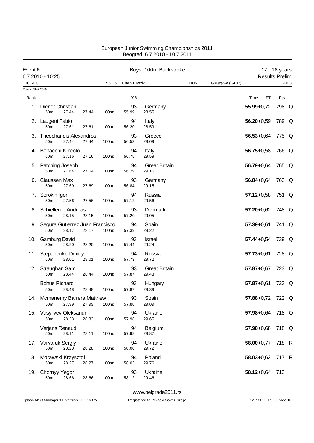| Event 6           |                                                     |       |       |             | Boys, 100m Backstroke         |            |               |                       | 17 - 18 years |      |
|-------------------|-----------------------------------------------------|-------|-------|-------------|-------------------------------|------------|---------------|-----------------------|---------------|------|
| <b>EJC REC</b>    | 6.7.2010 - 10:25                                    |       | 55.06 | Cseh Laszlo |                               | <b>HUN</b> | Glasgow (GBR) | <b>Results Prelim</b> |               | 2003 |
| Points: FINA 2010 |                                                     |       |       |             |                               |            |               |                       |               |      |
| Rank              |                                                     |       |       | ΥB          |                               |            |               | Time<br>RT            | Pts           |      |
| 1.                | Diener Christian<br>27.44<br>50m:                   | 27.44 | 100m: | 93<br>55.99 | Germany<br>28.55              |            |               | $55.99 + 0.72$        | 798 Q         |      |
|                   | 2. Laugeni Fabio<br>27.61<br>50m:                   | 27.61 | 100m: | 94<br>56.20 | Italy<br>28.59                |            |               | $56.20 + 0.59$        | 789 Q         |      |
| З.                | <b>Theocharidis Alexandros</b><br>50m:<br>27.44     | 27.44 | 100m: | 93<br>56.53 | Greece<br>29.09               |            |               | $56.53 + 0.64$        | 775 Q         |      |
|                   | 4. Bonacchi Niccolo'<br>50m:<br>27.16               | 27.16 | 100m: | 94<br>56.75 | Italy<br>29.59                |            |               | $56.75 + 0.58$        | 766 Q         |      |
|                   | 5. Patching Joseph<br>50m:<br>27.64                 | 27.64 | 100m: | 94<br>56.79 | <b>Great Britain</b><br>29.15 |            |               | $56.79 + 0.64$        | 765 Q         |      |
| 6.                | Claussen Max<br>50m:<br>27.69                       | 27.69 | 100m: | 93<br>56.84 | Germany<br>29.15              |            |               | $56.84 + 0.64$        | 763 Q         |      |
|                   | 7. Sorokin Igor<br>27.56<br>50m:                    | 27.56 | 100m: | 94<br>57.12 | Russia<br>29.56               |            |               | $57.12 + 0.58$        | 751 Q         |      |
|                   | 8. Schiellerup Andreas<br>28.15<br>50m:             | 28.15 | 100m: | 93<br>57.20 | Denmark<br>29.05              |            |               | $57.20 + 0.62$        | 748 Q         |      |
|                   | 9. Segura Gutierrez Juan Francisco<br>50m:<br>28.17 | 28.17 | 100m: | 94<br>57.39 | Spain<br>29.22                |            |               | $57.39 + 0.61$        | 741 Q         |      |
|                   | 10. Gamburg David<br>50m:<br>28.20                  | 28.20 | 100m: | 93<br>57.44 | Israel<br>29.24               |            |               | $57.44 + 0.54$        | 739 Q         |      |
|                   | 11. Stepanenko Dmitry<br>28.01<br>50m:              | 28.01 | 100m: | 94<br>57.73 | Russia<br>29.72               |            |               | $57.73 + 0.61$        | 728 Q         |      |
| 12.               | Straughan Sam<br>28.44<br>50m:                      | 28.44 | 100m: | 93<br>57.87 | <b>Great Britain</b><br>29.43 |            |               | $57.87 + 0.67$        | 723 Q         |      |
|                   | <b>Bohus Richard</b><br>28.48<br>50m:               | 28.48 | 100m: | 93<br>57.87 | Hungary<br>29.39              |            |               | $57.87 + 0.61$        | 723 Q         |      |
|                   | 14. Mcmanemy Barrera Matthew<br>27.99<br>50m:       | 27.99 | 100m: | 93<br>57.88 | Spain<br>29.89                |            |               | 57.88+0,72 722 Q      |               |      |
|                   | 15. Vasyl'yev Oleksandr<br>50m:<br>28.33            | 28.33 | 100m: | 94<br>57.98 | Ukraine<br>29.65              |            |               | 57.98+0,64 718 Q      |               |      |
|                   | Verjans Renaud<br>50m:<br>28.11                     | 28.11 | 100m: | 94<br>57.98 | Belgium<br>29.87              |            |               | $57.98 + 0.68$        | 718 Q         |      |
|                   | 17. Varvaruk Sergiy<br>50m:<br>28.28                | 28.28 | 100m: | 94<br>58.00 | Ukraine<br>29.72              |            |               | $58.00 + 0.77$        | 718 R         |      |
| 18.               | Morawski Krzysztof<br>50m:<br>28.27                 | 28.27 | 100m: | 94<br>58.03 | Poland<br>29.76               |            |               | $58.03 + 0.62$        | 717 R         |      |
| 19.               | <b>Chornyy Yegor</b><br>50m:<br>28.66               | 28.66 | 100m: | 93<br>58.12 | Ukraine<br>29.46              |            |               | $58.12 + 0.64$ 713    |               |      |

<www.belgrade2011.rs>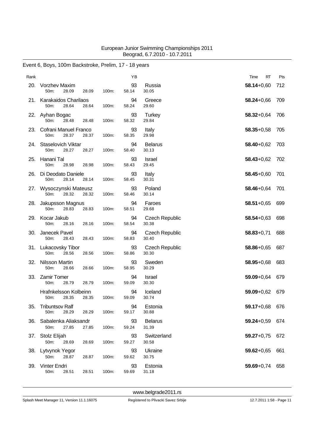# Event 6, Boys, 100m Backstroke, Prelim, 17 - 18 years

| Rank |                                            |       |       | YB          |                                | Time<br>RT     | Pts |
|------|--------------------------------------------|-------|-------|-------------|--------------------------------|----------------|-----|
| 20.  | <b>Vorzhev Maxim</b><br>28.09<br>50m:      | 28.09 | 100m: | 93<br>58.14 | Russia<br>30.05                | $58.14 + 0.60$ | 712 |
| 21.  | Karakaidos Charilaos<br>50m:<br>28.64      | 28.64 | 100m: | 94<br>58.24 | Greece<br>29.60                | $58.24 + 0.66$ | 709 |
|      | 22. Ayhan Bogac<br>50m:<br>28.48           | 28.48 | 100m: | 93<br>58.32 | Turkey<br>29.84                | $58.32 + 0.64$ | 706 |
| 23.  | Cofrani Manuel Franco<br>50m:<br>28.37     | 28.37 | 100m: | 93<br>58.35 | Italy<br>29.98                 | $58.35 + 0.58$ | 705 |
| 24.  | Staselovich Viktar<br>50m:<br>28.27        | 28.27 | 100m: | 94<br>58.40 | <b>Belarus</b><br>30.13        | $58.40 + 0.62$ | 703 |
| 25.  | Hanani Tal<br>50m:<br>28.98                | 28.98 | 100m: | 93<br>58.43 | Israel<br>29.45                | $58.43 + 0.62$ | 702 |
| 26.  | Di Deodato Daniele<br>50m:<br>28.14        | 28.14 | 100m: | 93<br>58.45 | Italy<br>30.31                 | $58.45 + 0.60$ | 701 |
| 27.  | Wysoczynski Mateusz<br>50m:<br>28.32       | 28.32 | 100m: | 93<br>58.46 | Poland<br>30.14                | $58.46 + 0.64$ | 701 |
| 28.  | Jakupsson Magnus<br>50m:<br>28.83          | 28.83 | 100m: | 94<br>58.51 | Faroes<br>29.68                | $58.51 + 0.65$ | 699 |
| 29.  | Kocar Jakub<br>50m:<br>28.16               | 28.16 | 100m: | 94<br>58.54 | <b>Czech Republic</b><br>30.38 | $58.54 + 0.63$ | 698 |
| 30.  | Janecek Pavel<br>28.43<br>50m:             | 28.43 | 100m: | 94<br>58.83 | <b>Czech Republic</b><br>30.40 | $58.83 + 0.71$ | 688 |
| 31.  | Lukacovsky Tibor<br>50m:<br>28.56          | 28.56 | 100m: | 93<br>58.86 | <b>Czech Republic</b><br>30.30 | $58.86 + 0.65$ | 687 |
| 32.  | Nilsson Martin<br>50m:<br>28.66            | 28.66 | 100m: | 93<br>58.95 | Sweden<br>30.29                | $58.95 + 0.68$ | 683 |
| 33.  | <b>Zamir Tomer</b><br>50m:<br>28.79        | 28.79 | 100m: | 94<br>59.09 | Israel<br>30.30                | 59.09+0,64     | 679 |
|      | Hrafnkelsson Kolbeinn<br>50m:<br>28.35     | 28.35 | 100m: | 94<br>59.09 | Iceland<br>30.74               | $59.09 + 0.62$ | 679 |
| 35.  | <b>Tribuntsov Ralf</b><br>28.29<br>$50m$ : | 28.29 | 100m: | 94<br>59.17 | Estonia<br>30.88               | 59.17+0,68 676 |     |
| 36.  | Sabalenka Aliaksandr<br>27.85<br>50m:      | 27.85 | 100m: | 93<br>59.24 | <b>Belarus</b><br>31.39        | 59.24+0,59 674 |     |
|      | 37. Stolz Elijah<br>50m:<br>28.69          | 28.69 | 100m: | 93<br>59.27 | Switzerland<br>30.58           | $59.27 + 0.75$ | 672 |
|      | 38. Lytvynok Yegor<br>50m:<br>28.87        | 28.87 | 100m: | 93<br>59.62 | Ukraine<br>30.75               | $59.62 + 0.65$ | 661 |
| 39.  | Vinter Endri<br>50m:<br>28.51              | 28.51 | 100m: | 93<br>59.69 | Estonia<br>31.18               | $59.69 + 0.74$ | 658 |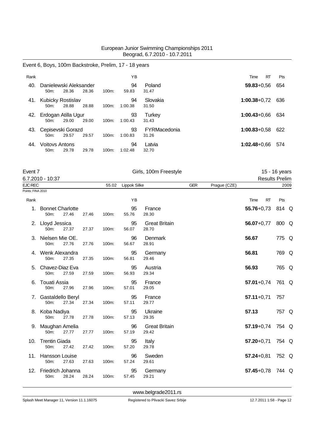### Event 6, Boys, 100m Backstroke, Prelim, 17 - 18 years

| Rank |                                            |       |       |          | ΥB            |                              | RT<br>Time       | <b>Pts</b> |
|------|--------------------------------------------|-------|-------|----------|---------------|------------------------------|------------------|------------|
| 40.  | Danielewski Aleksander<br>$50m$ :          | 28.36 | 28.36 | $100m$ : | 94<br>59.83   | Poland<br>31.47              | $59.83 + 0.56$   | 654        |
| 41.  | Kubicky Rostislav<br>$50m$ :               | 28.88 | 28.88 | $100m$ : | 94<br>1:00.38 | Slovakia<br>31.50            | $1:00.38 + 0.72$ | 636        |
| 42.  | Erdogan Atilla Ugur<br>$50m$ :             | 29.00 | 29.00 | $100m$ : | 93<br>1:00.43 | Turkey<br>31.43              | $1:00.43 + 0.66$ | 634        |
| 43.  | Cepisevski Gorazd<br>$50m$ :               | 29.57 | 29.57 | $100m$ : | 93<br>1:00.83 | <b>FYRMacedonia</b><br>31.26 | $1:00.83 + 0.58$ | 622        |
| 44.  | <b>Voitovs Antons</b><br>50 <sub>m</sub> : | 29.78 | 29.78 | $100m$ : | 94<br>1:02.48 | Latvia<br>32.70              | $1:02.48 + 0.66$ | 574        |

| Event 7           | 6.7.2010 - 10:37                             |       |       |       | Girls, 100m Freestyle |                               |            |              | 15 - 16 years         |       |      |
|-------------------|----------------------------------------------|-------|-------|-------|-----------------------|-------------------------------|------------|--------------|-----------------------|-------|------|
|                   |                                              |       |       |       |                       |                               |            |              | <b>Results Prelim</b> |       |      |
| EJC REC           |                                              |       |       | 55.02 | Lippok Silke          |                               | <b>GER</b> | Prague (CZE) |                       |       | 2009 |
| Points: FINA 2010 |                                              |       |       |       |                       |                               |            |              |                       |       |      |
| Rank              |                                              |       |       |       | YB                    |                               |            |              | <b>RT</b><br>Time     | Pts   |      |
| 1.                | <b>Bonnet Charlotte</b><br>50 <sub>m</sub> : | 27.46 | 27.46 | 100m: | 95<br>55.76           | France<br>28.30               |            |              | $55.76 + 0.73$        | 814 Q |      |
|                   | 2. Lloyd Jessica<br>50m:                     | 27.37 | 27.37 | 100m: | 95<br>56.07           | <b>Great Britain</b><br>28.70 |            |              | $56.07 + 0.77$        | 800 Q |      |
|                   | 3. Nielsen Mie OE.<br>50m:                   | 27.76 | 27.76 | 100m: | 96<br>56.67           | Denmark<br>28.91              |            |              | 56.67                 | 775 Q |      |
|                   | 4. Wenk Alexandra<br>50m:                    | 27.35 | 27.35 | 100m: | 95<br>56.81           | Germany<br>29.46              |            |              | 56.81                 | 769 Q |      |
| 5.                | Chavez-Diaz Eva<br>50m:                      | 27.59 | 27.59 | 100m: | 95<br>56.93           | Austria<br>29.34              |            |              | 56.93                 | 765 Q |      |
| 6.                | <b>Touati Assia</b><br>50m:                  | 27.96 | 27.96 | 100m: | 95<br>57.01           | France<br>29.05               |            |              | $57.01 + 0.74$        | 761 Q |      |
|                   | 7. Gastaldello Beryl<br>50m:                 | 27.34 | 27.34 | 100m: | 95<br>57.11           | France<br>29.77               |            |              | $57.11+0.71$          | 757   |      |
|                   | 8. Koba Nadiya<br>50m:                       | 27.78 | 27.78 | 100m: | 95<br>57.13           | Ukraine<br>29.35              |            |              | 57.13                 | 757 Q |      |
|                   | 9. Maughan Amelia<br>50m:                    | 27.77 | 27.77 | 100m: | 96<br>57.19           | <b>Great Britain</b><br>29.42 |            |              | $57.19 + 0.74$        | 754 Q |      |
| 10.               | <b>Trentin Giada</b><br>50 <sub>m</sub> :    | 27.42 | 27.42 | 100m: | 95<br>57.20           | Italy<br>29.78                |            |              | $57.20 + 0.71$        | 754 Q |      |
| 11.               | <b>Hansson Louise</b><br>50m:                | 27.63 | 27.63 | 100m: | 96<br>57.24           | Sweden<br>29.61               |            |              | $57.24 + 0.81$        | 752 Q |      |
| 12.               | Friedrich Johanna<br>50m:                    | 28.24 | 28.24 | 100m: | 95<br>57.45           | Germany<br>29.21              |            |              | $57.45 + 0.78$        | 744 Q |      |

<www.belgrade2011.rs>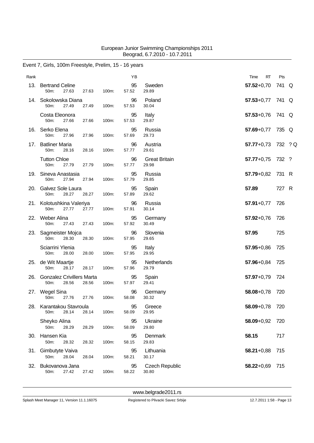# Event 7, Girls, 100m Freestyle, Prelim, 15 - 16 years

| Rank |                                                    |       |       | YB          |                                | Time<br>RT         | Pts   |  |
|------|----------------------------------------------------|-------|-------|-------------|--------------------------------|--------------------|-------|--|
| 13.  | <b>Bertrand Celine</b><br>50m:<br>27.63            | 27.63 | 100m: | 95<br>57.52 | Sweden<br>29.89                | $57.52 + 0.70$     | 741 Q |  |
|      | 14. Sokolowska Diana<br>27.49<br>50m:              | 27.49 | 100m: | 96<br>57.53 | Poland<br>30.04                | 57.53+0,77 741 Q   |       |  |
|      | Costa Eleonora<br>50m:<br>27.66                    | 27.66 | 100m: | 95<br>57.53 | Italy<br>29.87                 | $57.53 + 0.76$     | 741 Q |  |
| 16.  | Serko Elena<br>50m:<br>27.96                       | 27.96 | 100m: | 95<br>57.69 | Russia<br>29.73                | $57.69 + 0.77$     | 735 Q |  |
| 17.  | <b>Batliner Maria</b><br>50m:<br>28.16             | 28.16 | 100m: | 96<br>57.77 | Austria<br>29.61               | 57.77+0,73 732 ? Q |       |  |
|      | <b>Tutton Chloe</b><br>50m:<br>27.79               | 27.79 | 100m: | 96<br>57.77 | <b>Great Britain</b><br>29.98  | $57.77 + 0.75$     | 732 ? |  |
|      | 19. Sineva Anastasia<br>27.94<br>50 <sub>m</sub> : | 27.94 | 100m: | 95<br>57.79 | Russia<br>29.85                | $57.79 + 0.82$     | 731 R |  |
| 20.  | Galvez Sole Laura<br>28.27<br>50m:                 | 28.27 | 100m: | 95<br>57.89 | Spain<br>29.62                 | 57.89              | 727 R |  |
|      | 21. Kolotushkina Valeriya<br>50m:<br>27.77         | 27.77 | 100m: | 96<br>57.91 | Russia<br>30.14                | $57.91 + 0.77$     | 726   |  |
|      | 22. Weber Alina<br>50m:<br>27.43                   | 27.43 | 100m: | 95<br>57.92 | Germany<br>30.49               | $57.92 + 0.76$     | 726   |  |
| 23.  | Sagmeister Mojca<br>50m:<br>28.30                  | 28.30 | 100m: | 96<br>57.95 | Slovenia<br>29.65              | 57.95              | 725   |  |
|      | Sciarrini Ylenia<br>50m:<br>28.00                  | 28.00 | 100m: | 95<br>57.95 | Italy<br>29.95                 | $57.95 + 0.86$     | 725   |  |
|      | 25. de Wit Maartje<br>50m:<br>28.17                | 28.17 | 100m: | 95<br>57.96 | Netherlands<br>29.79           | $57.96 + 0.84$     | 725   |  |
| 26.  | <b>Gonzalez Crivillers Marta</b><br>50m:<br>28.56  | 28.56 | 100m: | 95<br>57.97 | Spain<br>29.41                 | $57.97 + 0.79$     | 724   |  |
|      | 27. Wegel Sina<br>27.76<br>50m:                    | 27.76 | 100m: | 96<br>58.08 | Germany<br>30.32               | $58.08 + 0.78$     | 720   |  |
|      | 28. Karantakou Stavroula<br>28.14<br>50m:          | 28.14 | 100m: | 95<br>58.09 | Greece<br>29.95                | 58.09+0,78 720     |       |  |
|      | Sheyko Alina<br>50m:<br>28.29                      | 28.29 | 100m: | 95<br>58.09 | Ukraine<br>29.80               | 58.09+0,92         | 720   |  |
|      | 30. Hansen Kia<br>50m:<br>28.32                    | 28.32 | 100m: | 95<br>58.15 | Denmark<br>29.83               | 58.15              | 717   |  |
| 31.  | Gimbutyte Vaiva<br>50m:<br>28.04                   | 28.04 | 100m: | 95<br>58.21 | Lithuania<br>30.17             | $58.21 + 0.88$     | 715   |  |
| 32.  | Bukovanova Jana<br>50m:<br>27.42                   | 27.42 | 100m: | 95<br>58.22 | <b>Czech Republic</b><br>30.80 | 58.22+0,69         | 715   |  |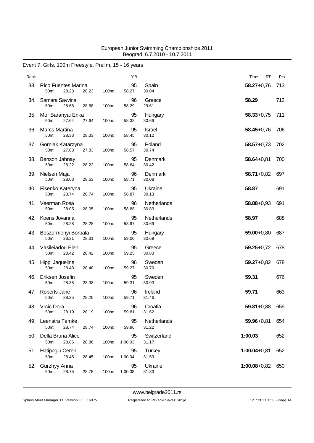# Event 7, Girls, 100m Freestyle, Prelim, 15 - 16 years

| Rank |                                             |                | YB            |                      | RT<br>Time       | Pts |
|------|---------------------------------------------|----------------|---------------|----------------------|------------------|-----|
| 33.  | <b>Rico Fuentes Marina</b><br>50m:<br>28.23 | 28.23<br>100m: | 95<br>58.27   | Spain<br>30.04       | $58.27 + 0.76$   | 713 |
| 34.  | Samara Savvina<br>28.68<br>50m:             | 28.68<br>100m: | 96<br>58.29   | Greece<br>29.61      | 58.29            | 712 |
| 35.  | Mor Baranyai Erika<br>50m:<br>27.64         | 27.64<br>100m: | 95<br>58.33   | Hungary<br>30.69     | $58.33 + 0.75$   | 711 |
| 36.  | <b>Marcs Martina</b><br>50m:<br>28.33       | 28.33<br>100m: | 95<br>58.45   | Israel<br>30.12      | $58.45 + 0.76$   | 706 |
| 37.  | Gorniak Katarzyna<br>50m:<br>27.83          | 27.83<br>100m: | 95<br>58.57   | Poland<br>30.74      | $58.57 + 0.73$   | 702 |
| 38.  | Benson Jahnay<br>50m:<br>28.22              | 28.22<br>100m: | 95<br>58.64   | Denmark<br>30.42     | $58.64 + 0.81$   | 700 |
|      | 39. Nielsen Maja<br>50m:<br>28.63           | 100m:<br>28.63 | 96<br>58.71   | Denmark<br>30.08     | $58.71 + 0.82$   | 697 |
| 40.  | Fisenko Kateryna<br>50m:<br>28.74           | 28.74<br>100m: | 95<br>58.87   | Ukraine<br>30.13     | 58.87            | 691 |
|      | 41. Veerman Rosa<br>50m:<br>28.05           | 28.05<br>100m: | 96<br>58.88   | Netherlands<br>30.83 | $58.88 + 0.93$   | 691 |
| 42.  | Koens Jovanna<br>50m:<br>28.28              | 28.28<br>100m: | 95<br>58.97   | Netherlands<br>30.69 | 58.97            | 688 |
| 43.  | Boszormenyi Borbala<br>50m:<br>28.31        | 28.31<br>100m: | 95<br>59.00   | Hungary<br>30.69     | $59.00 + 0.80$   | 687 |
|      | 44. Vasileiadou Eleni<br>28.42<br>50m:      | 28.42<br>100m: | 95<br>59.25   | Greece<br>30.83      | $59.25 + 0.72$   | 678 |
| 45.  | Hippi Jaqueline<br>50m:<br>28.48            | 28.48<br>100m: | 96<br>59.27   | Sweden<br>30.79      | $59.27 + 0.82$   | 678 |
| 46.  | Eriksen Josefin<br>50m:<br>28.38            | 100m:<br>28.38 | 95<br>59.31   | Sweden<br>30.93      | 59.31            | 676 |
| 47.  | Roberts Jane<br>28.25<br>50 <sub>m</sub> :  | 28.25<br>100m: | 96<br>59.71   | Ireland<br>31.46     | 59.71            | 663 |
|      | 48. Vrcic Dora<br>28.19<br>50m:             | 100m:<br>28.19 | 96<br>59.81   | Croatia<br>31.62     | 59.81+0,88 659   |     |
| 49.  | Leenstra Femke<br>28.74<br>50m:             | 28.74<br>100m: | 95<br>59.96   | Netherlands<br>31.22 | $59.96 + 0.81$   | 654 |
|      | 50. Della Bruna Alice<br>50m:<br>28.86      | 28.86<br>100m: | 95<br>1:00.03 | Switzerland<br>31.17 | 1:00.03          | 652 |
|      | 51. Hatipoglu Ceren<br>50m:<br>28.45        | 28.45<br>100m: | 95<br>1:00.04 | Turkey<br>31.59      | $1:00.04 + 0.81$ | 652 |
| 52.  | Gurzhyy Anna<br>50m:<br>28.75               | 28.75<br>100m: | 95<br>1:00.08 | Ukraine<br>31.33     | $1:00.08 + 0.82$ | 650 |

<www.belgrade2011.rs>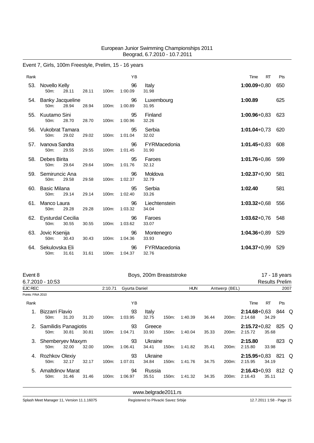# Event 7, Girls, 100m Freestyle, Prelim, 15 - 16 years

| Rank |                                             |       |          | YB            |                        | Time<br>RT       | Pts |
|------|---------------------------------------------|-------|----------|---------------|------------------------|------------------|-----|
| 53.  | Novello Kelly<br>50m:<br>28.11              | 28.11 | 100m:    | 96<br>1:00.09 | Italy<br>31.98         | $1:00.09 + 0.80$ | 650 |
| 54.  | <b>Banky Jacqueline</b><br>28.94<br>$50m$ : | 28.94 | 100m:    | 96<br>1:00.89 | Luxembourg<br>31.95    | 1:00.89          | 625 |
| 55.  | Kuutamo Sini<br>50m:<br>28.70               | 28.70 | 100m:    | 95<br>1:00.96 | Finland<br>32.26       | $1:00.96 + 0.83$ | 623 |
| 56.  | Vukobrat Tamara<br>29.02<br>50m:            | 29.02 | 100m:    | 95<br>1:01.04 | Serbia<br>32.02        | $1:01.04 + 0.73$ | 620 |
| 57.  | Ivanova Sandra<br>50m:<br>29.55             | 29.55 | $100m$ : | 96<br>1:01.45 | FYRMacedonia<br>31.90  | $1:01.45 + 0.83$ | 608 |
| 58.  | Debes Birita<br>50m:<br>29.64               | 29.64 | 100m:    | 95<br>1:01.76 | Faroes<br>32.12        | $1:01.76 + 0.86$ | 599 |
| 59.  | Semiruncic Ana<br>50m:<br>29.58             | 29.58 | $100m$ : | 96<br>1:02.37 | Moldova<br>32.79       | $1:02.37+0.90$   | 581 |
| 60.  | <b>Basic Milana</b><br>50m:<br>29.14        | 29.14 | 100m:    | 95<br>1:02.40 | Serbia<br>33.26        | 1:02.40          | 581 |
| 61.  | Manco Laura<br>50m:<br>29.28                | 29.28 | 100m:    | 96<br>1:03.32 | Liechtenstein<br>34.04 | $1:03.32+0.68$   | 556 |
| 62.  | Eysturdal Cecilia<br>$50m$ :<br>30.55       | 30.55 | $100m$ : | 96<br>1:03.62 | Faroes<br>33.07        | $1:03.62 + 0.76$ | 548 |
| 63.  | Jovic Ksenija<br>50m:<br>30.43              | 30.43 | 100m:    | 96<br>1:04.36 | Montenegro<br>33.93    | $1:04.36 + 0.89$ | 529 |
| 64.  | Sekulovska Eli<br>31.61<br>50m:             | 31.61 | 100m:    | 96<br>1:04.37 | FYRMacedonia<br>32.76  | $1:04.37+0.99$   | 529 |

| Event 8           |                                              |       |       |          |               |                  | Boys, 200m Breaststroke |            |       |               |                                 |                       | 17 - 18 years |  |
|-------------------|----------------------------------------------|-------|-------|----------|---------------|------------------|-------------------------|------------|-------|---------------|---------------------------------|-----------------------|---------------|--|
|                   | 6.7.2010 - 10:53                             |       |       |          |               |                  |                         |            |       |               |                                 | <b>Results Prelim</b> |               |  |
| EJC REC           |                                              |       |       | 2:10.71  | Gyurta Daniel |                  |                         | <b>HUN</b> |       | Antwerp (BEL) |                                 |                       | 2007          |  |
| Points: FINA 2010 |                                              |       |       |          |               |                  |                         |            |       |               |                                 |                       |               |  |
| Rank              |                                              |       |       |          | ΥB            |                  |                         |            |       |               | Time                            | RT                    | Pts           |  |
|                   | Bizzarri Flavio<br>50 <sub>m</sub> :         | 31.20 | 31.20 | 100m:    | 93<br>1:03.95 | Italy<br>32.75   | 150m:                   | 1:40.39    | 36.44 | 200m:         | $2:14.68+0.63$ 844 Q<br>2:14.68 | 34.29                 |               |  |
| 2.                | Samilidis Panagiotis<br>50 <sub>m</sub> :    | 30.81 | 30.81 | $100m$ : | 93<br>1:04.71 | Greece<br>33.90  | 150m:                   | 1:40.04    | 35.33 | 200m:         | 2:15.72+0,82 825 Q<br>2:15.72   | 35.68                 |               |  |
| 3.                | Shemberyev Maxym<br>50 <sub>m</sub> :        | 32.00 | 32.00 | 100m:    | 93<br>1:06.41 | Ukraine<br>34.41 | 150m:                   | 1:41.82    | 35.41 | 200m:         | 2:15.80<br>2:15.80              | 33.98                 | 823 Q         |  |
| 4.                | Rozhkov Olexiy<br>50 <sub>m</sub> :          | 32.17 | 32.17 | 100m:    | 93<br>1:07.01 | Ukraine<br>34.84 | 150m:                   | 1:41.76    | 34.75 | 200m:         | $2:15.95 + 0.83$<br>2:15.95     | 34.19                 | 821 Q         |  |
| 5.                | <b>Amaltdinov Marat</b><br>50 <sub>m</sub> : | 31.46 | 31.46 | 100m:    | 94<br>1:06.97 | Russia<br>35.51  | 150m:                   | 1:41.32    | 34.35 | 200m:         | $2:16.43 + 0.93$<br>2:16.43     | 35.11                 | 812 Q         |  |

<www.belgrade2011.rs>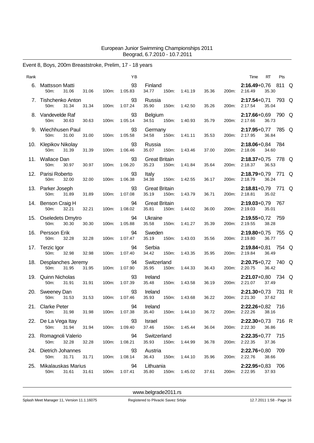# Event 8, Boys, 200m Breaststroke, Prelim, 17 - 18 years

| Rank |                                         |       |       | YB            |                                        |               |       |       | RT<br>Pts<br>Time                            |  |
|------|-----------------------------------------|-------|-------|---------------|----------------------------------------|---------------|-------|-------|----------------------------------------------|--|
|      | 6. Mattsson Matti<br>50m:<br>31.06      | 31.06 | 100m: | 93<br>1:05.83 | Finland<br>34.77<br>150m:              | 1:41.19       | 35.36 | 200m: | 2:16.49+0,76 811 Q<br>2:16.49<br>35.30       |  |
|      | 7. Tishchenko Anton<br>50m:<br>31.34    | 31.34 | 100m: | 93<br>1:07.24 | Russia<br>35.90<br>150m:               | 1:42.50       | 35.26 | 200m: | 2:17.54+0,71 793 Q<br>2:17.54<br>35.04       |  |
|      | 8. Vandevelde Raf<br>50m:<br>30.63      | 30.63 | 100m: | 93<br>1:05.14 | Belgium<br>34.51<br>150m:              | 1:40.93       | 35.79 | 200m: | 2:17.66+0,69 790 Q<br>36.73<br>2:17.66       |  |
|      | 9. Wiechhusen Paul<br>50m:<br>31.00     | 31.00 | 100m: | 93<br>1:05.58 | Germany<br>150m:<br>34.58              | 1:41.11       | 35.53 | 200m: | 2:17.95+0,77 785 Q<br>2:17.95<br>36.84       |  |
|      | 10. Klepikov Nikolay<br>50m:<br>31.39   | 31.39 | 100m: | 93<br>1:06.46 | Russia<br>35.07<br>150m:               | 1:43.46       | 37.00 | 200m: | 2:18.06+0,84 784<br>2:18.06<br>34.60         |  |
|      | 11. Wallace Dan<br>50m:<br>30.97        | 30.97 | 100m: | 93<br>1:06.20 | <b>Great Britain</b><br>35.23<br>150m: | 1:41.84       | 35.64 | 200m: | 2:18.37+0,75 778 Q<br>36.53<br>2:18.37       |  |
| 12.  | Parisi Roberto<br>32.00<br>50m:         | 32.00 | 100m: | 93<br>1:06.38 | Italy<br>34.38<br>150m:                | 1:42.55       | 36.17 | 200m: | 2:18.79+0,79 771 Q<br>2:18.79<br>36.24       |  |
|      | 13. Parker Joseph<br>50m:<br>31.89      | 31.89 | 100m: | 93<br>1:07.08 | <b>Great Britain</b><br>35.19<br>150m: | 1:43.79       | 36.71 | 200m: | $2:18.81+0.79$ 771 Q<br>35.02<br>2:18.81     |  |
|      | 14. Benson Craig H<br>50m:<br>32.21     | 32.21 | 100m: | 94<br>1:08.02 | <b>Great Britain</b><br>35.81<br>150m: | 1:44.02       | 36.00 | 200m: | 2:19.03+0,79 767<br>35.01<br>2:19.03         |  |
|      | 15. Oseledets Dmytro<br>50m:<br>30.30   | 30.30 | 100m: | 94<br>1:05.88 | Ukraine<br>150m:<br>35.58              | 1:41.27       | 35.39 | 200m: | 2:19.55+0,72 759<br>2:19.55<br>38.28         |  |
|      | 16. Persson Erik<br>50m:<br>32.28       | 32.28 | 100m: | 94<br>1:07.47 | Sweden<br>35.19<br>150m:               | 1:43.03       | 35.56 | 200m: | $2:19.80+0.75$ 755 Q<br>2:19.80<br>36.77     |  |
|      | 17. Terzic Igor<br>50m:<br>32.98        | 32.98 | 100m: | 94<br>1:07.40 | Serbia<br>34.42<br>150m:               | 1:43.35       | 35.95 | 200m: | 2:19.84+0,81 754 Q<br>2:19.84<br>36.49       |  |
|      | 18. Desplanches Jeremy<br>50m:<br>31.95 | 31.95 | 100m: | 94<br>1:07.90 | Switzerland<br>35.95<br>150m:          | 1:44.33       | 36.43 | 200m: | 2:20.75+0,72 740 Q<br>2:20.75<br>36.42       |  |
|      | 19. Quinn Nicholas<br>50m:<br>31.91     | 31.91 | 100m: | 93<br>1:07.39 | Ireland<br>35.48<br>150m:              | 1:43.58       | 36.19 | 200m: | $2:21.07+0.80$ 734 Q<br>2:21.07<br>37.49     |  |
|      | 20. Sweeney Dan<br>50m:<br>31.53        | 31.53 | 100m: | 93<br>1:07.46 | Ireland<br>35.93<br>150m:              | 1:43.68       | 36.22 | 200m: | $2:21.30+0.73$ 731 R<br>2:21.30<br>37.62     |  |
|      | 21. Clarke Peter<br>31.98<br>50m:       | 31.98 | 100m: | 94<br>1:07.38 | Ireland<br>35.40                       | 150m: 1:44.10 | 36.72 |       | 2:22.26+0,82 716<br>200m: 2:22.26<br>38.16   |  |
|      | 22. De La Vega Itay<br>31.94<br>50m:    | 31.94 | 100m: | 93<br>1:09.40 | Israel<br>37.46                        | 150m: 1:45.44 | 36.04 |       | 2:22.30+0,73 716 R<br>200m: 2:22.30<br>36.86 |  |
|      | 23. Romagnoli Valerio<br>50m:<br>32.28  | 32.28 | 100m: | 94<br>1:08.21 | Switzerland<br>35.93<br>150m:          | 1:44.99       | 36.78 |       | $2:22.35+0.77$ 715<br>200m: 2:22.35<br>37.36 |  |
|      | 24. Dietrich Johannes<br>50m:<br>31.71  | 31.71 | 100m: | 93<br>1:08.14 | Austria<br>36.43                       | 150m: 1:44.10 | 35.96 |       | 2:22.76+0,80 709<br>200m: 2:22.76<br>38.66   |  |
|      | 25. Mikalauskas Marius<br>50m:<br>31.61 | 31.61 | 100m: | 94<br>1:07.41 | Lithuania<br>35.80                     | 150m: 1:45.02 | 37.61 |       | 2:22.95+0,83 706<br>200m: 2:22.95<br>37.93   |  |
|      |                                         |       |       |               |                                        |               |       |       |                                              |  |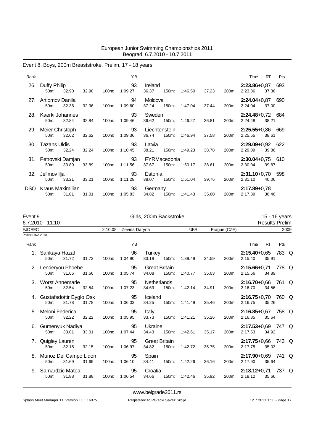# Event 8, Boys, 200m Breaststroke, Prelim, 17 - 18 years

| Rank |                                       |       |       |       | YB            |                        |                       |         |       |       | Time                          | RT    | <b>Pts</b> |
|------|---------------------------------------|-------|-------|-------|---------------|------------------------|-----------------------|---------|-------|-------|-------------------------------|-------|------------|
| 26.  | Duffy Philip<br>50m:                  | 32.90 | 32.90 | 100m: | 93<br>1:09.27 | Ireland<br>36.37       | 150m:                 | 1:46.50 | 37.23 | 200m: | $2:23.86+0.87$ 693<br>2:23.86 | 37.36 |            |
| 27.  | Artiomov Danila<br>50 <sub>m</sub> :  | 32.36 | 32.36 | 100m: | 94<br>1:09.60 | Moldova<br>37.24       | 150m:                 | 1:47.04 | 37.44 | 200m: | $2:24.04+0.87$ 690<br>2:24.04 | 37.00 |            |
| 28.  | Kaerki Johannes<br>$50m$ :            | 32.84 | 32.84 | 100m: | 93<br>1:09.46 | Sweden<br>36.62        | 150m:                 | 1:46.27 | 36.81 | 200m: | $2:24.48+0.72$ 684<br>2:24.48 | 38.21 |            |
| 29.  | Meier Christoph<br>50 <sub>m</sub> :  | 32.62 | 32.62 | 100m: | 93<br>1:09.36 | Liechtenstein<br>36.74 | 150m:                 | 1:46.94 | 37.58 | 200m: | $2:25.55+0.86$ 669<br>2:25.55 | 38.61 |            |
| 30.  | Tazans Uldis<br>50 <sub>m</sub> :     | 32.24 | 32.24 | 100m: | 93<br>1:10.45 | Latvia<br>38.21        | 150m:                 | 1:49.23 | 38.78 | 200m: | $2:29.09+0.92$ 622<br>2:29.09 | 39.86 |            |
|      | 31. Petrovski Damjan<br>50m:          | 33.89 | 33.89 | 100m: | 93<br>1:11.56 | 37.67                  | FYRMacedonia<br>150m: | 1:50.17 | 38.61 | 200m: | $2:30.04+0.75$ 610<br>2:30.04 | 39.87 |            |
| 32.  | Jefimov Ilja<br>50 <sub>m</sub> :     | 33.21 | 33.21 | 100m: | 93<br>1:11.28 | Estonia<br>38.07       | 150m:                 | 1:51.04 | 39.76 | 200m: | 2:31.10+0,70 598<br>2:31.10   | 40.06 |            |
| DSQ. | Kraus Maximilian<br>50 <sub>m</sub> : | 31.01 | 31.01 | 100m: | 93<br>1:05.83 | Germany<br>34.82       | 150m:                 | 1:41.43 | 35.60 | 200m: | $2:17.89 + 0.78$<br>2:17.89   | 36.46 |            |

| Event 9           | 6.7.2010 - 11:10                    |       |       | Girls, 200m Backstroke |               |                               |       |            |       |              | 15 - 16 years<br><b>Results Prelim</b> |           |      |  |
|-------------------|-------------------------------------|-------|-------|------------------------|---------------|-------------------------------|-------|------------|-------|--------------|----------------------------------------|-----------|------|--|
| <b>EJC REC</b>    |                                     |       |       | 2:10.08                | Zevina Daryna |                               |       | <b>UKR</b> |       | Praque (CZE) |                                        |           | 2009 |  |
| Points: FINA 2010 |                                     |       |       |                        |               |                               |       |            |       |              |                                        |           |      |  |
| Rank              |                                     |       |       |                        | YB            |                               |       |            |       |              | Time                                   | <b>RT</b> | Pts  |  |
|                   | 1. Sarikaya Hazal<br>50m:           | 31.72 | 31.72 | 100m:                  | 96<br>1:04.90 | Turkey<br>33.18               | 150m: | 1:39.49    | 34.59 | 200m:        | $2:15.40+0.65$ 783 Q<br>2:15.40        | 35.91     |      |  |
|                   | 2. Lenderyou Phoebe<br>50m:         | 31.66 | 31.66 | 100m:                  | 95<br>1:05.74 | <b>Great Britain</b><br>34.08 | 150m: | 1:40.77    | 35.03 | 200m:        | 2:15.66+0,71 778 Q<br>2:15.66          | 34.89     |      |  |
| 3.                | Worst Annemarie<br>50m:             | 32.54 | 32.54 | 100m:                  | 95<br>1:07.23 | <b>Netherlands</b><br>34.69   | 150m: | 1:42.14    | 34.91 | 200m:        | 2:16.70+0,66 761 Q<br>2:16.70          | 34.56     |      |  |
|                   | 4. Gustafsdottir Eyglo Osk<br>50m:  | 31.78 | 31.78 | 100m:                  | 95<br>1:06.03 | Iceland<br>34.25              | 150m: | 1:41.49    | 35.46 | 200m:        | 2:16.75+0,70 760 Q<br>2:16.75          | 35.26     |      |  |
| 5.                | Meloni Federica<br>50m:             | 32.22 | 32.22 | 100m:                  | 95<br>1:05.95 | Italy<br>33.73                | 150m: | 1:41.21    | 35.26 | 200m:        | 2:16.85+0,67 758 Q<br>2:16.85          | 35.64     |      |  |
|                   | 6. Gumenyuk Nadiya<br>50m:          | 33.01 | 33.01 | 100m:                  | 95<br>1:07.44 | Ukraine<br>34.43              | 150m: | 1:42.61    | 35.17 | 200m:        | 2:17.53+0,69 747 Q<br>2:17.53          | 34.92     |      |  |
| $\mathcal{L}$     | Quigley Lauren<br>50m:              | 32.15 | 32.15 | 100m:                  | 95<br>1:06.97 | <b>Great Britain</b><br>34.82 | 150m: | 1:42.72    | 35.75 | 200m:        | 2:17.75+0,66 743 Q<br>2:17.75          | 35.03     |      |  |
|                   | 8. Munoz Del Campo Lidon<br>$50m$ : | 31.69 | 31.69 | 100m:                  | 95<br>1:06.10 | Spain<br>34.41                | 150m: | 1:42.26    | 36.16 | 200m:        | $2:17.90+0.69$ 741 Q<br>2:17.90        | 35.64     |      |  |
| 9.                | Samardzic Matea<br>50m:             | 31.88 | 31.88 | 100m:                  | 95<br>1:06.54 | Croatia<br>34.66              | 150m: | 1:42.46    | 35.92 | 200m:        | 2:18.12+0,71 737 Q<br>2:18.12          | 35.66     |      |  |

<www.belgrade2011.rs>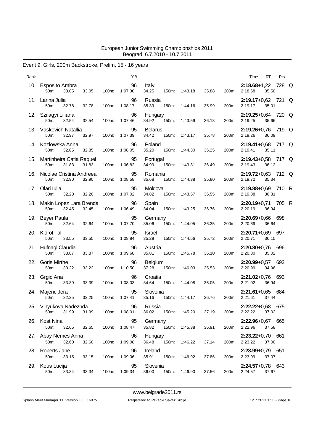### Event 9, Girls, 200m Backstroke, Prelim, 15 - 16 years

| Rank |                                               |       |       | YB                  |                                 |       |               |       |       | Time                                    | RT    | Pts |  |
|------|-----------------------------------------------|-------|-------|---------------------|---------------------------------|-------|---------------|-------|-------|-----------------------------------------|-------|-----|--|
|      | 10. Esposito Ambra<br>33.05<br>50m:           | 33.05 | 100m: | 96<br>1:07.30       | Italy<br>34.25                  | 150m: | 1:43.18       | 35.88 | 200m: | $2:18.68+1,22$ 728 Q<br>2:18.68         | 35.50 |     |  |
|      | 11. Larina Julia<br>50m:<br>32.78             | 32.78 | 100m: | 96<br>1:08.17       | Russia<br>35.39                 | 150m: | 1:44.16       | 35.99 | 200m: | 2:19.17+0,62 721 Q<br>2:19.17           | 35.01 |     |  |
|      | 12. Szilagyi Liliana<br>50m:<br>32.54         | 32.54 | 100m: | 96<br>1:07.46       | Hungary<br>34.92                | 150m: | 1:43.59       | 36.13 | 200m: | 2:19.25+0,64 720 Q<br>2:19.25           | 35.66 |     |  |
|      | 13. Vaskevich Natallia<br>32.97<br>50m:       | 32.97 | 100m: | 95<br>1:07.39       | <b>Belarus</b><br>34.42         | 150m: | 1:43.17       | 35.78 | 200m: | 2:19.26+0,76 719 Q<br>2:19.26           | 36.09 |     |  |
|      | 14. Kozlowska Anna<br>50m:<br>32.85           | 32.85 | 100m: | 96<br>1:08.05       | Poland<br>35.20                 | 150m: | 1:44.30       | 36.25 | 200m: | 2:19.41+0,68 717 Q<br>2:19.41           | 35.11 |     |  |
|      | 15. Martinheira Catia Raquel<br>31.83<br>50m: | 31.83 | 100m: | 95<br>1:06.82       | Portugal<br>34.99               | 150m: | 1:43.31       | 36.49 | 200m: | 2:19.43+0,58 717 Q<br>2:19.43           | 36.12 |     |  |
| 16.  | Nicolae Cristina Andreea<br>32.90<br>50m:     | 32.90 | 100m: | 95<br>1:08.58       | Romania<br>35.68                | 150m: | 1:44.38       | 35.80 | 200m: | 2:19.72+0,63 712 Q<br>2:19.72           | 35.34 |     |  |
| 17.  | Olari Iulia<br>50m:<br>32.20                  | 32.20 | 100m: | 95<br>1:07.02       | Moldova<br>34.82                | 150m: | 1:43.57       | 36.55 | 200m: | 2:19.88+0,69 710 R<br>2:19.88           | 36.31 |     |  |
|      | 18. Makin Lopez Lara Brenda<br>50m:<br>32.45  | 32.45 | 100m: | 96<br>1:06.49       | Spain<br>34.04                  | 150m: | 1:43.25       | 36.76 | 200m: | 2:20.19+0,71 705 R<br>2:20.19           | 36.94 |     |  |
|      | 19. Beyer Paula<br>50m:<br>32.64              | 32.64 | 100m: | 95<br>1:07.70       | Germany<br>35.06                | 150m: | 1:44.05       | 36.35 | 200m: | 2:20.69+0,66 698<br>2:20.69             | 36.64 |     |  |
|      | 20. Kidrol Tal<br>50m:<br>33.55               | 33.55 | 100m: | 95<br>1:08.84       | Israel<br>35.29                 | 150m: | 1:44.56       | 35.72 | 200m: | $2:20.71+0.69$ 697<br>2:20.71           | 36.15 |     |  |
|      | 21. Hufnagl Claudia<br>33.87<br>50m:          | 33.87 | 100m: | 96<br>1:09.68       | Austria<br>35.81                | 150m: | 1:45.78       | 36.10 | 200m: | 2:20.80+0,76 696<br>2:20.80             | 35.02 |     |  |
| 22.  | <b>Goris Mirthe</b><br>33.22<br>50m:          | 33.22 | 100m: | 96<br>1:10.50       | <b>Belgium</b><br>37.28         | 150m: | 1:46.03       | 35.53 | 200m: | $2:20.99 + 0.57$ 693<br>2:20.99         | 34.96 |     |  |
|      | 23. Grgic Ana<br>50m:<br>33.39                | 33.39 | 100m: | 96<br>1:08.03       | Croatia<br>34.64                | 150m: | 1:44.08       | 36.05 | 200m: | $2:21.02+0.76$ 693<br>2:21.02           | 36.94 |     |  |
|      | 24. Majeric Jera<br>32.25<br>50m:             | 32.25 | 100m: | 95<br>1:07.41       | Slovenia<br>35.16               | 150m: | 1:44.17       | 36.76 |       | $2:21.61+0.65$ 684<br>200m: 2:21.61     | 37.44 |     |  |
|      | 25. Vinyukova Nadezhda<br>31.99 31.99<br>50m: |       |       | 96<br>100m: 1:08.01 | Russia<br>36.02 150m: 1:45.20   |       |               | 37.19 |       | 2:22.22+0,68 675<br>200m: 2:22.22 37.02 |       |     |  |
|      | 26. Kost Nina<br>50m:<br>32.65                | 32.65 |       | 95<br>100m: 1:08.47 | Germany<br>35.82  150m: 1:45.38 |       |               | 36.91 |       | 2:22.96+0,67 665<br>200m: 2:22.96       | 37.58 |     |  |
|      | 27. Abay Nemes Anna<br>50m: 32.60             | 32.60 | 100m: | 96<br>1:09.08       | Hungary<br>36.48 150m: 1:46.22  |       |               | 37.14 |       | $2:23.22+0.70$ 661<br>200m: 2:23.22     | 37.00 |     |  |
|      | 28. Roberts Jane<br>33.15<br>50m:             | 33.15 | 100m: | 96<br>1:09.06       | Ireland<br>35.91  150m: 1:46.92 |       |               | 37.86 |       | $2:23.99+0.79$ 651<br>200m: 2:23.99     | 37.07 |     |  |
|      | 29. Kous Lucija<br>33.34<br>50m:              | 33.34 | 100m: | 95<br>1:09.34       | Slovenia<br>36.00               |       | 150m: 1:46.90 | 37.56 |       | 2:24.57+0,78 643<br>200m: 2:24.57       | 37.67 |     |  |
|      |                                               |       |       |                     |                                 |       |               |       |       |                                         |       |     |  |

<www.belgrade2011.rs>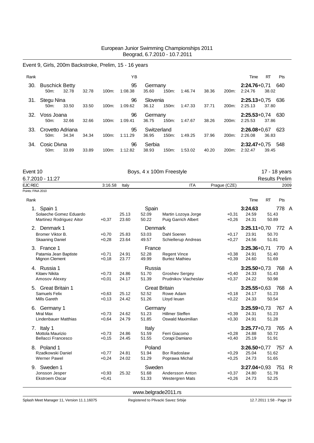### Event 9, Girls, 200m Backstroke, Prelim, 15 - 16 years

| Rank |                                  |       |       |          | ΥB            |                      |          |         |       |       | Time                          | RT    | <b>Pts</b> |
|------|----------------------------------|-------|-------|----------|---------------|----------------------|----------|---------|-------|-------|-------------------------------|-------|------------|
| 30.  | <b>Buschick Betty</b><br>$50m$ : | 32.78 | 32.78 | $100m$ : | 95<br>1:08.38 | Germany<br>35.60     | $150m$ : | 1:46.74 | 38.36 | 200m: | $2:24.76+0.71$<br>2:24.76     | 38.02 | 640        |
| 31.  | Stegu Nina<br>$50m$ :            | 33.50 | 33.50 | 100m:    | 96<br>1:09.62 | Slovenia<br>36.12    | 150m:    | 1:47.33 | 37.71 | 200m: | $2:25.13+0.75$ 636<br>2:25.13 | 37.80 |            |
| 32.  | Voss Joana<br>$50m$ :            | 32.66 | 32.66 | 100m:    | 96<br>1:09.41 | Germany<br>36.75     | $150m$ : | 1:47.67 | 38.26 | 200m: | $2:25.53+0.74$ 630<br>2:25.53 | 37.86 |            |
| 33.  | Crovetto Adriana<br>$50m$ :      | 34.34 | 34.34 | 100m:    | 95<br>1:11.29 | Switzerland<br>36.95 | $150m$ : | 1:49.25 | 37.96 | 200m: | $2:26.08+0.67$<br>2:26.08     | 36.83 | 623        |
| 34.  | Cosic Divna<br>50 <sub>m</sub> : | 33.89 | 33.89 | $100m$ : | 96<br>1:12.82 | Serbia<br>38.93      | 150m:    | 1:53.02 | 40.20 | 200m: | $2:32.47+0.75$ 548<br>2:32.47 | 39.45 |            |

| Event 10                                                         |                    | Boys, 4 x 100m Freestyle | 17 - 18 years<br><b>Results Prelim</b> |                                               |                    |                                  |                |          |
|------------------------------------------------------------------|--------------------|--------------------------|----------------------------------------|-----------------------------------------------|--------------------|----------------------------------|----------------|----------|
| 6.7.2010 - 11:27                                                 |                    |                          |                                        |                                               |                    |                                  |                |          |
| <b>EJC REC</b>                                                   | 3:16.58            | Italy                    |                                        | <b>ITA</b>                                    | Praque (CZE)       |                                  |                | 2009     |
| Points: FINA 2010                                                |                    |                          |                                        |                                               |                    |                                  |                |          |
| Rank                                                             |                    |                          |                                        |                                               |                    | Time                             | RT             | Pts      |
| 1. Spain 1<br>Solaeche Gomez Eduardo<br>Martinez Rodriguez Aitor | $+0,37$            | 25.13<br>23.60           | Spain<br>52.09<br>50.22                | Martin Lozoya Jorge<br>Puig Garrich Albert    | $+0,31$<br>$+0,26$ | 3:24.63<br>24.59<br>24.31        | 51.43<br>50.89 | 778 A    |
| 2. Denmark 1                                                     |                    |                          | Denmark                                |                                               |                    | $3:25.11+0.70$                   |                | 772 A    |
| Bromer Viktor B.<br><b>Skaaning Daniel</b>                       | $+0,70$<br>$+0,28$ | 25.83<br>23.64           | 53.03<br>49.57                         | Dahl Soeren<br>Schiellerup Andreas            | $+0,17$<br>$+0,27$ | 23.91<br>24.56                   | 50.70<br>51.81 |          |
| 3. France 1                                                      |                    |                          | France                                 |                                               |                    | $3:25.36+0.71$                   |                | 770 A    |
| Patamia Jean Baptiste<br>Mignon Clement                          | $+0,71$<br>$+0,18$ | 24.91<br>23.77           | 52.28<br>49.99                         | <b>Regent Vince</b><br><b>Burtez Mathieu</b>  | $+0,38$<br>$+0,39$ | 24.91<br>24.60                   | 51.40<br>51.69 |          |
| 4. Russia 1                                                      |                    |                          | Russia                                 |                                               |                    | $3:25.50 + 0.73$                 |                | 768 A    |
| <b>Kitaev Nikita</b><br>Amosov Alexey                            | $+0.73$<br>$+0,01$ | 24.86<br>24.17           | 51.70<br>51.39                         | <b>Groshev Sergey</b><br>Prudnikov Viacheslav | $+0,40$<br>$+0.37$ | 24.33<br>24.22                   | 51.43<br>50.98 |          |
| 5. Great Britain 1                                               |                    |                          |                                        | <b>Great Britain</b>                          |                    | $3:25.55+0.63$                   |                | 768 A    |
| Samuels Felix<br>Mills Gareth                                    | $+0,63$<br>$+0,13$ | 25.12<br>24.42           | 52.52<br>51.26                         | Rowe Adam<br>Lloyd leuan                      | $+0,18$<br>$+0,22$ | 24.17<br>24.33                   | 51.23<br>50.54 |          |
| 6. Germany 1                                                     |                    |                          | Germany                                |                                               |                    | $3:25.59 + 0.73$                 |                | 767 A    |
| Mral Max<br>Lindenbauer Matthias                                 | $+0,73$<br>$+0,64$ | 24.62<br>24.79           | 51.23<br>51.85                         | <b>Hillmer Steffen</b><br>Oswald Maximilian   | $+0.39$<br>$+0,30$ | 24.31<br>24.91                   | 51.23<br>51.28 |          |
| 7. Italy 1<br>Mottola Maurizio<br><b>Bellacci Francesco</b>      | $+0.73$<br>$+0,15$ | 24.86<br>24.45           | Italy<br>51.59<br>51.55                | Ferri Giacomo<br>Corapi Damiano               | $+0.28$<br>$+0,40$ | $3:25.77+0.73$<br>24.88<br>25.19 | 50.72<br>51.91 | 765 A    |
| 8. Poland 1                                                      |                    |                          | Poland                                 |                                               |                    | $3:26.50+0.77$                   |                | 757 A    |
| Rzadkowski Daniel<br><b>Werner Pawel</b>                         | $+0,77$<br>$+0,24$ | 24.81<br>24.02           | 51.94<br>51.29                         | <b>Bor Radoslaw</b><br>Poprawa Michal         | $+0,29$<br>$+0,25$ | 25.04<br>24.73                   | 51.62<br>51.65 |          |
| 9. Sweden 1                                                      |                    |                          | Sweden                                 |                                               |                    | $3:27.04 + 0.93$                 |                | 751<br>R |
| Jonsson Jesper<br><b>Ekstroem Oscar</b>                          | $+0,93$<br>$+0,41$ | 25.32                    | 51.68<br>51.33                         | Andersson Anton<br><b>Westergren Mats</b>     | $+0,37$<br>$+0,26$ | 24.80<br>24.73                   | 51.78<br>52.25 |          |

<www.belgrade2011.rs>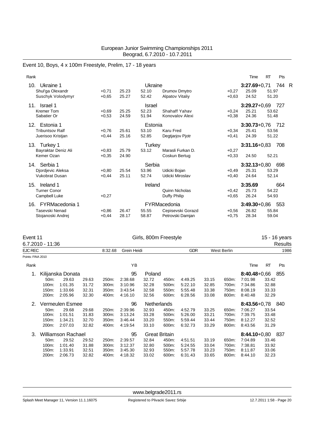Event 10, Boys, 4 x 100m Freestyle, Prelim, 17 - 18 years

| Rank                         |         |       |         |                        |         | Time             | <b>RT</b> | Pts   |  |
|------------------------------|---------|-------|---------|------------------------|---------|------------------|-----------|-------|--|
| Ukraine 1<br>10.             |         |       | Ukraine |                        |         | $3:27.69 + 0.71$ |           | 744 R |  |
| Shul'ga Olexandr             | $+0,71$ | 25.23 | 52.10   | Drumov Dmytro          | $+0.27$ | 25.09            | 51.97     |       |  |
| Suschyk Volodymyr            | $+0.65$ | 25.27 | 52.42   | <b>Alpatov Vitaliy</b> | $+0.63$ | 24.52            | 51.20     |       |  |
| 11.<br>Israel 1              |         |       | Israel  |                        |         | $3:29.27+0.69$   |           | 727   |  |
| <b>Kremer Tom</b>            | $+0.69$ | 25.25 | 52.23   | Shahaff Yahav          | $+0,24$ | 25.21            | 53.62     |       |  |
| Sabatier Or                  | $+0.53$ | 24.59 | 51.94   | Konovalov Alexi        | $+0.38$ | 24.36            | 51.48     |       |  |
| Estonia 1<br>12.             |         |       | Estonia |                        |         | $3:30.73+0.76$   |           | 712   |  |
| <b>Tribuntsov Ralf</b>       | $+0.76$ | 25.61 | 53.10   | <b>Karu Fred</b>       | $+0.34$ | 25.41            | 53.56     |       |  |
| Juerisoo Kristjan            | $+0.44$ | 25.16 | 52.85   | Degtjarjov Pjotr       | $+0,41$ | 24.39            | 51.22     |       |  |
| 13.<br>Turkey 1              |         |       | Turkey  |                        |         | $3:31.16 + 0.83$ |           | 708   |  |
| Bayraktar Deniz Ali          | $+0,83$ | 25.79 | 53.12   | Marasli Furkan D.      | $+0,27$ |                  |           |       |  |
| Kemer Ozan                   | $+0,35$ | 24.90 |         | Coskun Bertug          | $+0.33$ | 24.50            | 52.21     |       |  |
| Serbia 1<br>14.              |         |       | Serbia  |                        |         | $3:32.13+0.80$   |           | 698   |  |
| Djordjevic Aleksa            | $+0.80$ | 25.54 | 53.96   | Udicki Bojan           | $+0.49$ | 25.31            | 53.29     |       |  |
| <b>Vukobrat Dusan</b>        | $+0,44$ | 25.11 | 52.74   | Udicki Miroslav        | $+0,40$ | 24.64            | 52.14     |       |  |
| 15.<br>Ireland 1             |         |       | Ireland |                        |         | 3:35.69          |           | 664   |  |
| <b>Turner Conor</b>          |         |       |         | Quinn Nicholas         | $+0.42$ | 25.73            | 54.22     |       |  |
| Campbell Luke                | $+0,27$ |       |         | Duffy Philip           | $+0.65$ | 26.24            | 54.93     |       |  |
| <b>FYRMacedonia 1</b><br>16. |         |       |         | FYRMacedonia           |         | $3:49.30 + 0.86$ |           | 553   |  |
| Tasevski Nenad               | $+0.86$ | 26.47 | 55.55   | Cepisevski Gorazd      | $+0.56$ | 26.82            | 55.84     |       |  |
| Stojanoski Andrej            | $+0,44$ | 28.17 | 58.87   | Petrovski Damjan       | $+0,75$ | 28.34            | 59.04     |       |  |
|                              |         |       |         |                        |         |                  |           |       |  |

| Event 11          |                  |                    |       |         |             | 15 - 16 years        |       |            |       |             |                  |           |         |  |
|-------------------|------------------|--------------------|-------|---------|-------------|----------------------|-------|------------|-------|-------------|------------------|-----------|---------|--|
|                   | 6.7.2010 - 11:36 |                    |       |         |             |                      |       |            |       |             |                  |           | Results |  |
| <b>EJC REC</b>    |                  |                    |       | 8:32.68 | Grein Heidi |                      |       | <b>GDR</b> |       | West Berlin |                  |           | 1986    |  |
| Points: FINA 2010 |                  |                    |       |         |             |                      |       |            |       |             |                  |           |         |  |
| Rank              |                  |                    |       |         | ΥB          |                      |       |            |       |             | Time             | <b>RT</b> | Pts     |  |
|                   |                  | Kilijanska Donata  |       |         | 95          | Poland               |       |            |       |             | $8:40.48 + 0.66$ |           | 855     |  |
|                   | 50m:             | 29.63              | 29.63 | 250m:   | 2:38.68     | 32.72                | 450m: | 4:49.25    | 33.15 | 650m:       | 7:01.98          | 33.42     |         |  |
|                   | 100m:            | 1:01.35            | 31.72 | 300m:   | 3:10.96     | 32.28                | 500m: | 5:22.10    | 32.85 | 700m:       | 7:34.86          | 32.88     |         |  |
|                   | 150m:            | 1:33.66            | 32.31 | 350m:   | 3:43.54     | 32.58                | 550m: | 5:55.48    | 33.38 | 750m:       | 8:08.19          | 33.33     |         |  |
|                   | 200m:            | 2:05.96            | 32.30 | 400m:   | 4:16.10     | 32.56                | 600m: | 6:28.56    | 33.08 | 800m:       | 8:40.48          | 32.29     |         |  |
| 2.                | Vermeulen Esmee  |                    |       |         | 96          | Netherlands          |       |            |       |             | 8:43.56+0,78 840 |           |         |  |
|                   | 50m:             | 29.68              | 29.68 | 250m:   | 2:39.96     | 32.93                | 450m: | 4:52.79    | 33.25 | 650m:       | 7:06.27          | 33.54     |         |  |
|                   | 100m:            | 1:01.51            | 31.83 | 300m:   | 3:13.24     | 33.28                | 500m: | 5:26.00    | 33.21 | 700m:       | 7:39.75          | 33.48     |         |  |
|                   | 150m:            | 1:34.21            | 32.70 | 350m:   | 3:46.44     | 33.20                | 550m: | 5:59.44    | 33.44 | 750m:       | 8.12.27          | 32.52     |         |  |
|                   | 200m:            | 2:07.03            | 32.82 | 400m:   | 4:19.54     | 33.10                | 600m: | 6:32.73    | 33.29 | 800m:       | 8.43.56          | 31.29     |         |  |
| 3.                |                  | Williamson Rachael |       |         | 95          | <b>Great Britain</b> |       |            |       |             | $8:44.10 + 0.80$ |           | - 837   |  |
|                   | 50m:             | 29.52              | 29.52 | 250m:   | 2:39.57     | 32.84                | 450m: | 4:51.51    | 33.19 | 650m:       | 7:04.89          | 33.46     |         |  |
|                   | 100m:            | 1:01.40            | 31.88 | 300m:   | 3:12.37     | 32.80                | 500m: | 5:24.55    | 33.04 | 700m:       | 7:38.81          | 33.92     |         |  |
|                   | 150m:            | 1:33.91            | 32.51 | 350m:   | 3:45.30     | 32.93                | 550m: | 5:57.78    | 33.23 | 750m:       | 8:11.87          | 33.06     |         |  |
|                   | 200m:            | 2:06.73            | 32.82 | 400m:   | 4:18.32     | 33.02                | 600m: | 6:31.43    | 33.65 | 800m:       | 8.44.10          | 32.23     |         |  |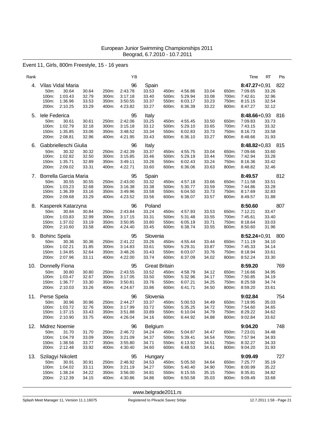### Event 11, Girls, 800m Freestyle, 15 - 16 years

| Rank |                                                                                                    |                                                                      | ΥB                                             |                                                          |                                  |                                          |                                  |                                  | Time                                                         | Pts<br>RT                               |
|------|----------------------------------------------------------------------------------------------------|----------------------------------------------------------------------|------------------------------------------------|----------------------------------------------------------|----------------------------------|------------------------------------------|----------------------------------|----------------------------------|--------------------------------------------------------------|-----------------------------------------|
| 4.   | Vilas Vidal Maria<br>30.64<br>50m:<br>100m:<br>1:03.43<br>1:36.96<br>150m:<br>200m:<br>2:10.25     | 30.64<br>250m:<br>32.79<br>300m:<br>33.53<br>350m:<br>400m:<br>33.29 | 96<br>2:43.78<br>3:17.18<br>3:50.55<br>4:23.82 | Spain<br>33.53<br>33.40<br>33.37<br>33.27                | 450m:<br>500m:<br>550m:<br>600m: | 4:56.86<br>5:29.94<br>6:03.17<br>6:36.39 | 33.04<br>33.08<br>33.23<br>33.22 | 650m:<br>700m:<br>750m:<br>800m: | $8:47.27+0.91$<br>7:09.65<br>7:42.61<br>8:15.15<br>8:47.27   | 822<br>33.26<br>32.96<br>32.54<br>32.12 |
| 5.   | lele Federica<br>50m:<br>30.61<br>100m:<br>1:02.79<br>150m:<br>1:35.85<br>200m:<br>2:08.81         | 30.61<br>250m:<br>32.18<br>300m:<br>33.06<br>350m:<br>32.96<br>400m: | 95<br>2:42.06<br>3:15.18<br>3:48.52<br>4:21.95 | Italy<br>33.25<br>33.12<br>33.34<br>33.43                | 450m:<br>500m:<br>550m:<br>600m: | 4:55.45<br>5:29.10<br>6:02.83<br>6:36.10 | 33.50<br>33.65<br>33.73<br>33.27 | 650m:<br>700m:<br>750m:<br>800m: | 8:48.66+0,93 816<br>7:09.83<br>7:43.15<br>8:16.73<br>8:48.66 | 33.73<br>33.32<br>33.58<br>31.93        |
| 6.   | Gabbrielleschi Giulia<br>50m:<br>30.32<br>1:02.82<br>100m:<br>1:35.71<br>150m:<br>200m:<br>2:09.02 | 30.32<br>250m:<br>32.50<br>300m:<br>32.89<br>350m:<br>33.31<br>400m: | 96<br>2:42.39<br>3:15.85<br>3:49.11<br>4:22.71 | Italy<br>33.37<br>33.46<br>33.26<br>33.60                | 450m:<br>500m:<br>550m:<br>600m: | 4:55.75<br>5:29.19<br>6:02.43<br>6.36.06 | 33.04<br>33.44<br>33.24<br>33.63 | 650m:<br>700m:<br>750m:<br>800m: | $8:48.82+0.83$<br>7:09.66<br>7:42.94<br>8:16.36<br>8:48.82   | 815<br>33.60<br>33.28<br>33.42<br>32.46 |
| 7.   | Borrella Garcia Maria<br>50m:<br>30.55<br>1:03.23<br>100m:<br>150m:<br>1:36.39<br>200m:<br>2:09.68 | 30.55<br>250m:<br>32.68<br>300m:<br>33.16<br>350m:<br>33.29<br>400m: | 95<br>2:43.00<br>3:16.38<br>3:49.96<br>4:23.52 | Spain<br>33.32<br>33.38<br>33.58<br>33.56                | 450m:<br>500m:<br>550m:<br>600m: | 4:57.18<br>5:30.77<br>6:04.50<br>6:38.07 | 33.66<br>33.59<br>33.73<br>33.57 | 650m:<br>700m:<br>750m:<br>800m: | 8:49.57<br>7:11.58<br>7:44.86<br>8:17.69<br>8:49.57          | 812<br>33.51<br>33.28<br>32.83<br>31.88 |
| 8.   | Kasperek Katarzyna<br>50m:<br>30.84<br>100m:<br>1:03.83<br>150m:<br>1:37.02<br>200m:<br>2:10.60    | 30.84<br>250m:<br>32.99<br>300m:<br>33.19<br>350m:<br>33.58<br>400m: | 96<br>2:43.84<br>3:17.15<br>3:50.95<br>4:24.40 | Poland<br>33.24<br>33.31<br>33.80<br>33.45               | 450m:<br>500m:<br>550m:<br>600m: | 4:57.93<br>5:31.48<br>6:05.19<br>6.38.74 | 33.53<br>33.55<br>33.71<br>33.55 | 650m:<br>700m:<br>750m:<br>800m: | 8:50.60<br>7:12.21<br>7:45.61<br>8:18.64<br>8:50.60          | 807<br>33.47<br>33.40<br>33.03<br>31.96 |
| 9.   | <b>Bohinc Spela</b><br>50m:<br>30.36<br>1:02.21<br>100m:<br>150m:<br>1:34.85<br>200m:<br>2:07.96   | 30.36<br>250m:<br>31.85<br>300m:<br>32.64<br>350m:<br>33.11<br>400m: | 95<br>2:41.22<br>3:14.83<br>3:48.26<br>4:22.00 | Slovenia<br>33.26<br>33.61<br>33.43<br>33.74             | 450m:<br>500m:<br>550m:<br>600m: | 4:55.44<br>5:29.31<br>6:03.07<br>6.37.09 | 33.44<br>33.87<br>33.76<br>34.02 | 650m:<br>700m:<br>750m:<br>800m: | $8:52.24 + 0.91$<br>7:11.19<br>7:45.33<br>8:18.94<br>8:52.24 | 800<br>34.10<br>34.14<br>33.61<br>33.30 |
| 10.  | Donnelly Fiona<br>50m:<br>30.80<br>100m:<br>1:03.47<br>1:36.77<br>150m:<br>200m:<br>2:10.03        | 30.80<br>250m:<br>32.67<br>300m:<br>33.30<br>350m:<br>33.26<br>400m: | 95<br>2:43.55<br>3:17.05<br>3:50.81<br>4:24.67 | <b>Great Britain</b><br>33.52<br>33.50<br>33.76<br>33.86 | 450m:<br>500m:<br>550m:<br>600m: | 4:58.79<br>5:32.96<br>6:07.21<br>6:41.71 | 34.12<br>34.17<br>34.25<br>34.50 | 650m:<br>700m:<br>750m:<br>800m: | 8:59.20<br>7:16.66<br>7:50.85<br>8:25.59<br>8:59.20          | 769<br>34.95<br>34.19<br>34.74<br>33.61 |
| 11.  | Perse Spela<br>50m:<br>30.96<br>100m: 1:03.72<br>150m:<br>1:37.15<br>200m:<br>2:10.90              | 30.96<br>250m:<br>32.76<br>300m:<br>33.43<br>350m:<br>33.75<br>400m: | 96<br>2:44.27<br>3:17.99<br>3:51.88<br>4:26.04 | Slovenia<br>33.37<br>33.72<br>33.89<br>34.16             | 450m:<br>500m:<br>550m:<br>600m: | 5:00.53<br>5:35.25<br>6:10.04<br>6:44.92 | 34.49<br>34.72<br>34.79<br>34.88 | 650m:<br>700m:<br>750m:<br>800m: | 9:02.84<br>7:19.95<br>7:54.60<br>8:29.22<br>9:02.84          | 754<br>35.03<br>34.65<br>34.62<br>33.62 |
| 12.  | Midrez Noemie<br>50m:<br>31.70<br>100m:<br>1:04.79<br>150m:<br>1:38.56<br>200m:<br>2:12.48         | 31.70<br>250m:<br>33.09<br>300m:<br>33.77<br>350m:<br>33.92<br>400m: | 96<br>2:46.72<br>3:21.09<br>3:55.80<br>4:30.40 | Belgium<br>34.24<br>34.37<br>34.71<br>34.60              | 450m:<br>500m:<br>550m:<br>600m: | 5:04.87<br>5:39.41<br>6:13.92<br>6:48.53 | 34.47<br>34.54<br>34.51<br>34.61 | 650m:<br>700m:<br>750m:<br>800m: | 9:04.20<br>7:23.01<br>7:57.94<br>8:32.27<br>9:04.20          | 748<br>34.48<br>34.93<br>34.33<br>31.93 |
| 13.  | Szilagyi Nikolett<br>50m:<br>30.91<br>100m:<br>1:04.02<br>150m:<br>1:38.24<br>200m:<br>2:12.39     | 30.91<br>250m:<br>33.11<br>300m:<br>34.22<br>350m:<br>34.15<br>400m: | 95<br>2:46.92<br>3:21.19<br>3:56.00<br>4:30.86 | Hungary<br>34.53<br>34.27<br>34.81<br>34.86              | 450m:<br>500m:<br>550m:<br>600m: | 5:05.50<br>5:40.40<br>6:15.55<br>6:50.58 | 34.64<br>34.90<br>35.15<br>35.03 | 650m:<br>700m:<br>750m:<br>800m: | 9:09.49<br>7:25.77<br>8:00.99<br>8:35.81<br>9:09.49          | 727<br>35.19<br>35.22<br>34.82<br>33.68 |

<www.belgrade2011.rs>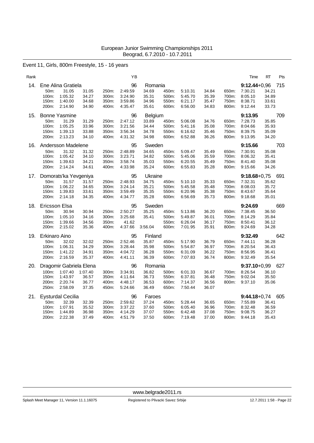### Event 11, Girls, 800m Freestyle, 15 - 16 years

| Rank |                                                                                                                                               | ΥB                                                                                 |                                                                                 |                                                                              |                                  | Time                                                           | RT<br>Pts                               |
|------|-----------------------------------------------------------------------------------------------------------------------------------------------|------------------------------------------------------------------------------------|---------------------------------------------------------------------------------|------------------------------------------------------------------------------|----------------------------------|----------------------------------------------------------------|-----------------------------------------|
| 14.  | Ene Alina Gratiela<br>50m:<br>31.05<br>31.05<br>1:05.32<br>34.27<br>100m:<br>1:40.00<br>34.68<br>150m:<br>200m:<br>2:14.90<br>34.90           | 96<br>250m:<br>2:49.59<br>300m:<br>3:24.90<br>350m:<br>3:59.86<br>400m:<br>4:35.47 | Romania<br>34.69<br>450m:<br>35.31<br>500m:<br>34.96<br>550m:<br>35.61<br>600m: | 34.84<br>5:10.31<br>5:45.70<br>35.39<br>35.47<br>6:21.17<br>6:56.00<br>34.83 | 650m:<br>700m:<br>750m:<br>800m: | $9:12.44+0.96$<br>7:30.21<br>8:05.10<br>8:38.71<br>9:12.44     | 715<br>34.21<br>34.89<br>33.61<br>33.73 |
| 15.  | <b>Bonne Yasmine</b><br>50m:<br>31.29<br>31.29<br>100m:<br>1:05.25<br>33.96<br>150m:<br>1:39.13<br>33.88<br>200m:<br>2:13.23<br>34.10         | 96<br>2:47.12<br>250m:<br>300m:<br>3:21.56<br>350m:<br>3:56.34<br>400m:<br>4:31.32 | Belgium<br>33.89<br>450m:<br>34.44<br>500m:<br>34.78<br>550m:<br>34.98<br>600m: | 5:06.08<br>34.76<br>5:41.16<br>35.08<br>6:16.62<br>35.46<br>6:52.88<br>36.26 | 650m:<br>700m:<br>750m:<br>800m: | 9:13.95<br>7:28.73<br>8:04.66<br>8:39.75<br>9:13.95            | 709<br>35.85<br>35.93<br>35.09<br>34.20 |
| 16.  | Andersson Madelene<br>50m:<br>31.32<br>31.32<br>100m:<br>1:05.42<br>34.10<br>150m:<br>1:39.63<br>34.21<br>34.61<br>200m:<br>2:14.24           | 95<br>2:48.89<br>250m:<br>300m:<br>3:23.71<br>350m:<br>3:58.74<br>400m:<br>4:33.98 | Sweden<br>34.65<br>450m:<br>34.82<br>500m:<br>35.03<br>550m:<br>35.24<br>600m:  | 5:09.47<br>35.49<br>5:45.06<br>35.59<br>6:20.55<br>35.49<br>35.28<br>6:55.83 | 650m:<br>700m:<br>750m:<br>800m: | 9:15.66<br>7:30.91<br>8:06.32<br>8:41.40<br>9:15.66            | 703<br>35.08<br>35.41<br>35.08<br>34.26 |
| 17.  | Domorats'ka Yevgeniya<br>50m:<br>31.57<br>31.57<br>100m:<br>1:06.22<br>34.65<br>150m:<br>1:39.83<br>33.61<br>200m:<br>2:14.18<br>34.35        | 95<br>2:48.93<br>250m:<br>3:24.14<br>300m:<br>350m:<br>3:59.49<br>400m:<br>4:34.77 | Ukraine<br>34.75<br>450m:<br>35.21<br>500m:<br>35.35<br>550m:<br>35.28<br>600m: | 5:10.10<br>35.33<br>35.48<br>5:45.58<br>6:20.96<br>35.38<br>6:56.69<br>35.73 | 650m:<br>700m:<br>750m:<br>800m: | $9:18.68 + 0.75$<br>7:32.31<br>8:08.03<br>8:43.67<br>9:18.68   | 691<br>35.62<br>35.72<br>35.64<br>35.01 |
| 18.  | Ericsson Elsa<br>50m:<br>30.94<br>30.94<br>100m:<br>1:05.10<br>34.16<br>150m:<br>1:39.66<br>34.56<br>200m:<br>2:15.02<br>35.36                | 95<br>2:50.27<br>250m:<br>300m:<br>3:25.68<br>350m:<br>41.62<br>400m:<br>4:37.66   | Sweden<br>35.25<br>450m:<br>35.41<br>500m:<br>550m:<br>3:56.04<br>600m:         | 5:13.86<br>36.20<br>5:49.87<br>36.01<br>6:26.04<br>36.17<br>7:01.95<br>35.91 | 650m:<br>700m:<br>750m:<br>800m: | 9:24.69<br>7:38.45<br>8:14.29<br>8:50.41<br>9:24.69            | 669<br>36.50<br>35.84<br>36.12<br>34.28 |
| 19.  | Erkinaro Aino<br>32.02<br>32.02<br>50m:<br>34.29<br>100m:<br>1:06.31<br>34.91<br>150m:<br>1:41.22<br>200m:<br>2:16.59<br>35.37                | 95<br>2:52.46<br>250m:<br>300m:<br>3:28.44<br>350m:<br>4:04.72<br>400m:<br>4:41.11 | Finland<br>35.87<br>450m:<br>35.98<br>500m:<br>36.28<br>550m:<br>36.39<br>600m: | 36.79<br>5:17.90<br>5:54.87<br>36.97<br>36.22<br>6:31.09<br>7:07.83<br>36.74 | 650m:<br>700m:<br>750m:<br>800m: | 9:32.49<br>7:44.11<br>8:20.54<br>8:56.95<br>9:32.49            | 642<br>36.28<br>36.43<br>36.41<br>35.54 |
| 20.  | Dragomir Gabriela Elena<br>100m:<br>1:07.40<br>1:07.40<br>150m:<br>1:43.97<br>36.57<br>200m:<br>2:20.74<br>36.77<br>250m:<br>2:58.09<br>37.35 | 96<br>300m:<br>3.34.91<br>350m:<br>4:11.64<br>400m:<br>4:48.17<br>5:24.66<br>450m: | Romania<br>36.82<br>500m:<br>36.73<br>550m:<br>36.53<br>600m:<br>36.49<br>650m: | 6:01.33<br>36.67<br>6:37.81<br>36.48<br>7:14.37<br>36.56<br>7:50.44<br>36.07 | 700m:<br>750m:<br>800m:          | $9:37.10+0.99$<br>8:26.54<br>9:02.04<br>9:37.10                | 627<br>36.10<br>35.50<br>35.06          |
| 21.  | <b>Eysturdal Cecilia</b><br>32.39<br>32.39<br>50m:<br>100m:<br>1:07.91<br>35.52<br>36.98<br>1:44.89<br>150m:<br>200m:<br>2:22.38<br>37.49     | 96<br>2:59.62<br>250m:<br>300m:<br>3:37.22<br>350m:<br>4:14.29<br>400m:<br>4:51.79 | Faroes<br>37.24<br>450m:<br>37.60<br>500m:<br>37.07<br>550m:<br>37.50<br>600m:  | 5:28.44<br>36.65<br>6:05.40<br>36.96<br>6:42.48<br>37.08<br>7:19.48<br>37.00 | 650m:<br>700m:<br>750m:<br>800m: | $9:44.18+0.74$ 605<br>7:55.89<br>8:32.48<br>9:08.75<br>9:44.18 | 36.41<br>36.59<br>36.27<br>35.43        |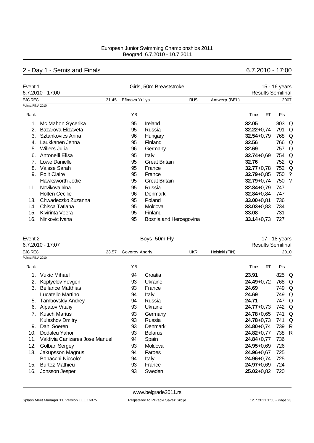# 2 - Day 1 - Semis and Finals 6.7.2010 - 17:00

| Event 1           | 6.7.2010 - 17:00      |       |                | Girls, 50m Breaststroke |            | 15 - 16 years<br><b>Results Semifinal</b> |                |           |       |      |
|-------------------|-----------------------|-------|----------------|-------------------------|------------|-------------------------------------------|----------------|-----------|-------|------|
| <b>EJC REC</b>    |                       | 31.45 | Efimova Yuliya |                         | <b>RUS</b> | Antwerp (BEL)                             |                |           |       | 2007 |
| Points: FINA 2010 |                       |       |                |                         |            |                                           |                |           |       |      |
| Rank              |                       |       | YB             |                         |            |                                           | Time           | <b>RT</b> | Pts   |      |
|                   | Mc Mahon Sycerika     |       | 95             | Ireland                 |            |                                           | 32.05          |           | 803 Q |      |
|                   | Bazarova Elizaveta    |       | 95             | Russia                  |            |                                           | $32.22 + 0.74$ |           | 791   | Q    |
| 3.                | Sztankovics Anna      |       | 96             | Hungary                 |            |                                           | $32.54 + 0.79$ |           | 768   | Q    |
| 4.                | Laukkanen Jenna       |       | 95             | Finland                 |            |                                           | 32.56          |           | 766   | Q    |
| 5.                | <b>Willers Julia</b>  |       | 96             | Germany                 |            |                                           | 32.69          |           | 757   | Q    |
| 6.                | Antonelli Elisa       |       | 95             | Italy                   |            |                                           | $32.74 + 0.69$ |           | 754   | Q    |
| 7.                | Lowe Danielle         |       | 95             | <b>Great Britain</b>    |            |                                           | 32.76          |           | 752   | Q    |
| 8.                | Vaisse Sarah          |       | 95             | France                  |            |                                           | $32.77 + 0.78$ |           | 752   | Q    |
| 9.                | <b>Polit Claire</b>   |       | 95             | France                  |            |                                           | $32.79 + 0.85$ |           | 750   | - ?  |
|                   | Hawksworth Jodie      |       | 95             | <b>Great Britain</b>    |            |                                           | $32.79 + 0.74$ |           | 750   | -?   |
| 11.               | Novikova Irina        |       | 95             | Russia                  |            |                                           | $32.84 + 0.79$ |           | 747   |      |
|                   | <b>Holten Cecilie</b> |       | 96             | Denmark                 |            |                                           | $32.84 + 0.84$ |           | 747   |      |
| 13.               | Chwadeczko Zuzanna    |       | 95             | Poland                  |            |                                           | $33.00 + 0.81$ |           | 736   |      |
| 14.               | Chisca Tatiana        |       | 95             | Moldova                 |            |                                           | $33.03 + 0.83$ |           | 734   |      |
| 15.               | Kivirinta Veera       |       | 95             | Finland                 |            |                                           | 33.08          |           | 731   |      |
| 16.               | Ninkovic Ivana        |       | 95             | Bosnia and Hercegovina  |            |                                           | $33.14 + 0.73$ |           | 727   |      |

| Event 2           |                                |                | Boys, 50m Fly  |            | 17 - 18 years  |                |    |                          |      |
|-------------------|--------------------------------|----------------|----------------|------------|----------------|----------------|----|--------------------------|------|
|                   | 6.7.2010 - 17:07               |                |                |            |                |                |    | <b>Results Semifinal</b> |      |
| EJC REC           | 23.57                          | Govorov Andriy |                | <b>UKR</b> | Helsinki (FIN) |                |    |                          | 2010 |
| Points: FINA 2010 |                                |                |                |            |                |                |    |                          |      |
| Rank              |                                | YB             |                |            |                | Time           | RT | Pts                      |      |
|                   | <b>Vukic Mihael</b>            | 94             | Croatia        |            |                | 23.91          |    | 825 Q                    |      |
| 2.                | Koptyelov Yevgen               | 93             | Ukraine        |            |                | $24.49 + 0.72$ |    | 768                      | Q    |
| 3.                | <b>Bellance Matthias</b>       | 93             | France         |            |                | 24.69          |    | 749                      | Q    |
|                   | Lucatello Martino              | 94             | Italy          |            |                | 24.69          |    | 749 Q                    |      |
| 5.                | <b>Tambovskiy Andrey</b>       | 94             | Russia         |            |                | 24.71          |    | 747 Q                    |      |
| 6.                | Alpatov Vitaliy                | 93             | Ukraine        |            |                | $24.77 + 0.73$ |    | 742 Q                    |      |
| 7.                | <b>Kusch Marius</b>            | 93             | Germany        |            |                | $24.78 + 0.65$ |    | 741                      | Q    |
|                   | <b>Kuleshov Dmitry</b>         | 93             | Russia         |            |                | $24.78 + 0.73$ |    | 741                      | Q    |
| 9.                | Dahl Soeren                    | 93             | Denmark        |            |                | $24.80 + 0.74$ |    | 739                      | R    |
| 10.               | Dodaleu Yahor                  | 93             | <b>Belarus</b> |            |                | $24.82 + 0.77$ |    | 738                      | R    |
| 11.               | Valdivia Canizares Jose Manuel | 94             | Spain          |            |                | $24.84 + 0.77$ |    | 736                      |      |
| 12.               | Golban Sergey                  | 93             | Moldova        |            |                | $24.95 + 0.69$ |    | 726                      |      |
| 13.               | Jakupsson Magnus               | 94             | Faroes         |            |                | $24.96 + 0.67$ |    | 725                      |      |
|                   | Bonacchi Niccolo'              | 94             | Italy          |            |                | $24.96 + 0.74$ |    | 725                      |      |
| 15.               | <b>Burtez Mathieu</b>          | 93             | France         |            |                | $24.97 + 0.69$ |    | 724                      |      |
| 16.               | Jonsson Jesper                 | 93             | Sweden         |            |                | $25.02 + 0.82$ |    | 720                      |      |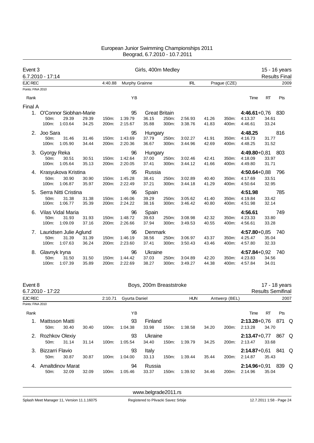| Event 3           | 6.7.2010 - 17:14 |                        |       |         |                | Girls, 400m Medley |                      |            |       |              |                    |           | 15 - 16 years<br><b>Results Final</b> |
|-------------------|------------------|------------------------|-------|---------|----------------|--------------------|----------------------|------------|-------|--------------|--------------------|-----------|---------------------------------------|
| <b>EJC REC</b>    |                  |                        |       | 4:40.88 | Murphy Grainne |                    |                      | <b>IRL</b> |       | Prague (CZE) |                    |           | 2009                                  |
| Points: FINA 2010 |                  |                        |       |         |                |                    |                      |            |       |              |                    |           |                                       |
| Rank              |                  |                        |       |         | YB             |                    |                      |            |       |              | Time               | <b>RT</b> | Pts                                   |
| Final A           |                  |                        |       |         |                |                    |                      |            |       |              |                    |           |                                       |
| 1.                |                  | O'Connor Siobhan-Marie |       |         | 95             |                    | <b>Great Britain</b> |            |       |              | $4:46.61+0.76$ 830 |           |                                       |
|                   | 50m:             | 29.39                  | 29.39 | 150m:   | 1:39.79        | 36.15              | 250m:                | 2:56.93    | 41.26 | 350m:        | 4:13.37            | 34.61     |                                       |
|                   | 100m:            | 1:03.64                | 34.25 | 200m:   | 2:15.67        | 35.88              | 300m:                | 3:38.76    | 41.83 | 400m:        | 4:46.61            | 33.24     |                                       |
| 2.                | Joo Sara         |                        |       |         | 95             | Hungary            |                      |            |       |              | 4:48.25            |           | 816                                   |
|                   | 50m:             | 31.46                  | 31.46 | 150m:   | 1:43.69        | 37.79              | 250m:                | 3:02.27    | 41.91 | 350m.        | 4:16.73            | 31.77     |                                       |
|                   | 100m:            | 1:05.90                | 34.44 | 200m:   | 2:20.36        | 36.67              | 300m:                | 3:44.96    | 42.69 | 400m:        | 4:48.25            | 31.52     |                                       |
| 3.                | Gyorgy Reka      |                        |       |         | 96             | Hungary            |                      |            |       |              | $4:49.80 + 0.81$   |           | 803                                   |
|                   | 50m:             | 30.51                  | 30.51 | 150m:   | 1:42.64        | 37.00              | 250m:                | 3:02.46    | 42.41 | 350m:        | 4:18.09            | 33.97     |                                       |
|                   | 100m:            | 1:05.64                | 35.13 | 200m:   | 2:20.05        | 37.41              | 300m:                | 3:44.12    | 41.66 | 400m:        | 4:49.80            | 31.71     |                                       |
|                   |                  | 4. Krasyukova Kristina |       |         | 95             | Russia             |                      |            |       |              | $4:50.64 + 0.88$   |           | 796                                   |
|                   | 50m:             | 30.90                  | 30.90 | 150m:   | 1:45.28        | 38.41              | 250m:                | 3:02.89    | 40.40 | 350m:        | 4:17.69            | 33.51     |                                       |
|                   | 100m:            | 1:06.87                | 35.97 | 200m:   | 2:22.49        | 37.21              | 300m:                | 3:44.18    | 41.29 | 400m:        | 4:50.64            | 32.95     |                                       |
| 5.                |                  | Serra Nitti Cristina   |       |         | 96             | Spain              |                      |            |       |              | 4:51.98            |           | 785                                   |
|                   | 50m:             | 31.38                  | 31.38 | 150m:   | 1:46.06        | 39.29              | 250m:                | 3:05.62    | 41.40 | 350m:        | 4:19.84            | 33.42     |                                       |
|                   | 100m:            | 1:06.77                | 35.39 | 200m:   | 2:24.22        | 38.16              | 300m:                | 3:46.42    | 40.80 | 400m:        | 4:51.98            | 32.14     |                                       |
| 6.                |                  | Vilas Vidal Maria      |       |         | 96             | Spain              |                      |            |       |              | 4:56.61            |           | 749                                   |
|                   | 50m:             | 31.93                  | 31.93 | 150m:   | 1:48.72        | 39.63              | 250m:                | 3:08.98    | 42.32 | 350m:        | 4:23.33            | 33.80     |                                       |
|                   | 100m:            | 1:09.09                | 37.16 | 200m:   | 2:26.66        | 37.94              | 300m:                | 3:49.53    | 40.55 | 400m:        | 4:56.61            | 33.28     |                                       |
|                   |                  | Lauridsen Julie Aglund |       |         | 96             | Denmark            |                      |            |       |              | $4:57.80 + 0.85$   |           | - 740                                 |
|                   | 50m:             | 31.39                  | 31.39 | 150m:   | 1:46.19        | 38.56              | 250m:                | 3:06.97    | 43.37 | 350m:        | 4:25.47            | 35.04     |                                       |
|                   | 100m:            | 1:07.63                | 36.24 | 200m:   | 2:23.60        | 37.41              | 300m:                | 3:50.43    | 43.46 | 400m:        | 4:57.80            | 32.33     |                                       |
| 8.                | Glavnyk Iryna    |                        |       |         | 96             | Ukraine            |                      |            |       |              | $4:57.84 + 0.92$   |           | - 740                                 |
|                   | 50m:             | 31.50                  | 31.50 | 150m:   | 1:44.42        | 37.03              | 250m:                | 3:04.89    | 42.20 | 350m:        | 4:23.83            | 34.56     |                                       |
|                   | 100m:            | 1:07.39                | 35.89 | 200m:   | 2:22.69        | 38.27              | 300m:                | 3:49.27    | 44.38 | 400m:        | 4:57.84            | 34.01     |                                       |
|                   |                  |                        |       |         |                |                    |                      |            |       |              |                    |           |                                       |

| Event 8           | 6.7.2010 - 17:22                      |       |       |          |               |                  | Boys, 200m Breaststroke |            |       |               |                             |       | 17 - 18 years<br><b>Results Semifinal</b> |  |
|-------------------|---------------------------------------|-------|-------|----------|---------------|------------------|-------------------------|------------|-------|---------------|-----------------------------|-------|-------------------------------------------|--|
| <b>EJC REC</b>    |                                       |       |       | 2:10.71  | Gyurta Daniel |                  |                         | <b>HUN</b> |       | Antwerp (BEL) |                             |       | 2007                                      |  |
| Points: FINA 2010 |                                       |       |       |          |               |                  |                         |            |       |               |                             |       |                                           |  |
| Rank              |                                       |       |       |          | ΥB            |                  |                         |            |       |               | Time                        | RT    | Pts                                       |  |
| 1.                | Mattsson Matti<br>50 <sub>m</sub> :   | 30.40 | 30.40 | 100m:    | 93<br>1:04.38 | Finland<br>33.98 | 150m:                   | 1:38.58    | 34.20 | 200m:         | $2:13.28 + 0.76$<br>2:13.28 | 34.70 | 871 Q                                     |  |
| 2.                | Rozhkov Olexiy<br>50 <sub>m</sub> :   | 31.14 | 31.14 | $100m$ : | 93<br>1:05.54 | Ukraine<br>34.40 | 150m:                   | 1:39.79    | 34.25 | 200m:         | $2:13.47+0.77$<br>2:13.47   | 33.68 | 867 Q                                     |  |
| 3.                | Bizzarri Flavio<br>50 <sub>m</sub> :  | 30.87 | 30.87 | 100m:    | 93<br>1:04.00 | Italy<br>33.13   | $150m$ :                | 1:39.44    | 35.44 | 200m:         | $2:14.87 + 0.61$<br>2:14.87 | 35.43 | 841 Q                                     |  |
| 4                 | Amaltdinov Marat<br>50 <sub>m</sub> : | 32.09 | 32.09 | $100m$ : | 94<br>1:05.46 | Russia<br>33.37  | $150m$ :                | 1:39.92    | 34.46 | 200m:         | $2:14.96 + 0.91$<br>2:14.96 | 35.04 | 839 Q                                     |  |

<www.belgrade2011.rs>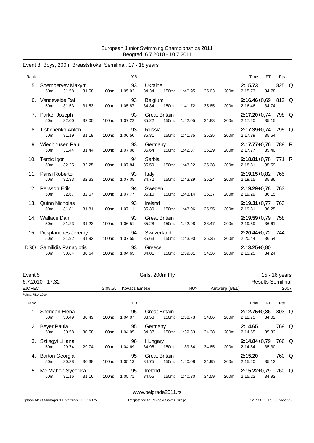# Event 8, Boys, 200m Breaststroke, Semifinal, 17 - 18 years

| Rank |                                                  |       |       | <b>YB</b>     |                               |       |         |       |       | Time                            | <b>RT</b> | Pts   |  |
|------|--------------------------------------------------|-------|-------|---------------|-------------------------------|-------|---------|-------|-------|---------------------------------|-----------|-------|--|
| 5.   | Shemberyev Maxym<br>31.58<br>$50m$ :             | 31.58 | 100m: | 93<br>1:05.92 | Ukraine<br>34.34              | 150m: | 1:40.95 | 35.03 | 200m: | 2:15.73<br>2:15.73              | 34.78     | 825 Q |  |
| 6.   | Vandevelde Raf<br>31.53<br>50m:                  | 31.53 | 100m: | 93<br>1:05.87 | Belgium<br>34.34              | 150m: | 1:41.72 | 35.85 | 200m: | 2:16.46+0,69 812 Q<br>2:16.46   | 34.74     |       |  |
|      | 7. Parker Joseph<br>50m:<br>32.00                | 32.00 | 100m: | 93<br>1:07.22 | <b>Great Britain</b><br>35.22 | 150m: | 1:42.05 | 34.83 | 200m: | 2:17.20+0,74 798 Q<br>2:17.20   | 35.15     |       |  |
| 8.   | Tishchenko Anton<br>50m:<br>31.19                | 31.19 | 100m: | 93<br>1:06.50 | Russia<br>35.31               | 150m: | 1:41.85 | 35.35 | 200m: | 2:17.39+0,74 795 Q<br>2:17.39   | 35.54     |       |  |
|      | 9. Wiechhusen Paul<br>31.44<br>50 <sub>m</sub> : | 31.44 | 100m: | 93<br>1:07.08 | Germany<br>35.64              | 150m: | 1:42.37 | 35.29 | 200m: | 2:17.77+0,76 789 R<br>2:17.77   | 35.40     |       |  |
|      | 10. Terzic Igor<br>50 <sub>m</sub> :<br>32.25    | 32.25 | 100m: | 94<br>1:07.84 | Serbia<br>35.59               | 150m: | 1:43.22 | 35.38 | 200m: | $2:18.81+0.78$ 771 R<br>2:18.81 | 35.59     |       |  |
|      | 11. Parisi Roberto<br>50m:<br>32.33              | 32.33 | 100m: | 93<br>1:07.05 | Italy<br>34.72                | 150m: | 1:43.29 | 36.24 | 200m: | 2:19.15+0,82 765<br>2:19.15     | 35.86     |       |  |
|      | 12. Persson Erik<br>32.67<br>50m:                | 32.67 | 100m: | 94<br>1:07.77 | Sweden<br>35.10               | 150m: | 1:43.14 | 35.37 | 200m: | 2:19.29+0.78 763<br>2:19.29     | 36.15     |       |  |
|      | 13. Quinn Nicholas<br>31.81<br>50m:              | 31.81 | 100m: | 93<br>1:07.11 | Ireland<br>35.30              | 150m: | 1:43.06 | 35.95 | 200m: | $2:19.31+0.77$ 763<br>2:19.31   | 36.25     |       |  |
|      | 14. Wallace Dan<br>31.23<br>50m:                 | 31.23 | 100m: | 93<br>1:06.51 | <b>Great Britain</b><br>35.28 | 150m: | 1:42.98 | 36.47 | 200m: | 2:19.59+0,79 758<br>2:19.59     | 36.61     |       |  |
| 15.  | Desplanches Jeremy<br>31.92<br>50m:              | 31.92 | 100m: | 94<br>1:07.55 | Switzerland<br>35.63          | 150m: | 1:43.90 | 36.35 | 200m: | 2:20.44+0,72 744<br>2:20.44     | 36.54     |       |  |
| DSQ. | Samilidis Panagiotis<br>30.64<br>50m:            | 30.64 | 100m: | 93<br>1:04.65 | Greece<br>34.01               | 150m: | 1:39.01 | 34.36 | 200m: | $2:13.25+0.80$<br>2:13.25       | 34.24     |       |  |

| Event 5           |                                        |       |       |         |                     | Girls, 200m Fly  |                               |            |       |               |                             |       | 15 - 16 years            |      |
|-------------------|----------------------------------------|-------|-------|---------|---------------------|------------------|-------------------------------|------------|-------|---------------|-----------------------------|-------|--------------------------|------|
|                   | 6.7.2010 - 17:32                       |       |       |         |                     |                  |                               |            |       |               |                             |       | <b>Results Semifinal</b> |      |
| <b>EJC REC</b>    |                                        |       |       | 2:08.55 | <b>Kovacs Emese</b> |                  |                               | <b>HUN</b> |       | Antwerp (BEL) |                             |       |                          | 2007 |
| Points: FINA 2010 |                                        |       |       |         |                     |                  |                               |            |       |               |                             |       |                          |      |
| Rank              |                                        |       |       |         | ΥB                  |                  |                               |            |       |               | Time                        | RT    | Pts                      |      |
| 1.                | Sheridan Elena<br>50m:                 | 30.49 | 30.49 | 100m:   | 95<br>1:04.07       | 33.58            | <b>Great Britain</b><br>150m: | 1:38.73    | 34.66 | 200m:         | $2:12.75+0.86$<br>2:12.75   | 34.02 | 803 Q                    |      |
| 2.                | <b>Beyer Paula</b><br>50m:             | 30.58 | 30.58 | 100m:   | 95<br>1:04.95       | Germany<br>34.37 | 150m:                         | 1:39.33    | 34.38 | 200m:         | 2:14.65<br>2:14.65          | 35.32 | 769 Q                    |      |
|                   | Szilagyi Liliana<br>50m:               | 29.74 | 29.74 | 100m:   | 96<br>1:04.69       | Hungary<br>34.95 | 150m:                         | 1:39.54    | 34.85 | 200m:         | $2:14.84 + 0.79$<br>2:14.84 | 35.30 | 766 Q                    |      |
| 4.                | <b>Barton Georgia</b><br>50m:          | 30.38 | 30.38 | 100m:   | 95<br>1:05.13       | 34.75            | <b>Great Britain</b><br>150m: | 1:40.08    | 34.95 | 200m:         | 2:15.20<br>2:15.20          | 35.12 | 760 Q                    |      |
| 5.                | Mc Mahon Sycerika<br>50 <sub>m</sub> : | 31.16 | 31.16 | 100m:   | 95<br>1:05.71       | Ireland<br>34.55 | 150m:                         | 1:40.30    | 34.59 | 200m:         | $2:15.22+0.79$<br>2:15.22   | 34.92 | 760 Q                    |      |

<www.belgrade2011.rs>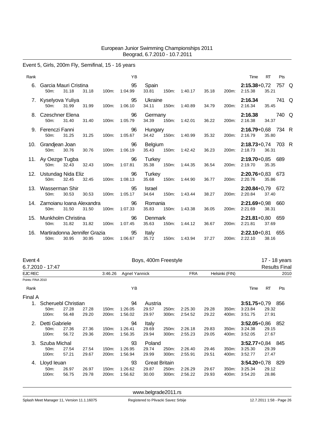### Event 5, Girls, 200m Fly, Semifinal, 15 - 16 years

| Rank |                                         |       |       |       | <b>YB</b>            |                  |       |                     |       |             | Time                              | RT             | Pts   |  |
|------|-----------------------------------------|-------|-------|-------|----------------------|------------------|-------|---------------------|-------|-------------|-----------------------------------|----------------|-------|--|
| 6.   | Garcia Mauri Cristina<br>$50m$ :        | 31.18 | 31.18 | 100m: | $\sim$ 95<br>1:04.99 | Spain<br>33.81   | 150m: | 1:40.17             | 35.18 | 200m:       | 2:15.38+0,72 757 Q<br>2:15.38     | 35.21          |       |  |
|      | 7. Kyselyova Yuliya<br>50m:             | 31.99 | 31.99 | 100m: | 95<br>1:06.10        | Ukraine<br>34.11 |       | 150m: 1:40.89       | 34.79 | 200m:       | 2:16.34<br>2:16.34                | 35.45          | 741 Q |  |
|      | 8. Czeschner Elena<br>50 <sub>m</sub> : | 31.40 | 31.40 | 100m: | 96<br>1:05.79        | Germany<br>34.39 |       | 150m: 1:42.01       | 36.22 | 200m:       | 2:16.38<br>2:16.38                | 740 Q<br>34.37 |       |  |
|      | 9. Ferenczi Fanni<br>50 <sub>m</sub> :  | 31.25 | 31.25 | 100m: | 96<br>1:05.67        | Hungary<br>34.42 |       | 150m: 1:40.99       | 35.32 | 200m:       | $2:16.79 + 0.68$ 734 R<br>2:16.79 | 35.80          |       |  |
|      | 10. Grandjean Joan<br>50m: 30.76        |       | 30.76 | 100m: | 96<br>1:06.19        | Belgium          |       | 35.43 150m: 1:42.42 | 36.23 | 200m:       | 2:18.73+0,74 703 R<br>2:18.73     | 36.31          |       |  |
|      | 11. Ay Oezge Tugba<br>50m: 32.43        |       | 32.43 | 100m: | 96<br>1:07.81        | Turkey<br>35.38  |       | 150m: 1:44.35       | 36.54 | 200m:       | $2:19.70+0.85$ 689<br>2:19.70     | 35.35          |       |  |
|      | 12. Ustundag Nida Eliz<br>50m:          | 32.45 | 32.45 |       | 96<br>100m: 1:08.13  | Turkey<br>35.68  |       | 150m: 1:44.90       | 36.77 | 200m:       | 2:20.76+0,83 673<br>2:20.76       | 35.86          |       |  |
| 13.  | Wasserman Shir<br>50m:                  | 30.53 | 30.53 | 100m: | 95<br>1:05.17        | Israel<br>34.64  | 150m: | 1:43.44             | 38.27 | 200m:       | $2:20.84+0.79$ 672<br>2:20.84     | 37.40          |       |  |
|      | 14. Zarnoianu Ioana Alexandra<br>50m:   | 31.50 | 31.50 | 100m: | 96<br>1:07.33        | Romania<br>35.83 | 150m: | 1:43.38             | 36.05 | 200m:       | 2:21.69+0,98 660<br>2:21.69       | 38.31          |       |  |
| 15.  | Munkholm Christina<br>50 <sub>m</sub> : | 31.82 | 31.82 | 100m: | 96<br>1:07.45        | Denmark<br>35.63 |       | 150m: 1:44.12       |       | 36.67 200m: | $2:21.81+0.80$ 659<br>2:21.81     | 37.69          |       |  |
| 16.  | Martiradonna Jennifer Grazia<br>50m:    | 30.95 | 30.95 | 100m: | 95<br>1:06.67        | Italy<br>35.72   |       | 150m: 1:43.94       | 37.27 | 200m:       | 2:22.10+0,81 655<br>2:22.10       | 38.16          |       |  |

| Event 4           |                                      |       |       |         |               |         | Boys, 400m Freestyle |            |       |                |                  |           | 17 - 18 years        |
|-------------------|--------------------------------------|-------|-------|---------|---------------|---------|----------------------|------------|-------|----------------|------------------|-----------|----------------------|
|                   | 6.7.2010 - 17:47                     |       |       |         |               |         |                      |            |       |                |                  |           | <b>Results Final</b> |
| <b>EJC REC</b>    |                                      |       |       | 3:46.26 | Agnel Yannick |         |                      | <b>FRA</b> |       | Helsinki (FIN) |                  |           | 2010                 |
| Points: FINA 2010 |                                      |       |       |         |               |         |                      |            |       |                |                  |           |                      |
| Rank              |                                      |       |       |         | ΥB            |         |                      |            |       |                | Time             | <b>RT</b> | Pts                  |
| Final A           |                                      |       |       |         |               |         |                      |            |       |                |                  |           |                      |
|                   | Scheruebl Christian<br>27.28<br>50m: |       |       |         | 94            | Austria |                      |            |       |                | $3:51.75+0.79$   |           | 856                  |
|                   |                                      |       | 27.28 | 150m:   | 1:26.05       | 29.57   | 250m:                | 2:25.30    | 29.28 | 350m:          | 3:23.84          | 29.32     |                      |
|                   | 100m:                                | 56.48 | 29.20 | 200m:   | 1:56.02       | 29.97   | 300m:                | 2:54.52    | 29.22 | 400m:          | 3:51.75          | 27.91     |                      |
| 2.                | Detti Gabriele                       |       |       |         | 94            | Italy   |                      |            |       |                | $3:52.05 + 0.86$ |           | - 852                |
|                   | 50m:                                 | 27.36 | 27.36 | 150m:   | 1:26.41       | 29.69   | 250m:                | 2:26.18    | 29.83 | 350m:          | 3:24.38          | 29.15     |                      |
|                   | 100m:                                | 56.72 | 29.36 | 200m:   | 1:56.35       | 29.94   | 300m:                | 2:55.23    | 29.05 | 400m:          | 3:52.05          | 27.67     |                      |
| 3.                | Szuba Michal                         |       |       |         | 93            | Poland  |                      |            |       |                | $3:52.77+0.84$   |           | - 845                |
|                   | 50m:                                 | 27.54 | 27.54 | 150m:   | 1:26.95       | 29.74   | 250m:                | 2:26.40    | 29.46 | 350m:          | 3:25.30          | 29.39     |                      |
|                   | 100m:                                | 57.21 | 29.67 | 200m:   | 1:56.94       | 29.99   | 300m:                | 2:55.91    | 29.51 | 400m:          | 3:52.77          | 27.47     |                      |
| 4.                | Lloyd leuan                          |       |       |         | 93            |         | <b>Great Britain</b> |            |       |                | $3:54.20 + 0.78$ |           | 829                  |
|                   | 50 <sub>m</sub> :                    | 26.97 | 26.97 | 150m:   | 1:26.62       | 29.87   | 250m:                | 2:26.29    | 29.67 | 350m:          | 3:25.34          | 29.12     |                      |
|                   | 100m:                                | 56.75 | 29.78 | 200m:   | 1:56.62       | 30.00   | 300m:                | 2:56.22    | 29.93 | 400m:          | 3:54.20          | 28.86     |                      |
|                   |                                      |       |       |         |               |         |                      |            |       |                |                  |           |                      |

<www.belgrade2011.rs>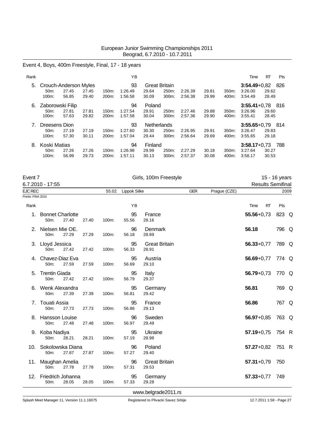# Event 4, Boys, 400m Freestyle, Final, 17 - 18 years

| Rank |                            |                |                |                | ΥB                 |                |                      |                    |                |                | Time               | <b>RT</b>      | Pts |
|------|----------------------------|----------------|----------------|----------------|--------------------|----------------|----------------------|--------------------|----------------|----------------|--------------------|----------------|-----|
| 5.   | Crouch-Anderson Myles      |                |                |                | 93                 |                | <b>Great Britain</b> |                    |                |                | $3:54.49 + 0.82$   |                | 826 |
|      | 50 <sub>m</sub> :<br>100m: | 27.45<br>56.85 | 27.45<br>29.40 | 150m:<br>200m: | 1:26.49<br>1:56.58 | 29.64<br>30.09 | 250m:<br>300m:       | 2:26.39<br>2:56.38 | 29.81<br>29.99 | 350m:<br>400m: | 3:26.00<br>3:54.49 | 29.62<br>28.49 |     |
|      |                            |                |                |                |                    |                |                      |                    |                |                |                    |                |     |
| 6.   | Zaborowski Filip           |                |                |                | 94                 | Poland         |                      |                    |                |                | $3:55.41+0.78$     |                | 816 |
|      | $50m$ :                    | 27.81          | 27.81          | 150m:          | 1:27.54            | 29.91          | 250m:                | 2:27.46            | 29.88          | 350m:          | 3:26.96            | 29.60          |     |
|      | 100m:                      | 57.63          | 29.82          | 200m:          | 1:57.58            | 30.04          | 300m:                | 2:57.36            | 29.90          | 400m:          | 3:55.41            | 28.45          |     |
|      | Dreesens Dion              |                |                |                | 93                 | Netherlands    |                      |                    |                |                | $3:55.65+0.79$     |                | 814 |
|      | 50m:                       | 27.19          | 27.19          | 150m:          | 1:27.60            | 30.30          | 250m:                | 2.26.95            | 29.91          | 350m:          | 3:26.47            | 29.83          |     |
|      | $100m$ :                   | 57.30          | 30.11          | 200m:          | 1:57.04            | 29.44          | $300m$ :             | 2:56.64            | 29.69          | 400m:          | 3:55.65            | 29.18          |     |
| 8.   | Koski Matias               |                |                |                | 94                 | Finland        |                      |                    |                |                | $3:58.17+0.73$     |                | 788 |
|      | 50m:                       | 27.26          | 27.26          | 150m:          | 1:26.98            | 29.99          | 250m:                | 2:27.29            | 30.18          | 350m:          | 3:27.64            | 30.27          |     |
|      | 100m:                      | 56.99          | 29.73          | 200m:          | 1:57.11            | 30.13          | 300m:                | 2:57.37            | 30.08          | 400m:          | 3:58.17            | 30.53          |     |

| Event 7           |                                         |       |       |       |              | Girls, 100m Freestyle         |     |              |                          | 15 - 16 years |      |
|-------------------|-----------------------------------------|-------|-------|-------|--------------|-------------------------------|-----|--------------|--------------------------|---------------|------|
|                   | 6.7.2010 - 17:55                        |       |       |       |              |                               |     |              | <b>Results Semifinal</b> |               |      |
| EJC REC           |                                         |       |       | 55.02 | Lippok Silke |                               | GER | Prague (CZE) |                          |               | 2009 |
| Points: FINA 2010 |                                         |       |       |       |              |                               |     |              |                          |               |      |
| Rank              |                                         |       |       |       | YB           |                               |     |              | Time<br><b>RT</b>        | Pts           |      |
| 1.                | <b>Bonnet Charlotte</b><br>50m:         | 27.40 | 27.40 | 100m: | 95<br>55.56  | France<br>28.16               |     |              | $55.56 + 0.73$           | 823 Q         |      |
|                   | 2. Nielsen Mie OE.<br>50m:              | 27.29 | 27.29 | 100m: | 96<br>56.18  | Denmark<br>28.89              |     |              | 56.18                    | 796 Q         |      |
|                   | 3. Lloyd Jessica<br>50m:                | 27.42 | 27.42 | 100m: | 95<br>56.33  | <b>Great Britain</b><br>28.91 |     |              | $56.33 + 0.77$           | 789 Q         |      |
|                   | 4. Chavez-Diaz Eva<br>50 <sub>m</sub> : | 27.59 | 27.59 | 100m: | 95<br>56.69  | Austria<br>29.10              |     |              | $56.69 + 0.77$           | 774 Q         |      |
|                   | <b>Trentin Giada</b><br>50m:            | 27.42 | 27.42 | 100m: | 95<br>56.79  | Italy<br>29.37                |     |              | $56.79 + 0.73$           | 770 Q         |      |
| 6.                | Wenk Alexandra<br>50m:                  | 27.39 | 27.39 | 100m: | 95<br>56.81  | Germany<br>29.42              |     |              | 56.81                    | 769 Q         |      |
| 7.                | Touati Assia<br>50m:                    | 27.73 | 27.73 | 100m: | 95<br>56.86  | France<br>29.13               |     |              | 56.86                    | 767 Q         |      |
|                   | 8. Hansson Louise<br>50m:               | 27.48 | 27.48 | 100m: | 96<br>56.97  | Sweden<br>29.49               |     |              | $56.97 + 0.85$           | 763 Q         |      |
|                   | 9. Koba Nadiya<br>50m:                  | 28.21 | 28.21 | 100m: | 95<br>57.19  | Ukraine<br>28.98              |     |              | $57.19 + 0.75$           | 754 R         |      |
| 10.               | Sokolowska Diana<br>50m:                | 27.87 | 27.87 | 100m: | 96<br>57.27  | Poland<br>29.40               |     |              | $57.27 + 0.82$           | 751 R         |      |
| 11.               | Maughan Amelia<br>50m:                  | 27.78 | 27.78 | 100m: | 96<br>57.31  | <b>Great Britain</b><br>29.53 |     |              | $57.31 + 0.79$           | 750           |      |
| 12.               | Friedrich Johanna<br>50m:               | 28.05 | 28.05 | 100m: | 95<br>57.33  | Germany<br>29.28              |     |              | $57.33 + 0.77$           | 749           |      |
|                   |                                         |       |       |       |              | www.belgrade2011.rs           |     |              |                          |               |      |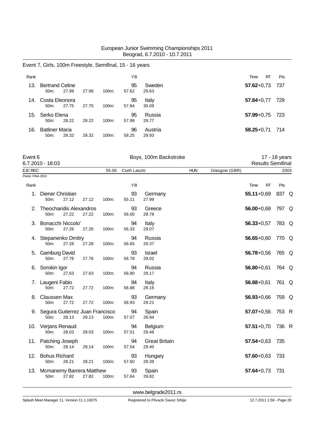### Event 7, Girls, 100m Freestyle, Semifinal, 15 - 16 years

| Rank |                                             |       |       |          | ΥB          |                  | RT<br>Time         | <b>Pts</b> |
|------|---------------------------------------------|-------|-------|----------|-------------|------------------|--------------------|------------|
| 13.  | <b>Bertrand Celine</b><br>50 <sub>m</sub> : | 27.99 | 27.99 | $100m$ : | 95<br>57.62 | Sweden<br>29.63  | $57.62 + 0.73$     | - 737      |
| 14.  | Costa Eleonora<br>$50m$ :                   | 27.75 | 27.75 | $100m$ : | 95<br>57.84 | Italy<br>30.09   | $57.84 + 0.77$     | 729        |
| 15.  | Serko Elena<br>$50m$ :                      | 28.22 | 28.22 | $100m$ : | 95<br>57.99 | Russia<br>29.77  | $57.99 + 0.75$ 723 |            |
| 16.  | <b>Batliner Maria</b><br>50 <sub>m</sub> :  | 28.32 | 28.32 | $100m$ : | 96<br>58.25 | Austria<br>29.93 | $58.25 + 0.71$     | 714        |

| Event 6            | Boys, 100m Backstroke | 17 - 18 years            |
|--------------------|-----------------------|--------------------------|
| $6.7.2010 - 18:03$ |                       | <b>Results Semifinal</b> |

Results Semifinal

|                   | 6.7.2010 - 18:03                           |       |       |       |             |                               |            |               |                |    | <b>Results Semifinal</b> |      |
|-------------------|--------------------------------------------|-------|-------|-------|-------------|-------------------------------|------------|---------------|----------------|----|--------------------------|------|
| <b>EJC REC</b>    |                                            |       |       | 55.06 | Cseh Laszlo |                               | <b>HUN</b> | Glasgow (GBR) |                |    |                          | 2003 |
| Points: FINA 2010 |                                            |       |       |       |             |                               |            |               |                |    |                          |      |
| Rank              |                                            |       |       |       | ΥB          |                               |            |               | Time           | RT | Pts                      |      |
|                   | 1. Diener Christian<br>50m:                | 27.12 | 27.12 | 100m: | 93<br>55.11 | Germany<br>27.99              |            |               | $55.11+0,69$   |    | 837 Q                    |      |
|                   | 2. Theocharidis Alexandros<br>50m:         | 27.22 | 27.22 | 100m: | 93<br>56.00 | Greece<br>28.78               |            |               | $56.00 + 0.68$ |    | 797 Q                    |      |
|                   | 3. Bonacchi Niccolo'<br>50m:               | 27.26 | 27.26 | 100m: | 94<br>56.33 | Italy<br>29.07                |            |               | $56.33 + 0.57$ |    | 783 Q                    |      |
|                   | 4. Stepanenko Dmitry<br>50m:               | 27.28 | 27.28 | 100m: | 94<br>56.65 | Russia<br>29.37               |            |               | $56.65 + 0.60$ |    | 770 Q                    |      |
|                   | 5. Gamburg David<br>50m:                   | 27.76 | 27.76 | 100m: | 93<br>56.78 | <b>Israel</b><br>29.02        |            |               | $56.78 + 0.56$ |    | 765 Q                    |      |
|                   | 6. Sorokin Igor<br>50m:                    | 27.63 | 27.63 | 100m: | 94<br>56.80 | Russia<br>29.17               |            |               | $56.80 + 0.61$ |    | 764 Q                    |      |
|                   | 7. Laugeni Fabio<br>50m:                   | 27.72 | 27.72 | 100m: | 94<br>56.88 | Italy<br>29.16                |            |               | $56.88 + 0.61$ |    | 761 Q                    |      |
| 8.                | Claussen Max<br>50m:                       | 27.72 | 27.72 | 100m: | 93<br>56.93 | Germany<br>29.21              |            |               | $56.93 + 0.66$ |    | 759 Q                    |      |
|                   | 9. Segura Gutierrez Juan Francisco<br>50m: | 28.13 | 28.13 | 100m: | 94<br>57.07 | Spain<br>28.94                |            |               | $57.07 + 0.56$ |    | 753 R                    |      |
|                   | 10. Verjans Renaud<br>50m:                 | 28.03 | 28.03 | 100m: | 94<br>57.51 | Belgium<br>29.48              |            |               | $57.51 + 0.70$ |    | 736 R                    |      |
|                   | 11. Patching Joseph<br>50m:                | 28.14 | 28.14 | 100m: | 94<br>57.54 | <b>Great Britain</b><br>29.40 |            |               | $57.54 + 0.63$ |    | 735                      |      |
| 12.               | <b>Bohus Richard</b><br>50m:               | 28.21 | 28.21 | 100m: | 93<br>57.60 | Hungary<br>29.39              |            |               | $57.60 + 0.63$ |    | 733                      |      |
|                   | 13. Mcmanemy Barrera Matthew<br>50m:       | 27.82 | 27.82 | 100m: | 93<br>57.64 | Spain<br>29.82                |            |               | $57.64 + 0.73$ |    | 731                      |      |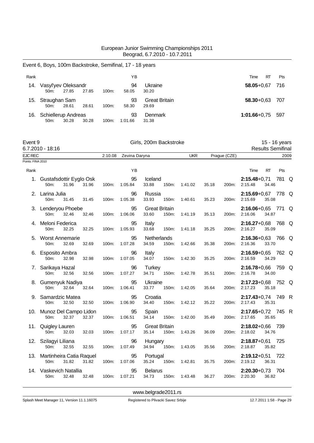|                   | Event 6, Boys, 100m Backstroke, Semifinal, 17 - 18 years |         |                     |                                        |               |                |                                              |               |
|-------------------|----------------------------------------------------------|---------|---------------------|----------------------------------------|---------------|----------------|----------------------------------------------|---------------|
| Rank              |                                                          |         | YB                  |                                        |               |                | Time<br>RT                                   | Pts           |
|                   | 14. Vasyl'yev Oleksandr<br>50m:<br>27.85<br>27.85        | 100m:   | 94<br>58.05         | Ukraine<br>30.20                       |               |                | $58.05 + 0.67$                               | 716           |
|                   | 15. Straughan Sam<br>50m:<br>28.61<br>28.61              | 100m:   | 93<br>58.30         | <b>Great Britain</b><br>29.69          |               |                | $58.30 + 0.63$                               | 707           |
|                   | 16. Schiellerup Andreas<br>50m:<br>30.28<br>30.28        | 100m:   | 93<br>1:01.66       | Denmark<br>31.38                       |               |                | $1:01.66 + 0.75$                             | 597           |
| Event 9           | $6.7.2010 - 18:16$                                       |         |                     | Girls, 200m Backstroke                 |               |                | <b>Results Semifinal</b>                     | 15 - 16 years |
| <b>EJC REC</b>    |                                                          | 2:10.08 | Zevina Daryna       |                                        | <b>UKR</b>    | Prague (CZE)   |                                              | 2009          |
| Points: FINA 2010 |                                                          |         |                     |                                        |               |                |                                              |               |
| Rank              |                                                          |         | YB                  |                                        |               |                | Time<br>RT                                   | Pts           |
|                   | 1. Gustafsdottir Eyglo Osk<br>50m:<br>31.96<br>31.96     | 100m:   | 95<br>1:05.84       | Iceland<br>33.88<br>150m:              | 1:41.02       | 35.18<br>200m: | $2:15.48 + 0.71$<br>2:15.48<br>34.46         | 781 Q         |
|                   | 2. Larina Julia<br>50m:<br>31.45<br>31.45                | 100m:   | 96<br>1:05.38       | Russia<br>33.93<br>150m:               | 1:40.61       | 35.23<br>200m: | $2:15.69 + 0.67$<br>35.08<br>2:15.69         | 778 Q         |
|                   | 3. Lenderyou Phoebe<br>50m:<br>32.46<br>32.46            | 100m:   | 95<br>1:06.06       | <b>Great Britain</b><br>33.60<br>150m: | 1:41.19       | 35.13<br>200m: | $2:16.06+0.65$ 771 Q<br>2:16.06<br>34.87     |               |
|                   | 4. Meloni Federica<br>50m:<br>32.25<br>32.25             | 100m:   | 95<br>1:05.93       | Italy<br>33.68<br>150m:                | 1:41.18       | 35.25<br>200m: | $2:16.27+0.68$<br>35.09<br>2:16.27           | 768 Q         |
|                   | 5. Worst Annemarie<br>50m:<br>32.69<br>32.69             | 100m:   | 95<br>1:07.28       | Netherlands<br>34.59<br>150m:          | 1:42.66       | 35.38<br>200m: | $2:16.36 + 0.63$<br>33.70<br>2:16.36         | 766 Q         |
|                   | 6. Esposito Ambra<br>50m:<br>32.98<br>32.98              | 100m:   | 96<br>1:07.05       | Italy<br>34.07<br>150m:                | 1:42.30       | 35.25<br>200m: | $2:16.59+0.65$ 762 Q<br>2:16.59<br>34.29     |               |
|                   | 7. Sarikaya Hazal<br>50m:<br>32.56<br>32.56              | 100m:   | 96<br>1:07.27       | <b>Turkey</b><br>34.71<br>150m:        | 1:42.78       | 35.51<br>200m: | $2:16.78 + 0.66$<br>2:16.78<br>34.00         | 759 Q         |
|                   | 8. Gumenyuk Nadiya<br>50m:<br>32.64<br>32.64             | 100m:   | 95<br>1:06.41       | Ukraine<br>33.77<br>150m:              | 1:42.05       | 35.64<br>200m: | 2:17.23+0,68 752 Q<br>35.18<br>2:17.23       |               |
|                   | 9. Samardzic Matea<br>32.50<br>50m:<br>32.50             |         | 95<br>100m: 1:06.90 | Croatia<br>150m: 1:42.12<br>34.40      |               | 35.22          | 2:17.43+0,74 749 R<br>200m: 2:17.43<br>35.31 |               |
|                   | 10. Munoz Del Campo Lidon<br>32.37<br>50m:<br>32.37      |         | 95<br>100m: 1:06.51 | Spain<br>34.14 150m: 1:42.00           |               | 35.49          | 2:17.65+0,72 745 R<br>200m: 2:17.65<br>35.65 |               |
|                   | 11. Quigley Lauren<br>50m:<br>32.03<br>32.03             | 100m:   | 95<br>1:07.17       | <b>Great Britain</b><br>35.14<br>150m: | 1:43.26       | 36.09          | 2:18.02+0,66 739<br>200m: 2:18.02<br>34.76   |               |
|                   | 12. Szilagyi Liliana<br>50m:<br>32.55<br>32.55           |         | 96<br>100m: 1:07.49 | Hungary<br>34.94 150m:                 | 1:43.05       | 35.56          | $2:18.87+0.61$ 725<br>200m: 2:18.87<br>35.82 |               |
|                   | 13. Martinheira Catia Raquel<br>50m:<br>31.82<br>31.82   |         | 95<br>100m: 1:07.06 | Portugal<br>35.24 150m: 1:42.81        |               | 35.75          | $2:19.12+0.51$ 722<br>200m: 2:19.12<br>36.31 |               |
|                   | 14. Vaskevich Natallia<br>50m:<br>32.48<br>32.48         | 100m.   | 95<br>1:07.21       | <b>Belarus</b><br>34.73                | 150m: 1:43.48 | 36.27          | $2:20.30+0.73$ 704<br>200m: 2:20.30<br>36.82 |               |

<www.belgrade2011.rs>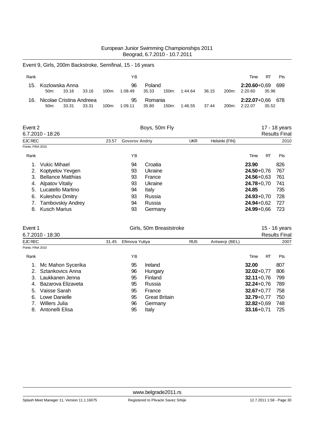Event 9, Girls, 200m Backstroke, Semifinal, 15 - 16 years

| Rank |                                                                |       |       |       | ΥB            |                  |       |         |       |                    | Time                          | RT.   | Pts |
|------|----------------------------------------------------------------|-------|-------|-------|---------------|------------------|-------|---------|-------|--------------------|-------------------------------|-------|-----|
| 15.  | Kozlowska Anna<br>$50m$ :                                      | 33.16 | 33.16 | 100m: | 96<br>1:08.49 | Poland<br>35.33  | 150m: | 1:44.64 | 36.15 | $200m$ :           | $2:20.60+0.69$ 699<br>2:20.60 | 35.96 |     |
| 16.  | Nicolae Cristina Andreea<br>33.31<br>100m:<br>33.31<br>$50m$ : |       |       |       | 95<br>1:09.11 | Romania<br>35.80 | 150m: | 1:46.55 | 37.44 | 200 <sub>m</sub> : | 2:22.07+0.66 678<br>2:22.07   | 35.52 |     |

| Event 2<br>6.7.2010 - 18:26    |       |    | Boys, 50m Fly  |            | 17 - 18 years<br><b>Results Final</b> |                |           |      |  |
|--------------------------------|-------|----|----------------|------------|---------------------------------------|----------------|-----------|------|--|
| EJC REC                        | 23.57 |    | Govorov Andriy | <b>UKR</b> | Helsinki (FIN)                        |                |           | 2010 |  |
| Points: FINA 2010              |       |    |                |            |                                       |                |           |      |  |
| Rank                           |       | ΥB |                |            |                                       | Time           | <b>RT</b> | Pts  |  |
| <b>Vukic Mihael</b>            |       | 94 | Croatia        |            |                                       | 23.90          |           | 826  |  |
| Koptyelov Yevgen<br>2.         |       | 93 | Ukraine        |            |                                       | $24.50 + 0.76$ |           | 767  |  |
| <b>Bellance Matthias</b><br>3. |       | 93 | France         |            |                                       | $24.56 + 0.63$ |           | 761  |  |
| Alpatov Vitaliy<br>4.          |       | 93 | Ukraine        |            |                                       | $24.78 + 0.70$ |           | 741  |  |
| Lucatello Martino<br>5.        |       | 94 | Italy          |            |                                       | 24.85          |           | 735  |  |
| <b>Kuleshov Dmitry</b><br>6.   |       | 93 | Russia         |            |                                       | $24.93 + 0.70$ |           | 728  |  |
| <b>Tambovskiy Andrey</b>       |       | 94 | Russia         |            |                                       | $24.94 + 0.62$ |           | 727  |  |
| <b>Kusch Marius</b><br>8.      |       | 93 | Germany        |            |                                       | $24.99 + 0.66$ |           | 723  |  |
|                                |       |    |                |            |                                       |                |           |      |  |

| Event 1           |                    |       | Girls, 50m Breaststroke |                      | 15 - 16 years        |               |                |           |      |  |
|-------------------|--------------------|-------|-------------------------|----------------------|----------------------|---------------|----------------|-----------|------|--|
|                   | 6.7.2010 - 18:30   |       |                         |                      | <b>Results Final</b> |               |                |           |      |  |
| EJC REC           |                    | 31.45 | Efimova Yuliya          |                      | <b>RUS</b>           | Antwerp (BEL) |                |           | 2007 |  |
| Points: FINA 2010 |                    |       |                         |                      |                      |               |                |           |      |  |
| Rank              |                    |       | ΥB                      |                      |                      |               | Time           | <b>RT</b> | Pts  |  |
|                   | Mc Mahon Sycerika  |       | 95                      | Ireland              |                      |               | 32.00          |           | 807  |  |
| $2_{-}$           | Sztankovics Anna   |       | 96                      | Hungary              |                      |               | $32.02 + 0.77$ |           | 806  |  |
| 3.                | Laukkanen Jenna    |       | 95                      | Finland              |                      |               | $32.11 + 0.76$ |           | 799  |  |
| 4.                | Bazarova Elizaveta |       | 95                      | Russia               |                      |               | $32.24 + 0.76$ |           | 789  |  |
| 5.                | Vaisse Sarah       |       | 95                      | France               |                      |               | $32.67 + 0.77$ |           | 758  |  |
| 6.                | Lowe Danielle      |       | 95                      | <b>Great Britain</b> |                      |               | $32.79 + 0.77$ |           | 750  |  |
|                   | Willers Julia      |       | 96                      | Germany              |                      |               | $32.82 + 0.69$ |           | 748  |  |
| 8.                | Antonelli Elisa    |       | 95                      | Italy                |                      |               | $33.16 + 0.71$ |           | 725  |  |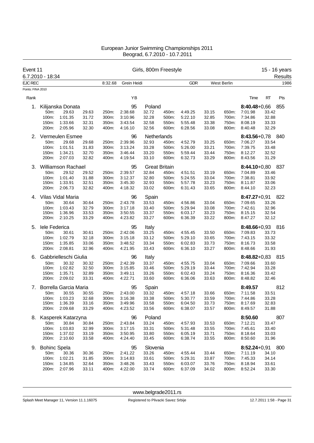| Event 11<br>6.7.2010 - 18:34        |                     |                       |                | Girls, 800m Freestyle |                    |                |                      |                    |                |                    | 15 - 16 years            |                |         |
|-------------------------------------|---------------------|-----------------------|----------------|-----------------------|--------------------|----------------|----------------------|--------------------|----------------|--------------------|--------------------------|----------------|---------|
|                                     |                     |                       |                |                       |                    |                |                      |                    |                |                    |                          |                | Results |
| <b>EJC REC</b><br>Points: FINA 2010 |                     |                       |                | 8:32.68               | Grein Heidi        |                |                      | <b>GDR</b>         |                | <b>West Berlin</b> |                          |                | 1986    |
| Rank                                |                     |                       |                |                       | YB                 |                |                      |                    |                |                    | Time                     | <b>RT</b>      | Pts     |
| 1.                                  |                     | Kilijanska Donata     |                |                       | 95                 | Poland         |                      |                    |                |                    | $8:40.48 + 0.66$         |                | 855     |
|                                     | 50m:                | 29.63                 | 29.63          | 250m:                 | 2:38.68            | 32.72          | 450m:                | 4:49.25            | 33.15          | 650m:              | 7:01.98                  | 33.42          |         |
|                                     | 100m:               | 1:01.35               | 31.72          | 300m:                 | 3:10.96            | 32.28          | 500m:                | 5:22.10            | 32.85          | 700m:              | 7:34.86                  | 32.88          |         |
|                                     | 150m:               | 1:33.66               | 32.31          | 350m:                 | 3:43.54            | 32.58          | 550m:                | 5:55.48            | 33.38          | 750m:              | 8:08.19                  | 33.33          |         |
|                                     | 200m:               | 2:05.96               | 32.30          | 400m:                 | 4:16.10            | 32.56          | 600m:                | 6:28.56            | 33.08          | 800m:              | 8:40.48                  | 32.29          |         |
| 2.                                  |                     | Vermeulen Esmee       |                |                       | 96                 |                | Netherlands          |                    |                |                    | $8:43.56 + 0.78$         |                | 840     |
|                                     | 50m:                | 29.68                 | 29.68          | 250m:                 | 2:39.96            | 32.93          | 450m:                | 4:52.79            | 33.25          | 650m:              | 7:06.27                  | 33.54          |         |
|                                     | 100m:               | 1:01.51               | 31.83          | 300m:                 | 3:13.24            | 33.28          | 500m:                | 5:26.00            | 33.21          | 700m:              | 7:39.75                  | 33.48          |         |
|                                     | 150m:               | 1:34.21               | 32.70          | 350m:                 | 3:46.44            | 33.20          | 550m:                | 5:59.44            | 33.44          | 750m:              | 8:12.27                  | 32.52          |         |
|                                     | 200m:               | 2:07.03               | 32.82          | 400m:                 | 4:19.54            | 33.10          | 600m:                | 6:32.73            | 33.29          | 800m:              | 8:43.56                  | 31.29          |         |
| 3.                                  |                     | Williamson Rachael    |                |                       | 95                 |                | <b>Great Britain</b> |                    |                |                    | $8:44.10 + 0.80$         |                | -837    |
|                                     | 50m:                | 29.52                 | 29.52          | 250m:                 | 2:39.57            | 32.84          | 450m:                | 4:51.51            | 33.19          | 650m:              | 7:04.89                  | 33.46          |         |
|                                     | 100m:               | 1:01.40               | 31.88          | 300m:                 | 3:12.37            | 32.80          | 500m:                | 5:24.55            | 33.04          | 700m:              | 7:38.81                  | 33.92          |         |
|                                     | 150m:               | 1:33.91               | 32.51          | 350m:                 | 3:45.30            | 32.93          | 550m:                | 5:57.78            | 33.23          | 750m:              | 8:11.87                  | 33.06          |         |
|                                     | 200m:               | 2:06.73               | 32.82          | 400m:                 | 4:18.32            | 33.02          | 600m:                | 6:31.43            | 33.65          | 800m:              | 8:44.10                  | 32.23          |         |
| 4.                                  |                     | Vilas Vidal Maria     |                |                       | 96                 | Spain          |                      |                    |                |                    | $8:47.27+0.91$           |                | 822     |
|                                     | 50m:                | 30.64                 | 30.64          | 250m:                 | 2:43.78            | 33.53          | 450m:                | 4:56.86            | 33.04          | 650m:              | 7:09.65                  | 33.26          |         |
|                                     | 100m:               | 1:03.43               | 32.79          | 300m:                 | 3:17.18            | 33.40          | 500m:                | 5:29.94            | 33.08          | 700m:              | 7:42.61                  | 32.96          |         |
|                                     | 150m:               | 1:36.96               | 33.53          | 350m:                 | 3:50.55            | 33.37          | 550m:                | 6:03.17            | 33.23          | 750m:              | 8:15.15                  | 32.54          |         |
|                                     | 200m:               | 2:10.25               | 33.29          | 400m:                 | 4:23.82            | 33.27          | 600m:                | 6:36.39            | 33.22          | 800m:              | 8:47.27                  | 32.12          |         |
| 5.                                  | lele Federica       |                       |                |                       | 95                 | Italy          |                      |                    |                |                    | 8:48.66+0,93             |                | 816     |
|                                     | 50m:                | 30.61                 | 30.61          | 250m:                 | 2:42.06            | 33.25          | 450m:                | 4:55.45            | 33.50          | 650m:              | 7:09.83                  | 33.73          |         |
|                                     | 100m:               | 1:02.79               | 32.18          | 300m:                 | 3:15.18            | 33.12          | 500m:                | 5:29.10            | 33.65          | 700m:              | 7:43.15                  | 33.32          |         |
|                                     | 150m:               | 1:35.85               | 33.06          | 350m:                 | 3:48.52            | 33.34          | 550m:                | 6:02.83            | 33.73          | 750m:              | 8:16.73                  | 33.58          |         |
|                                     | 200m:               | 2:08.81               | 32.96          | 400m:                 | 4:21.95            | 33.43          | 600m:                | 6:36.10            | 33.27          | 800m:              | 8:48.66                  | 31.93          |         |
| 6.                                  |                     | Gabbrielleschi Giulia |                |                       | 96                 | Italy          |                      |                    |                |                    | $8:48.82+0.83$           |                | 815     |
|                                     | 50m:                | 30.32                 | 30.32          | 250m:                 | 2:42.39            | 33.37          | 450m:                | 4:55.75            | 33.04          | 650m:              | 7:09.66                  | 33.60          |         |
|                                     | 100m:               | 1:02.82               | 32.50          | 300m:                 | 3:15.85            | 33.46          | 500m:                | 5:29.19            | 33.44          | 700m:              | 7:42.94                  | 33.28          |         |
|                                     | 150m:               | 1:35.71               | 32.89          | 350m:                 | 3:49.11            | 33.26          | 550m:                | 6:02.43            | 33.24          | 750m:              | 8:16.36                  | 33.42          |         |
|                                     | 200m:               | 2:09.02               | 33.31          | 400m:                 | 4:22.71            | 33.60          | 600m:                | 6:36.06            | 33.63          | 800m:              | 8:48.82                  | 32.46          |         |
| 7.                                  |                     | Borrella Garcia Maria |                |                       | 95                 | Spain          |                      |                    |                |                    | 8:49.57                  |                | 812     |
|                                     | 50m:                | 30.55                 | 30.55          | 250m:                 | 2:43.00            | 33.32          | 450m:                | 4:57.18            | 33.66          | 650m:              | 7:11.58                  | 33.51          |         |
|                                     |                     | 100m: 1:03.23         | 32.68          | 300m:                 | 3:16.38            | 33.38          | 500m:                | 5:30.77            | 33.59          | 700m:              | 7:44.86                  | 33.28          |         |
|                                     | 150m:<br>200m:      | 1:36.39<br>2:09.68    | 33.16<br>33.29 | 350m:<br>400m:        | 3:49.96<br>4:23.52 | 33.58<br>33.56 | 550m:<br>600m:       | 6:04.50<br>6:38.07 | 33.73<br>33.57 | 800m:              | 750m: 8:17.69<br>8:49.57 | 32.83<br>31.88 |         |
|                                     |                     |                       |                |                       |                    |                |                      |                    |                |                    |                          |                |         |
| 8.                                  |                     | Kasperek Katarzyna    |                |                       | 96                 | Poland         |                      |                    |                |                    | 8:50.60                  |                | 807     |
|                                     | 50m:                | 30.84                 | 30.84          | 250m:                 | 2:43.84            | 33.24          | 450m:                | 4:57.93            | 33.53          | 650m:              | 7:12.21                  | 33.47          |         |
|                                     | 100m:               | 1:03.83               | 32.99          | 300m:                 | 3:17.15            | 33.31          | 500m:                | 5:31.48            | 33.55          | 700m:              | 7:45.61                  | 33.40          |         |
|                                     | 150m:<br>200m:      | 1:37.02<br>2:10.60    | 33.19          | 350m:<br>400m:        | 3:50.95<br>4:24.40 | 33.80<br>33.45 | 550m:<br>600m:       | 6:05.19<br>6:38.74 | 33.71<br>33.55 | 750m:<br>800m:     | 8:18.64<br>8:50.60       | 33.03<br>31.96 |         |
|                                     |                     |                       | 33.58          |                       |                    |                |                      |                    |                |                    |                          |                |         |
| 9.                                  | <b>Bohinc Spela</b> |                       |                |                       | 95                 | Slovenia       |                      |                    |                |                    | 8:52.24+0,91 800         |                |         |
|                                     | 50m:                | 30.36                 | 30.36          | 250m:                 | 2:41.22            | 33.26          | 450m:                | 4:55.44            | 33.44          | 650m:              | 7:11.19                  | 34.10          |         |
|                                     | 100m:               | 1:02.21               | 31.85          | 300m:                 | 3:14.83            | 33.61          | 500m:                | 5:29.31            | 33.87          | 700m:              | 7:45.33                  | 34.14          |         |
|                                     | 150m:               | 1:34.85               | 32.64          | 350m:                 | 3:48.26            | 33.43          | 550m:                | 6:03.07            | 33.76          | 750m:              | 8:18.94                  | 33.61          |         |
|                                     | 200m:               | 2:07.96               | 33.11          | 400m:                 | 4:22.00            | 33.74          | 600m:                | 6:37.09            | 34.02          |                    | 800m: 8:52.24            | 33.30          |         |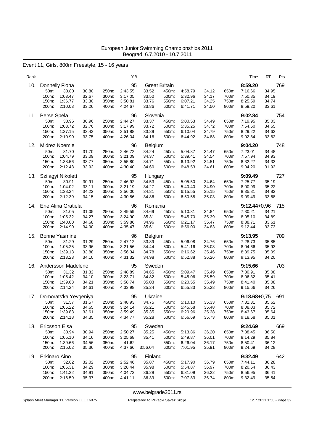### Event 11, Girls, 800m Freestyle, 15 - 16 years

| Rank |                                                   |                                                          |                                  |                                  | ΥB                                             |                                                          |                                  |                                          |                                  |                                  | Time                                                | RT<br>Pts                               |  |
|------|---------------------------------------------------|----------------------------------------------------------|----------------------------------|----------------------------------|------------------------------------------------|----------------------------------------------------------|----------------------------------|------------------------------------------|----------------------------------|----------------------------------|-----------------------------------------------------|-----------------------------------------|--|
| 10.  | Donnelly Fiona<br>50m:<br>100m:<br>150m:<br>200m: | 30.80<br>1:03.47<br>1:36.77<br>2:10.03                   | 30.80<br>32.67<br>33.30<br>33.26 | 250m:<br>300m:<br>350m:<br>400m: | 95<br>2:43.55<br>3:17.05<br>3:50.81<br>4:24.67 | <b>Great Britain</b><br>33.52<br>33.50<br>33.76<br>33.86 | 450m:<br>500m:<br>550m:<br>600m: | 4:58.79<br>5:32.96<br>6:07.21<br>6:41.71 | 34.12<br>34.17<br>34.25<br>34.50 | 650m:<br>700m:<br>750m:<br>800m: | 8:59.20<br>7:16.66<br>7:50.85<br>8:25.59<br>8:59.20 | 769<br>34.95<br>34.19<br>34.74<br>33.61 |  |
| 11.  | Perse Spela<br>50m:<br>100m:<br>150m:<br>200m:    | 30.96<br>1:03.72<br>1:37.15<br>2:10.90                   | 30.96<br>32.76<br>33.43<br>33.75 | 250m:<br>300m:<br>350m:<br>400m: | 96<br>2:44.27<br>3:17.99<br>3:51.88<br>4:26.04 | Slovenia<br>33.37<br>33.72<br>33.89<br>34.16             | 450m:<br>500m:<br>550m:<br>600m: | 5:00.53<br>5:35.25<br>6:10.04<br>6:44.92 | 34.49<br>34.72<br>34.79<br>34.88 | 650m:<br>700m:<br>750m:<br>800m: | 9:02.84<br>7:19.95<br>7:54.60<br>8:29.22<br>9:02.84 | 754<br>35.03<br>34.65<br>34.62<br>33.62 |  |
| 12.  | Midrez Noemie                                     |                                                          |                                  |                                  | 96                                             | Belgium                                                  |                                  |                                          |                                  |                                  | 9:04.20                                             | 748                                     |  |
|      | 50m:<br>100m:<br>150m:<br>200m:                   | 31.70<br>1:04.79<br>1:38.56<br>2:12.48                   | 31.70<br>33.09<br>33.77<br>33.92 | 250m:<br>300m:<br>350m:<br>400m: | 2:46.72<br>3:21.09<br>3:55.80<br>4:30.40       | 34.24<br>34.37<br>34.71<br>34.60                         | 450m:<br>500m:<br>550m:<br>600m: | 5:04.87<br>5:39.41<br>6:13.92<br>6:48.53 | 34.47<br>34.54<br>34.51<br>34.61 | 650m:<br>700m:<br>750m:<br>800m: | 7:23.01<br>7:57.94<br>8:32.27<br>9:04.20            | 34.48<br>34.93<br>34.33<br>31.93        |  |
| 13.  |                                                   | Szilagyi Nikolett                                        |                                  |                                  | 95                                             | Hungary                                                  |                                  |                                          |                                  |                                  | 9:09.49                                             | 727                                     |  |
|      | 50m:<br>100m:<br>150m:<br>200m:                   | 30.91<br>1:04.02<br>1:38.24<br>2:12.39                   | 30.91<br>33.11<br>34.22<br>34.15 | 250m:<br>300m:<br>350m:<br>400m: | 2:46.92<br>3:21.19<br>3:56.00<br>4:30.86       | 34.53<br>34.27<br>34.81<br>34.86                         | 450m:<br>500m:<br>550m:<br>600m: | 5:05.50<br>5:40.40<br>6:15.55<br>6:50.58 | 34.64<br>34.90<br>35.15<br>35.03 | 650m:<br>700m:<br>750m:<br>800m: | 7:25.77<br>8:00.99<br>8:35.81<br>9:09.49            | 35.19<br>35.22<br>34.82<br>33.68        |  |
| 14.  |                                                   | Ene Alina Gratiela                                       |                                  |                                  | 96                                             | Romania                                                  |                                  |                                          |                                  |                                  | $9:12.44+0.96$                                      | 715                                     |  |
|      | 50m:<br>100m:<br>150m:<br>200m:                   | 31.05<br>1:05.32<br>1:40.00<br>2:14.90                   | 31.05<br>34.27<br>34.68<br>34.90 | 250m:<br>300m:<br>350m:<br>400m: | 2:49.59<br>3:24.90<br>3:59.86<br>4:35.47       | 34.69<br>35.31<br>34.96<br>35.61                         | 450m:<br>500m:<br>550m:<br>600m: | 5:10.31<br>5:45.70<br>6:21.17<br>6:56.00 | 34.84<br>35.39<br>35.47<br>34.83 | 650m:<br>700m:<br>750m:<br>800m: | 7:30.21<br>8:05.10<br>8:38.71<br>9:12.44            | 34.21<br>34.89<br>33.61<br>33.73        |  |
| 15.  |                                                   | <b>Bonne Yasmine</b>                                     |                                  |                                  | 96                                             | Belgium                                                  |                                  |                                          |                                  |                                  | 9:13.95                                             | 709                                     |  |
|      | 50m:<br>100m:<br>150m:<br>200m:                   | 31.29<br>1:05.25<br>1:39.13<br>2:13.23                   | 31.29<br>33.96<br>33.88<br>34.10 | 250m:<br>300m:<br>350m:<br>400m: | 2:47.12<br>3:21.56<br>3:56.34<br>4:31.32       | 33.89<br>34.44<br>34.78<br>34.98                         | 450m:<br>500m:<br>550m:<br>600m: | 5:06.08<br>5:41.16<br>6:16.62<br>6:52.88 | 34.76<br>35.08<br>35.46<br>36.26 | 650m:<br>700m:<br>750m:<br>800m: | 7:28.73<br>8:04.66<br>8:39.75<br>9:13.95            | 35.85<br>35.93<br>35.09<br>34.20        |  |
| 16.  |                                                   | Andersson Madelene                                       |                                  |                                  | 95                                             | Sweden                                                   |                                  |                                          |                                  |                                  | 9:15.66                                             | 703                                     |  |
|      | 50m:<br>100m:<br>150m:<br>200m:                   | 31.32<br>1:05.42<br>1:39.63<br>2:14.24                   | 31.32<br>34.10<br>34.21<br>34.61 | 250m:<br>300m:<br>350m:<br>400m: | 2:48.89<br>3:23.71<br>3:58.74<br>4:33.98       | 34.65<br>34.82<br>35.03<br>35.24                         | 450m:<br>500m:<br>550m:<br>600m: | 5:09.47<br>5:45.06<br>6:20.55<br>6:55.83 | 35.49<br>35.59<br>35.49<br>35.28 | 650m:<br>700m:<br>750m:<br>800m: | 7:30.91<br>8:06.32<br>8:41.40<br>9:15.66            | 35.08<br>35.41<br>35.08<br>34.26        |  |
| 17.  |                                                   | Domorats'ka Yevgeniya                                    |                                  |                                  | 95                                             | Ukraine                                                  |                                  |                                          |                                  |                                  | $9:18.68 + 0.75$                                    | 691                                     |  |
|      | 50m:                                              | 31.57<br>100m: 1:06.22<br>150m: 1:39.83<br>200m: 2:14.18 | 31.57<br>34.65<br>33.61<br>34.35 | 250m:<br>300m:<br>350m:<br>400m: | 2:48.93<br>3:24.14<br>3:59.49<br>4:34.77       | 34.75<br>35.21<br>35.35<br>35.28                         | 450m:<br>500m:<br>550m:<br>600m: | 5:10.10<br>5:45.58<br>6:20.96<br>6:56.69 | 35.33<br>35.48<br>35.38<br>35.73 | 650m:<br>700m:<br>800m:          | 7:32.31<br>8:08.03<br>750m: 8:43.67<br>9:18.68      | 35.62<br>35.72<br>35.64<br>35.01        |  |
|      | 18. Ericsson Elsa                                 |                                                          |                                  |                                  | 95                                             | Sweden                                                   |                                  |                                          |                                  |                                  | 9:24.69                                             | 669                                     |  |
|      | 50m:<br>100m:<br>150m:<br>200m:                   | 30.94<br>1:05.10<br>1:39.66<br>2:15.02                   | 30.94<br>34.16<br>34.56<br>35.36 | 250m:<br>300m:<br>350m:<br>400m: | 2:50.27<br>3:25.68<br>41.62<br>4:37.66         | 35.25<br>35.41<br>3:56.04                                | 450m:<br>500m:<br>550m:<br>600m: | 5:13.86<br>5:49.87<br>6:26.04<br>7:01.95 | 36.20<br>36.01<br>36.17<br>35.91 | 650m.<br>700m:<br>750m:<br>800m: | 7:38.45<br>8:14.29<br>8:50.41<br>9:24.69            | 36.50<br>35.84<br>36.12<br>34.28        |  |
|      | 19. Erkinaro Aino                                 |                                                          |                                  |                                  | 95                                             | Finland                                                  |                                  |                                          |                                  |                                  | 9:32.49                                             | 642                                     |  |
|      | 50m:<br>100m:<br>150m:<br>200m:                   | 32.02<br>1:06.31<br>1:41.22<br>2:16.59                   | 32.02<br>34.29<br>34.91<br>35.37 | 250m:<br>300m:<br>350m:<br>400m: | 2:52.46<br>3:28.44<br>4:04.72<br>4:41.11       | 35.87<br>35.98<br>36.28<br>36.39                         | 450m:<br>500m:<br>550m:<br>600m: | 5:17.90<br>5:54.87<br>6:31.09<br>7:07.83 | 36.79<br>36.97<br>36.22<br>36.74 | 650m:<br>700m:<br>750m:<br>800m: | 7:44.11<br>8:20.54<br>8:56.95<br>9:32.49            | 36.28<br>36.43<br>36.41<br>35.54        |  |

<www.belgrade2011.rs>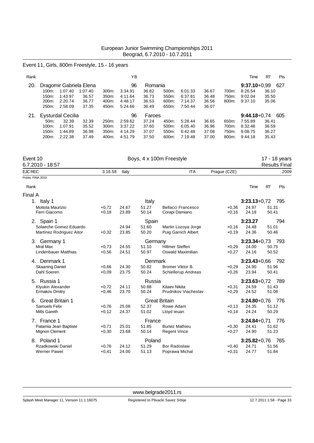### Event 11, Girls, 800m Freestyle, 15 - 16 years

| Rank |                    |         |                         |                    | ΥB      |         |       |         |       |       | Time           | <b>RT</b> | <b>Pts</b> |
|------|--------------------|---------|-------------------------|--------------------|---------|---------|-------|---------|-------|-------|----------------|-----------|------------|
| 20.  |                    |         | Dragomir Gabriela Elena |                    | 96      | Romania |       |         |       |       | $9:37.10+0.99$ |           | 627        |
|      | $100m$ :           | 1:07.40 | 1:07.40                 | 300m:              | 3:34.91 | 36.82   | 500m: | 6:01.33 | 36.67 | 700m: | 8:26.54        | 36.10     |            |
|      | 150m:              | 1:43.97 | 36.57                   | 350m:              | 4:11.64 | 36.73   | 550m: | 6:37.81 | 36.48 | 750m: | 9:02.04        | 35.50     |            |
|      | 200 <sub>m</sub> : | 2:20.74 | 36.77                   | 400m:              | 4:48.17 | 36.53   | 600m: | 7:14.37 | 36.56 | 800m: | 9:37.10        | 35.06     |            |
|      | 250m:              | 2:58.09 | 37.35                   | 450m:              | 5:24.66 | 36.49   | 650m: | 7:50.44 | 36.07 |       |                |           |            |
| 21.  | Eysturdal Cecilia  |         |                         |                    | 96      | Faroes  |       |         |       |       | $9:44.18+0.74$ |           | 605        |
|      | $50m$ :            | 32.39   | 32.39                   | 250 <sub>m</sub> : | 2:59.62 | 37.24   | 450m: | 5:28.44 | 36.65 | 650m: | 7:55.89        | 36.41     |            |
|      | $100m$ :           | 1:07.91 | 35.52                   | 300m:              | 3:37.22 | 37.60   | 500m: | 6:05.40 | 36.96 | 700m: | 8:32.48        | 36.59     |            |
|      | 150m:              | 1:44.89 | 36.98                   | 350m:              | 4:14.29 | 37.07   | 550m: | 6:42.48 | 37.08 | 750m: | 9:08.75        | 36.27     |            |
|      | 200m:              | 2:22.38 | 37.49                   | 400m:              | 4:51.79 | 37.50   | 600m: | 7:19.48 | 37.00 | 800m: | 9:44.18        | 35.43     |            |

| <b>Results Final</b><br><b>EJC REC</b><br><b>ITA</b><br>Prague (CZE)<br>3:16.58<br>2009<br>Italy<br>Points: FINA 2010<br><b>RT</b><br>Pts<br>Rank<br>Time<br>$3:23.13+0.72$<br>1. Italy 1<br>Italy<br>795<br>24.67<br>51.27<br><b>Bellacci Francesco</b><br>24.97<br>51.31<br>Mottola Maurizio<br>$+0,72$<br>$+0,36$<br>Ferri Giacomo<br>23.89<br>50.14<br>Corapi Damiano<br>24.18<br>50.41<br>$+0,18$<br>$+0,16$<br>3:23.27<br>794<br>2. Spain 1<br>Spain<br>Solaeche Gomez Eduardo<br>24.94<br>51.60<br>Martin Lozoya Jorge<br>24.48<br>51.01<br>$+0,16$<br>23.85<br>50.20<br><b>Puig Garrich Albert</b><br>24.36<br>50.46<br><b>Martinez Rodriguez Aitor</b><br>$+0.32$<br>$+0.19$<br>$3:23.34+0.73$<br>793<br>3. Germany 1<br>Germany<br><b>Hillmer Steffen</b><br>50.75<br>Mral Max<br>24.55<br>51.10<br>$+0,29$<br>24.00<br>$+0,73$<br><b>Lindenbauer Matthias</b><br>24.51<br>50.97<br>Oswald Maximilian<br>24.16<br>50.52<br>$+0,56$<br>$+0,27$<br>Denmark<br>$3:23.43+0.66$<br>792<br>4. Denmark 1<br><b>Skaaning Daniel</b><br>24.30<br>50.82<br>Bromer Viktor B.<br>$+0,29$<br>24.90<br>51.96<br>$+0.66$<br>23.75<br>50.24<br>23.94<br>50.41<br>Dahl Soeren<br>$+0,09$<br>Schiellerup Andreas<br>$+0,26$<br>5. Russia 1<br>Russia<br>$3:23.63+0.72$<br>789<br>Klyukin Alexander<br>$+0,72$<br>24.11<br>50.88<br><b>Kitaev Nikita</b><br>$+0.31$<br>24.59<br>51.43<br>23.70<br><b>Ermakov Dmitry</b><br>50.24<br>Prudnikov Viacheslav<br>$+0.29$<br>24.52<br>51.08<br>$+0,46$<br><b>Great Britain 1</b><br><b>Great Britain</b><br>$3:24.80 + 0.76$<br>776<br>6.<br><b>Samuels Felix</b><br>25.08<br>52.37<br>Rowe Adam<br>24.35<br>51.12<br>$+0.76$<br>$+0.13$<br>24.37<br>24.24<br>50.29<br><b>Mills Gareth</b><br>$+0,12$<br>51.02<br>Lloyd leuan<br>$+0,14$<br>France<br>$3:24.84 + 0.71$<br>7. France 1<br>776<br>Patamia Jean Baptiste<br>25.01<br>51.85<br><b>Burtez Mathieu</b><br>24.41<br>51.62<br>$+0,71$<br>$+0,30$<br>Mignon Clement<br>23.68<br>50.14<br>24.90<br>51.23<br>$+0,30$<br><b>Regent Vince</b><br>$+0,27$<br>8. Poland 1<br>Poland<br>$3:25.82+0.76$<br>765<br>Rzadkowski Daniel<br>51.29<br>24.71<br>51.56<br>24.12<br><b>Bor Radoslaw</b><br>$+0,76$<br>$+0,40$<br><b>Werner Pawel</b><br>24.77<br>51.84<br>$+0,41$<br>24.00<br>51.13<br>Poprawa Michal<br>$+0,31$ | Event 10         |  | Boys, 4 x 100m Freestyle |  | 17 - 18 years |
|---------------------------------------------------------------------------------------------------------------------------------------------------------------------------------------------------------------------------------------------------------------------------------------------------------------------------------------------------------------------------------------------------------------------------------------------------------------------------------------------------------------------------------------------------------------------------------------------------------------------------------------------------------------------------------------------------------------------------------------------------------------------------------------------------------------------------------------------------------------------------------------------------------------------------------------------------------------------------------------------------------------------------------------------------------------------------------------------------------------------------------------------------------------------------------------------------------------------------------------------------------------------------------------------------------------------------------------------------------------------------------------------------------------------------------------------------------------------------------------------------------------------------------------------------------------------------------------------------------------------------------------------------------------------------------------------------------------------------------------------------------------------------------------------------------------------------------------------------------------------------------------------------------------------------------------------------------------------------------------------------------------------------------------------------------------------------------------------------------------------------------------------------------------------------------------------------------------------------------------------------------------------------------------------------------|------------------|--|--------------------------|--|---------------|
|                                                                                                                                                                                                                                                                                                                                                                                                                                                                                                                                                                                                                                                                                                                                                                                                                                                                                                                                                                                                                                                                                                                                                                                                                                                                                                                                                                                                                                                                                                                                                                                                                                                                                                                                                                                                                                                                                                                                                                                                                                                                                                                                                                                                                                                                                                         | 6.7.2010 - 18:57 |  |                          |  |               |
|                                                                                                                                                                                                                                                                                                                                                                                                                                                                                                                                                                                                                                                                                                                                                                                                                                                                                                                                                                                                                                                                                                                                                                                                                                                                                                                                                                                                                                                                                                                                                                                                                                                                                                                                                                                                                                                                                                                                                                                                                                                                                                                                                                                                                                                                                                         |                  |  |                          |  |               |
|                                                                                                                                                                                                                                                                                                                                                                                                                                                                                                                                                                                                                                                                                                                                                                                                                                                                                                                                                                                                                                                                                                                                                                                                                                                                                                                                                                                                                                                                                                                                                                                                                                                                                                                                                                                                                                                                                                                                                                                                                                                                                                                                                                                                                                                                                                         |                  |  |                          |  |               |
|                                                                                                                                                                                                                                                                                                                                                                                                                                                                                                                                                                                                                                                                                                                                                                                                                                                                                                                                                                                                                                                                                                                                                                                                                                                                                                                                                                                                                                                                                                                                                                                                                                                                                                                                                                                                                                                                                                                                                                                                                                                                                                                                                                                                                                                                                                         |                  |  |                          |  |               |
|                                                                                                                                                                                                                                                                                                                                                                                                                                                                                                                                                                                                                                                                                                                                                                                                                                                                                                                                                                                                                                                                                                                                                                                                                                                                                                                                                                                                                                                                                                                                                                                                                                                                                                                                                                                                                                                                                                                                                                                                                                                                                                                                                                                                                                                                                                         | Final A          |  |                          |  |               |
|                                                                                                                                                                                                                                                                                                                                                                                                                                                                                                                                                                                                                                                                                                                                                                                                                                                                                                                                                                                                                                                                                                                                                                                                                                                                                                                                                                                                                                                                                                                                                                                                                                                                                                                                                                                                                                                                                                                                                                                                                                                                                                                                                                                                                                                                                                         |                  |  |                          |  |               |
|                                                                                                                                                                                                                                                                                                                                                                                                                                                                                                                                                                                                                                                                                                                                                                                                                                                                                                                                                                                                                                                                                                                                                                                                                                                                                                                                                                                                                                                                                                                                                                                                                                                                                                                                                                                                                                                                                                                                                                                                                                                                                                                                                                                                                                                                                                         |                  |  |                          |  |               |
|                                                                                                                                                                                                                                                                                                                                                                                                                                                                                                                                                                                                                                                                                                                                                                                                                                                                                                                                                                                                                                                                                                                                                                                                                                                                                                                                                                                                                                                                                                                                                                                                                                                                                                                                                                                                                                                                                                                                                                                                                                                                                                                                                                                                                                                                                                         |                  |  |                          |  |               |
|                                                                                                                                                                                                                                                                                                                                                                                                                                                                                                                                                                                                                                                                                                                                                                                                                                                                                                                                                                                                                                                                                                                                                                                                                                                                                                                                                                                                                                                                                                                                                                                                                                                                                                                                                                                                                                                                                                                                                                                                                                                                                                                                                                                                                                                                                                         |                  |  |                          |  |               |
|                                                                                                                                                                                                                                                                                                                                                                                                                                                                                                                                                                                                                                                                                                                                                                                                                                                                                                                                                                                                                                                                                                                                                                                                                                                                                                                                                                                                                                                                                                                                                                                                                                                                                                                                                                                                                                                                                                                                                                                                                                                                                                                                                                                                                                                                                                         |                  |  |                          |  |               |
|                                                                                                                                                                                                                                                                                                                                                                                                                                                                                                                                                                                                                                                                                                                                                                                                                                                                                                                                                                                                                                                                                                                                                                                                                                                                                                                                                                                                                                                                                                                                                                                                                                                                                                                                                                                                                                                                                                                                                                                                                                                                                                                                                                                                                                                                                                         |                  |  |                          |  |               |
|                                                                                                                                                                                                                                                                                                                                                                                                                                                                                                                                                                                                                                                                                                                                                                                                                                                                                                                                                                                                                                                                                                                                                                                                                                                                                                                                                                                                                                                                                                                                                                                                                                                                                                                                                                                                                                                                                                                                                                                                                                                                                                                                                                                                                                                                                                         |                  |  |                          |  |               |
|                                                                                                                                                                                                                                                                                                                                                                                                                                                                                                                                                                                                                                                                                                                                                                                                                                                                                                                                                                                                                                                                                                                                                                                                                                                                                                                                                                                                                                                                                                                                                                                                                                                                                                                                                                                                                                                                                                                                                                                                                                                                                                                                                                                                                                                                                                         |                  |  |                          |  |               |
|                                                                                                                                                                                                                                                                                                                                                                                                                                                                                                                                                                                                                                                                                                                                                                                                                                                                                                                                                                                                                                                                                                                                                                                                                                                                                                                                                                                                                                                                                                                                                                                                                                                                                                                                                                                                                                                                                                                                                                                                                                                                                                                                                                                                                                                                                                         |                  |  |                          |  |               |
|                                                                                                                                                                                                                                                                                                                                                                                                                                                                                                                                                                                                                                                                                                                                                                                                                                                                                                                                                                                                                                                                                                                                                                                                                                                                                                                                                                                                                                                                                                                                                                                                                                                                                                                                                                                                                                                                                                                                                                                                                                                                                                                                                                                                                                                                                                         |                  |  |                          |  |               |
|                                                                                                                                                                                                                                                                                                                                                                                                                                                                                                                                                                                                                                                                                                                                                                                                                                                                                                                                                                                                                                                                                                                                                                                                                                                                                                                                                                                                                                                                                                                                                                                                                                                                                                                                                                                                                                                                                                                                                                                                                                                                                                                                                                                                                                                                                                         |                  |  |                          |  |               |
|                                                                                                                                                                                                                                                                                                                                                                                                                                                                                                                                                                                                                                                                                                                                                                                                                                                                                                                                                                                                                                                                                                                                                                                                                                                                                                                                                                                                                                                                                                                                                                                                                                                                                                                                                                                                                                                                                                                                                                                                                                                                                                                                                                                                                                                                                                         |                  |  |                          |  |               |
|                                                                                                                                                                                                                                                                                                                                                                                                                                                                                                                                                                                                                                                                                                                                                                                                                                                                                                                                                                                                                                                                                                                                                                                                                                                                                                                                                                                                                                                                                                                                                                                                                                                                                                                                                                                                                                                                                                                                                                                                                                                                                                                                                                                                                                                                                                         |                  |  |                          |  |               |
|                                                                                                                                                                                                                                                                                                                                                                                                                                                                                                                                                                                                                                                                                                                                                                                                                                                                                                                                                                                                                                                                                                                                                                                                                                                                                                                                                                                                                                                                                                                                                                                                                                                                                                                                                                                                                                                                                                                                                                                                                                                                                                                                                                                                                                                                                                         |                  |  |                          |  |               |
|                                                                                                                                                                                                                                                                                                                                                                                                                                                                                                                                                                                                                                                                                                                                                                                                                                                                                                                                                                                                                                                                                                                                                                                                                                                                                                                                                                                                                                                                                                                                                                                                                                                                                                                                                                                                                                                                                                                                                                                                                                                                                                                                                                                                                                                                                                         |                  |  |                          |  |               |
|                                                                                                                                                                                                                                                                                                                                                                                                                                                                                                                                                                                                                                                                                                                                                                                                                                                                                                                                                                                                                                                                                                                                                                                                                                                                                                                                                                                                                                                                                                                                                                                                                                                                                                                                                                                                                                                                                                                                                                                                                                                                                                                                                                                                                                                                                                         |                  |  |                          |  |               |
|                                                                                                                                                                                                                                                                                                                                                                                                                                                                                                                                                                                                                                                                                                                                                                                                                                                                                                                                                                                                                                                                                                                                                                                                                                                                                                                                                                                                                                                                                                                                                                                                                                                                                                                                                                                                                                                                                                                                                                                                                                                                                                                                                                                                                                                                                                         |                  |  |                          |  |               |
|                                                                                                                                                                                                                                                                                                                                                                                                                                                                                                                                                                                                                                                                                                                                                                                                                                                                                                                                                                                                                                                                                                                                                                                                                                                                                                                                                                                                                                                                                                                                                                                                                                                                                                                                                                                                                                                                                                                                                                                                                                                                                                                                                                                                                                                                                                         |                  |  |                          |  |               |
|                                                                                                                                                                                                                                                                                                                                                                                                                                                                                                                                                                                                                                                                                                                                                                                                                                                                                                                                                                                                                                                                                                                                                                                                                                                                                                                                                                                                                                                                                                                                                                                                                                                                                                                                                                                                                                                                                                                                                                                                                                                                                                                                                                                                                                                                                                         |                  |  |                          |  |               |
|                                                                                                                                                                                                                                                                                                                                                                                                                                                                                                                                                                                                                                                                                                                                                                                                                                                                                                                                                                                                                                                                                                                                                                                                                                                                                                                                                                                                                                                                                                                                                                                                                                                                                                                                                                                                                                                                                                                                                                                                                                                                                                                                                                                                                                                                                                         |                  |  |                          |  |               |
|                                                                                                                                                                                                                                                                                                                                                                                                                                                                                                                                                                                                                                                                                                                                                                                                                                                                                                                                                                                                                                                                                                                                                                                                                                                                                                                                                                                                                                                                                                                                                                                                                                                                                                                                                                                                                                                                                                                                                                                                                                                                                                                                                                                                                                                                                                         |                  |  |                          |  |               |
|                                                                                                                                                                                                                                                                                                                                                                                                                                                                                                                                                                                                                                                                                                                                                                                                                                                                                                                                                                                                                                                                                                                                                                                                                                                                                                                                                                                                                                                                                                                                                                                                                                                                                                                                                                                                                                                                                                                                                                                                                                                                                                                                                                                                                                                                                                         |                  |  |                          |  |               |
|                                                                                                                                                                                                                                                                                                                                                                                                                                                                                                                                                                                                                                                                                                                                                                                                                                                                                                                                                                                                                                                                                                                                                                                                                                                                                                                                                                                                                                                                                                                                                                                                                                                                                                                                                                                                                                                                                                                                                                                                                                                                                                                                                                                                                                                                                                         |                  |  |                          |  |               |
|                                                                                                                                                                                                                                                                                                                                                                                                                                                                                                                                                                                                                                                                                                                                                                                                                                                                                                                                                                                                                                                                                                                                                                                                                                                                                                                                                                                                                                                                                                                                                                                                                                                                                                                                                                                                                                                                                                                                                                                                                                                                                                                                                                                                                                                                                                         |                  |  |                          |  |               |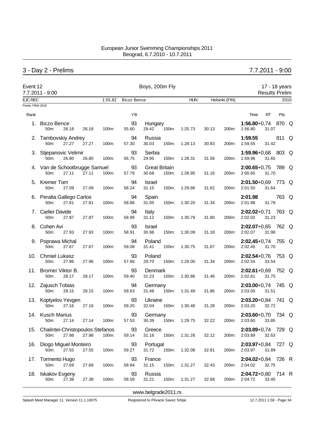# 3 - Day 2 - Prelims 7.7.2011 - 9:00

| Event 12          | 7.7.2011 - 9:00                                       |       |         |                    | Boys, 200m Fly                         |               | 17 - 18 years<br><b>Results Prelim</b> |                                                |      |  |
|-------------------|-------------------------------------------------------|-------|---------|--------------------|----------------------------------------|---------------|----------------------------------------|------------------------------------------------|------|--|
| EJC REC           |                                                       |       | 1:55.82 | <b>Biczo Bence</b> |                                        | <b>HUN</b>    | Helsinki (FIN)                         |                                                | 2010 |  |
| Points: FINA 2010 |                                                       |       |         |                    |                                        |               |                                        |                                                |      |  |
| Rank              |                                                       |       |         | YB                 |                                        |               |                                        | Time<br><b>RT</b><br>Pts                       |      |  |
|                   | 1. Biczo Bence<br>50m:<br>26.18                       | 26.18 | 100m:   | 93<br>55.60        | Hungary<br>29.42<br>150m:              | 1:25.73       | 30.13<br>200m:                         | 1:56.80+0,74 870 Q<br>1:56.80<br>31.07         |      |  |
|                   | 2. Tambovskiy Andrey<br>50m:<br>27.27                 | 27.27 | 100m:   | 94<br>57.30        | Russia<br>30.03<br>150m:               | 1:28.13       | 30.83<br>200m:                         | 811 Q<br>1:59.55<br>1:59.55<br>31.42           |      |  |
|                   | 3. Stjepanovic Velimir<br>50m:<br>26.80               | 26.80 | 100m:   | 93<br>56.75        | Serbia<br>29.95<br>150m:               | 1:28.31       | 31.56<br>200m:                         | 1:59.96+0,68 803 Q<br>1:59.96<br>31.65         |      |  |
|                   | 4. Van de Schootbrugge Samuel<br>50m:<br>27.11        | 27.11 | 100m:   | 93<br>57.79        | <b>Great Britain</b><br>30.68<br>150m: | 1:28.95       | 31.16<br>200m:                         | $2:00.65+0.75$ 789 Q<br>31.70<br>2:00.65       |      |  |
|                   | 5. Kremer Tom<br>50m:<br>27.09                        | 27.09 | 100m:   | 94<br>58.24        | Israel<br>31.15<br>150m:               | 1:29.86       | 200m:<br>31.62                         | 2:01.50+0,69 773 Q<br>31.64<br>2:01.50         |      |  |
|                   | 6. Peralta Gallego Carlos<br>27.81<br>50m:            | 27.81 | 100m:   | 94<br>58.86        | Spain<br>31.05<br>150m:                | 1:30.20       | 31.34<br>200m:                         | 2:01.98<br>763 Q<br>2:01.98<br>31.78           |      |  |
|                   | 7. Carlier Davide<br>27.87<br>50m:                    | 27.87 | 100m:   | 94<br>58.99        | Italy<br>31.12<br>150m:                | 1:30.79       | 31.80<br>200m:                         | 2:02.02+0,71 763 Q<br>2:02.02<br>31.23         |      |  |
|                   | 8. Cohen Avi<br>50m:<br>27.93                         | 27.93 | 100m:   | 93<br>58.91        | <b>Israel</b><br>30.98<br>150m:        | 1:30.09       | 31.18<br>200m:                         | 2:02.07+0,65 762 Q<br>2:02.07<br>31.98         |      |  |
|                   | 9. Poprawa Michal<br>27.67<br>50m:                    | 27.67 | 100m:   | 94<br>59.08        | Poland<br>31.41<br>150m:               | 1:30.75       | 31.67<br>200m:                         | 2:02.45+0,74 755 Q<br>2:02.45<br>31.70         |      |  |
|                   | 10. Chmiel Lukasz<br>27.96<br>50m:                    | 27.96 | 100m:   | 93<br>57.66        | Poland<br>29.70<br>150m:               | 1:29.00       | 31.34<br>200m:                         | 2:02.54+0,76 753 Q<br>2:02.54<br>33.54         |      |  |
|                   | 11. Bromer Viktor B.<br>50m:<br>28.17                 | 28.17 | 100m:   | 93<br>59.40        | Denmark<br>31.23<br>150m:              | 1:30.86       | 200m:<br>31.46                         | 2:02.61+0,69 752 Q<br>2:02.61<br>31.75         |      |  |
|                   | 12. Zajusch Tobias<br>50m:<br>28.15                   | 28.15 | 100m:   | 94<br>59.63        | Germany<br>31.48<br>150m:              | 1:31.49       | 31.86<br>200m:                         | $2:03.00+0.74$ 745 Q<br>2:03.00<br>31.51       |      |  |
|                   | 13. Koptyelov Yevgen<br>50m:<br>27.16                 | 27.16 | 100m:   | 93<br>59.20        | Ukraine<br>32.04<br>150m:              | 1:30.48       | 31.28<br>200m:                         | $2:03.20+0.84$ 741 Q<br>2:03.20<br>32.72       |      |  |
|                   | 14. Kusch Marius<br>27.14<br>50m:                     | 27.14 | 100m:   | 57.53              | 93 Germany<br>30.39                    | 150m: 1:29.75 | 32.22                                  | 2:03.60+0,70 734 Q<br>200m: 2:03.60<br>33.85   |      |  |
|                   | 15. Chalintei-Christopoulos Stefanos<br>50m:<br>27.98 | 27.98 | 100m:   | 93<br>59.14        | Greece<br>150m:<br>31.16               | 1:31.26       | 32.12                                  | 2:03.89+0,74 729 Q<br>200m: 2:03.89<br>32.63   |      |  |
|                   | 16. Diogo Miguel Monteiro<br>50m:<br>27.55            | 27.55 | 100m:   | 93<br>59.27        | Portugal<br>31.72<br>150m:             | 1:32.08       | 32.81                                  | $2:03.97+0.84$ 727 Q<br>200m: 2:03.97<br>31.89 |      |  |
|                   | 17. Tormento Hugo<br>27.69<br>50m:                    | 27.69 | 100m:   | 93<br>58.84        | France<br>31.15<br>150m:               | 1:31.27       | 32.43                                  | 2:04.02+0,84 726 R<br>32.75<br>200m: 2:04.02   |      |  |
|                   | 18. Iskakov Evgeny<br>50m:<br>27.38                   | 27.38 | 100m:   | 93<br>58.59        | Russia<br>31.21                        | 150m: 1:31.27 | 32.68                                  | 2:04.72+0,80 714 R<br>200m: 2:04.72<br>33.45   |      |  |

<www.belgrade2011.rs>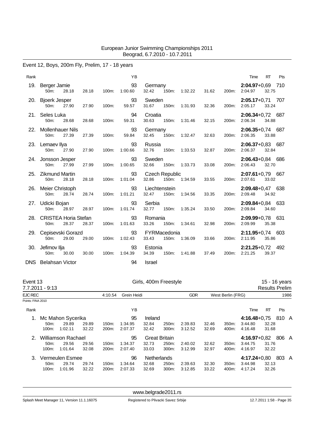# Event 12, Boys, 200m Fly, Prelim, 17 - 18 years

| Rank |                                                   |       |       | YB            |                                 |               |       |             | Time                            | <b>RT</b> | Pts |
|------|---------------------------------------------------|-------|-------|---------------|---------------------------------|---------------|-------|-------------|---------------------------------|-----------|-----|
|      | 19. Berger Jamie<br>28.18<br>50m:                 | 28.18 | 100m: | 93<br>1:00.60 | Germany<br>32.42<br>150m:       | 1:32.22       |       | 31.62 200m: | 2:04.97+0,69 710<br>2:04.97     | 32.75     |     |
|      | 20. Bjoerk Jesper<br>50 <sub>m</sub> :<br>27.90   | 27.90 | 100m: | 93<br>59.57   | Sweden<br>31.67<br>150m:        | 1:31.93       | 32.36 | 200m:       | $2:05.17+0.71$ 707<br>2:05.17   | 33.24     |     |
|      | 21. Seles Luka<br>28.68<br>50m:                   | 28.68 | 100m: | 94<br>59.31   | Croatia<br>30.63<br>150m:       | 1:31.46       | 32.15 | 200m:       | $2:06.34+0.72$ 687<br>2:06.34   | 34.88     |     |
|      | 22. Mollenhauer Nils<br>27.39<br>50m:             | 27.39 | 100m: | 93<br>59.84   | Germany<br>32.45<br>150m:       | 1:32.47       | 32.63 | 200m:       | $2:06.35+0.74$ 687<br>2:06.35   | 33.88     |     |
|      | 23. Lemaev Ilya<br>50m:<br>27.90                  | 27.90 | 100m: | 93<br>1:00.66 | Russia<br>32.76<br>150m:        | 1:33.53       | 32.87 | 200m:       | $2:06.37+0.83$ 687<br>2:06.37   | 32.84     |     |
|      | 24. Jonsson Jesper<br>50m:<br>27.99               | 27.99 | 100m: | 93<br>1:00.65 | Sweden<br>32.66<br>150m:        | 1:33.73       | 33.08 | 200m:       | $2:06.43+0.84$ 686<br>2:06.43   | 32.70     |     |
|      | 25. Zikmund Martin<br>28.18<br>50 <sub>m</sub> :  | 28.18 | 100m: | 93<br>1:01.04 | <b>Czech Republic</b><br>32.86  | 150m: 1:34.59 | 33.55 | 200m:       | $2:07.61+0.79$ 667<br>2:07.61   | 33.02     |     |
|      | 26. Meier Christoph<br>28.74<br>50 <sub>m</sub> : | 28.74 | 100m: | 93<br>1:01.21 | Liechtenstein<br>32.47<br>150m: | 1:34.56       | 33.35 | 200m:       | $2:09.48 + 0.47$ 638<br>2:09.48 | 34.92     |     |
|      | 27. Udicki Bojan<br>50m:<br>28.97                 | 28.97 | 100m: | 93<br>1:01.74 | Serbia<br>32.77<br>150m:        | 1:35.24       | 33.50 | 200m:       | $2:09.84 + 0.84$ 633<br>2:09.84 | 34.60     |     |
| 28.  | <b>CRISTEA Horia Stefan</b><br>50m:<br>28.37      | 28.37 | 100m: | 93<br>1:01.63 | Romania<br>33.26<br>150m:       | 1:34.61       | 32.98 | 200m:       | $2:09.99 + 0.78$ 631<br>2:09.99 | 35.38     |     |
|      | 29. Cepisevski Gorazd<br>29.00<br>$50m$ :         | 29.00 | 100m: | 93<br>1:02.43 | FYRMacedonia<br>33.43<br>150m:  | 1:36.09       | 33.66 | 200m:       | $2:11.95+0.74$ 603<br>2:11.95   | 35.86     |     |
| 30.  | Jefimov Ilja<br>50 <sub>m</sub> :<br>30.00        | 30.00 | 100m: | 93<br>1:04.39 | Estonia<br>34.39<br>150m:       | 1:41.88       | 37.49 | 200m:       | $2:21.25+0.72$ 492<br>2:21.25   | 39.37     |     |
|      | DNS Belahsan Victor                               |       |       | 94            | <b>Israel</b>                   |               |       |             |                                 |           |     |

| Event 13          | 7.7.2011 - 9:13   |                           |       | Girls, 400m Freestyle |             |         |                      |            |                   | 15 - 16 years<br><b>Results Prelim</b> |                  |       |       |      |  |
|-------------------|-------------------|---------------------------|-------|-----------------------|-------------|---------|----------------------|------------|-------------------|----------------------------------------|------------------|-------|-------|------|--|
| EJC REC           |                   |                           |       | 4:10.54               | Grein Heidi |         |                      | <b>GDR</b> | West Berlin (FRG) |                                        |                  |       |       | 1986 |  |
| Points: FINA 2010 |                   |                           |       |                       |             |         |                      |            |                   |                                        |                  |       |       |      |  |
| Rank              |                   |                           |       |                       | ΥB          |         |                      |            |                   |                                        | Time             | RT    | Pts   |      |  |
| 1.                |                   | Mc Mahon Sycerika         |       |                       | 95          | Ireland |                      |            |                   |                                        | $4:16.48 + 0.75$ |       | 810 A |      |  |
|                   | 50 <sub>m</sub> : | 29.89                     | 29.89 | 150m:                 | 1:34.95     | 32.84   | 250m:                | 2:39.83    | 32.46             | 350m:                                  | 3:44.80          | 32.28 |       |      |  |
|                   | 100m:             | 1:02.11                   | 32.22 | 200 <sub>m</sub> :    | 2:07.37     | 32.42   | 300m:                | 3:12.52    | 32.69             | 400m:                                  | 4:16.48          | 31.68 |       |      |  |
|                   |                   | <b>Williamson Rachael</b> |       |                       | 95          |         | <b>Great Britain</b> |            |                   |                                        | $4:16.97+0.82$   |       | 806 A |      |  |
|                   | 50 <sub>m</sub> : | 29.56                     | 29.56 | 150m:                 | 1:34.37     | 32.73   | 250m:                | 2:40.02    | 32.62             | 350m:                                  | 3:44.75          | 31.76 |       |      |  |
|                   | 100m:             | 1:01.64                   | 32.08 | 200 <sub>m</sub> :    | 2:07.40     | 33.03   | 300m:                | 3:12.99    | 32.97             | 400m:                                  | 4.16.97          | 32.22 |       |      |  |
|                   |                   | Vermeulen Esmee           |       |                       | 96          |         | Netherlands          |            |                   |                                        | $4:17.24 + 0.80$ |       | 803 A |      |  |
|                   | 50 <sub>m</sub> : | 29.74                     | 29.74 | 150m:                 | 1:34.64     | 32.68   | 250m:                | 2:39.63    | 32.30             | 350m:                                  | 3.44.98          | 32.13 |       |      |  |
|                   | 100m:             | 1:01.96                   | 32.22 | 200 <sub>m</sub> :    | 2:07.33     | 32.69   | 300m:                | 3.12.85    | 33.22             | 400m:                                  | 4:17.24          | 32.26 |       |      |  |
|                   |                   |                           |       |                       |             |         |                      |            |                   |                                        |                  |       |       |      |  |

<www.belgrade2011.rs>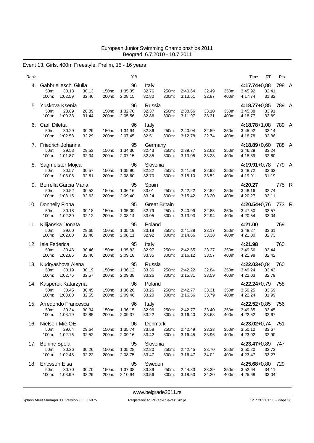# Event 13, Girls, 400m Freestyle, Prelim, 15 - 16 years

| Rank |                                                                  |                                  | ΥB                       |                                        |                |                    |                |                | Time                                     | RT             | Pts   |  |
|------|------------------------------------------------------------------|----------------------------------|--------------------------|----------------------------------------|----------------|--------------------|----------------|----------------|------------------------------------------|----------------|-------|--|
| 4.   | Gabbrielleschi Giulia<br>30.13<br>$50m$ :<br>1:02.59<br>100m:    | 30.13<br>150m:<br>32.46<br>200m: | 96<br>1:35.35<br>2:08.15 | Italy<br>32.76<br>32.80                | 250m:<br>300m: | 2:40.64<br>3:13.51 | 32.49<br>32.87 | 350m:<br>400m: | 4:17.74+0,88 798 A<br>3:45.92<br>4:17.74 | 32.41<br>31.82 |       |  |
| 5.   | Yuskova Ksenia<br>50m:<br>28.89<br>100m:<br>1:00.33              | 28.89<br>150m:<br>31.44<br>200m: | 96<br>1:32.70<br>2:05.56 | Russia<br>32.37<br>32.86               | 250m:<br>300m: | 2:38.66<br>3:11.97 | 33.10<br>33.31 | 350m:<br>400m: | 4:18.77+0,85 789 A<br>3:45.88<br>4:18.77 | 33.91<br>32.89 |       |  |
| 6.   | Carli Diletta<br>30.29<br>50m:<br>100m:<br>1:02.58               | 150m:<br>30.29<br>32.29<br>200m: | 96<br>1:34.94<br>2:07.45 | Italy<br>32.36<br>32.51                | 250m:<br>300m: | 2:40.04<br>3:12.78 | 32.59<br>32.74 | 350m:<br>400m: | 4:18.78+1,08 789 A<br>3:45.92<br>4:18.78 | 33.14<br>32.86 |       |  |
|      | 7. Friedrich Johanna<br>50m:<br>29.53<br>100m:<br>1:01.87        | 29.53<br>150m:<br>32.34<br>200m: | 95<br>1:34.30<br>2:07.15 | Germany<br>32.43<br>32.85              | 250m:<br>300m: | 2:39.77<br>3:13.05 | 32.62<br>33.28 | 350m:<br>400m: | 4:18.89+0,60 788 A<br>3:46.29<br>4:18.89 | 33.24<br>32.60 |       |  |
|      | 8. Sagmeister Mojca<br>50m:<br>30.57<br>1:03.08<br>100m:         | 30.57<br>150m:<br>32.51<br>200m: | 96<br>1.35.90<br>2:08.60 | Slovenia<br>32.82<br>32.70             | 250m:<br>300m: | 2:41.58<br>3:15.10 | 32.98<br>33.52 | 350m:<br>400m: | 4:19.91+0,78 779 A<br>3:48.72<br>4:19.91 | 33.62<br>31.19 |       |  |
| 9.   | Borrella Garcia Maria<br>50m:<br>30.52<br>1:03.15<br>100m:       | 150m:<br>30.52<br>32.63<br>200m: | 95<br>1:36.16<br>2:09.40 | Spain<br>33.01<br>33.24                | 250m:<br>300m: | 2:42.22<br>3:15.42 | 32.82<br>33.20 | 350m:<br>400m: | 4:20.27<br>3:48.16<br>4:20.27            | 32.74<br>32.11 | 775 R |  |
| 10.  | Donnelly Fiona<br>50 <sub>m</sub> :<br>30.18<br>100m:<br>1:02.30 | 30.18<br>150m:<br>200m:<br>32.12 | 95<br>1:35.09<br>2:08.14 | <b>Great Britain</b><br>32.79<br>33.05 | 250m:<br>300m: | 2:40.99<br>3:13.93 | 32.85<br>32.94 | 350m:<br>400m: | 4:20.54+0,76 773 R<br>3:47.50<br>4:20.54 | 33.57<br>33.04 |       |  |
| 11.  | Kilijanska Donata<br>50m:<br>29.60<br>1:02.00<br>100m:           | 29.60<br>150m:<br>32.40<br>200m: | 95<br>1:35.19<br>2:08.11 | Poland<br>33.19<br>32.92               | 250m:<br>300m: | 2:41.28<br>3:14.66 | 33.17<br>33.38 | 350m:<br>400m: | 4:21.00<br>3:48.27<br>4:21.00            | 33.61<br>32.73 | 769   |  |
| 12.  | lele Federica<br>50 <sub>m</sub> :<br>30.46<br>100m:<br>1:02.86  | 30.46<br>150m:<br>32.40<br>200m: | 95<br>1:35.83<br>2:09.18 | Italy<br>32.97<br>33.35                | 250m:<br>300m: | 2:42.55<br>3:16.12 | 33.37<br>33.57 | 350m:<br>400m: | 4:21.98<br>3:49.56<br>4:21.98            | 33.44<br>32.42 | 760   |  |
|      | 13. Kudryashova Alena<br>50m:<br>30.19<br>100m:<br>1:02.76       | 30.19<br>150m:<br>32.57<br>200m: | 95<br>1:36.12<br>2:09.38 | Russia<br>33.36<br>33.26               | 250m:<br>300m: | 2:42.22<br>3:15.81 | 32.84<br>33.59 | 350m.<br>400m: | 4:22.03+0,84 760<br>3:49.24<br>4:22.03   | 33.43<br>32.79 |       |  |
|      | 14. Kasperek Katarzyna<br>50m:<br>30.45<br>100m:<br>1:03.00      | 30.45<br>150m:<br>32.55<br>200m: | 96<br>1:36.26<br>2:09.46 | Poland<br>33.26<br>33.20               | 250m:<br>300m: | 2:42.77<br>3:16.56 | 33.31<br>33.79 | 350m:<br>400m: | 4:22.24+0,79 758<br>3:50.25<br>4:22.24   | 33.69<br>31.99 |       |  |
|      | 15. Arredondo Francesca<br>50m:<br>30.34<br>100m:<br>1:03.19     | 30.34<br>150m:<br>32.85<br>200m: | 96<br>1:36.15<br>2:09.37 | Italy<br>32.96<br>33.22                | 250m:<br>300m: | 2:42.77<br>3:16.40 | 33.40<br>33.63 | 350m:<br>400m: | $4:22.52+0.85$<br>3:49.85<br>4:22.52     | 33.45<br>32.67 | 756   |  |
| 16.  | Nielsen Mie OE.<br>29.64<br>50m:<br>100m:<br>1:02.16             | 29.64<br>150m:<br>32.52<br>200m: | 96<br>1.35.74<br>2:09.16 | Denmark<br>33.58<br>33.42              | 250m:<br>300m: | 2:42.49<br>3:16.45 | 33.33<br>33.96 | 350m:<br>400m: | 4:23.02+0,74 751<br>3:50.12<br>4:23.02   | 33.67<br>32.90 |       |  |
|      | 17. Bohinc Spela<br>50m:<br>30.26<br>100m: 1:02.48               | 30.26<br>150m:<br>32.22<br>200m: | 95<br>1:35.28<br>2:08.75 | Slovenia<br>32.80<br>33.47             | 250m:<br>300m: | 2:42.45<br>3:16.47 | 33.70<br>34.02 | 350m:<br>400m: | 4:23.47+0,89 747<br>3:50.20<br>4:23.47   | 33.73<br>33.27 |       |  |
| 18.  | Ericsson Elsa<br>50m:<br>30.70<br>1:03.99<br>100m:               | 30.70<br>150m:<br>33.29<br>200m: | 95<br>1:37.38<br>2:10.94 | Sweden<br>33.39<br>33.56               | 250m:<br>300m: | 2:44.33<br>3:18.53 | 33.39<br>34.20 | 350m:<br>400m: | 4:25.68+0,80 729<br>3:52.64<br>4:25.68   | 34.11<br>33.04 |       |  |

<www.belgrade2011.rs>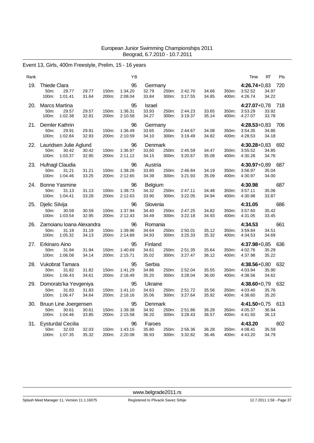# Event 13, Girls, 400m Freestyle, Prelim, 15 - 16 years

| Rank |                                                                |                |                | ΥB                       |                                  |                |                    |                |                | Time                                   | RT             | Pts |
|------|----------------------------------------------------------------|----------------|----------------|--------------------------|----------------------------------|----------------|--------------------|----------------|----------------|----------------------------------------|----------------|-----|
| 19.  | <b>Thiede Clara</b><br>50m:<br>29.77<br>100m:<br>1:01.41       | 29.77<br>31.64 | 150m:<br>200m: | 95<br>1:34.20<br>2:08.04 | Germany<br>32.79<br>33.84        | 250m:<br>300m: | 2:42.70<br>3:17.55 | 34.66<br>34.85 | 350m:<br>400m: | $4:26.74+0.83$<br>3:52.52<br>4:26.74   | 34.97<br>34.22 | 720 |
| 20.  | <b>Marcs Martina</b><br>50m:<br>29.57<br>100m:<br>1:02.38      | 29.57<br>32.81 | 150m:<br>200m: | 95<br>1:36.31<br>2:10.58 | Israel<br>33.93<br>34.27         | 250m:<br>300m: | 2:44.23<br>3:19.37 | 33.65<br>35.14 | 350m:<br>400m: | 4:27.07+0,78 718<br>3:53.29<br>4:27.07 | 33.92<br>33.78 |     |
| 21.  | Demler Kathrin<br>50m:<br>29.91<br>100m:<br>1:02.84            | 29.91<br>32.93 | 150m:<br>200m: | 96<br>1:36.49<br>2:10.59 | Germany<br>33.65<br>34.10        | 250m:<br>300m: | 2:44.67<br>3:19.49 | 34.08<br>34.82 | 350m:<br>400m: | 4:28.53+0,83 706<br>3:54.35<br>4:28.53 | 34.86<br>34.18 |     |
| 22.  | Lauridsen Julie Aglund<br>50m:<br>30.42<br>100m:<br>1:03.37    | 30.42<br>32.95 | 150m:<br>200m: | 96<br>1:36.97<br>2:11.12 | Denmark<br>33.60<br>34.15        | 250m:<br>300m: | 2:45.59<br>3:20.67 | 34.47<br>35.08 | 350m:<br>400m: | 4:30.28+0,83 692<br>3:55.52<br>4:30.28 | 34.85<br>34.76 |     |
| 23.  | Hufnagl Claudia<br>31.21<br>50m:<br>100m:<br>1:04.46           | 31.21<br>33.25 | 150m:<br>200m: | 96<br>1:38.26<br>2:12.65 | Austria<br>33.80<br>34.39        | 250m:<br>300m: | 2:46.84<br>3:21.93 | 34.19<br>35.09 | 350m:<br>400m: | 4:30.97+0,89 687<br>3:56.97<br>4:30.97 | 35.04<br>34.00 |     |
| 24.  | <b>Bonne Yasmine</b><br>50m:<br>31.13<br>100m:<br>1:04.41      | 31.13<br>33.28 | 150m:<br>200m: | 96<br>1:38.73<br>2:12.63 | <b>Belgium</b><br>34.32<br>33.90 | 250m:<br>300m: | 2:47.11<br>3:22.05 | 34.48<br>34.94 | 350m:<br>400m: | 4:30.98<br>3:57.11<br>4:30.98          | 35.06<br>33.87 | 687 |
| 25.  | Djelic Silvija<br>50m:<br>30.59<br>100m:<br>1:03.54            | 30.59<br>32.95 | 150m:<br>200m: | 96<br>1:37.94<br>2:12.43 | Slovenia<br>34.40<br>34.49       | 250m:<br>300m: | 2:47.25<br>3:22.18 | 34.82<br>34.93 | 350m:<br>400m: | 4:31.05<br>3:57.60<br>4:31.05          | 35.42<br>33.45 | 686 |
| 26.  | Zarnoianu Ioana Alexandra<br>50m:<br>31.19<br>100m:<br>1:05.32 | 31.19<br>34.13 | 150m:<br>200m: | 96<br>1:39.96<br>2:14.89 | Romania<br>34.64<br>34.93        | 250m:<br>300m: | 2:50.01<br>3:25.33 | 35.12<br>35.32 | 350m:<br>400m: | 4:34.53<br>3:59.84<br>4:34.53          | 34.51<br>34.69 | 661 |
| 27.  | Erkinaro Aino<br>50m:<br>31.94<br>100m:<br>1:06.08             | 31.94<br>34.14 | 150m:<br>200m: | 95<br>1:40.69<br>2:15.71 | Finland<br>34.61<br>35.02        | 250m:<br>300m: | 2:51.35<br>3:27.47 | 35.64<br>36.12 | 350m:<br>400m: | 4:37.98+0,85 636<br>4:02.76<br>4:37.98 | 35.29<br>35.22 |     |
| 28.  | Vukobrat Tamara<br>31.82<br>50m:<br>1:06.43<br>100m:           | 31.82<br>34.61 | 150m:<br>200m: | 95<br>1:41.29<br>2:16.49 | Serbia<br>34.86<br>35.20         | 250m:<br>300m: | 2:52.04<br>3:28.04 | 35.55<br>36.00 | 350m:<br>400m: | 4:38.56+0,80 632<br>4:03.94<br>4:38.56 | 35.90<br>34.62 |     |
| 29.  | Domorats'ka Yevgeniya<br>50m:<br>31.83<br>100m:<br>1:06.47     | 31.83<br>34.64 | 150m:<br>200m: | 95<br>1:41.10<br>2:16.16 | Ukraine<br>34.63<br>35.06        | 250m:<br>300m: | 2:51.72<br>3:27.64 | 35.56<br>35.92 | 350m:<br>400m: | 4:38.60+0,79 632<br>4:03.40<br>4:38.60 | 35.76<br>35.20 |     |
| 30.  | Bruun Line Joergensen<br>50m:<br>30.61<br>100m:<br>1:04.46     | 30.61<br>33.85 | 150m:<br>200m: | 95<br>1:39.38<br>2:15.58 | Denmark<br>34.92<br>36.20        | 250m:<br>300m: | 2:51.86<br>3:28.43 | 36.28<br>36.57 | 350m:<br>400m: | 4:41.50+0,75<br>4:05.37<br>4:41.50     | 36.94<br>36.13 | 613 |
| 31.  | <b>Eysturdal Cecilia</b><br>32.03<br>50m:<br>100m:<br>1:07.35  | 32.03<br>35.32 | 150m:<br>200m: | 96<br>1:43.15<br>2:20.08 | Faroes<br>35.80<br>36.93         | 250m:<br>300m: | 2:56.36<br>3:32.82 | 36.28<br>36.46 | 350m:<br>400m: | 4:43.20<br>4:08.41<br>4:43.20          | 35.59<br>34.79 | 602 |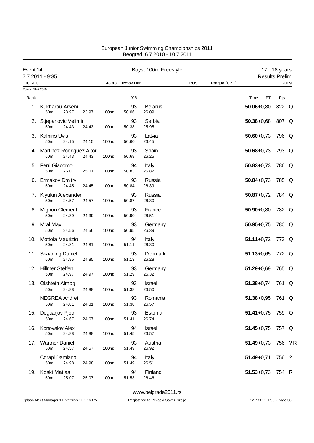|                   | Event 14<br>7.7.2011 - 9:35                  |       |       | Boys, 100m Freestyle |                         |            |              | <b>Results Prelim</b> | 17 - 18 years |      |
|-------------------|----------------------------------------------|-------|-------|----------------------|-------------------------|------------|--------------|-----------------------|---------------|------|
| <b>EJC REC</b>    |                                              |       | 48.48 | Izotov Daniil        |                         | <b>RUS</b> | Prague (CZE) |                       |               | 2009 |
| Points: FINA 2010 |                                              |       |       |                      |                         |            |              |                       |               |      |
| Rank              |                                              |       |       | YB                   |                         |            |              | Time<br>RT            | Pts           |      |
| 1.                | Kukharau Arseni<br>23.97<br>50m:             | 23.97 | 100m: | 93<br>50.06          | <b>Belarus</b><br>26.09 |            |              | $50.06 + 0.80$        | 822 Q         |      |
|                   | 2. Stjepanovic Velimir<br>50m:<br>24.43      | 24.43 | 100m: | 93<br>50.38          | Serbia<br>25.95         |            |              | $50.38 + 0.68$        | 807 Q         |      |
| З.                | <b>Kalnins Uvis</b><br>50m:<br>24.15         | 24.15 | 100m: | 93<br>50.60          | Latvia<br>26.45         |            |              | $50.60 + 0.73$        | 796 Q         |      |
|                   | 4. Martinez Rodriguez Aitor<br>50m:<br>24.43 | 24.43 | 100m: | 93<br>50.68          | Spain<br>26.25          |            |              | $50.68 + 0.73$        | 793 Q         |      |
|                   | 5. Ferri Giacomo<br>50m:<br>25.01            | 25.01 | 100m: | 94<br>50.83          | Italy<br>25.82          |            |              | $50.83 + 0.73$        | 786 Q         |      |
| 6.                | <b>Ermakov Dmitry</b><br>50m:<br>24.45       | 24.45 | 100m: | 93<br>50.84          | Russia<br>26.39         |            |              | $50.84 + 0.73$        | 785 Q         |      |
|                   | 7. Klyukin Alexander<br>50m:<br>24.57        | 24.57 | 100m: | 93<br>50.87          | Russia<br>26.30         |            |              | $50.87 + 0.72$        | 784 Q         |      |
|                   | 8. Mignon Clement<br>50m:<br>24.39           | 24.39 | 100m: | 93<br>50.90          | France<br>26.51         |            |              | $50.90 + 0.80$        | 782 Q         |      |
| 9.                | Mral Max<br>50m:<br>24.56                    | 24.56 | 100m: | 93<br>50.95          | Germany<br>26.39        |            |              | $50.95 + 0.75$        | 780 Q         |      |
| 10.               | Mottola Maurizio<br>50m:<br>24.81            | 24.81 | 100m: | 94<br>51.11          | Italy<br>26.30          |            |              | $51.11+0.72$          | 773 Q         |      |
|                   | 11. Skaaning Daniel<br>50m:<br>24.85         | 24.85 | 100m: | 93<br>51.13          | Denmark<br>26.28        |            |              | $51.13 + 0.65$        | 772 Q         |      |
| 12.               | <b>Hillmer Steffen</b><br>50m:<br>24.97      | 24.97 | 100m: | 93<br>51.29          | Germany<br>26.32        |            |              | $51.29 + 0.69$        | 765 Q         |      |
|                   | 13. Olshtein Almog<br>50m:<br>24.88          | 24.88 | 100m: | 93<br>51.38          | Israel<br>26.50         |            |              | $51.38 + 0.74$        | 761 Q         |      |
|                   | NEGREA Andrei<br>24.81<br>50m:               | 24.81 | 100m: | 93<br>51.38          | Romania<br>26.57        |            |              | 51.38+0,95 761 Q      |               |      |
| 15.               | Degtjarjov Pjotr<br>50m:<br>24.67            | 24.67 | 100m: | 93<br>51.41          | Estonia<br>26.74        |            |              | $51.41 + 0.75$        | 759 Q         |      |
| 16.               | Konovalov Alexi<br>50m:<br>24.88             | 24.88 | 100m: | 94<br>51.45          | Israel<br>26.57         |            |              | $51.45 + 0.75$        | 757 Q         |      |
|                   | 17. Wartner Daniel<br>50m:<br>24.57          | 24.57 | 100m: | 93<br>51.49          | Austria<br>26.92        |            |              | $51.49 + 0.73$        | 756 ? R       |      |
|                   | Corapi Damiano<br>50m:<br>24.98              | 24.98 | 100m: | 94<br>51.49          | Italy<br>26.51          |            |              | $51.49 + 0.71$        | 756 ?         |      |
| 19.               | Koski Matias<br>50m:<br>25.07                | 25.07 | 100m: | 94<br>51.53          | Finland<br>26.46        |            |              | $51.53 + 0.73$        | 754 R         |      |

<www.belgrade2011.rs>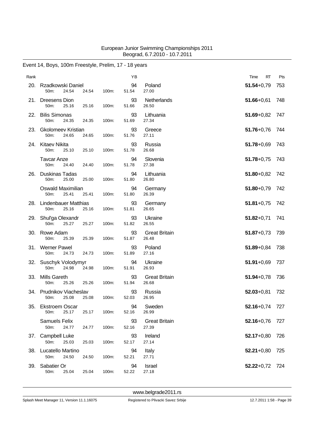# Event 14, Boys, 100m Freestyle, Prelim, 17 - 18 years

| Rank |                                                            |       | ΥB          |                               | Time<br>RT     | Pts |
|------|------------------------------------------------------------|-------|-------------|-------------------------------|----------------|-----|
| 20.  | Rzadkowski Daniel<br>50m:<br>24.54<br>24.54                | 100m: | 94<br>51.54 | Poland<br>27.00               | $51.54 + 0.79$ | 753 |
| 21.  | Dreesens Dion<br>50m:<br>25.16<br>25.16                    | 100m: | 93<br>51.66 | Netherlands<br>26.50          | $51.66 + 0.61$ | 748 |
| 22.  | <b>Bilis Simonas</b><br>50m:<br>24.35<br>24.35             | 100m: | 93<br>51.69 | Lithuania<br>27.34            | $51.69 + 0.82$ | 747 |
| 23.  | <b>Gkolomeev Kristian</b><br>50m:<br>24.65<br>24.65        | 100m: | 93<br>51.76 | Greece<br>27.11               | $51.76 + 0.76$ | 744 |
| 24.  | Kitaev Nikita<br>50m:<br>25.10<br>25.10                    | 100m: | 93<br>51.78 | Russia<br>26.68               | $51.78 + 0.69$ | 743 |
|      | <b>Tavcar Anze</b><br>50m:<br>24.40<br>24.40               | 100m: | 94<br>51.78 | Slovenia<br>27.38             | $51.78 + 0.75$ | 743 |
| 26.  | Duskinas Tadas<br>50m:<br>25.00<br>25.00                   | 100m: | 94<br>51.80 | Lithuania<br>26.80            | $51.80 + 0.82$ | 742 |
|      | Oswald Maximilian<br>25.41<br>50 <sub>m</sub> :<br>25.41   | 100m: | 94<br>51.80 | Germany<br>26.39              | $51.80 + 0.79$ | 742 |
| 28.  | <b>Lindenbauer Matthias</b><br>50m:<br>25.16<br>25.16      | 100m: | 93<br>51.81 | Germany<br>26.65              | $51.81 + 0.75$ | 742 |
|      | 29. Shul'ga Olexandr<br>50m:<br>25.27<br>25.27             | 100m: | 93<br>51.82 | Ukraine<br>26.55              | $51.82 + 0.71$ | 741 |
| 30.  | Rowe Adam<br>50m:<br>25.39<br>25.39                        | 100m: | 93<br>51.87 | <b>Great Britain</b><br>26.48 | $51.87 + 0.73$ | 739 |
|      | 31. Werner Pawel<br>50m:<br>24.73<br>24.73                 | 100m: | 93<br>51.89 | Poland<br>27.16               | $51.89 + 0.84$ | 738 |
|      | 32. Suschyk Volodymyr<br>50m:<br>24.98<br>24.98            | 100m: | 94<br>51.91 | Ukraine<br>26.93              | $51.91 + 0.69$ | 737 |
| 33.  | <b>Mills Gareth</b><br>25.26<br>50 <sub>m</sub> :<br>25.26 | 100m: | 93<br>51.94 | <b>Great Britain</b><br>26.68 | $51.94 + 0.78$ | 736 |
|      | 34. Prudnikov Viacheslav<br>25.08<br>25.08<br>50m:         | 100m: | 93<br>52.03 | Russia<br>26.95               | $52.03 + 0.81$ | 732 |
| 35.  | <b>Ekstroem Oscar</b><br>25.17<br>50m:<br>25.17            | 100m: | 94<br>52.16 | Sweden<br>26.99               | $52.16 + 0.74$ | 727 |
|      | <b>Samuels Felix</b><br>50m:<br>24.77<br>24.77             | 100m: | 93<br>52.16 | <b>Great Britain</b><br>27.39 | $52.16 + 0.76$ | 727 |
| 37.  | <b>Campbell Luke</b><br>50m:<br>25.03<br>25.03             | 100m: | 93<br>52.17 | Ireland<br>27.14              | $52.17+0.80$   | 726 |
| 38.  | Lucatello Martino<br>50m:<br>24.50<br>24.50                | 100m: | 94<br>52.21 | Italy<br>27.71                | $52.21 + 0.80$ | 725 |
| 39.  | Sabatier Or<br>25.04<br>25.04<br>50m:                      | 100m: | 94<br>52.22 | Israel<br>27.18               | $52.22+0.72$   | 724 |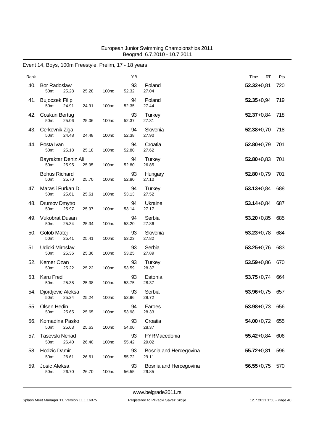| Rank |                                        |       |       | YB          |                                 | RT<br>Time     | Pts |
|------|----------------------------------------|-------|-------|-------------|---------------------------------|----------------|-----|
| 40.  | <b>Bor Radoslaw</b><br>50m:<br>25.28   | 25.28 | 100m: | 93<br>52.32 | Poland<br>27.04                 | $52.32 + 0.81$ | 720 |
| 41.  | <b>Bujoczek Filip</b><br>50m:<br>24.91 | 24.91 | 100m: | 94<br>52.35 | Poland<br>27.44                 | $52.35 + 0.94$ | 719 |
|      | 42. Coskun Bertug<br>50m:<br>25.06     | 25.06 | 100m: | 93<br>52.37 | Turkey<br>27.31                 | $52.37 + 0.84$ | 718 |
| 43.  | Cerkovnik Ziga<br>50m:<br>24.48        | 24.48 | 100m: | 94<br>52.38 | Slovenia<br>27.90               | $52.38 + 0.70$ | 718 |
| 44.  | Posta Ivan<br>50m:<br>25.18            | 25.18 | 100m: | 94<br>52.80 | Croatia<br>27.62                | $52.80 + 0.79$ | 701 |
|      | Bayraktar Deniz Ali<br>50m:<br>25.95   | 25.95 | 100m: | 94<br>52.80 | Turkey<br>26.85                 | $52.80 + 0.83$ | 701 |
|      | <b>Bohus Richard</b><br>50m:<br>25.70  | 25.70 | 100m: | 93<br>52.80 | Hungary<br>27.10                | $52.80 + 0.79$ | 701 |
| 47.  | Marasli Furkan D.<br>50m:<br>25.61     | 25.61 | 100m: | 94<br>53.13 | Turkey<br>27.52                 | $53.13 + 0.84$ | 688 |
|      | 48. Drumov Dmytro<br>50m:<br>25.97     | 25.97 | 100m: | 94<br>53.14 | Ukraine<br>27.17                | $53.14 + 0.84$ | 687 |
| 49.  | <b>Vukobrat Dusan</b><br>50m:<br>25.34 | 25.34 | 100m: | 94<br>53.20 | Serbia<br>27.86                 | $53.20 + 0.85$ | 685 |
| 50.  | Golob Matej<br>50m:<br>25.41           | 25.41 | 100m: | 93<br>53.23 | Slovenia<br>27.82               | $53.23 + 0.78$ | 684 |
| 51.  | Udicki Miroslav<br>50m:<br>25.36       | 25.36 | 100m: | 93<br>53.25 | Serbia<br>27.89                 | $53.25 + 0.76$ | 683 |
| 52.  | Kemer Ozan<br>50m:<br>25.22            | 25.22 | 100m: | 93<br>53.59 | Turkey<br>28.37                 | $53.59 + 0.86$ | 670 |
| 53.  | <b>Karu Fred</b><br>50m:<br>25.38      | 25.38 | 100m: | 93<br>53.75 | Estonia<br>28.37                | $53.75 + 0.74$ | 664 |
| 54.  | Djordjevic Aleksa<br>50m:<br>25.24     | 25.24 | 100m: | 93<br>53.96 | Serbia<br>28.72                 | $53.96 + 0.75$ | 657 |
| 55.  | Olsen Hedin<br>50m:<br>25.65           | 25.65 | 100m: | 94<br>53.98 | Faroes<br>28.33                 | $53.98 + 0.73$ | 656 |
| 56.  | Komadina Pasko<br>50m:<br>25.63        | 25.63 | 100m: | 93<br>54.00 | Croatia<br>28.37                | $54.00 + 0.72$ | 655 |
| 57.  | Tasevski Nenad<br>50m:<br>26.40        | 26.40 | 100m: | 93<br>55.42 | FYRMacedonia<br>29.02           | $55.42 + 0.84$ | 606 |
| 58.  | <b>Hodzic Damir</b><br>50m:<br>26.61   | 26.61 | 100m: | 93<br>55.72 | Bosnia and Hercegovina<br>29.11 | $55.72 + 0.81$ | 596 |
| 59.  | Josic Aleksa<br>50m:<br>26.70          | 26.70 | 100m: | 93<br>56.55 | Bosnia and Hercegovina<br>29.85 | $56.55 + 0.75$ | 570 |

# Event 14, Boys, 100m Freestyle, Prelim, 17 - 18 years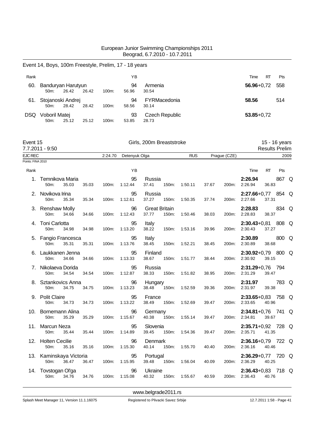|                                     | Event 14, Boys, 100m Freestyle, Prelim, 17 - 18 years    |       |         |                     |                                          |                     |              |       |                                           |           |                                        |
|-------------------------------------|----------------------------------------------------------|-------|---------|---------------------|------------------------------------------|---------------------|--------------|-------|-------------------------------------------|-----------|----------------------------------------|
| Rank                                |                                                          |       |         | ΥB                  |                                          |                     |              |       | Time                                      | <b>RT</b> | Pts                                    |
|                                     | 60. Banduryan Harutyun<br>26.42<br>50m:                  | 26.42 | 100m:   | 94<br>56.96         | Armenia<br>30.54                         |                     |              |       | $56.96 + 0.72$                            |           | 558                                    |
|                                     | 61. Stojanoski Andrej<br>50m:<br>28.42                   | 28.42 | 100m:   | 94<br>58.56         | FYRMacedonia<br>30.14                    |                     |              |       | 58.56                                     |           | 514                                    |
|                                     | DSQ Voboril Matej<br>50m:<br>25.12                       | 25.12 | 100m:   | 93<br>53.85         | <b>Czech Republic</b><br>28.73           |                     |              |       | $53.85 + 0.72$                            |           |                                        |
| Event 15                            | 7.7.2011 - 9:50                                          |       |         |                     | Girls, 200m Breaststroke                 |                     |              |       |                                           |           | 15 - 16 years<br><b>Results Prelim</b> |
| <b>EJC REC</b><br>Points: FINA 2010 |                                                          |       | 2:24.70 | Detenyuk Olga       |                                          | <b>RUS</b>          | Prague (CZE) |       |                                           |           | 2009                                   |
|                                     |                                                          |       |         |                     |                                          |                     |              |       |                                           |           |                                        |
| Rank                                |                                                          |       |         | YB                  |                                          |                     |              |       | Time                                      | RT        | Pts                                    |
| 1.                                  | Temnikova Maria<br>50m:<br>35.03                         | 35.03 | 100m:   | 95<br>1:12.44       | Russia<br>37.41<br>150m:                 | 1:50.11             | 37.67        | 200m: | 2:26.94<br>2:26.94                        | 36.83     | 867 Q                                  |
|                                     | 2. Novikova Irina<br>50m:<br>35.34                       | 35.34 | 100m:   | 95<br>1:12.61       | Russia<br>37.27<br>150m:                 | 1:50.35             | 37.74        | 200m: | $2:27.66+0.77$<br>2:27.66                 | 37.31     | 854 Q                                  |
|                                     | 3. Renshaw Molly<br>34.66<br>50m:                        | 34.66 | 100m:   | 96<br>1:12.43       | <b>Great Britain</b><br>37.77<br>150m:   | 1:50.46             | 38.03        | 200m: | 2:28.83<br>2:28.83                        | 38.37     | 834 Q                                  |
|                                     | 4. Toni Carlotta<br>50m:<br>34.98                        | 34.98 | 100m:   | 95<br>1:13.20       | Italy<br>38.22<br>150m:                  | 1:53.16             | 39.96        | 200m: | $2:30.43+0.81$<br>2:30.43                 | 37.27     | 808 Q                                  |
|                                     | 5. Fangio Francesca<br>50m:<br>35.31                     | 35.31 | 100m:   | 95<br>1:13.76       | Italy<br>38.45<br>150m:                  | 1:52.21             | 38.45        | 200m: | 2:30.89<br>2:30.89                        | 38.68     | 800 Q                                  |
|                                     | 6. Laukkanen Jenna<br>50m:<br>34.66                      | 34.66 | 100m:   | 95<br>1:13.33       | Finland<br>38.67<br>150m:                | 1:51.77             | 38.44        | 200m: | $2:30.92+0.79$ 800 Q<br>2:30.92           | 39.15     |                                        |
| 7.                                  | Nikolaeva Dorida<br>50m:<br>34.54                        | 34.54 | 100m:   | 95<br>1:12.87       | Russia<br>38.33<br>150m:                 | 1:51.82             | 38.95        | 200m: | $2:31.29 + 0.76$<br>2:31.29               | 39.47     | 794                                    |
|                                     | 8. Sztankovics Anna<br>50 <sub>m</sub> :<br>34.75        | 34.75 | 100m:   | 96<br>1:13.23       | Hungary<br>38.48<br>150m:                | 1:52.59             | 39.36        | 200m: | 2:31.97<br>2:31.97                        | 39.38     | 783 Q                                  |
|                                     | 9. Polit Claire<br>50m:<br>34.73   34.73   100m: 1:13.22 |       |         |                     | 95 France<br>38.49  150m: 1:52.69  39.47 |                     |              |       | 2:33.65+0,83 758 Q<br>200m: 2:33.65 40.96 |           |                                        |
|                                     | 10. Bornemann Alina<br>35.29<br>50m:                     | 35.29 | 100m:   | 96<br>1:15.67       | Germany<br>40.38                         | 150m: 1:55.14       | 39.47        |       | $2:34.81+0.76$ 741 Q<br>200m: 2:34.81     | 39.67     |                                        |
|                                     | 11. Marcun Neza<br>50 <sub>m</sub> :<br>35.44            | 35.44 |         | 95<br>100m: 1:14.89 | Slovenia<br>39.45                        | 150m: 1:54.36       | 39.47        |       | 2:35.71+0,92 728 Q<br>200m: 2:35.71       | 41.35     |                                        |
|                                     | 12. Holten Cecilie<br>50m:<br>35.16                      | 35.16 |         | 96<br>100m: 1:15.30 | Denmark<br>40.14 150m: 1:55.70           |                     | 40.40        |       | 2:36.16+0,79 722 Q<br>200m: 2:36.16 40.46 |           |                                        |
|                                     | 13. Kaminskaya Victoria<br>50m:<br>36.47                 | 36.47 | 100m:   | 95<br>1:15.95       | Portugal<br>39.48 150m: 1:56.04          |                     | 40.09        |       | 2:36.29+0,77 720 Q<br>200m: 2:36.29 40.25 |           |                                        |
|                                     | 14. Tovstogan Ol'ga<br>34.76<br>50m:                     | 34.76 |         | 96<br>100m: 1:15.08 | Ukraine<br>40.32                         | 150m: 1:55.67 40.59 |              |       | 2:36.43+0,83 718 Q<br>200m: 2:36.43       | 40.76     |                                        |
|                                     |                                                          |       |         |                     |                                          |                     |              |       |                                           |           |                                        |

<www.belgrade2011.rs>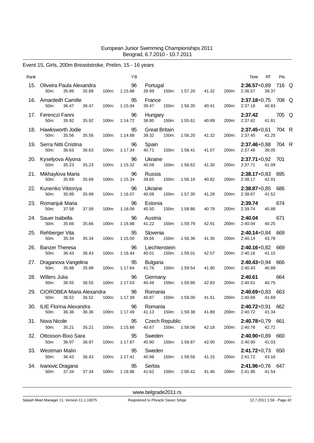# Event 15, Girls, 200m Breaststroke, Prelim, 15 - 16 years

| RT<br>Time | Pts                                                                                                                                                                                                                                                                                                                                                                                                                                                                                                                                                                                                                                                                                                                  |
|------------|----------------------------------------------------------------------------------------------------------------------------------------------------------------------------------------------------------------------------------------------------------------------------------------------------------------------------------------------------------------------------------------------------------------------------------------------------------------------------------------------------------------------------------------------------------------------------------------------------------------------------------------------------------------------------------------------------------------------|
| 39.37      |                                                                                                                                                                                                                                                                                                                                                                                                                                                                                                                                                                                                                                                                                                                      |
| 40.83      |                                                                                                                                                                                                                                                                                                                                                                                                                                                                                                                                                                                                                                                                                                                      |
| 41.81      | 705 Q                                                                                                                                                                                                                                                                                                                                                                                                                                                                                                                                                                                                                                                                                                                |
| 41.25      |                                                                                                                                                                                                                                                                                                                                                                                                                                                                                                                                                                                                                                                                                                                      |
| 39.05      |                                                                                                                                                                                                                                                                                                                                                                                                                                                                                                                                                                                                                                                                                                                      |
| 41.09      |                                                                                                                                                                                                                                                                                                                                                                                                                                                                                                                                                                                                                                                                                                                      |
| 42.01      |                                                                                                                                                                                                                                                                                                                                                                                                                                                                                                                                                                                                                                                                                                                      |
| 41.52      |                                                                                                                                                                                                                                                                                                                                                                                                                                                                                                                                                                                                                                                                                                                      |
| 40.88      | 674                                                                                                                                                                                                                                                                                                                                                                                                                                                                                                                                                                                                                                                                                                                  |
| 40.25      | 671                                                                                                                                                                                                                                                                                                                                                                                                                                                                                                                                                                                                                                                                                                                  |
| 43.78      |                                                                                                                                                                                                                                                                                                                                                                                                                                                                                                                                                                                                                                                                                                                      |
| 41.15      |                                                                                                                                                                                                                                                                                                                                                                                                                                                                                                                                                                                                                                                                                                                      |
| 40.89      |                                                                                                                                                                                                                                                                                                                                                                                                                                                                                                                                                                                                                                                                                                                      |
| 40.75      | 664                                                                                                                                                                                                                                                                                                                                                                                                                                                                                                                                                                                                                                                                                                                  |
| 41.69      | 663                                                                                                                                                                                                                                                                                                                                                                                                                                                                                                                                                                                                                                                                                                                  |
|            | 662                                                                                                                                                                                                                                                                                                                                                                                                                                                                                                                                                                                                                                                                                                                  |
|            |                                                                                                                                                                                                                                                                                                                                                                                                                                                                                                                                                                                                                                                                                                                      |
| 41.03      |                                                                                                                                                                                                                                                                                                                                                                                                                                                                                                                                                                                                                                                                                                                      |
| 43.16      |                                                                                                                                                                                                                                                                                                                                                                                                                                                                                                                                                                                                                                                                                                                      |
| 41.54      |                                                                                                                                                                                                                                                                                                                                                                                                                                                                                                                                                                                                                                                                                                                      |
|            | 2:36.57+0,89 716 Q<br>200m: 2:36.57<br>2:37.18+0,75 708 Q<br>200m: 2:37.18<br>2:37.42<br>2:37.42<br>2:37.45+0,61 704 R<br>200m: 2:37.45<br>2:37.46+0,88 704 R<br>200m: 2:37.46<br>$2:37.71+0.92$ 701<br>200m: 2:37.71<br>2:38.17+0,83 695<br>2:38.17<br>2:38.87+0,85 686<br>200m: 2:38.87<br>2:39.74<br>200m: 2:39.74<br>2:40.04<br>2:40.04<br>2:40.14+0,84 669<br>200m: 2:40.14<br>2:40.16+0,82 669<br>200m: 2:40.16<br>$2:40.43+0.94$ 666<br>2:40.43<br>2:40.61<br>2:40.61<br>$2:40.69 + 0.83$<br>200m: 2:40.69<br>$2:40.72+0.91$<br>200m: 2:40.72 41.34<br>2:40.78+0,79 661<br>200m: 2:40.78 42.72<br>2:40.90+0,89 660<br>200m: 2:40.90<br>2:41.72+0,73 650<br>200m: 2:41.72<br>2:41.96+0,76 647<br>200m: 2:41.96 |

<www.belgrade2011.rs>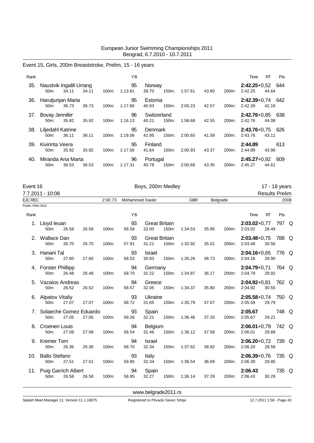# Event 15, Girls, 200m Breaststroke, Prelim, 15 - 16 years

| Rank |                                        |       |       |          | ΥB            |                      |       |         |       |                    | Time                          | RT    | <b>Pts</b> |
|------|----------------------------------------|-------|-------|----------|---------------|----------------------|-------|---------|-------|--------------------|-------------------------------|-------|------------|
| 35.  | Naustvik Ingalill Urrang<br>$50m$ :    | 34.11 | 34.11 | $100m$ : | 95<br>1:13.81 | Norway<br>39.70      | 150m: | 1:57.61 | 43.80 | 200m:              | $2:42.25+0.52$<br>2:42.25     | 44.64 | 644        |
| 36.  | Harutjunjan Maria<br>$50m$ :           | 36.73 | 36.73 | $100m$ : | 95<br>1:17.66 | Estonia<br>40.93     | 150m: | 2:00.23 | 42.57 | 200 <sub>m</sub> : | $2:42.39+0.74$ 642<br>2:42.39 | 42.16 |            |
| 37.  | Bovay Jennifer<br>50 <sub>m</sub> :    | 35.92 | 35.92 | $100m$ : | 96<br>1:16.13 | Switzerland<br>40.21 | 150m: | 1:58.68 | 42.55 | 200m:              | $2:42.76 + 0.85$<br>2:42.76   | 44.08 | 638        |
| 38.  | Liljedahl Katrine<br>$50m$ :           | 36.11 | 36.11 | $100m$ : | 95<br>1:19.06 | Denmark<br>42.95     | 150m: | 2:00.65 | 41.59 | 200 <sub>m</sub> : | $2:43.76+0.75$<br>2:43.76     | 43.11 | 626        |
| 39.  | Kivirinta Veera<br>50 <sub>m</sub> :   | 35.92 | 35.92 | $100m$ : | 95<br>1:17.56 | Finland<br>41.64     | 150m: | 2:00.93 | 43.37 | 200m:              | 2:44.89<br>2:44.89            | 43.96 | 613        |
| 40.  | Miranda Ana Marta<br>50 <sub>m</sub> : | 36.53 | 36.53 | $100m$ : | 96<br>1:17.31 | Portugal<br>40.78    | 150m: | 2:00.66 | 43.35 | 200m:              | $2:45.27+0.92$<br>2:45.27     | 44.61 | 609        |

| Event 16          |                                     |       |       |         |                        | 17 - 18 years                 |       |            |          |       |                                 |                       |       |  |
|-------------------|-------------------------------------|-------|-------|---------|------------------------|-------------------------------|-------|------------|----------|-------|---------------------------------|-----------------------|-------|--|
|                   | 7.7.2011 - 10:08                    |       |       |         |                        |                               |       |            |          |       |                                 | <b>Results Prelim</b> |       |  |
| EJC REC           |                                     |       |       | 2:00.73 | <b>Mohammed Xavier</b> |                               |       | <b>GBR</b> | Belgrade |       |                                 |                       | 2008  |  |
| Points: FINA 2010 |                                     |       |       |         |                        |                               |       |            |          |       |                                 |                       |       |  |
| Rank              |                                     |       |       |         | YB                     |                               |       |            |          |       | Time                            | <b>RT</b>             | Pts   |  |
|                   | 1. Lloyd leuan<br>50 <sub>m</sub> : | 26.58 | 26.58 | 100m:   | 93<br>58.58            | <b>Great Britain</b><br>32.00 | 150m: | 1:34.53    | 35.95    | 200m: | 2:03.02+0,77 797 Q<br>2:03.02   | 28.49                 |       |  |
| 2.                | Wallace Dan<br>50m:                 | 26.70 | 26.70 | 100m:   | 93<br>57.91            | <b>Great Britain</b><br>31.21 | 150m: | 1:32.92    | 35.01    | 200m: | 2:03.48+0,75 788 Q<br>2:03.48   | 30.56                 |       |  |
|                   | 3. Hanani Tal<br>50m:               | 27.60 | 27.60 | 100m:   | 93<br>58.53            | Israel<br>30.93               | 150m: | 1:35.26    | 36.73    | 200m: | 2:04.16+0,65 776 Q<br>2:04.16   | 28.90                 |       |  |
|                   | 4. Forster Phillipp<br>50m:         | 26.48 | 26.48 | 100m:   | 94<br>58.70            | Germany<br>32.22              | 150m: | 1:34.87    | 36.17    | 200m: | 2:04.79+0,71 764 Q<br>2:04.79   | 29.92                 |       |  |
|                   | 5. Vazaios Andreas<br>50m:          | 26.52 | 26.52 | 100m:   | 94<br>58.57            | Greece<br>32.05               | 150m: | 1:34.37    | 35.80    | 200m: | 2:04.92+0,81 762 Q<br>2:04.92   | 30.55                 |       |  |
|                   | 6. Alpatov Vitaliy<br>50m:          | 27.07 | 27.07 | 100m:   | 93<br>58.72            | Ukraine<br>31.65              | 150m: | 1:35.79    | 37.07    | 200m: | 2:05.58+0,74 750 Q<br>2:05.58   | 29.79                 |       |  |
|                   | Solaeche Gomez Eduardo<br>50m:      | 27.05 | 27.05 | 100m:   | 93<br>59.26            | Spain<br>32.21                | 150m: | 1:36.46    | 37.20    | 200m: | 2:05.67<br>2:05.67              | 29.21                 | 748 Q |  |
|                   | 8. Croenen Louis<br>50m:            | 27.08 | 27.08 | 100m:   | 94<br>58.54            | Belgium<br>31.46              | 150m: | 1:36.12    | 37.58    | 200m: | $2:06.01+0.79$ 742 Q<br>2:06.01 | 29.89                 |       |  |
|                   | 9. Kremer Tom<br>50m:               | 26.36 | 26.36 | 100m:   | 94<br>58.70            | <b>Israel</b><br>32.34        | 150m: | 1:37.62    | 38.92    | 200m: | $2:06.20+0.72$ 739 Q<br>2:06.20 | 28.58                 |       |  |
|                   | 10. Ballo Stefano<br>50m:           | 27.51 | 27.51 | 100m:   | 93<br>59.85            | Italy<br>32.34                | 150m: | 1:36.54    | 36.69    | 200m: | 2:06.39+0,76 735 Q<br>2:06.39   | 29.85                 |       |  |
|                   | 11. Puig Garrich Albert<br>50m:     | 26.58 | 26.58 | 100m:   | 94<br>58.85            | Spain<br>32.27                | 150m: | 1:36.14    | 37.29    | 200m: | 2:06.43<br>2:06.43              | 30.29                 | 735 Q |  |
|                   |                                     |       |       |         |                        |                               |       |            |          |       |                                 |                       |       |  |

<www.belgrade2011.rs>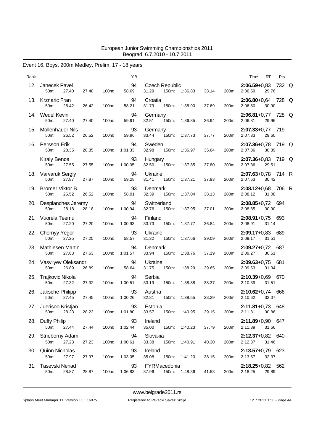# Event 16, Boys, 200m Medley, Prelim, 17 - 18 years

| Rank |                                                 |       |       | YB                  | RT<br>Time                                                                                           | Pts |
|------|-------------------------------------------------|-------|-------|---------------------|------------------------------------------------------------------------------------------------------|-----|
| 12.  | Janecek Pavel<br>50m:<br>27.40                  | 27.40 | 100m: | 94<br>58.69         | Czech Republic<br>2:06.59+0,83 732 Q<br>31.29<br>150m: 1:36.83<br>38.14<br>200m:<br>2:06.59<br>29.76 |     |
|      | 13. Krznaric Fran<br>50m:<br>26.42              | 26.42 | 100m: | 94<br>58.21         | Croatia<br>$2:06.80 + 0.64$ 728 Q<br>31.79<br>150m:<br>1:35.90<br>37.69<br>200m:<br>2:06.80<br>30.90 |     |
|      | 14. Wedel Kevin<br>27.40<br>50m:                | 27.40 | 100m: | 94<br>59.91         | $2:06.81+0.77$ 728 Q<br>Germany<br>29.96<br>32.51<br>150m:<br>36.94<br>200m:<br>2:06.81<br>1:36.85   |     |
|      | 15. Mollenhauer Nils<br>26.52<br>50m:           | 26.52 | 100m: | 93<br>59.96         | $2:07.33+0.77$ 719<br>Germany<br>150m:<br>33.44<br>1:37.73<br>37.77<br>200m:<br>2:07.33<br>29.60     |     |
|      | 16. Persson Erik<br>50m:<br>28.35               | 28.35 | 100m: | 94<br>1:01.33       | Sweden<br>2:07.36+0,78 719 Q<br>32.98<br>35.64<br>200m:<br>2:07.36<br>30.39<br>150m:<br>1:36.97      |     |
|      | <b>Kiraly Bence</b><br>50m:<br>27.55            | 27.55 | 100m: | 93<br>1:00.05       | 2:07.36+0,83 719 Q<br>Hungary<br>32.50<br>150m:<br>37.80<br>200m:<br>2:07.36<br>29.51<br>1:37.85     |     |
|      | 18. Varvaruk Sergiy<br>50m:<br>27.87            | 27.87 | 100m: | 94<br>59.28         | 2:07.63+0,78 714 R<br>Ukraine<br>150m:<br>2:07.63<br>31.41<br>1:37.21<br>37.93<br>200m:<br>30.42     |     |
|      | 19. Bromer Viktor B.<br>50m:<br>26.52           | 26.52 | 100m: | 93<br>58.91         | 2:08.12+0,68 706 R<br>Denmark<br>32.39<br>1:37.04<br>38.13<br>200m:<br>2:08.12<br>31.08<br>150m:     |     |
|      | 20. Desplanches Jeremy<br>50m:<br>28.18         | 28.18 | 100m: | 94<br>1:00.94       | 2:08.85+0,72 694<br>Switzerland<br>32.76<br>150m:<br>37.01<br>2:08.85<br>30.90<br>1:37.95<br>200m:   |     |
|      | 21. Vuorela Teemu<br>27.20<br>50m:              | 27.20 | 100m: | 94<br>1:00.93       | Finland<br>$2:08.91+0.75$ 693<br>2:08.91<br>33.73<br>150m:<br>1:37.77<br>36.84<br>200m:<br>31.14     |     |
|      | 22. Chornyy Yegor<br>50 <sub>m</sub> :<br>27.25 | 27.25 | 100m: | 93<br>58.57         | Ukraine<br>2:09.17+0,83 689<br>31.32<br>1:37.66<br>200m:<br>2:09.17<br>31.51<br>150m:<br>39.09       |     |
|      | 23. Mathiesen Martin<br>50m:<br>27.63           | 27.63 | 100m: | 94<br>1:01.57       | $2:09.27+0.72$ 687<br>Denmark<br>33.94<br>150m:<br>37.19<br>2:09.27<br>30.51<br>1:38.76<br>200m:     |     |
|      | 24. Vasyl'yev Oleksandr<br>26.89<br>50m:        | 26.89 | 100m: | 94<br>58.64         | Ukraine<br>$2:09.63+0.75$ 681<br>31.75<br>150m:<br>1:38.29<br>200m:<br>2:09.63<br>31.34<br>39.65     |     |
|      | 25. Trajkovic Nikola<br>50m:<br>27.32           | 27.32 | 100m: | 94<br>1:00.51       | Serbia<br>$2:10.39 + 0.69$ 670<br>33.19<br>38.37<br>200m:<br>2:10.39<br>31.51<br>150m:<br>1:38.88    |     |
| 26.  | Jaksche Philipp<br>50m:<br>27.45                | 27.45 | 100m: | 93<br>1:00.26       | $2:10.62+0.74$ 666<br>Austria<br>38.29<br>32.81<br>150m:<br>200m:<br>2:10.62<br>32.07<br>1:38.55     |     |
|      | 27. Juerisoo Kristjan<br>50m: 28.23 28.23       |       | 100m: | 93<br>1:01.80       | Estonia<br>$2:11.81+0.73$ 648<br>33.57 150m: 1:40.95<br>200m: 2:11.81 30.86<br>39.15                 |     |
|      | 28. Duffy Philip<br>50m:<br>27.44               | 27.44 |       | 93<br>100m: 1:02.44 | 2:11.89+0,90 647<br>Ireland<br>35.00  150m: 1:40.23<br>200m: 2:11.89 31.66<br>37.79                  |     |
|      | 29. Strieborny Adam<br>50m:<br>27.23            | 27.23 | 100m: | 94<br>1:00.61       | Slovakia<br>2:12.37+0,82 640<br>33.38 150m: 1:40.91<br>200m: 2:12.37<br>31.46<br>40.30               |     |
|      | 30. Quinn Nicholas<br>50m:<br>27.97             | 27.97 | 100m: | 93<br>1:03.05       | Ireland<br>$2:13.57+0.79$ 623<br>35.08 150m: 1:41.20<br>200m: 2:13.57 32.37<br>38.15                 |     |
|      | 31. Tasevski Nenad<br>50m:<br>28.87             | 28.87 |       | 93<br>100m: 1:06.83 | FYRMacedonia<br>$2:18.25+0.82$ 562<br>150m: 1:48.36<br>37.96<br>41.53<br>200m: 2:18.25<br>29.89      |     |
|      |                                                 |       |       |                     |                                                                                                      |     |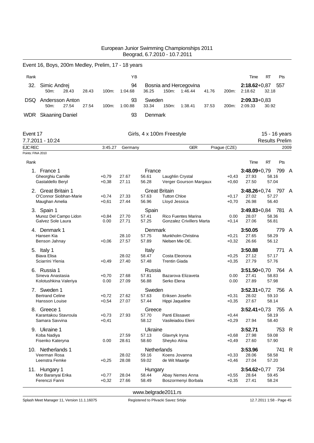|                                     | Event 16, Boys, 200m Medley, Prelim, 17 - 18 years |       |       |         |                |                           |                                        |                                   |       |                    |                             |                       |               |              |
|-------------------------------------|----------------------------------------------------|-------|-------|---------|----------------|---------------------------|----------------------------------------|-----------------------------------|-------|--------------------|-----------------------------|-----------------------|---------------|--------------|
| Rank                                |                                                    |       |       |         | YB             |                           |                                        |                                   |       |                    | Time                        | RT                    | Pts           |              |
| 32.                                 | Simic Andrej<br>50m:                               | 28.43 | 28.43 | 100m:   | 94<br>1:04.68  | 36.25                     | 150m:                                  | Bosnia and Hercegovina<br>1:46.44 | 41.76 | 200m:              | $2:18.62 + 0.87$<br>2:18.62 | 32.18                 | 557           |              |
| DSQ.                                | Andersson Anton<br>50m:                            | 27.54 | 27.54 | 100m:   | 93<br>1:00.88  | Sweden<br>33.34           | 150m:                                  | 1:38.41                           | 37.53 | 200m:              | $2:09.33+0.83$<br>2:09.33   | 30.92                 |               |              |
|                                     | <b>WDR</b> Skaaning Daniel                         |       |       |         | 93             | Denmark                   |                                        |                                   |       |                    |                             |                       |               |              |
| Event 17                            |                                                    |       |       |         |                | Girls, 4 x 100m Freestyle |                                        |                                   |       |                    |                             |                       | 15 - 16 years |              |
|                                     | 7.7.2011 - 10:24                                   |       |       |         |                |                           |                                        |                                   |       |                    |                             | <b>Results Prelim</b> |               |              |
| <b>EJC REC</b><br>Points: FINA 2010 |                                                    |       |       | 3:45.27 | Germany        |                           |                                        | <b>GER</b>                        |       | Prague (CZE)       |                             |                       | 2009          |              |
|                                     |                                                    |       |       |         |                |                           |                                        |                                   |       |                    |                             |                       |               |              |
| Rank                                |                                                    |       |       |         |                |                           |                                        |                                   |       |                    | Time                        | RT                    | Pts           |              |
| 1.                                  | France 1<br>Gheorghiu Camille                      |       |       | $+0,79$ | 27.67          | France<br>56.61           | Laughlin Crystal                       |                                   |       | $+0,43$            | $3:48.09 + 0.79$<br>27.93   | 58.16                 | 799           | A            |
|                                     | Gastaldello Beryl                                  |       |       | $+0,38$ | 27.11          | 56.28                     |                                        | Verger Gourson Margaux            |       | $+0,60$            | 27.50                       | 57.04                 |               |              |
|                                     | 2. Great Britain 1                                 |       |       |         |                | <b>Great Britain</b>      |                                        |                                   |       |                    | $3:48.26 + 0.74$            |                       | 797 A         |              |
|                                     | O'Connor Siobhan-Marie                             |       |       | $+0,74$ | 27.33          | 57.63                     | <b>Tutton Chloe</b>                    |                                   |       | $+0,17$            | 27.02                       | 57.27                 |               |              |
|                                     | Maughan Amelia                                     |       |       | $+0,61$ | 27.44          | 56.96                     | Lloyd Jessica                          |                                   |       | $+0,70$            | 26.98                       | 56.40                 |               |              |
|                                     | 3. Spain 1<br>Munoz Del Campo Lidon                |       |       | $+0,84$ | 27.70          | Spain<br>57.41            |                                        | Rico Fuentes Marina               |       | 0.00               | $3:49.83+0.84$<br>28.07     | 58.36                 | 781           | A            |
|                                     | Galvez Sole Laura                                  |       |       | 0.00    | 27.71          | 57.25                     |                                        | Gonzalez Crivillers Marta         |       | +0,14              | 27.06                       | 56.81                 |               |              |
|                                     | 4. Denmark 1                                       |       |       |         |                | Denmark                   |                                        |                                   |       |                    | 3:50.05                     |                       | 779 A         |              |
|                                     | Hansen Kia                                         |       |       |         | 28.10          | 57.75                     |                                        | Munkholm Christina                |       | +0,21              | 27.65                       | 58.29                 |               |              |
|                                     | Benson Jahnay                                      |       |       | $+0,06$ | 27.57          | 57.89                     | Nielsen Mie OE.                        |                                   |       | $+0,32$            | 26.66                       | 56.12                 |               |              |
|                                     | 5. Italy 1                                         |       |       |         |                | Italy                     |                                        |                                   |       |                    | 3:50.88                     |                       | 771 A         |              |
|                                     | Biava Elisa<br>Sciarrini Ylenia                    |       |       | $+0,49$ | 28.02<br>27.40 | 58.47<br>57.48            | Costa Eleonora<br><b>Trentin Giada</b> |                                   |       | $+0,25$<br>$+0,35$ | 27.12<br>27.79              | 57.17<br>57.76        |               |              |
|                                     | 6. Russia 1                                        |       |       |         |                | Russia                    |                                        |                                   |       |                    |                             |                       |               |              |
|                                     | Sineva Anastasia                                   |       |       | $+0,70$ | 27.68          | 57.81                     |                                        | Bazarova Elizaveta                |       | 0.00               | $3:51.50 + 0.70$<br>27.41   | 58.83                 | 764           | A            |
|                                     | Kolotushkina Valeriya                              |       |       | 0.00    | 27.09          | 56.88                     | Serko Elena                            |                                   |       | 0.00               | 27.89                       | 57.98                 |               |              |
| 7.                                  | Sweden 1                                           |       |       |         |                | Sweden                    |                                        |                                   |       |                    | $3:52.31+0.72$              |                       | 756 A         |              |
|                                     | <b>Bertrand Celine</b>                             |       |       | $+0,72$ | 27.62          | 57.63                     | Eriksen Josefin                        |                                   |       | $+0,31$            | 28.02                       | 59.10                 |               |              |
|                                     | <b>Hansson Louise</b>                              |       |       | $+0,54$ | 27.07          | 57.44                     | Hippi Jaqueline                        |                                   |       | $+0,35$            | 27.67                       | 58.14                 |               |              |
|                                     | 8. Greece 1<br>Karantakou Stavroula                |       |       | $+0,73$ | 27.93          | Greece<br>57.70           | Panti Elissavet                        |                                   |       | +0,44              | $3:52.41+0.73$ 755 A        | 58.19                 |               |              |
|                                     | Samara Savvina                                     |       |       | $+0,41$ |                | 58.12                     |                                        | Vasileiadou Eleni                 |       | $+0,29$            | 27.94                       | 58.40                 |               |              |
|                                     | 9. Ukraine 1                                       |       |       |         |                | Ukraine                   |                                        |                                   |       |                    | 3:52.71                     |                       | 753           | R            |
|                                     | Koba Nadiya                                        |       |       |         | 27.59          | 57.13                     | Glavnyk Iryna                          |                                   |       | +0,68              | 27.98                       | 59.08                 |               |              |
|                                     | Fisenko Kateryna                                   |       |       | 0.00    | 28.61          | 58.60                     | Sheyko Alina                           |                                   |       | +0,49              | 27.60                       | 57.90                 |               |              |
|                                     | 10. Netherlands 1                                  |       |       |         |                | Netherlands               |                                        |                                   |       |                    | 3:53.96                     |                       | 741           | $\mathsf{R}$ |
|                                     | Veerman Rosa<br>Leenstra Femke                     |       |       | $+0,25$ | 28.02<br>28.08 | 59.16<br>59.02            | Koens Jovanna<br>de Wit Maartje        |                                   |       | $+0,33$<br>$+0,46$ | 28.06<br>27.04              | 58.58<br>57.20        |               |              |
|                                     |                                                    |       |       |         |                |                           |                                        |                                   |       |                    | $3:54.62 + 0.77$            |                       | 734           |              |
| 11.                                 | Hungary 1<br>Mor Baranyai Erika                    |       |       | $+0,77$ | 28.04          | Hungary<br>58.44          |                                        | Abay Nemes Anna                   |       | $+0,55$            | 28.64                       | 59.45                 |               |              |
|                                     | Ferenczi Fanni                                     |       |       | $+0,32$ | 27.66          | 58.49                     |                                        | Boszormenyi Borbala               |       | $+0,35$            | 27.41                       | 58.24                 |               |              |
|                                     |                                                    |       |       |         |                |                           |                                        |                                   |       |                    |                             |                       |               |              |

<www.belgrade2011.rs>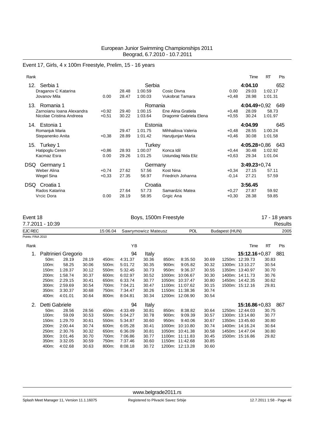# Event 17, Girls, 4 x 100m Freestyle, Prelim, 15 - 16 years

| Rank              |                                                       |                    |                |                              |                                               |                    | Time                      | <b>RT</b>          | Pts |
|-------------------|-------------------------------------------------------|--------------------|----------------|------------------------------|-----------------------------------------------|--------------------|---------------------------|--------------------|-----|
| 12.               | Serbia 1<br>Draganov C Katarina<br>Jovanov Mila       | 0.00               | 28.48<br>28.47 | Serbia<br>1:00.59<br>1:00.03 | Cosic Divna<br>Vukobrat Tamara                | 0.00<br>$+0,48$    | 4:04.10<br>29.03<br>28.98 | 1:02.17<br>1:01.31 | 652 |
| 13.               | Romania 1                                             |                    |                | Romania                      |                                               |                    | $4:04.49 + 0.92$          |                    | 649 |
|                   | Zarnojanu Ioana Alexandra<br>Nicolae Cristina Andreea | $+0.92$<br>$+0,51$ | 29.40<br>30.22 | 1:00.15<br>1:03.64           | Ene Alina Gratiela<br>Dragomir Gabriela Elena | $+0,48$<br>$+0,55$ | 28.09<br>30.24            | 58.73<br>1:01.97   |     |
| 14.               | Estonia 1                                             |                    |                | Estonia                      |                                               |                    | 4:04.99                   |                    | 645 |
|                   | Romanjuk Maria<br>Stepanenko Anita                    | $+0,38$            | 29.47<br>28.89 | 1:01.75<br>1:01.42           | Mihhailova Valeria<br>Harutjunjan Maria       | $+0,48$<br>$+0,46$ | 28.55<br>30.08            | 1:00.24<br>1:01.58 |     |
| 15.               | Turkey 1                                              |                    |                | <b>Turkey</b>                |                                               |                    | $4:05.28 + 0.86$          |                    | 643 |
|                   | Hatipoglu Ceren<br>Kacmaz Esra                        | $+0.86$<br>0.00    | 28.93<br>29.26 | 1:00.07<br>1:01.25           | Konca Idil<br>Ustundag Nida Eliz              | $+0,44$<br>$+0.63$ | 30.48<br>29.34            | 1:02.92<br>1:01.04 |     |
| DSQ               | Germany 1                                             |                    |                | Germany                      |                                               |                    | $3:49.23+0.74$            |                    |     |
|                   | Weber Alina                                           | $+0,74$            | 27.62          | 57.56                        | Kost Nina                                     | $+0,34$            | 27.15                     | 57.11              |     |
| <b>Wegel Sina</b> |                                                       | $+0,33$            | 27.35          | 56.97                        | Friedrich Johanna                             | $-0,14$            | 27.21                     | 57.59              |     |
| DSQ.              | Croatia 1                                             |                    |                | Croatia                      |                                               |                    | 3:56.45                   |                    |     |
|                   | Rados Katarina                                        |                    | 27.64          | 57.73                        | Samardzic Matea                               | $+0,27$            | 27.87                     | 59.92              |     |
| Vrcic Dora        |                                                       | 0.00               | 28.19          | 58.95                        | Grgic Ana                                     | $+0,30$            | 28.38                     | 59.85              |     |

| Event 18<br>7.7.2011 - 10:39 | Boys, 1500m Freestyle        |            |                | 17 - 18 years<br>Results |
|------------------------------|------------------------------|------------|----------------|--------------------------|
| EJC REC                      | 15:06.04 Sawrymowicz Mateusz | <b>POL</b> | Budapest (HUN) | 2005                     |
| Points: FINA 2010            |                              |            |                |                          |

| Rank |                   |                      |       |       | ΥB      |       |       |                 |       | Time              | <b>RT</b> | Pts |
|------|-------------------|----------------------|-------|-------|---------|-------|-------|-----------------|-------|-------------------|-----------|-----|
|      |                   | Paltrinieri Gregorio |       |       | 94      | Italy |       |                 |       | $15:12.16 + 0.87$ |           | 881 |
|      | 50 <sub>m</sub> : | 28.19                | 28.19 | 450m: | 4:31.37 | 30.36 | 850m: | 8:35.50         | 30.69 | 1250m: 12:39.73   | 30.83     |     |
|      | 100m:             | 58.25                | 30.06 | 500m: | 5:01.72 | 30.35 | 900m: | 9:05.82         | 30.32 | 1300m: 13:10.27   | 30.54     |     |
|      | 150m:             | 1:28.37              | 30.12 | 550m: | 5:32.45 | 30.73 | 950m: | 9:36.37         | 30.55 | 1350m: 13:40.97   | 30.70     |     |
|      | 200m:             | 1:58.74              | 30.37 | 600m: | 6:02.97 | 30.52 |       | 1000m: 10:06.67 | 30.30 | 1400m: 14:11.73   | 30.76     |     |
|      | 250m:             | 2:29.15              | 30.41 | 650m: | 6:33.74 | 30.77 |       | 1050m: 10:37.47 | 30.80 | 1450m: 14:42.35   | 30.62     |     |
|      | 300m:             | 2:59.69              | 30.54 | 700m: | 7:04.21 | 30.47 |       | 1100m: 11:07.62 | 30.15 | 1500m: 15:12.16   | 29.81     |     |
|      | 350m:             | 3:30.37              | 30.68 | 750m: | 7:34.47 | 30.26 |       | 1150m: 11:38.36 | 30.74 |                   |           |     |
|      | 400m:             | 4:01.01              | 30.64 | 800m: | 8:04.81 | 30.34 |       | 1200m: 12:08.90 | 30.54 |                   |           |     |
| 2.   | Detti Gabriele    |                      |       |       | 94      | Italy |       |                 |       | $15:16.86 + 0.83$ |           | 867 |
|      | 50 <sub>m</sub> : | 28.56                | 28.56 | 450m: | 4:33.49 | 30.81 | 850m: | 8:38.82         | 30.64 | 1250m: 12:44.03   | 30.75     |     |
|      | 100m:             | 59.09                | 30.53 | 500m: | 5:04.27 | 30.78 | 900m: | 9:09.39         | 30.57 | 1300m: 13:14.80   | 30.77     |     |
|      | 150m:             | 1:29.70              | 30.61 | 550m: | 5:34.87 | 30.60 | 950m: | 9:40.06         | 30.67 | 1350m: 13:45.60   | 30.80     |     |
|      | 200m:             | 2:00.44              | 30.74 | 600m: | 6:05.28 | 30.41 |       | 1000m: 10:10.80 | 30.74 | 1400m: 14:16.24   | 30.64     |     |
|      | 250m:             | 2:30.76              | 30.32 | 650m: | 6:36.09 | 30.81 |       | 1050m: 10:41.38 | 30.58 | 1450m: 14:47.04   | 30.80     |     |
|      | 300m:             | 3:01.46              | 30.70 | 700m: | 7:06.86 | 30.77 |       | 1100m: 11:11.83 | 30.45 | 1500m: 15:16.86   | 29.82     |     |
|      | 350m:             | 3:32.05              | 30.59 | 750m: | 7:37.46 | 30.60 |       | 1150m: 11:42.68 | 30.85 |                   |           |     |
|      | 400m:             | 4:02.68              | 30.63 | 800m: | 8:08.18 | 30.72 |       | 1200m: 12:13.28 | 30.60 |                   |           |     |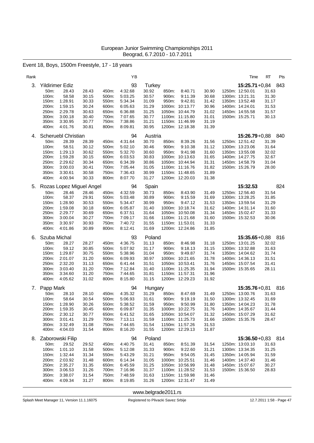# Event 18, Boys, 1500m Freestyle, 17 - 18 years

| Rank |                |                          |                |                | ΥB                 |                |                                    |                | Time                               | RT                | Pts |
|------|----------------|--------------------------|----------------|----------------|--------------------|----------------|------------------------------------|----------------|------------------------------------|-------------------|-----|
| 3.   |                | Yildirimer Ediz          |                |                | 93                 | <b>Turkey</b>  |                                    |                | $15:25.71+0.84$                    | 843               |     |
|      | 50m:           | 28.43                    | 28.43          | 450m:          | 4:32.68            | 30.92          | 850m:<br>8:40.71                   | 30.90          | 1250m: 12:50.01                    | 31.63             |     |
|      | 100m:          | 58.58                    | 30.15          | 500m:          | 5:03.25            | 30.57          | 900m:<br>9:11.39                   | 30.68          | 1300m: 13:21.31                    | 31.30             |     |
|      | 150m:          | 1:28.91                  | 30.33          | 550m:          | 5:34.34            | 31.09          | 9:42.81<br>950m:                   | 31.42          | 1350m: 13:52.48                    | 31.17             |     |
|      | 200m:<br>250m: | 1:59.15<br>2:29.78       | 30.24<br>30.63 | 600m:<br>650m: | 6:05.63<br>6:36.88 | 31.29<br>31.25 | 1000m: 10:13.77<br>1050m: 10:44.79 | 30.96<br>31.02 | 1400m: 14:24.01<br>1450m: 14:55.58 | 31.53<br>31.57    |     |
|      | 300m:          | 3:00.18                  | 30.40          | 700m:          | 7:07.65            | 30.77          | 1100m: 11:15.80                    | 31.01          | 1500m: 15:25.71                    | 30.13             |     |
|      | 350m:          | 3:30.95                  | 30.77          | 750m:          | 7:38.86            | 31.21          | 1150m: 11:46.99                    | 31.19          |                                    |                   |     |
|      | 400m:          | 4:01.76                  | 30.81          | 800m:          | 8:09.81            | 30.95          | 1200m: 12:18.38                    | 31.39          |                                    |                   |     |
|      |                | Scheruebl Christian      |                |                | 94                 | Austria        |                                    |                | $15:26.79 + 0.88$                  | 840               |     |
| 4.   | 50m:           | 28.39                    | 28.39          | 450m:          | 4:31.64            | 30.70          | 850m:<br>8:39.26                   | 31.56          | 1250m: 12:51.42                    | 31.39             |     |
|      | 100m:          | 58.51                    | 30.12          | 500m:          | 5:02.10            | 30.46          | 900m:<br>9:10.38                   | 31.12          | 1300m: 13:23.06                    | 31.64             |     |
|      | 150m:          | 1:29.13                  | 30.62          | 550m:          | 5:32.70            | 30.60          | 950m:<br>9:41.98                   | 31.60          | 1350m: 13:55.08                    | 32.02             |     |
|      | 200m:          | 1:59.28                  | 30.15          | 600m:          | 6:03.53            | 30.83          | 1000m: 10:13.63                    | 31.65          | 1400m: 14:27.75                    | 32.67             |     |
|      | 250m:          | 2:29.62                  | 30.34          | 650m:          | 6:34.39            | 30.86          | 1050m: 10:44.94                    | 31.31          | 1450m: 14:58.79                    | 31.04             |     |
|      | 300m:          | 3:00.03                  | 30.41          | 700m:          | 7:05.44            | 31.05          | 1100m: 11:16.76                    | 31.82          | 1500m: 15:26.79                    | 28.00             |     |
|      | 350m:          | 3:30.61                  | 30.58          | 750m:          | 7:36.43            | 30.99          | 1150m: 11:48.65                    | 31.89          |                                    |                   |     |
|      | 400m:          | 4:00.94                  | 30.33          | 800m:          | 8:07.70            | 31.27          | 1200m: 12:20.03                    | 31.38          |                                    |                   |     |
| 5.   |                | Rozas Lopez Miguel Angel |                |                | 94                 | Spain          |                                    |                | 15:32.53                           | 824               |     |
|      | 50m:           | 28.46                    | 28.46          | 450m:          | 4:32.59            | 30.73          | 850m:<br>8:43.90                   | 31.49          | 1250m: 12:56.40                    | 31.54             |     |
|      | 100m:          | 58.37                    | 29.91          | 500m:          | 5:03.48            | 30.89          | 9:15.59<br>900m:                   | 31.69          | 1300m: 13:28.25                    | 31.85             |     |
|      | 150m:          | 1:28.90                  | 30.53          | 550m:          | 5:34.47            | 30.99          | 950m:<br>9:47.12                   | 31.53          | 1350m: 13:59.54                    | 31.29             |     |
|      | 200m:          | 1:59.08<br>2:29.77       | 30.18<br>30.69 | 600m:          | 6:05.87            | 31.40<br>31.64 | 1000m: 10:18.74                    | 31.62<br>31.34 | 1400m: 14:31.14<br>1450m: 15:02.47 | 31.60<br>31.33    |     |
|      | 250m:<br>300m: | 3:00.04                  | 30.27          | 650m:<br>700m: | 6:37.51<br>7:09.17 | 31.66          | 1050m: 10:50.08<br>1100m: 11:21.68 | 31.60          | 1500m: 15:32.53                    | 30.06             |     |
|      | 350m:          | 3:30.97                  | 30.93          | 750m:          | 7:40.72            | 31.55          | 1150m: 11:53.01                    | 31.33          |                                    |                   |     |
|      | 400m:          | 4:01.86                  | 30.89          | 800m:          | 8:12.41            | 31.69          | 1200m: 12:24.86                    | 31.85          |                                    |                   |     |
| 6.   | Szuba Michal   |                          |                |                | 93                 | Poland         |                                    |                | $15:35.65 + 0.88$                  | 816               |     |
|      | 50m:           | 28.27                    | 28.27          | 450m:          | 4:36.75            | 31.13          | 8:46.98<br>850m:                   | 31.18          | 1250m: 13:01.25                    | 32.02             |     |
|      | 100m:          | 59.12                    | 30.85          | 500m:          | 5:07.92            | 31.17          | 900m:<br>9:18.13                   | 31.15          | 1300m: 13:32.88                    | 31.63             |     |
|      | 150m:          | 1:29.87                  | 30.75          | 550m:          | 5:38.96            | 31.04          | 950m:<br>9:49.87                   | 31.74          | 1350m: 14:04.62                    | 31.74             |     |
|      | 200m:          | 2:01.07                  | 31.20          | 600m:          | 6:09.93            | 30.97          | 1000m: 10:21.65                    | 31.78          | 1400m: 14:36.13                    | 31.51             |     |
|      | 250m:          | 2:32.20                  | 31.13          | 650m:          | 6:41.44            | 31.51          | 1050m: 10:53.41                    | 31.76          | 1450m: 15:07.54                    | 31.41             |     |
|      | 300m:          | 3:03.40                  | 31.20          | 700m:          | 7:12.84            | 31.40          | 1100m: 11:25.35                    | 31.94          | 1500m: 15:35.65                    | 28.11             |     |
|      | 350m:          | 3:34.60                  | 31.20          | 750m:          | 7:44.65            | 31.81          | 1150m: 11:57.31                    | 31.96          |                                    |                   |     |
|      | 400m:          | 4:05.62                  | 31.02          | 800m:          | 8:15.80            | 31.15          | 1200m: 12:29.23                    | 31.92          |                                    |                   |     |
| 7.   | Papp Mark      |                          |                |                | 94                 | Hungary        |                                    |                | $15:35.76 + 0.81$                  | 816               |     |
|      | 50m:           | 28.10                    | 28.10          | 450m:          | 4:35.32            | 31.29          | 850m:<br>8:47.69                   | 31.49          | 1250m: 13:00.76                    | 31.63             |     |
|      | 100m:          | 58.64                    | 30.54          | 500m:          | 5:06.93            | 31.61          | 900m:<br>9:19.19                   | 31.50          | 1300m: 13:32.45                    | 31.69             |     |
|      | 150m:          | 1:28.90                  | 30.26          | 550m:          | 5:38.52            | 31.59          | 950m:<br>9:50.99                   | 31.80          | 1350m: 14:04.23                    | 31.78             |     |
|      | 200m:<br>250m: | 1:59.35<br>2:30.12       | 30.45<br>30.77 | 600m:<br>650m: | 6:09.87<br>6:41.52 | 31.35<br>31.65 | 1000m: 10:22.75<br>1050m: 10:54.07 | 31.76<br>31.32 | 1400m: 14:35.67<br>1450m: 15:07.29 | 31.44<br>31.62    |     |
|      | 300m:          | 3:01.41                  | 31.29          | 700m:          | 7:13.11            | 31.59          | 1100m: 11:25.73                    | 31.66          | 1500m: 15:35.76                    | 28.47             |     |
|      | 350m:          | 3:32.49                  | 31.08          | 750m:          | 7:44.65            | 31.54          | 1150m: 11:57.26                    | 31.53          |                                    |                   |     |
|      | 400m:          | 4:04.03                  | 31.54          | 800m:          | 8:16.20            | 31.55          | 1200m: 12:29.13                    | 31.87          |                                    |                   |     |
| 8.   |                | Zaborowski Filip         |                |                | 94                 | Poland         |                                    |                |                                    | 15:36.50+0,83 814 |     |
|      | 50m:           | 29.52                    | 29.52          | 450m:          | 4:40.75            | 31.41          | 8:51.39<br>850m:                   | 31.54          | 1250m: 13:03.10                    | 31.63             |     |
|      | 100m:          | 1:01.10                  | 31.58          | 500m:          | 5:12.08            | 31.33          | 9:22.60<br>900m:                   | 31.21          | 1300m: 13:34.35                    | 31.25             |     |
|      | 150m:          | 1:32.44                  | 31.34          | 550m:          | 5:43.29            | 31.21          | 9:54.05<br>950m:                   | 31.45          | 1350m: 14:05.94                    | 31.59             |     |
|      | 200m:          | 2:03.92                  | 31.48          | 600m:          | 6:14.34            | 31.05          | 1000m: 10:25.51                    | 31.46          | 1400m: 14:37.40                    | 31.46             |     |
|      | 250m:          | 2:35.27                  | 31.35          | 650m:          | 6:45.59            | 31.25          | 1050m: 10:56.99                    | 31.48          | 1450m: 15:07.67                    | 30.27             |     |
|      | 300m:          | 3:06.53                  | 31.26          | 700m:          | 7:16.96            | 31.37          | 1100m: 11:28.52                    | 31.53          | 1500m: 15:36.50                    | 28.83             |     |
|      | 350m:          | 3:38.07                  | 31.54          | 750m:          | 7:48.59            | 31.63          | 1150m: 11:59.98                    | 31.46          |                                    |                   |     |
|      | 400m:          | 4:09.34                  | 31.27          | 800m:          | 8:19.85            | 31.26          | 1200m: 12:31.47                    | 31.49          |                                    |                   |     |

<www.belgrade2011.rs>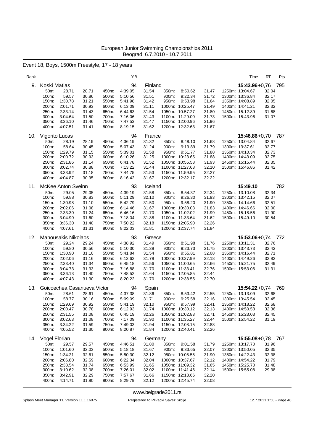# Event 18, Boys, 1500m Freestyle, 17 - 18 years

| Rank |                |                            |                             |                | YB                 |                |                |                                    |                | Time                               | RT             | Pts |
|------|----------------|----------------------------|-----------------------------|----------------|--------------------|----------------|----------------|------------------------------------|----------------|------------------------------------|----------------|-----|
| 9.   | Koski Matias   |                            |                             |                | 94                 | Finland        |                |                                    |                | $15:43.96 + 0.76$                  |                | 795 |
|      | 50m:<br>100m:  | 28.71<br>59.57             | 28.71<br>30.86              | 450m:<br>500m: | 4:39.05<br>5:10.56 | 31.54<br>31.51 | 850m:<br>900m: | 8:50.62<br>9:22.34                 | 31.47          | 1250m: 13:04.67<br>1300m: 13:36.84 | 32.04<br>32.17 |     |
|      | 150m:          | 1:30.78                    | 31.21                       | 550m:          | 5:41.98            | 31.42          | 950m:          | 9:53.98                            | 31.72<br>31.64 | 1350m: 14:08.89                    | 32.05          |     |
|      | 200m:          | 2:01.71                    | 30.93                       | 600m:          | 6:13.09            | 31.11          |                | 1000m: 10:25.47                    | 31.49          | 1400m: 14:41.21                    | 32.32          |     |
|      | 250m:          | 2:33.14                    | 31.43                       | 650m:          | 6:44.63            | 31.54          |                | 1050m: 10:57.27                    | 31.80          | 1450m: 15:12.89                    | 31.68          |     |
|      | 300m:          | 3:04.64                    | 31.50                       | 700m:          | 7:16.06            | 31.43          |                | 1100m: 11:29.00                    | 31.73          | 1500m: 15:43.96                    | 31.07          |     |
|      | 350m:<br>400m: | 3:36.10<br>4:07.51         | 31.46<br>31.41              | 750m:<br>800m: | 7:47.53<br>8:19.15 | 31.47<br>31.62 |                | 1150m: 12:00.96<br>1200m: 12:32.63 | 31.96<br>31.67 |                                    |                |     |
|      |                |                            |                             |                |                    |                |                |                                    |                |                                    |                |     |
| 10.  | Vigorito Lucas |                            |                             |                | 94                 | France         |                |                                    |                | $15:46.86 + 0.70$                  |                | 787 |
|      | 50m:<br>100m:  | 28.19<br>58.64             | 28.19<br>30.45              | 450m:<br>500m: | 4:36.19<br>5:07.43 | 31.32<br>31.24 | 850m:<br>900m: | 8:48.10<br>9:19.89                 | 31.68<br>31.79 | 1250m: 13:04.84<br>1300m: 13:37.61 | 32.67<br>32.77 |     |
|      | 150m:          | 1:29.79                    | 31.15                       | 550m:          | 5:39.01            | 31.58          | 950m:          | 9:51.77                            | 31.88          | 1350m: 14:10.34                    | 32.73          |     |
|      | 200m:          | 2:00.72                    | 30.93                       | 600m:          | 6:10.26            | 31.25          |                | 1000m: 10:23.65                    | 31.88          | 1400m: 14:43.09                    | 32.75          |     |
|      | 250m:          | 2:31.86                    | 31.14                       | 650m:          | 6:41.78            | 31.52          |                | 1050m: 10:55.58                    | 31.93          | 1450m: 15:15.44                    | 32.35          |     |
|      | 300m:          | 3:02.74                    | 30.88                       | 700m:          | 7:13.22            | 31.44          |                | 1100m: 11:27.68                    | 32.10          | 1500m: 15:46.86                    | 31.42          |     |
|      | 350m:<br>400m: | 3:33.92<br>4:04.87         | 31.18<br>30.95              | 750m:<br>800m: | 7:44.75<br>8:16.42 | 31.53<br>31.67 |                | 1150m: 11:59.95<br>1200m: 12:32.17 | 32.27<br>32.22 |                                    |                |     |
|      |                |                            |                             |                |                    |                |                |                                    |                |                                    |                |     |
| 11.  |                | McKee Anton Sveinn         |                             |                | 93                 | Iceland        |                |                                    |                | 15:49.10                           |                | 782 |
|      | 50m:<br>100m:  | 29.05<br>59.88             | 29.05<br>30.83              | 450m:<br>500m: | 4:39.19<br>5:11.29 | 31.58<br>32.10 | 850m:<br>900m: | 8:54.37<br>9:26.30                 | 32.34<br>31.93 | 1250m: 13:10.08<br>1300m: 13:42.15 | 32.34<br>32.07 |     |
|      | 150m:          | 1:30.98                    | 31.10                       | 550m:          | 5:42.79            | 31.50          | 950m:          | 9:58.20                            | 31.90          | 1350m: 14:14.66                    | 32.51          |     |
|      | 200m:          | 2:02.06                    | 31.08                       | 600m:          | 6:14.46            | 31.67          |                | 1000m: 10:30.03                    | 31.83          | 1400m: 14:46.66                    | 32.00          |     |
|      | 250m:          | 2:33.30                    | 31.24                       | 650m:          | 6:46.16            | 31.70          |                | 1050m: 11:02.02                    | 31.99          | 1450m: 15:18.56                    | 31.90          |     |
|      | 300m:<br>350m: | 3:04.90<br>3:36.30         | 31.60<br>31.40              | 700m:<br>750m: | 7:18.04<br>7:50.22 | 31.88<br>32.18 |                | 1100m: 11:33.64<br>1150m: 12:05.90 | 31.62<br>32.26 | 1500m: 15:49.10                    | 30.54          |     |
|      | 400m:          | 4:07.61                    | 31.31                       | 800m:          | 8:22.03            | 31.81          |                | 1200m: 12:37.74                    | 31.84          |                                    |                |     |
| 12.  |                | <b>Manousakis Nikolaos</b> |                             |                | 93                 | Greece         |                |                                    |                | $15:53.06 + 0.74$                  |                | 772 |
|      | 50m:           | 29.24                      | 29.24                       | 450m:          | 4:38.92            | 31.49          | 850m:          | 8:51.98                            | 31.76          | 1250m: 13:11.31                    | 32.76          |     |
|      | 100m:          | 59.80                      | 30.56                       | 500m:          | 5:10.30            | 31.38          | 900m:          | 9:23.73                            | 31.75          | 1300m: 13:43.73                    | 32.42          |     |
|      | 150m:          | 1:30.90                    | 31.10                       | 550m:          | 5:41.84            | 31.54          | 950m:          | 9:55.81                            | 32.08          | 1350m: 14:16.44                    | 32.71          |     |
|      | 200m:          | 2:02.06                    | 31.16                       | 600m:          | 6:13.62            | 31.78          |                | 1000m: 10:27.99                    | 32.18          | 1400m: 14:49.26                    | 32.82          |     |
|      | 250m:<br>300m: | 2:33.40<br>3:04.73         | 31.34<br>31.33              | 650m:<br>700m: | 6:45.18<br>7:16.88 | 31.56<br>31.70 |                | 1050m: 11:00.65<br>1100m: 11:33.41 | 32.66<br>32.76 | 1450m: 15:21.75<br>1500m: 15:53.06 | 32.49<br>31.31 |     |
|      | 350m:          | 3:36.13                    | 31.40                       | 750m:          | 7:48.52            | 31.64          |                | 1150m: 12:05.85                    | 32.44          |                                    |                |     |
|      | 400m:          | 4:07.43                    | 31.30                       | 800m:          | 8:20.22            | 31.70          |                | 1200m: 12:38.55                    | 32.70          |                                    |                |     |
| 13.  |                |                            | Goicoechea Casanueva Victor |                | 94                 | Spain          |                |                                    |                | $15:54.22+0.74$                    |                | 769 |
|      | 50m:           | 28.61                      | 28.61                       | 450m:          | 4:37.38            | 31.86          | 850m:          | 8:53.42                            | 32.55          | 1250m: 13:13.09                    | 32.68          |     |
|      | 100m:          | 58.77                      | 30.16                       | 500m:          | 5:09.09            | 31.71          | 900m:          | 9:25.58                            | 32.16          | 1300m: 13:45.54                    | 32.45          |     |
|      | 150m:          | 1:29.69                    | 30.92                       | 550m:          | 5:41.19            | 32.10          | 950m:          | 9:57.99                            | 32.41          | 1350m: 14:18.22                    | 32.68          |     |
|      | 200m:<br>250m: | 2:00.47<br>2:31.55         | 30.78<br>31.08              | 600m:<br>650m: | 6:12.93<br>6:45.19 | 31.74<br>32.26 |                | 1000m: 10:30.12<br>1050m: 11:02.83 | 32.13<br>32.71 | 1400m: 14:50.58<br>1450m: 15:23.03 | 32.36<br>32.45 |     |
|      | 300m:          | 3:02.63                    | 31.08                       | 700m:          | 7:17.09            | 31.90          |                | 1100m: 11:35.27                    | 32.44          | 1500m: 15:54.22                    | 31.19          |     |
|      | 350m:          | 3:34.22                    | 31.59                       | 750m:          | 7:49.03            | 31.94          |                | 1150m: 12:08.15                    | 32.88          |                                    |                |     |
|      | 400m:          | 4:05.52                    | 31.30                       | 800m:          | 8:20.87            | 31.84          |                | 1200m: 12:40.41                    | 32.26          |                                    |                |     |
| 14.  | Vogel Florian  |                            |                             |                | 94                 | Germany        |                |                                    |                | $15:55.08 + 0.78$ 767              |                |     |
|      | 50m:           | 29.57                      | 29.57                       | 450m:          | 4:46.51            | 31.80          | 850m:          | 9:01.58                            | 31.79          | 1250m: 13:17.70                    | 31.96          |     |
|      | 100m:          | 1:01.60                    | 32.03                       | 500m:          | 5:18.18            | 31.67          | 900m:          | 9:33.65                            | 32.07          | 1300m: 13:50.05                    | 32.35          |     |
|      | 150m:<br>200m: | 1:34.21<br>2:06.80         | 32.61<br>32.59              | 550m:<br>600m: | 5:50.30<br>6:22.34 | 32.12<br>32.04 |                | 950m: 10:05.55<br>1000m: 10:37.67  | 31.90<br>32.12 | 1350m: 14:22.43<br>1400m: 14:54.22 | 32.38<br>31.79 |     |
|      | 250m:          | 2:38.54                    | 31.74                       | 650m:          | 6:53.99            | 31.65          |                | 1050m: 11:09.32                    | 31.65          | 1450m: 15:25.70                    | 31.48          |     |
|      | 300m:          | 3:10.62                    | 32.08                       | 700m:          | 7:26.01            | 32.02          |                | 1100m: 11:41.46                    | 32.14          | 1500m: 15:55.08                    | 29.38          |     |
|      | 350m:          | 3:42.91                    | 32.29                       | 750m:          | 7:57.67            | 31.66          |                | 1150m: 12:13.66                    | 32.20          |                                    |                |     |
|      | 400m:          | 4:14.71                    | 31.80                       | 800m:          | 8:29.79            | 32.12          |                | 1200m: 12:45.74                    | 32.08          |                                    |                |     |

<www.belgrade2011.rs>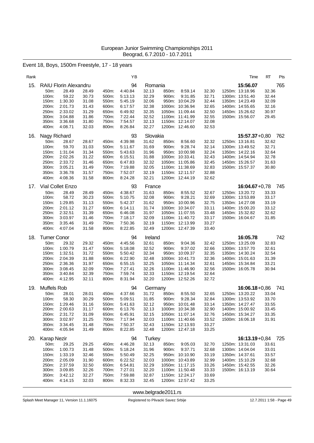# Event 18, Boys, 1500m Freestyle, 17 - 18 years

| Rank |                     |                                       |                |                | ΥB                 |                  |                |                                    |                | Time                               | RT             | Pts |
|------|---------------------|---------------------------------------|----------------|----------------|--------------------|------------------|----------------|------------------------------------|----------------|------------------------------------|----------------|-----|
| 15.  | 50m:                | <b>RAIU Florin Alexandru</b><br>28.49 | 28.49          | 450m:          | 94<br>4:40.84      | Romania<br>32.13 | 850m:          | 8:59.14                            | 32.30          | 15:56.07<br>1250m: 13:18.96        | 32.36          | 765 |
|      | 100m:               | 59.22                                 | 30.73          | 500m:          | 5:13.13            | 32.29            | 900m:          | 9:31.85                            | 32.71          | 1300m: 13:51.40                    | 32.44          |     |
|      | 150m:<br>200m:      | 1:30.30<br>2:01.73                    | 31.08<br>31.43 | 550m:<br>600m: | 5:45.19<br>6:17.57 | 32.06<br>32.38   |                | 950m: 10:04.29<br>1000m: 10:36.94  | 32.44<br>32.65 | 1350m: 14:23.49<br>1400m: 14:55.65 | 32.09<br>32.16 |     |
|      | 250m:               | 2:33.02                               | 31.29          | 650m:          | 6:49.92            | 32.35            |                | 1050m: 11:09.44                    | 32.50          | 1450m: 15:26.62                    | 30.97          |     |
|      | 300m:               | 3:04.88                               | 31.86          | 700m:          | 7:22.44            | 32.52            |                | 1100m: 11:41.99                    | 32.55          | 1500m: 15:56.07                    | 29.45          |     |
|      | 350m:<br>400m:      | 3:36.68<br>4:08.71                    | 31.80<br>32.03 | 750m:<br>800m: | 7:54.57<br>8:26.84 | 32.13<br>32.27   |                | 1150m: 12:14.07<br>1200m: 12:46.60 | 32.08<br>32.53 |                                    |                |     |
|      |                     |                                       |                |                |                    |                  |                |                                    |                |                                    |                |     |
| 16.  | Nagy Richard        |                                       |                |                | 93                 | Slovakia         |                |                                    |                | $15:57.37+0.80$                    |                | 762 |
|      | 50m:<br>100m:       | 28.67<br>59.70                        | 28.67<br>31.03 | 450m:<br>500m: | 4:39.98<br>5.11.67 | 31.62<br>31.69   | 850m:<br>900m: | 8:56.60<br>9:28.74                 | 32.32<br>32.14 | 1250m: 13:16.81<br>1300m: 13:49.52 | 32.62<br>32.71 |     |
|      | 150m:               | 1:31.04                               | 31.34          | 550m:          | 5:43.63            | 31.96            |                | 950m: 10:00.98                     | 32.24          | 1350m: 14:22.16                    | 32.64          |     |
|      | 200m:               | 2:02.26                               | 31.22          | 600m:          | 6:15.51            | 31.88            |                | 1000m: 10:33.41                    | 32.43          | 1400m: 14:54.94                    | 32.78          |     |
|      | 250m:               | 2:33.72                               | 31.46          | 650m:          | 6:47.83            | 32.32            |                | 1050m: 11:05.86                    | 32.45          | 1450m: 15:26.57                    | 31.63          |     |
|      | 300m:<br>350m:      | 3:05.21<br>3:36.78                    | 31.49<br>31.57 | 700m:<br>750m: | 7:19.88<br>7:52.07 | 32.05<br>32.19   |                | 1100m: 11:38.69<br>1150m: 12:11.57 | 32.83<br>32.88 | 1500m: 15:57.37                    | 30.80          |     |
|      | 400m:               | 4:08.36                               | 31.58          | 800m:          | 8:24.28            | 32.21            |                | 1200m: 12:44.19                    | 32.62          |                                    |                |     |
| 17.  | Vial Collet Enzo    |                                       |                |                | 93                 | France           |                |                                    |                | $16:04.67 + 0.78$                  |                | 745 |
|      | 50m:                | 28.49                                 | 28.49          | 450m:          | 4:38.67            | 31.63            | 850m:          | 8:55.52                            | 32.67          | 1250m: 13:20.72                    | 33.33          |     |
|      | 100m:               | 58.72                                 | 30.23          | 500m:          | 5:10.75            | 32.08            | 900m:          | 9:28.21                            | 32.69          | 1300m: 13:53.89                    | 33.17          |     |
|      | 150m:               | 1:29.85                               | 31.13          | 550m:          | 5:42.37            | 31.62            |                | 950m: 10:00.96                     | 32.75          | 1350m: 14:27.08                    | 33.19          |     |
|      | 200m:<br>250m:      | 2:01.12<br>2:32.51                    | 31.27<br>31.39 | 600m:<br>650m: | 6:14.11            | 31.74<br>31.97   |                | 1000m: 10:34.07<br>1050m: 11:07.55 | 33.11          | 1400m: 15:00.20<br>1450m: 15:32.82 | 33.12<br>32.62 |     |
|      | 300m:               | 3:03.97                               | 31.46          | 700m:          | 6:46.08<br>7:18.17 | 32.09            |                | 1100m: 11:40.72                    | 33.48<br>33.17 | 1500m: 16:04.67                    | 31.85          |     |
|      | 350m:               | 3:35.46                               | 31.49          | 750m:          | 7:50.36            | 32.19            |                | 1150m: 12:13.99                    | 33.27          |                                    |                |     |
|      | 400m:               | 4:07.04                               | 31.58          | 800m:          | 8:22.85            | 32.49            |                | 1200m: 12:47.39                    | 33.40          |                                    |                |     |
| 18.  | <b>Turner Conor</b> |                                       |                |                | 94                 | Ireland          |                |                                    |                | 16:05.78                           |                | 742 |
|      | 50m:                | 29.32                                 | 29.32          | 450m:          | 4:45.56            | 32.61            | 850m:          | 9:04.36                            | 32.42          | 1250m: 13:25.09                    | 32.83          |     |
|      | 100m:               | 1:00.79                               | 31.47          | 500m:          | 5:18.08            | 32.52            | 900m:          | 9:37.02                            | 32.66          | 1300m: 13:57.70                    | 32.61          |     |
|      | 150m:<br>200m:      | 1:32.51<br>2:04.39                    | 31.72<br>31.88 | 550m:<br>600m: | 5:50.42<br>6:22.90 | 32.34<br>32.48   |                | 950m: 10:09.37<br>1000m: 10:41.73  | 32.35<br>32.36 | 1350m: 14:30.24<br>1400m: 15:01.63 | 32.54<br>31.39 |     |
|      | 250m:               | 2:36.36                               | 31.97          | 650m:          | 6:55.15            | 32.25            |                | 1050m: 11:14.34                    | 32.61          | 1450m: 15:34.84                    | 33.21          |     |
|      | 300m:               | 3:08.45                               | 32.09          | 700m:          | 7:27.41            | 32.26            |                | 1100m: 11:46.90                    | 32.56          | 1500m: 16:05.78                    | 30.94          |     |
|      | 350m:               | 3:40.84                               | 32.39          | 750m:          | 7:59.74            | 32.33            |                | 1150m: 12:19.54                    | 32.64          |                                    |                |     |
|      | 400m:               | 4:12.95                               | 32.11          | 800m:          | 8:31.94            | 32.20            |                | 1200m: 12:52.26                    | 32.72          |                                    |                |     |
| 19.  | Muffels Rob         |                                       |                |                | 94                 | Germany          |                |                                    |                | $16:06.18 + 0.86$                  |                | 741 |
|      | 50m:                | 28.01                                 | 28.01          | 450m:          | 4:37.66            | 31.72            | 850m:          | 8:55.50                            | 32.65          | 1250m: 13:20.22                    | 33.04          |     |
|      | 100m:<br>150m:      | 58.30<br>1:29.46                      | 30.29<br>31.16 | 500m:<br>550m: | 5:09.51<br>5:41.63 | 31.85<br>32.12   | 900m:          | 9:28.34<br>950m: 10:01.48          | 32.84<br>33.14 | 1300m: 13:53.92<br>1350m: 14:27.47 | 33.70<br>33.55 |     |
|      | 200m:               | 2:00.63                               | 31.17          | 600m:          | 6.13.76            | 32.13            |                | 1000m: 10:34.38                    | 32.90          | 1400m: 15:00.92                    | 33.45          |     |
|      | 250m:               | 2:31.72                               | 31.09          | 650m:          | 6:45.91            | 32.15            |                | 1050m: 11:07.14                    | 32.76          | 1450m: 15:34.27                    | 33.35          |     |
|      | 300m:               | 3:02.97                               | 31.25          | 700m:          | 7:17.94            | 32.03            |                | 1100m: 11:40.66                    | 33.52          | 1500m: 16:06.18                    | 31.91          |     |
|      | 350m:<br>400m:      | 3:34.45<br>4:05.94                    | 31.48<br>31.49 | 750m:<br>800m: | 7:50.37<br>8:22.85 | 32.43<br>32.48   |                | 1150m: 12:13.93<br>1200m: 12:47.18 | 33.27<br>33.25 |                                    |                |     |
|      |                     |                                       |                |                |                    |                  |                |                                    |                |                                    |                |     |
| 20.  | Karap Nezir         |                                       |                |                | 94                 | Turkey           |                |                                    |                | 16:13.19+0,84 725                  |                |     |
|      | 50m:<br>100m:       | 29.25<br>1:00.73                      | 29.25<br>31.48 | 450m:<br>500m: | 4:46.28<br>5:18.24 | 32.13<br>31.96   | 850m:<br>900m: | 9:05.03<br>9:37.71                 | 32.70<br>32.68 | 1250m: 13:31.03<br>1300m: 14:04.04 | 33.61<br>33.01 |     |
|      | 150m:               | 1:33.19                               | 32.46          | 550m:          | 5:50.49            | 32.25            |                | 950m: 10:10.90                     | 33.19          | 1350m: 14:37.61                    | 33.57          |     |
|      | 200m:               | 2:05.09                               | 31.90          | 600m:          | 6:22.52            | 32.03            |                | 1000m: 10:43.89                    | 32.99          | 1400m: 15:10.29                    | 32.68          |     |
|      | 250m:               | 2:37.59                               | 32.50          | 650m:          | 6:54.81            | 32.29            |                | 1050m: 11:17.15                    | 33.26          | 1450m: 15:42.55                    | 32.26          |     |
|      | 300m:               | 3:09.85                               | 32.26          | 700m:          | 7:27.01            | 32.20            |                | 1100m: 11:50.48                    | 33.33          | 1500m: 16:13.19                    | 30.64          |     |
|      | 350m:<br>400m:      | 3:42.12<br>4:14.15                    | 32.27<br>32.03 | 750m:<br>800m: | 7:59.88<br>8:32.33 | 32.87<br>32.45   |                | 1150m: 12:24.17<br>1200m: 12:57.42 | 33.69<br>33.25 |                                    |                |     |
|      |                     |                                       |                |                |                    |                  |                |                                    |                |                                    |                |     |

<www.belgrade2011.rs>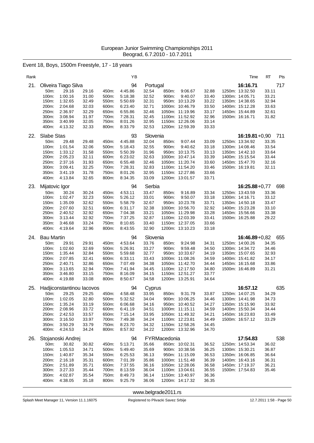# Event 18, Boys, 1500m Freestyle, 17 - 18 years

| Rank |                   |                           |                |                | ΥB                 |                |              |                                    |                | Time                               | RT<br>Pts      |
|------|-------------------|---------------------------|----------------|----------------|--------------------|----------------|--------------|------------------------------------|----------------|------------------------------------|----------------|
| 21.  |                   | Oliveira Tiago Silva      |                |                | 94                 | Portugal       |              |                                    |                | 16:16.71                           | 717            |
|      | 50m:              | 29.16                     | 29.16          | 450m:          | 4:45.86            | 32.54          | 850m:        | 9:06.67                            | 32.88          | 1250m: 13:32.50                    | 33.11          |
|      | 100m:<br>150m:    | 1:00.16<br>1:32.65        | 31.00<br>32.49 | 500m:<br>550m: | 5:18.38<br>5:50.69 | 32.52<br>32.31 | 900m:        | 9:40.07<br>950m: 10:13.29          | 33.40<br>33.22 | 1300m: 14:05.71<br>1350m: 14:38.65 | 33.21<br>32.94 |
|      | 200m:             | 2:04.68                   | 32.03          | 600m:          | 6:23.40            | 32.71          |              | 1000m: 10:46.79                    | 33.50          | 1400m: 15:12.28                    | 33.63          |
|      | 250m:             | 2:36.97                   | 32.29          | 650m:          | 6:55.86            | 32.46          |              | 1050m: 11:19.96                    | 33.17          | 1450m: 15:44.89                    | 32.61          |
|      | 300m:             | 3:08.94                   | 31.97          | 700m:          | 7:28.31            | 32.45          |              | 1100m: 11:52.92                    | 32.96          | 1500m: 16:16.71                    | 31.82          |
|      | 350m:             | 3:40.99                   | 32.05          | 750m:          | 8:01.26            | 32.95          |              | 1150m: 12:26.06                    | 33.14          |                                    |                |
|      | 400m:             | 4:13.32                   | 32.33          | 800m:          | 8:33.79            | 32.53          |              | 1200m: 12:59.39                    | 33.33          |                                    |                |
| 22.  | <b>Slabe Stas</b> |                           |                |                | 93                 | Slovenia       |              |                                    |                | $16:19.81 + 0.90$                  | 711            |
|      | 50m:              | 29.48                     | 29.48          | 450m:          | 4:45.88            | 32.04          | 850m:        | 9:07.44                            | 33.09          | 1250m: 13:34.92                    | 33.35          |
|      | 100m:             | 1:01.54                   | 32.06          | 500m:          | 5:18.43            | 32.55          | 900m:        | 9:40.62                            | 33.18          | 1300m: 14:08.46                    | 33.54          |
|      | 150m:<br>200m:    | 1:33.12<br>2:05.23        | 31.58<br>32.11 | 550m:<br>600m: | 5:50.39<br>6:23.02 | 31.96<br>32.63 |              | 950m: 10:13.75<br>1000m: 10:47.14  | 33.13<br>33.39 | 1350m: 14:42.10<br>1400m: 15:15.54 | 33.64<br>33.44 |
|      | 250m:             | 2:37.16                   | 31.93          | 650m:          | 6:55.48            | 32.46          |              | 1050m: 11:20.74                    | 33.60          | 1450m: 15:47.70                    | 32.16          |
|      | 300m:             | 3:09.41                   | 32.25          | 700m:          | 7:28.31            | 32.83          |              | 1100m: 11:54.20                    | 33.46          | 1500m: 16:19.81                    | 32.11          |
|      | 350m:             | 3:41.19                   | 31.78          | 750m:          | 8:01.26            | 32.95          |              | 1150m: 12:27.86                    | 33.66          |                                    |                |
|      | 400m:             | 4:13.84                   | 32.65          | 800m:          | 8:34.35            | 33.09          |              | 1200m: 13:01.57                    | 33.71          |                                    |                |
| 23.  | Mijatovic Igor    |                           |                |                | 94                 | Serbia         |              |                                    |                | $16:25.88 + 0.77$                  | 698            |
|      | 50m:              | 30.24                     | 30.24          | 450m:          | 4:53.11            | 33.47          | 850m:        | 9:16.89                            | 33.34          | 1250m: 13:43.59                    | 33.36          |
|      | 100m:             | 1:02.47                   | 32.23          | 500m:          | 5:26.12            | 33.01          | 900m:        | 9:50.07                            | 33.18          | 1300m: 14:16.71                    | 33.12          |
|      | 150m:             | 1:35.09                   | 32.62          | 550m:          | 5:58.79            | 32.67          |              | 950m: 10:23.78                     | 33.71          | 1350m: 14:50.18                    | 33.47          |
|      | 200m:             | 2:07.60                   | 32.51          | 600m:          | 6:31.17            | 32.38          |              | 1000m: 10:56.70                    | 32.92          | 1400m: 15:23.28                    | 33.10          |
|      | 250m:<br>300m:    | 2:40.52<br>3:13.44        | 32.92<br>32.92 | 650m:<br>700m: | 7:04.38<br>7:37.25 | 33.21<br>32.87 |              | 1050m: 11:29.98<br>1100m: 12:03.39 | 33.28<br>33.41 | 1450m: 15:56.66<br>1500m: 16:25.88 | 33.38<br>29.22 |
|      | 350m:             | 3:46.68                   | 33.24          | 750m:          | 8:10.65            | 33.40          |              | 1150m: 12:37.05                    | 33.66          |                                    |                |
|      | 400m:             | 4:19.64                   | 32.96          | 800m:          | 8:43.55            | 32.90          |              | 1200m: 13:10.23                    | 33.18          |                                    |                |
| 24.  | <b>Bau Martin</b> |                           |                |                | 94                 | Slovenia       |              |                                    |                | $16:46.89 + 0.82$                  | 655            |
|      | 50m:              | 29.91                     | 29.91          | 450m:          | 4:53.64            | 33.76          | 850m:        | 9:24.98                            | 34.31          | 1250m: 14:00.26                    | 34.35          |
|      | 100m:             | 1:02.60                   | 32.69          | 500m:          | 5:26.91            | 33.27          | 900m:        | 9:59.48                            | 34.50          | 1300m: 14:34.72                    | 34.46          |
|      | 150m:             | 1:35.44                   | 32.84          | 550m:          | 5:59.68            | 32.77          |              | 950m: 10:33.67                     | 34.19          | 1350m: 15:07.65                    | 32.93          |
|      | 200m:             | 2:07.85                   | 32.41          | 600m:          | 6:33.11            | 33.43          |              | 1000m: 11:08.26                    | 34.59          | 1400m: 15:41.82                    | 34.17          |
|      | 250m:             |                           |                |                |                    |                |              |                                    |                |                                    |                |
|      |                   | 2:40.71                   | 32.86          | 650m:          | 7:07.49            | 34.38          |              | 1050m: 11:42.70                    | 34.44          | 1450m: 16:15.68                    | 33.86          |
|      | 300m:             | 3:13.65                   | 32.94          | 700m:          | 7:41.94            | 34.45          |              | 1100m: 12:17.50                    | 34.80          | 1500m: 16:46.89                    | 31.21          |
|      | 350m:             | 3:46.80                   | 33.15          | 750m:          | 8:16.09            | 34.15          |              | 1150m: 12:51.27                    | 33.77          |                                    |                |
|      | 400m:             | 4:19.88                   | 33.08          | 800m:          | 8:50.67            | 34.58          |              | 1200m: 13:25.91                    | 34.64          |                                    |                |
| 25.  |                   | Hadjiconstantinou lacovos |                |                | 94                 | Cyprus         |              |                                    |                | 16:57.12                           | 635            |
|      | 50m:              | 29.25                     | 29.25          | 450m:          | 4:58.48            | 33.95          | 850m:        | 9:31.79                            | 33.87          | 1250m: 14:07.25                    | 34.29          |
|      | 100m:             | 1:02.05                   | 32.80          | 500m:          | 5:32.52            | 34.04          |              | 900m: 10:06.25                     | 34.46          | 1300m: 14:41.98                    | 34.73          |
|      | 150m:<br>200m:    | 1:35.24<br>2:08.96        | 33.19<br>33.72 | 550m:<br>600m: | 6:06.68<br>6:41.19 | 34.16<br>34.51 |              | 950m: 10:40.52<br>1000m: 11:15.11  | 34.27<br>34.59 | 1350m: 15:15.90                    | 33.92<br>34.44 |
|      | 250m:             | 2:42.53                   | 33.57          | 650m:          | 7:15.14            | 33.95          |              | 1050m: 11:49.32                    | 34.21          | 1400m: 15:50.34<br>1450m: 16:23.83 | 33.49          |
|      | 300m:             | 3:16.50                   | 33.97          | 700m:          | 7:49.38            | 34.24          |              | 1100m: 12:23.81                    | 34.49          | 1500m: 16:57.12                    | 33.29          |
|      | 350m:             | 3:50.29                   | 33.79          | 750m:          | 8:23.70            | 34.32          |              | 1150m: 12:58.26                    | 34.45          |                                    |                |
|      | 400m:             | 4:24.53                   | 34.24          | 800m:          | 8:57.92            | 34.22          |              | 1200m: 13:32.96                    | 34.70          |                                    |                |
| 26.  |                   | Stojanoski Andrej         |                |                | 94                 |                | FYRMacedonia |                                    |                | 17:54.83                           | 538            |
|      | 50m:              | 30.82                     | 30.82          | 450m:          | 5:13.71            | 35.66          |              | 850m: 10:02.31                     | 36.52          | 1250m: 14:53.34                    | 36.02          |
|      | 100m:             | 1:05.53                   | 34.71          | 500m:          | 5:49.40            | 35.69          |              | 900m: 10:38.56                     | 36.25          | 1300m: 15:30.21                    | 36.87          |
|      | 150m:<br>200m:    | 1:40.87<br>2:16.18        | 35.34<br>35.31 | 550m:<br>600m: | 6:25.53<br>7:01.39 | 36.13<br>35.86 |              | 950m: 11:15.09<br>1000m: 11:51.48  | 36.53<br>36.39 | 1350m: 16:06.85<br>1400m: 16:43.16 | 36.64<br>36.31 |
|      | 250m:             | 2:51.89                   | 35.71          | 650m:          | 7:37.55            | 36.16          |              | 1050m: 12:28.06                    | 36.58          | 1450m: 17:19.37                    | 36.21          |
|      | 300m:             | 3:27.33                   | 35.44          | 700m:          | 8:13.59            | 36.04          |              | 1100m: 13:04.61                    | 36.55          | 1500m: 17:54.83                    | 35.46          |
|      | 350m:<br>400m:    | 4:02.87<br>4:38.05        | 35.54<br>35.18 | 750m:<br>800m: | 8:49.73<br>9:25.79 | 36.14<br>36.06 |              | 1150m: 13:40.97<br>1200m: 14:17.32 | 36.36<br>36.35 |                                    |                |

<www.belgrade2011.rs>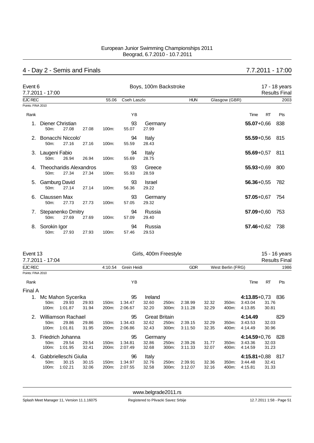# 4 - Day 2 - Semis and Finals 7.7.2011 - 17:00

| Event 6           | 7.7.2011 - 17:00                       |       |       |          |             | Boys, 100m Backstroke  |            |               |                |           | 17 - 18 years<br><b>Results Final</b> |
|-------------------|----------------------------------------|-------|-------|----------|-------------|------------------------|------------|---------------|----------------|-----------|---------------------------------------|
| <b>EJC REC</b>    |                                        |       |       | 55.06    | Cseh Laszlo |                        | <b>HUN</b> | Glasgow (GBR) |                |           | 2003                                  |
| Points: FINA 2010 |                                        |       |       |          |             |                        |            |               |                |           |                                       |
| Rank              |                                        |       |       |          | YB          |                        |            |               | Time           | <b>RT</b> | Pts                                   |
|                   | Diener Christian<br>50m:               | 27.08 | 27.08 | 100m:    | 93<br>55.07 | Germany<br>27.99       |            |               | $55.07 + 0.66$ |           | 838                                   |
|                   | Bonacchi Niccolo'<br>50m:              | 27.16 | 27.16 | 100m:    | 94<br>55.59 | Italy<br>28.43         |            |               | $55.59 + 0.56$ |           | 815                                   |
| 3.                | Laugeni Fabio<br>50m:                  | 26.94 | 26.94 | 100m:    | 94<br>55.69 | Italy<br>28.75         |            |               | $55.69 + 0.57$ |           | 811                                   |
| 4                 | <b>Theocharidis Alexandros</b><br>50m: | 27.34 | 27.34 | 100m:    | 93<br>55.93 | Greece<br>28.59        |            |               | $55.93 + 0.69$ |           | 800                                   |
| 5.                | <b>Gamburg David</b><br>$50m$ :        | 27.14 | 27.14 | 100m:    | 93<br>56.36 | <b>Israel</b><br>29.22 |            |               | $56.36 + 0.55$ |           | 782                                   |
| 6.                | Claussen Max<br>$50m$ :                | 27.73 | 27.73 | $100m$ : | 93<br>57.05 | Germany<br>29.32       |            |               | $57.05 + 0.67$ |           | 754                                   |
| 7.                | Stepanenko Dmitry<br>50m:              | 27.69 | 27.69 | 100m:    | 94<br>57.09 | Russia<br>29.40        |            |               | $57.09 + 0.60$ |           | 753                                   |
| 8.                | Sorokin Igor<br>50m:                   | 27.93 | 27.93 | 100m:    | 94<br>57.46 | Russia<br>29.53        |            |               | $57.46 + 0.62$ |           | 738                                   |

| Event 13          |                                                          |                           |       |         |             |         | Girls, 400m Freestyle |            |       |                   |                    |           | 15 - 16 years        |
|-------------------|----------------------------------------------------------|---------------------------|-------|---------|-------------|---------|-----------------------|------------|-------|-------------------|--------------------|-----------|----------------------|
|                   | 7.7.2011 - 17:04                                         |                           |       |         |             |         |                       |            |       |                   |                    |           | <b>Results Final</b> |
| <b>EJC REC</b>    |                                                          |                           |       | 4:10.54 | Grein Heidi |         |                       | <b>GDR</b> |       | West Berlin (FRG) |                    |           | 1986                 |
| Points: FINA 2010 |                                                          |                           |       |         |             |         |                       |            |       |                   |                    |           |                      |
| Rank              |                                                          |                           |       |         | YB          |         |                       |            |       |                   | Time               | <b>RT</b> | Pts                  |
| Final A           |                                                          |                           |       |         |             |         |                       |            |       |                   |                    |           |                      |
|                   | Mc Mahon Sycerika<br>29.93<br>29.93<br>50 <sub>m</sub> : |                           |       |         | 95          | Ireland |                       |            |       |                   | $4:13.85 + 0.73$   |           | -836                 |
|                   |                                                          |                           |       | 150m:   | 1:34.47     | 32.60   | 250m:                 | 2:38.99    | 32.32 | 350m:             | 3:43.04            | 31.76     |                      |
|                   | 1:01.87<br>100m:<br>31.94                                |                           |       |         | 2:06.67     | 32.20   | 300m:                 | 3:11.28    | 32.29 | 400m:             | 4:13.85            | 30.81     |                      |
| 2.                |                                                          | <b>Williamson Rachael</b> |       |         | 95          |         | <b>Great Britain</b>  |            |       |                   | 4:14.49            |           | 829                  |
|                   | 50m:                                                     | 29.86                     | 29.86 | 150m:   | 1:34.43     | 32.62   | 250m:                 | 2:39.15    | 32.29 | 350m:             | 3:43.53            | 32.03     |                      |
|                   | 100m:                                                    | 1:01.81                   | 31.95 | 200m:   | 2:06.86     | 32.43   | 300m:                 | 3:11.50    | 32.35 | 400m:             | 4:14.49            | 30.96     |                      |
| 3.                |                                                          | Friedrich Johanna         |       |         | 95          | Germany |                       |            |       |                   | $4:14.59 + 0.76$   |           | - 828                |
|                   | 50 <sub>m</sub> :                                        | 29.54                     | 29.54 | 150m:   | 1:34.81     | 32.86   | 250m:                 | 2:39.26    | 31.77 | 350m:             | 3:43.36            | 32.03     |                      |
|                   | 100m:                                                    | 1:01.95                   | 32.41 | 200m:   | 2:07.49     | 32.68   | 300m:                 | 3:11.33    | 32.07 | 400m:             | 4:14.59            | 31.23     |                      |
| 4.                | Gabbrielleschi Giulia                                    |                           |       |         | 96          | Italy   |                       |            |       |                   | $4:15.81+0.88$ 817 |           |                      |
|                   | 50 <sub>m</sub> :                                        | 30.15                     | 30.15 | 150m:   | 1:34.97     | 32.76   | 250m:                 | 2:39.91    | 32.36 | 350m:             | 3:44.48            | 32.41     |                      |
|                   | 100m:                                                    | 1:02.21                   | 32.06 | 200m:   | 2:07.55     | 32.58   | 300m:                 | 3:12.07    | 32.16 | 400m:             | 4:15.81            | 31.33     |                      |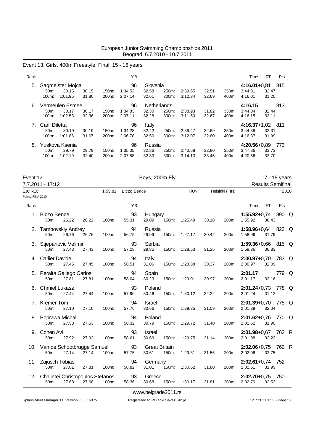# Event 13, Girls, 400m Freestyle, Final, 15 - 16 years

| Rank |                                      |                                      |                |                             | ΥB                       |                               |                |                    |                |                | Time                                   | RT                    | <b>Pts</b> |
|------|--------------------------------------|--------------------------------------|----------------|-----------------------------|--------------------------|-------------------------------|----------------|--------------------|----------------|----------------|----------------------------------------|-----------------------|------------|
| 5.   | 50 <sub>m</sub> :<br>$100m$ :        | Sagmeister Mojca<br>30.15<br>1:01.95 | 30.15<br>31.80 | $150m$ :<br>200m:           | 96<br>1:34.53<br>2:07.14 | Slovenia<br>32.58<br>32.61    | 250m:<br>300m: | 2:39.65<br>3:12.34 | 32.51<br>32.69 | 350m:<br>400m: | $4:16.01+0.81$<br>3:44.81<br>4:16.01   | 32.47<br>31.20        | 815        |
| 6.   | 50m:<br>100m:                        | Vermeulen Esmee<br>30.17<br>1:02.53  | 30.17<br>32.36 | 150m:<br>200 <sub>m</sub> : | 96<br>1:34.83<br>2:07.11 | Netherlands<br>32.30<br>32.28 | 250m:<br>300m: | 2:38.93<br>3:11.60 | 31.82<br>32.67 | 350m:<br>400m: | 4:16.15<br>3:44.04<br>4:16.15          | 813<br>32.44<br>32.11 |            |
|      | Carli Diletta<br>$50m$ :<br>$100m$ : | 30.19<br>1:01.86                     | 30.19<br>31.67 | $150m$ :<br>200m:           | 96<br>1:34.28<br>2:06.78 | Italy<br>32.42<br>32.50       | 250m:<br>300m: | 2:39.47<br>3:12.07 | 32.69<br>32.60 | 350m:<br>400m: | $4:16.37+1.02$<br>3:44.38<br>4:16.37   | 32.31<br>31.99        | - 811      |
| 8.   | 50m:<br>$100m$ :                     | Yuskova Ksenia<br>29.79<br>1:02.19   | 29.79<br>32.40 | 150m:<br>200m:              | 96<br>1:35.05<br>2:07.88 | Russia<br>32.86<br>32.83      | 250m:<br>300m: | 2:40.68<br>3:14.13 | 32.80<br>33.45 | 350m:<br>400m: | $4:20.56 + 0.89$<br>3:47.86<br>4:20.56 | 33.73<br>32.70        | 773        |

| Event 12          |                                                |       |       |       |                     | Boys, 200m Fly                |       |            |       |                |                                   |           | 17 - 18 years            |  |
|-------------------|------------------------------------------------|-------|-------|-------|---------------------|-------------------------------|-------|------------|-------|----------------|-----------------------------------|-----------|--------------------------|--|
|                   | 7.7.2011 - 17:12                               |       |       |       |                     |                               |       |            |       |                |                                   |           | <b>Results Semifinal</b> |  |
| EJC REC           |                                                |       |       |       | 1:55.82 Biczo Bence |                               |       | <b>HUN</b> |       | Helsinki (FIN) |                                   |           | 2010                     |  |
| Points: FINA 2010 |                                                |       |       |       |                     |                               |       |            |       |                |                                   |           |                          |  |
| Rank              |                                                |       |       |       | YB                  |                               |       |            |       |                | Time                              | <b>RT</b> | Pts                      |  |
|                   | 1. Biczo Bence<br>50m:                         | 26.22 | 26.22 | 100m: | 93<br>55.31         | Hungary<br>29.09              | 150m: | 1:25.49    | 30.18 | 200m:          | 1:55.92+0,74 890 Q<br>1:55.92     | 30.43     |                          |  |
|                   | 2. Tambovskiy Andrey<br>50m:                   | 26.76 | 26.76 | 100m: | 94<br>56.75         | Russia<br>29.99               | 150m: | 1:27.17    | 30.42 | 200m:          | 1:58.96+0,64 823 Q<br>1:58.96     | 31.79     |                          |  |
|                   | 3. Stjepanovic Velimir<br>50m:                 | 27.43 | 27.43 | 100m: | 93<br>57.28         | Serbia<br>29.85               | 150m: | 1:28.53    | 31.25 | 200m:          | 1:59.36+0,66 815 Q<br>1:59.36     | 30.83     |                          |  |
|                   | 4. Carlier Davide<br>50m:                      | 27.45 | 27.45 | 100m: | 94<br>58.51         | Italy<br>31.06                | 150m: | 1:28.88    | 30.37 | 200m:          | 2:00.97+0,70 783 Q<br>2:00.97     | 32.09     |                          |  |
|                   | 5. Peralta Gallego Carlos<br>50 <sub>m</sub> : | 27.81 | 27.81 | 100m: | 94<br>58.04         | Spain<br>30.23                | 150m: | 1:29.01    | 30.97 | 200m:          | 2:01.17<br>2:01.17                | 32.16     | 779 Q                    |  |
|                   | 6. Chmiel Lukasz<br>50 <sub>m</sub> :          | 27.44 | 27.44 | 100m: | 93<br>57.90         | Poland<br>30.46               | 150m: | 1:30.12    | 32.22 | 200m:          | 2:01.24+0,73 778 Q<br>2:01.24     | 31.12     |                          |  |
|                   | 7. Kremer Tom<br>50m:                          | 27.10 | 27.10 | 100m: | 94<br>57.76         | Israel<br>30.66               | 150m: | 1:29.35    | 31.59 | 200m:          | 2:01.39+0,70 775 Q<br>2:01.39     | 32.04     |                          |  |
|                   | 8. Poprawa Michal<br>50m:                      | 27.53 | 27.53 | 100m: | 94<br>58.32         | Poland<br>30.79               | 150m: | 1:29.72    | 31.40 | 200m:          | 2:01.62+0,76 770 Q<br>2:01.62     | 31.90     |                          |  |
|                   | 9. Cohen Avi<br>50 <sub>m</sub> :              | 27.92 | 27.92 | 100m: | 93<br>58.61         | Israel<br>30.69               | 150m: | 1:29.75    | 31.14 | 200m:          | 2:01.98+0,67 763 R<br>2:01.98     | 32.23     |                          |  |
|                   | 10. Van de Schootbrugge Samuel<br>50m:         | 27.14 | 27.14 | 100m: | 93<br>57.75         | <b>Great Britain</b><br>30.61 | 150m: | 1:29.31    | 31.56 | 200m:          | $2:02.06 + 0.75$ 762 R<br>2:02.06 | 32.75     |                          |  |
|                   | 11. Zajusch Tobias<br>50m:                     | 27.81 | 27.81 | 100m: | 94<br>58.82         | Germany<br>31.01              | 150m: | 1:30.62    | 31.80 | 200m:          | $2:02.61+0.74$ 752<br>2:02.61     | 31.99     |                          |  |
|                   | 12. Chalintei-Christopoulos Stefanos<br>50m:   | 27.68 | 27.68 | 100m: | 93<br>58.36         | Greece<br>30.68               | 150m: | 1:30.17    | 31.81 | 200m:          | $2:02.70+0.75$ 750<br>2:02.70     | 32.53     |                          |  |
|                   |                                                |       |       |       |                     | www.belgrade2011.rs           |       |            |       |                |                                   |           |                          |  |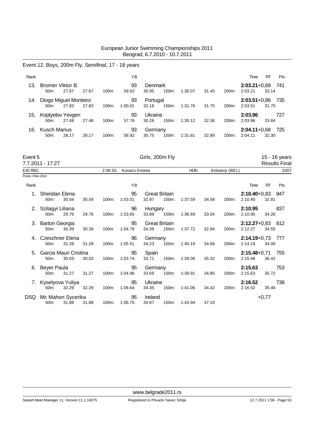# Event 12, Boys, 200m Fly, Semifinal, 17 - 18 years

| Rank |                                          |       |       |          | ΥB            |                   |       |         |       |                    | Time                      | <b>RT</b> | <b>Pts</b> |
|------|------------------------------------------|-------|-------|----------|---------------|-------------------|-------|---------|-------|--------------------|---------------------------|-----------|------------|
| 13.  | Bromer Viktor B.<br>$50m$ :              | 27.67 | 27.67 | $100m$ : | 93<br>58.62   | Denmark<br>30.95  | 150m: | 1:30.07 | 31.45 | 200m:              | $2:03.21+0.69$<br>2:03.21 | 33.14     | -741       |
| 14.  | Diogo Miguel Monteiro<br>$50m$ :         | 27.83 | 27.83 | $100m$ : | 93<br>1:00.01 | Portugal<br>32.18 | 150m: | 1:31.76 | 31.75 | 200m:              | $2:03.51+0.86$<br>2:03.51 | 31.75     | 735        |
| 15.  | Koptyelov Yevgen<br>$50m$ :              | 27.48 | 27.48 | $100m$ : | 93<br>57.76   | Ukraine<br>30.28  | 150m: | 1:30.12 | 32.36 | 200 <sub>m</sub> : | 2:03.96<br>2:03.96        | 33.84     | 727        |
| 16.  | <b>Kusch Marius</b><br>50 <sub>m</sub> : | 28.17 | 28.17 | $100m$ : | 93<br>58.92   | Germany<br>30.75  | 150m: | 1:31.81 | 32.89 | 200 <sub>m</sub> : | $2:04.11+0.68$<br>2:04.11 | 32.30     | 725        |

| Event 5           | 7.7.2011 - 17:27                    |       |       |          |                     | Girls, 200m Fly               |       |            |       |               |                                 |           | 15 - 16 years        |
|-------------------|-------------------------------------|-------|-------|----------|---------------------|-------------------------------|-------|------------|-------|---------------|---------------------------------|-----------|----------------------|
|                   |                                     |       |       |          |                     |                               |       |            |       |               |                                 |           | <b>Results Final</b> |
| EJC REC           |                                     |       |       | 2:08.55  | <b>Kovacs Emese</b> |                               |       | <b>HUN</b> |       | Antwerp (BEL) |                                 |           | 2007                 |
| Points: FINA 2010 |                                     |       |       |          |                     |                               |       |            |       |               |                                 |           |                      |
| Rank              |                                     |       |       |          | YB                  |                               |       |            |       |               | Time                            | <b>RT</b> | Pts                  |
| 1.                | Sheridan Elena<br>50 <sub>m</sub> : | 30.04 | 30.04 | 100m:    | 95<br>1:03.01       | <b>Great Britain</b><br>32.97 | 150m: | 1:37.59    | 34.58 | 200m:         | $2:10.40 + 0.83$ 847<br>2:10.40 | 32.81     |                      |
| 2.                | Szilagyi Liliana<br>50m:            | 29.76 | 29.76 | 100m:    | 96<br>1:03.65       | Hungary<br>33.89              | 150m: | 1:36.69    | 33.04 | 200m:         | 2:10.95<br>2:10.95              | 34.26     | 837                  |
|                   | 3. Barton Georgia<br>50m:           | 30.39 | 30.39 | 100m:    | 95<br>1:04.78       | <b>Great Britain</b><br>34.39 | 150m: | 1:37.72    | 32.94 | 200m:         | $2:12.27+0.83$ 812<br>2:12.27   | 34.55     |                      |
|                   | Czeschner Elena<br>$50m$ :          | 31.28 | 31.28 | $100m$ : | 96<br>1:05.51       | Germany<br>34.23              | 150m: | 1:40.19    | 34.68 | 200m:         | $2:14.19 + 0.73$<br>2:14.19     | 34.00     | 777                  |
|                   | Garcia Mauri Cristina<br>50m:       | 30.03 | 30.03 | 100m:    | 95<br>1:03.74       | Spain<br>33.71                | 150m: | 1:39.06    | 35.32 | 200m:         | $2:15.48+0.71$ 755<br>2:15.48   | 36.42     |                      |
| 6.                | <b>Beyer Paula</b><br>50m:          | 31.27 | 31.27 | 100m:    | 95<br>1:04.96       | Germany<br>33.69              | 150m: | 1:39.91    | 34.95 | 200m:         | 2:15.63<br>2:15.63              | 35.72     | 753                  |
| 7.                | Kyselyova Yuliya<br>$50m$ :         | 32.29 | 32.29 | 100m:    | 95<br>1:06.64       | Ukraine<br>34.35              | 150m: | 1:41.06    | 34.42 | 200m:         | 2:16.52<br>2:16.52              | 35.46     | 738                  |
| DSQ.              | Mc Mahon Sycerika<br>50m:           | 31.88 | 31.88 | 100m:    | 95<br>1:06.75       | Ireland<br>34.87              | 150m: | 1.43.94    | 37.19 |               |                                 | $+0,77$   |                      |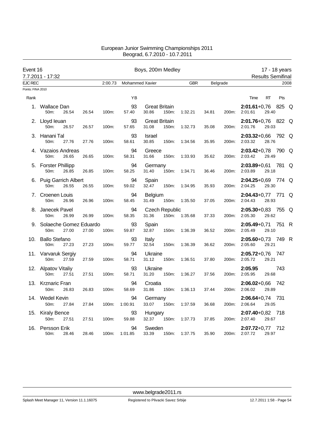| Event 16          | 7.7.2011 - 17:32                  |       |       |         |                        | Boys, 200m Medley             |                                |            |       |          |                                 | 17 - 18 years<br><b>Results Semifinal</b> |       |      |
|-------------------|-----------------------------------|-------|-------|---------|------------------------|-------------------------------|--------------------------------|------------|-------|----------|---------------------------------|-------------------------------------------|-------|------|
| <b>EJC REC</b>    |                                   |       |       | 2:00.73 | <b>Mohammed Xavier</b> |                               |                                | <b>GBR</b> |       | Belgrade |                                 |                                           |       | 2008 |
| Points: FINA 2010 |                                   |       |       |         |                        |                               |                                |            |       |          |                                 |                                           |       |      |
| Rank              |                                   |       |       |         | ΥB                     |                               |                                |            |       |          | Time                            | <b>RT</b>                                 | Pts   |      |
|                   | 1. Wallace Dan<br>50m:            | 26.54 | 26.54 | 100m:   | 93<br>57.40            | <b>Great Britain</b><br>30.86 | 150m:                          | 1:32.21    | 34.81 | 200m:    | $2:01.61+0.76$<br>2:01.61       | 29.40                                     | 825 Q |      |
|                   | 2. Lloyd leuan<br>50m:            | 26.57 | 26.57 | 100m:   | 93<br>57.65            | <b>Great Britain</b><br>31.08 | 150m:                          | 1:32.73    | 35.08 | 200m:    | 2:01.76+0,76 822 Q<br>2:01.76   | 29.03                                     |       |      |
|                   | 3. Hanani Tal<br>50m:             | 27.76 | 27.76 | 100m:   | 93<br>58.61            | Israel<br>30.85               | 150m:                          | 1:34.56    | 35.95 | 200m:    | $2:03.32 + 0.66$<br>2:03.32     | 28.76                                     | 792 Q |      |
|                   | 4. Vazaios Andreas<br>50m:        | 26.65 | 26.65 | 100m:   | 94<br>58.31            | Greece<br>31.66               | 150m:                          | 1:33.93    | 35.62 | 200m:    | $2:03.42 + 0.78$<br>2:03.42     | 29.49                                     | 790 Q |      |
|                   | 5. Forster Phillipp<br>50m:       | 26.85 | 26.85 | 100m:   | 94<br>58.25            | Germany<br>31.40              | 150m:                          | 1:34.71    | 36.46 | 200m:    | <b>2:03.89+</b> 0.61<br>2:03.89 | 29.18                                     | 781 Q |      |
|                   | 6. Puig Garrich Albert<br>50m:    | 26.55 | 26.55 | 100m:   | 94<br>59.02            | Spain<br>32.47                | 150m:                          | 1:34.95    | 35.93 | 200m:    | 2:04.25+0,69 774 Q<br>2:04.25   | 29.30                                     |       |      |
|                   | 7. Croenen Louis<br>50m:          | 26.96 | 26.96 | 100m:   | 94<br>58.45            | <b>Belgium</b><br>31.49       | 150m:                          | 1:35.50    | 37.05 | 200m:    | 2:04.43+0,77 771 Q<br>2:04.43   | 28.93                                     |       |      |
|                   | 8. Janecek Pavel<br>50m:          | 26.99 | 26.99 | 100m:   | 94<br>58.35            | 31.36                         | <b>Czech Republic</b><br>150m: | 1:35.68    | 37.33 | 200m:    | $2:05.30+0.83$ 755 Q<br>2:05.30 | 29.62                                     |       |      |
|                   | 9. Solaeche Gomez Eduardo<br>50m: | 27.00 | 27.00 | 100m:   | 93<br>59.87            | Spain<br>32.87                | 150m:                          | 1:36.39    | 36.52 | 200m:    | $2:05.49 + 0.71$<br>2:05.49     | 29.10                                     | 751 R |      |
|                   | 10. Ballo Stefano<br>50m:         | 27.23 | 27.23 | 100m:   | 93<br>59.77            | Italy<br>32.54                | 150m:                          | 1:36.39    | 36.62 | 200m:    | 2:05.60+0,73 749 R<br>2:05.60   | 29.21                                     |       |      |
|                   | 11. Varvaruk Sergiy<br>50m:       | 27.59 | 27.59 | 100m:   | 94<br>58.71            | Ukraine<br>31.12              | 150m:                          | 1:36.51    | 37.80 | 200m:    | $2:05.72+0.76$ 747<br>2:05.72   | 29.21                                     |       |      |
|                   | 12. Alpatov Vitaliy<br>50m:       | 27.51 | 27.51 | 100m:   | 93<br>58.71            | Ukraine<br>31.20              | 150m:                          | 1:36.27    | 37.56 | 200m:    | 2:05.95<br>2:05.95              | 29.68                                     | 743   |      |
|                   | 13. Krznaric Fran<br>50m:         | 26.83 | 26.83 | 100m:   | 94<br>58.69            | Croatia<br>31.86              | 150m:                          | 1:36.13    | 37.44 | 200m:    | $2:06.02 + 0.66$<br>2:06.02     | 29.89                                     | - 742 |      |
|                   | 14. Wedel Kevin<br>50m:           | 27.84 | 27.84 | 100m:   | 94<br>1:00.91          | Germany<br>33.07              | 150m:                          | 1:37.59    | 36.68 | 200m:    | $2:06.64 + 0.74$ 731<br>2:06.64 | 29.05                                     |       |      |
|                   | 15. Kiraly Bence<br>50m:          | 27.51 | 27.51 | 100m:   | 93<br>59.88            | <b>Hungary</b><br>32.37       | 150m:                          | 1:37.73    | 37.85 | 200m:    | 2:07.40+0,82 718<br>2:07.40     | 29.67                                     |       |      |
| 16.               | Persson Erik<br>50 <sub>m</sub> : | 28.46 | 28.46 | 100m:   | 94<br>1:01.85          | Sweden<br>33.39               | 150m:                          | 1:37.75    | 35.90 | 200m:    | $2:07.72+0.77$ 712<br>2:07.72   | 29.97                                     |       |      |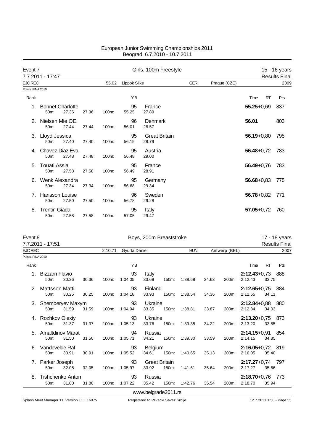| Event 7           | 7.7.2011 - 17:47                             |       |       |       |              | Girls, 100m Freestyle         |            |              |                   | 15 - 16 years<br><b>Results Final</b> |
|-------------------|----------------------------------------------|-------|-------|-------|--------------|-------------------------------|------------|--------------|-------------------|---------------------------------------|
| <b>EJC REC</b>    |                                              |       |       | 55.02 | Lippok Silke |                               | <b>GER</b> | Prague (CZE) |                   | 2009                                  |
| Points: FINA 2010 |                                              |       |       |       |              |                               |            |              |                   |                                       |
| Rank              |                                              |       |       |       | YB           |                               |            |              | <b>RT</b><br>Time | Pts                                   |
|                   | <b>Bonnet Charlotte</b><br>50 <sub>m</sub> : | 27.36 | 27.36 | 100m: | 95<br>55.25  | France<br>27.89               |            |              | $55.25 + 0.69$    | 837                                   |
|                   | Nielsen Mie OE.<br>$50m$ :                   | 27.44 | 27.44 | 100m: | 96<br>56.01  | Denmark<br>28.57              |            |              | 56.01             | 803                                   |
| 3.                | Lloyd Jessica<br>50m:                        | 27.40 | 27.40 | 100m: | 95<br>56.19  | <b>Great Britain</b><br>28.79 |            |              | $56.19 + 0.80$    | 795                                   |
| 4.                | Chavez-Diaz Eva<br>50 <sub>m</sub> :         | 27.48 | 27.48 | 100m: | 95<br>56.48  | Austria<br>29.00              |            |              | $56.48 + 0.72$    | 783                                   |
| 5.                | <b>Touati Assia</b><br>50m:                  | 27.58 | 27.58 | 100m: | 95<br>56.49  | France<br>28.91               |            |              | $56.49 + 0.76$    | 783                                   |
|                   | Wenk Alexandra<br>$50m$ :                    | 27.34 | 27.34 | 100m: | 95<br>56.68  | Germany<br>29.34              |            |              | $56.68 + 0.83$    | 775                                   |
| 7                 | Hansson Louise<br>50 <sub>m</sub> :          | 27.50 | 27.50 | 100m: | 96<br>56.78  | Sweden<br>29.28               |            |              | $56.78 + 0.82$    | 771                                   |
| 8.                | <b>Trentin Giada</b><br>50m:                 | 27.58 | 27.58 | 100m: | 95<br>57.05  | Italy<br>29.47                |            |              | $57.05 + 0.72$    | 760                                   |

| Event 8           | 7.7.2011 - 17:51            |       |       |          |               | Boys, 200m Breaststroke       |       |            |       |               |                               |           | 17 - 18 years<br><b>Results Final</b> |
|-------------------|-----------------------------|-------|-------|----------|---------------|-------------------------------|-------|------------|-------|---------------|-------------------------------|-----------|---------------------------------------|
| <b>EJC REC</b>    |                             |       |       | 2:10.71  | Gyurta Daniel |                               |       | <b>HUN</b> |       | Antwerp (BEL) |                               |           | 2007                                  |
| Points: FINA 2010 |                             |       |       |          |               |                               |       |            |       |               |                               |           |                                       |
| Rank              |                             |       |       |          | YB            |                               |       |            |       |               | Time                          | <b>RT</b> | Pts                                   |
| 1.                | Bizzarri Flavio<br>$50m$ :  | 30.36 | 30.36 | 100m:    | 93<br>1:04.05 | Italy<br>33.69                | 150m: | 1:38.68    | 34.63 | 200m:         | $2:12.43+0.73$ 888<br>2:12.43 | 33.75     |                                       |
| 2.                | Mattsson Matti<br>50m:      | 30.25 | 30.25 | 100m:    | 93<br>1:04.18 | Finland<br>33.93              | 150m: | 1:38.54    | 34.36 | 200m:         | $2:12.65+0.75$ 884<br>2:12.65 | 34.11     |                                       |
| 3.                | Shemberyev Maxym<br>$50m$ : | 31.59 | 31.59 | 100m:    | 93<br>1:04.94 | Ukraine<br>33.35              | 150m: | 1:38.81    | 33.87 | 200m:         | 2:12.84+0,88 880<br>2:12.84   | 34.03     |                                       |
| 4.                | Rozhkov Olexiy<br>50m:      | 31.37 | 31.37 | 100m:    | 93<br>1:05.13 | Ukraine<br>33.76              | 150m: | 1:39.35    | 34.22 | 200m:         | $2:13.20+0.75$ 873<br>2:13.20 | 33.85     |                                       |
| 5.                | Amaltdinov Marat<br>$50m$ : | 31.50 | 31.50 | $100m$ : | 94<br>1:05.71 | Russia<br>34.21               | 150m: | 1:39.30    | 33.59 | 200m:         | $2:14.15+0.91$ 854<br>2:14.15 | 34.85     |                                       |
| 6.                | Vandevelde Raf<br>50m:      | 30.91 | 30.91 | 100m:    | 93<br>1:05.52 | Belgium<br>34.61              | 150m: | 1:40.65    | 35.13 | 200m:         | 2:16.05+0,72 819<br>2:16.05   | 35.40     |                                       |
| 7.                | Parker Joseph<br>50m:       | 32.05 | 32.05 | 100m:    | 93<br>1:05.97 | <b>Great Britain</b><br>33.92 | 150m: | 1:41.61    | 35.64 | 200m:         | $2:17.27+0.74$ 797<br>2:17.27 | 35.66     |                                       |
| 8.                | Tishchenko Anton<br>50m:    | 31.80 | 31.80 | 100m:    | 93<br>1:07.22 | Russia<br>35.42               | 150m: | 1:42.76    | 35.54 | 200m:         | $2:18.70+0.76$<br>2:18.70     | 35.94     | -773                                  |
|                   |                             |       |       |          |               | www.belgrade2011.rs           |       |            |       |               |                               |           |                                       |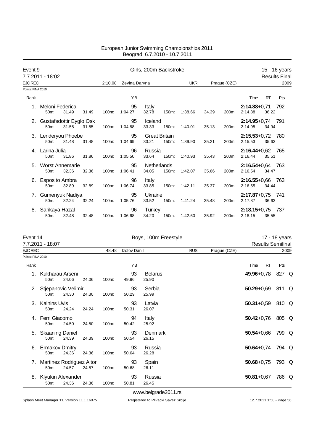| Event 9           |                                    |       |       |         |               | Girls, 200m Backstroke        |       |            |       |              |                             |           | 15 - 16 years        |
|-------------------|------------------------------------|-------|-------|---------|---------------|-------------------------------|-------|------------|-------|--------------|-----------------------------|-----------|----------------------|
|                   | 7.7.2011 - 18:02                   |       |       |         |               |                               |       |            |       |              |                             |           | <b>Results Final</b> |
| <b>EJC REC</b>    |                                    |       |       | 2:10.08 | Zevina Daryna |                               |       | <b>UKR</b> |       | Prague (CZE) |                             |           | 2009                 |
| Points: FINA 2010 |                                    |       |       |         |               |                               |       |            |       |              |                             |           |                      |
| Rank              |                                    |       |       |         | YB            |                               |       |            |       |              | Time                        | <b>RT</b> | Pts                  |
|                   | Meloni Federica<br>50m:            | 31.49 | 31.49 | 100m:   | 95<br>1:04.27 | Italy<br>32.78                | 150m: | 1:38.66    | 34.39 | 200m:        | $2:14.88 + 0.71$<br>2:14.88 | 36.22     | 792                  |
| 2.                | Gustafsdottir Eyglo Osk<br>$50m$ : | 31.55 | 31.55 | 100m:   | 95<br>1:04.88 | Iceland<br>33.33              | 150m: | 1:40.01    | 35.13 | 200m:        | $2:14.95+0.74$<br>2:14.95   | 34.94     | - 791                |
|                   | 3. Lenderyou Phoebe<br>$50m$ :     | 31.48 | 31.48 | 100m:   | 95<br>1:04.69 | <b>Great Britain</b><br>33.21 | 150m: | 1:39.90    | 35.21 | 200m:        | $2:15.53+0.72$<br>2:15.53   | 35.63     | - 780                |
| 4.                | Larina Julia<br>$50m$ :            | 31.86 | 31.86 | 100m:   | 96<br>1:05.50 | Russia<br>33.64               | 150m: | 1:40.93    | 35.43 | 200m:        | $2:16.44 + 0.62$<br>2:16.44 | 35.51     | 765                  |
| 5.                | <b>Worst Annemarie</b><br>50m:     | 32.36 | 32.36 | 100m:   | 95<br>1:06.41 | Netherlands<br>34.05          | 150m: | 1:42.07    | 35.66 | 200m:        | $2:16.54 + 0.64$<br>2:16.54 | 34.47     | - 763                |
| 6.                | Esposito Ambra<br>$50m$ :          | 32.89 | 32.89 | 100m:   | 96<br>1:06.74 | Italy<br>33.85                | 150m: | 1:42.11    | 35.37 | 200m:        | $2:16.55+0.66$<br>2:16.55   | 34.44     | - 763                |
| 7.                | Gumenyuk Nadiya<br>$50m$ :         | 32.24 | 32.24 | 100m:   | 95<br>1:05.76 | Ukraine<br>33.52              | 150m: | 1:41.24    | 35.48 | 200m:        | $2:17.87 + 0.75$<br>2:17.87 | 36.63     | -741                 |
| 8.                | Sarikaya Hazal<br>50m:             | 32.48 | 32.48 | 100m:   | 96<br>1:06.68 | <b>Turkey</b><br>34.20        | 150m: | 1:42.60    | 35.92 | 200m:        | $2:18.15+0.75$<br>2:18.15   | 35.55     | 737                  |

| Event 14          | 7.7.2011 - 18:07                              |       |       |       |                      | Boys, 100m Freestyle    |            |              | <b>Results Semifinal</b> | 17 - 18 years |      |
|-------------------|-----------------------------------------------|-------|-------|-------|----------------------|-------------------------|------------|--------------|--------------------------|---------------|------|
| EJC REC           |                                               |       |       | 48.48 | <b>Izotov Daniil</b> |                         | <b>RUS</b> | Prague (CZE) |                          |               | 2009 |
| Points: FINA 2010 |                                               |       |       |       |                      |                         |            |              |                          |               |      |
| Rank              |                                               |       |       |       | YB                   |                         |            |              | <b>RT</b><br>Time        | Pts           |      |
| 1.                | Kukharau Arseni<br>50 <sub>m</sub> :          | 24.06 | 24.06 | 100m: | 93<br>49.96          | <b>Belarus</b><br>25.90 |            |              | 49.96+0,78               | 827 Q         |      |
| 2.                | Stjepanovic Velimir<br>50 <sub>m</sub> :      | 24.30 | 24.30 | 100m: | 93<br>50.29          | Serbia<br>25.99         |            |              | $50.29 + 0.69$           | 811 Q         |      |
| 3.                | <b>Kalnins Uvis</b><br>50m:                   | 24.24 | 24.24 | 100m: | 93<br>50.31          | Latvia<br>26.07         |            |              | $50.31 + 0.59$           | 810 Q         |      |
| 4.                | Ferri Giacomo<br>50m:                         | 24.50 | 24.50 | 100m: | 94<br>50.42          | Italy<br>25.92          |            |              | $50.42 + 0.76$           | 805 Q         |      |
| 5.                | <b>Skaaning Daniel</b><br>50m:                | 24.39 | 24.39 | 100m: | 93<br>50.54          | Denmark<br>26.15        |            |              | $50.54 + 0.66$           | 799 Q         |      |
| 6.                | <b>Ermakov Dmitry</b><br>50m:                 | 24.36 | 24.36 | 100m: | 93<br>50.64          | Russia<br>26.28         |            |              | $50.64 + 0.74$           | 794 Q         |      |
| 7.                | Martinez Rodriguez Aitor<br>50 <sub>m</sub> : | 24.57 | 24.57 | 100m: | 93<br>50.68          | Spain<br>26.11          |            |              | $50.68 + 0.75$           | 793 Q         |      |
| 8.                | Klyukin Alexander<br>50m:                     | 24.36 | 24.36 | 100m: | 93<br>50.81          | Russia<br>26.45         |            |              | $50.81 + 0.67$           | 786 Q         |      |
|                   |                                               |       |       |       |                      | www.belgrade2011.rs     |            |              |                          |               |      |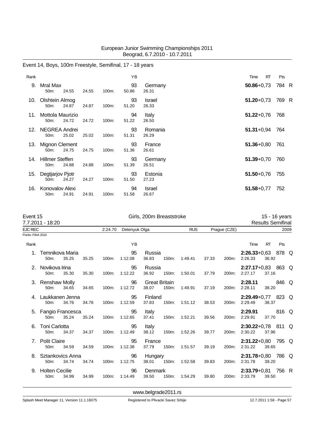# Event 14, Boys, 100m Freestyle, Semifinal, 17 - 18 years Rank Time RT Pts 9. Mral Max 93 Germany **50.86**+0,73 784 R 50m: 24.55 24.55 100m: 50.86 26.31 10. Olshtein Almog 93 Israel **51.20**+0,73 769 R 50m: 24.87 24.87 100m: 51.20 26.33 11. Mottola Maurizio 94 Italy **51.22**+0,76 768 50m: 24.72 24.72 100m: 51.22 26.50 12. NEGREA Andrei 93 Romania **51.31**+0,94 764 50m: 25.02 25.02 100m: 13. Mignon Clement 93 France **51.36**+0,80 761 50m: 24.75 24.75 100m: 51.36 26.61 14. Hillmer Steffen 93 Germany **51.39**+0,70 760 50m: 24.88 24.88 100m: 51.39 26.51 15. Degtjarjov Pjotr 93 Estonia **51.50**+0,76 755 50m: 24.27 24.27 100m: 51.50 27.23 16. Konovalov Alexi 94 Israel **51.58**+0,77 752 50m: 24.91 24.91 100m: 51.58

| Event 15          | 7.7.2011 - 18:20              |       |       |         |               | Girls, 200m Breaststroke      |       |            |       |              |                                 | 15 - 16 years<br><b>Results Semifinal</b> |       |  |
|-------------------|-------------------------------|-------|-------|---------|---------------|-------------------------------|-------|------------|-------|--------------|---------------------------------|-------------------------------------------|-------|--|
| <b>EJC REC</b>    |                               |       |       | 2:24.70 | Detenyuk Olga |                               |       | <b>RUS</b> |       | Prague (CZE) |                                 |                                           | 2009  |  |
| Points: FINA 2010 |                               |       |       |         |               |                               |       |            |       |              |                                 |                                           |       |  |
| Rank              |                               |       |       |         | YB            |                               |       |            |       |              | Time                            | <b>RT</b>                                 | Pts   |  |
|                   | Temnikova Maria<br>50m:       | 35.25 | 35.25 | 100m:   | 95<br>1:12.08 | Russia<br>36.83               | 150m: | 1:49.41    | 37.33 | 200m:        | $2:26.33+0.63$ 878 Q<br>2:26.33 | 36.92                                     |       |  |
| 2.                | Novikova Irina<br>50m:        | 35.30 | 35.30 | 100m:   | 95<br>1:12.22 | Russia<br>36.92               | 150m: | 1:50.01    | 37.79 | 200m:        | 2:27.17+0,83 863 Q<br>2:27.17   | 37.16                                     |       |  |
|                   | 3. Renshaw Molly<br>50m:      | 34.65 | 34.65 | 100m:   | 96<br>1:12.72 | <b>Great Britain</b><br>38.07 | 150m: | 1:49.91    | 37.19 | 200m:        | 2:28.11<br>2:28.11              | 38.20                                     | 846 Q |  |
|                   | Laukkanen Jenna<br>50m:       | 34.76 | 34.76 | 100m:   | 95<br>1:12.59 | Finland<br>37.83              | 150m: | 1:51.12    | 38.53 | 200m:        | $2:29.49+0.77$ 823 Q<br>2:29.49 | 38.37                                     |       |  |
|                   | 5. Fangio Francesca<br>50m:   | 35.24 | 35.24 | 100m:   | 95<br>1:12.65 | Italy<br>37.41                | 150m: | 1:52.21    | 39.56 | 200m:        | 2:29.91<br>2:29.91              | 37.70                                     | 816 Q |  |
| 6.                | <b>Toni Carlotta</b><br>50m:  | 34.37 | 34.37 | 100m:   | 95<br>1:12.49 | Italy<br>38.12                | 150m: | 1:52.26    | 39.77 | 200m:        | $2:30.22+0.78$ 811 Q<br>2:30.22 | 37.96                                     |       |  |
| 7.                | <b>Polit Claire</b><br>50m:   | 34.59 | 34.59 | 100m:   | 95<br>1:12.38 | France<br>37.79               | 150m: | 1:51.57    | 39.19 | 200m:        | 2:31.22+0,80 795 Q<br>2:31.22   | 39.65                                     |       |  |
| 8.                | Sztankovics Anna<br>50m:      | 34.74 | 34.74 | 100m:   | 96<br>1:12.75 | Hungary<br>38.01              | 150m: | 1:52.58    | 39.83 | 200m:        | $2:31.78+0.80$ 786 Q<br>2:31.78 | 39.20                                     |       |  |
| 9.                | <b>Holten Cecilie</b><br>50m: | 34.99 | 34.99 | 100m:   | 96<br>1:14.49 | Denmark<br>39.50              | 150m: | 1:54.29    | 39.80 | 200m:        | $2:33.79+0.81$<br>2:33.79       | 39.50                                     | 756 R |  |

<www.belgrade2011.rs>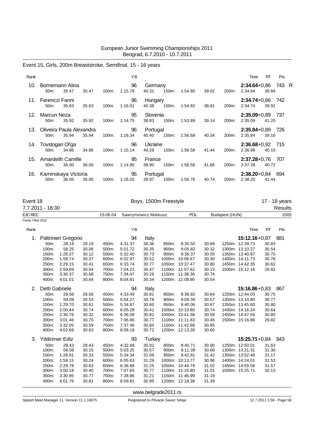# Event 15, Girls, 200m Breaststroke, Semifinal, 15 - 16 years

| Rank |                                          |       |       |          | ΥB            |                   |          |         |       |       | Time                          | RT    | Pts   |  |
|------|------------------------------------------|-------|-------|----------|---------------|-------------------|----------|---------|-------|-------|-------------------------------|-------|-------|--|
| 10.  | Bornemann Alina<br>$50m$ :               | 35.47 | 35.47 | $100m$ : | 96<br>1:15.78 | Germany<br>40.31  | 150m:    | 1:54.80 | 39.02 | 200m: | $2:34.64 + 0.86$<br>2:34.64   | 39.84 | 743 R |  |
|      | 11. Ferenczi Fanni<br>$50m$ :            | 35.63 | 35.63 | $100m$ : | 96<br>1:16.01 | Hungary<br>40.38  | 150m:    | 1:54.82 | 38.81 | 200m: | $2:34.74+0.66$ 742<br>2:34.74 | 39.92 |       |  |
| 12.  | Marcun Neza<br>$50m$ :                   | 35.92 | 35.92 | $100m$ : | 95<br>1:14.75 | Slovenia<br>38.83 | $150m$ : | 1:53.89 | 39.14 | 200m: | $2:35.09 + 0.89$<br>2:35.09   | 41.20 | - 737 |  |
| 13.  | Oliveira Paula Alexandra<br>$50m$ :      | 35.94 | 35.94 | $100m$ : | 96<br>1:16.34 | Portugal<br>40.40 | $150m$ : | 1:56.68 | 40.34 | 200m: | $2:35.84 + 0.89$<br>2:35.84   | 39.16 | - 726 |  |
| 14.  | Tovstogan Ol'ga<br>$50m$ :               | 34.86 | 34.86 | $100m$ : | 96<br>1:15.14 | Ukraine<br>40.28  | 150m:    | 1:56.58 | 41.44 | 200m: | $2:36.68+0.92$ 715<br>2:36.68 | 40.10 |       |  |
| 15.  | Amardeilh Camille<br>$50m$ :             | 36.00 | 36.00 | $100m$ : | 95<br>1:14.90 | France<br>38.90   | $150m$ : | 1:56.56 | 41.66 | 200m: | $2:37.28 + 0.76$<br>2:37.28   | 40.72 | - 707 |  |
| 16.  | Kaminskaya Victoria<br>50 <sub>m</sub> : | 36.05 | 36.05 | $100m$ : | 95<br>1:16.02 | Portugal<br>39.97 | 150m:    | 1:56.76 | 40.74 | 200m: | $2:38.20 + 0.84$<br>2:38.20   | 41.44 | 694   |  |

| Event 18          |                        |                      |       |          |                     |               | Boys, 1500m Freestyle |                 |       |                |                   |           | 17 - 18 years  |
|-------------------|------------------------|----------------------|-------|----------|---------------------|---------------|-----------------------|-----------------|-------|----------------|-------------------|-----------|----------------|
|                   | 7.7.2011 - 18:30       |                      |       |          |                     |               |                       |                 |       |                |                   |           | <b>Results</b> |
| <b>EJC REC</b>    |                        |                      |       | 15:06.04 | Sawrymowicz Mateusz |               |                       | POL             |       | Budapest (HUN) |                   |           | 2005           |
| Points: FINA 2010 |                        |                      |       |          |                     |               |                       |                 |       |                |                   |           |                |
| Rank              |                        |                      |       |          | YB                  |               |                       |                 |       |                | Time              | <b>RT</b> | Pts            |
| 1.                |                        | Paltrinieri Gregorio |       |          | 94                  | Italy         |                       |                 |       |                | $15:12.16 + 0.87$ |           | 881            |
|                   | 50m:                   | 28.19                | 28.19 | 450m:    | 4:31.37             | 30.36         | 850m:                 | 8:35.50         | 30.69 |                | 1250m: 12:39.73   | 30.83     |                |
|                   | 100m:                  | 58.25                | 30.06 | 500m:    | 5:01.72             | 30.35         | 900m:                 | 9:05.82         | 30.32 |                | 1300m: 13:10.27   | 30.54     |                |
|                   | 150m:                  | 1:28.37              | 30.12 | 550m:    | 5:32.45             | 30.73         | 950m:                 | 9:36.37         | 30.55 |                | 1350m: 13:40.97   | 30.70     |                |
|                   | 200m:                  | 1:58.74              | 30.37 | 600m:    | 6:02.97             | 30.52         |                       | 1000m: 10:06.67 | 30.30 |                | 1400m: 14:11.73   | 30.76     |                |
|                   | 250m:                  | 2:29.15              | 30.41 | 650m:    | 6:33.74             | 30.77         |                       | 1050m: 10:37.47 | 30.80 |                | 1450m: 14:42.35   | 30.62     |                |
|                   | 300m:                  | 2:59.69              | 30.54 | 700m:    | 7:04.21             | 30.47         |                       | 1100m: 11:07.62 | 30.15 |                | 1500m: 15:12.16   | 29.81     |                |
|                   | 350m:                  | 3:30.37              | 30.68 | 750m:    | 7:34.47             | 30.26         |                       | 1150m: 11:38.36 | 30.74 |                |                   |           |                |
|                   | 400m:                  | 4:01.01              | 30.64 | 800m:    | 8:04.81             | 30.34         |                       | 1200m: 12:08.90 | 30.54 |                |                   |           |                |
| 2.                | Detti Gabriele         |                      |       |          | 94                  | Italy         |                       |                 |       |                | $15:16.86 + 0.83$ |           | 867            |
|                   | 50m:                   | 28.56                | 28.56 | 450m:    | 4:33.49             | 30.81         | 850m:                 | 8:38.82         | 30.64 |                | 1250m: 12:44.03   | 30.75     |                |
|                   | 100m:                  | 59.09                | 30.53 | 500m:    | 5:04.27             | 30.78         | 900m:                 | 9:09.39         | 30.57 |                | 1300m: 13:14.80   | 30.77     |                |
|                   | 150m:                  | 1:29.70              | 30.61 | 550m:    | 5:34.87             | 30.60         | 950m:                 | 9:40.06         | 30.67 |                | 1350m: 13:45.60   | 30.80     |                |
|                   | 200m:                  | 2:00.44              | 30.74 | 600m:    | 6:05.28             | 30.41         |                       | 1000m: 10:10.80 | 30.74 |                | 1400m: 14:16.24   | 30.64     |                |
|                   | 250m:                  | 2:30.76              | 30.32 | 650m:    | 6:36.09             | 30.81         |                       | 1050m: 10:41.38 | 30.58 |                | 1450m: 14:47.04   | 30.80     |                |
|                   | 300m:                  | 3:01.46              | 30.70 | 700m:    | 7:06.86             | 30.77         |                       | 1100m: 11:11.83 | 30.45 |                | 1500m: 15:16.86   | 29.82     |                |
|                   | 350m:                  | 3:32.05              | 30.59 | 750m:    | 7:37.46             | 30.60         |                       | 1150m: 11:42.68 | 30.85 |                |                   |           |                |
|                   | 400m:                  | 4:02.68              | 30.63 | 800m:    | 8:08.18             | 30.72         |                       | 1200m: 12:13.28 | 30.60 |                |                   |           |                |
| 3.                | <b>Yildirimer Ediz</b> |                      |       |          | 93                  | <b>Turkey</b> |                       |                 |       |                | $15:25.71+0.84$   |           | 843            |
|                   | 50m:                   | 28.43                | 28.43 | 450m:    | 4:32.68             | 30.92         | 850m:                 | 8:40.71         | 30.90 |                | 1250m: 12:50.01   | 31.63     |                |
|                   | 100m:                  | 58.58                | 30.15 | 500m:    | 5:03.25             | 30.57         | 900m:                 | 9:11.39         | 30.68 |                | 1300m: 13:21.31   | 31.30     |                |
|                   | 150m:                  | 1:28.91              | 30.33 | 550m:    | 5:34.34             | 31.09         | 950m:                 | 9:42.81         | 31.42 |                | 1350m: 13:52.48   | 31.17     |                |
|                   | 200m:                  | 1:59.15              | 30.24 | 600m:    | 6:05.63             | 31.29         |                       | 1000m: 10:13.77 | 30.96 |                | 1400m: 14:24.01   | 31.53     |                |
|                   | 250m:                  | 2:29.78              | 30.63 | 650m:    | 6:36.88             | 31.25         |                       | 1050m: 10:44.79 | 31.02 |                | 1450m: 14:55.58   | 31.57     |                |
|                   | 300m:                  | 3:00.18              | 30.40 | 700m:    | 7:07.65             | 30.77         |                       | 1100m: 11:15.80 | 31.01 |                | 1500m: 15:25.71   | 30.13     |                |
|                   | 350m:                  | 3:30.95              | 30.77 | 750m:    | 7:38.86             | 31.21         |                       | 1150m: 11:46.99 | 31.19 |                |                   |           |                |
|                   | 400m:                  | 4:01.76              | 30.81 | 800m:    | 8:09.81             | 30.95         |                       | 1200m: 12:18.38 | 31.39 |                |                   |           |                |

<www.belgrade2011.rs>

Splash Meet Manager 11, Version 11.1.16075 **Registered to Plivacki Savez Srbije** 12.7.2011 1:58 - Page 58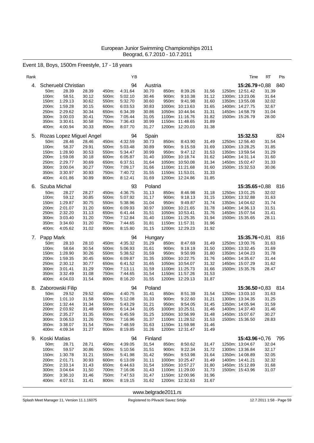# Event 18, Boys, 1500m Freestyle, 17 - 18 years

| Rank |                |                          |                |                | YB                 |                |       |                            |                | Time                               | RT             | Pts |
|------|----------------|--------------------------|----------------|----------------|--------------------|----------------|-------|----------------------------|----------------|------------------------------------|----------------|-----|
| 4.   |                | Scheruebl Christian      |                |                | 94                 | Austria        |       |                            |                | $15:26.79+0.88$                    |                | 840 |
|      | 50m:           | 28.39                    | 28.39          | 450m:          | 4:31.64            | 30.70          | 850m: | 8:39.26                    | 31.56          | 1250m: 12:51.42                    | 31.39          |     |
|      | 100m:<br>150m: | 58.51<br>1:29.13         | 30.12          | 500m:<br>550m: | 5:02.10<br>5:32.70 | 30.46          | 900m: | 9:10.38<br>9:41.98         | 31.12          | 1300m: 13:23.06                    | 31.64<br>32.02 |     |
|      | 200m:          | 1:59.28                  | 30.62<br>30.15 | 600m:          | 6:03.53            | 30.60<br>30.83 | 950m: | 1000m: 10:13.63            | 31.60<br>31.65 | 1350m: 13:55.08<br>1400m: 14:27.75 | 32.67          |     |
|      | 250m:          | 2:29.62                  | 30.34          | 650m:          | 6:34.39            | 30.86          |       | 1050m: 10:44.94            | 31.31          | 1450m: 14:58.79                    | 31.04          |     |
|      | 300m:          | 3:00.03                  | 30.41          | 700m:          | 7:05.44            | 31.05          |       | 1100m: 11:16.76            | 31.82          | 1500m: 15:26.79                    | 28.00          |     |
|      | 350m:          | 3:30.61                  | 30.58          | 750m:          | 7:36.43            | 30.99          |       | 1150m: 11:48.65            | 31.89          |                                    |                |     |
|      | 400m:          | 4:00.94                  | 30.33          | 800m:          | 8:07.70            | 31.27          |       | 1200m: 12:20.03            | 31.38          |                                    |                |     |
| 5.   |                | Rozas Lopez Miguel Angel |                |                | 94                 | Spain          |       |                            |                | 15:32.53                           |                | 824 |
|      | 50m:           | 28.46                    | 28.46          | 450m:          | 4:32.59            | 30.73          | 850m: | 8:43.90                    | 31.49          | 1250m: 12:56.40                    | 31.54          |     |
|      | 100m:          | 58.37                    | 29.91          | 500m:          | 5:03.48            | 30.89          | 900m: | 9:15.59                    | 31.69          | 1300m: 13:28.25                    | 31.85          |     |
|      | 150m:<br>200m: | 1:28.90<br>1:59.08       | 30.53<br>30.18 | 550m:<br>600m: | 5:34.47<br>6:05.87 | 30.99<br>31.40 | 950m: | 9:47.12<br>1000m: 10:18.74 | 31.53<br>31.62 | 1350m: 13:59.54<br>1400m: 14:31.14 | 31.29<br>31.60 |     |
|      | 250m:          | 2:29.77                  | 30.69          | 650m:          | 6:37.51            | 31.64          |       | 1050m: 10:50.08            | 31.34          | 1450m: 15:02.47                    | 31.33          |     |
|      | 300m:          | 3:00.04                  | 30.27          | 700m:          | 7:09.17            | 31.66          |       | 1100m: 11:21.68            | 31.60          | 1500m: 15:32.53                    | 30.06          |     |
|      | 350m:          | 3:30.97                  | 30.93          | 750m:          | 7:40.72            | 31.55          |       | 1150m: 11:53.01            | 31.33          |                                    |                |     |
|      | 400m:          | 4:01.86                  | 30.89          | 800m:          | 8:12.41            | 31.69          |       | 1200m: 12:24.86            | 31.85          |                                    |                |     |
| 6.   | Szuba Michal   |                          |                |                | 93                 | Poland         |       |                            |                | $15:35.65 + 0.88$                  |                | 816 |
|      | 50m:           | 28.27                    | 28.27          | 450m:          | 4:36.75            | 31.13          | 850m: | 8:46.98                    | 31.18          | 1250m: 13:01.25                    | 32.02          |     |
|      | 100m:          | 59.12                    | 30.85          | 500m:          | 5:07.92            | 31.17          | 900m: | 9:18.13                    | 31.15          | 1300m: 13:32.88                    | 31.63          |     |
|      | 150m:<br>200m: | 1:29.87<br>2:01.07       | 30.75<br>31.20 | 550m:<br>600m: | 5:38.96<br>6:09.93 | 31.04<br>30.97 | 950m: | 9:49.87<br>1000m: 10:21.65 | 31.74<br>31.78 | 1350m: 14:04.62<br>1400m: 14:36.13 | 31.74<br>31.51 |     |
|      | 250m:          | 2:32.20                  | 31.13          | 650m:          | 6:41.44            | 31.51          |       | 1050m: 10:53.41            | 31.76          | 1450m: 15:07.54                    | 31.41          |     |
|      | 300m:          | 3:03.40                  | 31.20          | 700m:          | 7:12.84            | 31.40          |       | 1100m: 11:25.35            | 31.94          | 1500m: 15:35.65                    | 28.11          |     |
|      | 350m:          | 3:34.60                  | 31.20          | 750m:          | 7:44.65            | 31.81          |       | 1150m: 11:57.31            | 31.96          |                                    |                |     |
|      | 400m:          | 4:05.62                  | 31.02          | 800m:          | 8:15.80            | 31.15          |       | 1200m: 12:29.23            | 31.92          |                                    |                |     |
| 7.   | Papp Mark      |                          |                |                | 94                 | Hungary        |       |                            |                | $15:35.76 + 0.81$                  |                | 816 |
|      | 50m:           | 28.10                    | 28.10          | 450m:          | 4:35.32            | 31.29          | 850m: | 8:47.69                    | 31.49          | 1250m: 13:00.76                    | 31.63          |     |
|      | 100m:          | 58.64                    | 30.54          | 500m:          | 5:06.93            | 31.61          | 900m: | 9:19.19                    | 31.50          | 1300m: 13:32.45                    | 31.69          |     |
|      | 150m:<br>200m: | 1:28.90<br>1:59.35       | 30.26<br>30.45 | 550m:<br>600m: | 5:38.52<br>6:09.87 | 31.59<br>31.35 | 950m: | 9:50.99<br>1000m: 10:22.75 | 31.80<br>31.76 | 1350m: 14:04.23<br>1400m: 14:35.67 | 31.78<br>31.44 |     |
|      | 250m:          | 2:30.12                  | 30.77          | 650m:          | 6:41.52            | 31.65          |       | 1050m: 10:54.07            | 31.32          | 1450m: 15:07.29                    | 31.62          |     |
|      | 300m:          | 3:01.41                  | 31.29          | 700m:          | 7:13.11            | 31.59          |       | 1100m: 11:25.73            | 31.66          | 1500m: 15:35.76                    | 28.47          |     |
|      | 350m:          | 3:32.49                  | 31.08          | 750m:          | 7:44.65            | 31.54          |       | 1150m: 11:57.26            | 31.53          |                                    |                |     |
|      | 400m:          | 4:04.03                  | 31.54          | 800m:          | 8:16.20            | 31.55          |       | 1200m: 12:29.13            | 31.87          |                                    |                |     |
|      |                | 8. Zaborowski Filip      |                |                | 94                 | Poland         |       |                            |                | $15:36.50 + 0.83$                  |                | 814 |
|      | 50m:           | 29.52                    | 29.52          | 450m:          | 4:40.75            | 31.41          | 850m: | 8:51.39                    | 31.54          | 1250m: 13:03.10                    | 31.63          |     |
|      | 100m:          | 1:01.10                  | 31.58          | 500m:          | 5:12.08            | 31.33          | 900m: | 9:22.60                    | 31.21          | 1300m: 13:34.35                    | 31.25          |     |
|      | 150m:<br>200m: | 1:32.44<br>2:03.92       | 31.34<br>31.48 | 550m:<br>600m: | 5:43.29<br>6:14.34 | 31.21<br>31.05 | 950m: | 9:54.05<br>1000m: 10:25.51 | 31.45<br>31.46 | 1350m: 14:05.94<br>1400m: 14:37.40 | 31.59<br>31.46 |     |
|      | 250m:          | 2:35.27                  | 31.35          | 650m:          | 6:45.59            | 31.25          |       | 1050m: 10:56.99            | 31.48          | 1450m: 15:07.67                    | 30.27          |     |
|      | 300m:          | 3:06.53                  | 31.26          | 700m:          | 7:16.96            | 31.37          |       | 1100m: 11:28.52            | 31.53          | 1500m: 15:36.50                    | 28.83          |     |
|      | 350m:          | 3:38.07                  | 31.54          | 750m:          | 7:48.59            | 31.63          |       | 1150m: 11:59.98            | 31.46          |                                    |                |     |
|      | 400m:          | 4:09.34                  | 31.27          | 800m:          | 8:19.85            | 31.26          |       | 1200m: 12:31.47            | 31.49          |                                    |                |     |
| 9.   | Koski Matias   |                          |                |                | 94                 | Finland        |       |                            |                | 15:43.96+0,76 795                  |                |     |
|      | 50m:           | 28.71                    | 28.71          | 450m:          | 4:39.05            | 31.54          | 850m: | 8:50.62                    | 31.47          | 1250m: 13:04.67                    | 32.04          |     |
|      | 100m:          | 59.57                    | 30.86          | 500m:          | 5:10.56            | 31.51          | 900m: | 9:22.34                    | 31.72          | 1300m: 13:36.84                    | 32.17          |     |
|      | 150m:<br>200m: | 1:30.78<br>2:01.71       | 31.21<br>30.93 | 550m:<br>600m: | 5:41.98<br>6:13.09 | 31.42<br>31.11 | 950m: | 9:53.98<br>1000m: 10:25.47 | 31.64<br>31.49 | 1350m: 14:08.89<br>1400m: 14:41.21 | 32.05<br>32.32 |     |
|      | 250m:          | 2:33.14                  | 31.43          | 650m:          | 6:44.63            | 31.54          |       | 1050m: 10:57.27            | 31.80          | 1450m: 15:12.89                    | 31.68          |     |
|      | 300m:          | 3:04.64                  | 31.50          | 700m:          | 7:16.06            | 31.43          |       | 1100m: 11:29.00            | 31.73          | 1500m: 15:43.96                    | 31.07          |     |
|      | 350m:          | 3:36.10                  | 31.46          | 750m:          | 7:47.53            | 31.47          |       | 1150m: 12:00.96            | 31.96          |                                    |                |     |
|      | 400m:          | 4:07.51                  | 31.41          | 800m:          | 8:19.15            | 31.62          |       | 1200m: 12:32.63            | 31.67          |                                    |                |     |

<www.belgrade2011.rs>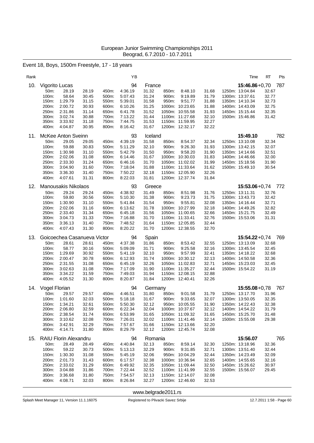# Event 18, Boys, 1500m Freestyle, 17 - 18 years

| Rank |                       |                              |                |                | ΥB                 |                  |                |                                    |                | Time                                 | RT             | Pts |
|------|-----------------------|------------------------------|----------------|----------------|--------------------|------------------|----------------|------------------------------------|----------------|--------------------------------------|----------------|-----|
| 10.  | Vigorito Lucas        |                              |                |                | 94                 | France           |                |                                    |                | $15:46.86 + 0.70$                    |                | 787 |
|      | 50m:                  | 28.19                        | 28.19          | 450m:          | 4:36.19            | 31.32            | 850m:          | 8:48.10                            | 31.68          | 1250m: 13:04.84                      | 32.67          |     |
|      | 100m:<br>150m:        | 58.64<br>1:29.79             | 30.45<br>31.15 | 500m:<br>550m: | 5:07.43<br>5:39.01 | 31.24<br>31.58   | 900m:<br>950m: | 9:19.89<br>9:51.77                 | 31.79<br>31.88 | 1300m: 13:37.61<br>1350m: 14:10.34   | 32.77<br>32.73 |     |
|      | 200m:                 | 2:00.72                      | 30.93          | 600m:          | 6:10.26            | 31.25            |                | 1000m: 10:23.65                    | 31.88          | 1400m: 14:43.09                      | 32.75          |     |
|      | 250m:                 | 2:31.86                      | 31.14          | 650m:          | 6:41.78            | 31.52            |                | 1050m: 10:55.58                    | 31.93          | 1450m: 15:15.44                      | 32.35          |     |
|      | 300m:                 | 3:02.74                      | 30.88          | 700m:          | 7:13.22            | 31.44            |                | 1100m: 11:27.68                    | 32.10          | 1500m: 15:46.86                      | 31.42          |     |
|      | 350m:<br>400m:        | 3:33.92<br>4:04.87           | 31.18<br>30.95 | 750m:<br>800m: | 7:44.75<br>8:16.42 | 31.53<br>31.67   |                | 1150m: 11:59.95<br>1200m: 12:32.17 | 32.27<br>32.22 |                                      |                |     |
|      |                       |                              |                |                |                    |                  |                |                                    |                |                                      |                |     |
| 11.  |                       | <b>McKee Anton Sveinn</b>    |                |                | 93                 | Iceland          |                |                                    |                | 15:49.10                             |                | 782 |
|      | 50m:<br>100m:         | 29.05<br>59.88               | 29.05<br>30.83 | 450m:<br>500m: | 4:39.19<br>5:11.29 | 31.58<br>32.10   | 850m:<br>900m: | 8:54.37<br>9:26.30                 | 32.34<br>31.93 | 1250m: 13:10.08<br>1300m: 13:42.15   | 32.34<br>32.07 |     |
|      | 150m:                 | 1:30.98                      | 31.10          | 550m:          | 5:42.79            | 31.50            | 950m:          | 9:58.20                            | 31.90          | 1350m: 14:14.66                      | 32.51          |     |
|      | 200m:                 | 2:02.06                      | 31.08          | 600m:          | 6:14.46            | 31.67            |                | 1000m: 10:30.03                    | 31.83          | 1400m: 14:46.66                      | 32.00          |     |
|      | 250m:                 | 2:33.30                      | 31.24          | 650m:          | 6:46.16            | 31.70            |                | 1050m: 11:02.02                    | 31.99          | 1450m: 15:18.56                      | 31.90          |     |
|      | 300m:                 | 3:04.90                      | 31.60          | 700m:          | 7:18.04            | 31.88            |                | 1100m: 11:33.64                    | 31.62          | 1500m: 15:49.10                      | 30.54          |     |
|      | 350m:<br>400m:        | 3:36.30<br>4:07.61           | 31.40<br>31.31 | 750m:<br>800m: | 7:50.22<br>8:22.03 | 32.18<br>31.81   |                | 1150m: 12:05.90<br>1200m: 12:37.74 | 32.26<br>31.84 |                                      |                |     |
|      |                       |                              |                |                |                    |                  |                |                                    |                |                                      |                |     |
| 12.  |                       | <b>Manousakis Nikolaos</b>   |                |                | 93                 | Greece           |                |                                    |                | $15:53.06 + 0.74$                    |                | 772 |
|      | 50m:<br>100m:         | 29.24<br>59.80               | 29.24<br>30.56 | 450m:<br>500m: | 4:38.92<br>5:10.30 | 31.49<br>31.38   | 850m:<br>900m: | 8:51.98<br>9:23.73                 | 31.76<br>31.75 | 1250m: 13:11.31<br>1300m: 13:43.73   | 32.76<br>32.42 |     |
|      | 150m:                 | 1:30.90                      | 31.10          | 550m:          | 5:41.84            | 31.54            | 950m:          | 9:55.81                            | 32.08          | 1350m: 14:16.44                      | 32.71          |     |
|      | 200m:                 | 2:02.06                      | 31.16          | 600m:          | 6:13.62            | 31.78            |                | 1000m: 10:27.99                    | 32.18          | 1400m: 14:49.26                      | 32.82          |     |
|      | 250m:                 | 2:33.40                      | 31.34          | 650m:          | 6:45.18            | 31.56            |                | 1050m: 11:00.65                    | 32.66          | 1450m: 15:21.75                      | 32.49          |     |
|      | 300m:                 | 3:04.73                      | 31.33          | 700m:          | 7:16.88<br>7:48.52 | 31.70            |                | 1100m: 11:33.41                    | 32.76          | 1500m: 15:53.06                      | 31.31          |     |
|      | 350m:<br>400m:        | 3:36.13<br>4:07.43           | 31.40<br>31.30 | 750m:<br>800m: | 8:20.22            | 31.64<br>31.70   |                | 1150m: 12:05.85<br>1200m: 12:38.55 | 32.44<br>32.70 |                                      |                |     |
|      |                       |                              |                |                |                    |                  |                |                                    |                |                                      |                |     |
| 13.  |                       | Goicoechea Casanueva Victor  |                |                | 94                 | Spain            |                |                                    |                | $15:54.22+0.74$                      |                | 769 |
|      | 50m:<br>100m:         | 28.61<br>58.77               | 28.61<br>30.16 | 450m:<br>500m: | 4:37.38<br>5:09.09 | 31.86<br>31.71   | 850m:<br>900m: | 8:53.42<br>9:25.58                 | 32.55<br>32.16 | 1250m: 13:13.09<br>1300m: 13:45.54   | 32.68<br>32.45 |     |
|      | 150m:                 | 1:29.69                      | 30.92          | 550m:          | 5:41.19            | 32.10            | 950m:          | 9:57.99                            | 32.41          | 1350m: 14:18.22                      | 32.68          |     |
|      | 200m:                 | 2:00.47                      | 30.78          | 600m:          | 6:12.93            | 31.74            |                | 1000m: 10:30.12                    | 32.13          | 1400m: 14:50.58                      | 32.36          |     |
|      | 250m:                 | 2:31.55                      | 31.08          | 650m:          | 6:45.19            | 32.26            |                | 1050m: 11:02.83                    | 32.71          | 1450m: 15:23.03                      | 32.45          |     |
|      | 300m:<br>350m:        | 3:02.63<br>3:34.22           | 31.08<br>31.59 | 700m:<br>750m: | 7:17.09<br>7:49.03 | 31.90<br>31.94   |                | 1100m: 11:35.27<br>1150m: 12:08.15 | 32.44<br>32.88 | 1500m: 15:54.22                      | 31.19          |     |
|      | 400m:                 | 4:05.52                      | 31.30          | 800m:          | 8:20.87            | 31.84            |                | 1200m: 12:40.41                    | 32.26          |                                      |                |     |
|      |                       |                              |                |                |                    |                  |                |                                    |                |                                      |                |     |
| 14.  | Vogel Florian<br>50m: | 29.57                        | 29.57          | 450m:          | 94<br>4:46.51      | Germany<br>31.80 | 850m:          | 9:01.58                            | 31.79          | $15:55.08 + 0.78$<br>1250m: 13:17.70 | 31.96          | 767 |
|      | 100m:                 | 1:01.60                      | 32.03          | 500m:          | 5:18.18            | 31.67            | 900m:          | 9:33.65                            | 32.07          | 1300m: 13:50.05                      | 32.35          |     |
|      | 150m:                 | 1:34.21                      | 32.61          | 550m:          | 5:50.30            | 32.12            |                | 950m: 10:05.55                     | 31.90          | 1350m: 14:22.43                      | 32.38          |     |
|      | 200m:                 | 2:06.80                      | 32.59          | 600m:          | 6:22.34            | 32.04            |                | 1000m: 10:37.67                    | 32.12          | 1400m: 14:54.22                      | 31.79          |     |
|      | 250m:                 | 2:38.54                      | 31.74          | 650m:          | 6:53.99            | 31.65            |                | 1050m: 11:09.32                    | 31.65          | 1450m: 15:25.70                      | 31.48          |     |
|      | 300m:<br>350m:        | 3:10.62<br>3:42.91           | 32.08<br>32.29 | 700m:<br>750m: | 7:26.01<br>7:57.67 | 32.02<br>31.66   |                | 1100m: 11:41.46<br>1150m: 12:13.66 | 32.14<br>32.20 | 1500m: 15:55.08                      | 29.38          |     |
|      | 400m:                 | 4:14.71                      | 31.80          | 800m:          | 8:29.79            | 32.12            |                | 1200m: 12:45.74                    | 32.08          |                                      |                |     |
| 15.  |                       | <b>RAIU Florin Alexandru</b> |                |                | 94                 | Romania          |                |                                    |                | 15:56.07                             |                | 765 |
|      | 50m:                  | 28.49                        | 28.49          | 450m:          | 4:40.84            | 32.13            | 850m:          | 8:59.14                            | 32.30          | 1250m: 13:18.96                      | 32.36          |     |
|      | 100m:                 | 59.22                        | 30.73          | 500m:          | 5:13.13            | 32.29            | 900m:          | 9:31.85                            | 32.71          | 1300m: 13:51.40                      | 32.44          |     |
|      | 150m:                 | 1:30.30                      | 31.08          | 550m:          | 5:45.19            | 32.06            |                | 950m: 10:04.29                     | 32.44          | 1350m: 14:23.49                      | 32.09          |     |
|      | 200m:                 | 2:01.73                      | 31.43          | 600m:          | 6:17.57            | 32.38            |                | 1000m: 10:36.94                    | 32.65          | 1400m: 14:55.65                      | 32.16          |     |
|      | 250m:<br>300m:        | 2:33.02<br>3:04.88           | 31.29<br>31.86 | 650m:<br>700m: | 6:49.92<br>7:22.44 | 32.35<br>32.52   |                | 1050m: 11:09.44<br>1100m: 11:41.99 | 32.50<br>32.55 | 1450m: 15:26.62<br>1500m: 15:56.07   | 30.97<br>29.45 |     |
|      | 350m:                 | 3:36.68                      | 31.80          | 750m:          | 7:54.57            | 32.13            |                | 1150m: 12:14.07                    | 32.08          |                                      |                |     |
|      | 400m:                 | 4:08.71                      | 32.03          | 800m:          | 8:26.84            | 32.27            |                | 1200m: 12:46.60                    | 32.53          |                                      |                |     |
|      |                       |                              |                |                |                    |                  |                |                                    |                |                                      |                |     |

<www.belgrade2011.rs>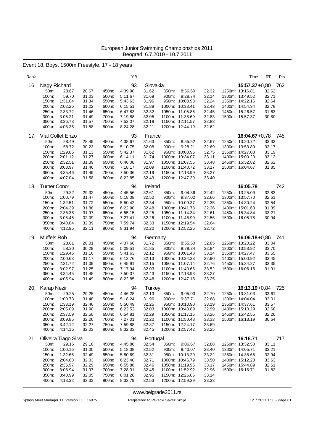# Event 18, Boys, 1500m Freestyle, 17 - 18 years

| Rank |                                                                                                                                                                                   |                                                                      |                                                                      | ΥB                                                                                         |                                                                                       |                                                                                                                                 |                    |                                                                      | Time                                                                                                                                | RT                                                 | Pts |
|------|-----------------------------------------------------------------------------------------------------------------------------------------------------------------------------------|----------------------------------------------------------------------|----------------------------------------------------------------------|--------------------------------------------------------------------------------------------|---------------------------------------------------------------------------------------|---------------------------------------------------------------------------------------------------------------------------------|--------------------|----------------------------------------------------------------------|-------------------------------------------------------------------------------------------------------------------------------------|----------------------------------------------------|-----|
| 16.  | Nagy Richard<br>50m:<br>28.67<br>59.70<br>100m:<br>150m:<br>1:31.04<br>200m:<br>2:02.26<br>2:33.72<br>250m:<br>300m:<br>3:05.21<br>3:36.78<br>350m:<br>400m:<br>4:08.36           | 28.67<br>31.03<br>31.34<br>31.22<br>31.46<br>31.49<br>31.57<br>31.58 | 450m:<br>500m:<br>550m:<br>600m:<br>650m:<br>700m:<br>750m:<br>800m: | 93<br>4:39.98<br>5:11.67<br>5:43.63<br>6:15.51<br>6:47.83<br>7:19.88<br>7:52.07<br>8:24.28 | Slovakia<br>31.62<br>31.69<br>31.96<br>31.88<br>32.32<br>32.05<br>32.19<br>32.21      | 850m:<br>900m:<br>950m: 10:00.98<br>1000m: 10:33.41<br>1050m: 11:05.86<br>1100m: 11:38.69<br>1150m: 12:11.57<br>1200m: 12:44.19 | 8:56.60<br>9:28.74 | 32.32<br>32.14<br>32.24<br>32.43<br>32.45<br>32.83<br>32.88<br>32.62 | $15:57.37+0.80$<br>1250m: 13:16.81<br>1300m: 13:49.52<br>1350m: 14:22.16<br>1400m: 14:54.94<br>1450m: 15:26.57<br>1500m: 15:57.37   | 32.62<br>32.71<br>32.64<br>32.78<br>31.63<br>30.80 | 762 |
| 17.  | Vial Collet Enzo<br>50m:<br>28.49<br>58.72<br>100m:<br>150m:<br>1:29.85<br>200m:<br>2:01.12<br>250m:<br>2:32.51<br>300m:<br>3:03.97<br>350m:<br>3:35.46<br>400m:<br>4:07.04       | 28.49<br>30.23<br>31.13<br>31.27<br>31.39<br>31.46<br>31.49<br>31.58 | 450m:<br>500m:<br>550m:<br>600m:<br>650m:<br>700m:<br>750m:<br>800m: | 93<br>4:38.67<br>5:10.75<br>5:42.37<br>6:14.11<br>6:46.08<br>7:18.17<br>7:50.36<br>8:22.85 | France<br>31.63<br>32.08<br>31.62<br>31.74<br>31.97<br>32.09<br>32.19<br>32.49        | 850m:<br>900m:<br>950m: 10:00.96<br>1000m: 10:34.07<br>1050m: 11:07.55<br>1100m: 11:40.72<br>1150m: 12:13.99<br>1200m: 12:47.39 | 8:55.52<br>9:28.21 | 32.67<br>32.69<br>32.75<br>33.11<br>33.48<br>33.17<br>33.27<br>33.40 | $16:04.67 + 0.78$<br>1250m: 13:20.72<br>1300m: 13:53.89<br>1350m: 14:27.08<br>1400m: 15:00.20<br>1450m: 15:32.82<br>1500m: 16:04.67 | 33.33<br>33.17<br>33.19<br>33.12<br>32.62<br>31.85 | 745 |
| 18.  | <b>Turner Conor</b><br>29.32<br>50m:<br>100m:<br>1:00.79<br>1:32.51<br>150m:<br>2:04.39<br>200m:<br>2:36.36<br>250m:<br>300m:<br>3:08.45<br>350m:<br>3:40.84<br>400m:<br>4:12.95  | 29.32<br>31.47<br>31.72<br>31.88<br>31.97<br>32.09<br>32.39<br>32.11 | 450m:<br>500m:<br>550m:<br>600m:<br>650m:<br>700m:<br>750m:<br>800m: | 94<br>4:45.56<br>5:18.08<br>5:50.42<br>6:22.90<br>6:55.15<br>7:27.41<br>7:59.74<br>8:31.94 | Ireland<br>32.61<br>32.52<br>32.34<br>32.48<br>32.25<br>32.26<br>32.33<br>32.20       | 850m:<br>900m:<br>950m: 10:09.37<br>1000m: 10:41.73<br>1050m: 11:14.34<br>1100m: 11:46.90<br>1150m: 12:19.54<br>1200m: 12:52.26 | 9:04.36<br>9:37.02 | 32.42<br>32.66<br>32.35<br>32.36<br>32.61<br>32.56<br>32.64<br>32.72 | 16:05.78<br>1250m: 13:25.09<br>1300m: 13:57.70<br>1350m: 14:30.24<br>1400m: 15:01.63<br>1450m: 15:34.84<br>1500m: 16:05.78          | 32.83<br>32.61<br>32.54<br>31.39<br>33.21<br>30.94 | 742 |
| 19.  | Muffels Rob<br>50m:<br>28.01<br>100m:<br>58.30<br>150m:<br>1:29.46<br>200m:<br>2:00.63<br>2:31.72<br>250m:<br>3:02.97<br>300m:<br>350m:<br>3:34.45<br>400m:<br>4:05.94            | 28.01<br>30.29<br>31.16<br>31.17<br>31.09<br>31.25<br>31.48<br>31.49 | 450m:<br>500m:<br>550m:<br>600m:<br>650m:<br>700m:<br>750m:<br>800m: | 94<br>4:37.66<br>5:09.51<br>5:41.63<br>6:13.76<br>6:45.91<br>7:17.94<br>7:50.37<br>8:22.85 | Germany<br>31.72<br>31.85<br>32.12<br>32.13<br>32.15<br>32.03<br>32.43<br>32.48       | 850m:<br>900m:<br>950m: 10:01.48<br>1000m: 10:34.38<br>1050m: 11:07.14<br>1100m: 11:40.66<br>1150m: 12:13.93<br>1200m: 12:47.18 | 8:55.50<br>9:28.34 | 32.65<br>32.84<br>33.14<br>32.90<br>32.76<br>33.52<br>33.27<br>33.25 | $16:06.18 + 0.86$<br>1250m: 13:20.22<br>1300m: 13:53.92<br>1350m: 14:27.47<br>1400m: 15:00.92<br>1450m: 15:34.27<br>1500m: 16:06.18 | 33.04<br>33.70<br>33.55<br>33.45<br>33.35<br>31.91 | 741 |
| 20.  | Karap Nezir<br>50m:<br>29.25<br>1:00.73<br>100m:<br>150m:<br>1:33.19<br>200m:<br>2:05.09<br>2:37.59<br>250m:<br>300m:<br>3:09.85<br>350m:<br>3:42.12<br>4:14.15<br>400m:          | 29.25<br>31.48<br>32.46<br>31.90<br>32.50<br>32.26<br>32.27<br>32.03 | 450m:<br>500m:<br>550m:<br>600m:<br>650m:<br>700m:<br>750m:<br>800m: | 94<br>4:46.28<br>5:18.24<br>5:50.49<br>6:22.52<br>6:54.81<br>7:27.01<br>7:59.88<br>8:32.33 | <b>Turkey</b><br>32.13<br>31.96<br>32.25<br>32.03<br>32.29<br>32.20<br>32.87<br>32.45 | 850m:<br>900m:<br>950m: 10:10.90<br>1000m: 10:43.89<br>1050m: 11:17.15<br>1100m: 11:50.48<br>1150m: 12:24.17<br>1200m: 12:57.42 | 9:05.03<br>9:37.71 | 32.70<br>32.68<br>33.19<br>32.99<br>33.26<br>33.33<br>33.69<br>33.25 | $16:13.19 + 0.84$<br>1250m: 13:31.03<br>1300m: 14:04.04<br>1350m: 14:37.61<br>1400m: 15:10.29<br>1450m: 15:42.55<br>1500m: 16:13.19 | 33.61<br>33.01<br>33.57<br>32.68<br>32.26<br>30.64 | 725 |
| 21.  | Oliveira Tiago Silva<br>50m:<br>29.16<br>100m:<br>1:00.16<br>150m:<br>1:32.65<br>200m:<br>2:04.68<br>250m:<br>2:36.97<br>3:08.94<br>300m:<br>350m:<br>3:40.99<br>400m:<br>4:13.32 | 29.16<br>31.00<br>32.49<br>32.03<br>32.29<br>31.97<br>32.05<br>32.33 | 450m:<br>500m:<br>550m:<br>600m:<br>650m:<br>700m:<br>750m:<br>800m: | 94<br>4:45.86<br>5:18.38<br>5:50.69<br>6:23.40<br>6:55.86<br>7:28.31<br>8:01.26<br>8:33.79 | Portugal<br>32.54<br>32.52<br>32.31<br>32.71<br>32.46<br>32.45<br>32.95<br>32.53      | 850m:<br>900m:<br>950m: 10:13.29<br>1000m: 10:46.79<br>1050m: 11:19.96<br>1100m: 11:52.92<br>1150m: 12:26.06<br>1200m: 12:59.39 | 9:06.67<br>9:40.07 | 32.88<br>33.40<br>33.22<br>33.50<br>33.17<br>32.96<br>33.14<br>33.33 | 16:16.71<br>1250m: 13:32.50<br>1300m: 14:05.71<br>1350m: 14:38.65<br>1400m: 15:12.28<br>1450m: 15:44.89<br>1500m: 16:16.71          | 33.11<br>33.21<br>32.94<br>33.63<br>32.61<br>31.82 | 717 |

<www.belgrade2011.rs>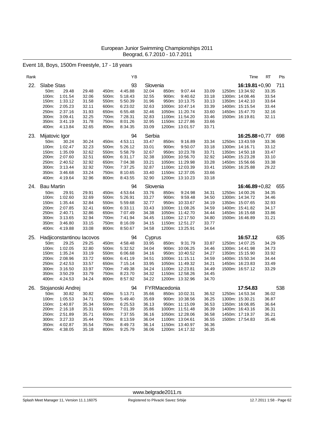# Event 18, Boys, 1500m Freestyle, 17 - 18 years

| Rank |                   |                           |                |                | ΥB                 |                |              |                                    |                | Time                               | RT             | Pts |
|------|-------------------|---------------------------|----------------|----------------|--------------------|----------------|--------------|------------------------------------|----------------|------------------------------------|----------------|-----|
| 22.  | Slabe Stas        |                           |                |                | 93                 | Slovenia       |              |                                    |                | $16:19.81 + 0.90$                  |                | 711 |
|      | 50m:              | 29.48                     | 29.48          | 450m:          | 4:45.88            | 32.04          | 850m:        | 9:07.44                            | 33.09          | 1250m: 13:34.92                    | 33.35          |     |
|      | 100m:             | 1:01.54                   | 32.06          | 500m:          | 5:18.43            | 32.55          | 900m:        | 9:40.62                            | 33.18          | 1300m: 14:08.46                    | 33.54          |     |
|      | 150m:             | 1:33.12                   | 31.58          | 550m:          | 5:50.39            | 31.96          |              | 950m: 10:13.75                     | 33.13          | 1350m: 14:42.10                    | 33.64          |     |
|      | 200m:             | 2:05.23                   | 32.11          | 600m:          | 6:23.02            | 32.63          |              | 1000m: 10:47.14                    | 33.39          | 1400m: 15:15.54                    | 33.44          |     |
|      | 250m:             | 2:37.16                   | 31.93          | 650m:          | 6:55.48            | 32.46          |              | 1050m: 11:20.74                    | 33.60          | 1450m: 15:47.70                    | 32.16          |     |
|      | 300m:             | 3:09.41                   | 32.25          | 700m:          | 7:28.31            | 32.83          |              | 1100m: 11:54.20                    | 33.46          | 1500m: 16:19.81                    | 32.11          |     |
|      | 350m:             | 3:41.19                   | 31.78          | 750m:          | 8:01.26            | 32.95          |              | 1150m: 12:27.86                    | 33.66          |                                    |                |     |
|      | 400m:             | 4:13.84                   | 32.65          | 800m:          | 8:34.35            | 33.09          |              | 1200m: 13:01.57                    | 33.71          |                                    |                |     |
| 23.  | Mijatovic Igor    |                           |                |                | 94                 | Serbia         |              |                                    |                | $16:25.88 + 0.77$                  |                | 698 |
|      | 50m:              | 30.24                     | 30.24          | 450m:          | 4:53.11            | 33.47          | 850m:        | 9:16.89                            | 33.34          | 1250m: 13:43.59                    | 33.36          |     |
|      | 100m:             | 1:02.47                   | 32.23          | 500m:          | 5:26.12            | 33.01          | 900m:        | 9:50.07                            | 33.18          | 1300m: 14:16.71                    | 33.12          |     |
|      | 150m:             | 1:35.09                   | 32.62          | 550m:          | 5:58.79            | 32.67          |              | 950m: 10:23.78                     | 33.71          | 1350m: 14:50.18                    | 33.47          |     |
|      | 200m:             | 2:07.60                   | 32.51          | 600m:          | 6:31.17            | 32.38          |              | 1000m: 10:56.70                    | 32.92          | 1400m: 15:23.28                    | 33.10          |     |
|      | 250m:             | 2:40.52                   | 32.92          | 650m:          | 7:04.38            | 33.21          |              | 1050m: 11:29.98                    | 33.28          | 1450m: 15:56.66                    | 33.38          |     |
|      | 300m:             | 3:13.44                   | 32.92          | 700m:          | 7:37.25            | 32.87          |              | 1100m: 12:03.39                    | 33.41          | 1500m: 16:25.88                    | 29.22          |     |
|      | 350m:             | 3:46.68                   | 33.24          | 750m:          | 8:10.65            | 33.40          |              | 1150m: 12:37.05                    | 33.66          |                                    |                |     |
|      | 400m:             | 4:19.64                   | 32.96          | 800m:          | 8:43.55            | 32.90          |              | 1200m: 13:10.23                    | 33.18          |                                    |                |     |
| 24.  | <b>Bau Martin</b> |                           |                |                | 94                 | Slovenia       |              |                                    |                | $16:46.89 + 0.82$                  |                | 655 |
|      | 50m:              | 29.91                     | 29.91          | 450m:          | 4:53.64            | 33.76          | 850m:        | 9:24.98                            | 34.31          | 1250m: 14:00.26                    | 34.35          |     |
|      | 100m:             | 1:02.60                   | 32.69          | 500m:          | 5:26.91            | 33.27          | 900m:        | 9:59.48                            | 34.50          | 1300m: 14:34.72                    | 34.46          |     |
|      | 150m:             | 1:35.44                   | 32.84          | 550m:          | 5:59.68            | 32.77          |              | 950m: 10:33.67                     | 34.19          | 1350m: 15:07.65                    | 32.93          |     |
|      | 200m:<br>250m:    | 2:07.85<br>2:40.71        | 32.41          | 600m:<br>650m: | 6:33.11<br>7:07.49 | 33.43<br>34.38 |              | 1000m: 11:08.26<br>1050m: 11:42.70 | 34.59<br>34.44 | 1400m: 15:41.82<br>1450m: 16:15.68 | 34.17          |     |
|      | 300m:             | 3:13.65                   | 32.86<br>32.94 | 700m:          | 7:41.94            | 34.45          |              | 1100m: 12:17.50                    | 34.80          | 1500m: 16:46.89                    | 33.86<br>31.21 |     |
|      | 350m:             | 3:46.80                   | 33.15          | 750m:          | 8:16.09            | 34.15          |              | 1150m: 12:51.27                    | 33.77          |                                    |                |     |
|      | 400m:             | 4:19.88                   | 33.08          | 800m:          | 8:50.67            | 34.58          |              | 1200m: 13:25.91                    | 34.64          |                                    |                |     |
|      |                   |                           |                |                |                    |                |              |                                    |                |                                    |                |     |
| 25.  |                   | Hadjiconstantinou lacovos |                |                | 94                 | Cyprus         |              |                                    |                | 16:57.12                           |                | 635 |
|      | 50m:              | 29.25                     | 29.25          | 450m:          | 4:58.48            | 33.95          | 850m:        | 9:31.79                            | 33.87          | 1250m: 14:07.25                    | 34.29          |     |
|      | 100m:             | 1:02.05                   | 32.80          | 500m:          | 5:32.52            | 34.04          |              | 900m: 10:06.25                     | 34.46          | 1300m: 14:41.98                    | 34.73          |     |
|      | 150m:             | 1:35.24                   | 33.19          | 550m:          | 6:06.68            | 34.16          |              | 950m: 10:40.52                     | 34.27          | 1350m: 15:15.90                    | 33.92          |     |
|      | 200m:             | 2:08.96                   | 33.72          | 600m:          | 6:41.19            | 34.51          |              | 1000m: 11:15.11                    | 34.59          | 1400m: 15:50.34                    | 34.44          |     |
|      | 250m:             | 2:42.53                   | 33.57          | 650m:          | 7:15.14            | 33.95          |              | 1050m: 11:49.32                    | 34.21          | 1450m: 16:23.83                    | 33.49          |     |
|      | 300m:             | 3:16.50                   | 33.97          | 700m:          | 7:49.38            | 34.24          |              | 1100m: 12:23.81                    | 34.49          | 1500m: 16:57.12                    | 33.29          |     |
|      | 350m:             | 3:50.29                   | 33.79          | 750m:          | 8:23.70            | 34.32          |              | 1150m: 12:58.26                    | 34.45          |                                    |                |     |
|      | 400m:             | 4:24.53                   | 34.24          | 800m:          | 8:57.92            | 34.22          |              | 1200m: 13:32.96                    | 34.70          |                                    |                |     |
| 26.  |                   | Stojanoski Andrej         |                |                | 94                 |                | FYRMacedonia |                                    |                | 17:54.83                           |                | 538 |
|      | 50m:              | 30.82                     | 30.82          | 450m:          | 5:13.71            | 35.66          |              | 850m: 10:02.31                     | 36.52          | 1250m: 14:53.34                    | 36.02          |     |
|      | 100m:             | 1:05.53                   | 34.71          | 500m:          | 5:49.40            | 35.69          |              | 900m: 10:38.56                     | 36.25          | 1300m: 15:30.21                    | 36.87          |     |
|      | 150m:             | 1:40.87                   | 35.34          | 550m:          | 6:25.53            | 36.13          |              | 950m: 11:15.09                     | 36.53          | 1350m: 16:06.85                    | 36.64          |     |
|      | 200m:             | 2:16.18                   | 35.31          | 600m:          | 7:01.39            | 35.86          |              | 1000m: 11:51.48                    | 36.39          | 1400m: 16:43.16                    | 36.31          |     |
|      | 250m:             | 2:51.89                   | 35.71          | 650m:          | 7:37.55            | 36.16          |              | 1050m: 12:28.06                    | 36.58          | 1450m: 17:19.37                    | 36.21          |     |
|      | 300m:             | 3:27.33                   | 35.44          | 700m:          | 8:13.59            | 36.04          |              | 1100m: 13:04.61                    | 36.55          | 1500m: 17:54.83                    | 35.46          |     |
|      | 350m:             | 4:02.87                   | 35.54          | 750m:          | 8:49.73            | 36.14          |              | 1150m: 13:40.97                    | 36.36          |                                    |                |     |
|      | 400m:             | 4:38.05                   | 35.18          | 800m:          | 9:25.79            | 36.06          |              | 1200m: 14:17.32                    | 36.35          |                                    |                |     |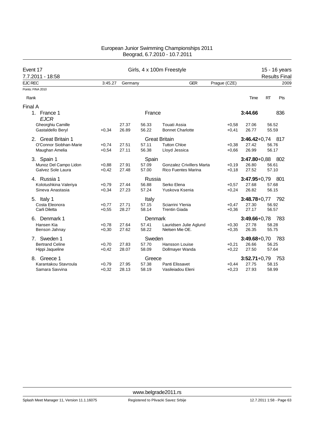| Event 17                   |         |         |         | Girls, 4 x 100m Freestyle        | 15 - 16 years |                  |           |                      |  |
|----------------------------|---------|---------|---------|----------------------------------|---------------|------------------|-----------|----------------------|--|
| 7.7.2011 - 18:58           |         |         |         |                                  |               |                  |           | <b>Results Final</b> |  |
| <b>EJC REC</b>             | 3:45.27 | Germany |         | <b>GER</b>                       | Prague (CZE)  |                  |           | 2009                 |  |
| Points: FINA 2010          |         |         |         |                                  |               |                  |           |                      |  |
| Rank                       |         |         |         |                                  |               | Time             | <b>RT</b> | Pts                  |  |
| Final A                    |         |         |         |                                  |               |                  |           |                      |  |
| 1. France 1<br><b>EJCR</b> |         |         | France  |                                  |               | 3:44.66          |           | 836                  |  |
| Gheorghiu Camille          |         | 27.37   | 56.33   | <b>Touati Assia</b>              | $+0.58$       | 27.06            | 56.52     |                      |  |
| Gastaldello Beryl          | $+0,34$ | 26.89   | 56.22   | <b>Bonnet Charlotte</b>          | $+0,41$       | 26.77            | 55.59     |                      |  |
| 2. Great Britain 1         |         |         |         | <b>Great Britain</b>             |               | $3:46.42+0.74$   |           | -817                 |  |
| O'Connor Siobhan-Marie     | $+0,74$ | 27.51   | 57.11   | <b>Tutton Chloe</b>              | $+0,38$       | 27.42            | 56.76     |                      |  |
| Maughan Amelia             | $+0.54$ | 27.11   | 56.38   | Lloyd Jessica                    | $+0.66$       | 26.99            | 56.17     |                      |  |
| 3. Spain 1                 |         |         | Spain   |                                  |               | $3:47.80 + 0.88$ |           | 802                  |  |
| Munoz Del Campo Lidon      | $+0,88$ | 27.91   | 57.09   | <b>Gonzalez Crivillers Marta</b> | $+0.19$       | 26.80            | 56.61     |                      |  |
| Galvez Sole Laura          | $+0.42$ | 27.48   | 57.00   | <b>Rico Fuentes Marina</b>       | $+0.18$       | 27.52            | 57.10     |                      |  |
| 4. Russia 1                |         |         | Russia  |                                  |               | $3:47.95 + 0.79$ |           | -801                 |  |
| Kolotushkina Valeriya      | $+0.79$ | 27.44   | 56.88   | Serko Elena                      | $+0.57$       | 27.68            | 57.68     |                      |  |
| Sineva Anastasia           | $+0,34$ | 27.23   | 57.24   | Yuskova Ksenia                   | $+0,24$       | 26.82            | 56.15     |                      |  |
| 5. Italy 1                 |         |         | Italy   |                                  |               | $3:48.78 + 0.77$ |           | 792                  |  |
| Costa Eleonora             | $+0,77$ | 27.71   | 57.15   | Sciarrini Ylenia                 | $+0.47$       | 27.30            | 56.92     |                      |  |
| Carli Diletta              | $+0.55$ | 28.27   | 58.14   | <b>Trentin Giada</b>             | $+0.36$       | 27.17            | 56.57     |                      |  |
| 6. Denmark 1               |         |         | Denmark |                                  |               | $3:49.66 + 0.78$ |           | 783                  |  |
| Hansen Kia                 | $+0,78$ | 27.64   | 57.41   | Lauridsen Julie Aglund           | $+0,30$       | 27.78            | 58.28     |                      |  |
| Benson Jahnay              | $+0,30$ | 27.62   | 58.22   | Nielsen Mie OE.                  | $+0.35$       | 26.35            | 55.75     |                      |  |
| Sweden 1<br>7.             |         |         | Sweden  |                                  |               | $3:49.68 + 0.70$ |           | 783                  |  |
| <b>Bertrand Celine</b>     | $+0,70$ | 27.83   | 57.70   | Hansson Louise                   | $+0,21$       | 26.66            | 56.25     |                      |  |
| Hippi Jaqueline            | $+0,42$ | 28.07   | 58.09   | Dollmayer Wanda                  | $+0,22$       | 27.50            | 57.64     |                      |  |
| Greece 1<br>8.             |         |         | Greece  |                                  |               | $3:52.71+0.79$   |           | 753                  |  |
| Karantakou Stavroula       | $+0,79$ | 27.95   | 57.38   | Panti Elissavet                  | $+0,44$       | 27.75            | 58.15     |                      |  |
| Samara Savvina             | $+0,32$ | 28.13   | 58.19   | Vasileiadou Eleni                | $+0.23$       | 27.93            | 58.99     |                      |  |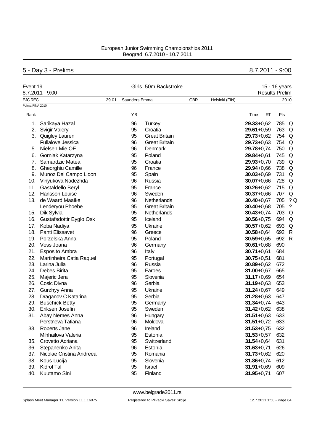# 5 - Day 3 - Prelims 8.7.2011 - 9:00

|                   | Event 19<br>8.7.2011 - 9:00 |       | Girls, 50m Backstroke |                      | 15 - 16 years<br><b>Results Prelim</b> |                |                |           |              |
|-------------------|-----------------------------|-------|-----------------------|----------------------|----------------------------------------|----------------|----------------|-----------|--------------|
| <b>EJC REC</b>    |                             | 29.01 | Saunders Emma         |                      | <b>GBR</b>                             | Helsinki (FIN) |                |           | 2010         |
| Points: FINA 2010 |                             |       |                       |                      |                                        |                |                |           |              |
| Rank              |                             |       | YB                    |                      |                                        |                | Time           | RT<br>Pts |              |
| 1.                | Sarikaya Hazal              |       | 96                    | <b>Turkey</b>        |                                        |                | $29.33 + 0.62$ | 785       | Q            |
| 2.                | <b>Svigir Valery</b>        |       | 95                    | Croatia              |                                        |                | $29.61 + 0.59$ | 763       | Q            |
|                   | 3. Quigley Lauren           |       | 95                    | <b>Great Britain</b> |                                        |                | $29.73 + 0.62$ | 754       | Q            |
|                   | <b>Fullalove Jessica</b>    |       | 96                    | <b>Great Britain</b> |                                        |                | $29.73 + 0.63$ | 754       | Q            |
| 5.                | Nielsen Mie OE.             |       | 96                    | Denmark              |                                        |                | $29.78 + 0.74$ | 750       | Q            |
| 6.                | Gorniak Katarzyna           |       | 95                    | Poland               |                                        |                | $29.84 + 0.61$ | 745       | Q            |
| 7.                | Samardzic Matea             |       | 95                    | Croatia              |                                        |                | $29.93 + 0.70$ | 739       | Q            |
| 8.                | Gheorghiu Camille           |       | 96                    | France               |                                        |                | $29.94 + 0.66$ | 738       | Q            |
| 9.                | Munoz Del Campo Lidon       |       | 95                    | Spain                |                                        |                | $30.03 + 0.69$ | 731       | Q            |
| 10.               | Vinyukova Nadezhda          |       | 96                    | Russia               |                                        |                | $30.07 + 0.66$ | 728       | Q            |
| 11.               | Gastaldello Beryl           |       | 95                    | France               |                                        |                | $30.26 + 0.62$ | 715       | Q            |
| 12.               | Hansson Louise              |       | 96                    | Sweden               |                                        |                | $30.37 + 0.66$ | 707       | Q            |
| 13.               | de Waard Maaike             |       | 96                    | Netherlands          |                                        |                | $30.40 + 0.67$ | 705       | ?Q           |
|                   | Lenderyou Phoebe            |       | 95                    | <b>Great Britain</b> |                                        |                | $30.40 + 0.68$ | 705       | ?            |
| 15.               | Dik Sylvia                  |       | 95                    | Netherlands          |                                        |                | $30.43 + 0.74$ | 703       | Q            |
| 16.               | Gustafsdottir Eyglo Osk     |       | 95                    | Iceland              |                                        |                | $30.56 + 0.75$ | 694       | Q            |
| 17.               | Koba Nadiya                 |       | 95                    | Ukraine              |                                        |                | $30.57 + 0.62$ | 693       | Q            |
| 18.               | Panti Elissavet             |       | 96                    | Greece               |                                        |                | $30.58 + 0.64$ | 692       | $\mathsf{R}$ |
| 19.               | Porzelska Anna              |       | 95                    | Poland               |                                        |                | $30.59 + 0.65$ | 692       | R            |
| 20.               | Voss Joana                  |       | 96                    | Germany              |                                        |                | $30.61 + 0.68$ | 690       |              |
| 21.               | Esposito Ambra              |       | 96                    | Italy                |                                        |                | $30.71 + 0.61$ | 684       |              |
| 22.               | Martinheira Catia Raquel    |       | 95                    | Portugal             |                                        |                | $30.75 + 0.51$ | 681       |              |
| 23.               | Larina Julia                |       | 96                    | Russia               |                                        |                | $30.89 + 0.62$ | 672       |              |
| 24.               | Debes Birita                |       | 95                    | Faroes               |                                        |                | $31.00 + 0.67$ | 665       |              |
| 25.               | Majeric Jera                |       | 95                    | Slovenia             |                                        |                | $31.17 + 0.69$ | 654       |              |
| 26.               | Cosic Divna                 |       | 96                    | Serbia               |                                        |                | $31.19 + 0.63$ | 653       |              |
| 27.               | Gurzhyy Anna                |       | 95                    | Ukraine              |                                        |                | $31.24 + 0.67$ | 649       |              |
| 28.               | Draganov C Katarina         |       | 95                    | Serbia               |                                        |                | $31.28 + 0.63$ | 647       |              |
| 29.               | <b>Buschick Betty</b>       |       | 95                    | Germany              |                                        |                | $31.34 + 0.74$ | 643       |              |
| 30.               | Eriksen Josefin             |       | 95                    | Sweden               |                                        |                | $31.42 + 0.62$ | 638       |              |
|                   | 31. Abay Nemes Anna         |       | 96                    | Hungary              |                                        |                | $31.51 + 0.63$ | 633       |              |
|                   | Perstneva Tatiana           |       | 96                    | Moldova              |                                        |                | $31.51 + 0.72$ | 633       |              |
| 33.               | Roberts Jane                |       | 96                    | Ireland              |                                        |                | $31.53 + 0.75$ | 632       |              |
|                   | Mihhailova Valeria          |       | 95                    | Estonia              |                                        |                | $31.53 + 0.57$ | 632       |              |
| 35.               | Crovetto Adriana            |       | 95                    | Switzerland          |                                        |                | $31.54 + 0.64$ | 631       |              |
| 36.               | Stepanenko Anita            |       | 96                    | Estonia              |                                        |                | $31.63 + 0.71$ | 626       |              |
| 37.               | Nicolae Cristina Andreea    |       | 95                    | Romania              |                                        |                | $31.73 + 0.62$ | 620       |              |
| 38.               | Kous Lucija                 |       | 95                    | Slovenia             |                                        |                | $31.86 + 0.74$ | 612       |              |
| 39.               | Kidrol Tal                  |       | 95                    | Israel               |                                        |                | $31.91 + 0.69$ | 609       |              |
| 40.               | Kuutamo Sini                |       | 95                    | Finland              |                                        |                | $31.95 + 0.71$ | 607       |              |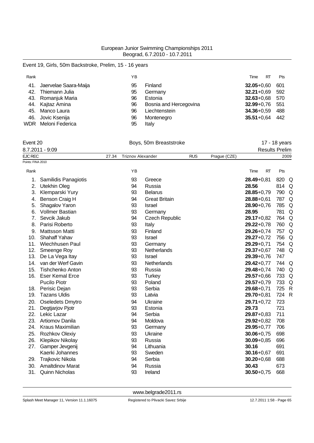# Event 19, Girls, 50m Backstroke, Prelim, 15 - 16 years

| Rank |                            | ΥB |                        | RT<br>Time         | Pts  |
|------|----------------------------|----|------------------------|--------------------|------|
|      | 41. Jaervelae Saara-Maija  | 95 | Finland                | $32.05 + 0.60$     | -601 |
| 42.  | Thiemann Julia             | 95 | Germany                | $32.21 + 0.69$ 592 |      |
|      | 43. Romanjuk Maria         | 96 | Estonia                | $32.63 + 0.68$ 570 |      |
|      | 44. Kajtaz Amina           | 96 | Bosnia and Hercegovina | 32.99+0,76 551     |      |
|      | 45. Manco Laura            | 96 | Liechtenstein          | $34.36 + 0.59$     | 488  |
|      | 46. Jovic Ksenija          | 96 | Montenegro             | $35.51 + 0.64$     | 442  |
|      | <b>WDR</b> Meloni Federica | 95 | Italy                  |                    |      |

# Event 20 **Boys**, 50m Breaststroke **17 - 18 years Event** 20

|                   | 8.7.2011 - 9:09         |       |                          |                       |            |              | <b>Results Prelim</b> |       |      |
|-------------------|-------------------------|-------|--------------------------|-----------------------|------------|--------------|-----------------------|-------|------|
| <b>EJC REC</b>    |                         | 27.34 | <b>Triznov Alexander</b> |                       | <b>RUS</b> | Prague (CZE) |                       |       | 2009 |
| Points: FINA 2010 |                         |       |                          |                       |            |              |                       |       |      |
| Rank              |                         |       | YB                       |                       |            |              | Time<br>RT            | Pts   |      |
| 1.                | Samilidis Panagiotis    |       | 93                       | Greece                |            |              | $28.49 + 0.81$        | 820   | Q    |
| 2.                | Utekhin Oleg            |       | 94                       | Russia                |            |              | 28.56                 | 814 Q |      |
| 3.                | Klemparski Yury         |       | 93                       | <b>Belarus</b>        |            |              | $28.85 + 0.79$        | 790   | Q    |
| 4.                | Benson Craig H          |       | 94                       | <b>Great Britain</b>  |            |              | $28.88 + 0.61$        | 787   | Q    |
| 5.                | Shagalov Yaron          |       | 93                       | Israel                |            |              | $28.90 + 0.76$        | 785   | Q    |
| 6.                | <b>Vollmer Bastian</b>  |       | 93                       | Germany               |            |              | 28.95                 | 781   | Q    |
| 7.                | Sevcik Jakub            |       | 94                       | <b>Czech Republic</b> |            |              | $29.17 + 0.82$        | 764 Q |      |
| 8.                | Parisi Roberto          |       | 93                       | Italy                 |            |              | $29.22 + 0.78$        | 760   | Q    |
| 9.                | <b>Mattsson Matti</b>   |       | 93                       | Finland               |            |              | $29.26 + 0.74$        | 757   | Q    |
| 10.               | Shahaff Yahav           |       | 93                       | Israel                |            |              | $29.27 + 0.72$        | 756 Q |      |
| 11.               | Wiechhusen Paul         |       | 93                       | Germany               |            |              | $29.29 + 0.71$        | 754 Q |      |
| 12.               | Smeenge Roy             |       | 93                       | Netherlands           |            |              | $29.37 + 0.67$        | 748 Q |      |
| 13.               | De La Vega Itay         |       | 93                       | Israel                |            |              | $29.39 + 0.76$        | 747   |      |
| 14.               | van der Werf Gavin      |       | 93                       | Netherlands           |            |              | $29.42 + 0.77$        | 744   | Q    |
| 15.               | Tishchenko Anton        |       | 93                       | Russia                |            |              | $29.48 + 0.74$        | 740   | Q    |
| 16.               | <b>Eser Kemal Erce</b>  |       | 93                       | <b>Turkey</b>         |            |              | $29.57 + 0.66$        | 733   | Q    |
|                   | <b>Pucilo Piotr</b>     |       | 93                       | Poland                |            |              | $29.57 + 0.79$        | 733   | Q    |
| 18.               | Perisic Dejan           |       | 93                       | Serbia                |            |              | $29.68 + 0.71$        | 725   | R    |
| 19.               | <b>Tazans Uldis</b>     |       | 93                       | Latvia                |            |              | $29.70 + 0.81$        | 724 R |      |
| 20.               | <b>Oseledets Dmytro</b> |       | 94                       | Ukraine               |            |              | $29.71 + 0.72$        | 723   |      |
| 21.               | Degtjarjov Pjotr        |       | 93                       | Estonia               |            |              | 29.73                 | 721   |      |
| 22.               | Lekic Lazar             |       | 94                       | Serbia                |            |              | $29.87 + 0.83$        | 711   |      |
| 23.               | <b>Artiomov Danila</b>  |       | 94                       | Moldova               |            |              | $29.92 + 0.82$        | 708   |      |
| 24.               | Kraus Maximilian        |       | 93                       | Germany               |            |              | $29.95 + 0.77$        | 706   |      |
| 25.               | Rozhkov Olexiy          |       | 93                       | Ukraine               |            |              | $30.06 + 0.75$        | 698   |      |
| 26.               | Klepikov Nikolay        |       | 93                       | Russia                |            |              | $30.09 + 0.85$        | 696   |      |
| 27.               | Gamper Jevgenij         |       | 94                       | Lithuania             |            |              | 30.16                 | 691   |      |
|                   | Kaerki Johannes         |       | 93                       | Sweden                |            |              | $30.16 + 0.67$        | 691   |      |
| 29.               | Trajkovic Nikola        |       | 94                       | Serbia                |            |              | $30.20 + 0.68$        | 688   |      |
| 30.               | <b>Amaltdinov Marat</b> |       | 94                       | Russia                |            |              | 30.43                 | 673   |      |
| 31.               | <b>Quinn Nicholas</b>   |       | 93                       | Ireland               |            |              | $30.50 + 0.75$        | 668   |      |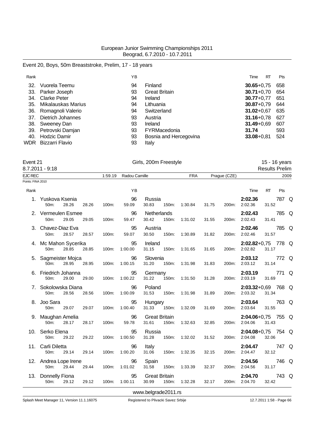# Event 20, Boys, 50m Breaststroke, Prelim, 17 - 18 years

| Rank |                      | ΥB |                        | RT<br>Time     | Pts |
|------|----------------------|----|------------------------|----------------|-----|
| 32.  | Vuorela Teemu        | 94 | Finland                | $30.65 + 0.75$ | 658 |
|      | 33. Parker Joseph    | 93 | <b>Great Britain</b>   | $30.71 + 0.70$ | 654 |
| 34.  | <b>Clarke Peter</b>  | 94 | Ireland                | $30.77 + 0.77$ | 651 |
| 35.  | Mikalauskas Marius   | 94 | Lithuania              | $30.87 + 0.79$ | 644 |
| 36.  | Romagnoli Valerio    | 94 | Switzerland            | $31.02 + 0.67$ | 635 |
| 37.  | Dietrich Johannes    | 93 | Austria                | $31.16 + 0.78$ | 627 |
|      | 38. Sweeney Dan      | 93 | Ireland                | $31.49 + 0.69$ | 607 |
|      | 39. Petrovski Damjan | 93 | FYRMacedonia           | 31.74          | 593 |
| 40.  | <b>Hodzic Damir</b>  | 93 | Bosnia and Hercegovina | $33.08 + 0.81$ | 524 |
|      | WDR Bizzarri Flavio  | 93 | Italy                  |                |     |

| ∵vent ∠ | `<br>$\epsilon$ |
|---------|-----------------|
|---------|-----------------|

| Event 21          | $8.7.2011 - 9:18$             |       |       | Girls, 200m Freestyle |                       |                               |       |            |       | 15 - 16 years<br><b>Results Prelim</b> |                               |           |       |      |
|-------------------|-------------------------------|-------|-------|-----------------------|-----------------------|-------------------------------|-------|------------|-------|----------------------------------------|-------------------------------|-----------|-------|------|
| EJC REC           |                               |       |       |                       | 1:59.19 Radou Camille |                               |       | <b>FRA</b> |       | Prague (CZE)                           |                               |           |       | 2009 |
| Points: FINA 2010 |                               |       |       |                       |                       |                               |       |            |       |                                        |                               |           |       |      |
| Rank              |                               |       |       |                       | YB                    |                               |       |            |       |                                        | Time                          | <b>RT</b> | Pts   |      |
|                   | 1. Yuskova Ksenia<br>50m:     | 28.26 | 28.26 | 100m:                 | 96<br>59.09           | Russia<br>30.83               | 150m: | 1:30.84    | 31.75 | 200m:                                  | 2:02.36<br>2:02.36            | 31.52     | 787 Q |      |
|                   | 2. Vermeulen Esmee<br>50m:    | 29.05 | 29.05 | 100m:                 | 96<br>59.47           | Netherlands<br>30.42          | 150m: | 1:31.02    | 31.55 | 200m:                                  | 2:02.43<br>2:02.43            | 31.41     | 785 Q |      |
|                   | 3. Chavez-Diaz Eva<br>50m:    | 28.57 | 28.57 | 100m:                 | 95<br>59.07           | Austria<br>30.50              | 150m: | 1:30.89    | 31.82 | 200m:                                  | 2:02.46<br>2:02.46            | 31.57     | 785 Q |      |
|                   | 4. Mc Mahon Sycerika<br>50m:  | 28.85 | 28.85 | 100m:                 | 95<br>1:00.00         | Ireland<br>31.15              | 150m: | 1:31.65    | 31.65 | 200m:                                  | 2:02.82+0,75 778 Q<br>2:02.82 | 31.17     |       |      |
|                   | 5. Sagmeister Mojca<br>50m:   | 28.95 | 28.95 | 100m:                 | 96<br>1:00.15         | Slovenia<br>31.20             | 150m: | 1:31.98    | 31.83 | 200m:                                  | 2:03.12<br>2:03.12            | 31.14     | 772 Q |      |
|                   | 6. Friedrich Johanna<br>50m:  | 29.00 | 29.00 | 100m:                 | 95<br>1:00.22         | Germany<br>31.22              | 150m: | 1:31.50    | 31.28 | 200m:                                  | 2:03.19<br>2:03.19            | 31.69     | 771 Q |      |
|                   | 7. Sokolowska Diana<br>50m:   | 28.56 | 28.56 | 100m:                 | 96<br>1:00.09         | Poland<br>31.53               | 150m: | 1:31.98    | 31.89 | 200m:                                  | 2:03.32+0,69 768 Q<br>2:03.32 | 31.34     |       |      |
|                   | 8. Joo Sara<br>50m:           | 29.07 | 29.07 | 100m:                 | 95<br>1:00.40         | Hungary<br>31.33              | 150m: | 1:32.09    | 31.69 | 200m:                                  | 2:03.64<br>2:03.64            | 31.55     | 763 Q |      |
|                   | 9. Maughan Amelia<br>50m:     | 28.17 | 28.17 | 100m:                 | 96<br>59.78           | <b>Great Britain</b><br>31.61 | 150m: | 1:32.63    | 32.85 | 200m:                                  | 2:04.06+0,75 755 Q<br>2:04.06 | 31.43     |       |      |
|                   | 10. Serko Elena<br>50m:       | 29.22 | 29.22 | 100m:                 | 95<br>1:00.50         | Russia<br>31.28               | 150m: | 1:32.02    | 31.52 | 200m:                                  | 2:04.08+0,75 754 Q<br>2:04.08 | 32.06     |       |      |
|                   | 11. Carli Diletta<br>50m:     | 29.14 | 29.14 | 100m:                 | 96<br>1:00.20         | Italy<br>31.06                | 150m: | 1:32.35    | 32.15 | 200m:                                  | 2:04.47<br>2:04.47            | 32.12     | 747 Q |      |
|                   | 12. Andrea Lope Irene<br>50m: | 29.44 | 29.44 | 100m:                 | 96<br>1:01.02         | Spain<br>31.58                | 150m: | 1:33.39    | 32.37 | 200m:                                  | 2:04.56<br>2:04.56            | 31.17     | 746 Q |      |
|                   | 13. Donnelly Fiona<br>50m:    | 29.12 | 29.12 | 100m:                 | 95<br>1:00.11         | <b>Great Britain</b><br>30.99 | 150m: | 1:32.28    | 32.17 | 200m:                                  | 2:04.70<br>2:04.70            | 32.42     | 743 Q |      |

Splash Meet Manager 11, Version 11.1.16075 **Registered to Plivacki Savez Srbije** 12.7.2011 1:58 - Page 66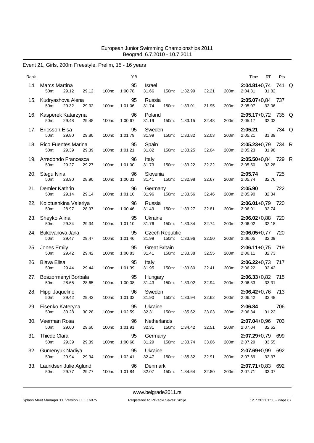# Event 21, Girls, 200m Freestyle, Prelim, 15 - 16 years

| Rank |                                                                |       | YB                         |                                         |         |       |       | RT<br>Pts<br>Time                              |       |
|------|----------------------------------------------------------------|-------|----------------------------|-----------------------------------------|---------|-------|-------|------------------------------------------------|-------|
| 14.  | Marcs Martina<br>50m:<br>29.12<br>29.12                        | 100m: | 95<br>1:00.78              | Israel<br>31.66<br>150m:                | 1:32.99 | 32.21 | 200m: | $2:04.81+0.74$ 741 Q<br>2:04.81<br>31.82       |       |
|      | 15. Kudryashova Alena<br>29.32<br>50m:<br>29.32                | 100m: | 95<br>1:01.06              | Russia<br>31.74<br>150m:                | 1:33.01 | 31.95 | 200m: | 2:05.07+0,84 737<br>2:05.07<br>32.06           |       |
|      | 16. Kasperek Katarzyna<br>50 <sub>m</sub> :<br>29.48<br>29.48  | 100m: | 96<br>1:00.67              | Poland<br>31.19<br>150m:                | 1:33.15 | 32.48 | 200m: | 2:05.17+0,72 735 Q<br>2:05.17<br>32.02         |       |
|      | 17. Ericsson Elsa<br>50m:<br>29.80<br>29.80                    | 100m: | 95<br>1:01.79              | Sweden<br>31.99<br>150m:                | 1:33.82 | 32.03 | 200m: | 2:05.21<br>2:05.21<br>31.39                    | 734 Q |
|      | 18. Rico Fuentes Marina<br>50m:<br>29.39<br>29.39              | 100m: | 95<br>1:01.21              | Spain<br>31.82<br>150m:                 | 1:33.25 | 32.04 | 200m: | 2:05.23+0,79 734 R<br>2:05.23<br>31.98         |       |
|      | 19. Arredondo Francesca<br>50 <sub>m</sub> :<br>29.27<br>29.27 | 100m: | 96<br>1:01.00              | Italy<br>31.73<br>150m:                 | 1:33.22 | 32.22 | 200m: | 2:05.50+0,84 729 R<br>2:05.50<br>32.28         |       |
|      | 20. Stegu Nina<br>50m:<br>28.90<br>28.90                       | 100m: | 96<br>1:00.31              | Slovenia<br>31.41<br>150m:              | 1:32.98 | 32.67 | 200m: | 2:05.74<br>725<br>2:05.74<br>32.76             |       |
|      | 21. Demler Kathrin<br>50m:<br>29.14<br>29.14                   | 100m: | 96<br>1:01.10              | Germany<br>31.96<br>150m:               | 1:33.56 | 32.46 | 200m: | 2:05.90<br>722<br>2:05.90<br>32.34             |       |
|      | 22. Kolotushkina Valeriya<br>50m:<br>28.97<br>28.97            | 100m: | 96<br>1:00.46              | Russia<br>31.49<br>150m:                | 1:33.27 | 32.81 | 200m: | $2:06.01+0.79$ 720<br>32.74<br>2:06.01         |       |
|      | 23. Sheyko Alina<br>50m:<br>29.34<br>29.34                     | 100m: | 95<br>1:01.10              | Ukraine<br>31.76<br>150m:               | 1:33.84 | 32.74 | 200m: | $2:06.02+0.88$ 720<br>2:06.02<br>32.18         |       |
|      | 24. Bukovanova Jana<br>50m:<br>29.47<br>29.47                  | 100m: | 95<br>1:01.46              | <b>Czech Republic</b><br>31.99<br>150m: | 1:33.96 | 32.50 | 200m: | $2:06.05+0,77$ 720<br>2:06.05<br>32.09         |       |
| 25.  | Jones Emily<br>50m:<br>29.42<br>29.42                          | 100m: | 95<br>1:00.83              | <b>Great Britain</b><br>31.41<br>150m:  | 1:33.38 | 32.55 | 200m: | $2:06.11+0.75$ 719<br>2:06.11<br>32.73         |       |
| 26.  | Biava Elisa<br>50m:<br>29.44<br>29.44                          | 100m: | 95<br>1:01.39              | Italy<br>31.95<br>150m:                 | 1:33.80 | 32.41 | 200m: | 2:06.22+0,73 717<br>2:06.22<br>32.42           |       |
|      | 27. Boszormenyi Borbala<br>28.65<br>50m:<br>28.65              | 100m: | 95<br>1:00.08              | Hungary<br>31.43<br>150m:               | 1:33.02 | 32.94 | 200m: | $2:06.33+0.82$ 715<br>2:06.33<br>33.31         |       |
|      | 28. Hippi Jaqueline<br>29.42<br>29.42<br>50m:                  | 100m: | 96<br>1:01.32              | Sweden<br>31.90<br>150m:                | 1:33.94 | 32.62 |       | $2:06.42+0.76$ 713<br>200m: 2:06.42<br>32.48   |       |
|      | 29. Fisenko Kateryna<br>30.28<br>30.28<br>50m:                 | 100m: | 95<br>1:02.59              | Ukraine<br>32.31  150m: 1:35.62         |         | 33.03 |       | 2:06.84<br>706<br>200m: 2:06.84 31.22          |       |
|      | 30. Veerman Rosa<br>50m:<br>29.60<br>29.60                     | 100m: | 96<br>1:01.91              | Netherlands<br>32.31  150m: 1:34.42     |         | 32.51 |       | 2:07.04+0,96 703<br>200m: 2:07.04 32.62        |       |
|      | 31. Thiede Clara<br>50m:<br>29.39<br>29.39                     | 100m: | 95<br>1:00.68              | Germany<br>31.29  150m: 1:33.74         |         | 33.06 |       | 2:07.29+0,79 699<br>200m: 2:07.29<br>33.55     |       |
|      | 32. Gumenyuk Nadiya<br>50m:<br>29.94 29.94                     |       | 95<br>100m: 1:02.41        | Ukraine<br>32.47 150m: 1:35.32          |         | 32.91 |       | $2:07.69 + 0.99$ 692<br>200m: 2:07.69<br>32.37 |       |
|      | 33. Lauridsen Julie Aglund<br>29.77<br>50m:<br>29.77           |       | $\sim$ 96<br>100m: 1:01.84 | Denmark<br>32.07  150m: 1:34.64         |         | 32.80 |       | $2:07.71+0.83$ 692<br>200m: 2:07.71<br>33.07   |       |
|      |                                                                |       |                            |                                         |         |       |       |                                                |       |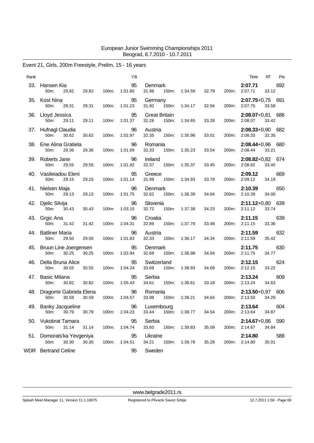# Event 21, Girls, 200m Freestyle, Prelim, 15 - 16 years

| Rank |                                                     |                | YB                  |                                        |               |       |       | Time                           | RT    | Pts |
|------|-----------------------------------------------------|----------------|---------------------|----------------------------------------|---------------|-------|-------|--------------------------------|-------|-----|
| 33.  | Hansen Kia<br>50m:<br>29.82                         | 100m:<br>29.82 | 95<br>1:01.80       | Denmark<br>31.98<br>150m:              | 1:34.59       | 32.79 | 200m: | 2:07.71<br>2:07.71             | 33.12 | 692 |
|      | 35. Kost Nina<br>50m:<br>29.31                      | 29.31<br>100m: | 95<br>1:01.23       | Germany<br>31.92<br>150m:              | 1:34.17       | 32.94 | 200m: | $2:07.75+0.75$ 691<br>2:07.75  | 33.58 |     |
|      | 36. Lloyd Jessica<br>50m:<br>29.11                  | 29.11<br>100m: | 95<br>1:01.37       | <b>Great Britain</b><br>32.26<br>150m: | 1:34.65       | 33.28 | 200m: | 2:08.07+0,81 686<br>2:08.07    | 33.42 |     |
|      | 37. Hufnagl Claudia<br>50m:<br>30.62                | 30.62<br>100m: | 96<br>1:02.97       | Austria<br>32.35<br>150m:              | 1:35.98       | 33.01 | 200m: | $2:08.33+0.90$ 682<br>2:08.33  | 32.35 |     |
|      | 38. Ene Alina Gratiela<br>50m:<br>29.36             | 29.36<br>100m: | 96<br>1:01.69       | Romania<br>32.33<br>150m:              | 1:35.23       | 33.54 | 200m: | 2:08.44+0,96 680<br>2:08.44    | 33.21 |     |
|      | 39. Roberts Jane<br>50m:<br>29.55                   | 29.55<br>100m: | 96<br>1:01.92       | Ireland<br>32.37<br>150m:              | 1:35.37       | 33.45 | 200m: | $2:08.82+0.82$ 674<br>2:08.82  | 33.45 |     |
|      | 40. Vasileiadou Eleni<br>50 <sub>m</sub> :<br>29.15 | 100m:<br>29.15 | 95<br>1:01.14       | Greece<br>31.99<br>150m:               | 1:34.93       | 33.79 | 200m: | 2:09.12<br>2:09.12             | 34.19 | 669 |
|      | 41. Nielsen Maja<br>50m:<br>29.13                   | 29.13<br>100m: | 96<br>1:01.75       | Denmark<br>32.62<br>150m:              | 1:36.39       | 34.64 | 200m: | 2:10.39<br>2:10.39             | 34.00 | 650 |
|      | 42. Djelic Silvija<br>50 <sub>m</sub> :<br>30.43    | 30.43<br>100m: | 96<br>1:03.15       | Slovenia<br>32.72<br>150m:             | 1:37.38       | 34.23 | 200m: | 2:11.12+0,80 639<br>2:11.12    | 33.74 |     |
|      | 43. Grgic Ana<br>50m:<br>31.42                      | 100m:<br>31.42 | 96<br>1:04.31       | Croatia<br>32.89<br>150m:              | 1:37.79       | 33.48 | 200m: | 2:11.15<br>2:11.15             | 33.36 | 639 |
|      | 44. Batliner Maria<br>50m:<br>29.50                 | 100m:<br>29.50 | 96<br>1:01.83       | Austria<br>32.33<br>150m:              | 1:36.17       | 34.34 | 200m: | 2:11.59<br>2:11.59             | 35.42 | 632 |
|      | 45. Bruun Line Joergensen<br>50m:<br>30.25          | 30.25<br>100m: | 95<br>1:02.94       | Denmark<br>32.69<br>150m:              | 1:36.98       | 34.04 | 200m: | 2:11.75<br>2:11.75             | 34.77 | 630 |
| 46.  | Della Bruna Alice<br>50m:<br>30.55                  | 100m:<br>30.55 | 95<br>1:04.24       | Switzerland<br>33.69<br>150m:          | 1:38.93       | 34.69 | 200m: | 2:12.15<br>2:12.15             | 33.22 | 624 |
| 47.  | Basic Milana<br>50m:<br>30.82                       | 30.82<br>100m: | 95<br>1:05.43       | Serbia<br>34.61<br>150m:               | 1:38.61       | 33.18 | 200m: | 2:13.24<br>2:13.24             | 34.63 | 609 |
|      | 48. Dragomir Gabriela Elena<br>50m:<br>30.59        | 30.59<br>100m: | 96<br>1:04.57       | Romania<br>33.98<br>150m:              | 1:39.21       | 34.64 | 200m: | $2:13.50+0.97$ 606<br>2:13.50  | 34.29 |     |
|      | 49. Banky Jacqueline<br>30.79 30.79<br>50m:         | 100m:          | 96<br>1:04.23       | Luxembourg<br>33.44                    | 150m: 1:38.77 | 34.54 |       | 2:13.64<br>200m: 2:13.64 34.87 |       | 604 |
|      | 50. Vukobrat Tamara<br>50m:<br>31.14                | 31.14          | 95<br>100m: 1:04.74 | Serbia<br>33.60<br>150m:               | 1:39.83       | 35.09 | 200m: | 2:14.67+0,86 590<br>2:14.67    | 34.84 |     |
|      | 51. Domorats'ka Yevgeniya                           |                | 95                  | Ukraine                                |               |       |       | 2:14.80                        |       | 588 |
|      | 50m:<br>30.30<br><b>WDR</b> Bertrand Celine         | 30.30<br>100m: | 1:04.51<br>95       | 34.21<br>150m: 1:39.79<br>Sweden       |               | 35.28 | 200m: | 2:14.80                        | 35.01 |     |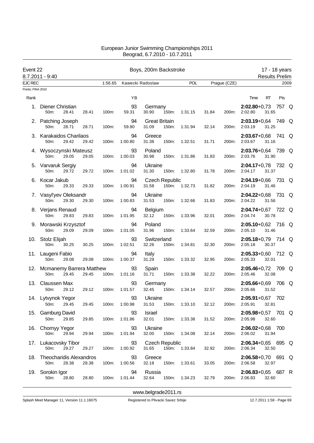| Event 22          |                                                            | Boys, 200m Backstroke |                      |                     |                                |       |               |       | 17 - 18 years<br><b>Results Prelim</b> |                                       |       |     |      |
|-------------------|------------------------------------------------------------|-----------------------|----------------------|---------------------|--------------------------------|-------|---------------|-------|----------------------------------------|---------------------------------------|-------|-----|------|
| <b>EJC REC</b>    | 8.7.2011 - 9:40                                            |                       | 1:56.65              |                     | Kawecki Radoslaw               |       | POL           |       | Prague (CZE)                           |                                       |       |     | 2009 |
| Points: FINA 2010 |                                                            |                       |                      |                     |                                |       |               |       |                                        |                                       |       |     |      |
| Rank              |                                                            |                       |                      | YB                  |                                |       |               |       |                                        | Time                                  | RT    | Pts |      |
| 1.                | Diener Christian<br>50m:<br>28.41                          | 28.41                 | 100m:                | 93<br>59.31         | Germany<br>30.90               | 150m: | 1:31.15       | 31.84 | 200m:                                  | $2:02.80+0.73$ 757 Q<br>2:02.80       | 31.65 |     |      |
|                   | 2. Patching Joseph<br>50m:<br>28.71                        | 28.71                 | 100m:                | 94<br>59.80         | <b>Great Britain</b><br>31.09  | 150m: | 1:31.94       | 32.14 | 200m:                                  | $2:03.19 + 0.64$ 749 Q<br>2:03.19     | 31.25 |     |      |
|                   | 3. Karakaidos Charilaos<br>50m:<br>29.42                   | 29.42                 | 100m:                | 94<br>1:00.80       | Greece<br>31.38                | 150m: | 1:32.51       | 31.71 | 200m:                                  | 2:03.67+0,68 741 Q<br>2:03.67         | 31.16 |     |      |
|                   | 4. Wysoczynski Mateusz<br>50m:<br>29.05                    | 29.05                 | 100m:                | 93<br>1:00.03       | Poland<br>30.98                | 150m: | 1:31.86       | 31.83 | 200m:                                  | 2:03.76+0,64 739 Q<br>2:03.76         | 31.90 |     |      |
|                   | 5. Varvaruk Sergiy<br>50m:<br>29.72                        | 29.72                 | 100m:                | 94<br>1:01.02       | Ukraine<br>31.30               | 150m: | 1:32.80       | 31.78 | 200m:                                  | $2:04.17+0.78$ 732 Q<br>2:04.17       | 31.37 |     |      |
|                   | 6. Kocar Jakub<br>50m:<br>29.33                            | 29.33                 | 100m:                | 94<br>1:00.91       | <b>Czech Republic</b><br>31.58 | 150m: | 1:32.73       | 31.82 | 200m:                                  | 2:04.19+0,66 731 Q<br>2:04.19         | 31.46 |     |      |
|                   | 7. Vasyl'yev Oleksandr<br>50 <sub>m</sub> :<br>29.30       | 29.30                 | 100m:                | 94<br>1:00.83       | Ukraine<br>31.53               | 150m: | 1:32.66       | 31.83 | 200m:                                  | 2:04.22+0,68 731 Q<br>2:04.22         | 31.56 |     |      |
|                   | 8. Verjans Renaud<br>50 <sub>m</sub> :<br>29.83            | 29.83                 | 100m:                | 94<br>1:01.95       | Belgium<br>32.12               | 150m: | 1:33.96       | 32.01 |                                        | $2:04.74+0.67$ 722 Q<br>200m: 2:04.74 | 30.78 |     |      |
|                   | 9. Morawski Krzysztof<br>50 <sub>m</sub> :<br>29.09        | 29.09                 | 100m:                | 94<br>1:01.05       | Poland<br>31.96                | 150m: | 1:33.64       | 32.59 | 200m:                                  | 2:05.10+0,62 716 Q<br>2:05.10         | 31.46 |     |      |
|                   | 10. Stolz Elijah<br>50m:<br>30.25                          | 30.25                 | 100m:                | 93<br>1:02.51       | Switzerland<br>32.26           | 150m: | 1:34.81       | 32.30 | 200m:                                  | 2:05.18+0,79 714 Q<br>2:05.18         | 30.37 |     |      |
|                   | 11. Laugeni Fabio<br>50 <sub>m</sub> :<br>29.08            | 29.08                 | 100m:                | 94<br>1:00.37       | Italy<br>31.29                 | 150m: | 1:33.32       | 32.95 |                                        | 2:05.33+0,60 712 Q<br>200m: 2:05.33   | 32.01 |     |      |
|                   | 12. Mcmanemy Barrera Matthew<br>50 <sub>m</sub> :<br>29.45 | 29.45                 | 100m:                | 93<br>1:01.16       | Spain<br>31.71                 | 150m: | 1:33.38       | 32.22 | 200m:                                  | 2:05.46+0,72 709 Q<br>2:05.46         | 32.08 |     |      |
|                   | 13. Claussen Max<br>29.12<br>50 <sub>m</sub> :             | 29.12                 | 100m:                | 93<br>1:01.57       | Germany<br>32.45               | 150m: | 1:34.14       | 32.57 | 200m:                                  | 2:05.66+0,69 706 Q<br>2:05.66         | 31.52 |     |      |
|                   | 14. Lytvynok Yegor<br>29.45<br>50m:                        |                       | 29.45 100m: 1:00.98  |                     | 93 Ukraine<br>31.53            |       | 150m: 1:33.10 | 32.12 |                                        | $2:05.91+0.67$ 702<br>200m: 2:05.91   | 32.81 |     |      |
|                   | 15. Gamburg David<br>50m:<br>29.85                         | 29.85                 | 100m:                | 93<br>1:01.86       | Israel<br>32.01                |       | 150m: 1:33.38 | 31.52 |                                        | $2:05.98+0.57$ 701 Q<br>200m: 2:05.98 | 32.60 |     |      |
|                   | 16. Chornyy Yegor<br>50m:<br>29.94                         | 29.94                 |                      | 93<br>100m: 1:01.94 | Ukraine<br>32.00               |       | 150m: 1:34.08 | 32.14 |                                        | 2:06.02+0,68 700<br>200m: 2:06.02     | 31.94 |     |      |
|                   | 17. Lukacovsky Tibor<br>29.27<br>50m:                      | 29.27                 |                      | 93<br>100m: 1:00.92 | <b>Czech Republic</b><br>31.65 |       | 150m: 1:33.84 | 32.92 |                                        | $2:06.34+0.65$ 695 Q<br>200m: 2:06.34 | 32.50 |     |      |
|                   | 18. Theocharidis Alexandros<br>50m:<br>28.38               | 28.38                 | 100m:                | 93<br>1:00.56       | Greece<br>32.18                |       | 150m: 1:33.61 | 33.05 |                                        | $2:06.58+0,70$ 691 Q<br>200m: 2:06.58 | 32.97 |     |      |
|                   | 19. Sorokin Igor<br>28.80<br>50m:                          |                       | 28.80  100m: 1:01.44 | 94                  | Russia<br>32.64                |       | 150m: 1:34.23 | 32.79 |                                        | $2:06.83+0.65$ 687 R<br>200m: 2:06.83 | 32.60 |     |      |
|                   |                                                            |                       |                      |                     |                                |       |               |       |                                        |                                       |       |     |      |

<www.belgrade2011.rs>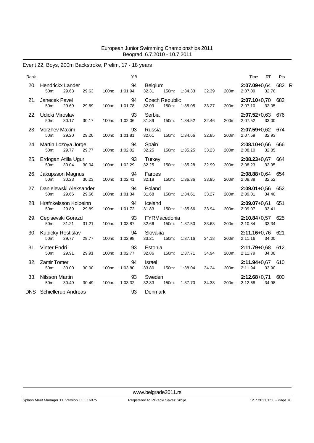# Event 22, Boys, 200m Backstroke, Prelim, 17 - 18 years

| Rank |                                               |       |       | YB            |                                |       |         |       |       | Time                                | RT    | Pts |  |
|------|-----------------------------------------------|-------|-------|---------------|--------------------------------|-------|---------|-------|-------|-------------------------------------|-------|-----|--|
| 20.  | Hendrickx Lander<br>50m:<br>29.63             | 29.63 | 100m: | 94<br>1:01.94 | Belgium<br>32.31               | 150m: | 1:34.33 | 32.39 | 200m: | 2:07.09+0,64 682 R<br>2:07.09       | 32.76 |     |  |
| 21.  | Janecek Pavel<br>50m:<br>29.69                | 29.69 | 100m: | 94<br>1:01.78 | <b>Czech Republic</b><br>32.09 | 150m: | 1:35.05 | 33.27 | 200m: | 2:07.10+0,70 682<br>2:07.10         | 32.05 |     |  |
| 22.  | Udicki Miroslav<br>30.17<br>50 <sub>m</sub> : | 30.17 | 100m: | 93<br>1:02.06 | Serbia<br>31.89                | 150m: | 1:34.52 | 32.46 | 200m: | $2:07.52+0.63$ 676<br>2:07.52       | 33.00 |     |  |
|      | 23. Vorzhev Maxim<br>50m:<br>29.20            | 29.20 | 100m: | 93<br>1:01.81 | Russia<br>32.61                | 150m: | 1:34.66 | 32.85 | 200m: | 2:07.59+0,62 674<br>2:07.59         | 32.93 |     |  |
| 24.  | Martin Lozoya Jorge<br>50m:<br>29.77          | 29.77 | 100m: | 94<br>1:02.02 | Spain<br>32.25                 | 150m: | 1:35.25 | 33.23 | 200m: | 2:08.10+0,66 666<br>2:08.10         | 32.85 |     |  |
|      | 25. Erdogan Atilla Ugur<br>30.04<br>$50m$ :   | 30.04 | 100m: | 93<br>1:02.29 | <b>Turkey</b><br>32.25         | 150m: | 1:35.28 | 32.99 | 200m: | $2:08.23+0.67$ 664<br>2:08.23       | 32.95 |     |  |
| 26.  | Jakupsson Magnus<br>50m:<br>30.23             | 30.23 | 100m: | 94<br>1:02.41 | Faroes<br>32.18                | 150m: | 1:36.36 | 33.95 | 200m: | $2:08.88 + 0.64$ 654<br>2:08.88     | 32.52 |     |  |
| 27.  | Danielewski Aleksander<br>50m:<br>29.66       | 29.66 | 100m: | 94<br>1:01.34 | Poland<br>31.68                | 150m: | 1:34.61 | 33.27 | 200m: | $2:09.01+0.56$ 652<br>2:09.01       | 34.40 |     |  |
|      | 28. Hrafnkelsson Kolbeinn<br>29.89<br>50m:    | 29.89 | 100m: | 94<br>1:01.72 | Iceland<br>31.83               | 150m: | 1:35.66 | 33.94 | 200m: | $2:09.07 + 0.61$ 651<br>2:09.07     | 33.41 |     |  |
|      | 29. Cepisevski Gorazd<br>31.21<br>$50m$ :     | 31.21 | 100m: | 93<br>1:03.87 | FYRMacedonia<br>32.66          | 150m: | 1:37.50 | 33.63 | 200m: | $2:10.84 + 0.57$ 625<br>2:10.84     | 33.34 |     |  |
| 30.  | Kubicky Rostislav<br>50m:<br>29.77            | 29.77 | 100m: | 94<br>1:02.98 | Slovakia<br>33.21              | 150m: | 1:37.16 | 34.18 | 200m: | 2:11.16+0,76 621<br>2:11.16         | 34.00 |     |  |
|      | 31. Vinter Endri<br>50m:<br>29.91             | 29.91 | 100m: | 93<br>1:02.77 | Estonia<br>32.86               | 150m: | 1:37.71 | 34.94 | 200m: | $2:11.79 + 0.68$ 612<br>2:11.79     | 34.08 |     |  |
|      | 32. Zamir Tomer<br>50m:<br>30.00              | 30.00 | 100m: | 94<br>1:03.80 | <b>Israel</b><br>33.80         | 150m: | 1:38.04 | 34.24 | 200m: | 2:11.94+0,67 610<br>2:11.94         | 33.90 |     |  |
|      | 33. Nilsson Martin<br>50m:<br>30.49           | 30.49 | 100m: | 93<br>1:03.32 | Sweden<br>32.83                | 150m: | 1:37.70 | 34.38 |       | $2:12.68+0,71$ 600<br>200m: 2:12.68 | 34.98 |     |  |
|      | <b>DNS</b> Schiellerup Andreas                |       |       |               | Denmark                        |       |         |       |       |                                     |       |     |  |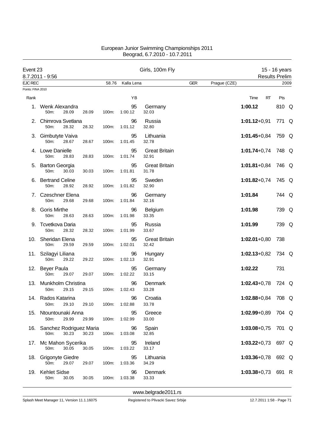| Event 23          | 8.7.2011 - 9:56                                  |       |       |               | Girls, 100m Fly               |            |              |                    |    | 15 - 16 years<br><b>Results Prelim</b> |      |
|-------------------|--------------------------------------------------|-------|-------|---------------|-------------------------------|------------|--------------|--------------------|----|----------------------------------------|------|
| <b>EJC REC</b>    |                                                  |       | 58.76 | Kalla Lena    |                               | <b>GER</b> | Prague (CZE) |                    |    |                                        | 2009 |
| Points: FINA 2010 |                                                  |       |       |               |                               |            |              |                    |    |                                        |      |
| Rank              |                                                  |       |       | ΥB            |                               |            |              | Time               | RT | Pts                                    |      |
| 1.                | Wenk Alexandra<br>50m:<br>28.09                  | 28.09 | 100m: | 95<br>1:00.12 | Germany<br>32.03              |            |              | 1:00.12            |    | 810 Q                                  |      |
|                   | 2. Chimrova Svetlana<br>28.32<br>50m:            | 28.32 | 100m: | 96<br>1:01.12 | Russia<br>32.80               |            |              | $1:01.12+0.91$     |    | 771 Q                                  |      |
|                   | 3. Gimbutyte Vaiva<br>50m:<br>28.67              | 28.67 | 100m: | 95<br>1:01.45 | Lithuania<br>32.78            |            |              | $1:01.45 + 0.84$   |    | 759 Q                                  |      |
|                   | 4. Lowe Danielle<br>28.83<br>50m:                | 28.83 | 100m: | 95<br>1:01.74 | <b>Great Britain</b><br>32.91 |            |              | $1:01.74 + 0.74$   |    | 748 Q                                  |      |
| 5.                | <b>Barton Georgia</b><br>50m:<br>30.03           | 30.03 | 100m: | 95<br>1:01.81 | <b>Great Britain</b><br>31.78 |            |              | $1:01.81 + 0.84$   |    | 746 Q                                  |      |
| 6.                | <b>Bertrand Celine</b><br>50m:<br>28.92          | 28.92 | 100m: | 95<br>1:01.82 | Sweden<br>32.90               |            |              | $1:01.82 + 0.74$   |    | 745 Q                                  |      |
|                   | 7. Czeschner Elena<br>50 <sub>m</sub> :<br>29.68 | 29.68 | 100m: | 96<br>1:01.84 | Germany<br>32.16              |            |              | 1:01.84            |    | 744 Q                                  |      |
| 8.                | <b>Goris Mirthe</b><br>50m:<br>28.63             | 28.63 | 100m: | 96<br>1:01.98 | <b>Belgium</b><br>33.35       |            |              | 1:01.98            |    | 739 Q                                  |      |
|                   | 9. Tcvetkova Daria<br>28.32<br>50m:              | 28.32 | 100m: | 95<br>1:01.99 | Russia<br>33.67               |            |              | 1:01.99            |    | 739 Q                                  |      |
| 10.               | Sheridan Elena<br>50m:<br>29.59                  | 29.59 | 100m: | 95<br>1:02.01 | <b>Great Britain</b><br>32.42 |            |              | $1:02.01+0,80$     |    | 738                                    |      |
|                   | 11. Szilagyi Liliana<br>50m:<br>29.22            | 29.22 | 100m: | 96<br>1:02.13 | Hungary<br>32.91              |            |              | $1:02.13+0.82$     |    | 734 Q                                  |      |
|                   | 12. Beyer Paula<br>50m:<br>29.07                 | 29.07 | 100m: | 95<br>1:02.22 | Germany<br>33.15              |            |              | 1:02.22            |    | 731                                    |      |
| 13.               | Munkholm Christina<br>29.15<br>50m:              | 29.15 | 100m: | 96<br>1:02.43 | Denmark<br>33.28              |            |              | $1:02.43 + 0.78$   |    | 724 Q                                  |      |
|                   | 14. Rados Katarina<br>29.10<br>50m:              | 29.10 | 100m: | 96<br>1:02.88 | Croatia<br>33.78              |            |              | 1:02.88+0,84 708 Q |    |                                        |      |
| 15.               | Ntountounaki Anna<br>50m:<br>29.99               | 29.99 | 100m: | 95<br>1:02.99 | Greece<br>33.00               |            |              | $1:02.99 + 0.89$   |    | 704 Q                                  |      |
|                   | 16. Sanchez Rodriguez Maria<br>50m:<br>30.23     | 30.23 | 100m: | 96<br>1:03.08 | Spain<br>32.85                |            |              | $1:03.08 + 0.75$   |    | 701 Q                                  |      |
| 17.               | Mc Mahon Sycerika<br>50m:<br>30.05               | 30.05 | 100m: | 95<br>1:03.22 | Ireland<br>33.17              |            |              | $1:03.22+0.73$     |    | 697 Q                                  |      |
|                   | 18. Grigonyte Giedre<br>50m:<br>29.07            | 29.07 | 100m: | 95<br>1:03.36 | Lithuania<br>34.29            |            |              | $1:03.36 + 0.78$   |    | 692 Q                                  |      |
| 19.               | <b>Kehlet Sidse</b><br>50m:<br>30.05             | 30.05 | 100m: | 96<br>1:03.38 | Denmark<br>33.33              |            |              | $1:03.38 + 0.73$   |    | 691 R                                  |      |

<www.belgrade2011.rs>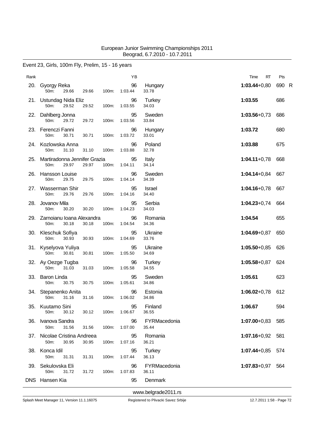### Event 23, Girls, 100m Fly, Prelim, 15 - 16 years

| Rank |                                                    |       |       | ΥB            |                        | RT<br>Time           | Pts   |  |
|------|----------------------------------------------------|-------|-------|---------------|------------------------|----------------------|-------|--|
|      | 20. Gyorgy Reka<br>29.66<br>50m:                   | 29.66 | 100m: | 96<br>1:03.44 | Hungary<br>33.78       | $1:03.44 + 0.80$     | 690 R |  |
|      | 21. Ustundag Nida Eliz<br>50m:<br>29.52            | 29.52 | 100m: | 96<br>1:03.55 | <b>Turkey</b><br>34.03 | 1:03.55              | 686   |  |
|      | 22. Dahlberg Jonna<br>50m:<br>29.72                | 29.72 | 100m: | 95<br>1:03.56 | Sweden<br>33.84        | $1:03.56 + 0.73$     | 686   |  |
|      | 23. Ferenczi Fanni<br>50m:<br>30.71                | 30.71 | 100m: | 96<br>1:03.72 | Hungary<br>33.01       | 1:03.72              | 680   |  |
|      | 24. Kozlowska Anna<br>50m:<br>31.10                | 31.10 | 100m: | 96<br>1:03.88 | Poland<br>32.78        | 1:03.88              | 675   |  |
| 25.  | Martiradonna Jennifer Grazia<br>29.97<br>50m:      | 29.97 | 100m: | 95<br>1:04.11 | Italy<br>34.14         | $1:04.11+0.78$       | 668   |  |
| 26.  | <b>Hansson Louise</b><br>50m:<br>29.75             | 29.75 | 100m: | 96<br>1:04.14 | Sweden<br>34.39        | $1:04.14 + 0.84$     | 667   |  |
|      | 27. Wasserman Shir<br>50m:<br>29.76                | 29.76 | 100m: | 95<br>1:04.16 | <b>Israel</b><br>34.40 | $1:04.16 + 0.78$     | 667   |  |
| 28.  | Jovanov Mila<br>30.20<br>50m:                      | 30.20 | 100m: | 95<br>1:04.23 | Serbia<br>34.03        | $1:04.23 + 0.74$     | 664   |  |
| 29.  | Zarnoianu Ioana Alexandra<br>50m:<br>30.18         | 30.18 | 100m: | 96<br>1:04.54 | Romania<br>34.36       | 1:04.54              | 655   |  |
|      | 30. Kleschuk Sofiya<br>50m:<br>30.93               | 30.93 | 100m: | 95<br>1:04.69 | Ukraine<br>33.76       | $1:04.69 + 0.87$     | 650   |  |
|      | 31. Kyselyova Yuliya<br>50m:<br>30.81              | 30.81 | 100m: | 95<br>1:05.50 | Ukraine<br>34.69       | $1:05.50 + 0.85$     | 626   |  |
|      | 32. Ay Oezge Tugba<br>50m:<br>31.03                | 31.03 | 100m: | 96<br>1:05.58 | Turkey<br>34.55        | $1:05.58 + 0.87$     | 624   |  |
| 33.  | Baron Linda<br>50m:<br>30.75                       | 30.75 | 100m: | 95<br>1:05.61 | Sweden<br>34.86        | 1:05.61              | 623   |  |
|      | 34. Stepanenko Anita<br>31.16<br>50 <sub>m</sub> : | 31.16 | 100m: | 96<br>1:06.02 | Estonia<br>34.86       | $1:06.02 + 0.78$     | 612   |  |
|      | 35. Kuutamo Sini<br>30.12<br>50m:                  | 30.12 | 100m: | 95<br>1:06.67 | Finland<br>36.55       | 1:06.67              | 594   |  |
| 36.  | Ivanova Sandra<br>50m:<br>31.56                    | 31.56 | 100m: | 96<br>1:07.00 | FYRMacedonia<br>35.44  | 1:07.00+0,83 585     |       |  |
|      | 37. Nicolae Cristina Andreea<br>50m:<br>30.95      | 30.95 | 100m: | 95<br>1:07.16 | Romania<br>36.21       | $1:07.16 + 0.92$ 581 |       |  |
|      | 38. Konca Idil<br>50m:<br>31.31                    | 31.31 | 100m: | 95<br>1:07.44 | Turkey<br>36.13        | 1:07.44+0,85 574     |       |  |
|      | 39. Sekulovska Eli<br>31.72<br>50m:                | 31.72 | 100m: | 96<br>1:07.83 | FYRMacedonia<br>36.11  | $1:07.83 + 0.97$     | 564   |  |
|      | DNS Hansen Kia                                     |       |       | 95            | Denmark                |                      |       |  |

<www.belgrade2011.rs>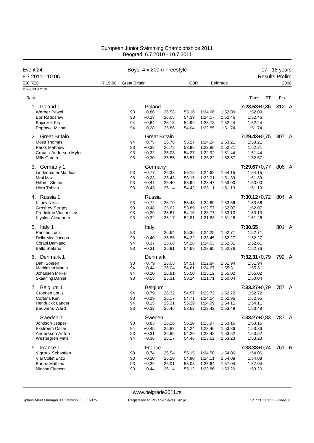| Event 24                            |         | Boys, 4 x 200m Freestyle |         | 17 - 18 years        |            |         |                 |                       |       |      |
|-------------------------------------|---------|--------------------------|---------|----------------------|------------|---------|-----------------|-----------------------|-------|------|
| 8.7.2011 - 10:06                    |         |                          |         |                      |            |         |                 | <b>Results Prelim</b> |       |      |
| <b>EJC REC</b><br>Points: FINA 2010 | 7:19.98 | <b>Great Britain</b>     |         |                      | <b>GBR</b> |         | <b>Belgrade</b> |                       |       | 2008 |
|                                     |         |                          |         |                      |            |         |                 |                       |       |      |
| Rank                                |         |                          |         |                      |            |         |                 | Time<br>RT            | Pts   |      |
| Poland 1<br>1.                      |         |                          | Poland  |                      |            |         |                 | $7:28.53+0.86$        | 812 A |      |
| <b>Werner Pawel</b>                 |         | 93                       | $+0,86$ | 26.58                | 55.16      | 1:24.06 | 1:52.09         | 1:52.09               |       |      |
| Bor Radoslaw                        |         | 93                       | $+0,23$ | 26.05                | 54.39      | 1:24.07 | 1:52.46         | 1:52.46               |       |      |
| <b>Bujoczek Filip</b>               |         | 94                       | $+0,64$ | 26.15                | 54.99      | 1:23.78 | 1:52.24         | 1:52.24               |       |      |
| Poprawa Michal                      |         | 94                       | $+0,28$ | 25.86                | 54.04      | 1:22.85 | 1:51.74         | 1:51.74               |       |      |
| 2. Great Britain 1                  |         |                          |         | <b>Great Britain</b> |            |         |                 | $7:29.43+0.75$        | 807 A |      |
| Moss Thomas                         |         | 94                       | $+0,75$ | 26.78                | 55.27      | 1:24.24 | 1:53.21         | 1:53.21               |       |      |
| <b>Parks Matthew</b>                |         | 93                       | $+0,38$ | 25.78                | 53.98      | 1:22.85 | 1:52.21         | 1:52.21               |       |      |
| Crouch-Anderson Myles               |         | 93                       | $+0,32$ | 26.08                | 54.27      | 1:22.92 | 1:51.44         | 1:51.44               |       |      |
| Mills Gareth                        |         | 93                       | $+0,30$ | 25.55                | 53.57      | 1:23.22 | 1:52.57         | 1:52.57               |       |      |
| 3. Germany 1                        |         |                          | Germany |                      |            |         |                 | $7:29.67+0.77$        | 806 A |      |
| <b>Lindenbauer Matthias</b>         |         | 93                       | $+0,77$ | 26.33                | 55.18      | 1:24.62 | 1:54.15         | 1:54.15               |       |      |
| Mral Max                            |         | 93                       | $+0.23$ | 25.43                | 53.15      | 1:22.01 | 1:51.39         | 1:51.39               |       |      |
| <b>Hillmer Steffen</b>              |         | 93                       | $+0,47$ | 25.40                | 53.99      | 1:23.47 | 1:53.00         | 1:53.00               |       |      |
| <b>Horn Tobias</b>                  |         | 93                       | $+0,43$ | 26.14                | 54.42      | 1:23.11 | 1:51.13         | 1:51.13               |       |      |
| 4. Russia 1                         |         |                          | Russia  |                      |            |         |                 | $7:30.12+0.72$        | 804 A |      |
| Kitaev Nikita                       |         | 93                       | $+0,72$ | 26.70                | 55.48      | 1:24.69 | 1:53.66         | 1:53.66               |       |      |
| Groshev Sergey                      |         | 93                       | $+0,48$ | 25.62                | 53.89      | 1:22.57 | 1:52.07         | 1:52.07               |       |      |
| Prudnikov Viacheslav                |         | 93                       | $+0,29$ | 25.67                | 54.16      | 1:23.77 | 1:53.13         | 1.53.13               |       |      |
| Klyukin Alexander                   |         | 93                       | $+0,32$ | 25.17                | 52.81      | 1:21.83 | 1:51.26         | 1:51.26               |       |      |
| 5. Italy 1                          |         |                          | Italy   |                      |            |         |                 | 7:30.55               | 801 A |      |
| Pancari Luca                        |         | 93                       |         | 26.64                | 55.35      | 1:24.25 | 1:52.71         | 1:52.71               |       |      |
| Della Mea Jacopo                    |         | 93                       | $+0,40$ | 25.86                | 54.22      | 1:23.45 | 1:52.27         | 1:52.27               |       |      |
| Corapi Damiano                      |         | 94                       | $+0,37$ | 25.68                | 54.28      | 1:24.03 | 1:52.81         | 1:52.81               |       |      |
| <b>Ballo Stefano</b>                |         | 93                       | $+0,31$ | 25.91                | 54.69      | 1:23.95 | 1:52.76         | 1:52.76               |       |      |
| 6. Denmark 1                        |         |                          | Denmark |                      |            |         |                 | $7:32.31+0.79$        | 792 A |      |
| Dahl Soeren                         |         | 93                       | $+0.79$ | 26.03                | 54.51      | 1:22.84 | 1:51.94         | 1:51.94               |       |      |
| Mathiesen Martin                    |         | 94                       | $+0,44$ | 26.04                | 54.61      | 1:24.67 | 1:55.31         | 1:55.31               |       |      |
| Johansen Mikkel                     |         | 94                       | $+0,20$ | 26.81                | 55.50      | 1:25.12 | 1:55.02         | 1:55.02               |       |      |
| <b>Skaaning Daniel</b>              |         | 93                       | $+0,15$ | 25.31                | 53.14      | 1:21.71 | 1:50.04         | 1:50.04               |       |      |
| Belgium 1<br>7.                     |         |                          | Belgium |                      |            |         |                 | 7:33.27+0,79          | 787 A |      |
| Croenen Louis                       |         | 94                       | $+0,79$ | 26.32                | 54.57      | 1:23.72 | 1:52.72         | 1:52.72               |       |      |
| Cortens Ken                         |         | 93                       | $+0,29$ | 26.17                | 54.71      | 1:24.04 | 1:52.95         | 1:52.95               |       |      |
| Hendrickx Lander                    |         | 94                       | $+0,15$ | 26.31                | 55.29      | 1:24.99 | 1:54.11         | 1:54.11               |       |      |
| <b>Bauwens Ward</b>                 |         | 93                       | $+0,32$ | 25.45                | 53.62      | 1:23.42 | 1.53.49         | 1:53.49               |       |      |
| Sweden 1                            |         |                          | Sweden  |                      |            |         |                 | $7:33.27+0.83$        | 787 A |      |
| Jonsson Jesper                      |         | 93                       | $+0,83$ | 26.26                | 55.10      | 1:23.97 | 1:53.16         | 1.53.16               |       |      |
| <b>Ekstroem Oscar</b>               |         | 94                       | $+0,45$ | 25.83                | 54.24      | 1:23.46 | 1:53.36         | 1:53.36               |       |      |
| Andersson Anton                     |         | 93                       | $+0,31$ | 25.85                | 54.20      | 1:23.42 | 1:53.52         | 1.53.52               |       |      |
| Westergren Mats                     |         | 94                       | $+0,36$ | 26.17                | 54.46      | 1:23.62 | 1:53.23         | 1:53.23               |       |      |
| 9. France 1                         |         |                          | France  |                      |            |         |                 | $7:38.38+0.74$        | 761 R |      |
| Vigroux Sebastien                   |         | 93                       | $+0,74$ | 26.54                | 55.15      | 1:24.50 | 1:54.06         | 1:54.06               |       |      |
| Vial Collet Enzo                    |         | 93                       | $+0,20$ | 26.20                | 54.90      | 1:24.11 | 1:54.08         | 1.54.08               |       |      |
| <b>Burtez Mathieu</b>               |         | 93                       | $+0,39$ | 26.01                | 55.08      | 1:25.64 | 1:57.04         | 1.57.04               |       |      |
| Mignon Clement                      |         | 93                       | $+0,44$ | 26.14                | 55.12      | 1:23.86 | 1:53.20         | 1:53.20               |       |      |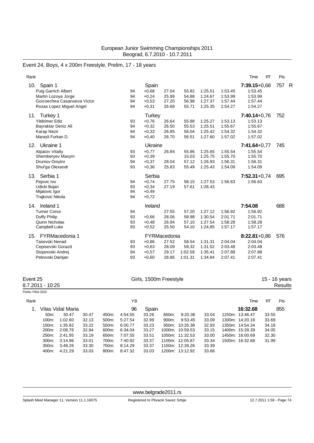# Event 24, Boys, 4 x 200m Freestyle, Prelim, 17 - 18 years

| Rank                                                                                                                           |                      |                                                           |                                                  |                                      |                                          |                                          | <b>RT</b><br>Time                                          | Pts                |
|--------------------------------------------------------------------------------------------------------------------------------|----------------------|-----------------------------------------------------------|--------------------------------------------------|--------------------------------------|------------------------------------------|------------------------------------------|------------------------------------------------------------|--------------------|
| Spain 1<br>10.<br><b>Puig Garrich Albert</b><br>Martin Lozoya Jorge<br>Goicoechea Casanueva Victor<br>Rozas Lopez Miguel Angel | 94<br>94<br>94<br>94 | Spain<br>$+0.68$<br>$+0,24$<br>$+0,53$<br>$+0,31$         | 27.04<br>25.99<br>27.20<br>26.68                 | 55.82<br>54.88<br>56.98<br>55.71     | 1:25.51<br>1:24.67<br>1.27.37<br>1:25.35 | 1:53.45<br>1:53.99<br>1:57.44<br>1:54.27 | $7:39.15+0.68$<br>1:53.45<br>1:53.99<br>1:57.44<br>1:54.27 | 757<br>$\mathsf R$ |
| Turkey 1<br>11.<br><b>Yildirimer Ediz</b><br>Bayraktar Deniz Ali<br><b>Karap Nezir</b><br>Marasli Furkan D.                    | 93<br>94<br>94<br>94 | <b>Turkey</b><br>$+0,76$<br>$+0,32$<br>$+0.33$<br>$+0,40$ | 26.64<br>26.50<br>26.85<br>26.70                 | 55.88<br>55.53<br>56.04<br>56.51     | 1:25.27<br>1:25.51<br>1:25.42<br>1.27.60 | 1:53.13<br>1:55.67<br>1:54.32<br>1:57.02 | $7:40.14+0.76$<br>1:53.13<br>1:55.67<br>1:54.32<br>1:57.02 | 752                |
| Ukraine 1<br>12.<br><b>Alpatov Vitaliy</b><br>Shemberyev Maxym<br>Drumov Dmytro<br>Shul'ga Olexandr                            | 93<br>93<br>94<br>93 | Ukraine<br>$+0,77$<br>$+0,39$<br>$+0.37$<br>$+0.36$       | 26.84<br>28.04<br>25.83                          | 55.86<br>15.03<br>57.12<br>55.49     | 1:25.65<br>1:25.75<br>1:26.93<br>1.25.43 | 1:55.54<br>1:55.70<br>1:56.31<br>1:54.09 | $7:41.64+0.77$<br>1:55.54<br>1:55.70<br>1:56.31<br>1:54.09 | 745                |
| Serbia 1<br>13.<br>Pejovic Ivo<br>Udicki Bojan<br>Mijatovic Igor<br>Trajkovic Nikola                                           | 94<br>93<br>94<br>94 | Serbia<br>$+0,74$<br>$+0,34$<br>$+0,49$<br>$+0,72$        | 27.75<br>27.19                                   | 58.15<br>57.61                       | 1:27.53<br>1:28.43                       | 1:56.63                                  | $7:52.31+0.74$<br>1:56.63                                  | 695                |
| Ireland 1<br>14.<br><b>Turner Conor</b><br>Duffy Philip<br>Quinn Nicholas<br>Campbell Luke                                     | 94<br>93<br>93<br>93 | Ireland<br>$+0.66$<br>$+0.48$<br>$+0,52$                  | 27.55<br>28.06<br>26.94<br>25.50                 | 57.20<br>58.98<br>57.10<br>54.10     | 1:27.12<br>1:30.54<br>1:27.54<br>1:24.85 | 1:56.92<br>2:01.71<br>1:58.28<br>1:57.17 | 7:54.08<br>1:56.92<br>2:01.71<br>1:58.28<br>1:57.17        | 688                |
| FYRMacedonia 1<br>15.<br>Tasevski Nenad<br>Cepisevski Gorazd<br>Stojanoski Andrej<br>Petrovski Damjan                          | 93<br>93<br>94<br>93 | $+0,86$<br>$+0,63$<br>$+0,57$<br>$+0,60$                  | FYRMacedonia<br>27.52<br>28.09<br>29.17<br>28.86 | 58.54<br>59.32<br>1:02.59<br>1:01.31 | 1:31.31<br>1:31.52<br>1:35.41<br>1.34.84 | 2:04.04<br>2:03.48<br>2:07.88<br>2:07.41 | $8:22.81+0.86$<br>2:04.04<br>2:03.48<br>2:07.88<br>2:07.41 | 576                |

| Event 25<br>8.7.2011 - 10:25 |                   |                   |       | Girls, 1500m Freestyle |         |       |       |                 |       |                 | 15 - 16 years<br>Results |     |  |  |
|------------------------------|-------------------|-------------------|-------|------------------------|---------|-------|-------|-----------------|-------|-----------------|--------------------------|-----|--|--|
| Points: FINA 2010            |                   |                   |       |                        |         |       |       |                 |       |                 |                          |     |  |  |
| Rank                         |                   |                   |       |                        | ΥB      |       |       |                 |       | Time            | <b>RT</b>                | Pts |  |  |
| 1.                           |                   | Vilas Vidal Maria |       |                        | 96      | Spain |       |                 |       | 16:32.68        |                          | 855 |  |  |
|                              | 50 <sub>m</sub> : | 30.47             | 30.47 | 450m:                  | 4:54.55 | 33.26 | 850m: | 9:20.36         | 33.04 | 1250m: 13:46.47 | 33.55                    |     |  |  |
|                              | 100m:             | 1:02.60           | 32.13 | 500m:                  | 5:27.54 | 32.99 | 900m: | 9:53.45         | 33.09 | 1300m: 14:20.16 | 33.69                    |     |  |  |
|                              | 150m:             | 1:35.82           | 33.22 | 550m.                  | 6:00.77 | 33.23 |       | 950m: 10:26.38  | 32.93 | 1350m: 14:54.34 | 34.18                    |     |  |  |
|                              | 200m:             | 2:08.76           | 32.94 | 600m:                  | 6:34.04 | 33.27 |       | 1000m: 10:59.53 | 33.15 | 1400m: 15:28.39 | 34.05                    |     |  |  |
|                              | 250m:             | 2:41.95           | 33.19 | 650m:                  | 7:07.55 | 33.51 |       | 1050m: 11:32.53 | 33.00 | 1450m: 16:00.69 | 32.30                    |     |  |  |
|                              | 300m:             | 3:14.96           | 33.01 | 700m:                  | 7:40.92 | 33.37 |       | 1100m: 12:05.87 | 33.34 | 1500m: 16:32.68 | 31.99                    |     |  |  |
|                              | 350m:             | 3:48.26           | 33.30 | 750m:                  | 8:14.29 | 33.37 |       | 1150m: 12:39.26 | 33.39 |                 |                          |     |  |  |
|                              | 400m:             | 4:21.29           | 33.03 | 800m:                  | 8:47.32 | 33.03 |       | 1200m: 13:12.92 | 33.66 |                 |                          |     |  |  |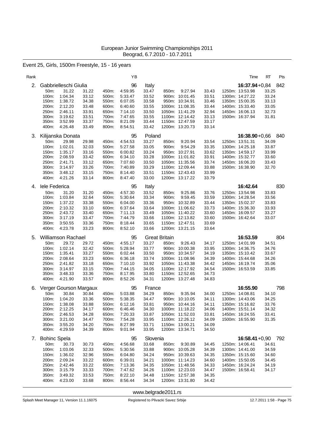### Event 25, Girls, 1500m Freestyle, 15 - 16 years

| Rank |                                                                                                  |                                                                                                              |                                                                      |                                                                      | YB                                                                                         |                                                                                              |                |                                                                                                                                            |                                                                      | Time                                                                                                                                | RT                                                        | Pts |
|------|--------------------------------------------------------------------------------------------------|--------------------------------------------------------------------------------------------------------------|----------------------------------------------------------------------|----------------------------------------------------------------------|--------------------------------------------------------------------------------------------|----------------------------------------------------------------------------------------------|----------------|--------------------------------------------------------------------------------------------------------------------------------------------|----------------------------------------------------------------------|-------------------------------------------------------------------------------------------------------------------------------------|-----------------------------------------------------------|-----|
| 2.   | Gabbrielleschi Giulia<br>50m:<br>100m:<br>150m:<br>200m:<br>250m:<br>300m:<br>350m:<br>400m:     | 31.22<br>1:04.34<br>1:38.72<br>2:12.20<br>2:46.11<br>3:19.62<br>3:52.99<br>4:26.48                           | 31.22<br>33.12<br>34.38<br>33.48<br>33.91<br>33.51<br>33.37<br>33.49 | 450m:<br>500m:<br>550m:<br>600m:<br>650m:<br>700m:<br>750m:<br>800m: | 96<br>4:59.95<br>5:33.47<br>6:07.05<br>6:40.60<br>7:14.10<br>7:47.65<br>8:21.09<br>8:54.51 | Italy<br>33.47<br>33.52<br>33.58<br>33.55<br>33.50<br>33.55<br>33.44<br>33.42                | 850m:          | 9:27.94<br>900m: 10:01.45<br>950m: 10:34.91<br>1000m: 11:08.35<br>1050m: 11:41.29<br>1100m: 12:14.42<br>1150m: 12:47.59<br>1200m: 13:20.73 | 33.43<br>33.51<br>33.46<br>33.44<br>32.94<br>33.13<br>33.17<br>33.14 | $16:37.94 + 0.84$<br>1250m: 13:53.98<br>1300m: 14:27.22<br>1350m: 15:00.35<br>1400m: 15:33.40<br>1450m: 16:06.13<br>1500m: 16:37.94 | 842<br>33.25<br>33.24<br>33.13<br>33.05<br>32.73<br>31.81 |     |
| 3.   | Kilijanska Donata<br>50m:<br>100m:<br>150m:<br>200m:<br>250m:<br>300m:<br>350m:<br>400m:         | 29.98<br>1:02.01<br>1:35.17<br>2:08.59<br>2:41.71<br>3:14.97<br>3:48.12<br>4:21.26                           | 29.98<br>32.03<br>33.16<br>33.42<br>33.12<br>33.26<br>33.15<br>33.14 | 450m:<br>500m:<br>550m:<br>600m:<br>650m:<br>700m:<br>750m:<br>800m: | 95<br>4:54.53<br>5:27.58<br>6:00.82<br>6:34.10<br>7:07.60<br>7:40.89<br>8:14.40<br>8:47.40 | Poland<br>33.27<br>33.05<br>33.24<br>33.28<br>33.50<br>33.29<br>33.51<br>33.00               | 850m:<br>900m: | 9:20.94<br>9:54.29<br>950m: 10:27.91<br>1000m: 11:01.82<br>1050m: 11:35.56<br>1100m: 12:09.44<br>1150m: 12:43.43<br>1200m: 13:17.22        | 33.54<br>33.35<br>33.62<br>33.91<br>33.74<br>33.88<br>33.99<br>33.79 | $16:38.90 + 0.66$<br>1250m: 13:51.31<br>1300m: 14:25.18<br>1350m: 14:59.17<br>1400m: 15:32.77<br>1450m: 16:06.20<br>1500m: 16:38.90 | 840<br>34.09<br>33.87<br>33.99<br>33.60<br>33.43<br>32.70 |     |
| 4.   | lele Federica<br>50m:<br>100m:<br>150m:<br>200m:<br>250m:<br>300m:<br>350m:<br>400m:             | 31.20<br>1:03.84<br>1:37.22<br>2:10.32<br>2:43.72<br>3:17.19<br>3:50.55<br>4:23.78                           | 31.20<br>32.64<br>33.38<br>33.10<br>33.40<br>33.47<br>33.36<br>33.23 | 450m:<br>500m:<br>550m:<br>600m:<br>650m:<br>700m:<br>750m:<br>800m: | 95<br>4:57.30<br>5:30.64<br>6:04.00<br>6:37.64<br>7:11.13<br>7:44.79<br>8:18.44<br>8:52.10 | Italy<br>33.52<br>33.34<br>33.36<br>33.64<br>33.49<br>33.66<br>33.65<br>33.66                | 850m:<br>900m: | 9:25.86<br>9:59.45<br>950m: 10:32.89<br>1000m: 11:06.62<br>1050m: 11:40.22<br>1100m: 12:13.82<br>1150m: 12:47.51<br>1200m: 13:21.15        | 33.76<br>33.59<br>33.44<br>33.73<br>33.60<br>33.60<br>33.69<br>33.64 | 16:42.64<br>1250m: 13:54.98<br>1300m: 14:28.54<br>1350m: 15:02.37<br>1400m: 15:36.30<br>1450m: 16:09.57<br>1500m: 16:42.64          | 33.83<br>33.56<br>33.83<br>33.93<br>33.27<br>33.07        | 830 |
| 5.   | <b>Williamson Rachael</b><br>50m:<br>100m:<br>150m:<br>200m:<br>250m:<br>300m:<br>350m:<br>400m: | 29.72<br>1:02.14<br>1:35.41<br>2:08.64<br>2:41.82<br>3:14.97<br>3:48.33<br>4:21.90                           | 29.72<br>32.42<br>33.27<br>33.23<br>33.18<br>33.15<br>33.36<br>33.57 | 450m:<br>500m:<br>550m:<br>600m:<br>650m:<br>700m:<br>750m:<br>800m: | 95<br>4:55.17<br>5:28.94<br>6:02.44<br>6:36.18<br>7:10.10<br>7:44.15<br>8:17.95<br>8:52.26 | <b>Great Britain</b><br>33.27<br>33.77<br>33.50<br>33.74<br>33.92<br>34.05<br>33.80<br>34.31 | 850m:          | 9:26.43<br>900m: 10:00.38<br>950m: 10:34.57<br>1000m: 11:08.96<br>1050m: 11:43.38<br>1100m: 12:17.92<br>1150m: 12:52.65<br>1200m: 13:27.48 | 34.17<br>33.95<br>34.19<br>34.39<br>34.42<br>34.54<br>34.73<br>34.83 | 16:53.59<br>1250m: 14:01.99<br>1300m: 14:36.75<br>1350m: 15:10.42<br>1400m: 15:44.68<br>1450m: 16:19.74<br>1500m: 16:53.59          | 804<br>34.51<br>34.76<br>33.67<br>34.26<br>35.06<br>33.85 |     |
| 6.   | 50m:<br>100m:<br>150m:<br>200m:<br>250m:<br>300m:<br>350m:<br>400m:                              | Verger Gourson Margaux<br>30.84<br>1:04.20<br>1:38.08<br>2:12.25<br>2:46.53<br>3:21.00<br>3:55.20<br>4:29.59 | 30.84<br>33.36<br>33.88<br>34.17<br>34.28<br>34.47<br>34.20<br>34.39 | 450m:<br>500m:<br>550m:<br>600m:<br>650m:<br>700m:<br>750m:<br>800m: | 95<br>5:03.88<br>5:38.35<br>6:12.16<br>6:46.46<br>7:20.33<br>7:54.28<br>8:27.99<br>9:01.94 | France<br>34.29<br>34.47<br>33.81<br>34.30<br>33.87<br>33.95<br>33.71<br>33.95               | 850m:          | 9:35.94<br>900m: 10:10.05<br>950m: 10:44.16<br>1000m: 11:18.22<br>1050m: 11:52.03<br>1100m: 12:26.12<br>1150m: 13:00.21<br>1200m: 13:34.71 | 34.00<br>34.11<br>34.11<br>34.06<br>33.81<br>34.09<br>34.09<br>34.50 | 16:55.90<br>1250m: 14:08.81<br>1300m: 14:43.06<br>1350m: 15:16.82<br>1400m: 15:51.14<br>1450m: 16:24.55<br>1500m: 16:55.90          | 34.10<br>34.25<br>33.76<br>34.32<br>33.41<br>31.35        | 798 |
| 7.   | <b>Bohinc Spela</b><br>50m:<br>100m:<br>150m:<br>200m:<br>250m:<br>300m:<br>350m:<br>400m:       | 30.73<br>1:03.06<br>1:36.02<br>2:09.24<br>2:42.46<br>3:15.79<br>3:49.32<br>4:23.00                           | 30.73<br>32.33<br>32.96<br>33.22<br>33.22<br>33.33<br>33.53<br>33.68 | 450m:<br>500m:<br>550m:<br>600m:<br>650m:<br>700m:<br>750m:<br>800m: | 95<br>4:56.68<br>5:30.56<br>6:04.80<br>6:39.01<br>7:13.36<br>7:47.62<br>8:22.10<br>8:56.44 | Slovenia<br>33.68<br>33.88<br>34.24<br>34.21<br>34.35<br>34.26<br>34.48<br>34.34             | 850m:          | 9:30.89<br>900m: 10:05.28<br>950m: 10:39.63<br>1000m: 11:14.23<br>1050m: 11:48.56<br>1100m: 12:23.03<br>1150m: 12:57.38<br>1200m: 13:31.80 | 34.45<br>34.39<br>34.35<br>34.60<br>34.33<br>34.47<br>34.35<br>34.42 | $16:58.41+0.90$<br>1250m: 14:06.41<br>1300m: 14:41.00<br>1350m: 15:15.60<br>1400m: 15:50.05<br>1450m: 16:24.24<br>1500m: 16:58.41   | 792<br>34.61<br>34.59<br>34.60<br>34.45<br>34.19<br>34.17 |     |

<www.belgrade2011.rs>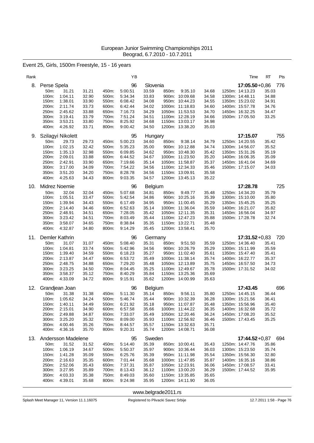Event 25, Girls, 1500m Freestyle, 15 - 16 years

| Rank |                                                                                                                                                                                       |                                                                                                                                              | YB                                                                                         |                                                                                        |                                                                                                                                                     |                                                                      | Time                                                                                                                                | RT<br>Pts                                                 |
|------|---------------------------------------------------------------------------------------------------------------------------------------------------------------------------------------|----------------------------------------------------------------------------------------------------------------------------------------------|--------------------------------------------------------------------------------------------|----------------------------------------------------------------------------------------|-----------------------------------------------------------------------------------------------------------------------------------------------------|----------------------------------------------------------------------|-------------------------------------------------------------------------------------------------------------------------------------|-----------------------------------------------------------|
| 8.   | Perse Spela<br>31.21<br>50 <sub>m</sub> :<br>100m:<br>1:04.11<br>1:38.01<br>150m:<br>200m:<br>2:11.74<br>250m:<br>2:45.62<br>300m:<br>3:19.41<br>350m:<br>3:53.21<br>400m:<br>4:26.92 | 31.21<br>450m:<br>32.90<br>500m:<br>33.90<br>550m:<br>600m:<br>33.73<br>33.88<br>650m:<br>33.79<br>700m:<br>33.80<br>750m:<br>33.71<br>800m: | 96<br>5:00.51<br>5:34.34<br>6:08.42<br>6:42.44<br>7:16.73<br>7:51.24<br>8:25.92<br>9:00.42 | Slovenia<br>33.59<br>33.83<br>34.08<br>34.02<br>34.29<br>34.51<br>34.68<br>34.50       | 850m:<br>9:35.10<br>900m: 10:09.68<br>950m: 10:44.23<br>1000m: 11:18.83<br>1050m: 11:53.53<br>1100m: 12:28.19<br>1150m: 13:03.17<br>1200m: 13:38.20 | 34.68<br>34.58<br>34.55<br>34.60<br>34.70<br>34.66<br>34.98<br>35.03 | $17:05.50 + 0.86$<br>1250m: 14:13.23<br>1300m: 14:48.11<br>1350m: 15:23.02<br>1400m: 15:57.78<br>1450m: 16:32.25<br>1500m: 17:05.50 | 776<br>35.03<br>34.88<br>34.91<br>34.76<br>34.47<br>33.25 |
| 9.   | Szilagyi Nikolett<br>50m:<br>29.73<br>100m:<br>1:02.15<br>1:35.13<br>150m:<br>2:09.01<br>200m:<br>2:42.91<br>250m:<br>300m:<br>3:17.00<br>350m:<br>3:51.20<br>400m:<br>4:25.63        | 29.73<br>450m:<br>32.42<br>500m:<br>32.98<br>550m:<br>33.88<br>600m:<br>33.90<br>650m:<br>34.09<br>700m:<br>34.20<br>750m:<br>34.43<br>800m: | 95<br>5:00.23<br>5:35.23<br>6:09.85<br>6:44.52<br>7:19.66<br>7:54.22<br>8:28.78<br>9:03.35 | Hungary<br>34.60<br>35.00<br>34.62<br>34.67<br>35.14<br>34.56<br>34.56<br>34.57        | 850m:<br>9:38.14<br>900m: 10:12.88<br>950m: 10:48.30<br>1000m: 11:23.50<br>1050m: 11:58.87<br>1100m: 12:34.33<br>1150m: 13:09.91<br>1200m: 13:45.13 | 34.79<br>34.74<br>35.42<br>35.20<br>35.37<br>35.46<br>35.58<br>35.22 | 17:15.07<br>1250m: 14:20.55<br>1300m: 14:56.07<br>1350m: 15:31.26<br>1400m: 16:06.35<br>1450m: 16:41.04<br>1500m: 17:15.07          | 755<br>35.42<br>35.52<br>35.19<br>35.09<br>34.69<br>34.03 |
| 10.  | Midrez Noemie<br>50m:<br>32.04<br>100m:<br>1:05.51<br>1:39.94<br>150m:<br>200m:<br>2:14.40<br>250m:<br>2:48.91<br>300m:<br>3:23.42<br>350m:<br>3:58.07<br>400m:<br>4:32.87            | 32.04<br>450m:<br>33.47<br>500m:<br>34.43<br>550m:<br>34.46<br>600m:<br>34.51<br>650m:<br>34.51<br>700m:<br>34.65<br>750m:<br>34.80<br>800m: | 96<br>5:07.68<br>5:42.54<br>6:17.49<br>6:52.63<br>7:28.05<br>8:03.49<br>8:38.84<br>9:14.29 | Belgium<br>34.81<br>34.86<br>34.95<br>35.14<br>35.42<br>35.44<br>35.35<br>35.45        | 850m:<br>9:49.77<br>900m: 10:25.16<br>950m: 11:00.45<br>1000m: 11:36.04<br>1050m: 12:11.35<br>1100m: 12:47.23<br>1150m: 13:22.71<br>1200m: 13:58.41 | 35.48<br>35.39<br>35.29<br>35.59<br>35.31<br>35.88<br>35.48<br>35.70 | 17:28.78<br>1250m: 14:34.20<br>1300m: 15:10.00<br>1350m: 15:45.25<br>1400m: 16:21.07<br>1450m: 16:56.04<br>1500m: 17:28.78          | 725<br>35.79<br>35.80<br>35.25<br>35.82<br>34.97<br>32.74 |
| 11.  | Demler Kathrin<br>50m:<br>31.07<br>100m:<br>1:04.81<br>150m:<br>1:39.40<br>200m:<br>2:13.87<br>250m:<br>2:48.75<br>3:23.25<br>300m:<br>3:58.37<br>350m:<br>400m:<br>4:33.09           | 31.07<br>450m:<br>500m:<br>33.74<br>34.59<br>550m:<br>34.47<br>600m:<br>34.88<br>650m:<br>34.50<br>700m:<br>35.12<br>750m:<br>34.72<br>800m: | 96<br>5:08.40<br>5:42.96<br>6:18.23<br>6:53.72<br>7:29.20<br>8:04.45<br>8:40.29<br>9:15.91 | Germany<br>35.31<br>34.56<br>35.27<br>35.49<br>35.48<br>35.25<br>35.84<br>35.62        | 850m:<br>9:51.50<br>900m: 10:26.79<br>950m: 11:02.40<br>1000m: 11:38.14<br>1050m: 12:13.89<br>1100m: 12:49.67<br>1150m: 13:25.36<br>1200m: 14:00.99 | 35.59<br>35.29<br>35.61<br>35.74<br>35.75<br>35.78<br>35.69<br>35.63 | $17:31.52 + 0.83$<br>1250m: 14:36.40<br>1300m: 15:11.99<br>1350m: 15:47.40<br>1400m: 16:22.77<br>1450m: 16:57.50<br>1500m: 17:31.52 | 720<br>35.41<br>35.59<br>35.41<br>35.37<br>34.73<br>34.02 |
| 12.  | Grandjean Joan<br>50m:<br>31.38<br>100m:<br>1:05.62<br>150m:<br>1:40.11<br>200m:<br>2:15.01<br>250m:<br>2:49.88<br>300m:<br>3:25.20<br>350m:<br>4:00.46<br>400m:<br>4:36.16           | 31.38<br>450m:<br>34.24<br>500m:<br>34.49<br>550m:<br>34.90<br>600m:<br>34.87<br>650m:<br>35.32<br>700m:<br>35.26<br>750m:<br>35.70<br>800m: | 96<br>5.11.30<br>5:46.74<br>6:21.92<br>6:57.58<br>7:33.07<br>8:09.00<br>8:44.57<br>9:20.31 | <b>Belgium</b><br>35.14<br>35.44<br>35.18<br>35.66<br>35.49<br>35.93<br>35.57<br>35.74 | 850m:<br>9:56.11<br>900m: 10:32.39<br>950m: 11:07.87<br>1000m: 11:44.22<br>1050m: 12:20.46<br>1100m: 12:56.92<br>1150m: 13:32.63<br>1200m: 14:08.71 | 35.80<br>36.28<br>35.48<br>36.35<br>36.24<br>36.46<br>35.71<br>36.08 | 17:43.45<br>1250m: 14:45.15<br>1300m: 15:21.56<br>1350m: 15:56.96<br>1400m: 16:32.68<br>1450m: 17:08.20<br>1500m: 17:43.45          | 696<br>36.44<br>36.41<br>35.40<br>35.72<br>35.52<br>35.25 |
| 13.  | Andersson Madelene<br>50m:<br>31.52<br>100m:<br>1:06.19<br>150m:<br>1:41.28<br>200m:<br>2:16.63<br>250m:<br>2:52.06<br>300m:<br>3:27.95<br>350m:<br>4:03.33<br>400m:<br>4:39.01       | 31.52<br>450m:<br>34.67<br>500m:<br>35.09<br>550m:<br>35.35<br>600m:<br>35.43<br>650m:<br>35.89<br>700m:<br>35.38<br>750m:<br>35.68<br>800m: | 95<br>5:14.40<br>5:50.37<br>6:25.76<br>7:01.44<br>7:37.31<br>8:13.43<br>8:49.03<br>9:24.98 | Sweden<br>35.39<br>35.97<br>35.39<br>35.68<br>35.87<br>36.12<br>35.60<br>35.95         | 850m: 10:00.41<br>900m: 10:36.44<br>950m: 11:11.98<br>1000m: 11:47.85<br>1050m: 12:23.91<br>1100m: 13:00.20<br>1150m: 13:35.85<br>1200m: 14:11.90   | 35.43<br>36.03<br>35.54<br>35.87<br>36.06<br>36.29<br>35.65<br>36.05 | 17:44.52+0,87 694<br>1250m: 14:47.76<br>1300m: 15:23.50<br>1350m: 15:56.30<br>1400m: 16:35.16<br>1450m: 17:08.57<br>1500m: 17:44.52 | 35.86<br>35.74<br>32.80<br>38.86<br>33.41<br>35.95        |

<www.belgrade2011.rs>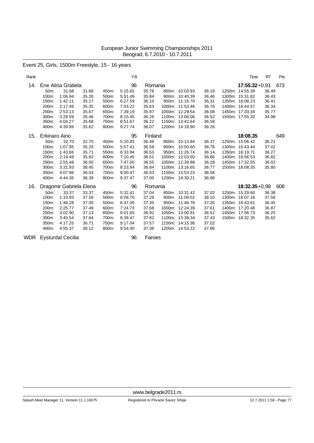Event 25, Girls, 1500m Freestyle, 15 - 16 years

| Rank |               |                         |       |       | YB      |         |       |                 |       | Time              | <b>RT</b> | Pts |
|------|---------------|-------------------------|-------|-------|---------|---------|-------|-----------------|-------|-------------------|-----------|-----|
| 14.  |               | Ene Alina Gratiela      |       |       | 96      | Romania |       |                 |       | $17:55.32 + 0.91$ |           | 673 |
|      | 50m:          | 31.68                   | 31.68 | 450m: | 5:15.65 | 35.76   |       | 850m: 10:03.93  | 36.19 | 1250m: 14:55.39   | 36.49     |     |
|      | $100m$ :      | 1:06.94                 | 35.26 | 500m: | 5:51.49 | 35.84   |       | 900m: 10:40.39  | 36.46 | 1300m: 15:31.82   | 36.43     |     |
|      | 150m:         | 1:42.11                 | 35.17 | 550m: | 6.27.59 | 36.10   | 950m: | 11:16.70        | 36.31 | 1350m: 16:08.23   | 36.41     |     |
|      | 200m:         | 2:17.46                 | 35.35 | 600m: | 7:03.22 | 35.63   |       | 1000m: 11:53.46 | 36.76 | 1400m: 16:44.57   | 36.34     |     |
|      | 250m:         | 2:53.13                 | 35.67 | 650m: | 7:39.19 | 35.97   |       | 1050m: 12:29.54 | 36.08 | 1450m: 17:20.34   | 35.77     |     |
|      | 300m:         | 3:28.59                 | 35.46 | 700m: | 8:15.45 | 36.26   |       | 1100m: 13:06.06 | 36.52 | 1500m: 17:55.32   | 34.98     |     |
|      | 350m:         | 4:04.27                 | 35.68 | 750m: | 8:51.67 | 36.22   |       | 1150m: 13:42.64 | 36.58 |                   |           |     |
|      | 400m:         | 4:39.89                 | 35.62 | 800m: | 9:27.74 | 36.07   |       | 1200m: 14:18.90 | 36.26 |                   |           |     |
| 15.  | Erkinaro Aino |                         |       |       | 95      | Finland |       |                 |       | 18:08.35          |           | 649 |
|      | 50m:          | 32.70                   | 32.70 | 450m: | 5:20.83 | 36.48   |       | 850m: 10:13.84  | 36.37 | 1250m: 15:06.42   | 36.21     |     |
|      | 100m:         | 1:07.95                 | 35.25 | 500m: | 5:57.41 | 36.58   | 900m: | 10:50.60        | 36.76 | 1300m: 15:43.44   | 37.02     |     |
|      | 150m:         | 1:43.66                 | 35.71 | 550m: | 6:33.94 | 36.53   |       | 950m: 11:26.74  | 36.14 | 1350m: 16:19.71   | 36.27     |     |
|      | 200m:         | 2:19.48                 | 35.82 | 600m: | 7:10.45 | 36.51   |       | 1000m: 12:03.60 | 36.86 | 1400m: 16:56.53   | 36.82     |     |
|      | 250m:         | 2:55.48                 | 36.00 | 650m: | 7:47.00 | 36.55   |       | 1050m: 12:39.88 | 36.28 | 1450m: 17:32.55   | 36.02     |     |
|      | 300m:         | 3:31.93                 | 36.45 | 700m: | 8:23.84 | 36.84   |       | 1100m: 13:16.65 | 36.77 | 1500m: 18:08.35   | 35.80     |     |
|      | 350m:         | 4:07.96                 | 36.03 | 750m: | 9:00.47 | 36.63   |       | 1150m: 13:53.23 | 36.58 |                   |           |     |
|      | 400m:         | 4:44.35                 | 36.39 | 800m: | 9:37.47 | 37.00   |       | 1200m: 14:30.21 | 36.98 |                   |           |     |
| 16.  |               | Dragomir Gabriela Elena |       |       | 96      | Romania |       |                 |       | $18:32.35+0.98$   |           | 608 |
|      | 50m:          | 33.37                   | 33.37 | 450m: | 5:32.41 | 37.04   |       | 850m: 10:31.42  | 37.02 | 1250m: 15:29.60   | 36.38     |     |
|      | 100m:         | 1:10.93                 | 37.56 | 500m: | 6:09.70 | 37.29   |       | 900m: 11:09.52  | 38.10 | 1300m: 16:07.16   | 37.56     |     |
|      | 150m:         | 1:48.28                 | 37.35 | 550m: | 6:47.05 | 37.35   |       | 950m: 11:46.78  | 37.26 | 1350m: 16:43.61   | 36.45     |     |
|      | 200m:         | 2:25.77                 | 37.49 | 600m: | 7:24.73 | 37.68   |       | 1000m: 12:24.39 | 37.61 | 1400m: 17:20.48   | 36.87     |     |
|      | 250m:         | 3:02.90                 | 37.13 | 650m: | 8:01.65 | 36.92   |       | 1050m: 13:00.91 | 36.52 | 1450m: 17:56.73   | 36.25     |     |
|      | 300m:         | 3:40.54                 | 37.64 | 700m: | 8:39.47 | 37.82   |       | 1100m: 13:38.34 | 37.43 | 1500m: 18:32.35   | 35.62     |     |
|      | 350m:         | 4:17.25                 | 36.71 | 750m: | 9:17.04 | 37.57   |       | 1150m: 14:15.36 | 37.02 |                   |           |     |
|      | 400m:         | 4:55.37                 | 38.12 | 800m: | 9:54.40 | 37.36   |       | 1200m: 14:53.22 | 37.86 |                   |           |     |

WDR Eysturdal Cecilia **1988 120 Faroes**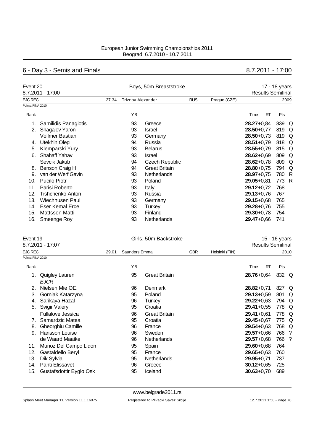# 6 - Day 3 - Semis and Finals 8.7.2011 - 17:00

|                   | Event 20             |       |                          | Boys, 50m Breaststroke |            |              |                |    |                          | 17 - 18 years |  |  |  |  |
|-------------------|----------------------|-------|--------------------------|------------------------|------------|--------------|----------------|----|--------------------------|---------------|--|--|--|--|
|                   | 8.7.2011 - 17:00     |       |                          |                        |            |              |                |    | <b>Results Semifinal</b> |               |  |  |  |  |
| <b>EJC REC</b>    |                      | 27.34 | <b>Triznov Alexander</b> |                        | <b>RUS</b> | Prague (CZE) |                |    |                          | 2009          |  |  |  |  |
| Points: FINA 2010 |                      |       |                          |                        |            |              |                |    |                          |               |  |  |  |  |
| Rank              |                      |       | YB                       |                        |            |              | Time           | RT | Pts                      |               |  |  |  |  |
|                   | Samilidis Panagiotis |       | 93                       | Greece                 |            |              | $28.27 + 0.84$ |    | 839                      | Q             |  |  |  |  |
| 2.                | Shagalov Yaron       |       | 93                       | <b>Israel</b>          |            |              | $28.50 + 0.77$ |    | 819                      | Q             |  |  |  |  |
|                   | Vollmer Bastian      |       | 93                       | Germany                |            |              | $28.50 + 0.73$ |    | 819                      | Q             |  |  |  |  |
| 4.                | Utekhin Oleg         |       | 94                       | Russia                 |            |              | $28.51 + 0.79$ |    | 818 Q                    |               |  |  |  |  |
| 5.                | Klemparski Yury      |       | 93                       | <b>Belarus</b>         |            |              | $28.55 + 0.79$ |    | 815                      | Q             |  |  |  |  |
| 6.                | Shahaff Yahav        |       | 93                       | <b>Israel</b>          |            |              | $28.62 + 0.69$ |    | 809                      | Q             |  |  |  |  |
|                   | Sevcik Jakub         |       | 94                       | <b>Czech Republic</b>  |            |              | $28.62 + 0.78$ |    | 809                      | Q             |  |  |  |  |
| 8.                | Benson Craig H       |       | 94                       | <b>Great Britain</b>   |            |              | $28.80 + 0.75$ |    | 794                      | Q             |  |  |  |  |
| 9.                | van der Werf Gavin   |       | 93                       | <b>Netherlands</b>     |            |              | $28.97 + 0.75$ |    | 780 R                    |               |  |  |  |  |
| 10.               | <b>Pucilo Piotr</b>  |       | 93                       | Poland                 |            |              | $29.05 + 0.81$ |    | 773                      | R             |  |  |  |  |
| 11.               | Parisi Roberto       |       | 93                       | Italy                  |            |              | $29.12 + 0.72$ |    | 768                      |               |  |  |  |  |
| 12.               | Tishchenko Anton     |       | 93                       | Russia                 |            |              | $29.13 + 0.76$ |    | 767                      |               |  |  |  |  |
| 13.               | Wiechhusen Paul      |       | 93                       | Germany                |            |              | $29.15 + 0.68$ |    | 765                      |               |  |  |  |  |
| 14.               | Eser Kemal Erce      |       | 93                       | <b>Turkey</b>          |            |              | $29.28 + 0.76$ |    | 755                      |               |  |  |  |  |
| 15.               | Mattsson Matti       |       | 93                       | Finland                |            |              | $29.30 + 0.78$ |    | 754                      |               |  |  |  |  |
| 16.               | Smeenge Roy          |       | 93                       | Netherlands            |            |              | $29.47 + 0.66$ |    | 741                      |               |  |  |  |  |

| Event 19<br>8.7.2011 - 17:07 |                          |       | Girls, 50m Backstroke |                      | 15 - 16 years<br><b>Results Semifinal</b> |                |                |       |      |
|------------------------------|--------------------------|-------|-----------------------|----------------------|-------------------------------------------|----------------|----------------|-------|------|
|                              |                          |       |                       |                      |                                           |                |                |       |      |
| EJC REC                      |                          | 29.01 | Saunders Emma         |                      | <b>GBR</b>                                | Helsinki (FIN) |                |       | 2010 |
| Points: FINA 2010            |                          |       |                       |                      |                                           |                |                |       |      |
| Rank                         |                          |       | ΥB                    |                      |                                           |                | RT<br>Time     | Pts   |      |
|                              | Quigley Lauren           |       | 95                    | <b>Great Britain</b> |                                           |                | $28.76 + 0.64$ | 832 Q |      |
|                              | <b>EJCR</b>              |       |                       |                      |                                           |                |                |       |      |
| 2.                           | Nielsen Mie OE.          |       | 96                    | Denmark              |                                           |                | $28.82 + 0.71$ | 827 Q |      |
| 3.                           | Gorniak Katarzyna        |       | 95                    | Poland               |                                           |                | $29.13 + 0.59$ | 801 Q |      |
| 4.                           | Sarikaya Hazal           |       | 96                    | Turkey               |                                           |                | $29.22 + 0.63$ | 794 Q |      |
| 5.                           | <b>Svigir Valery</b>     |       | 95                    | Croatia              |                                           |                | $29.41 + 0.55$ | 778 Q |      |
|                              | Fullalove Jessica        |       | 96                    | <b>Great Britain</b> |                                           |                | $29.41 + 0.61$ | 778 Q |      |
|                              | Samardzic Matea          |       | 95                    | Croatia              |                                           |                | $29.45 + 0.67$ | 775 Q |      |
| 8.                           | <b>Gheorghiu Camille</b> |       | 96                    | France               |                                           |                | $29.54 + 0.63$ | 768 Q |      |

| <b>U.</b> Uncorgana Carrillo | ັບ | 11 JUN 1 U  |                         |                                                                                                                                     |
|------------------------------|----|-------------|-------------------------|-------------------------------------------------------------------------------------------------------------------------------------|
| 9. Hansson Louise            | 96 | Sweden      |                         |                                                                                                                                     |
| de Waard Maaike              | 96 |             |                         |                                                                                                                                     |
| 11. Munoz Del Campo Lidon    |    |             |                         |                                                                                                                                     |
| 12. Gastaldello Beryl        | 95 | France      |                         |                                                                                                                                     |
| 13. Dik Sylvia               | 95 | Netherlands |                         |                                                                                                                                     |
|                              |    |             | Netherlands<br>95 Spain | <b>LUITIUIU IUU U</b><br>29.57+0,66 766 ?<br>29.57+0,68 766 ?<br><b>29.60</b> +0,68 764<br>29.65+0.63 760<br><b>29.95</b> +0.71 737 |

14. Panti Elissavet 96 Greece **30.12**+0,65 725 15. Gustafsdottir Eyglo Osk 95 Iceland **30.63**+0,70 689

<www.belgrade2011.rs>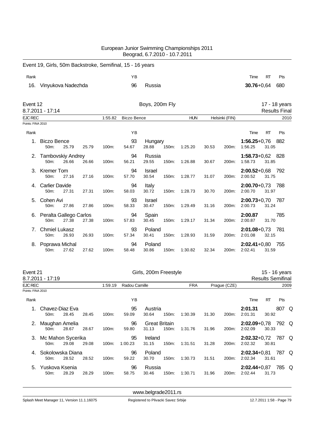| European Junior Swimming Championships 2011 |  |
|---------------------------------------------|--|
| Beograd, 6.7.2010 - 10.7.2011               |  |

|      | Event 19, Girls, 50m Backstroke, Semifinal, 15 - 16 years |    |        |                    |            |
|------|-----------------------------------------------------------|----|--------|--------------------|------------|
| Rank |                                                           | YΒ |        | Time<br>RT         | <b>Pts</b> |
|      | 16. Vinyukova Nadezhda                                    | 96 | Russia | $30.76 + 0.64$ 680 |            |

| Event 12          | 8.7.2011 - 17:14                               |       |       |         |                    | Boys, 200m Fly         |       |            |       |                |                                 |           | 17 - 18 years<br><b>Results Final</b> |
|-------------------|------------------------------------------------|-------|-------|---------|--------------------|------------------------|-------|------------|-------|----------------|---------------------------------|-----------|---------------------------------------|
| <b>EJC REC</b>    |                                                |       |       | 1:55.82 | <b>Biczo Bence</b> |                        |       | <b>HUN</b> |       | Helsinki (FIN) |                                 |           | 2010                                  |
| Points: FINA 2010 |                                                |       |       |         |                    |                        |       |            |       |                |                                 |           |                                       |
| Rank              |                                                |       |       |         | YB                 |                        |       |            |       |                | Time                            | <b>RT</b> | Pts                                   |
|                   | Biczo Bence<br>50m:                            | 25.79 | 25.79 | 100m:   | 93<br>54.67        | Hungary<br>28.88       | 150m: | 1:25.20    | 30.53 | 200m:          | $1:56.25+0.76$ 882<br>1:56.25   | 31.05     |                                       |
|                   | 2. Tambovskiy Andrey<br>50 <sub>m</sub> :      | 26.66 | 26.66 | 100m:   | 94<br>56.21        | Russia<br>29.55        | 150m: | 1:26.88    | 30.67 | 200m:          | 1:58.73+0,62 828<br>1:58.73     | 31.85     |                                       |
| 3.                | <b>Kremer Tom</b><br>50 <sub>m</sub> :         | 27.16 | 27.16 | 100m:   | 94<br>57.70        | <b>Israel</b><br>30.54 | 150m: | 1:28.77    | 31.07 | 200m:          | $2:00.52+0.68$ 792<br>2:00.52   | 31.75     |                                       |
| 4.                | <b>Carlier Davide</b><br>$50m$ :               | 27.31 | 27.31 | 100m:   | 94<br>58.03        | Italy<br>30.72         | 150m: | 1:28.73    | 30.70 | 200m:          | $2:00.70 + 0.73$<br>2:00.70     | 31.97     | - 788                                 |
| 5.                | Cohen Avi<br>50m:                              | 27.86 | 27.86 | 100m:   | 93<br>58.33        | <b>Israel</b><br>30.47 | 150m: | 1:29.49    | 31.16 | 200m:          | $2:00.73+0.70$ 787<br>2:00.73   | 31.24     |                                       |
|                   | 6. Peralta Gallego Carlos<br>50 <sub>m</sub> : | 27.38 | 27.38 | 100m:   | 94<br>57.83        | Spain<br>30.45         | 150m: | 1:29.17    | 31.34 | 200m:          | 2:00.87<br>2:00.87              | 31.70     | 785                                   |
| 7.                | <b>Chmiel Lukasz</b><br>50 <sub>m</sub> :      | 26.93 | 26.93 | 100m:   | 93<br>57.34        | Poland<br>30.41        | 150m: | 1:28.93    | 31.59 | 200m:          | $2:01.08 + 0.73$ 781<br>2:01.08 | 32.15     |                                       |
|                   | Poprawa Michal<br>50m:                         | 27.62 | 27.62 | 100m:   | 94<br>58.48        | Poland<br>30.86        | 150m: | 1:30.82    | 32.34 | 200m:          | $2:02.41+0.80$<br>2:02.41       | 31.59     | 755                                   |

| Event 21          | 8.7.2011 - 17:19                       |       |       |         |               | Girls, 200m Freestyle         |       |            |       |              |                             | 15 - 16 years<br><b>Results Semifinal</b> |       |  |
|-------------------|----------------------------------------|-------|-------|---------|---------------|-------------------------------|-------|------------|-------|--------------|-----------------------------|-------------------------------------------|-------|--|
| EJC REC           |                                        |       |       | 1:59.19 | Radou Camille |                               |       | <b>FRA</b> |       | Prague (CZE) |                             |                                           | 2009  |  |
| Points: FINA 2010 |                                        |       |       |         |               |                               |       |            |       |              |                             |                                           |       |  |
| Rank              |                                        |       |       |         | ΥB            |                               |       |            |       |              | Time                        | RT                                        | Pts   |  |
|                   | Chavez-Diaz Eva<br>50 <sub>m</sub> :   | 28.45 | 28.45 | 100m:   | 95<br>59.09   | Austria<br>30.64              | 150m: | 1:30.39    | 31.30 | 200m:        | 2:01.31<br>2:01.31          | 30.92                                     | 807 Q |  |
| 2.                | Maughan Amelia<br>50 <sub>m</sub> :    | 28.67 | 28.67 | 100m:   | 96<br>59.80   | <b>Great Britain</b><br>31.13 | 150m: | 1:31.76    | 31.96 | 200m:        | $2:02.09 + 0.78$<br>2:02.09 | 30.33                                     | 792 Q |  |
| 3.                | Mc Mahon Sycerika<br>50 <sub>m</sub> : | 29.08 | 29.08 | 100m:   | 95<br>1:00.23 | Ireland<br>31.15              | 150m: | 1:31.51    | 31.28 | 200m:        | $2:02.32+0.72$<br>2:02.32   | 30.81                                     | 787 Q |  |
|                   | Sokolowska Diana<br>50 <sub>m</sub> :  | 28.52 | 28.52 | 100m:   | 96<br>59.22   | Poland<br>30.70               | 150m: | 1:30.73    | 31.51 | 200m:        | $2:02.34 + 0.81$<br>2:02.34 | 31.61                                     | 787 Q |  |
| 5.                | Yuskova Ksenia<br>50 <sub>m</sub> :    | 28.29 | 28.29 | 100m:   | 96<br>58.75   | Russia<br>30.46               | 150m: | 1:30.71    | 31.96 | 200m:        | $2:02.44+0.87$<br>2:02.44   | 31.73                                     | 785 Q |  |

<www.belgrade2011.rs>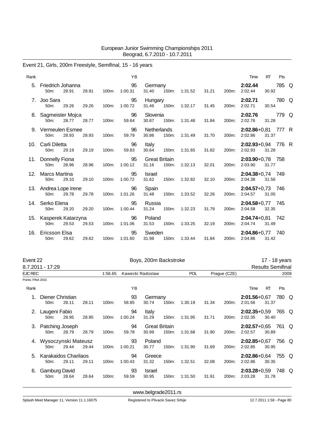### Event 21, Girls, 200m Freestyle, Semifinal, 15 - 16 years

| Rank |                                          |       |       |       | <b>YB</b>     |                               |       |                     |       |       | Time                            | <b>RT</b> | Pts   |  |
|------|------------------------------------------|-------|-------|-------|---------------|-------------------------------|-------|---------------------|-------|-------|---------------------------------|-----------|-------|--|
| 5.   | Friedrich Johanna<br>50m:                | 28.91 | 28.91 | 100m: | 95<br>1:00.31 | Germany<br>31.40              | 150m: | 1:31.52             | 31.21 | 200m: | 2:02.44<br>2:02.44              | 30.92     | 785 Q |  |
| 7.   | Joo Sara<br>50m:                         | 29.26 | 29.26 | 100m: | 95<br>1:00.72 | Hungary                       |       | 31.46 150m: 1:32.17 | 31.45 | 200m: | 2:02.71<br>2:02.71              | 30.54     | 780 Q |  |
|      | 8. Sagmeister Mojca<br>50 <sub>m</sub> : | 28.77 | 28.77 | 100m: | 96<br>59.64   | Slovenia<br>30.87             | 150m: | 1:31.48             | 31.84 | 200m: | 2:02.76<br>2:02.76              | 31.28     | 779 Q |  |
|      | 9. Vermeulen Esmee<br>50m:               | 28.93 | 28.93 | 100m: | 96<br>59.79   | Netherlands<br>30.86          | 150m: | 1:31.49             | 31.70 | 200m: | 2:02.86+0,81 777 R<br>2:02.86   | 31.37     |       |  |
| 10.  | Carli Diletta<br>50 <sub>m</sub> :       | 29.19 | 29.19 | 100m: | 96<br>59.83   | Italy<br>30.64                | 150m: | 1:31.65             | 31.82 | 200m: | $2:02.93+0.94$ 776 R<br>2:02.93 | 31.28     |       |  |
|      | 11. Donnelly Fiona<br>50 <sub>m</sub> :  | 28.96 | 28.96 | 100m: | 95<br>1:00.12 | <b>Great Britain</b><br>31.16 | 150m: | 1:32.13             | 32.01 | 200m: | $2:03.90 + 0.78$ 758<br>2:03.90 | 31.77     |       |  |
|      | 12. Marcs Martina<br>50m:                | 29.10 | 29.10 | 100m: | 95<br>1:00.72 | <b>Israel</b><br>31.62        | 150m: | 1:32.82             | 32.10 | 200m: | 2:04.38+0,74 749<br>2:04.38     | 31.56     |       |  |
|      | 13. Andrea Lope Irene<br>$50m$ :         | 29.78 | 29.78 | 100m: | 96<br>1:01.26 | Spain<br>31.48                | 150m: | 1:33.52             | 32.26 | 200m: | $2:04.57+0.73$ 746<br>2:04.57   | 31.05     |       |  |
|      | 14. Serko Elena<br>50 <sub>m</sub> :     | 29.20 | 29.20 | 100m: | 95<br>1:00.44 | Russia<br>31.24               | 150m: | 1:32.23             | 31.79 | 200m: | $2:04.58+0.77$ 745<br>2:04.58   | 32.35     |       |  |
| 15.  | Kasperek Katarzyna<br>$50m$ :            | 29.53 | 29.53 | 100m: | 96<br>1:01.06 | Poland<br>31.53               | 150m: | 1:33.25             | 32.19 | 200m: | $2:04.74+0.81$ 742<br>2:04.74   | 31.49     |       |  |
| 16.  | Ericsson Elsa<br>50 <sub>m</sub> :       | 29.62 | 29.62 | 100m: | 95<br>1:01.60 | Sweden<br>31.98               |       | 150m: 1:33.44       | 31.84 | 200m: | 2:04.86+0,77 740<br>2:04.86     | 31.42     |       |  |

| Event 22          |                                           |       |       |         |               | Boys, 200m Backstroke |                               |            |       |              |                                 |       | 17 - 18 years            |      |
|-------------------|-------------------------------------------|-------|-------|---------|---------------|-----------------------|-------------------------------|------------|-------|--------------|---------------------------------|-------|--------------------------|------|
|                   | 8.7.2011 - 17:29                          |       |       |         |               |                       |                               |            |       |              |                                 |       | <b>Results Semifinal</b> |      |
| EJC REC           |                                           |       |       | 1:56.65 |               | Kawecki Radoslaw      |                               | <b>POL</b> |       | Prague (CZE) |                                 |       |                          | 2009 |
| Points: FINA 2010 |                                           |       |       |         |               |                       |                               |            |       |              |                                 |       |                          |      |
| Rank              |                                           |       |       |         | YB            |                       |                               |            |       |              | Time                            | RT    | Pts                      |      |
| 1.                | Diener Christian<br>50 <sub>m</sub> :     | 28.11 | 28.11 | 100m:   | 93<br>58.85   | Germany<br>30.74      | 150m:                         | 1:30.19    | 31.34 | 200m:        | $2:01.56 + 0.67$<br>2:01.56     | 31.37 | 780 Q                    |      |
|                   | 2. Laugeni Fabio<br>50m:                  | 28.95 | 28.95 | 100m:   | 94<br>1:00.24 | Italy<br>31.29        | 150m:                         | 1:31.95    | 31.71 | 200m:        | $2:02.35 + 0.59$<br>2:02.35     | 30.40 | 765 Q                    |      |
|                   | 3. Patching Joseph<br>50m:                | 28.79 | 28.79 | 100m:   | 94<br>59.78   | 30.99                 | <b>Great Britain</b><br>150m: | 1:31.68    | 31.90 | 200m:        | $2:02.57+0.65$<br>2:02.57       | 30.89 | 761 Q                    |      |
| 4.                | Wysoczynski Mateusz<br>50 <sub>m</sub> :  | 29.44 | 29.44 | 100m:   | 93<br>1:00.21 | Poland<br>30.77       | 150m:                         | 1:31.90    | 31.69 | 200m:        | $2:02.85+0.67$ 756 Q<br>2:02.85 | 30.95 |                          |      |
| 5.                | Karakaidos Charilaos<br>50 <sub>m</sub> : | 29.11 | 29.11 | 100m:   | 94<br>1:00.43 | Greece<br>31.32       | 150m:                         | 1:32.51    | 32.08 | 200m:        | 2:02.86+0,64 755 Q<br>2:02.86   | 30.35 |                          |      |
| 6.                | Gamburg David<br>50m:                     | 28.64 | 28.64 | 100m:   | 93<br>59.59   | Israel<br>30.95       | 150m:                         | 1:31.50    | 31.91 | 200m:        | $2:03.28 + 0.59$<br>2:03.28     | 31.78 | 748 Q                    |      |

<www.belgrade2011.rs>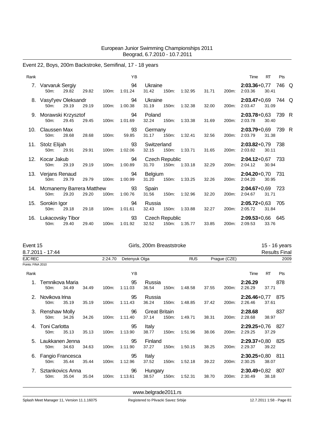# Event 22, Boys, 200m Backstroke, Semifinal, 17 - 18 years

| Rank |                                            |       |       |       | YB            |                                |       |               |       |       | Time                          | <b>RT</b> | Pts |  |
|------|--------------------------------------------|-------|-------|-------|---------------|--------------------------------|-------|---------------|-------|-------|-------------------------------|-----------|-----|--|
|      | 7. Varvaruk Sergiy<br>50 <sub>m</sub> :    | 29.82 | 29.82 | 100m: | 94<br>1:01.24 | Ukraine<br>31.42               | 150m: | 1:32.95       | 31.71 | 200m: | 2:03.36+0,77 746 Q<br>2:03.36 | 30.41     |     |  |
|      | 8. Vasyl'yev Oleksandr<br>50m:             | 29.19 | 29.19 | 100m: | 94<br>1:00.38 | Ukraine<br>31.19               | 150m: | 1:32.38       | 32.00 | 200m: | 2:03.47+0,69 744 Q<br>2:03.47 | 31.09     |     |  |
|      | 9. Morawski Krzysztof<br>50 <sub>m</sub> : | 29.45 | 29.45 | 100m: | 94<br>1:01.69 | Poland<br>32.24                |       | 150m: 1:33.38 | 31.69 | 200m: | 2:03.78+0,63 739 R<br>2:03.78 | 30.40     |     |  |
|      | 10. Claussen Max<br>50m:                   | 28.68 | 28.68 | 100m: | 93<br>59.85   | Germany<br>31.17               | 150m: | 1:32.41       | 32.56 | 200m: | 2:03.79+0,69 739 R<br>2:03.79 | 31.38     |     |  |
|      | 11. Stolz Elijah<br>50m:                   | 29.91 | 29.91 | 100m: | 93<br>1:02.06 | Switzerland<br>32.15           | 150m: | 1:33.71       | 31.65 | 200m: | $2:03.82+0.79$ 738<br>2:03.82 | 30.11     |     |  |
|      | 12. Kocar Jakub<br>50 <sub>m</sub> :       | 29.19 | 29.19 | 100m: | 94<br>1:00.89 | <b>Czech Republic</b><br>31.70 |       | 150m: 1:33.18 | 32.29 | 200m: | $2:04.12+0.67$ 733<br>2:04.12 | 30.94     |     |  |
|      | 13. Verjans Renaud<br>50m:                 | 29.79 | 29.79 | 100m: | 94<br>1:00.99 | Belgium<br>31.20               | 150m: | 1:33.25       | 32.26 | 200m: | $2:04.20+0,70$ 731<br>2:04.20 | 30.95     |     |  |
|      | 14. Mcmanemy Barrera Matthew<br>$50m$ :    | 29.20 | 29.20 | 100m: | 93<br>1:00.76 | Spain<br>31.56                 |       | 150m: 1:32.96 | 32.20 | 200m: | $2:04.67+0.69$ 723<br>2:04.67 | 31.71     |     |  |
|      | 15. Sorokin Igor<br>$50m$ :                | 29.18 | 29.18 | 100m: | 94<br>1:01.61 | Russia<br>32.43                | 150m: | 1:33.88       | 32.27 | 200m: | 2:05.72+0,63 705<br>2:05.72   | 31.84     |     |  |
| 16.  | Lukacovsky Tibor<br>50m:                   | 29.40 | 29.40 | 100m: | 93<br>1:01.92 | <b>Czech Republic</b><br>32.52 |       | 150m: 1:35.77 | 33.85 | 200m: | $2:09.53+0,66$ 645<br>2:09.53 | 33.76     |     |  |

| Event 15          |                                      |       |       |          |               | Girls, 200m Breaststroke      |          |            |       |              |                                 |           | 15 - 16 years        |
|-------------------|--------------------------------------|-------|-------|----------|---------------|-------------------------------|----------|------------|-------|--------------|---------------------------------|-----------|----------------------|
|                   | 8.7.2011 - 17:44                     |       |       |          |               |                               |          |            |       |              |                                 |           | <b>Results Final</b> |
| <b>EJC REC</b>    |                                      |       |       | 2:24.70  | Detenyuk Olga |                               |          | <b>RUS</b> |       | Prague (CZE) |                                 |           | 2009                 |
| Points: FINA 2010 |                                      |       |       |          |               |                               |          |            |       |              |                                 |           |                      |
| Rank              |                                      |       |       |          | YB            |                               |          |            |       |              | Time                            | <b>RT</b> | Pts                  |
|                   | Temnikova Maria<br>50 <sub>m</sub> : | 34.49 | 34.49 | 100m:    | 95<br>1:11.03 | Russia<br>36.54               | 150m:    | 1:48.58    | 37.55 | 200m:        | 2:26.29<br>2:26.29              | 37.71     | 878                  |
| 2.                | Novikova Irina<br>50 <sub>m</sub> :  | 35.19 | 35.19 | 100m:    | 95<br>1:11.43 | Russia<br>36.24               | 150m:    | 1:48.85    | 37.42 | 200m:        | 2:26.46+0,77 875<br>2:26.46     | 37.61     |                      |
|                   | 3. Renshaw Molly<br>$50m$ :          | 34.26 | 34.26 | 100m:    | 96<br>1:11.40 | <b>Great Britain</b><br>37.14 | 150m:    | 1:49.71    | 38.31 | 200m:        | 2:28.68<br>2:28.68              | 38.97     | 837                  |
| 4.                | <b>Toni Carlotta</b><br>50m:         | 35.13 | 35.13 | $100m$ : | 95<br>1:13.90 | Italy<br>38.77                | $150m$ : | 1:51.96    | 38.06 | 200m:        | 2:29.25+0,76 827<br>2:29.25     | 37.29     |                      |
| 5.                | Laukkanen Jenna<br>50 <sub>m</sub> : | 34.63 | 34.63 | $100m$ : | 95<br>1:11.90 | Finland<br>37.27              | 150m:    | 1:50.15    | 38.25 | 200m:        | $2:29.37+0.80$ 825<br>2:29.37   | 39.22     |                      |
| 6.                | Fangio Francesca<br>$50m$ :          | 35.44 | 35.44 | $100m$ : | 95<br>1:12.96 | Italy<br>37.52                | 150m:    | 1:52.18    | 39.22 | 200m:        | $2:30.25+0.80$ 811<br>2:30.25   | 38.07     |                      |
| 7.                | Sztankovics Anna<br>$50m$ :          | 35.04 | 35.04 | 100m:    | 96<br>1:13.61 | Hungary<br>38.57              | 150m:    | 1:52.31    | 38.70 | 200m:        | $2:30.49 + 0.82$ 807<br>2:30.49 | 38.18     |                      |

<www.belgrade2011.rs>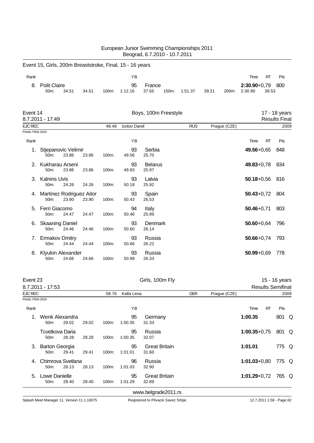|                   |                                                          |       |       |       |               | Beograd, 6.7.2010 - 10.7.2011 |       |            |       |              |                             |           |                                       |
|-------------------|----------------------------------------------------------|-------|-------|-------|---------------|-------------------------------|-------|------------|-------|--------------|-----------------------------|-----------|---------------------------------------|
|                   | Event 15, Girls, 200m Breaststroke, Final, 15 - 16 years |       |       |       |               |                               |       |            |       |              |                             |           |                                       |
| Rank              |                                                          |       |       |       | YB            |                               |       |            |       |              | Time                        | <b>RT</b> | Pts                                   |
| 8.                | <b>Polit Claire</b><br>50m:                              | 34.51 | 34.51 | 100m: | 95<br>1:12.16 | France<br>37.65               | 150m: | 1:51.37    | 39.21 | 200m:        | $2:30.90 + 0.79$<br>2:30.90 | 39.53     | 800                                   |
| Event 14          | 8.7.2011 - 17:49                                         |       |       |       |               | Boys, 100m Freestyle          |       |            |       |              |                             |           | 17 - 18 years<br><b>Results Final</b> |
| EJC REC           |                                                          |       |       | 48.48 | Izotov Daniil |                               |       | <b>RUS</b> |       | Prague (CZE) |                             |           | 2009                                  |
| Points: FINA 2010 |                                                          |       |       |       |               |                               |       |            |       |              |                             |           |                                       |
| Rank              |                                                          |       |       |       | YB            |                               |       |            |       |              | Time                        | <b>RT</b> | Pts                                   |
| 1.                | Stjepanovic Velimir<br>$50m$ :                           | 23.86 | 23.86 | 100m: | 93<br>49.56   | Serbia<br>25.70               |       |            |       |              | 49.56+0,65                  |           | 848                                   |
|                   | Kukharau Arseni<br>50m:                                  | 23.86 | 23.86 | 100m: | 93<br>49.83   | <b>Belarus</b><br>25.97       |       |            |       |              | $49.83 + 0.78$              |           | 834                                   |
| 3.                | <b>Kalnins Uvis</b><br>50m:                              | 24.26 | 24.26 | 100m: | 93<br>50.18   | Latvia<br>25.92               |       |            |       |              | $50.18 + 0.56$              |           | 816                                   |
|                   | 4. Martinez Rodriguez Aitor<br>50m:                      | 23.90 | 23.90 | 100m: | 93<br>50.43   | Spain<br>26.53                |       |            |       |              | $50.43 + 0.72$              |           | 804                                   |
| 5.                | Ferri Giacomo<br>50m:                                    | 24.47 | 24.47 | 100m: | 94<br>50.46   | Italy<br>25.99                |       |            |       |              | $50.46 + 0.71$              |           | 803                                   |
| 6.                | <b>Skaaning Daniel</b><br>50m:                           | 24.46 | 24.46 | 100m: | 93<br>50.60   | Denmark<br>26.14              |       |            |       |              | $50.60 + 0.64$              |           | 796                                   |
| 7.                | <b>Ermakov Dmitry</b><br>50m:                            | 24.44 | 24.44 | 100m: | 93<br>50.66   | Russia<br>26.22               |       |            |       |              | $50.66 + 0.74$              |           | 793                                   |
| 8.                | Klyukin Alexander<br>50m:                                | 24.66 | 24.66 | 100m: | 93<br>50.99   | Russia<br>26.33               |       |            |       |              | $50.99 + 0.69$              |           | 778                                   |

European Junior Swimming Championships 2011

| Event 23          |                                            |                            |       |       |               | Girls, 100m Fly               |            |              |                          | 15 - 16 years |      |
|-------------------|--------------------------------------------|----------------------------|-------|-------|---------------|-------------------------------|------------|--------------|--------------------------|---------------|------|
|                   | 8.7.2011 - 17:53                           |                            |       |       |               |                               |            |              | <b>Results Semifinal</b> |               |      |
| EJC REC           |                                            |                            |       | 58.76 | Kalla Lena    |                               | <b>GER</b> | Prague (CZE) |                          |               | 2009 |
| Points: FINA 2010 |                                            |                            |       |       |               |                               |            |              |                          |               |      |
| Rank              |                                            |                            |       |       | ΥB            |                               |            |              | <b>RT</b><br>Time        | Pts           |      |
|                   | 50m:                                       | Wenk Alexandra<br>29.02    | 29.02 | 100m: | 95<br>1:00.35 | Germany<br>31.33              |            |              | 1:00.35                  | 801 Q         |      |
|                   | Tcvetkova Daria<br>50m:                    | 28.28                      | 28.28 | 100m: | 95<br>1:00.35 | Russia<br>32.07               |            |              | $1:00.35 + 0.75$         | 801 Q         |      |
| 3.                | <b>Barton Georgia</b><br>50 <sub>m</sub> : | 29.41                      | 29.41 | 100m: | 95<br>1:01.01 | <b>Great Britain</b><br>31.60 |            |              | 1:01.01                  | 775 Q         |      |
| 4                 | 50m:                                       | Chimrova Svetlana<br>28.13 | 28.13 | 100m: | 96<br>1:01.03 | Russia<br>32.90               |            |              | $1:01.03 + 0.80$         | 775 Q         |      |
| 5.                | Lowe Danielle<br>50m:                      | 28.40                      | 28.40 | 100m: | 95<br>1:01.29 | <b>Great Britain</b><br>32.89 |            |              | $1:01.29 + 0.72$         | 765 Q         |      |
|                   |                                            |                            |       |       |               | www.belgrade2011.rs           |            |              |                          |               |      |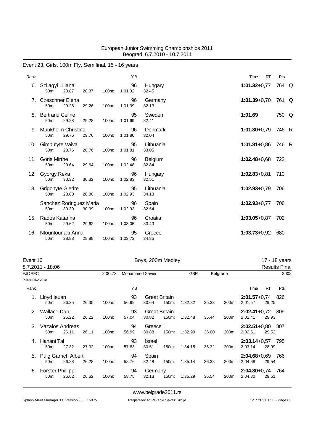### Event 23, Girls, 100m Fly, Semifinal, 15 - 16 years

| Rank |                                          |       |       | YB            |                         | <b>RT</b><br>Time | Pts   |
|------|------------------------------------------|-------|-------|---------------|-------------------------|-------------------|-------|
| 6.   | Szilagyi Liliana<br>$50m$ :<br>28.87     | 28.87 | 100m: | 96<br>1:01.32 | Hungary<br>32.45        | $1:01.32+0.77$    | 764 Q |
|      | 7. Czeschner Elena<br>50m:<br>29.26      | 29.26 | 100m: | 96<br>1:01.39 | Germany<br>32.13        | $1:01.39 + 0.70$  | 761 Q |
| 8.   | <b>Bertrand Celine</b><br>29.28<br>50m:  | 29.28 | 100m: | 95<br>1:01.69 | Sweden<br>32.41         | 1:01.69           | 750 Q |
| 9.   | Munkholm Christina<br>50m:<br>29.76      | 29.76 | 100m: | 96<br>1:01.80 | Denmark<br>32.04        | $1:01.80 + 0.79$  | 746 R |
| 10.  | Gimbutyte Vaiva<br>28.76<br>$50m$ :      | 28.76 | 100m: | 95<br>1:01.81 | Lithuania<br>33.05      | $1:01.81 + 0.86$  | 746 R |
| 11.  | <b>Goris Mirthe</b><br>50m:<br>29.64     | 29.64 | 100m: | 96<br>1:02.48 | <b>Belgium</b><br>32.84 | $1:02.48 + 0.68$  | 722   |
|      | 12. Gyorgy Reka<br>30.32<br>50m:         | 30.32 | 100m: | 96<br>1:02.83 | Hungary<br>32.51        | $1:02.83 + 0.81$  | 710   |
| 13.  | <b>Grigonyte Giedre</b><br>50m:<br>28.80 | 28.80 | 100m: | 95<br>1:02.93 | Lithuania<br>34.13      | $1:02.93+0.79$    | 706   |
|      | Sanchez Rodriguez Maria<br>30.39<br>50m: | 30.39 | 100m: | 96<br>1:02.93 | Spain<br>32.54          | $1:02.93+0.77$    | 706   |
| 15.  | Rados Katarina<br>29.62<br>50m:          | 29.62 | 100m: | 96<br>1:03.05 | Croatia<br>33.43        | $1:03.05 + 0.87$  | 702   |
| 16.  | Ntountounaki Anna<br>50m:<br>28.88       | 28.88 | 100m: | 95<br>1:03.73 | Greece<br>34.85         | $1:03.73+0.92$    | 680   |

Event 16 **Boys, 200m Medley Event 16** 17 - 18 years

|                   | 8.7.2011 - 18:06                             |       |       |         |                        |                               |       |            |       |                    |                                 |           | Results Fina |
|-------------------|----------------------------------------------|-------|-------|---------|------------------------|-------------------------------|-------|------------|-------|--------------------|---------------------------------|-----------|--------------|
| EJC REC           |                                              |       |       | 2:00.73 | <b>Mohammed Xavier</b> |                               |       | <b>GBR</b> |       | <b>Belgrade</b>    |                                 |           | 2008         |
| Points: FINA 2010 |                                              |       |       |         |                        |                               |       |            |       |                    |                                 |           |              |
| Rank              |                                              |       |       |         | YB                     |                               |       |            |       |                    | Time                            | <b>RT</b> | Pts          |
|                   | Lloyd leuan<br>50m:                          | 26.35 | 26.35 | 100m:   | 93<br>56.99            | <b>Great Britain</b><br>30.64 | 150m: | 1:32.32    | 35.33 | 200m:              | $2:01.57 + 0.74$<br>2:01.57     | 29.25     | - 826        |
| 2.                | Wallace Dan<br>50 <sub>m</sub> :             | 26.22 | 26.22 | 100m:   | 93<br>57.04            | <b>Great Britain</b><br>30.82 | 150m: | 1:32.48    | 35.44 | 200m:              | $2:02.41+0.72$ 809<br>2:02.41   | 29.93     |              |
|                   | Vazaios Andreas<br>50 <sub>m</sub> :         | 26.11 | 26.11 | 100m:   | 94<br>56.99            | Greece<br>30.88               | 150m: | 1:32.99    | 36.00 | 200m:              | $2:02.51+0.80$ 807<br>2:02.51   | 29.52     |              |
| 4.                | Hanani Tal<br>50m:                           | 27.32 | 27.32 | 100m:   | 93<br>57.83            | <b>Israel</b><br>30.51        | 150m: | 1:34.15    | 36.32 | 200m:              | $2:03.14 + 0.57$<br>2:03.14     | 28.99     | 795          |
| 5.                | Puig Garrich Albert<br>50m:                  | 26.28 | 26.28 | 100m:   | 94<br>58.76            | Spain<br>32.48                | 150m: | 1:35.14    | 36.38 | 200 <sub>m</sub> : | $2:04.68 + 0.69$<br>2:04.68     | 29.54     | 766          |
| 6.                | <b>Forster Phillipp</b><br>50 <sub>m</sub> : | 26.62 | 26.62 | 100m:   | 94<br>58.75            | Germany<br>32.13              | 150m: | 1:35.29    | 36.54 | 200m:              | $2:04.80 + 0.74$ 764<br>2:04.80 | 29.51     |              |

<www.belgrade2011.rs>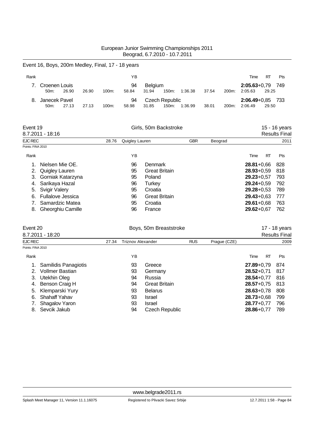### Event 16, Boys, 200m Medley, Final, 17 - 18 years

| Rank |                          |       |       |       | ΥB          |                         |       |         |       |                    | Time                            | <b>RT</b><br>Pts |
|------|--------------------------|-------|-------|-------|-------------|-------------------------|-------|---------|-------|--------------------|---------------------------------|------------------|
|      | Croenen Louis<br>$50m$ : | 26.90 | 26.90 | 100m: | 94<br>58.84 | <b>Belgium</b><br>31.94 | 150m: | 1:36.38 | 37.54 | 200m:              | $2:05.63+0.79$ 749<br>2:05.63   | 29.25            |
|      | Janecek Pavel<br>$50m$ : | 27.13 | 27.13 | 100m: | 94<br>58.98 | Czech Republic<br>31.85 | 150m: | 1:36.99 | 38.01 | 200 <sub>m</sub> : | $2:06.49 + 0.85$ 733<br>2:06.49 | 29.50            |

|                          |                                                                                                     |    |                      | 15 - 16 years<br><b>Results Final</b> |                       |      |           |                                                                                                                                              |      |
|--------------------------|-----------------------------------------------------------------------------------------------------|----|----------------------|---------------------------------------|-----------------------|------|-----------|----------------------------------------------------------------------------------------------------------------------------------------------|------|
|                          | 28.76                                                                                               |    |                      | <b>GBR</b>                            | Beograd               |      |           |                                                                                                                                              |      |
|                          |                                                                                                     |    |                      |                                       |                       |      |           |                                                                                                                                              |      |
|                          |                                                                                                     | ΥB |                      |                                       |                       | Time | <b>RT</b> | Pts                                                                                                                                          |      |
| Nielsen Mie OE.          |                                                                                                     | 96 | Denmark              |                                       |                       |      |           | 828                                                                                                                                          |      |
| Quigley Lauren           |                                                                                                     | 95 | <b>Great Britain</b> |                                       |                       |      |           | 818                                                                                                                                          |      |
|                          |                                                                                                     | 95 | Poland               |                                       |                       |      |           | 793                                                                                                                                          |      |
| Sarikaya Hazal           |                                                                                                     | 96 | Turkey               |                                       |                       |      |           | 792                                                                                                                                          |      |
| <b>Svigir Valery</b>     |                                                                                                     | 95 | Croatia              |                                       |                       |      |           | 789                                                                                                                                          |      |
| <b>Fullalove Jessica</b> |                                                                                                     | 96 | <b>Great Britain</b> |                                       |                       |      |           | 777                                                                                                                                          |      |
| Samardzic Matea          |                                                                                                     | 95 | Croatia              |                                       |                       |      |           | 763                                                                                                                                          |      |
| <b>Gheorghiu Camille</b> |                                                                                                     | 96 | France               |                                       |                       |      |           | 762                                                                                                                                          |      |
|                          | Event 19<br>8.7.2011 - 18:16<br>EJC REC<br>Points: FINA 2010<br>2.<br>Gorniak Katarzyna<br>3.<br>5. |    |                      | Quigley Lauren                        | Girls, 50m Backstroke |      |           | $28.81 + 0.66$<br>$28.93 + 0.59$<br>$29.23 + 0.57$<br>$29.24 + 0.59$<br>$29.28 + 0.53$<br>$29.43 + 0.63$<br>$29.61 + 0.68$<br>$29.62 + 0.67$ | 2011 |

|                   | Event 20             |       | Boys, 50m Breaststroke   |                      |            |              |                |           | 17 - 18 years        |  |  |  |
|-------------------|----------------------|-------|--------------------------|----------------------|------------|--------------|----------------|-----------|----------------------|--|--|--|
|                   | 8.7.2011 - 18:20     |       |                          |                      |            |              |                |           | <b>Results Final</b> |  |  |  |
| EJC REC           |                      | 27.34 | <b>Triznov Alexander</b> |                      | <b>RUS</b> | Prague (CZE) |                |           | 2009                 |  |  |  |
| Points: FINA 2010 |                      |       |                          |                      |            |              |                |           |                      |  |  |  |
| Rank              |                      |       | ΥB                       |                      |            |              | Time           | <b>RT</b> | Pts                  |  |  |  |
| 1.                | Samilidis Panagiotis |       | 93                       | Greece               |            |              | $27.89 + 0.79$ |           | 874                  |  |  |  |
|                   | Vollmer Bastian      |       | 93                       | Germany              |            |              | $28.52 + 0.71$ |           | 817                  |  |  |  |
| 3.                | Utekhin Oleg         |       | 94                       | Russia               |            |              | $28.54 + 0.77$ |           | 816                  |  |  |  |
| 4.                | Benson Craig H       |       | 94                       | <b>Great Britain</b> |            |              | $28.57 + 0.75$ |           | 813                  |  |  |  |
| 5.                | Klemparski Yury      |       | 93                       | <b>Belarus</b>       |            |              | $28.63 + 0.78$ |           | 808                  |  |  |  |
| 6.                | <b>Shahaff Yahav</b> |       | 93                       | <b>Israel</b>        |            |              | $28.73 + 0.68$ |           | 799                  |  |  |  |
|                   | Shagalov Yaron       |       | 93                       | Israel               |            |              | $28.77 + 0.77$ |           | 796                  |  |  |  |
| 8.                | Sevcik Jakub         |       | 94                       | Czech Republic       |            |              | $28.86 + 0.77$ |           | 789                  |  |  |  |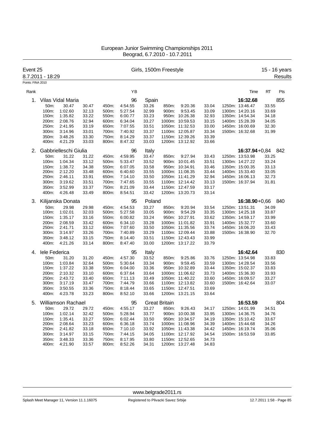| Event 25          | 8.7.2011 - 18:29 |                           |                |                |                    |                | Girls, 1500m Freestyle |                                    |                |                                    |                | 15 - 16 years<br><b>Results</b> |
|-------------------|------------------|---------------------------|----------------|----------------|--------------------|----------------|------------------------|------------------------------------|----------------|------------------------------------|----------------|---------------------------------|
| Points: FINA 2010 |                  |                           |                |                |                    |                |                        |                                    |                |                                    |                |                                 |
| Rank              |                  |                           |                |                | YB                 |                |                        |                                    |                | Time                               | RT             | Pts                             |
| 1.                |                  | Vilas Vidal Maria         |                |                | 96                 | Spain          |                        |                                    |                | 16:32.68                           |                | 855                             |
|                   | 50m:             | 30.47                     | 30.47          | 450m:          | 4:54.55            | 33.26          | 850m:                  | 9:20.36                            | 33.04          | 1250m: 13:46.47                    | 33.55          |                                 |
|                   | 100m:            | 1:02.60                   | 32.13          | 500m:          | 5:27.54            | 32.99          | 900m:                  | 9:53.45                            | 33.09          | 1300m: 14:20.16                    | 33.69          |                                 |
|                   | 150m:            | 1:35.82                   | 33.22          | 550m:          | 6:00.77            | 33.23          |                        | 950m: 10:26.38                     | 32.93          | 1350m: 14:54.34                    | 34.18          |                                 |
|                   | 200m:            | 2:08.76                   | 32.94          | 600m:          | 6:34.04            | 33.27          |                        | 1000m: 10:59.53                    | 33.15          | 1400m: 15:28.39                    | 34.05          |                                 |
|                   | 250m:            | 2:41.95                   | 33.19          | 650m:          | 7:07.55            | 33.51          |                        | 1050m: 11:32.53                    | 33.00          | 1450m: 16:00.69                    | 32.30          |                                 |
|                   | 300m:            | 3:14.96                   | 33.01          | 700m:          | 7:40.92            | 33.37          |                        | 1100m: 12:05.87                    | 33.34          | 1500m: 16:32.68                    | 31.99          |                                 |
|                   | 350m:            | 3:48.26                   | 33.30          | 750m:          | 8:14.29            | 33.37          |                        | 1150m: 12:39.26                    | 33.39          |                                    |                |                                 |
|                   | 400m:            | 4:21.29                   | 33.03          | 800m:          | 8:47.32            | 33.03          |                        | 1200m: 13:12.92                    | 33.66          |                                    |                |                                 |
| 2.                |                  | Gabbrielleschi Giulia     |                |                | 96                 | Italy          |                        |                                    |                | $16:37.94 + 0.84$                  |                | 842                             |
|                   | 50m:             | 31.22                     | 31.22          | 450m:          | 4:59.95            | 33.47          | 850m:                  | 9:27.94                            | 33.43          | 1250m: 13:53.98                    | 33.25          |                                 |
|                   | 100m:            | 1:04.34                   | 33.12          | 500m:          | 5:33.47            | 33.52          |                        | 900m: 10:01.45                     | 33.51          | 1300m: 14:27.22                    | 33.24          |                                 |
|                   | 150m:            | 1:38.72                   | 34.38          | 550m:          | 6:07.05            | 33.58          |                        | 950m: 10:34.91                     | 33.46          | 1350m: 15:00.35                    | 33.13          |                                 |
|                   | 200m:            | 2:12.20                   | 33.48          | 600m:          | 6:40.60            | 33.55          |                        | 1000m: 11:08.35                    | 33.44          | 1400m: 15:33.40                    | 33.05          |                                 |
|                   | 250m:            | 2:46.11                   | 33.91          | 650m:          | 7:14.10            | 33.50          |                        | 1050m: 11:41.29                    | 32.94          | 1450m: 16:06.13                    | 32.73          |                                 |
|                   | 300m:            | 3:19.62                   | 33.51          | 700m:          | 7:47.65            | 33.55          |                        | 1100m: 12:14.42                    | 33.13          | 1500m: 16:37.94                    | 31.81          |                                 |
|                   | 350m:            | 3:52.99                   | 33.37          | 750m:          | 8:21.09            | 33.44          |                        | 1150m: 12:47.59                    | 33.17          |                                    |                |                                 |
|                   | 400m:            | 4:26.48                   | 33.49          | 800m:          | 8:54.51            | 33.42          |                        | 1200m: 13:20.73                    | 33.14          |                                    |                |                                 |
| З.                |                  | Kilijanska Donata         |                |                | 95                 | Poland         |                        |                                    |                | $16:38.90 + 0,66$                  |                | 840                             |
|                   | 50m:             | 29.98                     | 29.98          | 450m:          | 4:54.53            | 33.27          | 850m:                  | 9:20.94                            | 33.54          | 1250m: 13:51.31                    | 34.09          |                                 |
|                   | 100m:            | 1:02.01                   | 32.03          | 500m:          | 5:27.58            | 33.05          | 900m:                  | 9:54.29                            | 33.35          | 1300m: 14:25.18                    | 33.87          |                                 |
|                   | 150m:            | 1:35.17                   | 33.16          | 550m:          | 6:00.82            | 33.24          |                        | 950m: 10:27.91                     | 33.62          | 1350m: 14:59.17                    | 33.99          |                                 |
|                   | 200m:            | 2:08.59                   | 33.42          | 600m:          | 6:34.10            | 33.28          |                        | 1000m: 11:01.82                    | 33.91          | 1400m: 15:32.77                    | 33.60          |                                 |
|                   | 250m:            | 2:41.71                   | 33.12          | 650m:          | 7:07.60            | 33.50          |                        | 1050m: 11:35.56                    | 33.74          | 1450m: 16:06.20                    | 33.43          |                                 |
|                   | 300m:<br>350m:   | 3:14.97<br>3:48.12        | 33.26<br>33.15 | 700m:<br>750m: | 7:40.89<br>8:14.40 | 33.29<br>33.51 |                        | 1100m: 12:09.44<br>1150m: 12:43.43 | 33.88<br>33.99 | 1500m: 16:38.90                    | 32.70          |                                 |
|                   | 400m:            | 4:21.26                   | 33.14          | 800m:          | 8:47.40            | 33.00          |                        | 1200m: 13:17.22                    | 33.79          |                                    |                |                                 |
|                   |                  |                           |                |                |                    |                |                        |                                    |                |                                    |                |                                 |
| 4.                | lele Federica    |                           |                |                | 95                 | Italy          |                        |                                    |                | 16:42.64                           |                | 830                             |
|                   | 50m:             | 31.20                     | 31.20          | 450m:          | 4:57.30            | 33.52          | 850m:                  | 9:25.86                            | 33.76          | 1250m: 13:54.98                    | 33.83          |                                 |
|                   | 100m:            | 1:03.84                   | 32.64          | 500m:          | 5:30.64            | 33.34          | 900m:                  | 9:59.45                            | 33.59          | 1300m: 14:28.54                    | 33.56          |                                 |
|                   | 150m:            | 1:37.22                   | 33.38          | 550m:          | 6:04.00            | 33.36          |                        | 950m: 10:32.89                     | 33.44          | 1350m: 15:02.37                    | 33.83          |                                 |
|                   | 200m:<br>250m:   | 2:10.32<br>2:43.72        | 33.10          | 600m:          | 6:37.64            | 33.64          |                        | 1000m: 11:06.62                    | 33.73          | 1400m: 15:36.30                    | 33.93          |                                 |
|                   | 300m:            | 3:17.19                   | 33.40<br>33.47 | 650m:<br>700m: | 7:11.13<br>7:44.79 | 33.49<br>33.66 |                        | 1050m: 11:40.22<br>1100m: 12:13.82 | 33.60<br>33.60 | 1450m: 16:09.57<br>1500m: 16:42.64 | 33.27<br>33.07 |                                 |
|                   | 350m:            | 3:50.55                   | 33.36          | 750m:          | 8:18.44            | 33.65          |                        | 1150m: 12:47.51                    | 33.69          |                                    |                |                                 |
|                   | 400m:            | 4:23.78                   | 33.23          | 800m:          | 8:52.10            | 33.66          |                        | 1200m: 13:21.15                    | 33.64          |                                    |                |                                 |
|                   |                  |                           |                |                |                    |                |                        |                                    |                |                                    |                |                                 |
| 5.                |                  | <b>Williamson Rachael</b> |                |                | 95                 |                | <b>Great Britain</b>   |                                    |                | 16:53.59                           |                | 804                             |
|                   | 50m:             | 29.72                     | 29.72          | 450m:          | 4:55.17            | 33.27          | 850m:                  | 9:26.43                            | 34.17          | 1250m: 14:01.99                    | 34.51          |                                 |
|                   | 100m:<br>150m:   | 1:02.14<br>1:35.41        | 32.42<br>33.27 | 500m:<br>550m: | 5:28.94<br>6:02.44 | 33.77<br>33.50 |                        | 900m: 10:00.38<br>950m: 10:34.57   | 33.95<br>34.19 | 1300m: 14:36.75<br>1350m: 15:10.42 | 34.76<br>33.67 |                                 |
|                   | 200m:            | 2:08.64                   | 33.23          | 600m:          | 6:36.18            | 33.74          |                        | 1000m: 11:08.96                    | 34.39          | 1400m: 15:44.68                    | 34.26          |                                 |
|                   | 250m:            | 2:41.82                   | 33.18          | 650m:          | 7:10.10            | 33.92          |                        | 1050m: 11:43.38                    | 34.42          | 1450m: 16:19.74                    | 35.06          |                                 |
|                   | 300m:            | 3:14.97                   | 33.15          | 700m:          | 7:44.15            | 34.05          |                        | 1100m: 12:17.92                    | 34.54          | 1500m: 16:53.59                    | 33.85          |                                 |
|                   | 350m:            | 3:48.33                   | 33.36          | 750m:          | 8:17.95            | 33.80          |                        | 1150m: 12:52.65                    | 34.73          |                                    |                |                                 |
|                   | 400m:            | 4:21.90                   | 33.57          | 800m:          | 8:52.26            | 34.31          |                        | 1200m: 13:27.48                    | 34.83          |                                    |                |                                 |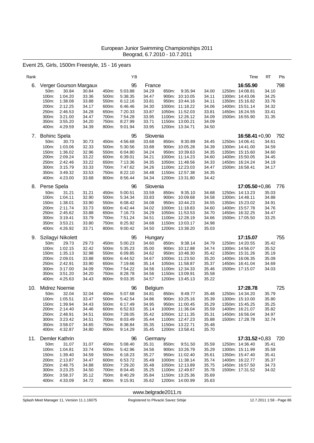### Event 25, Girls, 1500m Freestyle, 15 - 16 years

| Rank |                 |                        |                |                | ΥB                 |                |       |                                   |                | Time                               | RT             | Pts |
|------|-----------------|------------------------|----------------|----------------|--------------------|----------------|-------|-----------------------------------|----------------|------------------------------------|----------------|-----|
| 6.   |                 | Verger Gourson Margaux |                |                | 95                 | France         |       |                                   |                | 16:55.90                           |                | 798 |
|      | 50m:            | 30.84                  | 30.84          | 450m:          | 5:03.88            | 34.29          | 850m: | 9:35.94                           | 34.00          | 1250m: 14:08.81                    | 34.10          |     |
|      | 100m:<br>150m:  | 1:04.20<br>1:38.08     | 33.36<br>33.88 | 500m:<br>550m: | 5:38.35<br>6:12.16 | 34.47<br>33.81 |       | 900m: 10:10.05<br>950m: 10:44.16  | 34.11<br>34.11 | 1300m: 14:43.06<br>1350m: 15:16.82 | 34.25<br>33.76 |     |
|      | 200m:           | 2:12.25                | 34.17          | 600m:          | 6:46.46            | 34.30          |       | 1000m: 11:18.22                   | 34.06          | 1400m: 15:51.14                    | 34.32          |     |
|      | 250m:           | 2:46.53                | 34.28          | 650m:          | 7:20.33            | 33.87          |       | 1050m: 11:52.03                   | 33.81          | 1450m: 16:24.55                    | 33.41          |     |
|      | 300m:           | 3:21.00                | 34.47          | 700m:          | 7:54.28            | 33.95          |       | 1100m: 12:26.12                   | 34.09          | 1500m: 16:55.90                    | 31.35          |     |
|      | 350m:           | 3:55.20                | 34.20          | 750m:          | 8:27.99<br>9:01.94 | 33.71          |       | 1150m: 13:00.21                   | 34.09          |                                    |                |     |
|      | 400m:           | 4:29.59                | 34.39          | 800m:          |                    | 33.95          |       | 1200m: 13:34.71                   | 34.50          |                                    |                |     |
|      | 7. Bohinc Spela |                        |                |                | 95                 | Slovenia       |       |                                   |                | $16:58.41+0.90$                    |                | 792 |
|      | 50m:            | 30.73                  | 30.73          | 450m:          | 4:56.68            | 33.68          | 850m: | 9:30.89                           | 34.45          | 1250m: 14:06.41                    | 34.61          |     |
|      | 100m:<br>150m:  | 1:03.06<br>1:36.02     | 32.33<br>32.96 | 500m:<br>550m: | 5:30.56<br>6:04.80 | 33.88<br>34.24 |       | 900m: 10:05.28<br>950m: 10:39.63  | 34.39<br>34.35 | 1300m: 14:41.00<br>1350m: 15:15.60 | 34.59<br>34.60 |     |
|      | 200m:           | 2:09.24                | 33.22          | 600m:          | 6:39.01            | 34.21          |       | 1000m: 11:14.23                   | 34.60          | 1400m: 15:50.05                    | 34.45          |     |
|      | 250m:           | 2:42.46                | 33.22          | 650m:          | 7:13.36            | 34.35          |       | 1050m: 11:48.56                   | 34.33          | 1450m: 16:24.24                    | 34.19          |     |
|      | 300m:           | 3:15.79                | 33.33          | 700m:          | 7:47.62            | 34.26          |       | 1100m: 12:23.03                   | 34.47          | 1500m: 16:58.41                    | 34.17          |     |
|      | 350m:           | 3:49.32                | 33.53          | 750m:          | 8:22.10            | 34.48          |       | 1150m: 12:57.38                   | 34.35          |                                    |                |     |
|      | 400m:           | 4:23.00                | 33.68          | 800m:          | 8:56.44            | 34.34          |       | 1200m: 13:31.80                   | 34.42          |                                    |                |     |
| 8.   | Perse Spela     |                        |                |                | 96                 | Slovenia       |       |                                   |                | $17:05.50 + 0.86$                  |                | 776 |
|      | 50m:            | 31.21                  | 31.21          | 450m:          | 5:00.51            | 33.59          | 850m: | 9:35.10                           | 34.68          | 1250m: 14:13.23                    | 35.03          |     |
|      | 100m:<br>150m:  | 1:04.11<br>1:38.01     | 32.90<br>33.90 | 500m:<br>550m: | 5.34.34<br>6:08.42 | 33.83<br>34.08 |       | 900m: 10:09.68<br>950m: 10:44.23  | 34.58<br>34.55 | 1300m: 14:48.11<br>1350m: 15:23.02 | 34.88<br>34.91 |     |
|      | 200m:           | 2:11.74                | 33.73          | 600m:          | 6:42.44            | 34.02          |       | 1000m: 11:18.83                   | 34.60          | 1400m: 15:57.78                    | 34.76          |     |
|      | 250m:           | 2:45.62                | 33.88          | 650m:          | 7:16.73            | 34.29          |       | 1050m: 11:53.53                   | 34.70          | 1450m: 16:32.25                    | 34.47          |     |
|      | 300m:           | 3:19.41                | 33.79          | 700m:          | 7:51.24            | 34.51          |       | 1100m: 12:28.19                   | 34.66          | 1500m: 17:05.50                    | 33.25          |     |
|      | 350m:           | 3:53.21                | 33.80          | 750m:          | 8:25.92            | 34.68          |       | 1150m: 13:03.17                   | 34.98          |                                    |                |     |
|      | 400m:           | 4:26.92                | 33.71          | 800m:          | 9:00.42            | 34.50          |       | 1200m: 13:38.20                   | 35.03          |                                    |                |     |
| 9.   |                 | Szilagyi Nikolett      |                |                | 95                 | Hungary        |       |                                   |                | 17:15.07                           |                | 755 |
|      | 50m:            | 29.73                  | 29.73          | 450m:          | 5:00.23            | 34.60          | 850m: | 9:38.14                           | 34.79          | 1250m: 14:20.55                    | 35.42          |     |
|      | 100m:<br>150m:  | 1:02.15<br>1:35.13     | 32.42<br>32.98 | 500m:<br>550m: | 5:35.23<br>6:09.85 | 35.00<br>34.62 |       | 900m: 10:12.88<br>950m: 10:48.30  | 34.74<br>35.42 | 1300m: 14:56.07<br>1350m: 15:31.26 | 35.52<br>35.19 |     |
|      | 200m:           | 2:09.01                | 33.88          | 600m:          | 6:44.52            | 34.67          |       | 1000m: 11:23.50                   | 35.20          | 1400m: 16:06.35                    | 35.09          |     |
|      | 250m:           | 2:42.91                | 33.90          | 650m:          | 7:19.66            | 35.14          |       | 1050m: 11:58.87                   | 35.37          | 1450m: 16:41.04                    | 34.69          |     |
|      | 300m:           | 3:17.00                | 34.09          | 700m:          | 7:54.22            | 34.56          |       | 1100m: 12:34.33                   | 35.46          | 1500m: 17:15.07                    | 34.03          |     |
|      | 350m:           | 3:51.20                | 34.20          | 750m:          | 8:28.78            | 34.56          |       | 1150m: 13:09.91                   | 35.58          |                                    |                |     |
|      | 400m:           | 4:25.63                | 34.43          | 800m:          | 9:03.35            | 34.57          |       | 1200m: 13:45.13                   | 35.22          |                                    |                |     |
| 10.  |                 | Midrez Noemie          |                |                | 96                 | <b>Belgium</b> |       |                                   |                | 17:28.78                           |                | 725 |
|      | 50m:            | 32.04                  | 32.04          | 450m:          | 5:07.68            | 34.81          | 850m: | 9:49.77                           | 35.48          | 1250m: 14:34.20                    | 35.79          |     |
|      | 100m:           | 1:05.51                | 33.47          | 500m:<br>550m: | 5:42.54            | 34.86<br>34.95 |       | 900m: 10:25.16<br>950m: 11:00.45  | 35.39<br>35.29 | 1300m: 15:10.00                    | 35.80          |     |
|      | 150m:<br>200m:  | 1:39.94<br>2:14.40     | 34.43<br>34.46 | 600m:          | 6:17.49<br>6:52.63 | 35.14          |       | 1000m: 11:36.04                   | 35.59          | 1350m: 15:45.25<br>1400m: 16:21.07 | 35.25<br>35.82 |     |
|      | 250m:           | 2:48.91                | 34.51          | 650m:          | 7:28.05            | 35.42          |       | 1050m: 12:11.35                   | 35.31          | 1450m: 16:56.04                    | 34.97          |     |
|      | 300m:           | 3:23.42                | 34.51          | 700m:          | 8:03.49            | 35.44          |       | 1100m: 12:47.23                   | 35.88          | 1500m: 17:28.78                    | 32.74          |     |
|      | 350m:           | 3:58.07                | 34.65          | 750m:          | 8:38.84            | 35.35          |       | 1150m: 13:22.71                   | 35.48          |                                    |                |     |
|      | 400m:           | 4:32.87                | 34.80          | 800m:          | 9:14.29            | 35.45          |       | 1200m: 13:58.41                   | 35.70          |                                    |                |     |
| 11.  |                 | Demler Kathrin         |                |                | 96                 | Germany        |       |                                   |                | 17:31.52+0,83 720                  |                |     |
|      | 50m:            | 31.07                  | 31.07          | 450m:          | 5:08.40            | 35.31          | 850m: | 9:51.50                           | 35.59          | 1250m: 14:36.40                    | 35.41          |     |
|      | 100m:           | 1:04.81                | 33.74          | 500m:          | 5:42.96            | 34.56          |       | 900m: 10:26.79                    | 35.29          | 1300m: 15:11.99                    | 35.59          |     |
|      | 150m:<br>200m:  | 1:39.40<br>2:13.87     | 34.59<br>34.47 | 550m:<br>600m: | 6:18.23<br>6.53.72 | 35.27<br>35.49 |       | 950m: 11:02.40<br>1000m: 11:38.14 | 35.61<br>35.74 | 1350m: 15:47.40<br>1400m: 16:22.77 | 35.41<br>35.37 |     |
|      | 250m:           | 2:48.75                | 34.88          | 650m:          | 7:29.20            | 35.48          |       | 1050m: 12:13.89                   | 35.75          | 1450m: 16:57.50                    | 34.73          |     |
|      | 300m:           | 3:23.25                | 34.50          | 700m:          | 8:04.45            | 35.25          |       | 1100m: 12:49.67                   | 35.78          | 1500m: 17:31.52                    | 34.02          |     |
|      | 350m:           | 3:58.37                | 35.12          | 750m:          | 8:40.29            | 35.84          |       | 1150m: 13:25.36                   | 35.69          |                                    |                |     |
|      | 400m:           | 4:33.09                | 34.72          | 800m:          | 9:15.91            | 35.62          |       | 1200m: 14:00.99                   | 35.63          |                                    |                |     |

<www.belgrade2011.rs>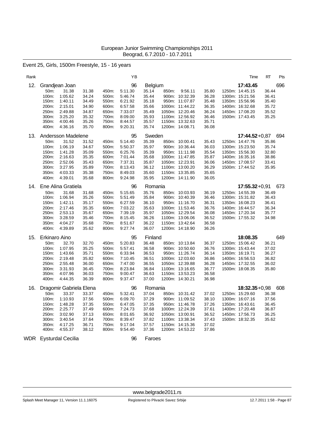Event 25, Girls, 1500m Freestyle, 15 - 16 years

| Rank       |                      |                                  |                |                | YB                 |                  |       |                                    |                | Time                               | RT             | Pts |
|------------|----------------------|----------------------------------|----------------|----------------|--------------------|------------------|-------|------------------------------------|----------------|------------------------------------|----------------|-----|
| 12.        |                      | Grandjean Joan                   |                |                | 96                 | <b>Belgium</b>   |       |                                    |                | 17:43.45                           |                | 696 |
|            | 50m:                 | 31.38                            | 31.38          | 450m:          | 5:11.30            | 35.14            | 850m: | 9:56.11                            | 35.80          | 1250m: 14:45.15                    | 36.44          |     |
|            | 100m:                | 1:05.62                          | 34.24          | 500m:          | 5:46.74            | 35.44            |       | 900m: 10:32.39                     | 36.28          | 1300m: 15:21.56                    | 36.41          |     |
|            | 150m:                | 1:40.11                          | 34.49          | 550m:          | 6:21.92            | 35.18            |       | 950m: 11:07.87                     | 35.48          | 1350m: 15:56.96                    | 35.40          |     |
|            | 200m:                | 2:15.01                          | 34.90          | 600m:          | 6:57.58            | 35.66            |       | 1000m: 11:44.22                    | 36.35          | 1400m: 16:32.68                    | 35.72          |     |
|            | 250m:                | 2:49.88                          | 34.87          | 650m:          | 7:33.07            | 35.49            |       | 1050m: 12:20.46                    | 36.24          | 1450m: 17:08.20                    | 35.52          |     |
|            | 300m:                | 3:25.20                          | 35.32          | 700m:          | 8:09.00            | 35.93            |       | 1100m: 12:56.92                    | 36.46          | 1500m: 17:43.45                    | 35.25          |     |
|            | 350m:                | 4:00.46                          | 35.26          | 750m:          | 8:44.57            | 35.57            |       | 1150m: 13:32.63                    | 35.71          |                                    |                |     |
|            | 400m:                | 4:36.16                          | 35.70          | 800m:          | 9:20.31            | 35.74            |       | 1200m: 14:08.71                    | 36.08          |                                    |                |     |
| 13.        |                      | Andersson Madelene               |                |                | 95                 | Sweden           |       |                                    |                | $17:44.52+0.87$                    |                | 694 |
|            | 50m:                 | 31.52                            | 31.52          | 450m:          | 5:14.40            | 35.39            |       | 850m: 10:00.41                     | 35.43          | 1250m: 14:47.76                    | 35.86          |     |
|            | 100m:                | 1:06.19                          | 34.67          | 500m:          | 5:50.37            | 35.97            |       | 900m: 10:36.44                     | 36.03          | 1300m: 15:23.50                    | 35.74          |     |
|            | 150m:                | 1:41.28                          | 35.09          | 550m:          | 6:25.76            | 35.39            |       | 950m: 11:11.98                     | 35.54          | 1350m: 15:56.30                    | 32.80          |     |
|            | 200m:                | 2:16.63                          | 35.35          | 600m:          | 7:01.44            | 35.68            |       | 1000m: 11:47.85                    | 35.87          | 1400m: 16:35.16                    | 38.86          |     |
|            | 250m:                | 2:52.06                          | 35.43          | 650m:          | 7:37.31            | 35.87            |       | 1050m: 12:23.91                    | 36.06          | 1450m: 17:08.57                    | 33.41          |     |
|            | 300m:                | 3:27.95                          | 35.89          | 700m:          | 8:13.43            | 36.12            |       | 1100m: 13:00.20                    | 36.29          | 1500m: 17:44.52                    | 35.95          |     |
|            | 350m:<br>400m:       | 4:03.33<br>4:39.01               | 35.38<br>35.68 | 750m:<br>800m: | 8:49.03<br>9:24.98 | 35.60<br>35.95   |       | 1150m: 13:35.85                    | 35.65<br>36.05 |                                    |                |     |
|            |                      |                                  |                |                |                    |                  |       | 1200m: 14:11.90                    |                |                                    |                |     |
| 14.        |                      | Ene Alina Gratiela               |                |                | 96                 | Romania          |       |                                    |                | $17:55.32 + 0.91$                  |                | 673 |
|            | 50m:                 | 31.68                            | 31.68          | 450m:          | 5:15.65            | 35.76            |       | 850m: 10:03.93                     | 36.19          | 1250m: 14:55.39                    | 36.49          |     |
|            | 100m:                | 1:06.94                          | 35.26          | 500m:          | 5:51.49            | 35.84            |       | 900m: 10:40.39                     | 36.46          | 1300m: 15:31.82                    | 36.43          |     |
|            | 150m:                | 1:42.11                          | 35.17          | 550m:          | 6:27.59            | 36.10            |       | 950m: 11:16.70                     | 36.31          | 1350m: 16:08.23                    | 36.41          |     |
|            | 200m:<br>250m:       | 2:17.46<br>2:53.13               | 35.35<br>35.67 | 600m:<br>650m: | 7:03.22<br>7:39.19 | 35.63<br>35.97   |       | 1000m: 11:53.46<br>1050m: 12:29.54 | 36.76<br>36.08 | 1400m: 16:44.57<br>1450m: 17:20.34 | 36.34<br>35.77 |     |
|            | 300m:                | 3:28.59                          | 35.46          | 700m:          | 8:15.45            | 36.26            |       | 1100m: 13:06.06                    | 36.52          | 1500m: 17:55.32                    | 34.98          |     |
|            | 350m:                | 4:04.27                          | 35.68          | 750m:          | 8:51.67            | 36.22            |       | 1150m: 13:42.64                    | 36.58          |                                    |                |     |
|            | 400m:                | 4:39.89                          | 35.62          | 800m:          | 9:27.74            | 36.07            |       | 1200m: 14:18.90                    | 36.26          |                                    |                |     |
|            |                      |                                  |                |                |                    |                  |       |                                    |                |                                    |                |     |
| 15.        | <b>Erkinaro Aino</b> |                                  |                |                | 95                 | Finland          |       |                                    |                | 18:08.35                           |                | 649 |
|            | 50m:                 | 32.70                            | 32.70          | 450m:          | 5:20.83            | 36.48            |       | 850m: 10:13.84                     | 36.37          | 1250m: 15:06.42                    | 36.21          |     |
|            | 100m:                | 1:07.95                          | 35.25          | 500m:          | 5:57.41            | 36.58            |       | 900m: 10:50.60                     | 36.76          | 1300m: 15:43.44                    | 37.02          |     |
|            | 150m:                | 1:43.66                          | 35.71          | 550m:          | 6:33.94            | 36.53            |       | 950m: 11:26.74                     | 36.14          | 1350m: 16:19.71                    | 36.27          |     |
|            | 200m:<br>250m:       | 2:19.48<br>2:55.48               | 35.82<br>36.00 | 600m:<br>650m: | 7:10.45<br>7:47.00 | 36.51<br>36.55   |       | 1000m: 12:03.60<br>1050m: 12:39.88 | 36.86<br>36.28 | 1400m: 16:56.53<br>1450m: 17:32.55 | 36.82<br>36.02 |     |
|            | 300m:                | 3:31.93                          | 36.45          | 700m:          | 8:23.84            | 36.84            |       | 1100m: 13:16.65                    | 36.77          | 1500m: 18:08.35                    | 35.80          |     |
|            | 350m:                | 4:07.96                          | 36.03          | 750m:          | 9:00.47            | 36.63            |       | 1150m: 13:53.23                    | 36.58          |                                    |                |     |
|            | 400m:                | 4:44.35                          | 36.39          | 800m:          | 9:37.47            | 37.00            |       | 1200m: 14:30.21                    | 36.98          |                                    |                |     |
|            |                      |                                  |                |                |                    |                  |       |                                    |                | $18:32.35+0.98$                    |                |     |
| 16.        | 50m:                 | Dragomir Gabriela Elena<br>33.37 | 33.37          | 450m:          | 96                 | Romania<br>37.04 |       |                                    | 37.02          | 1250m: 15:29.60                    | 36.38          | 608 |
|            | 100m:                | 1:10.93                          | 37.56          | 500m:          | 5:32.41<br>6:09.70 | 37.29            |       | 850m: 10:31.42<br>900m: 11:09.52   | 38.10          | 1300m: 16:07.16                    | 37.56          |     |
|            | 150m:                | 1:48.28                          | 37.35          | 550m:          | 6:47.05            | 37.35            |       | 950m: 11:46.78                     | 37.26          | 1350m: 16:43.61                    | 36.45          |     |
|            | 200m:                | 2:25.77                          | 37.49          | 600m:          | 7:24.73            | 37.68            |       | 1000m: 12:24.39                    | 37.61          | 1400m: 17:20.48                    | 36.87          |     |
|            | 250m:                | 3:02.90                          | 37.13          | 650m:          | 8:01.65            | 36.92            |       | 1050m: 13:00.91                    | 36.52          | 1450m: 17:56.73                    | 36.25          |     |
|            | 300m:                | 3:40.54                          | 37.64          | 700m:          | 8:39.47            | 37.82            |       | 1100m: 13:38.34                    | 37.43          | 1500m: 18:32.35                    | 35.62          |     |
|            | 350m:                | 4:17.25                          | 36.71          | 750m:          | 9:17.04            | 37.57            |       | 1150m: 14:15.36                    | 37.02          |                                    |                |     |
|            | 400m:                | 4:55.37                          | 38.12          | 800m:          | 9:54.40            | 37.36            |       | 1200m: 14:53.22                    | 37.86          |                                    |                |     |
| <b>WDR</b> |                      | <b>Eysturdal Cecilia</b>         |                |                | 96                 | Faroes           |       |                                    |                |                                    |                |     |

<www.belgrade2011.rs>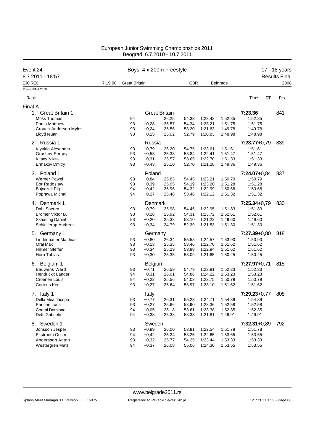| Event 24                     |         | Boys, 4 x 200m Freestyle | 17 - 18 years |                      |            |         |          |                  |                      |
|------------------------------|---------|--------------------------|---------------|----------------------|------------|---------|----------|------------------|----------------------|
| 8.7.2011 - 18:57             |         |                          |               |                      |            |         |          |                  | <b>Results Final</b> |
| <b>EJC REC</b>               | 7:19.98 | <b>Great Britain</b>     |               |                      | <b>GBR</b> |         | Belgrade |                  | 2008                 |
| Points: FINA 2010            |         |                          |               |                      |            |         |          |                  |                      |
| Rank                         |         |                          |               |                      |            |         |          | Time<br>RT       | Pts                  |
| Final A                      |         |                          |               |                      |            |         |          |                  |                      |
| 1.<br><b>Great Britain 1</b> |         |                          |               | <b>Great Britain</b> |            |         |          | 7:23.36          | 841                  |
| Moss Thomas                  |         | 94                       |               | 26.25                | 54.33      | 1:23.42 | 1:52.85  | 1:52.85          |                      |
| <b>Parks Matthew</b>         |         | 93                       | $+0,28$       | 25.57                | 54.34      | 1:23.21 | 1:51.75  | 1:51.75          |                      |
| Crouch-Anderson Myles        |         | 93                       | $+0,24$       | 25.56                | 53.20      | 1:21.63 | 1:49.78  | 1:49.78          |                      |
| Lloyd leuan                  |         | 93                       | $+0,15$       | 25.02                | 52.79      | 1:20.83 | 1:48.98  | 1:48.98          |                      |
| 2. Russia 1                  |         |                          | Russia        |                      |            |         |          | $7:23.77+0.79$   | 839                  |
| Klyukin Alexander            |         | 93                       | $+0,79$       | 26.20                | 54.75      | 1:23.61 | 1:51.61  | 1:51.61          |                      |
| <b>Groshev Sergey</b>        |         | 93                       | $+0,53$       | 25.38                | 53.84      | 1:22.41 | 1:51.47  | 1:51.47          |                      |
| Kitaev Nikita                |         | 93                       | $+0,31$       | 25.57                | 53.65      | 1:22.70 | 1:51.33  | 1.51.33          |                      |
| <b>Ermakov Dmitry</b>        |         | 93                       | $+0,43$       | 25.10                | 52.70      | 1:21.28 | 1:49.36  | 1:49.36          |                      |
| 3. Poland 1                  |         |                          | Poland        |                      |            |         |          | $7:24.07+0.84$   | 837                  |
| <b>Werner Pawel</b>          |         | 93                       | $+0,84$       | 25.83                | 54.45      | 1:23.21 | 1:50.79  | 1:50.79          |                      |
| <b>Bor Radoslaw</b>          |         | 93                       | $+0,39$       | 25.95                | 54.19      | 1:23.20 | 1:51.28  | 1:51.28          |                      |
| <b>Bujoczek Filip</b>        |         | 94                       | $+0,42$       | 25.96                | 54.32      | 1:22.99 | 1:50.68  | 1:50.68          |                      |
| Poprawa Michal               |         | 94                       | $+0,27$       | 25.48                | 53.46      | 1:22.12 | 1:51.32  | 1:51.32          |                      |
| 4. Denmark 1                 |         |                          | Denmark       |                      |            |         |          | $7:25.34+0.79$   | 830                  |
| Dahl Soeren                  |         | 93                       | $+0,79$       | 25.98                | 54.45      | 1:22.95 | 1.51.83  | 1:51.83          |                      |
| Bromer Viktor B.             |         | 93                       | $+0,26$       | 25.92                | 54.31      | 1:23.72 | 1:52.61  | 1:52.61          |                      |
| <b>Skaaning Daniel</b>       |         | 93                       | $+0,20$       | 25.38                | 53.10      | 1:21.22 | 1:49.60  | 1:49.60          |                      |
| Schiellerup Andreas          |         | 93                       | $+0,34$       | 24.79                | 52.39      | 1:21.53 | 1:51.30  | 1:51.30          |                      |
| 5. Germany 1                 |         |                          | Germany       |                      |            |         |          | $7:27.39 + 0.80$ | 818                  |
| <b>Lindenbauer Matthias</b>  |         | 93                       | $+0,80$       | 26.34                | 55.58      | 1:24.57 | 1:53.90  | 1:53.90          |                      |
| Mral Max                     |         | 93                       | $+0,13$       | 25.35                | 53.46      | 1:22.70 | 1:51.62  | 1:51.62          |                      |
| <b>Hillmer Steffen</b>       |         | 93                       | $+0,34$       | 25.29                | 53.98      | 1:22.94 | 1:51.62  | 1:51.62          |                      |
| Horn Tobias                  |         | 93                       | $+0,30$       | 25.35                | 53.09      | 1:21.65 | 1:50.25  | 1:50.25          |                      |
| 6. Belgium 1                 |         |                          | Belgium       |                      |            |         |          | 7:27.97+0,71     | 815                  |
| <b>Bauwens Ward</b>          |         | 93                       | $+0,71$       | 26.59                | 54.79      | 1:23.81 | 1:52.33  | 1:52.33          |                      |
| <b>Hendrickx Lander</b>      |         | 94                       | $+0,31$       | 26.01                | 54.86      | 1:24.22 | 1:53.23  | 1:53.23          |                      |
| Croenen Louis                |         | 94                       | $+0,22$       | 25.56                | 54.03      | 1:22.75 | 1:50.79  | 1:50.79          |                      |
| Cortens Ken                  |         | 93                       | $+0,27$       | 25.64                | 53.97      | 1:23.10 | 1:51.62  | 1:51.62          |                      |
| 7. Italy 1                   |         |                          | Italy         |                      |            |         |          | $7:29.23+0.77$   | 808                  |
| Della Mea Jacopo             |         | 93                       | $+0,77$       | 26.31                | 55.23      | 1:24.71 | 1:54.39  | 1:54.39          |                      |
| Pancari Luca                 |         | 93                       | $+0,27$       | 25.66                | 53.90      | 1:23.36 | 1:52.58  | 1:52.58          |                      |
| Corapi Damiano               |         | 94                       | $+0,05$       | 25.18                | 53.61      | 1:23.38 | 1:52.35  | 1:52.35          |                      |
| Detti Gabriele               |         | 94                       | $+0,38$       | 25.38                | 53.33      | 1:21.81 | 1:49.91  | 1:49.91          |                      |
| 8. Sweden 1                  |         |                          | Sweden        |                      |            |         |          | $7:32.31+0.89$   | 792                  |
| Jonsson Jesper               |         | 93                       | $+0,89$       | 26.00                | 53.91      | 1:22.54 | 1:51.78  | 1:51.78          |                      |
| <b>Ekstroem Oscar</b>        |         | 94                       | $+0,42$       | 25.24                | 53.25      | 1:22.65 | 1:53.65  | 1:53.65          |                      |
| Andersson Anton              |         | 93                       | $+0,32$       | 25.77                | 54.25      | 1:23.44 | 1:53.33  | 1:53.33          |                      |
| Westergren Mats              |         | 94                       | $+0,37$       | 26.08                | 55.06      | 1:24.30 | 1:53.55  | 1:53.55          |                      |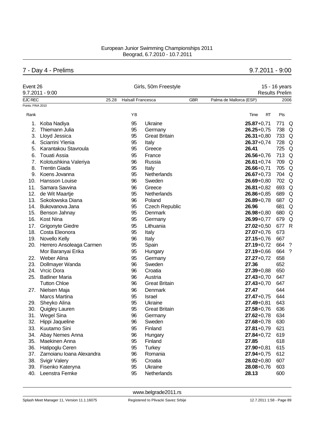# 7 - Day 4 - Prelims 9.7.2011 - 9:00

| Event 26          | $9.7.2011 - 9:00$            |       |                          | Girls, 50m Freestyle  |            | <b>Results Prelim</b>   | 15 - 16 years |                    |
|-------------------|------------------------------|-------|--------------------------|-----------------------|------------|-------------------------|---------------|--------------------|
| <b>EJC REC</b>    |                              | 25.28 | <b>Halsall Francesca</b> |                       | <b>GBR</b> | Palma de Mallorca (ESP) |               | 2006               |
| Points: FINA 2010 |                              |       |                          |                       |            |                         |               |                    |
| Rank              |                              |       | YB                       |                       |            | Time<br>RT              | Pts           |                    |
| 1.                | Koba Nadiya                  |       | 95                       | Ukraine               |            | $25.87 + 0.71$          | 771           | Q                  |
| 2.                | Thiemann Julia               |       | 95                       | Germany               |            | $26.25 + 0.75$          | 738           | Q                  |
| 3.                | Lloyd Jessica                |       | 95                       | <b>Great Britain</b>  |            | $26.31 + 0.80$          | 733           | Q                  |
| 4.                | Sciarrini Ylenia             |       | 95                       | Italy                 |            | $26.37 + 0.74$          | 728           | Q                  |
| 5.                | Karantakou Stavroula         |       | 95                       | Greece                |            | 26.41                   | 725           | Q                  |
| 6.                | <b>Touati Assia</b>          |       | 95                       | France                |            | $26.56 + 0.76$          | 713           | $\Omega$           |
| 7.                | Kolotushkina Valeriya        |       | 96                       | Russia                |            | $26.61 + 0.74$          | 709           | Q                  |
| 8.                | <b>Trentin Giada</b>         |       | 95                       | Italy                 |            | $26.66 + 0.71$          | 705           | Q                  |
|                   | 9. Koens Jovanna             |       | 95                       | Netherlands           |            | $26.67 + 0.73$          | 704           | Q                  |
| 10.               | <b>Hansson Louise</b>        |       | 96                       | Sweden                |            | $26.69 + 0.80$          | 702 Q         |                    |
| 11.               | Samara Savvina               |       | 96                       | Greece                |            | $26.81 + 0.82$          | 693           | Q                  |
| 12.               | de Wit Maartje               |       | 95                       | <b>Netherlands</b>    |            | $26.86 + 0.85$          | 689           | $\Omega$           |
| 13.               | Sokolowska Diana             |       | 96                       | Poland                |            | $26.89 + 0.78$          | 687           | $\Omega$           |
|                   | 14. Bukovanova Jana          |       | 95                       | <b>Czech Republic</b> |            | 26.96                   | 681           | Q                  |
| 15.               | Benson Jahnay                |       | 95                       | Denmark               |            | $26.98 + 0.80$          | 680           | Q                  |
| 16.               | <b>Kost Nina</b>             |       | 95                       | Germany               |            | $26.99 + 0.77$          | 679           | Q                  |
| 17.               | <b>Grigonyte Giedre</b>      |       | 95                       | Lithuania             |            | $27.02 + 0.50$          | 677           | $\mathsf{R}$       |
| 18.               | Costa Eleonora               |       | 95                       | Italy                 |            | $27.07 + 0.76$          | 673           |                    |
| 19.               | Novello Kelly                |       | 96                       | Italy                 |            | $27.15 + 0.76$          | 667           |                    |
|                   | 20. Herrero Ansoleaga Carmen |       | 95                       | Spain                 |            | $27.19 + 0.72$          | 664           | $\cdot$            |
|                   | Mor Baranyai Erika           |       | 95                       | Hungary               |            | $27.19 + 0.66$          | 664           | $\overline{\cdot}$ |
| 22.               | Weber Alina                  |       | 95                       | Germany               |            | $27.27 + 0.72$          | 658           |                    |
| 23.               | Dollmayer Wanda              |       | 96                       | Sweden                |            | 27.36                   | 652           |                    |
| 24.               | Vrcic Dora                   |       | 96                       | Croatia               |            | $27.39 + 0.88$          | 650           |                    |
| 25.               | <b>Batliner Maria</b>        |       | 96                       | Austria               |            | $27.43 + 0.70$          | 647           |                    |
|                   | <b>Tutton Chloe</b>          |       | 96                       | <b>Great Britain</b>  |            | $27.43 + 0.70$          | 647           |                    |
|                   | 27. Nielsen Maja             |       | 96                       | Denmark               |            | 27.47                   | 644           |                    |
|                   | <b>Marcs Martina</b>         |       | 95                       | Israel                |            | $27.47 + 0.75$          | 644           |                    |
| 29.               | Sheyko Alina                 |       | 95                       | Ukraine               |            | $27.49 + 0.81$          | 643           |                    |
| 30.               | Quigley Lauren               |       | 95                       | <b>Great Britain</b>  |            | $27.58 + 0.76$          | 636           |                    |
| 31.               | <b>Wegel Sina</b>            |       | 96                       | Germany               |            | $27.62 + 0.78$          | 634           |                    |
| 32.               | Hippi Jaqueline              |       | 96                       | Sweden                |            | $27.68 + 0.78$          | 630           |                    |
| 33.               | Kuutamo Sini                 |       | 95                       | Finland               |            | $27.81 + 0.79$          | 621           |                    |
| 34.               | Abay Nemes Anna              |       | 96                       | Hungary               |            | $27.84 + 0.72$          | 619           |                    |
| 35.               | Maekinen Anna                |       | 95                       | Finland               |            | 27.85                   | 618           |                    |
| 36.               | Hatipoglu Ceren              |       | 95                       | <b>Turkey</b>         |            | $27.90 + 0.81$          | 615           |                    |
| 37.               | Zarnoianu Ioana Alexandra    |       | 96                       | Romania               |            | $27.94 + 0.75$          | 612           |                    |
| 38.               | <b>Svigir Valery</b>         |       | 95                       | Croatia               |            | $28.02 + 0.80$          | 607           |                    |
| 39.               | Fisenko Kateryna             |       | 95                       | Ukraine               |            | $28.08 + 0.76$          | 603           |                    |
| 40.               | Leenstra Femke               |       | 95                       | Netherlands           |            | 28.13                   | 600           |                    |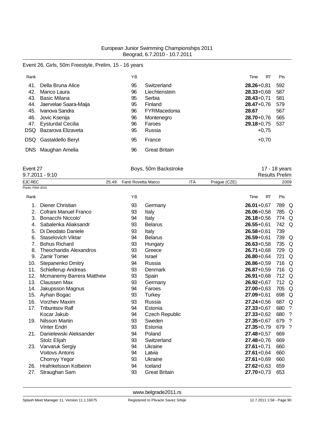# Event 26, Girls, 50m Freestyle, Prelim, 15 - 16 years

| Rank       |                          | YB |                      | Time           | RT      | Pts |
|------------|--------------------------|----|----------------------|----------------|---------|-----|
| 41.        | Della Bruna Alice        | 95 | Switzerland          | $28.26 + 0.81$ |         | 592 |
| 42.        | Manco Laura              | 96 | Liechtenstein        | $28.33 + 0.68$ |         | 587 |
| 43.        | Basic Milana             | 95 | Serbia               | $28.43 + 0.71$ |         | 581 |
| 44.        | Jaervelae Saara-Maija    | 95 | Finland              | $28.47 + 0.76$ |         | 579 |
| 45.        | Ivanova Sandra           | 96 | FYRMacedonia         | 28.67          |         | 567 |
| 46.        | Jovic Ksenija            | 96 | Montenegro           | $28.70 + 0.76$ |         | 565 |
| 47.        | <b>Eysturdal Cecilia</b> | 96 | Faroes               | $29.18 + 0.75$ |         | 537 |
| DSQ.       | Bazarova Elizaveta       | 95 | Russia               |                | $+0.75$ |     |
| DSQ        | Gastaldello Beryl        | 95 | France               |                | $+0,70$ |     |
| <b>DNS</b> | Maughan Amelia           | 96 | <b>Great Britain</b> |                |         |     |

| Event 27<br>$9.7.2011 - 9:10$ |       | Boys, 50m Backstroke |     |              | 17 - 18 years<br><b>Results Prelim</b> |
|-------------------------------|-------|----------------------|-----|--------------|----------------------------------------|
| EJC REC                       | 25.49 | Fanti Rovetta Marco  | ITA | Prague (CZE) | 2009                                   |
| Points: FINA 2010             |       |                      |     |              |                                        |

| Rank |                                | YB |                       | Time           | <b>RT</b> | Pts |   |
|------|--------------------------------|----|-----------------------|----------------|-----------|-----|---|
| 1.   | Diener Christian               | 93 | Germany               | $26.01 + 0.67$ |           | 789 | Q |
| 2.   | Cofrani Manuel Franco          | 93 | Italy                 | $26.06 + 0.58$ |           | 785 | Q |
| 3.   | Bonacchi Niccolo'              | 94 | Italy                 | $26.18 + 0.56$ |           | 774 | Q |
| 4.   | Sabalenka Aliaksandr           | 93 | <b>Belarus</b>        | $26.55 + 0.61$ |           | 742 | Q |
| 5.   | Di Deodato Daniele             | 93 | Italy                 | $26.58 + 0.61$ |           | 739 |   |
| 6.   | Staselovich Viktar             | 94 | <b>Belarus</b>        | $26.59 + 0.61$ |           | 739 | Q |
| 7.   | <b>Bohus Richard</b>           | 93 | Hungary               | $26.63 + 0.58$ |           | 735 | Q |
| 8.   | <b>Theocharidis Alexandros</b> | 93 | Greece                | $26.71 + 0.68$ |           | 729 | Q |
| 9.   | <b>Zamir Tomer</b>             | 94 | <b>Israel</b>         | $26.80 + 0.64$ |           | 721 | Q |
| 10.  | Stepanenko Dmitry              | 94 | Russia                | $26.86 + 0.59$ |           | 716 | Q |
| 11.  | Schiellerup Andreas            | 93 | Denmark               | $26.87 + 0.59$ |           | 716 | Q |
| 12.  | Mcmanemy Barrera Matthew       | 93 | Spain                 | $26.91 + 0.68$ |           | 712 | Q |
| 13.  | <b>Claussen Max</b>            | 93 | Germany               | $26.92 + 0.67$ |           | 712 | Q |
| 14.  | Jakupsson Magnus               | 94 | Faroes                | $27.00 + 0.63$ |           | 705 | Q |
| 15.  | Ayhan Bogac                    | 93 | Turkey                | $27.09 + 0.61$ |           | 698 | Q |
| 16.  | <b>Vorzhev Maxim</b>           | 93 | Russia                | $27.24 + 0.56$ |           | 687 | Q |
| 17.  | <b>Tribuntsov Ralf</b>         | 94 | Estonia               | $27.33 + 0.67$ |           | 680 | ? |
|      | Kocar Jakub                    | 94 | <b>Czech Republic</b> | $27.33 + 0.62$ |           | 680 | ? |
| 19.  | Nilsson Martin                 | 93 | Sweden                | $27.35 + 0.67$ |           | 679 | ? |
|      | <b>Vinter Endri</b>            | 93 | Estonia               | $27.35 + 0.79$ |           | 679 | ? |
| 21.  | Danielewski Aleksander         | 94 | Poland                | $27.48 + 0.57$ |           | 669 |   |
|      | Stolz Elijah                   | 93 | Switzerland           | $27.48 + 0.76$ |           | 669 |   |
| 23.  | <b>Varvaruk Sergiy</b>         | 94 | Ukraine               | $27.61 + 0.71$ |           | 660 |   |
|      | <b>Voitovs Antons</b>          | 94 | Latvia                | $27.61 + 0.64$ |           | 660 |   |
|      | Chornyy Yegor                  | 93 | Ukraine               | $27.61 + 0.69$ |           | 660 |   |
| 26.  | Hrafnkelsson Kolbeinn          | 94 | Iceland               | $27.62 + 0.63$ |           | 659 |   |
| 27.  | Straughan Sam                  | 93 | <b>Great Britain</b>  | $27.70 + 0.73$ |           | 653 |   |
|      |                                |    |                       |                |           |     |   |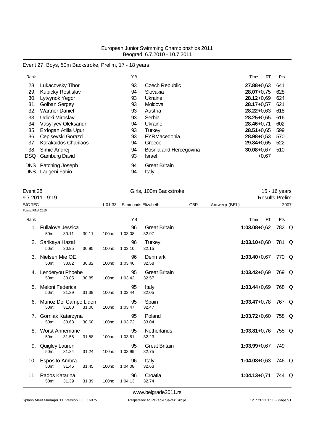# Event 27, Boys, 50m Backstroke, Prelim, 17 - 18 years

| Rank |                             | YB |                        | Time           | RT      | Pts |
|------|-----------------------------|----|------------------------|----------------|---------|-----|
| 28.  | Lukacovsky Tibor            | 93 | <b>Czech Republic</b>  | $27.88 + 0.63$ |         | 641 |
| 29.  | <b>Kubicky Rostislav</b>    | 94 | Slovakia               | $28.07 + 0.75$ |         | 628 |
| 30.  | Lytvynok Yegor              | 93 | Ukraine                | $28.12 + 0.69$ |         | 624 |
| 31.  | Golban Sergey               | 93 | Moldova                | $28.17 + 0.57$ |         | 621 |
| 32.  | <b>Wartner Daniel</b>       | 93 | Austria                | $28.22 + 0.63$ |         | 618 |
| 33.  | Udicki Miroslav             | 93 | Serbia                 | $28.25 + 0.65$ |         | 616 |
| 34.  | Vasyl'yev Oleksandr         | 94 | Ukraine                | $28.46 + 0.71$ |         | 602 |
| 35.  | Erdogan Atilla Ugur         | 93 | Turkey                 | $28.51 + 0.65$ |         | 599 |
| 36.  | Cepisevski Gorazd           | 93 | FYRMacedonia           | $28.98 + 0.53$ |         | 570 |
| 37.  | <b>Karakaidos Charilaos</b> | 94 | Greece                 | $29.84 + 0.65$ |         | 522 |
| 38.  | Simic Andrej                | 94 | Bosnia and Hercegovina | $30.08 + 0.67$ |         | 510 |
| DSQ  | <b>Gamburg David</b>        | 93 | Israel                 |                | $+0,67$ |     |
| DNS. | Patching Joseph             | 94 | <b>Great Britain</b>   |                |         |     |
| DNS  | Laugeni Fabio               | 94 | Italy                  |                |         |     |

| Event 28<br>$9.7.2011 - 9:19$ |                                        |       |       |         | Girls, 100m Backstroke | 15 - 16 years<br><b>Results Prelim</b> |            |                  |                  |       |
|-------------------------------|----------------------------------------|-------|-------|---------|------------------------|----------------------------------------|------------|------------------|------------------|-------|
| <b>EJC REC</b>                |                                        |       |       | 1:01.33 |                        | Simmonds Elizabeth                     | <b>GBR</b> | Antwerp (BEL)    |                  | 2007  |
| Points: FINA 2010             |                                        |       |       |         |                        |                                        |            |                  |                  |       |
| Rank                          |                                        |       |       |         | YB                     |                                        |            | Time             | <b>RT</b><br>Pts |       |
|                               | 1. Fullalove Jessica<br>50m:           | 30.11 | 30.11 | 100m:   | 96<br>1:03.08          | <b>Great Britain</b><br>32.97          |            | $1:03.08 + 0.62$ |                  | 782 Q |
|                               | 2. Sarikaya Hazal<br>50 <sub>m</sub> : | 30.95 | 30.95 | 100m:   | 96<br>1:03.10          | Turkey<br>32.15                        |            | $1:03.10 + 0.60$ |                  | 781 Q |
|                               | 3. Nielsen Mie OE.<br>50m:             | 30.82 | 30.82 | 100m:   | 96<br>1:03.40          | Denmark<br>32.58                       |            | $1:03.40 + 0.67$ |                  | 770 Q |
|                               | 4. Lenderyou Phoebe<br>50m:            | 30.85 | 30.85 | 100m:   | 95<br>1:03.42          | <b>Great Britain</b><br>32.57          |            | $1:03.42 + 0.69$ |                  | 769 Q |
|                               | 5. Meloni Federica<br>50m:             | 31.39 | 31.39 | 100m:   | 95<br>1:03.44          | Italy<br>32.05                         |            | $1:03.44 + 0.69$ |                  | 768 Q |
|                               | 6. Munoz Del Campo Lidon<br>50m:       | 31.00 | 31.00 | 100m:   | 95<br>1:03.47          | Spain<br>32.47                         |            | $1:03.47+0.78$   |                  | 767 Q |
|                               | 7. Gorniak Katarzyna<br>50m:           | 30.68 | 30.68 | 100m:   | 95<br>1:03.72          | Poland<br>33.04                        |            | $1:03.72+0.60$   |                  | 758 Q |
|                               | 8. Worst Annemarie<br>50m:             | 31.58 | 31.58 | 100m:   | 95<br>1:03.81          | Netherlands<br>32.23                   |            | $1:03.81+0.76$   |                  | 755 Q |
|                               | 9. Quigley Lauren<br>50m:              | 31.24 | 31.24 | 100m:   | 95<br>1:03.99          | <b>Great Britain</b><br>32.75          |            | $1:03.99 + 0.67$ | 749              |       |
|                               | 10. Esposito Ambra<br>50m:             | 31.45 | 31.45 | 100m:   | 96<br>1:04.08          | Italy<br>32.63                         |            | $1:04.08 + 0.63$ |                  | 746 Q |
| 11.                           | Rados Katarina<br>50m:                 | 31.39 | 31.39 | 100m:   | 96<br>1:04.13          | Croatia<br>32.74                       |            | $1:04.13+0.71$   |                  | 744 Q |
|                               |                                        |       |       |         |                        | www.belgrade2011.rs                    |            |                  |                  |       |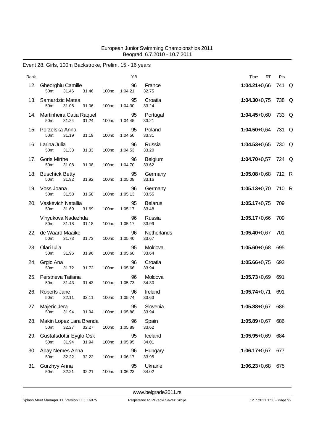### Event 28, Girls, 100m Backstroke, Prelim, 15 - 16 years

| Rank |                                                        |       | YB            |                         | RT<br>Time       | Pts   |  |
|------|--------------------------------------------------------|-------|---------------|-------------------------|------------------|-------|--|
| 12.  | Gheorghiu Camille<br>50m:<br>31.46<br>31.46            | 100m: | 96<br>1:04.21 | France<br>32.75         | $1:04.21+0.66$   | 741 Q |  |
|      | 13. Samardzic Matea<br>50m:<br>31.06<br>31.06          | 100m: | 95<br>1:04.30 | Croatia<br>33.24        | $1:04.30 + 0.75$ | 738 Q |  |
|      | 14. Martinheira Catia Raquel<br>31.24<br>50m:<br>31.24 | 100m: | 95<br>1:04.45 | Portugal<br>33.21       | $1:04.45 + 0.60$ | 733 Q |  |
| 15.  | Porzelska Anna<br>50m:<br>31.19<br>31.19               | 100m: | 95<br>1:04.50 | Poland<br>33.31         | $1:04.50 + 0.64$ | 731 Q |  |
|      | 16. Larina Julia<br>31.33<br>31.33<br>50m:             | 100m: | 96<br>1:04.53 | Russia<br>33.20         | $1:04.53 + 0.65$ | 730 Q |  |
| 17.  | <b>Goris Mirthe</b><br>50m:<br>31.08<br>31.08          | 100m: | 96<br>1:04.70 | Belgium<br>33.62        | $1:04.70 + 0.57$ | 724 Q |  |
|      | 18. Buschick Betty<br>50m:<br>31.92<br>31.92           | 100m: | 95<br>1:05.08 | Germany<br>33.16        | $1:05.08 + 0.68$ | 712 R |  |
|      | 19. Voss Joana<br>31.58<br>31.58<br>50m:               | 100m: | 96<br>1:05.13 | Germany<br>33.55        | $1:05.13+0.70$   | 710 R |  |
| 20.  | Vaskevich Natallia<br>50m:<br>31.69<br>31.69           | 100m: | 95<br>1:05.17 | <b>Belarus</b><br>33.48 | $1:05.17+0.75$   | 709   |  |
|      | Vinyukova Nadezhda<br>50m:<br>31.18<br>31.18           | 100m: | 96<br>1:05.17 | Russia<br>33.99         | $1:05.17+0.66$   | 709   |  |
| 22.  | de Waard Maaike<br>50m:<br>31.73<br>31.73              | 100m: | 96<br>1:05.40 | Netherlands<br>33.67    | $1:05.40 + 0.67$ | 701   |  |
| 23.  | Olari Iulia<br>50m:<br>31.96<br>31.96                  | 100m: | 95<br>1:05.60 | Moldova<br>33.64        | $1:05.60 + 0.68$ | 695   |  |
|      | 24. Grgic Ana<br>50m:<br>31.72<br>31.72                | 100m: | 96<br>1:05.66 | Croatia<br>33.94        | $1:05.66 + 0.75$ | 693   |  |
| 25.  | Perstneva Tatiana<br>50m:<br>31.43<br>31.43            | 100m: | 96<br>1:05.73 | Moldova<br>34.30        | $1:05.73+0.69$   | 691   |  |
| 26.  | Roberts Jane<br>32.11<br>50m:<br>32.11                 | 100m: | 96<br>1:05.74 | Ireland<br>33.63        | $1:05.74 + 0.71$ | 691   |  |
|      | 27. Majeric Jera<br>31.94<br>31.94<br>50m:             | 100m: | 95<br>1:05.88 | Slovenia<br>33.94       | $1:05.88 + 0.67$ | 686   |  |
|      | 28. Makin Lopez Lara Brenda<br>32.27<br>32.27<br>50m:  | 100m: | 96<br>1:05.89 | Spain<br>33.62          | $1:05.89 + 0.67$ | 686   |  |
|      | 29. Gustafsdottir Eyglo Osk<br>50m:<br>31.94<br>31.94  | 100m: | 95<br>1:05.95 | Iceland<br>34.01        | $1:05.95+0.69$   | 684   |  |
|      | 30. Abay Nemes Anna<br>50m:<br>32.22<br>32.22          | 100m: | 96<br>1:06.17 | Hungary<br>33.95        | $1:06.17+0.67$   | 677   |  |
|      | 31. Gurzhyy Anna<br>32.21<br>50m:<br>32.21             | 100m: | 95<br>1:06.23 | Ukraine<br>34.02        | $1:06.23 + 0.68$ | 675   |  |

<www.belgrade2011.rs>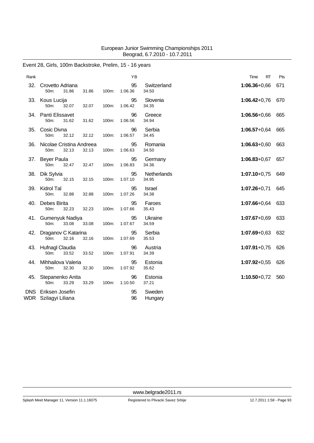### Event 28, Girls, 100m Backstroke, Prelim, 15 - 16 years

| Rank |                                                    |       |       |       | YB            |                      | RT<br>Time       | Pts |
|------|----------------------------------------------------|-------|-------|-------|---------------|----------------------|------------------|-----|
| 32.  | Crovetto Adriana<br>50m:                           | 31.86 | 31.86 | 100m: | 95<br>1:06.36 | Switzerland<br>34.50 | $1:06.36 + 0.66$ | 671 |
| 33.  | Kous Lucija<br>50m:                                | 32.07 | 32.07 | 100m: | 95<br>1:06.42 | Slovenia<br>34.35    | $1:06.42 + 0.76$ | 670 |
|      | 34. Panti Elissavet<br>50m:                        | 31.62 | 31.62 | 100m: | 96<br>1:06.56 | Greece<br>34.94      | $1:06.56 + 0.66$ | 665 |
| 35.  | Cosic Divna<br>50m:                                | 32.12 | 32.12 | 100m: | 96<br>1:06.57 | Serbia<br>34.45      | $1:06.57+0.64$   | 665 |
| 36.  | Nicolae Cristina Andreea<br>50m:                   | 32.13 | 32.13 | 100m: | 95<br>1:06.63 | Romania<br>34.50     | $1:06.63 + 0.60$ | 663 |
| 37.  | <b>Beyer Paula</b><br>50m:                         | 32.47 | 32.47 | 100m: | 95<br>1:06.83 | Germany<br>34.36     | $1:06.83 + 0.67$ | 657 |
| 38.  | Dik Sylvia<br>50m:                                 | 32.15 | 32.15 | 100m: | 95<br>1:07.10 | Netherlands<br>34.95 | $1:07.10+0.75$   | 649 |
| 39.  | Kidrol Tal<br>50m:                                 | 32.88 | 32.88 | 100m: | 95<br>1:07.26 | Israel<br>34.38      | $1:07.26 + 0.71$ | 645 |
| 40.  | Debes Birita<br>50m:                               | 32.23 | 32.23 | 100m: | 95<br>1:07.66 | Faroes<br>35.43      | $1:07.66 + 0.64$ | 633 |
|      | 41. Gumenyuk Nadiya<br>50 <sub>m</sub> :           | 33.08 | 33.08 | 100m: | 95<br>1:07.67 | Ukraine<br>34.59     | $1:07.67 + 0.69$ | 633 |
| 42.  | Draganov C Katarina<br>50m:                        | 32.16 | 32.16 | 100m: | 95<br>1:07.69 | Serbia<br>35.53      | $1:07.69 + 0.63$ | 632 |
| 43.  | Hufnagl Claudia<br>50m:                            | 33.52 | 33.52 | 100m: | 96<br>1:07.91 | Austria<br>34.39     | $1:07.91+0.75$   | 626 |
| 44.  | Mihhailova Valeria<br>50m:                         | 32.30 | 32.30 | 100m: | 95<br>1:07.92 | Estonia<br>35.62     | $1:07.92 + 0.55$ | 626 |
| 45.  | Stepanenko Anita<br>50m:                           | 33.29 | 33.29 | 100m: | 96<br>1:10.50 | Estonia<br>37.21     | $1:10.50 + 0.72$ | 560 |
|      | <b>DNS</b> Eriksen Josefin<br>WDR Szilagyi Liliana |       |       |       | 95<br>96      | Sweden<br>Hungary    |                  |     |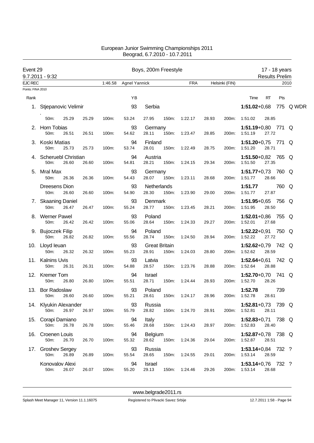| Event 29          | 9.7.2011 - 9:32                |       |       |         |                      | Boys, 200m Freestyle          |       |               |       |                |                                 | 17 - 18 years<br><b>Results Prelim</b> |       |           |
|-------------------|--------------------------------|-------|-------|---------|----------------------|-------------------------------|-------|---------------|-------|----------------|---------------------------------|----------------------------------------|-------|-----------|
| <b>EJC REC</b>    |                                |       |       | 1:46.58 | <b>Agnel Yannick</b> |                               |       | <b>FRA</b>    |       | Helsinki (FIN) |                                 |                                        | 2010  |           |
| Points: FINA 2010 |                                |       |       |         |                      |                               |       |               |       |                |                                 |                                        |       |           |
| Rank              |                                |       |       |         | YB                   |                               |       |               |       |                | Time                            | RT                                     | Pts   |           |
| 1.                | Stjepanovic Velimir            |       |       |         | 93                   | Serbia                        |       |               |       |                | $1:51.02 + 0.68$                |                                        |       | 775 Q WDR |
|                   | 50m:                           | 25.29 | 25.29 | 100m:   | 53.24                | 27.95                         | 150m: | 1:22.17       | 28.93 | 200m:          | 1:51.02                         | 28.85                                  |       |           |
| 2.                | Horn Tobias<br>50m:            | 26.51 | 26.51 | 100m:   | 93<br>54.62          | Germany<br>28.11              | 150m: | 1:23.47       | 28.85 | 200m:          | 1:51.19+0,80 771 Q<br>1:51.19   | 27.72                                  |       |           |
|                   | 3. Koski Matias<br>50m:        | 25.73 | 25.73 | 100m:   | 94<br>53.74          | Finland<br>28.01              | 150m: | 1:22.49       | 28.75 | 200m:          | $1:51.20+0.75$ 771<br>1:51.20   | 28.71                                  |       | Q         |
| 4.                | Scheruebl Christian<br>50m:    | 26.60 | 26.60 | 100m:   | 94<br>54.81          | Austria<br>28.21              | 150m: | 1:24.15       | 29.34 | 200m:          | 1:51.50+0,82 765 Q<br>1:51.50   | 27.35                                  |       |           |
| 5.                | Mral Max<br>50m:               | 26.36 | 26.36 | 100m:   | 93<br>54.43          | Germany<br>28.07              | 150m: | 1:23.11       | 28.68 | 200m:          | 1:51.77+0,73 760 Q<br>1:51.77   | 28.66                                  |       |           |
|                   | Dreesens Dion<br>50m:          | 26.60 | 26.60 | 100m:   | 93<br>54.90          | Netherlands<br>28.30          | 150m: | 1:23.90       | 29.00 | 200m:          | 1:51.77<br>1:51.77              | 27.87                                  | 760 Q |           |
|                   | 7. Skaaning Daniel<br>50m:     | 26.47 | 26.47 | 100m:   | 93<br>55.24          | Denmark<br>28.77              | 150m: | 1:23.45       | 28.21 | 200m:          | 1:51.95+0,65 756 Q<br>1:51.95   | 28.50                                  |       |           |
|                   | <b>Werner Pawel</b><br>50m:    | 26.42 | 26.42 | 100m:   | 93<br>55.06          | Poland<br>28.64               | 150m: | 1:24.33       | 29.27 | 200m:          | 1:52.01+0,86 755 Q<br>1:52.01   | 27.68                                  |       |           |
|                   | 9. Bujoczek Filip<br>50m:      | 26.82 | 26.82 | 100m:   | 94<br>55.56          | Poland<br>28.74               | 150m: | 1:24.50       | 28.94 | 200m:          | 1:52.22+0,91 750 Q<br>1:52.22   | 27.72                                  |       |           |
|                   | 10. Lloyd leuan<br>50m:        | 26.32 | 26.32 | 100m:   | 93<br>55.23          | <b>Great Britain</b><br>28.91 | 150m: | 1:24.03       | 28.80 | 200m:          | 1:52.62+0,79 742 $Q$<br>1:52.62 | 28.59                                  |       |           |
| 11.               | <b>Kalnins Uvis</b><br>50m:    | 26.31 | 26.31 | 100m:   | 93<br>54.88          | Latvia<br>28.57               | 150m: | 1:23.76       | 28.88 | 200m:          | $1:52.64 + 0.61$<br>1:52.64     | 28.88                                  | 742 Q |           |
|                   | 12. Kremer Tom<br>50m:         | 26.80 | 26.80 | 100m:   | 94<br>55.51          | Israel<br>28.71               | 150m: | 1:24.44       | 28.93 | 200m:          | 1:52.70+0,70 741<br>1:52.70     | 28.26                                  |       | Q         |
|                   | 13. Bor Radoslaw<br>50m: 26.60 |       | 26.60 | 100m:   | 93<br>55.21          | Poland<br>28.61               |       | 150m: 1:24.17 | 28.96 | 200m:          | 1:52.78<br>1:52.78              | 28.61                                  | 739   |           |
|                   | 14. Klyukin Alexander<br>50m:  | 26.97 | 26.97 | 100m:   | 93<br>55.79          | Russia<br>28.82               | 150m: | 1:24.70       | 28.91 | 200m:          | 1:52.81+0,73 739 Q<br>1:52.81   | 28.11                                  |       |           |
|                   | 15. Corapi Damiano<br>50m:     | 26.78 | 26.78 | 100m:   | 94<br>55.46          | Italy<br>28.68                |       | 150m: 1:24.43 | 28.97 | 200m:          | 1:52.83+0,71 738 $Q$<br>1:52.83 | 28.40                                  |       |           |
|                   | 16. Croenen Louis<br>50m:      | 26.70 | 26.70 | 100m:   | 94<br>55.32          | <b>Belgium</b><br>28.62       | 150m: | 1:24.36       | 29.04 | 200m:          | 1:52.87+0,78 738 Q<br>1:52.87   | 28.51                                  |       |           |
|                   | 17. Groshev Sergey<br>50m:     | 26.89 | 26.89 | 100m:   | 93<br>55.54          | Russia<br>28.65               | 150m: | 1:24.55       | 29.01 | 200m:          | $1:53.14+0.84$ 732 ?<br>1:53.14 | 28.59                                  |       |           |
|                   | Konovalov Alexi<br>50m:        | 26.07 | 26.07 | 100m:   | 94<br>55.20          | Israel<br>29.13               |       | 150m: 1:24.46 | 29.26 | 200m:          | $1:53.14+0.76$ 732 ?<br>1:53.14 | 28.68                                  |       |           |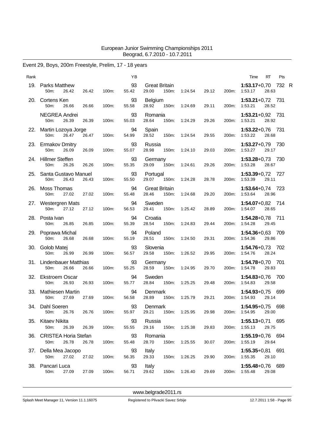# Event 29, Boys, 200m Freestyle, Prelim, 17 - 18 years

| Rank |                                                    |       |       | YB          |                                |               |         |       |       | Time                                | RT    | Pts |  |
|------|----------------------------------------------------|-------|-------|-------------|--------------------------------|---------------|---------|-------|-------|-------------------------------------|-------|-----|--|
| 19.  | Parks Matthew<br>50m:<br>26.42                     | 26.42 | 100m: | 93<br>55.42 | <b>Great Britain</b><br>29.00  | 150m:         | 1:24.54 | 29.12 | 200m: | 1:53.17+0,70 732 R<br>1:53.17       | 28.63 |     |  |
|      | 20. Cortens Ken<br>50m:<br>26.66                   | 26.66 | 100m: | 93<br>55.58 | Belgium<br>28.92               | 150m:         | 1:24.69 | 29.11 | 200m: | $1:53.21+0.72$ 731<br>1:53.21       | 28.52 |     |  |
|      | <b>NEGREA Andrei</b><br>50 <sub>m</sub> :<br>26.39 | 26.39 | 100m: | 93<br>55.03 | Romania<br>28.64               | 150m:         | 1:24.29 | 29.26 |       | 1:53.21+0,92 731<br>200m: 1:53.21   | 28.92 |     |  |
|      | 22. Martin Lozoya Jorge<br>50m:<br>26.47           | 26.47 | 100m: | 94<br>54.99 | Spain<br>28.52                 | 150m:         | 1:24.54 | 29.55 | 200m: | 1:53.22+0,76 731<br>1:53.22         | 28.68 |     |  |
|      | 23. Ermakov Dmitry<br>50m:<br>26.09                | 26.09 | 100m: | 93<br>55.07 | Russia<br>28.98                | 150m:         | 1:24.10 | 29.03 | 200m: | 1:53.27+0,79 730<br>1:53.27         | 29.17 |     |  |
|      | 24. Hillmer Steffen<br>50 <sub>m</sub> :<br>26.26  | 26.26 | 100m: | 93<br>55.35 | Germany<br>29.09               | 150m:         | 1:24.61 | 29.26 |       | 1:53.28+0,73 730<br>200m: 1:53.28   | 28.67 |     |  |
|      | 25. Santa Gustavo Manuel<br>50m:<br>26.43          | 26.43 | 100m: | 93<br>55.50 | Portugal<br>29.07              | 150m:         | 1:24.28 | 28.78 | 200m: | 1:53.39+0,72 727<br>1:53.39         | 29.11 |     |  |
|      | 26. Moss Thomas<br>50m:<br>27.02                   | 27.02 | 100m: | 94<br>55.48 | <b>Great Britain</b><br>28.46  | 150m:         | 1:24.68 | 29.20 | 200m: | 1:53.64+0,74 723<br>1:53.64         | 28.96 |     |  |
|      | 27. Westergren Mats<br>50m:<br>27.12               | 27.12 | 100m: | 94<br>56.53 | Sweden<br>29.41                | 150m:         | 1:25.42 | 28.89 |       | 1:54.07+0,82 714<br>200m: 1:54.07   | 28.65 |     |  |
|      | 28. Posta Ivan<br>50m:<br>26.85                    | 26.85 | 100m: | 94<br>55.39 | Croatia<br>28.54               | 150m:         | 1:24.83 | 29.44 | 200m: | 1:54.28+0,78 711<br>1:54.28         | 29.45 |     |  |
|      | 29. Poprawa Michal<br>50 <sub>m</sub> :<br>26.68   | 26.68 | 100m: | 94<br>55.19 | Poland<br>28.51                | 150m:         | 1:24.50 | 29.31 | 200m: | 1:54.36+0,63 709<br>1:54.36         | 29.86 |     |  |
|      | 30. Golob Matej<br>50m:<br>26.99                   | 26.99 | 100m: | 93<br>56.57 | Slovenia<br>29.58              | 150m:         | 1:26.52 | 29.95 |       | 1:54.76+0,73 702<br>200m: 1:54.76   | 28.24 |     |  |
| 31.  | Lindenbauer Matthias<br>50m:<br>26.66              | 26.66 | 100m: | 93<br>55.25 | Germany<br>28.59               | 150m:         | 1:24.95 | 29.70 | 200m: | 1:54.78+0,70 701<br>1:54.78         | 29.83 |     |  |
|      | 32. Ekstroem Oscar<br>50m:<br>26.93                | 26.93 | 100m: | 94<br>55.77 | Sweden<br>28.84                | 150m:         | 1:25.25 | 29.48 | 200m: | 1:54.83+0,76 700<br>1:54.83         | 29.58 |     |  |
|      | 33. Mathiesen Martin<br>$50m$ :<br>27.69           | 27.69 | 100m: | 94<br>56.58 | Denmark<br>28.89               | 150m:         | 1:25.79 | 29.21 |       | 1:54.93+0,75 699<br>200m: 1:54.93   | 29.14 |     |  |
|      | 34. Dahl Soeren<br>50m: 26.76                      | 26.76 | 100m: | 93<br>55.97 | Denmark<br>29.21 150m: 1:25.95 |               |         | 29.98 |       | $1:54.95+0.75$<br>200m: 1:54.95     | 29.00 | 698 |  |
|      | 35. Kitaev Nikita<br>50m:<br>26.39                 | 26.39 | 100m: | 93<br>55.55 | Russia<br>29.16 150m: 1:25.38  |               |         | 29.83 |       | 1:55.13+0,71 695<br>200m: 1:55.13   | 29.75 |     |  |
|      | 36. CRISTEA Horia Stefan<br>26.78<br>50m:          | 26.78 | 100m: | 93<br>55.48 | Romania<br>28.70               | 150m: 1:25.55 |         | 30.07 | 200m: | 1:55.19+0,76 694<br>1:55.19         | 29.64 |     |  |
|      | 37. Della Mea Jacopo<br>50m:<br>27.02 27.02        |       | 100m: | 93<br>56.35 | Italy<br>29.33                 | 150m: 1:26.25 |         | 29.90 |       | $1:55.35+0.81$ 691<br>200m: 1:55.35 | 29.10 |     |  |
|      | 38. Pancari Luca<br>27.09<br>50m:                  | 27.09 | 100m: | 93<br>56.71 | Italy<br>29.62                 | 150m: 1:26.40 |         | 29.69 |       | 1:55.48+0,76 689<br>200m: 1:55.48   | 29.08 |     |  |
|      |                                                    |       |       |             |                                |               |         |       |       |                                     |       |     |  |

<www.belgrade2011.rs>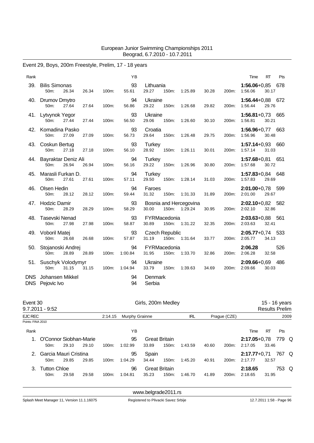# Event 29, Boys, 200m Freestyle, Prelim, 17 - 18 years

| Rank       |                                    |       |       |       | YB            |                                |       |                                   |       |       | Time                          | <b>RT</b> | Pts |
|------------|------------------------------------|-------|-------|-------|---------------|--------------------------------|-------|-----------------------------------|-------|-------|-------------------------------|-----------|-----|
| 39.        | <b>Bilis Simonas</b><br>50m:       | 26.34 | 26.34 | 100m: | 93<br>55.61   | Lithuania<br>29.27             | 150m: | 1:25.89                           | 30.28 | 200m: | $1:56.06 + 0.85$<br>1:56.06   | 30.17     | 678 |
|            | 40. Drumov Dmytro<br>50m:          | 27.64 | 27.64 | 100m: | 94<br>56.86   | Ukraine<br>29.22               | 150m: | 1:26.68                           | 29.82 | 200m: | 1:56.44+0,88 672<br>1:56.44   | 29.76     |     |
|            | 41. Lytvynok Yegor<br>50m:         | 27.44 | 27.44 | 100m: | 93<br>56.50   | Ukraine<br>29.06               | 150m: | 1:26.60                           | 30.10 | 200m: | $1:56.81+0.73$ 665<br>1:56.81 | 30.21     |     |
| 42.        | Komadina Pasko<br>50m:             | 27.09 | 27.09 | 100m: | 93<br>56.73   | Croatia<br>29.64               | 150m: | 1:26.48                           | 29.75 | 200m: | 1:56.96+0,77 663<br>1:56.96   | 30.48     |     |
|            | 43. Coskun Bertug<br>50m:          | 27.18 | 27.18 | 100m: | 93<br>56.10   | <b>Turkey</b><br>28.92         | 150m: | 1:26.11                           | 30.01 | 200m: | $1:57.14+0.93$ 660<br>1:57.14 | 31.03     |     |
|            | 44. Bayraktar Deniz Ali<br>50m:    | 26.94 | 26.94 | 100m: | 94<br>56.16   | <b>Turkey</b><br>29.22         | 150m: | 1:26.96                           | 30.80 | 200m: | 1:57.68+0,81 651<br>1:57.68   | 30.72     |     |
| 45.        | Marasli Furkan D.<br>50m:          | 27.61 | 27.61 | 100m: | 94<br>57.11   | <b>Turkey</b><br>29.50         | 150m: | 1:28.14                           | 31.03 | 200m: | 1:57.83+0,84 648<br>1:57.83   | 29.69     |     |
| 46.        | Olsen Hedin<br>50m:                | 28.12 | 28.12 | 100m: | 94<br>59.44   | Faroes<br>31.32                | 150m: | 1:31.33                           | 31.89 | 200m: | $2:01.00+0.78$ 599<br>2:01.00 | 29.67     |     |
| 47.        | <b>Hodzic Damir</b><br>50m:        | 28.29 | 28.29 | 100m: | 93<br>58.29   | 30.00                          | 150m: | Bosnia and Hercegovina<br>1:29.24 | 30.95 | 200m: | 2:02.10+0,82 582<br>2:02.10   | 32.86     |     |
| 48.        | Tasevski Nenad<br>50m:             | 27.98 | 27.98 | 100m: | 93<br>58.87   | FYRMacedonia<br>30.89          | 150m: | 1:31.22                           | 32.35 | 200m: | $2:03.63+0.88$ 561<br>2:03.63 | 32.41     |     |
|            | 49. Voboril Matej<br>50m:          | 26.68 | 26.68 | 100m: | 93<br>57.87   | <b>Czech Republic</b><br>31.19 | 150m: | 1:31.64                           | 33.77 | 200m: | $2:05.77+0.74$ 533<br>2:05.77 | 34.13     |     |
| 50.        | Stojanoski Andrej<br>50m:          | 28.89 | 28.89 | 100m: | 94<br>1:00.84 | FYRMacedonia<br>31.95          | 150m: | 1:33.70                           | 32.86 | 200m: | 2:06.28<br>2:06.28            | 32.58     | 526 |
|            | 51. Suschyk Volodymyr<br>50m:      | 31.15 | 31.15 | 100m: | 94<br>1:04.94 | Ukraine<br>33.79               | 150m: | 1:39.63                           | 34.69 | 200m: | 2:09.66+0,69 486<br>2:09.66   | 30.03     |     |
| <b>DNS</b> | Johansen Mikkel<br>DNS Pejovic Ivo |       |       |       | 94<br>94      | Denmark<br>Serbia              |       |                                   |       |       |                               |           |     |

| Event 30          | 9.7.2011 - 9:52                             |       |       |          |                       | Girls, 200m Medley            |          |         |       |              |                             | <b>Results Prelim</b> | 15 - 16 years |  |
|-------------------|---------------------------------------------|-------|-------|----------|-----------------------|-------------------------------|----------|---------|-------|--------------|-----------------------------|-----------------------|---------------|--|
| <b>EJC REC</b>    |                                             |       |       | 2:14.15  | <b>Murphy Grainne</b> |                               |          | IRL     |       | Praque (CZE) |                             |                       | 2009          |  |
| Points: FINA 2010 |                                             |       |       |          |                       |                               |          |         |       |              |                             |                       |               |  |
| Rank              |                                             |       |       |          | ΥB                    |                               |          |         |       |              | Time                        | RT                    | Pts           |  |
|                   | O'Connor Siobhan-Marie<br>50 <sub>m</sub> : | 29.10 | 29.10 | 100m:    | 95<br>1:02.99         | <b>Great Britain</b><br>33.89 | $150m$ : | 1:43.59 | 40.60 | 200m:        | $2:17.05 + 0.78$<br>2:17.05 | 33.46                 | 779 Q         |  |
| 2.                | Garcia Mauri Cristina<br>$50m$ :            | 29.85 | 29.85 | $100m$ : | 95<br>1:04.29         | Spain<br>34.44                | 150m:    | 1:45.20 | 40.91 | 200m:        | $2:17.77+0.71$<br>2:17.77   | 32.57                 | 767 Q         |  |
| 3.                | <b>Tutton Chloe</b><br>50 <sub>m</sub> :    | 29.58 | 29.58 | $100m$ : | 96<br>1:04.81         | <b>Great Britain</b><br>35.23 | 150m:    | 1:46.70 | 41.89 | 200m:        | 2:18.65<br>2:18.65          | 31.95                 | 753 Q         |  |

<www.belgrade2011.rs>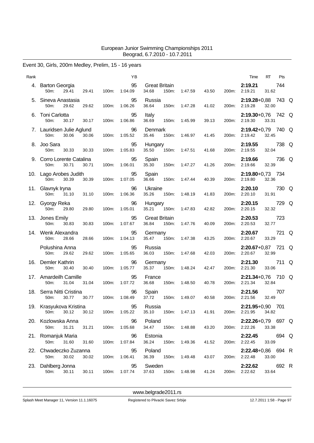### Event 30, Girls, 200m Medley, Prelim, 15 - 16 years

| Rank |                                                        |       | ΥB                  |                                        |               |       |       | RT<br>Pts<br>Time                            |  |
|------|--------------------------------------------------------|-------|---------------------|----------------------------------------|---------------|-------|-------|----------------------------------------------|--|
|      | 4. Barton Georgia<br>29.41<br>29.41<br>50m:            | 100m: | 95<br>1:04.09       | <b>Great Britain</b><br>34.68<br>150m: | 1:47.59       | 43.50 | 200m: | 2:19.21<br>744<br>2:19.21<br>31.62           |  |
|      | 5. Sineva Anastasia<br>29.62<br>50m:<br>29.62          | 100m: | 95<br>1:06.26       | Russia<br>150m:<br>36.64               | 1:47.28       | 41.02 | 200m: | 2:19.28+0,88 743 Q<br>2:19.28<br>32.00       |  |
|      | 6. Toni Carlotta<br>50m:<br>30.17<br>30.17             | 100m: | 95<br>1:06.86       | Italy<br>36.69<br>150m:                | 1:45.99       | 39.13 | 200m: | 2:19.30+0,76 742 Q<br>2:19.30<br>33.31       |  |
|      | 7. Lauridsen Julie Aglund<br>50m:<br>30.06<br>30.06    | 100m: | 96<br>1:05.52       | Denmark<br>35.46                       | 150m: 1:46.97 | 41.45 |       | 2:19.42+0,79 740 Q<br>200m: 2:19.42<br>32.45 |  |
|      | 8. Joo Sara<br>30.33<br>30.33<br>50m:                  | 100m: | 95<br>1:05.83       | Hungary<br>35.50                       | 150m: 1:47.51 | 41.68 |       | 2:19.55<br>738 Q<br>200m: 2:19.55<br>32.04   |  |
|      | 9. Corro Lorente Catalina<br>50m:<br>30.71<br>30.71    | 100m: | 95<br>1:06.01       | Spain<br>35.30<br>150m:                | 1:47.27       | 41.26 | 200m: | 2:19.66<br>736 Q<br>2:19.66<br>32.39         |  |
|      | 10. Lago Arobes Judith<br>50m:<br>30.39<br>30.39       | 100m: | 95<br>1:07.05       | Spain<br>36.66<br>150m:                | 1:47.44       | 40.39 | 200m: | 2:19.80+0,73 734<br>32.36<br>2:19.80         |  |
|      | 11. Glavnyk Iryna<br>50m:<br>31.10<br>31.10            | 100m: | 96<br>1:06.36       | Ukraine<br>35.26<br>150m:              | 1:48.19       | 41.83 |       | 2:20.10<br>730 Q<br>200m: 2:20.10<br>31.91   |  |
|      | 12. Gyorgy Reka<br>50 <sub>m</sub> :<br>29.80<br>29.80 | 100m: | 96<br>1:05.01       | Hungary<br>35.21<br>150m:              | 1:47.83       | 42.82 | 200m: | 2:20.15<br>729 Q<br>2:20.15<br>32.32         |  |
|      | 13. Jones Emily<br>50m:<br>30.83<br>30.83              | 100m: | 95<br>1:07.67       | <b>Great Britain</b><br>36.84<br>150m: | 1:47.76       | 40.09 | 200m: | 2:20.53<br>723<br>2:20.53<br>32.77           |  |
|      | 14. Wenk Alexandra<br>28.66<br>50m:<br>28.66           | 100m: | 95<br>1:04.13       | Germany<br>35.47<br>150m:              | 1:47.38       | 43.25 | 200m: | 2:20.67<br>721 Q<br>2:20.67<br>33.29         |  |
|      | Polushina Anna<br>50 <sub>m</sub> :<br>29.62<br>29.62  | 100m: | 95<br>1:05.65       | Russia<br>36.03<br>150m:               | 1:47.68       | 42.03 | 200m: | 2:20.67+0,87 721 Q<br>2:20.67<br>32.99       |  |
| 16.  | Demler Kathrin<br>50m:<br>30.40<br>30.40               | 100m: | 96<br>1:05.77       | Germany<br>35.37<br>150m:              | 1:48.24       | 42.47 | 200m: | 711 Q<br>2:21.30<br>2:21.30<br>33.06         |  |
|      | 17. Amardeilh Camille<br>31.04<br>50m:<br>31.04        | 100m: | 95<br>1:07.72       | France<br>36.68<br>150m:               | 1:48.50       | 40.78 |       | 2:21.34+0,76 710 Q<br>32.84<br>200m: 2:21.34 |  |
|      | 18. Serra Nitti Cristina<br>50m:<br>30.77<br>30.77     | 100m: | 96<br>1:08.49       | Spain<br>37.72<br>150m:                | 1:49.07       | 40.58 | 200m: | 707<br>2:21.56<br>2:21.56<br>32.49           |  |
|      | 19. Krasyukova Kristina<br>30.12<br>30.12<br>50m:      |       | 95<br>100m: 1:05.22 | Russia<br>35.10                        | 150m: 1:47.13 | 41.91 |       | 2:21.95+0,90 701<br>200m: 2:21.95<br>34.82   |  |
|      | 20. Kozlowska Anna<br>50m:<br>31.21<br>31.21           | 100m: | 96<br>1:05.68       | Poland<br>34.47<br>150m: 1:48.88       |               | 43.20 |       | 2:22.26+0,79 697 Q<br>200m: 2:22.26<br>33.38 |  |
|      | 21. Romanjuk Maria<br>50m:<br>31.60<br>31.60           | 100m: | 96<br>1:07.84       | Estonia<br>36.24                       | 150m: 1:49.36 | 41.52 | 200m: | 2:22.45 694 Q<br>33.09<br>2:22.45            |  |
|      | 22. Chwadeczko Zuzanna<br>50m:<br>30.02<br>30.02       | 100m: | 95<br>1:06.41       | Poland<br>36.39                        | 150m: 1:49.48 | 43.07 |       | 2:22.48+0,86 694 R<br>200m: 2:22.48<br>33.00 |  |
|      | 23. Dahlberg Jonna<br>30.11<br>30.11<br>50m:           | 100m: | 95<br>1:07.74       | Sweden<br>37.63                        | 150m: 1:48.98 | 41.24 |       | 2:22.62<br>692 R<br>200m: 2:22.62<br>33.64   |  |
|      |                                                        |       |                     |                                        |               |       |       |                                              |  |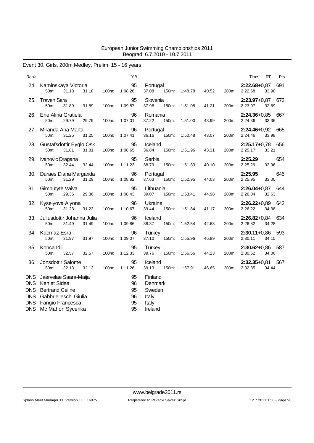### Event 30, Girls, 200m Medley, Prelim, 15 - 16 years

| Rank                                                 |                                                                                                                                           |                | ΥB                               |                                                           |       |         |       |       | Time                          | RT    | Pts |
|------------------------------------------------------|-------------------------------------------------------------------------------------------------------------------------------------------|----------------|----------------------------------|-----------------------------------------------------------|-------|---------|-------|-------|-------------------------------|-------|-----|
|                                                      | 24. Kaminskaya Victoria<br>50m:<br>31.18                                                                                                  | 31.18<br>100m: | 95<br>1:08.26                    | Portugal<br>37.08                                         | 150m: | 1:48.78 | 40.52 | 200m: | 2:22.68+0,87 691<br>2:22.68   | 33.90 |     |
| 25.                                                  | <b>Traven Sara</b><br>50m:<br>31.89                                                                                                       | 31.89<br>100m: | 95<br>1:09.87                    | Slovenia<br>37.98                                         | 150m: | 1:51.08 | 41.21 | 200m: | 2:23.97+0,87 672<br>2:23.97   | 32.89 |     |
| 26.                                                  | Ene Alina Gratiela<br>50m:<br>29.79                                                                                                       | 29.79<br>100m: | 96<br>1:07.01                    | Romania<br>37.22                                          | 150m: | 1:51.00 | 43.99 | 200m: | $2:24.36+0.85$ 667<br>2:24.36 | 33.36 |     |
| 27.                                                  | Miranda Ana Marta<br>31.25<br>50m:                                                                                                        | 31.25<br>100m: | 96<br>1:07.41                    | Portugal<br>36.16                                         | 150m: | 1:50.48 | 43.07 | 200m: | 2:24.46+0,92 665<br>2:24.46   | 33.98 |     |
|                                                      | 28. Gustafsdottir Eyglo Osk<br>50m:<br>31.81                                                                                              | 31.81<br>100m: | 95<br>1:08.65                    | Iceland<br>36.84                                          | 150m: | 1:51.96 | 43.31 | 200m: | 2:25.17+0,78 656<br>2:25.17   | 33.21 |     |
|                                                      | 29. Ivanovic Dragana<br>32.44<br>50m:                                                                                                     | 32.44<br>100m: | 95<br>1:11.23                    | Serbia<br>38.79                                           | 150m: | 1:51.33 | 40.10 | 200m: | 2:25.29<br>2:25.29            | 33.96 | 654 |
|                                                      | 30. Duraes Diana Margarida<br>31.29<br>50 <sub>m</sub> :                                                                                  | 31.29<br>100m: | 96<br>1:08.92                    | Portugal<br>37.63                                         | 150m: | 1:52.95 | 44.03 | 200m: | 2:25.95<br>2:25.95            | 33.00 | 645 |
|                                                      | 31. Gimbutyte Vaiva<br>50m:<br>29.36                                                                                                      | 29.36<br>100m: | 95<br>1:08.43                    | Lithuania<br>39.07                                        | 150m: | 1:53.41 | 44.98 | 200m: | 2:26.04+0,87 644<br>2:26.04   | 32.63 |     |
|                                                      | 32. Kyselyova Alyona<br>50m:<br>31.23                                                                                                     | 31.23<br>100m: | 96<br>1:10.67                    | Ukraine<br>39.44                                          | 150m: | 1:51.84 | 41.17 | 200m: | 2:26.22+0,89 642<br>2:26.22   | 34.38 |     |
| 33.                                                  | Juliusdottir Johanna Julia<br>50m:<br>31.49                                                                                               | 31.49<br>100m: | 96<br>1:09.86                    | Iceland<br>38.37                                          | 150m: | 1:52.54 | 42.68 | 200m: | 2:26.82+0,84 634<br>2:26.82   | 34.28 |     |
|                                                      | 34. Kacmaz Esra<br>50m:<br>31.97                                                                                                          | 31.97<br>100m: | 96<br>1:09.07                    | Turkey<br>37.10                                           | 150m: | 1:55.96 | 46.89 | 200m: | $2:30.11+0.86$ 593<br>2:30.11 | 34.15 |     |
| 35.                                                  | Konca Idil<br>50m:<br>32.57                                                                                                               | 100m:<br>32.57 | 95<br>1:12.33                    | <b>Turkey</b><br>39.76                                    | 150m: | 1:56.56 | 44.23 | 200m: | 2:30.62+0,86 587<br>2:30.62   | 34.06 |     |
| 36.                                                  | Jonsdottir Salome<br>50 <sub>m</sub> :<br>32.13                                                                                           | 32.13<br>100m: | 95<br>1:11.26                    | Iceland<br>39.13                                          | 150m: | 1:57.91 | 46.65 | 200m: | $2:32.35+0.81$ 567<br>2:32.35 | 34.44 |     |
| <b>DNS</b><br><b>DNS</b><br><b>DNS</b><br><b>DNS</b> | DNS Jaervelae Saara-Maija<br>Kehlet Sidse<br><b>Bertrand Celine</b><br>Gabbrielleschi Giulia<br>Fangio Francesca<br>DNS Mc Mahon Sycerika |                | 95<br>96<br>95<br>96<br>95<br>95 | Finland<br>Denmark<br>Sweden<br>Italy<br>Italy<br>Ireland |       |         |       |       |                               |       |     |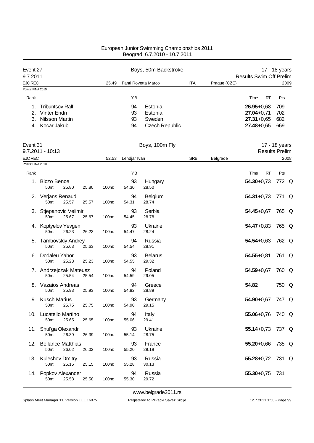| Event 27<br>9.7.2011                |                                                                                |       |       |                      | Boys, 50m Backstroke                                  |            |              | <b>Results Swim Off Prelim</b>                                       | 17 - 18 years            |      |
|-------------------------------------|--------------------------------------------------------------------------------|-------|-------|----------------------|-------------------------------------------------------|------------|--------------|----------------------------------------------------------------------|--------------------------|------|
| <b>EJC REC</b>                      |                                                                                |       | 25.49 |                      | Fanti Rovetta Marco                                   | <b>ITA</b> | Prague (CZE) |                                                                      |                          | 2009 |
| Points: FINA 2010                   |                                                                                |       |       |                      |                                                       |            |              |                                                                      |                          |      |
| Rank                                |                                                                                |       |       | YB                   |                                                       |            |              | Time<br>RT                                                           | Pts                      |      |
| 1.<br>2.<br>3.<br>4.                | <b>Tribuntsov Ralf</b><br>Vinter Endri<br><b>Nilsson Martin</b><br>Kocar Jakub |       |       | 94<br>93<br>93<br>94 | Estonia<br>Estonia<br>Sweden<br><b>Czech Republic</b> |            |              | $26.95 + 0.68$<br>$27.04 + 0.71$<br>$27.31 + 0.65$<br>$27.48 + 0.65$ | 709<br>702<br>682<br>669 |      |
| Event 31                            | 9.7.2011 - 10:13                                                               |       |       |                      | Boys, 100m Fly                                        |            |              | <b>Results Prelim</b>                                                | 17 - 18 years            |      |
| <b>EJC REC</b><br>Points: FINA 2010 |                                                                                |       | 52.53 | Lendjar Ivan         |                                                       | <b>SRB</b> | Belgrade     |                                                                      |                          | 2008 |
|                                     |                                                                                |       |       |                      |                                                       |            |              |                                                                      |                          |      |
| Rank<br>1.                          | <b>Biczo Bence</b><br>50m:<br>25.80                                            | 25.80 | 100m: | YB<br>93<br>54.30    | Hungary<br>28.50                                      |            |              | <b>RT</b><br>Time<br>$54.30 + 0.73$                                  | Pts<br>772 Q             |      |
|                                     | 2. Verjans Renaud<br>50m:<br>25.57                                             | 25.57 | 100m: | 94<br>54.31          | Belgium<br>28.74                                      |            |              | $54.31 + 0.73$                                                       | 771 Q                    |      |
| 3.                                  | Stjepanovic Velimir<br>50m:<br>25.67                                           | 25.67 | 100m: | 93<br>54.45          | Serbia<br>28.78                                       |            |              | $54.45 + 0.67$                                                       | 765 Q                    |      |
|                                     | 4. Koptyelov Yevgen<br>26.23<br>50m:                                           | 26.23 | 100m: | 93<br>54.47          | Ukraine<br>28.24                                      |            |              | $54.47 + 0.83$                                                       | 765 Q                    |      |
| 5.                                  | <b>Tambovskiy Andrey</b><br>50m:<br>25.63                                      | 25.63 | 100m: | 94<br>54.54          | Russia<br>28.91                                       |            |              | $54.54 + 0.63$                                                       | 762 Q                    |      |
| 6.                                  | Dodaleu Yahor<br>50m:<br>25.23                                                 | 25.23 | 100m: | 93<br>54.55          | <b>Belarus</b><br>29.32                               |            |              | $54.55 + 0.81$                                                       | 761 Q                    |      |
|                                     | 7. Andrzejczak Mateusz<br>25.54<br>50m:                                        | 25.54 | 100m: | 94<br>54.59          | Poland<br>29.05                                       |            |              | $54.59 + 0.67$                                                       | 760 Q                    |      |
| 8.                                  | Vazaios Andreas<br>25.93<br>50m:                                               | 25.93 | 100m: | 94<br>54.82          | Greece<br>28.89                                       |            |              | 54.82                                                                | 750 Q                    |      |
|                                     | 9. Kusch Marius<br>50m:<br>25.75                                               | 25.75 | 100m: | 93<br>54.90          | Germany<br>29.15                                      |            |              | 54.90+0,67 747 Q                                                     |                          |      |
|                                     | 10. Lucatello Martino<br>50m:<br>25.65                                         | 25.65 | 100m: | 94<br>55.06          | Italy<br>29.41                                        |            |              | $55.06 + 0.76$                                                       | 740 Q                    |      |
|                                     | 11. Shul'ga Olexandr<br>50m:<br>26.39                                          | 26.39 | 100m: | 93<br>55.14          | Ukraine<br>28.75                                      |            |              | $55.14 + 0.73$                                                       | 737 Q                    |      |
|                                     | 12. Bellance Matthias<br>50m:<br>26.02                                         | 26.02 | 100m: | 93<br>55.20          | France<br>29.18                                       |            |              | $55.20 + 0.66$                                                       | 735 Q                    |      |
|                                     | 13. Kuleshov Dmitry<br>25.15<br>50m:                                           | 25.15 | 100m: | 93<br>55.28          | Russia<br>30.13                                       |            |              | $55.28 + 0.72$                                                       | 731 Q                    |      |
|                                     | 14. Popkov Alexander<br>25.58<br>50m:                                          | 25.58 | 100m: | 94<br>55.30          | Russia<br>29.72                                       |            |              | $55.30 + 0.75$                                                       | 731                      |      |

<www.belgrade2011.rs>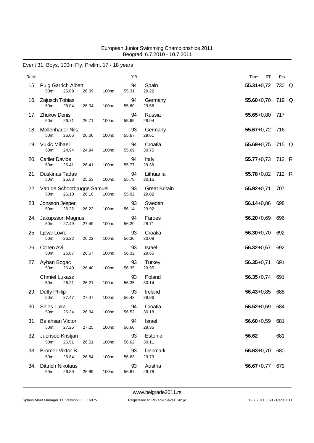### Event 31, Boys, 100m Fly, Prelim, 17 - 18 years

| Rank |                                                 |       |       | YB          |                               | <b>RT</b><br>Time | Pts   |
|------|-------------------------------------------------|-------|-------|-------------|-------------------------------|-------------------|-------|
|      | 15. Puig Garrich Albert<br>50m:<br>26.09        | 26.09 | 100m: | 94<br>55.31 | Spain<br>29.22                | $55.31 + 0.72$    | 730 Q |
|      | 16. Zajusch Tobias<br>50m:<br>26.04             | 26.04 | 100m: | 94<br>55.60 | Germany<br>29.56              | 55.60+0,70 719 Q  |       |
|      | 17. Zhukov Denis<br>50m:<br>26.71               | 26.71 | 100m: | 94<br>55.65 | Russia<br>28.94               | $55.65 + 0.80$    | 717   |
| 18.  | <b>Mollenhauer Nils</b><br>50m:<br>26.06        | 26.06 | 100m: | 93<br>55.67 | Germany<br>29.61              | $55.67 + 0.72$    | 716   |
|      | 19. Vukic Mihael<br>50m:<br>24.94               | 24.94 | 100m: | 94<br>55.69 | Croatia<br>30.75              | $55.69 + 0.75$    | 715 Q |
|      | 20. Carlier Davide<br>50m:<br>26.41             | 26.41 | 100m: | 94<br>55.77 | Italy<br>29.36                | $55.77+0.73$      | 712 R |
| 21.  | Duskinas Tadas<br>50m:<br>25.63                 | 25.63 | 100m: | 94<br>55.78 | Lithuania<br>30.15            | 55.78+0,82 712 R  |       |
|      | 22. Van de Schootbrugge Samuel<br>26.10<br>50m: | 26.10 | 100m: | 93<br>55.92 | <b>Great Britain</b><br>29.82 | $55.92 + 0.71$    | 707   |
|      | 23. Jonsson Jesper<br>26.22<br>50m:             | 26.22 | 100m: | 93<br>56.14 | Sweden<br>29.92               | $56.14 + 0.86$    | 698   |
|      | 24. Jakupsson Magnus<br>50m:<br>27.49           | 27.49 | 100m: | 94<br>56.20 | Faroes<br>28.71               | $56.20 + 0.69$    | 696   |
|      | 25. Ljevar Lovro<br>50m:<br>26.22               | 26.22 | 100m: | 93<br>56.30 | Croatia<br>30.08              | $56.30 + 0.70$    | 692   |
| 26.  | Cohen Avi<br>26.67<br>50m:                      | 26.67 | 100m: | 93<br>56.32 | Israel<br>29.65               | $56.32 + 0.67$    | 692   |
|      | 27. Ayhan Bogac<br>50m:<br>26.40                | 26.40 | 100m: | 93<br>56.35 | Turkey<br>29.95               | $56.35 + 0.71$    | 691   |
|      | <b>Chmiel Lukasz</b><br>26.21<br>50m:           | 26.21 | 100m: | 93<br>56.35 | Poland<br>30.14               | $56.35 + 0.74$    | 691   |
|      | 29. Duffy Philip<br>50m:<br>27.47               | 27.47 | 100m: | 93<br>56.43 | Ireland<br>28.96              | $56.43 + 0.85$    | 688   |
|      | 30. Seles Luka<br>26.34<br>50m:                 | 26.34 | 100m: | 94<br>56.52 | Croatia<br>30.18              | 56.52+0,69 684    |       |
|      | 31. Belahsan Victor<br>27.25<br>50m:            | 27.25 | 100m: | 94<br>56.60 | Israel<br>29.35               | $56.60 + 0.59$    | 681   |
|      | 32. Juerisoo Kristjan<br>50m:<br>26.51          | 26.51 | 100m: | 93<br>56.62 | Estonia<br>30.11              | 56.62             | 681   |
|      | 33. Bromer Viktor B.<br>50m:<br>26.84           | 26.84 | 100m: | 93<br>56.63 | Denmark<br>29.79              | $56.63 + 0.70$    | 680   |
| 34.  | <b>Dittrich Nikolaus</b><br>26.89<br>50m:       | 26.89 | 100m: | 93<br>56.67 | Austria<br>29.78              | $56.67 + 0.77$    | 679   |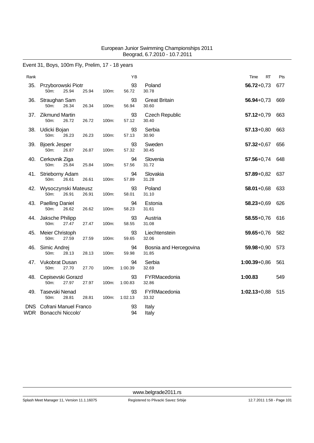### Event 31, Boys, 100m Fly, Prelim, 17 - 18 years

| Rank |                                                                  |       |       | ΥB            |                                 | Time<br>RT       | Pts |
|------|------------------------------------------------------------------|-------|-------|---------------|---------------------------------|------------------|-----|
| 35.  | Przyborowski Piotr<br>50m:<br>25.94                              | 25.94 | 100m: | 93<br>56.72   | Poland<br>30.78                 | $56.72 + 0.73$   | 677 |
| 36.  | Straughan Sam<br>50m:<br>26.34                                   | 26.34 | 100m: | 93<br>56.94   | <b>Great Britain</b><br>30.60   | $56.94 + 0.73$   | 669 |
| 37.  | <b>Zikmund Martin</b><br>26.72<br>50m:                           | 26.72 | 100m: | 93<br>57.12   | <b>Czech Republic</b><br>30.40  | $57.12 + 0.79$   | 663 |
|      | 38. Udicki Bojan<br>50m:<br>26.23                                | 26.23 | 100m: | 93<br>57.13   | Serbia<br>30.90                 | $57.13 + 0.80$   | 663 |
| 39.  | <b>Bjoerk Jesper</b><br>50m:<br>26.87                            | 26.87 | 100m: | 93<br>57.32   | Sweden<br>30.45                 | $57.32 + 0.67$   | 656 |
| 40.  | Cerkovnik Ziga<br>25.84<br>50m:                                  | 25.84 | 100m: | 94<br>57.56   | Slovenia<br>31.72               | $57.56 + 0.74$   | 648 |
| 41.  | Strieborny Adam<br>50m:<br>26.61                                 | 26.61 | 100m: | 94<br>57.89   | Slovakia<br>31.28               | $57.89 + 0.82$   | 637 |
|      | 42. Wysoczynski Mateusz<br>50 <sub>m</sub> :<br>26.91            | 26.91 | 100m: | 93<br>58.01   | Poland<br>31.10                 | $58.01 + 0.68$   | 633 |
| 43.  | <b>Paelling Daniel</b><br>50m:<br>26.62                          | 26.62 | 100m: | 94<br>58.23   | Estonia<br>31.61                | $58.23 + 0.69$   | 626 |
|      | 44. Jaksche Philipp<br>50m:<br>27.47                             | 27.47 | 100m: | 93<br>58.55   | Austria<br>31.08                | $58.55 + 0.76$   | 616 |
| 45.  | Meier Christoph<br>50m:<br>27.59                                 | 27.59 | 100m: | 93<br>59.65   | Liechtenstein<br>32.06          | $59.65 + 0.76$   | 582 |
| 46.  | Simic Andrej<br>50m:<br>28.13                                    | 28.13 | 100m: | 94<br>59.98   | Bosnia and Hercegovina<br>31.85 | $59.98 + 0.90$   | 573 |
| 47.  | <b>Vukobrat Dusan</b><br>50m:<br>27.70                           | 27.70 | 100m: | 94<br>1:00.39 | Serbia<br>32.69                 | $1:00.39 + 0.86$ | 561 |
| 48.  | Cepisevski Gorazd<br>50m:<br>27.97                               | 27.97 | 100m: | 93<br>1:00.83 | FYRMacedonia<br>32.86           | 1:00.83          | 549 |
| 49.  | <b>Tasevski Nenad</b><br>50m:<br>28.81                           | 28.81 | 100m: | 93<br>1:02.13 | FYRMacedonia<br>33.32           | $1:02.13+0.88$   | 515 |
|      | <b>DNS</b> Cofrani Manuel Franco<br><b>WDR</b> Bonacchi Niccolo' |       |       | 93<br>94      | Italy<br>Italy                  |                  |     |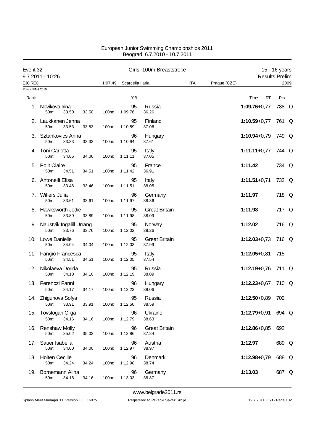| Event 32          | 9.7.2011 - 10:26                                          |       |         |                  | Girls, 100m Breaststroke      |            |              | <b>Results Prelim</b> | 15 - 16 years |      |
|-------------------|-----------------------------------------------------------|-------|---------|------------------|-------------------------------|------------|--------------|-----------------------|---------------|------|
| EJC REC           |                                                           |       | 1:07.49 | Scarcella llaria |                               | <b>ITA</b> | Prague (CZE) |                       |               | 2009 |
| Points: FINA 2010 |                                                           |       |         |                  |                               |            |              |                       |               |      |
| Rank              |                                                           |       |         | ΥB               |                               |            |              | Time<br>RT            | Pts           |      |
| 1.                | Novikova Irina<br>50m:<br>33.50                           | 33.50 | 100m:   | 95<br>1:09.76    | Russia<br>36.26               |            |              | $1:09.76 + 0.77$      | 788 Q         |      |
|                   | 2. Laukkanen Jenna<br>50m:<br>33.53                       | 33.53 | 100m:   | 95<br>1:10.59    | Finland<br>37.06              |            |              | $1:10.59 + 0.77$      | 761 Q         |      |
|                   | 3. Sztankovics Anna<br>50m:<br>33.33                      | 33.33 | 100m:   | 96<br>1:10.94    | Hungary<br>37.61              |            |              | $1:10.94 + 0.79$      | 749 Q         |      |
|                   | 4. Toni Carlotta<br>50m:<br>34.06                         | 34.06 | 100m:   | 95<br>1:11.11    | Italy<br>37.05                |            |              | $1:11.11+0.77$        | 744 Q         |      |
|                   | 5. Polit Claire<br>50m:<br>34.51                          | 34.51 | 100m:   | 95<br>1:11.42    | France<br>36.91               |            |              | 1:11.42               | 734 Q         |      |
|                   | 6. Antonelli Elisa<br>50m:<br>33.46                       | 33.46 | 100m:   | 95<br>1:11.51    | Italy<br>38.05                |            |              | $1:11.51+0.71$        | 732 Q         |      |
|                   | 7. Willers Julia<br>50m:<br>33.61                         | 33.61 | 100m:   | 96<br>1:11.97    | Germany<br>38.36              |            |              | 1:11.97               | 718 Q         |      |
|                   | 8. Hawksworth Jodie<br>33.89<br>50m:                      | 33.89 | 100m:   | 95<br>1:11.98    | <b>Great Britain</b><br>38.09 |            |              | 1:11.98               | 717 Q         |      |
|                   | 9. Naustvik Ingalill Urrang<br>50 <sub>m</sub> :<br>33.76 | 33.76 | 100m:   | 95<br>1:12.02    | Norway<br>38.26               |            |              | 1:12.02               | 716 Q         |      |
|                   | 10. Lowe Danielle<br>50m:<br>34.04                        | 34.04 | 100m:   | 95<br>1:12.03    | <b>Great Britain</b><br>37.99 |            |              | $1:12.03 + 0.73$      | 716 Q         |      |
|                   | 11. Fangio Francesca<br>50m:<br>34.51                     | 34.51 | 100m:   | 95<br>1:12.05    | Italy<br>37.54                |            |              | $1:12.05 + 0.81$      | 715           |      |
| 12.               | Nikolaeva Dorida<br>50m:<br>34.10                         | 34.10 | 100m:   | 95<br>1:12.19    | Russia<br>38.09               |            |              | $1:12.19 + 0.76$      | 711 Q         |      |
|                   | 13. Ferenczi Fanni<br>34.17<br>50m:                       | 34.17 | 100m:   | 96<br>1:12.23    | Hungary<br>38.06              |            |              | $1:12.23+0.67$        | 710 Q         |      |
|                   | 14. Zhigunova Sofya<br>33.91<br>50m:                      | 33.91 | 100m:   | 95<br>1:12.50    | Russia<br>38.59               |            |              | 1:12.50+0,89 702      |               |      |
| 15.               | Tovstogan Ol'ga<br>50m:<br>34.16                          | 34.16 | 100m:   | 96<br>1:12.79    | Ukraine<br>38.63              |            |              | $1:12.79 + 0.91$      | 694 Q         |      |
|                   | 16. Renshaw Molly<br>50m:<br>35.02                        | 35.02 | 100m:   | 96<br>1:12.86    | <b>Great Britain</b><br>37.84 |            |              | $1:12.86 + 0.85$      | 692           |      |
|                   | 17. Sauer Isabella<br>50m:<br>34.00                       | 34.00 | 100m:   | 96<br>1:12.97    | Austria<br>38.97              |            |              | 1:12.97               | 689 Q         |      |
|                   | 18. Holten Cecilie<br>50m:<br>34.24                       | 34.24 | 100m:   | 96<br>1:12.98    | Denmark<br>38.74              |            |              | $1:12.98 + 0.79$      | 688 Q         |      |
|                   | 19. Bornemann Alina<br>34.16<br>50m:                      | 34.16 | 100m:   | 96<br>1:13.03    | Germany<br>38.87              |            |              | 1:13.03               | 687 Q         |      |

<www.belgrade2011.rs>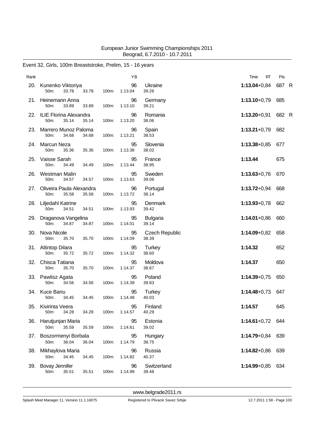### Event 32, Girls, 100m Breaststroke, Prelim, 15 - 16 years

| Rank |                                                      |       | YB            |                                | RT<br>Time       | Pts   |
|------|------------------------------------------------------|-------|---------------|--------------------------------|------------------|-------|
| 20.  | Kunenko Viktoriya<br>50m:<br>33.78<br>33.78          | 100m: | 96<br>1:13.04 | Ukraine<br>39.26               | $1:13.04 + 0.84$ | 687 R |
|      | 21. Heinemann Anna<br>50m:<br>33.89<br>33.89         | 100m: | 96<br>1:13.10 | Germany<br>39.21               | $1:13.10+0.79$   | 685   |
|      | 22. ILIE Florina Alexandra<br>50m:<br>35.14<br>35.14 | 100m: | 96<br>1:13.20 | Romania<br>38.06               | $1:13.20 + 0.91$ | 682 R |
| 23.  | Marrero Munoz Paloma<br>50m:<br>34.68<br>34.68       | 100m: | 96<br>1:13.21 | Spain<br>38.53                 | $1:13.21+0.79$   | 682   |
|      | 24. Marcun Neza<br>50m:<br>35.36<br>35.36            | 100m: | 95<br>1:13.38 | Slovenia<br>38.02              | $1:13.38 + 0.85$ | 677   |
| 25.  | Vaisse Sarah<br>50m:<br>34.49<br>34.49               | 100m: | 95<br>1:13.44 | France<br>38.95                | 1:13.44          | 675   |
| 26.  | Westman Malin<br>50m:<br>34.57<br>34.57              | 100m: | 95<br>1:13.63 | Sweden<br>39.06                | $1:13.63 + 0.76$ | 670   |
| 27.  | Oliveira Paula Alexandra<br>50m:<br>35.58<br>35.58   | 100m: | 96<br>1:13.72 | Portugal<br>38.14              | $1:13.72+0.94$   | 668   |
|      | 28. Liljedahl Katrine<br>50m:<br>34.51<br>34.51      | 100m: | 95<br>1:13.93 | Denmark<br>39.42               | $1:13.93 + 0.78$ | 662   |
|      | 29. Draganova Vangelina<br>50m:<br>34.87<br>34.87    | 100m: | 95<br>1:14.01 | <b>Bulgaria</b><br>39.14       | $1:14.01+0.86$   | 660   |
|      | 30. Nova Nicole<br>50m:<br>35.70<br>35.70            | 100m: | 95<br>1:14.09 | <b>Czech Republic</b><br>38.39 | $1:14.09 + 0.82$ | 658   |
|      | 31. Altintop Dilara<br>50m:<br>35.72<br>35.72        | 100m: | 95<br>1:14.32 | Turkey<br>38.60                | 1:14.32          | 652   |
| 32.  | Chisca Tatiana<br>50m:<br>35.70<br>35.70             | 100m: | 95<br>1:14.37 | Moldova<br>38.67               | 1:14.37          | 650   |
|      | 33. Pawlisz Agata<br>50m:<br>34.56<br>34.56          | 100m: | 95<br>1:14.39 | Poland<br>39.83                | $1:14.39 + 0.75$ | 650   |
| 34.  | <b>Kuce Banu</b><br>50m:<br>34.45<br>34.45           | 100m: | 95<br>1:14.48 | Turkey<br>40.03                | $1:14.48 + 0.73$ | 647   |
| 35.  | Kivirinta Veera<br>34.28<br>50m:<br>34.28            | 100m: | 95<br>1:14.57 | Finland<br>40.29               | 1:14.57          | 645   |
|      | 36. Harutjunjan Maria<br>35.59<br>50m:<br>35.59      | 100m: | 95<br>1:14.61 | Estonia<br>39.02               | 1:14.61+0,72 644 |       |
|      | 37. Boszormenyi Borbala<br>50m:<br>36.04<br>36.04    | 100m: | 95<br>1:14.79 | Hungary<br>38.75               | 1:14.79+0,84 639 |       |
| 38.  | Mikhaylova Maria<br>50m:<br>34.45<br>34.45           | 100m: | 96<br>1:14.82 | Russia<br>40.37                | 1:14.82+0,86 639 |       |
| 39.  | <b>Bovay Jennifer</b><br>50m:<br>35.51<br>35.51      | 100m: | 96<br>1:14.99 | Switzerland<br>39.48           | 1:14.99+0,85 634 |       |
|      |                                                      |       |               |                                |                  |       |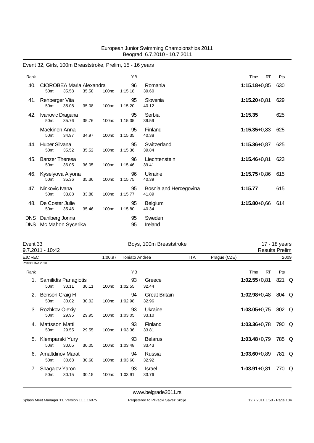| Rank               |                                           |       |       | YB            |                                 | <b>RT</b><br>Time | Pts |
|--------------------|-------------------------------------------|-------|-------|---------------|---------------------------------|-------------------|-----|
| 40.                | CIOROBEA Maria Alexandra<br>35.58<br>50m: | 35.58 | 100m: | 96<br>1:15.18 | Romania<br>39.60                | $1:15.18 + 0.85$  | 630 |
| 41.                | Rehberger Vita<br>35.08<br>50m:           | 35.08 | 100m: | 95<br>1:15.20 | Slovenia<br>40.12               | $1:15.20 + 0.81$  | 629 |
| 42.                | Ivanovic Dragana<br>50m:<br>35.76         | 35.76 | 100m: | 95<br>1:15.35 | Serbia<br>39.59                 | 1:15.35           | 625 |
|                    | Maekinen Anna<br>34.97<br>50m:            | 34.97 | 100m: | 95<br>1:15.35 | Finland<br>40.38                | $1:15.35 + 0.83$  | 625 |
| 44.                | Huber Silvana<br>50m:<br>35.52            | 35.52 | 100m: | 95<br>1:15.36 | Switzerland<br>39.84            | $1:15.36 + 0.87$  | 625 |
| 45.                | <b>Banzer Theresa</b><br>36.05<br>50m:    | 36.05 | 100m: | 96<br>1:15.46 | Liechtenstein<br>39.41          | $1:15.46 + 0.81$  | 623 |
| 46.                | Kyselyova Alyona<br>35.36<br>50m:         | 35.36 | 100m: | 96<br>1:15.75 | Ukraine<br>40.39                | $1:15.75+0.86$    | 615 |
| 47.                | Ninkovic Ivana<br>33.88<br>50m:           | 33.88 | 100m: | 95<br>1:15.77 | Bosnia and Hercegovina<br>41.89 | 1:15.77           | 615 |
| 48.                | De Coster Julie<br>35.46<br>50m:          | 35.46 | 100m: | 95<br>1:15.80 | <b>Belgium</b><br>40.34         | $1:15.80 + 0.66$  | 614 |
| DNS.<br><b>DNS</b> | Dahlberg Jonna<br>Mc Mahon Sycerika       |       |       | 95<br>95      | Sweden<br>Ireland               |                   |     |

### Event 32, Girls, 100m Breaststroke, Prelim, 15 - 16 years

| Event 33          |                                              |         |                | Boys, 100m Breaststroke |               |                               |  |  | 17 - 18 years<br><b>Results Prelim</b> |           |       |  |
|-------------------|----------------------------------------------|---------|----------------|-------------------------|---------------|-------------------------------|--|--|----------------------------------------|-----------|-------|--|
|                   | 9.7.2011 - 10:42                             |         |                |                         |               |                               |  |  |                                        |           |       |  |
| EJC REC           |                                              | 1:00.97 | Toniato Andrea |                         | ITA           | Prague (CZE)                  |  |  |                                        | 2009      |       |  |
| Points: FINA 2010 |                                              |         |                |                         |               |                               |  |  |                                        |           |       |  |
| Rank              |                                              |         |                |                         | YB            |                               |  |  | Time                                   | <b>RT</b> | Pts   |  |
|                   | Samilidis Panagiotis<br>50 <sub>m</sub> :    | 30.11   | 30.11          | 100m:                   | 93<br>1:02.55 | Greece<br>32.44               |  |  | $1:02.55+0.81$                         |           | 821 Q |  |
| 2.                | Benson Craig H<br>50 <sub>m</sub> :          | 30.02   | 30.02          | 100m:                   | 94<br>1:02.98 | <b>Great Britain</b><br>32.96 |  |  | $1:02.98 + 0.48$                       |           | 804 Q |  |
| З.                | Rozhkov Olexiy<br>50 <sub>m</sub> :          | 29.95   | 29.95          | 100m:                   | 93<br>1:03.05 | Ukraine<br>33.10              |  |  | $1:03.05 + 0.75$                       |           | 802 Q |  |
|                   | Mattsson Matti<br>50 <sub>m</sub> :          | 29.55   | 29.55          | 100m:                   | 93<br>1:03.36 | Finland<br>33.81              |  |  | $1:03.36 + 0.78$                       |           | 790 Q |  |
| 5.                | Klemparski Yury<br>50 <sub>m</sub> :         | 30.05   | 30.05          | 100m:                   | 93<br>1:03.48 | <b>Belarus</b><br>33.43       |  |  | $1:03.48 + 0.79$                       |           | 785 Q |  |
| 6.                | <b>Amaltdinov Marat</b><br>50 <sub>m</sub> : | 30.68   | 30.68          | 100m:                   | 94<br>1:03.60 | Russia<br>32.92               |  |  | $1:03.60 + 0.89$                       |           | 781 Q |  |
|                   | Shagalov Yaron<br>50m:                       | 30.15   | 30.15          | 100m:                   | 93<br>1:03.91 | <b>Israel</b><br>33.76        |  |  | $1:03.91 + 0.81$                       |           | 770 Q |  |
|                   |                                              |         |                |                         |               |                               |  |  |                                        |           |       |  |

<www.belgrade2011.rs>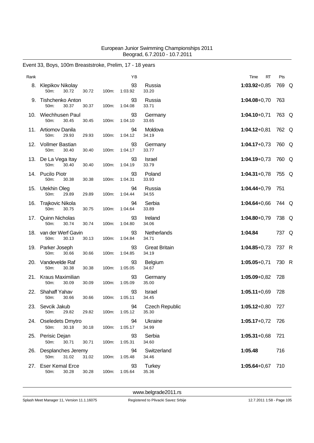| Rank |                                             |       |       | ΥB            |                                | RT<br>Time         | Pts   |  |
|------|---------------------------------------------|-------|-------|---------------|--------------------------------|--------------------|-------|--|
|      | 8. Klepikov Nikolay<br>30.72<br>50m:        | 30.72 | 100m: | 93<br>1:03.92 | Russia<br>33.20                | $1:03.92 + 0.85$   | 769 Q |  |
| 9.   | <b>Tishchenko Anton</b><br>50m:<br>30.37    | 30.37 | 100m: | 93<br>1:04.08 | Russia<br>33.71                | $1:04.08 + 0.70$   | 763   |  |
| 10.  | Wiechhusen Paul<br>50m:<br>30.45            | 30.45 | 100m: | 93<br>1:04.10 | Germany<br>33.65               | $1:04.10+0.71$     | 763 Q |  |
|      | 11. Artiomov Danila<br>50m:<br>29.93        | 29.93 | 100m: | 94<br>1:04.12 | Moldova<br>34.19               | $1:04.12+0.81$     | 762 Q |  |
|      | 12. Vollmer Bastian<br>50m:<br>30.40        | 30.40 | 100m: | 93<br>1:04.17 | Germany<br>33.77               | $1:04.17+0.73$     | 760 Q |  |
|      | 13. De La Vega Itay<br>50m:<br>30.40        | 30.40 | 100m: | 93<br>1:04.19 | Israel<br>33.79                | $1:04.19 + 0.73$   | 760 Q |  |
|      | 14. Pucilo Piotr<br>50m:<br>30.38           | 30.38 | 100m: | 93<br>1:04.31 | Poland<br>33.93                | $1:04.31+0.78$     | 755 Q |  |
| 15.  | Utekhin Oleg<br>50m:<br>29.89               | 29.89 | 100m: | 94<br>1:04.44 | Russia<br>34.55                | $1:04.44+0.79$     | 751   |  |
| 16.  | Trajkovic Nikola<br>50m:<br>30.75           | 30.75 | 100m: | 94<br>1:04.64 | Serbia<br>33.89                | $1:04.64 + 0.66$   | 744 Q |  |
| 17.  | <b>Quinn Nicholas</b><br>50m:<br>30.74      | 30.74 | 100m: | 93<br>1:04.80 | Ireland<br>34.06               | $1:04.80 + 0.79$   | 738 Q |  |
|      | 18. van der Werf Gavin<br>50m:<br>30.13     | 30.13 | 100m: | 93<br>1:04.84 | Netherlands<br>34.71           | 1:04.84            | 737 Q |  |
|      | 19. Parker Joseph<br>50m:<br>30.66          | 30.66 | 100m: | 93<br>1:04.85 | <b>Great Britain</b><br>34.19  | $1:04.85 + 0.73$   | 737 R |  |
| 20.  | Vandevelde Raf<br>50m:<br>30.38             | 30.38 | 100m: | 93<br>1:05.05 | Belgium<br>34.67               | $1:05.05+0.71$     | 730 R |  |
| 21.  | Kraus Maximilian<br>50m:<br>30.09           | 30.09 | 100m: | 93<br>1:05.09 | Germany<br>35.00               | $1:05.09 + 0.82$   | 728   |  |
| 22.  | Shahaff Yahav<br>50 <sub>m</sub> :<br>30.66 | 30.66 | 100m: | 93<br>1:05.11 | <b>Israel</b><br>34.45         | $1:05.11+0.69$     | 728   |  |
| 23.  | Sevcik Jakub<br>50m:<br>29.82               | 29.82 | 100m: | 94<br>1:05.12 | <b>Czech Republic</b><br>35.30 | 1:05.12+0,80 727   |       |  |
|      | 24. Oseledets Dmytro<br>50m:<br>30.18       | 30.18 | 100m: | 94<br>1:05.17 | Ukraine<br>34.99               | $1:05.17+0.72$ 726 |       |  |
|      | 25. Perisic Dejan<br>50m:<br>30.71          | 30.71 | 100m: | 93<br>1:05.31 | Serbia<br>34.60                | $1:05.31+0.68$     | 721   |  |
| 26.  | Desplanches Jeremy<br>31.02<br>50m:         | 31.02 | 100m: | 94<br>1:05.48 | Switzerland<br>34.46           | 1:05.48            | 716   |  |
| 27.  | <b>Eser Kemal Erce</b><br>50m:<br>30.28     | 30.28 | 100m: | 93<br>1:05.64 | Turkey<br>35.36                | $1:05.64 + 0.67$   | 710   |  |

# Event 33, Boys, 100m Breaststroke, Prelim, 17 - 18 years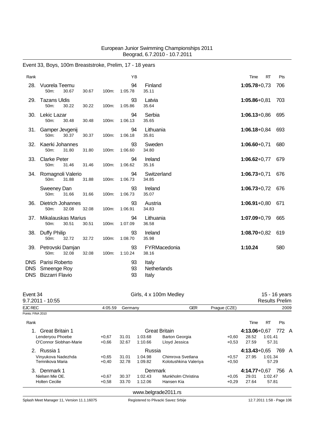| Rank                             |                                                         |       |       | YB             |                               | <b>RT</b><br>Time | Pts |
|----------------------------------|---------------------------------------------------------|-------|-------|----------------|-------------------------------|-------------------|-----|
| 28.                              | Vuorela Teemu<br>30.67<br>50m:                          | 30.67 | 100m: | 94<br>1:05.78  | Finland<br>35.11              | $1:05.78 + 0.73$  | 706 |
| 29.                              | <b>Tazans Uldis</b><br>50m:<br>30.22                    | 30.22 | 100m: | 93<br>1:05.86  | Latvia<br>35.64               | $1:05.86 + 0.81$  | 703 |
| 30.                              | Lekic Lazar<br>50m:<br>30.48                            | 30.48 | 100m: | 94<br>1:06.13  | Serbia<br>35.65               | $1:06.13 + 0.86$  | 695 |
| 31.                              | Gamper Jevgenij<br>50m:<br>30.37                        | 30.37 | 100m: | 94<br>1:06.18  | Lithuania<br>35.81            | $1:06.18 + 0.84$  | 693 |
| 32.                              | Kaerki Johannes<br>50m:<br>31.80                        | 31.80 | 100m: | 93<br>1:06.60  | Sweden<br>34.80               | $1:06.60 + 0.71$  | 680 |
| 33.                              | <b>Clarke Peter</b><br>50m:<br>31.46                    | 31.46 | 100m: | 94<br>1:06.62  | Ireland<br>35.16              | $1:06.62+0.77$    | 679 |
| 34.                              | Romagnoli Valerio<br>50m:<br>31.88                      | 31.88 | 100m: | 94<br>1:06.73  | Switzerland<br>34.85          | $1:06.73+0.71$    | 676 |
|                                  | Sweeney Dan<br>31.66<br>50m:                            | 31.66 | 100m: | 93<br>1:06.73  | Ireland<br>35.07              | $1:06.73+0.72$    | 676 |
| 36.                              | <b>Dietrich Johannes</b><br>50m:<br>32.08               | 32.08 | 100m: | 93<br>1:06.91  | Austria<br>34.83              | $1:06.91+0.80$    | 671 |
| 37.                              | <b>Mikalauskas Marius</b><br>30.51<br>50m:              | 30.51 | 100m: | 94<br>1:07.09  | Lithuania<br>36.58            | $1:07.09 + 0.79$  | 665 |
| 38.                              | Duffy Philip<br>32.72<br>50m:                           | 32.72 | 100m: | 93<br>1:08.70  | Ireland<br>35.98              | $1:08.70 + 0.82$  | 619 |
| 39.                              | Petrovski Damjan<br>50m:<br>32.08                       | 32.08 | 100m: | 93<br>1:10.24  | FYRMacedonia<br>38.16         | 1:10.24           | 580 |
| DNS.<br><b>DNS</b><br><b>DNS</b> | Parisi Roberto<br>Smeenge Roy<br><b>Bizzarri Flavio</b> |       |       | 93<br>93<br>93 | Italy<br>Netherlands<br>Italy |                   |     |

# Event 33, Boys, 100m Breaststroke, Prelim, 17 - 18 years

| Event 34<br>$9.7.2011 - 10:55$ |                                                                 |         | Girls, 4 x 100m Medley |                       | 15 - 16 years<br><b>Results Prelim</b> |                |           |          |      |  |
|--------------------------------|-----------------------------------------------------------------|---------|------------------------|-----------------------|----------------------------------------|----------------|-----------|----------|------|--|
| <b>EJC REC</b>                 | 4:05.59                                                         | Germany |                        | <b>GER</b>            | Prague (CZE)                           |                |           |          | 2009 |  |
| Points: FINA 2010              |                                                                 |         |                        |                       |                                        |                |           |          |      |  |
| Rank                           |                                                                 |         |                        |                       |                                        | Time           | <b>RT</b> | Pts      |      |  |
| <b>Great Britain 1</b>         |                                                                 |         | <b>Great Britain</b>   |                       | $4:13.06 + 0.67$                       |                | 772 A     |          |      |  |
| Lenderyou Phoebe               | $+0.67$                                                         | 31.01   | 1:03.68                | <b>Barton Georgia</b> | $+0,60$                                | 28.52          | 1:01.41   |          |      |  |
| O'Connor Siobhan-Marie         | $+0.66$                                                         | 32.67   | 1:10.66                | Lloyd Jessica         | $+0.53$                                | 27.59<br>57.31 |           |          |      |  |
| Russia 1<br>2 <sup>1</sup>     |                                                                 |         | Russia                 |                       |                                        | $4:13.43+0.65$ |           | 769<br>A |      |  |
| Vinyukova Nadezhda             | $+0.65$                                                         | 31.01   | 1:04.98                | Chimrova Svetlana     | $+0.57$                                | 27.95          | 1:01.34   |          |      |  |
| Temnikova Maria                | Kolotushkina Valeriya<br>32.78<br>1:09.82<br>$+0,40$<br>$+0,50$ |         |                        |                       |                                        |                | 57.29     |          |      |  |
| Denmark 1<br>3.                |                                                                 |         | Denmark                |                       |                                        | $4:14.77+0.67$ |           | 756      | A    |  |
| Nielsen Mie OE.                | $+0.67$                                                         | 30.37   | 1:02.43                | Munkholm Christina    | $+0.05$                                | 29.01          | 1:02.47   |          |      |  |
| <b>Holten Cecilie</b>          | $+0.58$                                                         | 33.70   | 1:12.06                | Hansen Kia            | $+0,29$                                | 27.64          | 57.81     |          |      |  |
|                                |                                                                 |         |                        | www.belgrade2011.rs   |                                        |                |           |          |      |  |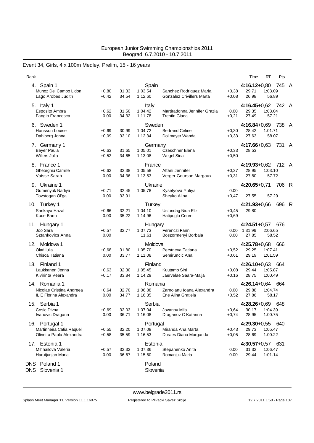### Event 34, Girls, 4 x 100m Medley, Prelim, 15 - 16 years

| Rank                                                                       |                    |                |                                     |                                                             |                    | Time                                        | <b>RT</b>          | Pts   |                |
|----------------------------------------------------------------------------|--------------------|----------------|-------------------------------------|-------------------------------------------------------------|--------------------|---------------------------------------------|--------------------|-------|----------------|
| 4. Spain 1<br>Munoz Del Campo Lidon<br>Lago Arobes Judith                  | $+0,80$<br>$+0,42$ | 31.33<br>34.54 | Spain<br>1:03.54<br>1:12.60         | Sanchez Rodriguez Maria<br><b>Gonzalez Crivillers Marta</b> | $+0,38$<br>$+0,08$ | $4:16.12+0.80$<br>29.71<br>26.98            | 1:03.09<br>56.89   | 745   | A              |
| 5. Italy 1<br>Esposito Ambra<br>Fangio Francesca                           | $+0.62$<br>0.00    | 31.50<br>34.32 | Italy<br>1:04.42<br>1:11.78         | Martiradonna Jennifer Grazia<br><b>Trentin Giada</b>        | 0.00<br>$+0,21$    | $4:16.45 + 0.62$<br>29.35<br>27.49          | 1:03.04<br>57.21   | 742   | $\overline{A}$ |
| 6. Sweden 1<br>Hansson Louise<br>Dahlberg Jonna                            | $+0,69$<br>$+0,09$ | 30.99<br>33.10 | Sweden<br>1:04.72<br>1:12.34        | <b>Bertrand Celine</b><br>Dollmayer Wanda                   | $+0,30$<br>$+0,33$ | $4:16.84 + 0.69$<br>28.42<br>27.63          | 1:01.71<br>58.07   | 738   | A              |
| 7. Germany 1<br>Beyer Paula<br><b>Willers Julia</b>                        | $+0,63$<br>$+0,52$ | 31.65<br>34.65 | Germany<br>1:05.01<br>1:13.08       | <b>Czeschner Elena</b><br>Wegel Sina                        | $+0,33$<br>$+0,50$ | 4:17.66+0,63<br>28.53                       |                    | 731 A |                |
| 8. France 1<br>Gheorghiu Camille<br>Vaisse Sarah                           | $+0,62$<br>0.00    | 32.38<br>34.36 | France<br>1:05.58<br>1:13.53        | Alfani Jennifer<br>Verger Gourson Margaux                   | $+0,37$<br>$+0,31$ | 4:19.93+0,62 712 A<br>28.95<br>27.80        | 1:03.10<br>57.72   |       |                |
| 9. Ukraine 1<br>Gumenyuk Nadiya<br>Tovstogan Ol'ga                         | $+0,71$<br>0.00    | 32.45<br>33.91 | Ukraine<br>1:05.78                  | Kyselyova Yuliya<br>Sheyko Alina                            | 0.00<br>+0,47      | $4:20.65+0.71$<br>27.55                     | 57.29              | 706   | - R            |
| 10. Turkey 1<br>Sarikaya Hazal<br>Kuce Banu                                | $+0,66$<br>0.00    | 32.21<br>35.22 | <b>Turkey</b><br>1:04.10<br>1:14.96 | Ustundag Nida Eliz<br>Hatipoglu Ceren                       | +0,45<br>$+0,69$   | $4:21.93+0.66$<br>29.80                     |                    | 696   | R              |
| 11. Hungary 1<br>Joo Sara<br>Sztankovics Anna                              | $+0.57$<br>0.00    | 32.77          | Hungary<br>1:07.73<br>11.61         | Ferenczi Fanni<br>Boszormenyi Borbala                       | 0.00<br>0.00       | $4:24.51+0.57$<br>1:31.96<br>27.85          | 2:06.65<br>58.52   | 676   |                |
| 12. Moldova 1<br>Olari Iulia<br>Chisca Tatiana                             | $+0,68$<br>0.00    | 31.80<br>33.77 | Moldova<br>1:05.70<br>1:11.08       | Perstneva Tatiana<br>Semiruncic Ana                         | $+0,52$<br>$+0,61$ | $4:25.78+0.68$<br>29.25<br>29.19            | 1:07.41<br>1:01.59 | 666   |                |
| 13. Finland 1<br>Laukkanen Jenna<br>Kivirinta Veera                        | $+0.63$<br>$+0,17$ | 32.30<br>33.84 | Finland<br>1:05.45<br>1:14.29       | Kuutamo Sini<br>Jaervelae Saara-Maija                       | $+0,08$<br>$+0,16$ | $4:26.10+0.63$<br>29.44<br>28.75            | 1:05.87<br>1:00.49 | 664   |                |
| 14. Romania 1<br>Nicolae Cristina Andreea<br><b>ILIE Florina Alexandra</b> | $+0,64$<br>0.00    | 32.70<br>34.77 | Romania<br>1:06.88<br>1:16.35       | Zarnoianu Ioana Alexandra<br>Ene Alina Gratiela             | 0.00<br>$+0,52$    | $4:26.14+0.64$<br>29.88<br>27.86            | 1:04.74<br>58.17   | 664   |                |
| 15. Serbia 1<br>Cosic Divna<br>Ivanovic Dragana                            | $+0,69$<br>0.00    | 32.03<br>36.71 | Serbia<br>1:07.04<br>1:16.08        | Jovanov Mila<br>Draganov C Katarina                         | $+0,64$<br>$+0,74$ | $4:28.26 + 0.69$<br>30.17  1:04.39<br>28.95 | 1:00.75            | 648   |                |
| 16. Portugal 1<br>Martinheira Catia Raquel<br>Oliveira Paula Alexandra     | $+0,55$<br>$+0,58$ | 32.20<br>35.59 | Portugal<br>1:07.08<br>1:16.53      | Miranda Ana Marta<br>Duraes Diana Margarida                 | +0,43<br>$+0,05$   | 4:29.30+0,55 640<br>29.73<br>28.69          | 1:05.47<br>1:00.22 |       |                |
| 17. Estonia 1<br>Mihhailova Valeria<br>Harutjunjan Maria                   | $+0,57$<br>0.00    | 32.32<br>36.67 | Estonia<br>1:07.36<br>1:15.60       | Stepanenko Anita<br>Romanjuk Maria                          | 0.00<br>0.00       | $4:30.57+0.57$<br>31.32<br>29.44            | 1:06.47<br>1:01.14 | 631   |                |
| DNS Poland 1<br>Slovenia 1<br>DNS.                                         |                    |                | Poland<br>Slovenia                  |                                                             |                    |                                             |                    |       |                |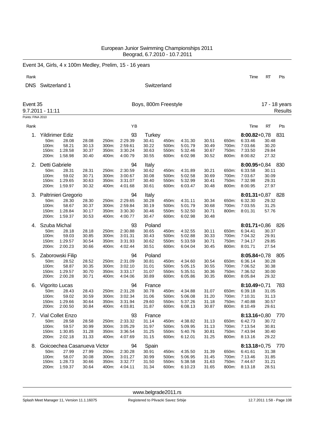|                   |                  |                             |       |       | Event 34, Girls, 4 x 100m Medley, Prelim, 15 - 16 years |                      |       |         |       |       |                  |           |               |
|-------------------|------------------|-----------------------------|-------|-------|---------------------------------------------------------|----------------------|-------|---------|-------|-------|------------------|-----------|---------------|
| Rank              |                  |                             |       |       |                                                         |                      |       |         |       |       | Time             | <b>RT</b> | Pts           |
|                   |                  |                             |       |       |                                                         | Switzerland          |       |         |       |       |                  |           |               |
| <b>DNS</b>        | Switzerland 1    |                             |       |       |                                                         |                      |       |         |       |       |                  |           |               |
| Event 35          |                  |                             |       |       |                                                         | Boys, 800m Freestyle |       |         |       |       |                  |           | 17 - 18 years |
|                   | 9.7.2011 - 11:11 |                             |       |       |                                                         |                      |       |         |       |       |                  |           | Results       |
| Points: FINA 2010 |                  |                             |       |       |                                                         |                      |       |         |       |       |                  |           |               |
| Rank              |                  |                             |       |       | YB                                                      |                      |       |         |       |       | Time             | <b>RT</b> | Pts           |
| 1.                |                  | Yildirimer Ediz             |       |       | 93                                                      | <b>Turkey</b>        |       |         |       |       | $8:00.82 + 0.78$ |           | 831           |
|                   | 50m:             | 28.08                       | 28.08 | 250m: | 2:29.39                                                 | 30.41                | 450m: | 4:31.30 | 30.51 | 650m: | 6:33.46          | 30.48     |               |
|                   | 100m:            | 58.21                       | 30.13 | 300m: | 2:59.61                                                 | 30.22                | 500m: | 5:01.79 | 30.49 | 700m: | 7:03.66          | 30.20     |               |
|                   | 150m:            | 1:28.58                     | 30.37 | 350m: | 3:30.24                                                 | 30.63                | 550m: | 5:32.46 | 30.67 | 750m: | 7:33.50          | 29.84     |               |
|                   | 200m:            | 1:58.98                     | 30.40 | 400m: | 4:00.79                                                 | 30.55                | 600m: | 6:02.98 | 30.52 | 800m: | 8:00.82          | 27.32     |               |
| 2.                | Detti Gabriele   |                             |       |       | 94                                                      | Italy                |       |         |       |       | $8:00.95 + 0.84$ |           | 830           |
|                   | 50m:             | 28.31                       | 28.31 | 250m: | 2:30.59                                                 | 30.62                | 450m: | 4:31.89 | 30.21 | 650m: | 6:33.58          | 30.11     |               |
|                   | 100m:            | 59.02                       | 30.71 | 300m: | 3:00.67                                                 | 30.08                | 500m: | 5:02.58 | 30.69 | 700m: | 7:03.67          | 30.09     |               |
|                   | 150m:            | 1:29.65                     | 30.63 | 350m: | 3:31.07                                                 | 30.40                | 550m: | 5:32.99 | 30.41 | 750m: | 7:32.98          | 29.31     |               |
|                   | 200m:            | 1:59.97                     | 30.32 | 400m: | 4:01.68                                                 | 30.61                | 600m: | 6:03.47 | 30.48 | 800m: | 8:00.95          | 27.97     |               |
| 3.                |                  | Paltrinieri Gregorio        |       |       | 94                                                      | Italy                |       |         |       |       | $8:01.31+0.87$   |           | 828           |
|                   | 50m:             | 28.30                       | 28.30 | 250m: | 2:29.65                                                 | 30.28                | 450m: | 4:31.11 | 30.34 | 650m: | 6:32.30          | 29.32     |               |
|                   | 100m:            | 58.67                       | 30.37 | 300m: | 2:59.84                                                 | 30.19                | 500m: | 5:01.79 | 30.68 | 700m: | 7:03.55          | 31.25     |               |
|                   | 150m:            | 1:28.84                     | 30.17 | 350m: | 3:30.30                                                 | 30.46                | 550m: | 5:32.50 | 30.71 | 800m: | 8:01.31          | 57.76     |               |
|                   | 200m:            | 1:59.37                     | 30.53 | 400m: | 4:00.77                                                 | 30.47                | 600m: | 6:02.98 | 30.48 |       |                  |           |               |
| 4.                | Szuba Michal     |                             |       |       | 93                                                      | Poland               |       |         |       |       | $8:01.71+0.86$   |           | 826           |
|                   | 50m:             | 28.18                       | 28.18 | 250m: | 2:30.88                                                 | 30.65                | 450m: | 4:32.55 | 30.11 | 650m: | 6:34.41          | 30.37     |               |
|                   | 100m:            | 59.03                       | 30.85 | 300m: | 3:01.31                                                 | 30.43                | 500m: | 5:02.88 | 30.33 | 700m: | 7:04.32          | 29.91     |               |
|                   | 150m:            | 1:29.57                     | 30.54 | 350m: | 3:31.93                                                 | 30.62                | 550m: | 5:33.59 | 30.71 | 750m: | 7:34.17          | 29.85     |               |
|                   | 200m:            | 2:00.23                     | 30.66 | 400m: | 4:02.44                                                 | 30.51                | 600m: | 6:04.04 | 30.45 | 800m: | 8:01.71          | 27.54     |               |
| 5.                |                  | Zaborowski Filip            |       |       | 94                                                      | Poland               |       |         |       |       | $8:05.84 + 0.78$ |           | - 805         |
|                   | 50m:             | 28.52                       | 28.52 | 250m: | 2:31.09                                                 | 30.81                | 450m: | 4:34.60 | 30.54 | 650m: | 6:36.14          | 30.28     |               |
|                   | 100m:            | 58.87                       | 30.35 | 300m: | 3:02.10                                                 | 31.01                | 500m: | 5:05.15 | 30.55 | 700m: | 7:06.52          | 30.38     |               |
|                   | 150m:            | 1:29.57                     | 30.70 | 350m: | 3:33.17                                                 | 31.07                | 550m: | 5:35.51 | 30.36 | 750m: | 7:36.52          | 30.00     |               |
|                   | 200m:            | 2:00.28                     | 30.71 | 400m: | 4:04.06                                                 | 30.89                | 600m: | 6:05.86 | 30.35 | 800m: | 8:05.84          | 29.32     |               |
| 6.                | Vigorito Lucas   |                             |       |       | 94                                                      | France               |       |         |       |       | $8:10.49 + 0.71$ |           | 783           |
|                   |                  | 50m: 28.43                  | 28.43 | 250m: | 2:31.28                                                 | 30.78                | 450m: | 4:34.88 | 31.07 | 650m: | 6:39.18          | 31.05     |               |
|                   | 100m:            | 59.02                       | 30.59 | 300m: | 3:02.34                                                 | 31.06                | 500m: | 5:06.08 | 31.20 | 700m: | 7:10.31          | 31.13     |               |
|                   | 150m:            | 1:29.66                     | 30.64 | 350m: | 3:31.94                                                 | 29.60                | 550m: | 5:37.26 | 31.18 | 750m: | 7:40.88          | 30.57     |               |
|                   | 200m:            | 2:00.50                     | 30.84 | 400m: | 4:03.81                                                 | 31.87                | 600m: | 6:08.13 | 30.87 | 800m: | 8:10.49          | 29.61     |               |
|                   |                  | 7. Vial Collet Enzo         |       |       | 93                                                      | France               |       |         |       |       | 8:13.16+0,80 770 |           |               |
|                   | 50m:             | 28.58                       | 28.58 | 250m: | 2:33.32                                                 | 31.14                | 450m: | 4:38.82 | 31.13 | 650m: | 6:42.73          | 30.72     |               |
|                   | 100m:            | 59.57                       | 30.99 | 300m: | 3:05.29                                                 | 31.97                | 500m: | 5:09.95 | 31.13 | 700m: | 7:13.54          | 30.81     |               |
|                   | 150m:            | 1:30.85                     | 31.28 | 350m: | 3:36.54                                                 | 31.25                | 550m: | 5:40.76 | 30.81 | 750m: | 7:43.94          | 30.40     |               |
|                   | 200m:            | 2:02.18                     | 31.33 | 400m: | 4:07.69                                                 | 31.15                | 600m: | 6:12.01 | 31.25 | 800m: | 8:13.16          | 29.22     |               |
| 8.                |                  | Goicoechea Casanueva Victor |       |       | 94                                                      | Spain                |       |         |       |       | 8:13.18+0,75 770 |           |               |
|                   | 50m:             | 27.99                       | 27.99 | 250m: | 2:30.28                                                 | 30.91                | 450m: | 4:35.50 | 31.39 | 650m: | 6:41.61          | 31.38     |               |
|                   | 100m:            | 58.07                       | 30.08 | 300m: | 3:01.27                                                 | 30.99                | 500m: | 5:06.95 | 31.45 | 700m: | 7:13.46          | 31.85     |               |
|                   | 150m:            | 1:28.73                     | 30.66 | 350m: | 3:32.77                                                 | 31.50                | 550m: | 5:38.58 | 31.63 | 750m: | 7:44.67          | 31.21     |               |
|                   | 200m:            | 1:59.37                     | 30.64 | 400m: | 4:04.11                                                 | 31.34                | 600m: | 6:10.23 | 31.65 | 800m: | 8:13.18          | 28.51     |               |
|                   |                  |                             |       |       |                                                         |                      |       |         |       |       |                  |           |               |

Splash Meet Manager 11, Version 11.1.16075 Registered to Plivacki Savez Srbije 12.7.2011 1:58 - Page 108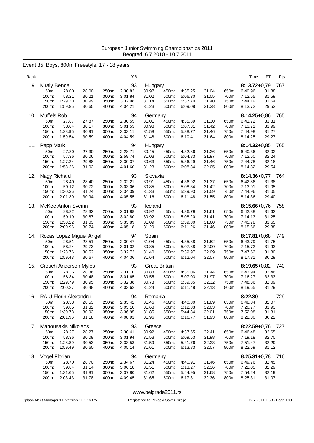### Event 35, Boys, 800m Freestyle, 17 - 18 years

| Rank |                                                                                                         |                                  |                                  | ΥB                                                   |                                                          |                                  |                                          |                                  |                                  | Time                                                         | RT<br>Pts                                              |
|------|---------------------------------------------------------------------------------------------------------|----------------------------------|----------------------------------|------------------------------------------------------|----------------------------------------------------------|----------------------------------|------------------------------------------|----------------------------------|----------------------------------|--------------------------------------------------------------|--------------------------------------------------------|
| 9.   | <b>Kiraly Bence</b><br>50m:<br>28.00<br>58.21<br>100m:<br>1:29.20<br>150m:<br>200m:<br>1:59.85          | 28.00<br>30.21<br>30.99<br>30.65 | 250m:<br>300m:<br>350m:<br>400m: | 93<br>2:30.82<br>3:01.84<br>3:32.98<br>4:04.21       | Hungary<br>30.97<br>31.02<br>31.14<br>31.23              | 450m:<br>500m:<br>550m:<br>600m: | 4:35.25<br>5:06.30<br>5:37.70<br>6:09.08 | 31.04<br>31.05<br>31.40<br>31.38 | 650m:<br>700m:<br>750m:<br>800m: | $8:13.72+0.79$<br>6:40.96<br>7:12.55<br>7:44.19<br>8:13.72   | 767<br>31.88<br>31.59<br>31.64<br>29.53                |
| 10.  | Muffels Rob<br>50m:<br>27.87<br>100m:<br>58.04<br>1:28.95<br>150m:<br>200m:<br>1:59.54                  | 27.87<br>30.17<br>30.91<br>30.59 | 250m:<br>300m:<br>350m:<br>400m: | 94<br>2:30.55<br>3:01.53<br>3:33.11<br>4:04.59       | Germany<br>31.01<br>30.98<br>31.58<br>31.48              | 450m:<br>500m:<br>550m:<br>600m: | 4:35.89<br>5:07.31<br>5:38.77<br>6:10.41 | 31.30<br>31.42<br>31.46<br>31.64 | 650m:<br>700m:<br>750m:<br>800m: | $8:14.25 + 0.86$<br>6:41.72<br>7:13.71<br>7:44.98<br>8:14.25 | - 765<br>31.31<br>31.99<br>31.27<br>29.27              |
| 11.  | Papp Mark<br>50m:<br>27.30<br>57.36<br>100m:<br>1:27.24<br>150m:<br>200m:<br>1:58.26                    | 27.30<br>30.06<br>29.88<br>31.02 | 250m:<br>300m:<br>350m:<br>400m: | 94<br>2:28.71<br>2:59.74<br>3:30.37<br>4:01.60       | Hungary<br>30.45<br>31.03<br>30.63<br>31.23              | 450m:<br>500m:<br>550m:<br>600m: | 4:32.86<br>5:04.83<br>5:36.29<br>6:08.34 | 31.26<br>31.97<br>31.46<br>32.05 | 650m:<br>700m:<br>750m:<br>800m: | $8:14.32 + 0.85$<br>6:40.36<br>7:12.60<br>7:44.78<br>8:14.32 | 765<br>32.02<br>32.24<br>32.18<br>29.54                |
| 12.  | Nagy Richard<br>28.40<br>50m:<br>100m:<br>59.12<br>150m:<br>1:30.36<br>200m:<br>2:01.30                 | 28.40<br>30.72<br>31.24<br>30.94 | 250m:<br>300m:<br>350m:<br>400m: | 93<br>2:32.21<br>3:03.06<br>3:34.39<br>4:05.55       | Slovakia<br>30.91<br>30.85<br>31.33<br>31.16             | 450m:<br>500m:<br>550m:<br>600m: | 4:36.92<br>5:08.34<br>5:39.93<br>6:11.48 | 31.37<br>31.42<br>31.59<br>31.55 | 650m:<br>700m:<br>750m:<br>800m: | 6:42.86<br>7:13.91<br>7:44.96<br>8:14.36                     | 8:14.36+0,77 764<br>31.38<br>31.05<br>31.05<br>29.40   |
| 13.  | McKee Anton Sveinn<br>50m:<br>28.32<br>100m:<br>59.19<br>1:30.22<br>150m:<br>200m:<br>2:00.96           | 28.32<br>30.87<br>31.03<br>30.74 | 250m:<br>300m:<br>350m:<br>400m: | 93<br>2:31.88<br>3:02.80<br>3:33.89<br>4:05.18       | Iceland<br>30.92<br>30.92<br>31.09<br>31.29              | 450m:<br>500m:<br>550m:<br>600m: | 4:36.79<br>5:08.20<br>5:39.80<br>6:11.26 | 31.61<br>31.41<br>31.60<br>31.46 | 650m:<br>700m:<br>750m:<br>800m: | $8:15.66 + 0.76$<br>6:42.88<br>7:14.13<br>7:45.78<br>8:15.66 | 758<br>31.62<br>31.25<br>31.65<br>29.88                |
| 14.  | Rozas Lopez Miguel Angel<br>28.51<br>50m:<br>100m:<br>58.24<br>150m:<br>1:28.76<br>200m:<br>1:59.43     | 28.51<br>29.73<br>30.52<br>30.67 | 250m:<br>300m:<br>350m:<br>400m: | 94<br>2:30.47<br>3:01.32<br>3:32.72<br>4:04.36       | Spain<br>31.04<br>30.85<br>31.40<br>31.64                | 450m:<br>500m:<br>550m:<br>600m: | 4:35.88<br>5:07.88<br>5.39.97<br>6:12.04 | 31.52<br>32.00<br>32.09<br>32.07 | 650m:<br>700m:<br>750m:<br>800m: | $8:17.81 + 0.68$<br>6:43.79<br>7:15.72<br>7:47.52<br>8:17.81 | 749<br>31.75<br>31.93<br>31.80<br>30.29                |
| 15.  | Crouch-Anderson Myles<br>50m:<br>28.36<br>100m:<br>58.84<br>150m:<br>1:29.79<br>200m:<br>2:00.27        | 28.36<br>30.48<br>30.95<br>30.48 | 250m:<br>300m:<br>350m:<br>400m: | 93<br>2:31.10<br>3:01.65<br>3:32.38<br>4:03.62       | <b>Great Britain</b><br>30.83<br>30.55<br>30.73<br>31.24 | 450m:<br>500m:<br>550m:<br>600m: | 4:35.06<br>5:07.03<br>5:39.35<br>6:11.48 | 31.44<br>31.97<br>32.32<br>32.13 | 650m:<br>700m:<br>750m:<br>800m: | $8:19.65 + 0.82$<br>6:43.94<br>7:16.27<br>7:48.36<br>8:19.65 | 740<br>32.46<br>32.33<br>32.09<br>31.29                |
| 16.  | <b>RAIU Florin Alexandru</b><br>50m:<br>28.53<br>59.85<br>100m:<br>1:30.78<br>150m:<br>200m:<br>2:01.96 | 28.53<br>31.32<br>30.93<br>31.18 | 250m:<br>350m:<br>400m:          | 94<br>2:33.42<br>300m: 3:05.10<br>3:36.95<br>4:08.91 | Romania<br>31.46<br>31.68<br>31.85<br>31.96              | 450m:<br>500m:<br>550m:<br>600m: | 4:40.80<br>5:12.83<br>5:44.84<br>6:16.77 | 31.89<br>32.03<br>32.01<br>31.93 | 650m:<br>700m:<br>750m:<br>800m: | 8:22.30<br>6:48.84<br>7:20.77<br>7:52.08<br>8:22.30          | 729<br>32.07<br>31.93<br>31.31<br>30.22                |
| 17.  | <b>Manousakis Nikolaos</b><br>50m:<br>28.27<br>100m:<br>58.36<br>1:28.89<br>150m:<br>200m:<br>1:59.49   | 28.27<br>30.09<br>30.53<br>30.60 | 250m:<br>300m:<br>350m:<br>400m: | 93<br>2:30.41<br>3:01.94<br>3:33.53<br>4:05.14       | Greece<br>30.92<br>31.53<br>31.59<br>31.61               | 450m:<br>500m:<br>550m:<br>600m: | 4:37.55<br>5:09.53<br>5:41.76<br>6:13.83 | 32.41<br>31.98<br>32.23<br>32.07 | 650m:<br>700m:<br>750m:<br>800m: | 6:46.48<br>7:19.18<br>7:51.47<br>8:22.59                     | 8:22.59+0,76 727<br>32.65<br>32.70<br>32.29<br>31.12   |
|      | 18. Vogel Florian<br>28.70<br>50m:<br>59.84<br>100m:<br>150m:<br>1:31.65<br>200m:<br>2:03.43            | 28.70<br>31.14<br>31.81<br>31.78 | 250m:<br>300m:<br>350m:<br>400m: | 94<br>2:34.67<br>3:06.18<br>3.37.80<br>4:09.45       | Germany<br>31.24<br>31.51<br>31.62<br>31.65              | 450m:<br>500m:<br>550m:<br>600m: | 4:40.91<br>5:13.27<br>5:44.95<br>6:17.31 | 31.46<br>32.36<br>31.68<br>32.36 | 650m:<br>700m:<br>750m:<br>800m: | 6:49.76<br>7:22.05<br>7:54.24<br>8:25.31                     | $8:25.31+0.78$ 716<br>32.45<br>32.29<br>32.19<br>31.07 |

<www.belgrade2011.rs>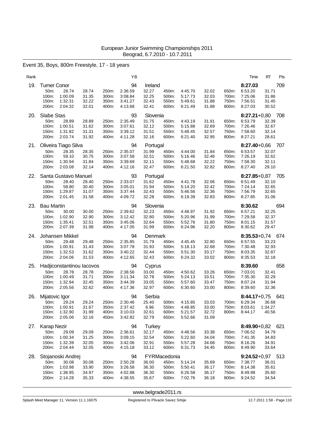### Event 35, Boys, 800m Freestyle, 17 - 18 years

| Rank |                                                                                                        |                                  |                                  | ΥB                                             |                                              |                                                  |                                                |                                  |                                  | Time                                                                | RT<br>Pts                                              |
|------|--------------------------------------------------------------------------------------------------------|----------------------------------|----------------------------------|------------------------------------------------|----------------------------------------------|--------------------------------------------------|------------------------------------------------|----------------------------------|----------------------------------|---------------------------------------------------------------------|--------------------------------------------------------|
| 19.  | <b>Turner Conor</b><br>50m:<br>28.74<br>1:00.09<br>100m:<br>1:32.31<br>150m:<br>200m:<br>2:04.32       | 28.74<br>31.35<br>32.22<br>32.01 | 250m:<br>300m:<br>350m:<br>400m: | 94<br>2:36.59<br>3:08.84<br>3:41.27<br>4:13.68 | Ireland<br>32.27<br>32.25<br>32.43<br>32.41  | 450m:<br>500m:<br>550m:<br>600m:                 | 4:45.70<br>5:17.73<br>5:49.61<br>6:21.49       | 32.02<br>32.03<br>31.88<br>31.88 | 650m:<br>700m:<br>750m:<br>800m: | 8:27.03<br>6.53.20<br>7:25.06<br>7:56.51<br>8:27.03                 | 709<br>31.71<br>31.86<br>31.45<br>30.52                |
| 20.  | Slabe Stas<br>50m:<br>28.89<br>100m:<br>1:00.51<br>150m:<br>1:31.82<br>2:03.74<br>200m:                | 28.89<br>31.62<br>31.31<br>31.92 | 250m:<br>300m:<br>350m:<br>400m: | 93<br>2:35.49<br>3:07.61<br>3:39.12<br>4:11.28 | Slovenia<br>31.75<br>32.12<br>31.51<br>32.16 | 450m:<br>500m:<br>550m:<br>600m:                 | 4:43.19<br>5:15.88<br>5:48.45<br>6:21.40       | 31.91<br>32.69<br>32.57<br>32.95 | 650m:<br>700m:<br>750m:<br>800m: | 6:53.79<br>7:26.46<br>7:58.60<br>8:27.21                            | 8:27.21+0,80 708<br>32.39<br>32.67<br>32.14<br>28.61   |
| 21.  | Oliveira Tiago Silva<br>50m:<br>28.35<br>100m:<br>59.10<br>150m:<br>1:30.94<br>200m:<br>2:03.08        | 28.35<br>30.75<br>31.84<br>32.14 | 250m:<br>300m:<br>350m:<br>400m: | 94<br>2:35.07<br>3:07.58<br>3:39.69<br>4:12.16 | Portugal<br>31.99<br>32.51<br>32.11<br>32.47 | 450m:<br>500m:<br>550m:<br>600m:                 | 4:44.00<br>5:16.46<br>5:48.68<br>6:21.50       | 31.84<br>32.46<br>32.22<br>32.82 | 650m:<br>700m:<br>750m:<br>800m: | $8:27.40 + 0.66$<br>6.53.57<br>7:26.19<br>7:58.30<br>8:27.40        | 707<br>32.07<br>32.62<br>32.11<br>29.10                |
| 22.  | Santa Gustavo Manuel<br>50m:<br>28.40<br>58.80<br>100m:<br>150m:<br>1:29.87<br>200m:<br>2:01.45        | 28.40<br>30.40<br>31.07<br>31.58 | 250m:<br>300m:<br>350m:<br>400m: | 93<br>2:33.07<br>3:05.01<br>3:37.44<br>4:09.72 | Portugal<br>31.62<br>31.94<br>32.43<br>32.28 | 450m:<br>500m:<br>550m:<br>600m:                 | 4:41.78<br>5:14.20<br>5:46.56<br>6:19.39       | 32.06<br>32.42<br>32.36<br>32.83 | 650m:<br>700m:<br>750m:<br>800m: | 6:51.49<br>7:24.14<br>7:56.79<br>8:27.85                            | 8:27.85+0,87 705<br>32.10<br>32.65<br>32.65<br>31.06   |
| 23.  | <b>Bau Martin</b><br>50m:<br>30.00<br>100m:<br>1:02.90<br>1:35.41<br>150m:<br>200m:<br>2:07.39         | 30.00<br>32.90<br>32.51<br>31.98 | 250m:<br>300m:<br>350m:<br>400m: | 94<br>2:39.62<br>3:12.42<br>3:45.06<br>4:17.05 | Slovenia<br>32.23<br>32.80<br>32.64<br>31.99 | 450m:<br>500m:<br>550m:<br>600m:                 | 4:48.97<br>5:20.96<br>5:52.76<br>6:24.96       | 31.92<br>31.99<br>31.80<br>32.20 | 650m:<br>700m:<br>750m:<br>800m: | 8:30.62<br>6:57.21<br>7:29.58<br>8:01.15<br>8:30.62                 | 694<br>32.25<br>32.37<br>31.57<br>29.47                |
| 24.  | Johansen Mikkel<br>50m:<br>29.48<br>100m:<br>1:00.91<br>150m:<br>1:32.53<br>200m:<br>2:04.06           | 29.48<br>31.43<br>31.62<br>31.53 | 250m:<br>300m:<br>350m:<br>400m: | 94<br>2:35.85<br>3:07.78<br>3:40.22<br>4:12.65 | Denmark<br>31.79<br>31.93<br>32.44<br>32.43  | 450m:<br>500m:<br>550m:<br>600m:                 | 4:45.45<br>5:18.13<br>5:51.30<br>6:24.32       | 32.80<br>32.68<br>33.17<br>33.02 | 650m:<br>700m:<br>750m:<br>800m: | 6:57.55<br>7:30.48<br>8:03.35<br>8:35.53                            | $8:35.53+0.74$ 674<br>33.23<br>32.93<br>32.87<br>32.18 |
| 25.  | Hadjiconstantinou lacovos<br>50m:<br>28.78<br>100m:<br>1:00.49<br>150m:<br>1:32.94<br>200m:<br>2:05.56 | 28.78<br>31.71<br>32.45<br>32.62 | 250m:<br>300m:<br>350m:<br>400m: | 94<br>2:38.56<br>3:11.34<br>3:44.39<br>4:17.36 | Cyprus<br>33.00<br>32.78<br>33.05<br>32.97   | 450m:<br>500m:<br>550m:<br>600m:                 | 4:50.62<br>5:24.13<br>5:57.60<br>6:30.60       | 33.26<br>33.51<br>33.47<br>33.00 | 650m:<br>700m:<br>750m:<br>800m: | 8:39.60<br>7:03.01<br>7:35.30<br>8:07.24<br>8:39.60                 | 658<br>32.41<br>32.29<br>31.94<br>32.36                |
| 26.  | Mijatovic Igor<br>29.24<br>50m:<br>100m: 1:00.91<br>1:32.90<br>150m:<br>200m:<br>2:05.06               | 29.24<br>31.67<br>31.99<br>32.16 | 250m:<br>350m:<br>400m:<br>450m: | 94<br>2:30.46<br>2:37.42<br>3:10.03<br>3:42.82 | Serbia<br>25.40<br>6.96<br>32.61<br>32.79    | 500m:<br>600m:<br>650m:                          | 4:15.85<br>550m: 4:48.85<br>5:21.57<br>5:52.66 | 33.03<br>33.00<br>32.72<br>31.09 | 700m:                            | $8:44.17+0.75$<br>6.29.34<br>750m: 8:03.61 1:34.27<br>800m: 8:44.17 | 641<br>36.68<br>40.56                                  |
| 27.  | <b>Karap Nezir</b><br>50m:<br>29.09<br>1:00.34<br>100m:<br>1:32.39<br>150m:<br>200m:<br>2:04.44        | 29.09<br>31.25<br>32.05<br>32.05 | 250m:<br>300m:<br>350m:<br>400m: | 94<br>2:36.61<br>3:09.15<br>3:42.06<br>4:15.18 | Turkey<br>32.17<br>32.54<br>32.91<br>33.12   | 450m:<br>500m:<br>550m:<br>600m:                 | 4:48.56<br>5:22.60<br>5:57.28<br>6:31.73       | 33.38<br>34.04<br>34.68<br>34.45 | 650m:<br>700m:<br>750m:<br>800m: | 7:06.52<br>7:41.35<br>8:16.26<br>8:49.90                            | 8:49.90+0,82 621<br>34.79<br>34.83<br>34.91<br>33.64   |
| 28.  | Stojanoski Andrej<br>50m:<br>30.08<br>1:03.98<br>100m:<br>150m:<br>1:38.95<br>200m:<br>2:14.28         | 30.08<br>33.90<br>34.97<br>35.33 | 250m:<br>300m:<br>350m:<br>400m: | 94<br>2:50.28<br>3:26.58<br>4:02.88<br>4:38.55 | 36.00<br>36.30<br>36.30<br>35.67             | FYRMacedonia<br>450m:<br>500m:<br>550m:<br>600m: | 5:14.24<br>5:50.41<br>6:26.58<br>7:02.76       | 35.69<br>36.17<br>36.17<br>36.18 | 650m:<br>700m:<br>750m:<br>800m: | 7:38.77<br>8:14.38<br>8:49.98<br>9:24.52                            | $9:24.52+0.97$ 513<br>36.01<br>35.61<br>35.60<br>34.54 |

<www.belgrade2011.rs>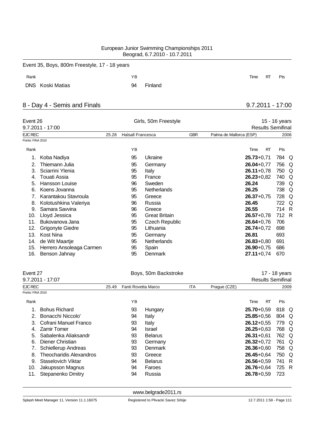|      | Event 35, Boys, 800m Freestyle, 17 - 18 years |    |         |      |    |     |
|------|-----------------------------------------------|----|---------|------|----|-----|
| Rank |                                               | ΥB |         | Time | RT | Pts |
|      | DNS Koski Matias                              | 94 | Finland |      |    |     |

# 8 - Day 4 - Semis and Finals 9.7.2011 - 17:00

| Event 26          | $9.7.2011 - 17:00$       |       |                          | Girls, 50m Freestyle  | 15 - 16 years<br><b>Results Semifinal</b> |                         |       |          |  |  |
|-------------------|--------------------------|-------|--------------------------|-----------------------|-------------------------------------------|-------------------------|-------|----------|--|--|
| <b>EJC REC</b>    |                          | 25.28 | <b>Halsall Francesca</b> |                       | <b>GBR</b>                                | Palma de Mallorca (ESP) |       | 2006     |  |  |
| Points: FINA 2010 |                          |       |                          |                       |                                           |                         |       |          |  |  |
| Rank              |                          |       | YB                       |                       |                                           | <b>RT</b><br>Time       | Pts   |          |  |  |
| 1.                | Koba Nadiya              |       | 95                       | Ukraine               |                                           | $25.73 + 0.71$          | 784   | Q        |  |  |
| 2.                | Thiemann Julia           |       | 95                       | Germany               |                                           | $26.04 + 0.77$          | 756   | Q        |  |  |
| 3.                | Sciarrini Ylenia         |       | 95                       | Italy                 |                                           | $26.11+0.78$            | 750   | Q        |  |  |
| 4.                | Touati Assia             |       | 95                       | France                |                                           | $26.23 + 0.82$          | 740   | Q        |  |  |
| 5.                | <b>Hansson Louise</b>    |       | 96                       | Sweden                |                                           | 26.24                   | 739   | Q        |  |  |
| 6.                | Koens Jovanna            |       | 95                       | Netherlands           |                                           | 26.25                   | 738 Q |          |  |  |
| 7.                | Karantakou Stavroula     |       | 95                       | Greece                |                                           | $26.37 + 0.75$          | 728   | Q        |  |  |
| 8.                | Kolotushkina Valeriya    |       | 96                       | Russia                |                                           | 26.45                   | 722   | $\Omega$ |  |  |
| 9.                | Samara Savvina           |       | 96                       | Greece                |                                           | 26.55                   | 714 R |          |  |  |
| 10.               | Lloyd Jessica            |       | 95                       | <b>Great Britain</b>  |                                           | $26.57 + 0.78$          | 712 R |          |  |  |
| 11.               | Bukovanova Jana          |       | 95                       | <b>Czech Republic</b> |                                           | $26.64 + 0.76$          | 706   |          |  |  |
| 12.               | Grigonyte Giedre         |       | 95                       | Lithuania             |                                           | $26.74 + 0.72$          | 698   |          |  |  |
| 13.               | Kost Nina                |       | 95                       | Germany               |                                           | 26.81                   | 693   |          |  |  |
| 14.               | de Wit Maartje           |       | 95                       | <b>Netherlands</b>    |                                           | $26.83 + 0.80$          | 691   |          |  |  |
| 15.               | Herrero Ansoleaga Carmen |       | 95                       | Spain                 |                                           | $26.90 + 0.75$          | 686   |          |  |  |
| 16.               | Benson Jahnay            |       | 95                       | Denmark               |                                           | $27.11+0.74$            | 670   |          |  |  |

| Event 27          |                                |       |                     | Boys, 50m Backstroke | 17 - 18 years            |  |                |           |       |  |
|-------------------|--------------------------------|-------|---------------------|----------------------|--------------------------|--|----------------|-----------|-------|--|
|                   | 9.7.2011 - 17:07               |       |                     |                      | <b>Results Semifinal</b> |  |                |           |       |  |
| EJC REC           |                                | 25.49 | Fanti Rovetta Marco |                      | Prague (CZE)             |  |                | 2009      |       |  |
| Points: FINA 2010 |                                |       |                     |                      |                          |  |                |           |       |  |
| Rank              |                                |       | ΥB                  |                      |                          |  | Time           | <b>RT</b> | Pts   |  |
|                   | <b>Bohus Richard</b>           |       | 93                  | Hungary              |                          |  | $25.70 + 0.59$ |           | 818 Q |  |
| $2_{1}$           | Bonacchi Niccolo'              |       | 94                  | Italy                |                          |  | $25.85 + 0.56$ |           | 804 Q |  |
| 3.                | Cofrani Manuel Franco          |       | 93                  | Italy                |                          |  | $26.12 + 0.55$ |           | 779 Q |  |
| 4.                | <b>Zamir Tomer</b>             |       | 94                  | Israel               |                          |  | $26.25 + 0.63$ |           | 768 Q |  |
| 5.                | Sabalenka Aliaksandr           |       | 93                  | <b>Belarus</b>       |                          |  | $26.31 + 0.61$ |           | 762 Q |  |
| 6.                | Diener Christian               |       | 93                  | Germany              |                          |  | $26.32 + 0.72$ |           | 761 Q |  |
|                   | <b>Schiellerup Andreas</b>     |       | 93                  | Denmark              |                          |  | $26.36 + 0.60$ |           | 758 Q |  |
| 8.                | <b>Theocharidis Alexandros</b> |       | 93                  | Greece               |                          |  | $26.45 + 0.64$ |           | 750 Q |  |
| 9.                | Staselovich Viktar             |       | 94                  | <b>Belarus</b>       |                          |  | $26.56 + 0.59$ |           | 741 R |  |
| 10.               | Jakupsson Magnus               |       | 94                  | Faroes               |                          |  | $26.76 + 0.64$ |           | 725 R |  |
| 11.               | Stepanenko Dmitry              |       | 94                  | Russia               |                          |  | $26.78 + 0.59$ |           | 723   |  |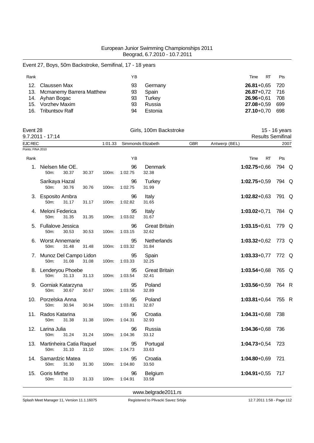# Event 27, Boys, 50m Backstroke, Semifinal, 17 - 18 years

| Rank            |                              | YΒ |         | Time<br>RT         | Pts   |
|-----------------|------------------------------|----|---------|--------------------|-------|
| 12 <sup>1</sup> | Claussen Max                 | 93 | Germany | $26.81 + 0.65$ 720 |       |
|                 | 13. Mcmanemy Barrera Matthew | 93 | Spain   | $26.87 + 0.72$ 716 |       |
|                 | 14. Ayhan Bogac              | 93 | Turkey  | $26.96 + 0.61$     | - 708 |
|                 | 15. Vorzhev Maxim            | 93 | Russia  | $27.08 + 0.59$     | - 699 |
|                 | 16. Tribuntsov Ralf          | 94 | Estonia | 27.10+0.70         | 698   |

| Event 28<br>$9.7.2011 - 17:14$      |                                         |       |       |         | Girls, 100m Backstroke | 15 - 16 years<br><b>Results Semifinal</b> |            |               |                  |           |       |      |
|-------------------------------------|-----------------------------------------|-------|-------|---------|------------------------|-------------------------------------------|------------|---------------|------------------|-----------|-------|------|
|                                     |                                         |       |       |         |                        |                                           |            |               |                  |           |       |      |
| <b>EJC REC</b><br>Points: FINA 2010 |                                         |       |       | 1:01.33 |                        | Simmonds Elizabeth                        | <b>GBR</b> | Antwerp (BEL) |                  |           |       | 2007 |
| Rank                                |                                         |       |       |         | YB                     |                                           |            |               | Time             | <b>RT</b> | Pts   |      |
| 1.                                  | Nielsen Mie OE.<br>50m:                 | 30.37 | 30.37 | 100m:   | 96<br>1:02.75          | <b>Denmark</b><br>32.38                   |            |               | $1:02.75+0,66$   |           | 794 Q |      |
|                                     | Sarikaya Hazal<br>50m:                  | 30.76 | 30.76 | 100m:   | 96<br>1:02.75          | <b>Turkey</b><br>31.99                    |            |               | $1:02.75+0.59$   |           | 794 Q |      |
|                                     | 3. Esposito Ambra<br>50m:               | 31.17 | 31.17 | 100m:   | 96<br>1:02.82          | Italy<br>31.65                            |            |               | $1:02.82+0.63$   |           | 791 Q |      |
|                                     | 4. Meloni Federica<br>50m:              | 31.35 | 31.35 | 100m:   | 95<br>1:03.02          | Italy<br>31.67                            |            |               | $1:03.02 + 0.71$ |           | 784 Q |      |
| 5.                                  | <b>Fullalove Jessica</b><br>50m:        | 30.53 | 30.53 | 100m:   | 96<br>1:03.15          | <b>Great Britain</b><br>32.62             |            |               | $1:03.15+0.61$   |           | 779 Q |      |
|                                     | 6. Worst Annemarie<br>50m:              | 31.48 | 31.48 | 100m:   | 95<br>1:03.32          | Netherlands<br>31.84                      |            |               | $1:03.32+0.62$   |           | 773 Q |      |
|                                     | 7. Munoz Del Campo Lidon<br>50m:        | 31.08 | 31.08 | 100m:   | 95<br>1:03.33          | Spain<br>32.25                            |            |               | $1:03.33+0.77$   |           | 772 Q |      |
|                                     | 8. Lenderyou Phoebe<br>50m:             | 31.13 | 31.13 | 100m:   | 95<br>1:03.54          | <b>Great Britain</b><br>32.41             |            |               | $1:03.54 + 0.68$ |           | 765 Q |      |
|                                     | 9. Gorniak Katarzyna<br>50m:            | 30.67 | 30.67 | 100m:   | 95<br>1:03.56          | Poland<br>32.89                           |            |               | $1:03.56 + 0.59$ |           | 764 R |      |
|                                     | 10. Porzelska Anna<br>50m:              | 30.94 | 30.94 | 100m:   | 95<br>1:03.81          | Poland<br>32.87                           |            |               | $1:03.81+0.64$   |           | 755 R |      |
|                                     | 11. Rados Katarina<br>50m:              | 31.38 | 31.38 | 100m:   | 96<br>1:04.31          | Croatia<br>32.93                          |            |               | $1:04.31+0.68$   |           | 738   |      |
|                                     | 12. Larina Julia<br>50m:                | 31.24 | 31.24 | 100m:   | 96<br>1:04.36          | Russia<br>33.12                           |            |               | $1:04.36 + 0.68$ |           | 736   |      |
|                                     | 13. Martinheira Catia Raquel<br>$50m$ : | 31.10 | 31.10 | 100m:   | 95<br>1:04.73          | Portugal<br>33.63                         |            |               | $1:04.73+0.54$   |           | 723   |      |
|                                     | 14. Samardzic Matea<br>50m:             | 31.30 | 31.30 | 100m:   | 95<br>1:04.80          | Croatia<br>33.50                          |            |               | $1:04.80 + 0.69$ |           | 721   |      |
| 15.                                 | <b>Goris Mirthe</b><br>50m:             | 31.33 | 31.33 | 100m:   | 96<br>1:04.91          | Belgium<br>33.58                          |            |               | $1:04.91+0.55$   |           | 717   |      |
|                                     |                                         |       |       |         |                        |                                           |            |               |                  |           |       |      |

<www.belgrade2011.rs>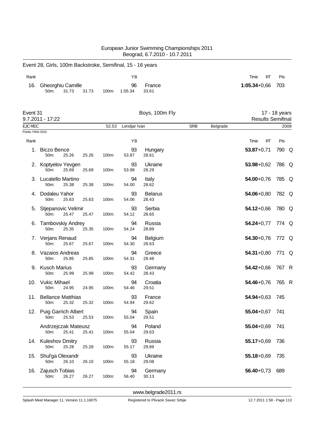|                                     |                                                            |       |               | Beograd, 6.7.2010 - 10.7.2011 |            |          |                          |               |
|-------------------------------------|------------------------------------------------------------|-------|---------------|-------------------------------|------------|----------|--------------------------|---------------|
|                                     | Event 28, Girls, 100m Backstroke, Semifinal, 15 - 16 years |       |               |                               |            |          |                          |               |
| Rank                                |                                                            |       | ΥB            |                               |            |          | Time<br>RT               | Pts           |
| 16.                                 | Gheorghiu Camille<br>50m:<br>31.73<br>31.73                | 100m: | 96<br>1:05.34 | France<br>33.61               |            |          | $1:05.34 + 0.66$         | 703           |
| Event 31                            | 9.7.2011 - 17:22                                           |       |               | Boys, 100m Fly                |            |          | <b>Results Semifinal</b> | 17 - 18 years |
| <b>EJC REC</b><br>Points: FINA 2010 |                                                            | 52.53 | Lendjar Ivan  |                               | <b>SRB</b> | Belgrade |                          | 2008          |
| Rank                                |                                                            |       | YB            |                               |            |          | Time<br>RT               | Pts           |
| 1.                                  | <b>Biczo Bence</b><br>50m:<br>25.26<br>25.26               | 100m: | 93<br>53.87   | Hungary<br>28.61              |            |          | $53.87 + 0.71$           | 790 Q         |
|                                     | 2. Koptyelov Yevgen<br>50m:<br>25.69<br>25.69              | 100m: | 93<br>53.98   | Ukraine<br>28.29              |            |          | $53.98 + 0.62$           | 786 Q         |
|                                     | 3. Lucatello Martino<br>50m:<br>25.38<br>25.38             | 100m: | 94<br>54.00   | Italy<br>28.62                |            |          | $54.00 + 0.76$           | 785 Q         |
| 4.                                  | Dodaleu Yahor<br>50m:<br>25.63<br>25.63                    | 100m: | 93<br>54.06   | <b>Belarus</b><br>28.43       |            |          | $54.06 + 0.80$           | 782 Q         |
| 5.                                  | Stjepanovic Velimir<br>50m:<br>25.47<br>25.47              | 100m: | 93<br>54.12   | Serbia<br>28.65               |            |          | 54.12+0,66               | 780 Q         |
|                                     | 6. Tambovskiy Andrey<br>50m:<br>25.35<br>25.35             | 100m: | 94<br>54.24   | Russia<br>28.89               |            |          | $54.24 + 0.77$           | 774 Q         |
|                                     | 7. Verjans Renaud<br>50m:<br>25.67<br>25.67                | 100m: | 94<br>54.30   | Belgium<br>28.63              |            |          | $54.30 + 0.76$           | 772 Q         |
| 8.                                  | Vazaios Andreas<br>50m:<br>25.85<br>25.85                  | 100m: | 94<br>54.31   | Greece<br>28.46               |            |          | $54.31 + 0.80$           | 771 Q         |
|                                     | 9. Kusch Marius<br>50 <sub>m</sub> :<br>25.99<br>25.99     | 100m: | 93<br>54.42   | Germany<br>28.43              |            |          | 54.42+0,66               | 767 R         |
| 10.                                 | <b>Vukic Mihael</b><br>24.95<br>50m:<br>24.95              | 100m: | 94<br>54.46   | Croatia<br>29.51              |            |          | $54.46 + 0.76$           | 765 R         |
| 11.                                 | <b>Bellance Matthias</b><br>25.32<br>25.32<br>50m:         | 100m: | 93<br>54.94   | France<br>29.62               |            |          | $54.94 + 0.63$           | 745           |
|                                     | 12. Puig Garrich Albert<br>50m:<br>25.53<br>25.53          | 100m: | 94<br>55.04   | Spain<br>29.51                |            |          | $55.04 + 0.67$           | 741           |
|                                     | Andrzejczak Mateusz<br>25.41<br>25.41<br>50m:              | 100m: | 94<br>55.04   | Poland<br>29.63               |            |          | $55.04 + 0.69$           | 741           |
|                                     | 14. Kuleshov Dmitry<br>25.28<br>50m:<br>25.28              | 100m: | 93<br>55.17   | Russia<br>29.89               |            |          | $55.17 + 0.69$           | 736           |
|                                     | 15. Shul'ga Olexandr<br>50m:<br>26.10<br>26.10             | 100m: | 93<br>55.18   | Ukraine<br>29.08              |            |          | $55.18 + 0.69$           | 735           |
| 16.                                 | Zajusch Tobias<br>50m:<br>26.27<br>26.27                   | 100m: | 94<br>56.40   | Germany<br>30.13              |            |          | $56.40 + 0.73$           | 689           |

European Junior Swimming Championships 2011

Splash Meet Manager 11, Version 11.1.16075 Registered to Plivacki Savez Srbije 12.7.2011 1:58 - Page 113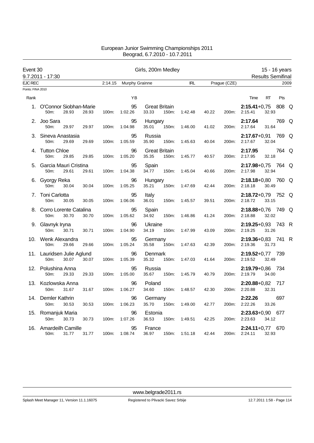| Event 30                            |                                                 |                | Girls, 200m Medley |                                        | 15 - 16 years |                |                                               |  |
|-------------------------------------|-------------------------------------------------|----------------|--------------------|----------------------------------------|---------------|----------------|-----------------------------------------------|--|
|                                     | 9.7.2011 - 17:30                                |                |                    |                                        |               |                | <b>Results Semifinal</b>                      |  |
| <b>EJC REC</b><br>Points: FINA 2010 |                                                 | 2:14.15        | Murphy Grainne     |                                        | <b>IRL</b>    | Prague (CZE)   | 2009                                          |  |
|                                     |                                                 |                |                    |                                        |               |                |                                               |  |
| Rank                                |                                                 |                | YB                 |                                        |               |                | Time<br><b>RT</b><br>Pts                      |  |
|                                     | 1. O'Connor Siobhan-Marie<br>50m:<br>28.93      | 28.93<br>100m: | 95<br>1:02.26      | <b>Great Britain</b><br>33.33<br>150m: | 1:42.48       | 40.22<br>200m: | $2:15.41+0.75$<br>808 Q<br>32.93<br>2:15.41   |  |
|                                     | 2. Joo Sara<br>50m:<br>29.97                    | 29.97<br>100m: | 95<br>1:04.98      | Hungary<br>35.01<br>150m:              | 1:46.00       | 41.02<br>200m: | 2:17.64<br>769 Q<br>31.64<br>2:17.64          |  |
|                                     | 3. Sineva Anastasia<br>50m:<br>29.69            | 29.69<br>100m: | 95<br>1:05.59      | Russia<br>35.90<br>150m:               | 1:45.63       | 40.04<br>200m: | $2:17.67 + 0.91$<br>769 Q<br>32.04<br>2:17.67 |  |
|                                     | 4. Tutton Chloe<br>50m:<br>29.85                | 29.85<br>100m: | 96<br>1:05.20      | <b>Great Britain</b><br>35.35<br>150m: | 1:45.77       | 40.57<br>200m: | 2:17.95<br>764 Q<br>2:17.95<br>32.18          |  |
|                                     | 5. Garcia Mauri Cristina<br>50m:<br>29.61       | 29.61<br>100m: | 95<br>1:04.38      | Spain<br>34.77<br>150m:                | 1:45.04       | 40.66<br>200m: | $2:17.98 + 0.75$<br>764 Q<br>32.94<br>2:17.98 |  |
|                                     | 6. Gyorgy Reka<br>50m:<br>30.04                 | 30.04<br>100m: | 96<br>1:05.25      | Hungary<br>35.21<br>150m:              | 1:47.69       | 42.44<br>200m: | $2:18.18+0.80$<br>760 Q<br>30.49<br>2:18.18   |  |
|                                     | 7. Toni Carlotta<br>50m:<br>30.05               | 30.05<br>100m: | 95<br>1:06.06      | Italy<br>36.01<br>150m:                | 1:45.57       | 39.51<br>200m: | 752 Q<br>$2:18.72+0.79$<br>2:18.72<br>33.15   |  |
|                                     | 8. Corro Lorente Catalina<br>30.70<br>50m:      | 30.70<br>100m: | 95<br>1:05.62      | Spain<br>34.92<br>150m:                | 1:46.86       | 41.24<br>200m: | $2:18.88 + 0.76$<br>749 Q<br>32.02<br>2:18.88 |  |
|                                     | 9. Glavnyk Iryna<br>30.71<br>50m:               | 30.71<br>100m: | 96<br>1:04.90      | Ukraine<br>34.19<br>150m:              | 1:47.99       | 43.09<br>200m: | 2:19.25+0,93 743 R<br>2:19.25<br>31.26        |  |
|                                     | 10. Wenk Alexandra<br>50m:<br>29.66             | 29.66<br>100m: | 95<br>1:05.24      | Germany<br>35.58<br>150m:              | 1:47.63       | 42.39<br>200m: | 2:19.36+0,83 741 R<br>2:19.36<br>31.73        |  |
|                                     | 11. Lauridsen Julie Aglund<br>50m:<br>30.07     | 30.07<br>100m: | 96<br>1:05.39      | Denmark<br>35.32<br>150m:              | 1:47.03       | 41.64<br>200m: | $2:19.52+0.77$ 739<br>2:19.52<br>32.49        |  |
|                                     | 12. Polushina Anna<br>50m:<br>29.33             | 29.33<br>100m: | 95<br>1:05.00      | Russia<br>35.67<br>150m:               | 1:45.79       | 40.79<br>200m: | $2:19.79 + 0.86$<br>- 734<br>2:19.79<br>34.00 |  |
|                                     | 13. Kozlowska Anna<br>31.67<br>50m:             | 31.67<br>100m: | 96<br>1:06.27      | Poland<br>34.60<br>150m:               | 1:48.57       | 42.30<br>200m: | $2:20.88 + 0.82$<br>- 717<br>2:20.88<br>32.31 |  |
|                                     | 14. Demler Kathrin<br>50m:<br>30.53             | 30.53<br>100m: | 96<br>1:06.23      | Germany<br>35.70<br>150m:              | 1:49.00       | 42.77<br>200m: | 697<br>2:22.26<br>33.26<br>2:22.26            |  |
|                                     | 15. Romanjuk Maria<br>50m:<br>30.73             | 30.73<br>100m: | 96<br>1:07.26      | Estonia<br>36.53<br>150m:              | 1:49.51       | 42.25<br>200m: | $2:23.63+0,90$ 677<br>2:23.63<br>34.12        |  |
| 16.                                 | Amardeilh Camille<br>31.77<br>50 <sub>m</sub> : | 31.77<br>100m: | 95<br>1:08.74      | France<br>36.97<br>150m:               | 1:51.18       | 42.44<br>200m: | <b>2:24.11+</b> 0,77 670<br>2:24.11<br>32.93  |  |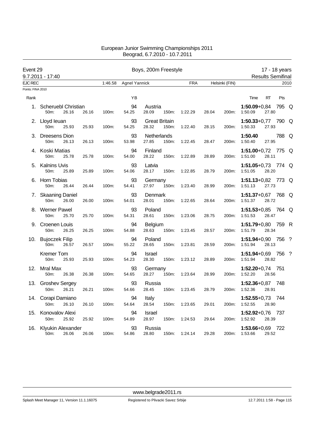| Event 29                            |                                                      |       |         | 17 - 18 years |                               |       |            |       |                |                                       |                          |       |      |
|-------------------------------------|------------------------------------------------------|-------|---------|---------------|-------------------------------|-------|------------|-------|----------------|---------------------------------------|--------------------------|-------|------|
|                                     | 9.7.2011 - 17:40                                     |       |         |               |                               |       |            |       |                |                                       | <b>Results Semifinal</b> |       |      |
| <b>EJC REC</b><br>Points: FINA 2010 |                                                      |       | 1:46.58 | Agnel Yannick |                               |       | <b>FRA</b> |       | Helsinki (FIN) |                                       |                          |       | 2010 |
|                                     |                                                      |       |         |               |                               |       |            |       |                |                                       |                          |       |      |
| Rank                                |                                                      |       |         | YB            |                               |       |            |       |                | Time                                  | <b>RT</b>                | Pts   |      |
|                                     | 1. Scheruebl Christian<br>50 <sub>m</sub> :<br>26.16 | 26.16 | 100m:   | 94<br>54.25   | Austria<br>28.09              | 150m: | 1:22.29    | 28.04 | 200m:          | $1:50.09 + 0.84$<br>1:50.09           | 27.80                    | 795 Q |      |
|                                     | 2. Lloyd leuan<br>50m:<br>25.93                      | 25.93 | 100m:   | 93<br>54.25   | <b>Great Britain</b><br>28.32 | 150m: | 1:22.40    | 28.15 | 200m:          | $1:50.33+0.77$<br>1:50.33             | 27.93                    | 790 Q |      |
|                                     | 3. Dreesens Dion<br>50m:<br>26.13                    | 26.13 | 100m:   | 93<br>53.98   | Netherlands<br>27.85          | 150m: | 1:22.45    | 28.47 | 200m:          | 1:50.40<br>1:50.40                    | 27.95                    | 788 Q |      |
|                                     | 4. Koski Matias<br>50m:<br>25.78                     | 25.78 | 100m:   | 94<br>54.00   | Finland<br>28.22              | 150m: | 1:22.89    | 28.89 | 200m:          | 1:51.00+0,72 775 Q<br>1:51.00         | 28.11                    |       |      |
|                                     | 5. Kalnins Uvis<br>50m:<br>25.89                     | 25.89 | 100m:   | 93<br>54.06   | Latvia<br>28.17               | 150m: | 1:22.85    | 28.79 | 200m:          | 1:51.05+0,73 774 Q<br>1:51.05         | 28.20                    |       |      |
|                                     | 6. Horn Tobias<br>50m:<br>26.44                      | 26.44 | 100m:   | 93<br>54.41   | Germany<br>27.97              | 150m: | 1:23.40    | 28.99 | 200m:          | 1:51.13+0,82 773 Q<br>1:51.13         | 27.73                    |       |      |
|                                     | 7. Skaaning Daniel<br>50m:<br>26.00                  | 26.00 | 100m:   | 93<br>54.01   | Denmark<br>28.01              | 150m: | 1:22.65    | 28.64 | 200m:          | 1:51.37+0,67 768 Q<br>1:51.37         | 28.72                    |       |      |
|                                     | 8. Werner Pawel<br>50m:<br>25.70                     | 25.70 | 100m:   | 93<br>54.31   | Poland<br>28.61               | 150m: | 1:23.06    | 28.75 | 200m:          | 1:51.53+0,85 764 Q<br>1:51.53         | 28.47                    |       |      |
|                                     | 9. Croenen Louis<br>50m:<br>26.25                    | 26.25 | 100m:   | 94<br>54.88   | Belgium<br>28.63              | 150m: | 1:23.45    | 28.57 | 200m:          | $1:51.79 + 0.80$<br>1:51.79           | 28.34                    | 759 R |      |
|                                     | 10. Bujoczek Filip<br>50m:<br>26.57                  | 26.57 | 100m:   | 94<br>55.22   | Poland<br>28.65               | 150m: | 1:23.81    | 28.59 | 200m:          | $1:51.94+0.90$ 756 ?<br>1:51.94       | 28.13                    |       |      |
|                                     | <b>Kremer Tom</b><br>50m:<br>25.93                   | 25.93 | 100m:   | 94<br>54.23   | Israel<br>28.30               | 150m: | 1:23.12    | 28.89 | 200m:          | <b>1:51.94</b> +0,69 756 ?<br>1:51.94 | 28.82                    |       |      |
| 12.                                 | Mral Max<br>50m:<br>26.38                            | 26.38 | 100m:   | 93<br>54.65   | Germany<br>28.27              | 150m: | 1:23.64    | 28.99 | 200m:          | $1:52.20+0.74$ 751<br>1:52.20         | 28.56                    |       |      |
|                                     | 13. Groshev Sergey<br>50m:<br>26.21                  | 26.21 | 100m:   | 93<br>54.66   | Russia<br>28.45               | 150m: | 1:23.45    | 28.79 | 200m:          | <b>1:52.36</b> +0,87 748<br>1:52.36   | 28.91                    |       |      |
|                                     | 14. Corapi Damiano<br>26.10<br>50m:                  | 26.10 | 100m:   | 94<br>54.64   | Italy<br>28.54                | 150m: | 1:23.65    | 29.01 | 200m:          | $1:52.55+0.73$ 744<br>1:52.55         | 28.90                    |       |      |
| 15.                                 | Konovalov Alexi<br>25.92<br>50m:                     | 25.92 | 100m:   | 94<br>54.89   | Israel<br>28.97               | 150m: | 1:24.53    | 29.64 | 200m:          | 1:52.92+0,76 737<br>1:52.92           | 28.39                    |       |      |
| 16.                                 | Klyukin Alexander<br>50m:<br>26.06                   | 26.06 | 100m:   | 93<br>54.86   | Russia<br>28.80               | 150m: | 1:24.14    | 29.28 | 200m:          | <b>1:53.66+</b> 0,69<br>1:53.66       | 29.52                    | - 722 |      |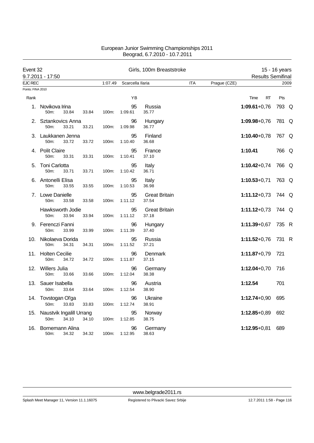| Event 32          |                                               |       |         |                  | Girls, 100m Breaststroke      |            |              |                          | 15 - 16 years |      |
|-------------------|-----------------------------------------------|-------|---------|------------------|-------------------------------|------------|--------------|--------------------------|---------------|------|
|                   | 9.7.2011 - 17:50                              |       |         |                  |                               |            |              | <b>Results Semifinal</b> |               |      |
| <b>EJC REC</b>    |                                               |       | 1:07.49 | Scarcella llaria |                               | <b>ITA</b> | Prague (CZE) |                          |               | 2009 |
| Points: FINA 2010 |                                               |       |         |                  |                               |            |              |                          |               |      |
| Rank              |                                               |       |         | YB               |                               |            |              | <b>RT</b><br>Time        | Pts           |      |
|                   | 1. Novikova Irina<br>50m:<br>33.84            | 33.84 | 100m:   | 95<br>1:09.61    | Russia<br>35.77               |            |              | $1:09.61+0.76$           | 793 Q         |      |
|                   | 2. Sztankovics Anna<br>50m:<br>33.21          | 33.21 | 100m:   | 96<br>1:09.98    | Hungary<br>36.77              |            |              | $1:09.98 + 0.76$         | 781 Q         |      |
|                   | 3. Laukkanen Jenna<br>50m:<br>33.72           | 33.72 | 100m:   | 95<br>1:10.40    | Finland<br>36.68              |            |              | $1:10.40 + 0.78$         | 767 Q         |      |
|                   | 4. Polit Claire<br>50m:<br>33.31              | 33.31 | 100m:   | 95<br>1:10.41    | France<br>37.10               |            |              | 1:10.41                  | 766 Q         |      |
|                   | 5. Toni Carlotta<br>50m:<br>33.71             | 33.71 | 100m:   | 95<br>1:10.42    | Italy<br>36.71                |            |              | $1:10.42 + 0.74$         | 766 Q         |      |
|                   | 6. Antonelli Elisa<br>50m:<br>33.55           | 33.55 | 100m:   | 95<br>1:10.53    | Italy<br>36.98                |            |              | $1:10.53 + 0.71$         | 763 Q         |      |
|                   | 7. Lowe Danielle<br>50m:<br>33.58             | 33.58 | 100m:   | 95<br>1:11.12    | <b>Great Britain</b><br>37.54 |            |              | $1:11.12+0.73$           | 744 Q         |      |
|                   | Hawksworth Jodie<br>50m:<br>33.94             | 33.94 | 100m:   | 95<br>1:11.12    | <b>Great Britain</b><br>37.18 |            |              | $1:11.12+0.73$           | 744 Q         |      |
|                   | 9. Ferenczi Fanni<br>50m:<br>33.99            | 33.99 | 100m:   | 96<br>1:11.39    | Hungary<br>37.40              |            |              | $1:11.39 + 0.67$         | 735 R         |      |
| 10.               | Nikolaeva Dorida<br>50m:<br>34.31             | 34.31 | 100m:   | 95<br>1:11.52    | Russia<br>37.21               |            |              | $1:11.52+0.76$           | 731 R         |      |
|                   | 11. Holten Cecilie<br>50m:<br>34.72           | 34.72 | 100m:   | 96<br>1:11.87    | Denmark<br>37.15              |            |              | $1:11.87 + 0.79$         | 721           |      |
|                   | 12. Willers Julia<br>50m:<br>33.66            | 33.66 | 100m:   | 96<br>1:12.04    | Germany<br>38.38              |            |              | $1:12.04 + 0.70$         | 716           |      |
|                   | 13. Sauer Isabella<br>50m:<br>33.64           | 33.64 | 100m:   | 96<br>1:12.54    | Austria<br>38.90              |            |              | 1:12.54                  | 701           |      |
|                   | 14. Tovstogan Ol'ga<br>33.83<br>50m:          | 33.83 | 100m:   | 96<br>1:12.74    | Ukraine<br>38.91              |            |              | $1:12.74+0.90$           | 695           |      |
|                   | 15. Naustvik Ingalill Urrang<br>34.10<br>50m: | 34.10 | 100m:   | 95<br>1:12.85    | Norway<br>38.75               |            |              | $1:12.85 + 0.89$         | 692           |      |
| 16.               | Bornemann Alina<br>50m:<br>34.32              | 34.32 | 100m:   | 96<br>1:12.95    | Germany<br>38.63              |            |              | $1:12.95 + 0.81$         | 689           |      |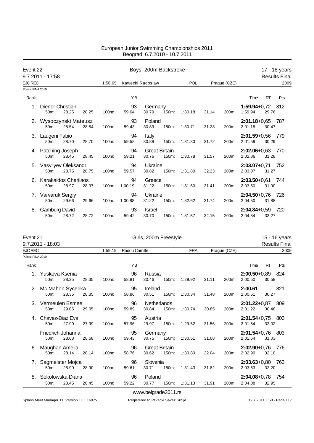| Event 22          | 9.7.2011 - 17:58                |       |       |         | Boys, 200m Backstroke |                               |          |         |       |              |                             |           | 17 - 18 years<br><b>Results Final</b> |
|-------------------|---------------------------------|-------|-------|---------|-----------------------|-------------------------------|----------|---------|-------|--------------|-----------------------------|-----------|---------------------------------------|
| <b>EJC REC</b>    |                                 |       |       | 1:56.65 |                       | Kawecki Radoslaw              |          | POL     |       | Prague (CZE) |                             |           | 2009                                  |
| Points: FINA 2010 |                                 |       |       |         |                       |                               |          |         |       |              |                             |           |                                       |
| Rank              |                                 |       |       |         | YB                    |                               |          |         |       |              | Time                        | <b>RT</b> | Pts                                   |
|                   | Diener Christian<br>50m:        | 28.25 | 28.25 | 100m:   | 93<br>59.04           | Germany<br>30.79              | 150m:    | 1:30.18 | 31.14 | 200m:        | 1:59.94+0,72 812<br>1:59.94 | 29.76     |                                       |
| 2.                | Wysoczynski Mateusz<br>$50m$ :  | 28.54 | 28.54 | 100m:   | 93<br>59.43           | Poland<br>30.89               | 150m:    | 1:30.71 | 31.28 | 200m:        | $2:01.18 + 0.65$<br>2:01.18 | 30.47     | -787                                  |
|                   | 3. Laugeni Fabio<br>$50m$ :     | 28.70 | 28.70 | 100m:   | 94<br>59.58           | Italy<br>30.88                | $150m$ : | 1:31.30 | 31.72 | 200m:        | $2:01.59 + 0.56$<br>2:01.59 | 30.29     | - 779                                 |
| 4.                | Patching Joseph<br>50m:         | 28.45 | 28.45 | 100m:   | 94<br>59.21           | <b>Great Britain</b><br>30.76 | 150m:    | 1:30.78 | 31.57 | 200m:        | $2:02.06 + 0.63$<br>2:02.06 | 31.28     | 770                                   |
| 5.                | Vasyl'yev Oleksandr<br>50m:     | 28.75 | 28.75 | 100m:   | 94<br>59.57           | Ukraine<br>30.82              | 150m:    | 1:31.80 | 32.23 | 200m:        | $2:03.07 + 0.71$<br>2:03.07 | 31.27     | 752                                   |
|                   | Karakaidos Charilaos<br>$50m$ : | 28.97 | 28.97 | 100m:   | 94<br>1:00.19         | Greece<br>31.22               | 150m:    | 1:31.60 | 31.41 | 200m:        | $2:03.50 + 0.61$<br>2:03.50 | 31.90     | -744                                  |
| 7.                | Varvaruk Sergiy<br>50m:         | 29.66 | 29.66 | 100m:   | 94<br>1:00.88         | Ukraine<br>31.22              | 150m:    | 1:32.62 | 31.74 | 200m:        | $2:04.50 + 0.76$<br>2:04.50 | 31.88     | 726                                   |
| 8.                | Gamburg David<br>50m:           | 28.72 | 28.72 | 100m:   | 93<br>59.42           | <b>Israel</b><br>30.70        | 150m:    | 1:31.57 | 32.15 | 200m:        | $2:04.84 + 0.59$<br>2:04.84 | 33.27     | 720                                   |

| Event 21          | 9.7.2011 - 18:03             |       |       |         |               | Girls, 200m Freestyle         |       |            |       |                    |                                 |           | 15 - 16 years<br><b>Results Final</b> |
|-------------------|------------------------------|-------|-------|---------|---------------|-------------------------------|-------|------------|-------|--------------------|---------------------------------|-----------|---------------------------------------|
| <b>EJC REC</b>    |                              |       |       | 1:59.19 | Radou Camille |                               |       | <b>FRA</b> |       | Praque (CZE)       |                                 |           | 2009                                  |
| Points: FINA 2010 |                              |       |       |         |               |                               |       |            |       |                    |                                 |           |                                       |
| Rank              |                              |       |       |         | YB            |                               |       |            |       |                    | Time                            | <b>RT</b> | Pts                                   |
|                   | Yuskova Ksenia<br>50m:       | 28.35 | 28.35 | 100m:   | 96<br>58.81   | Russia<br>30.46               | 150m: | 1:29.92    | 31.11 | 200m:              | $2:00.50 + 0.89$<br>2:00.50     | 30.58     | 824                                   |
| 2.                | Mc Mahon Sycerika<br>$50m$ : | 28.35 | 28.35 | 100m:   | 95<br>58.86   | Ireland<br>30.51              | 150m: | 1:30.34    | 31.48 | 200m:              | 2:00.61<br>2:00.61              | 30.27     | 821                                   |
| 3.                | Vermeulen Esmee<br>$50m$ :   | 29.05 | 29.05 | 100m:   | 96<br>59.89   | Netherlands<br>30.84          | 150m: | 1:30.74    | 30.85 | 200m:              | $2:01.22+0.87$ 809<br>2:01.22   | 30.48     |                                       |
|                   | Chavez-Diaz Eva<br>50m:      | 27.99 | 27.99 | 100m:   | 95<br>57.96   | Austria<br>29.97              | 150m: | 1:29.52    | 31.56 | 200m:              | $2:01.54 + 0.75$ 803<br>2:01.54 | 32.02     |                                       |
|                   | Friedrich Johanna<br>50m:    | 28.68 | 28.68 | 100m:   | 95<br>59.43   | Germany<br>30.75              | 150m: | 1:30.51    | 31.08 | 200m:              | $2:01.54+0.76$ 803<br>2:01.54   | 31.03     |                                       |
| 6.                | Maughan Amelia<br>50m:       | 28.14 | 28.14 | 100m:   | 96<br>58.76   | <b>Great Britain</b><br>30.62 | 150m: | 1:30.80    | 32.04 | 200m:              | $2:02.90 + 0.76$<br>2:02.90     | 32.10     | -776                                  |
| 7.                | Sagmeister Mojca<br>50m:     | 28.90 | 28.90 | 100m:   | 96<br>59.61   | Slovenia<br>30.71             | 150m: | 1:31.43    | 31.82 | 200m:              | $2:03.63+0.80$<br>2:03.63       | 32.20     | - 763                                 |
| 8.                | Sokolowska Diana<br>50m:     | 28.45 | 28.45 | 100m:   | 96<br>59.22   | Poland<br>30.77               | 150m: | 1:31.13    | 31.91 | 200 <sub>m</sub> : | $2:04.08 + 0.78$ 754<br>2:04.08 | 32.95     |                                       |
|                   |                              |       |       |         |               | www.belgrade2011.rs           |       |            |       |                    |                                 |           |                                       |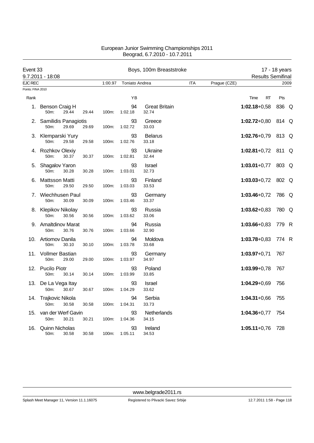| Event 33          |                                          |       |         |                | Boys, 100m Breaststroke       |            |              |                          | 17 - 18 years |      |
|-------------------|------------------------------------------|-------|---------|----------------|-------------------------------|------------|--------------|--------------------------|---------------|------|
|                   | 9.7.2011 - 18:08                         |       |         |                |                               |            |              | <b>Results Semifinal</b> |               |      |
| <b>EJC REC</b>    |                                          |       | 1:00.97 | Toniato Andrea |                               | <b>ITA</b> | Prague (CZE) |                          |               | 2009 |
| Points: FINA 2010 |                                          |       |         |                |                               |            |              |                          |               |      |
| Rank              |                                          |       |         | ΥB             |                               |            |              | Time<br>RT               | Pts           |      |
| 1.                | Benson Craig H<br>50m:<br>29.44          | 29.44 | 100m:   | 94<br>1:02.18  | <b>Great Britain</b><br>32.74 |            |              | $1:02.18+0.58$           | 836 Q         |      |
|                   | 2. Samilidis Panagiotis<br>50m:<br>29.69 | 29.69 | 100m:   | 93<br>1:02.72  | Greece<br>33.03               |            |              | $1:02.72+0.80$           | 814 Q         |      |
|                   | 3. Klemparski Yury<br>50m:<br>29.58      | 29.58 | 100m:   | 93<br>1:02.76  | <b>Belarus</b><br>33.18       |            |              | $1:02.76 + 0.79$         | 813 Q         |      |
|                   | 4. Rozhkov Olexiy<br>50m:<br>30.37       | 30.37 | 100m:   | 93<br>1:02.81  | Ukraine<br>32.44              |            |              | $1:02.81+0.72$           | 811 Q         |      |
|                   | 5. Shagalov Yaron<br>50m:<br>30.28       | 30.28 | 100m:   | 93<br>1:03.01  | Israel<br>32.73               |            |              | $1:03.01+0.77$           | 803 Q         |      |
| 6.                | Mattsson Matti<br>50m:<br>29.50          | 29.50 | 100m:   | 93<br>1:03.03  | Finland<br>33.53              |            |              | $1:03.03 + 0.72$         | 802 Q         |      |
|                   | 7. Wiechhusen Paul<br>50m:<br>30.09      | 30.09 | 100m:   | 93<br>1:03.46  | Germany<br>33.37              |            |              | $1:03.46 + 0.72$         | 786 Q         |      |
|                   | 8. Klepikov Nikolay<br>50m:<br>30.56     | 30.56 | 100m:   | 93<br>1:03.62  | Russia<br>33.06               |            |              | $1:03.62 + 0.83$         | 780 Q         |      |
|                   | 9. Amaltdinov Marat<br>50m:<br>30.76     | 30.76 | 100m:   | 94<br>1:03.66  | Russia<br>32.90               |            |              | $1:03.66 + 0.83$         | 779 R         |      |
|                   | 10. Artiomov Danila<br>50m:<br>30.10     | 30.10 | 100m:   | 94<br>1:03.78  | Moldova<br>33.68              |            |              | $1:03.78 + 0.83$         | 774 R         |      |
|                   | 11. Vollmer Bastian<br>50m:<br>29.00     | 29.00 | 100m:   | 93<br>1:03.97  | Germany<br>34.97              |            |              | $1:03.97+0.71$           | 767           |      |
|                   | 12. Pucilo Piotr<br>50m:<br>30.14        | 30.14 | 100m:   | 93<br>1:03.99  | Poland<br>33.85               |            |              | $1:03.99 + 0.78$         | 767           |      |
|                   | 13. De La Vega Itay<br>50m:<br>30.67     | 30.67 | 100m:   | 93<br>1:04.29  | <b>Israel</b><br>33.62        |            |              | $1:04.29 + 0.69$         | 756           |      |
|                   | 14. Trajkovic Nikola<br>50m:<br>30.58    | 30.58 | 100m:   | 94<br>1:04.31  | Serbia<br>33.73               |            |              | $1:04.31+0.66$           | 755           |      |
| 15.               | van der Werf Gavin<br>50m:<br>30.21      | 30.21 | 100m:   | 93<br>1:04.36  | Netherlands<br>34.15          |            |              | $1:04.36 + 0.77$         | 754           |      |
| 16.               | <b>Quinn Nicholas</b><br>50m:<br>30.58   | 30.58 | 100m:   | 93<br>1:05.11  | Ireland<br>34.53              |            |              | $1:05.11+0.76$           | 728           |      |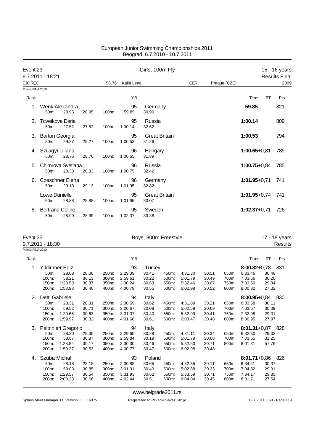| Event 23          | 9.7.2011 - 18:21                  |       |       |          |               | Girls, 100m Fly               |            |              |                  |           | 15 - 16 years<br><b>Results Final</b> |
|-------------------|-----------------------------------|-------|-------|----------|---------------|-------------------------------|------------|--------------|------------------|-----------|---------------------------------------|
| <b>EJC REC</b>    |                                   |       |       | 58.76    | Kalla Lena    |                               | <b>GER</b> | Prague (CZE) |                  |           | 2009                                  |
| Points: FINA 2010 |                                   |       |       |          |               |                               |            |              |                  |           |                                       |
| Rank              |                                   |       |       |          | YB            |                               |            |              | Time             | <b>RT</b> | Pts                                   |
|                   | Wenk Alexandra<br>$50m$ :         | 28.95 | 28.95 | 100m:    | 95<br>59.85   | Germany<br>30.90              |            |              | 59.85            |           | 821                                   |
| 2.                | Tcvetkova Daria<br>50m:           | 27.52 | 27.52 | $100m$ : | 95<br>1:00.14 | Russia<br>32.62               |            |              | 1:00.14          |           | 809                                   |
| 3.                | <b>Barton Georgia</b><br>$50m$ :  | 29.27 | 29.27 | $100m$ : | 95<br>1:00.53 | <b>Great Britain</b><br>31.26 |            |              | 1:00.53          |           | 794                                   |
| 4.                | Szilagyi Liliana<br>50m:          | 28.76 | 28.76 | 100m:    | 96<br>1:00.65 | Hungary<br>31.89              |            |              | $1:00.65 + 0.81$ |           | 789                                   |
| 5.                | Chimrova Svetlana<br>50m:         | 28.33 | 28.33 | 100m:    | 96<br>1:00.75 | Russia<br>32.42               |            |              | $1:00.75+0.84$   |           | 785                                   |
| 6.                | Czeschner Elena<br>$50m$ :        | 29.13 | 29.13 | $100m$ : | 96<br>1:01.95 | Germany<br>32.82              |            |              | $1:01.95 + 0.71$ |           | 741                                   |
|                   | Lowe Danielle<br>50m:             | 28.88 | 28.88 | 100m:    | 95<br>1:01.95 | <b>Great Britain</b><br>33.07 |            |              | $1:01.95 + 0.74$ |           | 741                                   |
| 8.                | <b>Bertrand Celine</b><br>$50m$ : | 28.99 | 28.99 | $100m$ : | 95<br>1:02.37 | Sweden<br>33.38               |            |              | $1:02.37+0.71$   |           | 726                                   |

|                   | Event 35<br>Boys, 800m Freestyle<br>9.7.2011 - 18:30 |                      |       |       |         |        |       |         |       |       |                  | 17 - 18 years<br>Results |      |
|-------------------|------------------------------------------------------|----------------------|-------|-------|---------|--------|-------|---------|-------|-------|------------------|--------------------------|------|
| Points: FINA 2010 |                                                      |                      |       |       |         |        |       |         |       |       |                  |                          |      |
| Rank              |                                                      |                      |       |       | YB      |        |       |         |       |       | Time             | RT                       | Pts  |
| 1.                |                                                      | Yildirimer Ediz      |       |       | 93      | Turkey |       |         |       |       | $8:00.82 + 0.78$ |                          | -831 |
|                   | 50m:                                                 | 28.08                | 28.08 | 250m: | 2:29.39 | 30.41  | 450m: | 4:31.30 | 30.51 | 650m: | 6:33.46          | 30.48                    |      |
|                   | 100m:                                                | 58.21                | 30.13 | 300m: | 2:59.61 | 30.22  | 500m: | 5:01.79 | 30.49 | 700m: | 7:03.66          | 30.20                    |      |
|                   | 150m:                                                | 1:28.58              | 30.37 | 350m: | 3:30.24 | 30.63  | 550m: | 5:32.46 | 30.67 | 750m: | 7:33.50          | 29.84                    |      |
|                   | 200m:                                                | 1:58.98              | 30.40 | 400m: | 4:00.79 | 30.55  | 600m: | 6:02.98 | 30.52 | 800m: | 8:00.82          | 27.32                    |      |
| 2.                | Detti Gabriele                                       |                      |       |       | 94      | Italy  |       |         |       |       | 8:00.95+0,84 830 |                          |      |
|                   | 50m:                                                 | 28.31                | 28.31 | 250m: | 2:30.59 | 30.62  | 450m: | 4:31.89 | 30.21 | 650m: | 6:33.58          | 30.11                    |      |
|                   | 100m:                                                | 59.02                | 30.71 | 300m: | 3:00.67 | 30.08  | 500m: | 5:02.58 | 30.69 | 700m: | 7:03.67          | 30.09                    |      |
|                   | 150m:                                                | 1:29.65              | 30.63 | 350m: | 3:31.07 | 30.40  | 550m: | 5:32.99 | 30.41 | 750m: | 7:32.98          | 29.31                    |      |
|                   | 200m:                                                | 1:59.97              | 30.32 | 400m: | 4:01.68 | 30.61  | 600m: | 6:03.47 | 30.48 | 800m: | 8:00.95          | 27.97                    |      |
| 3.                |                                                      | Paltrinieri Gregorio |       |       | 94      | Italy  |       |         |       |       | $8:01.31+0.87$   |                          | 828  |
|                   | 50m:                                                 | 28.30                | 28.30 | 250m: | 2:29.65 | 30.28  | 450m: | 4:31.11 | 30.34 | 650m: | 6:32.30          | 29.32                    |      |
|                   | 100m:                                                | 58.67                | 30.37 | 300m: | 2:59.84 | 30.19  | 500m: | 5:01.79 | 30.68 | 700m: | 7:03.55          | 31.25                    |      |
|                   | 150m:                                                | 1:28.84              | 30.17 | 350m: | 3:30.30 | 30.46  | 550m: | 5:32.50 | 30.71 | 800m: | 8:01.31          | 57.76                    |      |
|                   | 200m:                                                | 1:59.37              | 30.53 | 400m: | 4:00.77 | 30.47  | 600m: | 6:02.98 | 30.48 |       |                  |                          |      |
| 4.                | Szuba Michal                                         |                      |       |       | 93      | Poland |       |         |       |       | $8:01.71+0.86$   |                          | 826  |
|                   | 50m:                                                 | 28.18                | 28.18 | 250m: | 2.30.88 | 30.65  | 450m: | 4:32.55 | 30.11 | 650m: | 6:34.41          | 30.37                    |      |
|                   | 100m:                                                | 59.03                | 30.85 | 300m: | 3:01.31 | 30.43  | 500m: | 5:02.88 | 30.33 | 700m: | 7:04.32          | 29.91                    |      |
|                   | 150m:                                                | 1:29.57              | 30.54 | 350m: | 3:31.93 | 30.62  | 550m: | 5:33.59 | 30.71 | 750m: | 7:34.17          | 29.85                    |      |
|                   | 200m:                                                | 2:00.23              | 30.66 | 400m: | 4:02.44 | 30.51  | 600m: | 6.04.04 | 30.45 | 800m: | 8:01.71          | 27.54                    |      |
|                   |                                                      |                      |       |       |         |        |       |         |       |       |                  |                          |      |

<www.belgrade2011.rs>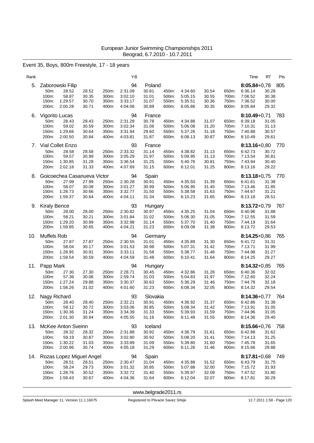Event 35, Boys, 800m Freestyle, 17 - 18 years

| Rank |                                                                                                        |                                  |                                  | ΥB                                             |                                              |                                  |                                                |                                  |                                  | Time                                                         | RT<br>Pts                                            |
|------|--------------------------------------------------------------------------------------------------------|----------------------------------|----------------------------------|------------------------------------------------|----------------------------------------------|----------------------------------|------------------------------------------------|----------------------------------|----------------------------------|--------------------------------------------------------------|------------------------------------------------------|
| 5.   | Zaborowski Filip<br>50m:<br>28.52<br>100m:<br>58.87<br>150m:<br>1:29.57<br>200m:<br>2:00.28            | 28.52<br>30.35<br>30.70<br>30.71 | 250m:<br>300m:<br>350m:<br>400m: | 94<br>2:31.09<br>3:02.10<br>3:33.17<br>4:04.06 | Poland<br>30.81<br>31.01<br>31.07<br>30.89   | 450m:<br>500m:<br>550m:<br>600m: | 4:34.60<br>5:05.15<br>5:35.51<br>6:05.86       | 30.54<br>30.55<br>30.36<br>30.35 | 650m:<br>700m:<br>750m:<br>800m: | $8:05.84 + 0.78$<br>6:36.14<br>7:06.52<br>7:36.52<br>8:05.84 | 805<br>30.28<br>30.38<br>30.00<br>29.32              |
| 6.   | Vigorito Lucas<br>28.43<br>50m:<br>100m:<br>59.02<br>150m:<br>1:29.66<br>200m:<br>2:00.50              | 28.43<br>30.59<br>30.64<br>30.84 | 250m:<br>300m:<br>350m:<br>400m: | 94<br>2:31.28<br>3:02.34<br>3:31.94<br>4:03.81 | France<br>30.78<br>31.06<br>29.60<br>31.87   | 450m:<br>500m:<br>550m:<br>600m: | 4:34.88<br>5:06.08<br>5:37.26<br>6:08.13       | 31.07<br>31.20<br>31.18<br>30.87 | 650m:<br>700m:<br>750m:<br>800m: | 6:39.18<br>7:10.31<br>7:40.88<br>8:10.49                     | 8:10.49+0,71 783<br>31.05<br>31.13<br>30.57<br>29.61 |
| 7.   | Vial Collet Enzo<br>50m:<br>28.58<br>59.57<br>100m:<br>150m:<br>1:30.85<br>200m:<br>2:02.18            | 28.58<br>30.99<br>31.28<br>31.33 | 250m:<br>300m:<br>350m:<br>400m: | 93<br>2:33.32<br>3:05.29<br>3:36.54<br>4:07.69 | France<br>31.14<br>31.97<br>31.25<br>31.15   | 450m:<br>500m:<br>550m:<br>600m: | 4:38.82<br>5:09.95<br>5:40.76<br>6:12.01       | 31.13<br>31.13<br>30.81<br>31.25 | 650m:<br>700m:<br>750m:<br>800m: | $8:13.16 + 0.80$<br>6:42.73<br>7:13.54<br>7:43.94<br>8:13.16 | 770<br>30.72<br>30.81<br>30.40<br>29.22              |
| 8.   | Goicoechea Casanueva Victor<br>27.99<br>50m:<br>100m:<br>58.07<br>150m:<br>1:28.73<br>200m:<br>1:59.37 | 27.99<br>30.08<br>30.66<br>30.64 | 250m:<br>300m:<br>350m:<br>400m: | 94<br>2:30.28<br>3:01.27<br>3:32.77<br>4:04.11 | Spain<br>30.91<br>30.99<br>31.50<br>31.34    | 450m:<br>500m:<br>550m:<br>600m: | 4:35.50<br>5:06.95<br>5:38.58<br>6:10.23       | 31.39<br>31.45<br>31.63<br>31.65 | 650m:<br>700m:<br>750m:<br>800m: | $8:13.18 + 0.75$<br>6:41.61<br>7:13.46<br>7:44.67<br>8:13.18 | 770<br>31.38<br>31.85<br>31.21<br>28.51              |
| 9.   | <b>Kiraly Bence</b><br>50m:<br>28.00<br>100m:<br>58.21<br>150m:<br>1:29.20<br>200m:<br>1:59.85         | 28.00<br>30.21<br>30.99<br>30.65 | 250m:<br>300m:<br>350m:<br>400m: | 93<br>2:30.82<br>3:01.84<br>3:32.98<br>4:04.21 | Hungary<br>30.97<br>31.02<br>31.14<br>31.23  | 450m:<br>500m:<br>550m:<br>600m: | 4:35.25<br>5:06.30<br>5:37.70<br>6:09.08       | 31.04<br>31.05<br>31.40<br>31.38 | 650m:<br>700m:<br>750m:<br>800m: | $8:13.72+0.79$<br>6:40.96<br>7:12.55<br>7:44.19<br>8:13.72   | 767<br>31.88<br>31.59<br>31.64<br>29.53              |
| 10.  | Muffels Rob<br>50m:<br>27.87<br>58.04<br>100m:<br>150m:<br>1:28.95<br>200m:<br>1:59.54                 | 27.87<br>30.17<br>30.91<br>30.59 | 250m:<br>300m:<br>350m:<br>400m: | 94<br>2:30.55<br>3:01.53<br>3:33.11<br>4:04.59 | Germany<br>31.01<br>30.98<br>31.58<br>31.48  | 450m:<br>500m:<br>550m:<br>600m: | 4:35.89<br>5:07.31<br>5:38.77<br>6:10.41       | 31.30<br>31.42<br>31.46<br>31.64 | 650m:<br>700m:<br>750m:<br>800m: | $8:14.25 + 0.86$<br>6:41.72<br>7:13.71<br>7:44.98<br>8:14.25 | 765<br>31.31<br>31.99<br>31.27<br>29.27              |
| 11.  | Papp Mark<br>50m:<br>27.30<br>100m:<br>57.36<br>1:27.24<br>150m:<br>200m:<br>1:58.26                   | 27.30<br>30.06<br>29.88<br>31.02 | 250m:<br>300m:<br>350m:<br>400m: | 94<br>2:28.71<br>2:59.74<br>3:30.37<br>4:01.60 | Hungary<br>30.45<br>31.03<br>30.63<br>31.23  | 450m:<br>500m:<br>550m:<br>600m: | 4:32.86<br>5:04.83<br>5:36.29<br>6:08.34       | 31.26<br>31.97<br>31.46<br>32.05 | 650m:<br>700m:<br>750m:<br>800m: | $8:14.32+0.85$<br>6:40.36<br>7:12.60<br>7:44.78<br>8:14.32   | 765<br>32.02<br>32.24<br>32.18<br>29.54              |
| 12.  | Nagy Richard<br>28.40<br>50m:<br>59.12<br>100m:<br>1:30.36<br>150m:<br>200m:<br>2:01.30                | 28.40<br>30.72<br>31.24<br>30.94 | 250m:<br>300m:<br>350m:<br>400m: | 93<br>2:32.21<br>3:03.06<br>3:34.39<br>4:05.55 | Slovakia<br>30.91<br>30.85<br>31.33<br>31.16 | 450m:<br>550m:<br>600m:          | 4:36.92<br>500m: 5:08.34<br>5:39.93<br>6:11.48 | 31.37<br>31.42<br>31.59<br>31.55 | 650m:<br>800m:                   | 6:42.86<br>700m: 7:13.91<br>750m: 7:44.96<br>8:14.36         | 8:14.36+0,77 764<br>31.38<br>31.05<br>31.05<br>29.40 |
| 13.  | McKee Anton Sveinn<br>50m:<br>28.32<br>100m:<br>59.19<br>150m:<br>1:30.22<br>200m: 2:00.96             | 28.32<br>30.87<br>31.03<br>30.74 | 250m:<br>300m:<br>350m:<br>400m: | 93<br>2:31.88<br>3:02.80<br>3:33.89<br>4:05.18 | Iceland<br>30.92<br>30.92<br>31.09<br>31.29  | 450m:<br>500m:<br>550m:<br>600m: | 4:36.79<br>5:08.20<br>5:39.80<br>6:11.26       | 31.61<br>31.41<br>31.60<br>31.46 | 650m:<br>700m:<br>750m:<br>800m: | 6:42.88<br>7:14.13<br>7:45.78<br>8:15.66                     | 8:15.66+0.76 758<br>31.62<br>31.25<br>31.65<br>29.88 |
| 14.  | Rozas Lopez Miguel Angel<br>50m:<br>28.51<br>58.24<br>100m:<br>150m:<br>1:28.76<br>200m:<br>1:59.43    | 28.51<br>29.73<br>30.52<br>30.67 | 250m:<br>300m:<br>350m:<br>400m: | 94<br>2:30.47<br>3:01.32<br>3:32.72<br>4:04.36 | Spain<br>31.04<br>30.85<br>31.40<br>31.64    | 450m:<br>500m:<br>550m:<br>600m: | 4:35.88<br>5:07.88<br>5:39.97<br>6:12.04       | 31.52<br>32.00<br>32.09<br>32.07 | 650m:<br>700m:<br>750m:<br>800m: | 6:43.79<br>7:15.72<br>7:47.52<br>8:17.81                     | 8:17.81+0,68 749<br>31.75<br>31.93<br>31.80<br>30.29 |

<www.belgrade2011.rs>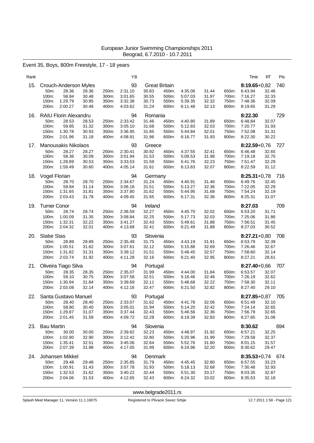Event 35, Boys, 800m Freestyle, 17 - 18 years

| Rank |                                                                                                             |                                                                      | ΥB                                             |                                                          |                                  |                                          |                                  |                                  | Time                                                                   | RT<br>Pts                                              |
|------|-------------------------------------------------------------------------------------------------------------|----------------------------------------------------------------------|------------------------------------------------|----------------------------------------------------------|----------------------------------|------------------------------------------|----------------------------------|----------------------------------|------------------------------------------------------------------------|--------------------------------------------------------|
| 15.  | Crouch-Anderson Myles<br>28.36<br>50m:<br>58.84<br>100m:<br>1:29.79<br>150m:<br>200m:<br>2:00.27            | 28.36<br>250m:<br>30.48<br>300m:<br>30.95<br>350m:<br>400m:<br>30.48 | 93<br>2:31.10<br>3.01.65<br>3:32.38<br>4:03.62 | <b>Great Britain</b><br>30.83<br>30.55<br>30.73<br>31.24 | 450m:<br>500m:<br>550m:<br>600m: | 4:35.06<br>5:07.03<br>5:39.35<br>6:11.48 | 31.44<br>31.97<br>32.32<br>32.13 | 650m:<br>700m:<br>750m:<br>800m: | $8:19.65 + 0.82$<br>6:43.94<br>7:16.27<br>7:48.36<br>8:19.65           | 740<br>32.46<br>32.33<br>32.09<br>31.29                |
| 16.  | <b>RAIU Florin Alexandru</b><br>50m:<br>28.53<br>100m:<br>59.85<br>1:30.78<br>150m:<br>200m:<br>2:01.96     | 28.53<br>250m:<br>31.32<br>300m:<br>30.93<br>350m:<br>31.18<br>400m: | 94<br>2:33.42<br>3:05.10<br>3:36.95<br>4:08.91 | Romania<br>31.46<br>31.68<br>31.85<br>31.96              | 450m:<br>500m:<br>550m:<br>600m: | 4:40.80<br>5:12.83<br>5:44.84<br>6:16.77 | 31.89<br>32.03<br>32.01<br>31.93 | 650m:<br>700m:<br>750m:<br>800m: | 8:22.30<br>6:48.84<br>7:20.77<br>7:52.08<br>8:22.30                    | 729<br>32.07<br>31.93<br>31.31<br>30.22                |
| 17.  | Manousakis Nikolaos<br>28.27<br>50m:<br>58.36<br>100m:<br>150m:<br>1:28.89<br>200m:<br>1:59.49              | 28.27<br>250m:<br>30.09<br>300m:<br>30.53<br>350m:<br>30.60<br>400m: | 93<br>2:30.41<br>3:01.94<br>3:33.53<br>4.05.14 | Greece<br>30.92<br>31.53<br>31.59<br>31.61               | 450m:<br>500m:<br>550m:<br>600m: | 4:37.55<br>5:09.53<br>5:41.76<br>6:13.83 | 32.41<br>31.98<br>32.23<br>32.07 | 650m:<br>700m:<br>750m:<br>800m: | $8:22.59 + 0.76$<br>6:46.48<br>7:19.18<br>7:51.47<br>8:22.59           | 727<br>32.65<br>32.70<br>32.29<br>31.12                |
| 18.  | Vogel Florian<br>50 <sub>m</sub> :<br>28.70<br>100m:<br>59.84<br>150m:<br>1:31.65<br>200m:<br>2:03.43       | 28.70<br>250m:<br>31.14<br>300m:<br>31.81<br>350m:<br>31.78<br>400m: | 94<br>2.34.67<br>3:06.18<br>3:37.80<br>4:09.45 | Germany<br>31.24<br>31.51<br>31.62<br>31.65              | 450m:<br>500m:<br>550m:<br>600m: | 4:40.91<br>5:13.27<br>5:44.95<br>6:17.31 | 31.46<br>32.36<br>31.68<br>32.36 | 650m:<br>700m:<br>750m:<br>800m: | 6:49.76<br>7:22.05<br>7:54.24<br>8:25.31                               | $8:25.31+0.78$ 716<br>32.45<br>32.29<br>32.19<br>31.07 |
| 19.  | <b>Turner Conor</b><br>28.74<br>50m:<br>100m:<br>1:00.09<br>150m:<br>1:32.31<br>200m:<br>2:04.32            | 28.74<br>250m:<br>31.35<br>300m:<br>32.22<br>350m:<br>32.01<br>400m: | 94<br>2:36.59<br>3:08.84<br>3:41.27<br>4:13.68 | Ireland<br>32.27<br>32.25<br>32.43<br>32.41              | 450m:<br>500m:<br>550m:<br>600m: | 4:45.70<br>5:17.73<br>5:49.61<br>6:21.49 | 32.02<br>32.03<br>31.88<br>31.88 | 650m:<br>700m:<br>750m:<br>800m: | 8:27.03<br>6:53.20<br>7:25.06<br>7:56.51<br>8:27.03                    | 709<br>31.71<br>31.86<br>31.45<br>30.52                |
| 20.  | <b>Slabe Stas</b><br>50 <sub>m</sub> :<br>28.89<br>100m:<br>1:00.51<br>150m:<br>1:31.82<br>200m:<br>2:03.74 | 28.89<br>250m:<br>31.62<br>300m:<br>31.31<br>350m:<br>31.92<br>400m: | 93<br>2:35.49<br>3:07.61<br>3:39.12<br>4:11.28 | Slovenia<br>31.75<br>32.12<br>31.51<br>32.16             | 450m:<br>500m:<br>550m:<br>600m: | 4:43.19<br>5:15.88<br>5:48.45<br>6:21.40 | 31.91<br>32.69<br>32.57<br>32.95 | 650m:<br>700m:<br>750m:<br>800m: | $8:27.21+0.80$<br>6:53.79<br>7:26.46<br>7:58.60<br>8:27.21             | 708<br>32.39<br>32.67<br>32.14<br>28.61                |
| 21.  | Oliveira Tiago Silva<br>50m:<br>28.35<br>100m:<br>59.10<br>1:30.94<br>150m:<br>200m:<br>2:03.08             | 28.35<br>250m:<br>30.75<br>300m:<br>31.84<br>350m:<br>32.14<br>400m: | 94<br>2:35.07<br>3:07.58<br>3:39.69<br>4:12.16 | Portugal<br>31.99<br>32.51<br>32.11<br>32.47             | 450m:<br>500m:<br>550m:<br>600m: | 4:44.00<br>5:16.46<br>5:48.68<br>6:21.50 | 31.84<br>32.46<br>32.22<br>32.82 | 650m:<br>700m:<br>750m:<br>800m: | $8:27.40 + 0.66$<br>6:53.57<br>7:26.19<br>7:58.30<br>8:27.40           | 707<br>32.07<br>32.62<br>32.11<br>29.10                |
| 22.  | Santa Gustavo Manuel<br>$50m$ :<br>28.40<br>58.80<br>100m:<br>150m: 1:29.87<br>200m: 2:01.45                | 28.40<br>250m:<br>30.40<br>300m:<br>31.07<br>350m:<br>31.58<br>400m: | 93<br>2:33.07<br>3:05.01<br>3:37.44<br>4:09.72 | Portugal<br>31.62<br>31.94<br>32.43<br>32.28             | 450m:<br>500m:<br>550m:<br>600m: | 4:41.78<br>5:14.20<br>5:46.56<br>6:19.39 | 32.06<br>32.42<br>32.36<br>32.83 | 650m:<br>800m:                   | $8:27.85+0.87$<br>6:51.49<br>700m: 7:24.14<br>750m: 7:56.79<br>8:27.85 | 705<br>32.10<br>32.65<br>32.65<br>31.06                |
|      | 23. Bau Martin<br>50m:<br>30.00<br>100m:<br>1:02.90<br>150m:<br>1:35.41<br>200m:<br>2:07.39                 | 30.00<br>250m:<br>32.90<br>300m:<br>32.51<br>350m:<br>31.98<br>400m: | 94<br>2:39.62<br>3:12.42<br>3:45.06<br>4:17.05 | Slovenia<br>32.23<br>32.80<br>32.64<br>31.99             | 450m:<br>500m:<br>550m:<br>600m: | 4:48.97<br>5:20.96<br>5:52.76<br>6:24.96 | 31.92<br>31.99<br>31.80<br>32.20 | 650m:<br>700m:<br>750m:<br>800m: | 8:30.62<br>6:57.21<br>7:29.58<br>8:01.15<br>8:30.62                    | 694<br>32.25<br>32.37<br>31.57<br>29.47                |
| 24.  | Johansen Mikkel<br>50m:<br>29.48<br>100m: 1:00.91<br>150m:<br>1:32.53<br>200m:<br>2:04.06                   | 29.48<br>250m:<br>31.43<br>300m:<br>31.62<br>350m:<br>31.53<br>400m: | 94<br>2:35.85<br>3:07.78<br>3:40.22<br>4:12.65 | Denmark<br>31.79<br>31.93<br>32.44<br>32.43              | 450m:<br>500m:<br>550m:<br>600m: | 4:45.45<br>5:18.13<br>5:51.30<br>6:24.32 | 32.80<br>32.68<br>33.17<br>33.02 | 650m:<br>700m:<br>750m:<br>800m: | 6:57.55<br>7:30.48<br>8:03.35<br>8:35.53                               | $8:35.53+0.74$ 674<br>33.23<br>32.93<br>32.87<br>32.18 |

<www.belgrade2011.rs>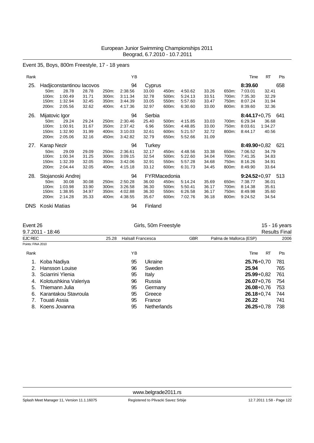### Event 35, Boys, 800m Freestyle, 17 - 18 years

| Rank |                    |                           |       |       | ΥB      |               |              |         |       |       | Time           | <b>RT</b> | Pts |
|------|--------------------|---------------------------|-------|-------|---------|---------------|--------------|---------|-------|-------|----------------|-----------|-----|
| 25.  |                    | Hadjiconstantinou lacovos |       |       | 94      | Cyprus        |              |         |       |       | 8:39.60        |           | 658 |
|      | 50 <sub>m</sub> :  | 28.78                     | 28.78 | 250m: | 2.38.56 | 33.00         | 450m:        | 4:50.62 | 33.26 | 650m: | 7:03.01        | 32.41     |     |
|      | 100m:              | 1:00.49                   | 31.71 | 300m: | 3:11.34 | 32.78         | 500m:        | 5:24.13 | 33.51 | 700m: | 7:35.30        | 32.29     |     |
|      | 150m:              | 1:32.94                   | 32.45 | 350m: | 3:44.39 | 33.05         | 550m:        | 5:57.60 | 33.47 | 750m: | 8:07.24        | 31.94     |     |
|      | 200m:              | 2:05.56                   | 32.62 | 400m: | 4:17.36 | 32.97         | 600m:        | 6:30.60 | 33.00 | 800m: | 8:39.60        | 32.36     |     |
| 26.  | Mijatovic Igor     |                           |       |       | 94      | Serbia        |              |         |       |       | $8:44.17+0.75$ |           | 641 |
|      | 50m:               | 29.24                     | 29.24 | 250m: | 2:30.46 | 25.40         | 500m:        | 4:15.85 | 33.03 | 700m: | 6:29.34        | 36.68     |     |
|      | 100m:              | 1:00.91                   | 31.67 | 350m: | 2:37.42 | 6.96          | 550m:        | 4:48.85 | 33.00 | 750m: | 8:03.61        | 1:34.27   |     |
|      | 150m:              | 1:32.90                   | 31.99 | 400m: | 3:10.03 | 32.61         | 600m:        | 5:21.57 | 32.72 | 800m: | 8:44.17        | 40.56     |     |
|      | 200m:              | 2:05.06                   | 32.16 | 450m: | 3:42.82 | 32.79         | 650m:        | 5:52.66 | 31.09 |       |                |           |     |
| 27.  | <b>Karap Nezir</b> |                           |       |       | 94      | <b>Turkey</b> |              |         |       |       | 8:49.90+0,82   |           | 621 |
|      | 50m:               | 29.09                     | 29.09 | 250m: | 2:36.61 | 32.17         | 450m:        | 4:48.56 | 33.38 | 650m: | 7:06.52        | 34.79     |     |
|      | 100m:              | 1:00.34                   | 31.25 | 300m: | 3:09.15 | 32.54         | 500m:        | 5:22.60 | 34.04 | 700m: | 7:41.35        | 34.83     |     |
|      | 150m:              | 1:32.39                   | 32.05 | 350m: | 3:42.06 | 32.91         | 550m:        | 5:57.28 | 34.68 | 750m: | 8:16.26        | 34.91     |     |
|      | 200m:              | 2:04.44                   | 32.05 | 400m: | 4:15.18 | 33.12         | 600m:        | 6:31.73 | 34.45 | 800m: | 8:49.90        | 33.64     |     |
| 28.  |                    | Stojanoski Andrej         |       |       | 94      |               | FYRMacedonia |         |       |       | $9:24.52+0.97$ |           | 513 |
|      | 50 <sub>m</sub> :  | 30.08                     | 30.08 | 250m: | 2:50.28 | 36.00         | 450m:        | 5:14.24 | 35.69 | 650m: | 7:38.77        | 36.01     |     |
|      | 100m:              | 1:03.98                   | 33.90 | 300m: | 3:26.58 | 36.30         | 500m:        | 5:50.41 | 36.17 | 700m: | 8:14.38        | 35.61     |     |
|      | 150m:              | 1:38.95                   | 34.97 | 350m: | 4:02.88 | 36.30         | 550m:        | 6:26.58 | 36.17 | 750m: | 8:49.98        | 35.60     |     |
|      | 200m:              | 2:14.28                   | 35.33 | 400m: | 4:38.55 | 35.67         | 600m:        | 7:02.76 | 36.18 | 800m: | 9:24.52        | 34.54     |     |
| DNS. | Koski Matias       |                           |       |       | 94      | Finland       |              |         |       |       |                |           |     |

Event 26 Girls, 50m Freestyle 15 - 16 years

|  |  | 15 - 16 year: |  |
|--|--|---------------|--|
|  |  |               |  |

|                   | 9.7.2011 - 18:46      |       |                          |                    |            |                         | <b>Results Final</b> |
|-------------------|-----------------------|-------|--------------------------|--------------------|------------|-------------------------|----------------------|
| EJC REC           |                       | 25.28 | <b>Halsall Francesca</b> |                    | <b>GBR</b> | Palma de Mallorca (ESP) | 2006                 |
| Points: FINA 2010 |                       |       |                          |                    |            |                         |                      |
| Rank              |                       |       | ΥB                       |                    |            | <b>RT</b><br>Time       | Pts                  |
|                   | Koba Nadiya           |       | 95                       | Ukraine            |            | $25.76 + 0.70$          | 781                  |
|                   | Hansson Louise        |       | 96                       | Sweden             |            | 25.94                   | 765                  |
|                   | Sciarrini Ylenia      |       | 95                       | Italy              |            | $25.99 + 0.82$          | 761                  |
| 4.                | Kolotushkina Valeriya |       | 96                       | Russia             |            | $26.07 + 0.76$          | 754                  |
| 5.                | Thiemann Julia        |       | 95                       | Germany            |            | $26.08 + 0.76$          | 753                  |
| 6.                | Karantakou Stavroula  |       | 95                       | Greece             |            | $26.18 + 0.74$          | 744                  |
|                   | Touati Assia          |       | 95                       | France             |            | 26.22                   | 741                  |
| 8.                | Koens Jovanna         |       | 95                       | <b>Netherlands</b> |            | $26.25 + 0.78$          | 738                  |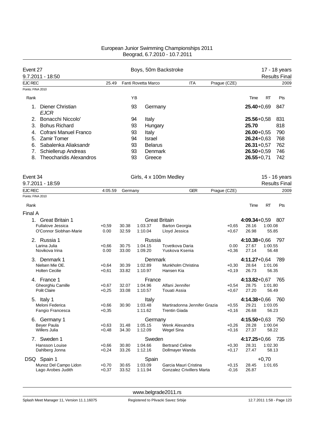| Event 27                                              |         |         |          |                      | Boys, 50m Backstroke             |              |                         |         | 17 - 18 years        |
|-------------------------------------------------------|---------|---------|----------|----------------------|----------------------------------|--------------|-------------------------|---------|----------------------|
| 9.7.2011 - 18:50                                      |         |         |          |                      |                                  |              |                         |         | <b>Results Final</b> |
| <b>EJC REC</b><br>Points: FINA 2010                   | 25.49   |         |          | Fanti Rovetta Marco  | <b>ITA</b>                       | Prague (CZE) |                         |         | 2009                 |
|                                                       |         |         |          |                      |                                  |              |                         |         |                      |
| Rank                                                  |         |         | YB       |                      |                                  |              | Time                    | RT      | Pts                  |
| Diener Christian<br>1.<br><b>EJCR</b>                 |         |         | 93       | Germany              |                                  |              | $25.40 + 0.69$          |         | 847                  |
| Bonacchi Niccolo'<br>2.<br>3.<br><b>Bohus Richard</b> |         |         | 94<br>93 | Italy<br>Hungary     |                                  |              | $25.56 + 0.58$<br>25.70 |         | 831<br>818           |
| Cofrani Manuel Franco<br>4.                           |         |         | 93       | Italy                |                                  |              | $26.00 + 0.55$          |         | 790                  |
| <b>Zamir Tomer</b><br>5.                              |         |         | 94       | Israel               |                                  |              | $26.24 + 0.63$          |         | 768                  |
| Sabalenka Aliaksandr<br>6.                            |         |         | 93       | <b>Belarus</b>       |                                  |              | $26.31 + 0.57$          |         | 762                  |
| Schiellerup Andreas<br>7.                             |         |         | 93       | Denmark              |                                  |              | $26.50 + 0.59$          |         | 746                  |
| 8.<br><b>Theocharidis Alexandros</b>                  |         |         | 93       | Greece               |                                  |              | $26.55 + 0.71$          |         | 742                  |
| Event 34                                              |         |         |          |                      | Girls, 4 x 100m Medley           |              |                         |         | 15 - 16 years        |
| 9.7.2011 - 18:59                                      |         |         |          |                      |                                  |              |                         |         | <b>Results Final</b> |
| <b>EJC REC</b>                                        | 4:05.59 | Germany |          |                      | <b>GER</b>                       | Prague (CZE) |                         |         | 2009                 |
| Points: FINA 2010                                     |         |         |          |                      |                                  |              |                         |         |                      |
| Rank                                                  |         |         |          |                      |                                  |              | Time                    | RT      | Pts                  |
| Final A                                               |         |         |          |                      |                                  |              |                         |         |                      |
| 1.<br><b>Great Britain 1</b>                          |         |         |          | <b>Great Britain</b> |                                  |              | $4:09.34 + 0.59$        |         | -807                 |
| <b>Fullalove Jessica</b>                              | $+0,59$ | 30.38   |          | 1:03.37              | <b>Barton Georgia</b>            | $+0.65$      | 28.16                   | 1:00.08 |                      |
| O'Connor Siobhan-Marie                                | 0.00    | 32.59   | 1:10.04  |                      | Lloyd Jessica                    | $+0,67$      | 26.98                   | 55.85   |                      |
| 2. Russia 1                                           |         |         |          | Russia               |                                  |              | $4:10.38 + 0.66$        |         | 797                  |
| Larina Julia                                          | $+0,66$ | 30.75   | 1:04.15  |                      | Tcvetkova Daria                  | 0.00         | 27.67                   | 1:00.55 |                      |
| Novikova Irina                                        | 0.00    | 33.00   | 1:09.20  |                      | Yuskova Ksenia                   | $+0,36$      | 27.14                   | 56.48   |                      |
| 3. Denmark 1                                          |         |         |          | Denmark              |                                  |              | $4:11.27+0.64$          |         | 789                  |
| Nielsen Mie OE.                                       | $+0,64$ | 30.39   | 1:02.89  |                      | Munkholm Christina               | $+0,30$      | 28.64                   | 1:01.06 |                      |
| <b>Holten Cecilie</b>                                 | $+0,61$ | 33.82   |          | 1:10.97              | Hansen Kia                       | $+0,19$      | 26.73                   | 56.35   |                      |
| 4. France 1                                           |         |         |          | France               |                                  |              | $4:13.82 + 0.67$        |         | 765                  |
| Gheorghiu Camille                                     | $+0,67$ | 32.07   | 1:04.96  |                      | Alfani Jennifer                  | $+0,54$      | 28.75                   | 1:01.80 |                      |
| Polit Claire                                          | $+0,25$ | 33.08   | 1:10.57  |                      | Touati Assia                     | $+0,67$      | 27.20                   | 56.49   |                      |
| 5. Italy 1                                            |         |         |          | Italy                |                                  |              | $4:14.38 + 0.66$        |         | 760                  |
| Meloni Federica                                       | $+0,66$ | 30.90   | 1:03.48  |                      | Martiradonna Jennifer Grazia     | $+0,55$      | 29.21                   | 1:03.05 |                      |
| Fangio Francesca                                      | $+0,35$ |         | 1:11.62  |                      | <b>Trentin Giada</b>             | $+0,16$      | 26.68                   | 56.23   |                      |
| 6. Germany 1                                          |         |         |          | Germany              |                                  |              | $4:15.50 + 0.63$        |         | 750                  |
| <b>Bever Paula</b>                                    | $+0,63$ | 31.48   | 1:05.15  |                      | Wenk Alexandra                   | $+0,26$      | 28.28                   | 1:00.04 |                      |
| <b>Willers Julia</b>                                  | $+0,48$ | 34.30   | 1:12.09  |                      | Wegel Sina                       | $+0,16$      | 27.37                   | 58.22   |                      |
| 7. Sweden 1                                           |         |         |          | Sweden               |                                  |              | $4:17.25 + 0.66$        |         | 735                  |
| Hansson Louise                                        | $+0,66$ | 30.80   | 1:04.66  |                      | <b>Bertrand Celine</b>           | $+0,30$      | 28.31                   | 1:02.30 |                      |
| Dahlberg Jonna                                        | $+0,24$ | 33.26   | 1:12.16  |                      | Dollmayer Wanda                  | $+0,17$      | 27.47                   | 58.13   |                      |
| DSQ Spain 1                                           |         |         |          | Spain                |                                  |              |                         | $+0,70$ |                      |
| Munoz Del Campo Lidon                                 | $+0,70$ | 30.65   | 1:03.09  |                      | Garcia Mauri Cristina            | $+0,15$      | 28.45                   | 1:01.65 |                      |
| Lago Arobes Judith                                    | +0,37   | 33.52   | 1:11.94  |                      | <b>Gonzalez Crivillers Marta</b> | $-0,16$      | 26.87                   |         |                      |
|                                                       |         |         |          |                      |                                  |              |                         |         |                      |

<www.belgrade2011.rs>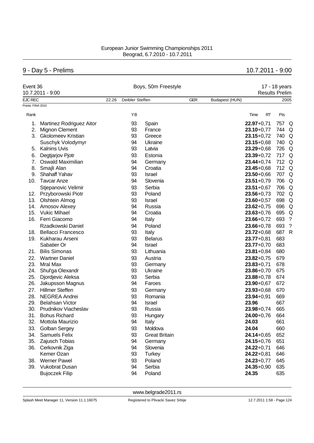# 9 - Day 5 - Prelims 10.7.2011 - 9:00

| Event 36          | 10.7.2011 - 9:00          |       |                 | Boys, 50m Freestyle  |            | 17 - 18 years<br><b>Results Prelim</b> |                |     |                    |  |
|-------------------|---------------------------|-------|-----------------|----------------------|------------|----------------------------------------|----------------|-----|--------------------|--|
| EJC REC           |                           | 22.26 | Deibler Steffen |                      | <b>GER</b> | Budapest (HUN)                         |                |     | 2005               |  |
| Points: FINA 2010 |                           |       |                 |                      |            |                                        |                |     |                    |  |
| Rank              |                           |       | YB              |                      |            |                                        | Time<br>RT     | Pts |                    |  |
| 1.                | Martinez Rodriguez Aitor  |       | 93              | Spain                |            |                                        | $22.97 + 0.71$ | 757 | Q                  |  |
| 2.                | <b>Mignon Clement</b>     |       | 93              | France               |            |                                        | $23.10 + 0.77$ | 744 | Q                  |  |
| 3.                | <b>Gkolomeev Kristian</b> |       | 93              | Greece               |            |                                        | $23.15 + 0.72$ | 740 | Q                  |  |
|                   | Suschyk Volodymyr         |       | 94              | Ukraine              |            |                                        | $23.15 + 0.68$ | 740 | Q                  |  |
| 5.                | <b>Kalnins Uvis</b>       |       | 93              | Latvia               |            |                                        | $23.29 + 0.68$ |     | 726 Q              |  |
| 6.                | Degtjarjov Pjotr          |       | 93              | Estonia              |            |                                        | $23.39 + 0.72$ | 717 | Q                  |  |
| 7 <sub>1</sub>    | <b>Oswald Maximilian</b>  |       | 94              | Germany              |            |                                        | $23.44 + 0.74$ |     | 712 Q              |  |
| 8.                | Smajli Alan               |       | 94              | Croatia              |            |                                        | $23.45 + 0.68$ |     | 712 Q              |  |
| 9.                | <b>Shahaff Yahav</b>      |       | 93              | Israel               |            |                                        | $23.50 + 0.66$ |     | 707 Q              |  |
| 10.               | <b>Tavcar Anze</b>        |       | 94              | Slovenia             |            |                                        | $23.51 + 0.79$ |     | 706 Q              |  |
|                   | Stjepanovic Velimir       |       | 93              | Serbia               |            |                                        | $23.51 + 0.67$ |     | 706 Q              |  |
|                   | 12. Przyborowski Piotr    |       | 93              | Poland               |            |                                        | $23.56 + 0.73$ |     | 702 Q              |  |
| 13.               | <b>Olshtein Almog</b>     |       | 93              | Israel               |            |                                        | $23.60 + 0.57$ |     | 698 Q              |  |
|                   | 14. Amosov Alexey         |       | 94              | Russia               |            |                                        | $23.62 + 0.75$ | 696 | Q                  |  |
| 15.               | <b>Vukic Mihael</b>       |       | 94              | Croatia              |            |                                        | $23.63 + 0.76$ |     | 695 Q              |  |
| 16.               | Ferri Giacomo             |       | 94              | Italy                |            |                                        | $23.66 + 0.72$ | 693 | $\cdot$            |  |
|                   | Rzadkowski Daniel         |       | 94              | Poland               |            |                                        | $23.66 + 0.78$ | 693 | $\overline{\cdot}$ |  |
| 18.               | <b>Bellacci Francesco</b> |       | 93              | Italy                |            |                                        | $23.72 + 0.68$ | 687 | $\mathsf{R}$       |  |
| 19.               | Kukharau Arseni           |       | 93              | <b>Belarus</b>       |            |                                        | $23.77 + 0.81$ | 683 |                    |  |
|                   | Sabatier Or               |       | 94              | Israel               |            |                                        | $23.77 + 0.70$ | 683 |                    |  |
| 21.               | <b>Bilis Simonas</b>      |       | 93              | Lithuania            |            |                                        | $23.81 + 0.84$ | 680 |                    |  |
| 22.               | <b>Wartner Daniel</b>     |       | 93              | Austria              |            |                                        | $23.82 + 0.75$ | 679 |                    |  |
| 23.               | Mral Max                  |       | 93              | Germany              |            |                                        | $23.83 + 0.71$ | 678 |                    |  |
| 24.               | Shul'ga Olexandr          |       | 93              | Ukraine              |            |                                        | $23.86 + 0.70$ | 675 |                    |  |
| 25.               | Djordjevic Aleksa         |       | 93              | Serbia               |            |                                        | $23.88 + 0.78$ | 674 |                    |  |
| 26.               | Jakupsson Magnus          |       | 94              | Faroes               |            |                                        | $23.90 + 0.67$ | 672 |                    |  |
| 27.               | <b>Hillmer Steffen</b>    |       | 93              | Germany              |            |                                        | $23.93 + 0.68$ | 670 |                    |  |
| 28.               | <b>NEGREA Andrei</b>      |       | 93              | Romania              |            |                                        | $23.94 + 0.91$ | 669 |                    |  |
| 29.               | <b>Belahsan Victor</b>    |       | 94              | <b>Israel</b>        |            |                                        | 23.96          | 667 |                    |  |
| 30.               | Prudnikov Viacheslav      |       | 93              | Russia               |            |                                        | $23.98 + 0.74$ | 665 |                    |  |
| 31.               | <b>Bohus Richard</b>      |       | 93              | Hungary              |            |                                        | $24.00 + 0.76$ | 664 |                    |  |
| 32.               | Mottola Maurizio          |       | 94              | Italy                |            |                                        | 24.03          | 661 |                    |  |
| 33.               | <b>Golban Sergey</b>      |       | 93              | Moldova              |            |                                        | 24.04          | 660 |                    |  |
| 34.               | <b>Samuels Felix</b>      |       | 93              | <b>Great Britain</b> |            |                                        | $24.14 + 0.65$ | 652 |                    |  |
| 35.               | Zajusch Tobias            |       | 94              | Germany              |            |                                        | $24.15 + 0.76$ | 651 |                    |  |
| 36.               | Cerkovnik Ziga            |       | 94              | Slovenia             |            |                                        | $24.22 + 0.71$ | 646 |                    |  |
|                   | Kemer Ozan                |       | 93              | <b>Turkey</b>        |            |                                        | $24.22 + 0.81$ | 646 |                    |  |
| 38.               | <b>Werner Pawel</b>       |       | 93              | Poland               |            |                                        | $24.23 + 0.77$ | 645 |                    |  |
|                   | 39. Vukobrat Dusan        |       | 94              | Serbia               |            |                                        | $24.35 + 0.90$ | 635 |                    |  |
|                   | <b>Bujoczek Filip</b>     |       | 94              | Poland               |            |                                        | 24.35          | 635 |                    |  |
|                   |                           |       |                 |                      |            |                                        |                |     |                    |  |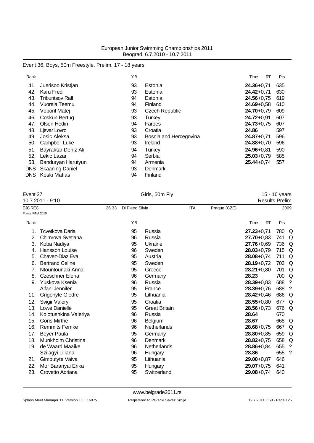### Event 36, Boys, 50m Freestyle, Prelim, 17 - 18 years

| Rank |                        | ΥB |                        | <b>RT</b><br>Time | Pts |
|------|------------------------|----|------------------------|-------------------|-----|
| 41.  | Juerisoo Kristjan      | 93 | Estonia                | $24.36 + 0.71$    | 635 |
| 42.  | Karu Fred              | 93 | Estonia                | $24.42 + 0.71$    | 630 |
| 43.  | Tribuntsov Ralf        | 94 | Estonia                | $24.56 + 0.75$    | 619 |
| 44.  | Vuorela Teemu          | 94 | Finland                | $24.69 + 0.58$    | 610 |
| 45.  | Voboril Matej          | 93 | <b>Czech Republic</b>  | 24.70+0,79        | 609 |
| 46.  | Coskun Bertug          | 93 | <b>Turkey</b>          | $24.72 + 0.91$    | 607 |
| 47.  | Olsen Hedin            | 94 | Faroes                 | $24.73 + 0.75$    | 607 |
| 48.  | Ljevar Lovro           | 93 | Croatia                | 24.86             | 597 |
| 49.  | Josic Aleksa           | 93 | Bosnia and Hercegovina | $24.87 + 0.71$    | 596 |
| 50.  | Campbell Luke          | 93 | Ireland                | $24.88 + 0.70$    | 596 |
| 51.  | Bayraktar Deniz Ali    | 94 | Turkey                 | $24.96 + 0.81$    | 590 |
| 52.  | Lekic Lazar            | 94 | Serbia                 | $25.03 + 0.79$    | 585 |
| 53.  | Banduryan Harutyun     | 94 | Armenia                | $25.44 + 0.74$    | 557 |
| DNS  | <b>Skaaning Daniel</b> | 93 | Denmark                |                   |     |
| DNS. | Koski Matias           | 94 | Finland                |                   |     |

| Event 37          |                        |       | Girls, 50m Fly   |                      | 15 - 16 years |              |                       |     |      |
|-------------------|------------------------|-------|------------------|----------------------|---------------|--------------|-----------------------|-----|------|
|                   | 10.7.2011 - 9:10       |       |                  |                      |               |              | <b>Results Prelim</b> |     |      |
| <b>EJC REC</b>    |                        | 26.33 | Di Pietro Silvia |                      | <b>ITA</b>    | Prague (CZE) |                       |     | 2009 |
| Points: FINA 2010 |                        |       |                  |                      |               |              |                       |     |      |
| Rank              |                        |       | YB               |                      |               |              | Time<br><b>RT</b>     | Pts |      |
| 1.                | Tcvetkova Daria        |       | 95               | Russia               |               |              | $27.23 + 0.71$        | 780 | Q    |
| 2.                | Chimrova Svetlana      |       | 96               | Russia               |               |              | $27.70 + 0.83$        | 741 | Q    |
| 3.                | Koba Nadiya            |       | 95               | Ukraine              |               |              | 27.76+0,69            | 736 | Q    |
| 4.                | Hansson Louise         |       | 96               | Sweden               |               |              | $28.03 + 0.79$        | 715 | Q    |
| 5.                | Chavez-Diaz Eva        |       | 95               | Austria              |               |              | $28.08 + 0.74$        | 711 | Q    |
| 6.                | <b>Bertrand Celine</b> |       | 95               | Sweden               |               |              | $28.19 + 0.72$        | 703 | Q    |
| 7.                | Ntountounaki Anna      |       | 95               | Greece               |               |              | $28.21 + 0.80$        | 701 | Q    |
| 8.                | Czeschner Elena        |       | 96               | Germany              |               |              | 28.23                 | 700 | Q    |
| 9.                | Yuskova Ksenia         |       | 96               | Russia               |               |              | $28.39 + 0.83$        | 688 | ?    |
|                   | Alfani Jennifer        |       | 95               | France               |               |              | $28.39 + 0.76$        | 688 | -?   |
| 11.               | Grigonyte Giedre       |       | 95               | Lithuania            |               |              | $28.42 + 0.46$        | 686 | Q    |
| 12.               | <b>Svigir Valery</b>   |       | 95               | Croatia              |               |              | $28.55 + 0.80$        | 677 | Q    |
| 13.               | Lowe Danielle          |       | 95               | <b>Great Britain</b> |               |              | $28.56 + 0.73$        | 676 | Q    |
| 14.               | Kolotushkina Valeriya  |       | 96               | Russia               |               |              | 28.64                 | 670 |      |
| 15.               | <b>Goris Mirthe</b>    |       | 96               | <b>Belgium</b>       |               |              | 28.67                 | 668 | Q    |
| 16.               | <b>Remmits Femke</b>   |       | 96               | Netherlands          |               |              | $28.68 + 0.75$        | 667 | Q    |
| 17.               | Beyer Paula            |       | 95               | Germany              |               |              | $28.80 + 0.85$        | 659 | Q    |
| 18.               | Munkholm Christina     |       | 96               | Denmark              |               |              | $28.82 + 0.75$        | 658 | Q    |
| 19.               | de Waard Maaike        |       | 96               | Netherlands          |               |              | $28.86 + 0.84$        | 655 | ?    |
|                   | Szilagyi Liliana       |       | 96               | Hungary              |               |              | 28.86                 | 655 | ?    |
| 21.               | Gimbutyte Vaiva        |       | 95               | Lithuania            |               |              | $29.00 + 0.87$        | 646 |      |
| 22.               | Mor Baranyai Erika     |       | 95               | Hungary              |               |              | $29.07 + 0.75$        | 641 |      |

23. Crovetto Adriana 95 Switzerland **29.08**+0,74 640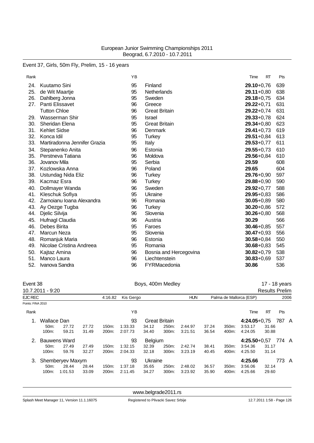### Event 37, Girls, 50m Fly, Prelim, 15 - 16 years

| Rank |                              | YB |                        | RT<br>Time     | Pts |
|------|------------------------------|----|------------------------|----------------|-----|
| 24.  | Kuutamo Sini                 | 95 | Finland                | $29.10 + 0.76$ | 639 |
| 25.  | de Wit Maartje               | 95 | Netherlands            | $29.11+0.80$   | 638 |
| 26.  | Dahlberg Jonna               | 95 | Sweden                 | $29.18 + 0.75$ | 634 |
| 27.  | Panti Elissavet              | 96 | Greece                 | $29.22 + 0.71$ | 631 |
|      | <b>Tutton Chloe</b>          | 96 | <b>Great Britain</b>   | $29.22 + 0.74$ | 631 |
| 29.  | Wasserman Shir               | 95 | Israel                 | $29.33 + 0.78$ | 624 |
| 30.  | Sheridan Elena               | 95 | <b>Great Britain</b>   | $29.34 + 0.80$ | 623 |
| 31.  | <b>Kehlet Sidse</b>          | 96 | Denmark                | $29.41 + 0.73$ | 619 |
| 32.  | Konca Idil                   | 95 | Turkey                 | $29.51 + 0.84$ | 613 |
| 33.  | Martiradonna Jennifer Grazia | 95 | Italy                  | $29.53 + 0.77$ | 611 |
| 34.  | Stepanenko Anita             | 96 | Estonia                | $29.55 + 0.73$ | 610 |
| 35.  | Perstneva Tatiana            | 96 | Moldova                | $29.56 + 0.84$ | 610 |
| 36.  | Jovanov Mila                 | 95 | Serbia                 | 29.59          | 608 |
| 37.  | Kozlowska Anna               | 96 | Poland                 | 29.65          | 604 |
| 38.  | Ustundag Nida Eliz           | 96 | <b>Turkey</b>          | 29.76+0,90     | 597 |
| 39.  | Kacmaz Esra                  | 96 | <b>Turkey</b>          | $29.88 + 0.90$ | 590 |
| 40.  | Dollmayer Wanda              | 96 | Sweden                 | $29.92 + 0.77$ | 588 |
| 41.  | Kleschuk Sofiya              | 95 | Ukraine                | $29.95 + 0.83$ | 586 |
| 42.  | Zarnoianu Ioana Alexandra    | 96 | Romania                | $30.05 + 0.89$ | 580 |
| 43.  | Ay Oezge Tugba               | 96 | Turkey                 | $30.20 + 0.86$ | 572 |
| 44.  | Djelic Silvija               | 96 | Slovenia               | $30.26 + 0.80$ | 568 |
| 45.  | Hufnagl Claudia              | 96 | Austria                | 30.29          | 566 |
| 46.  | Debes Birita                 | 95 | Faroes                 | $30.46 + 0.85$ | 557 |
| 47.  | Marcun Neza                  | 95 | Slovenia               | $30.47 + 0.93$ | 556 |
| 48.  | Romanjuk Maria               | 96 | Estonia                | $30.58 + 0.84$ | 550 |
| 49.  | Nicolae Cristina Andreea     | 95 | Romania                | $30.68 + 0.83$ | 545 |
| 50.  | Kajtaz Amina                 | 96 | Bosnia and Hercegovina | $30.82 + 0.79$ | 538 |
| 51.  | Manco Laura                  | 96 | Liechtenstein          | $30.83 + 0.69$ | 537 |
| 52.  | Ivanova Sandra               | 96 | FYRMacedonia           | 30.86          | 536 |

Event 38 **Boys, 400m Medley Boys, 400m Medley** 17 - 18 years 10.7.2011 - 9:20 Results Prelim EJC REC 4:16.82 Kis Gergo HUN Palma de Mallorca (ESP) 2006 Points: FINA 2010 Rank Time RT Pts 1. Wallace Dan 93 Great Britain **4:24.05**+0,75 787 A 50m: 27.72 27.72 150m: 1:33.33 34.12 250m: 2:44.97 37.24 350m: 3:53.17 31.66 100m: 59.21 31.49 200m: 2:07.73 34.40 300m: 3:21.51 36.54 400m: 4:24.05 30.88 2. Bauwens Ward 93 Belgium **4:25.50**+0,57 774 A 50m: 27.49 27.49 150m: 1:32.15 32.39 250m: 2:42.74 38.41 350m: 3:54.36 31.17 100m: 59.76 32.27 200m: 2:04.33 32.18 300m: 3:23.19 40.45 400m: 4:25.50 31.14 3. Shemberyev Maxym 93 Ukraine **4:25.66** 773 A 50m: 28.44 28.44 150m: 1:37.18 35.65 250m: 2:48.02 36.57 350m: 3:56.06 32.14 100m: 1:01.53 33.09 200m: 2:11.45 34.27 300m: 3:23.92 35.90 400m: 4:25.66 29.60

<www.belgrade2011.rs>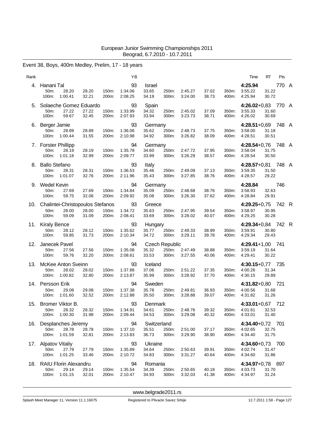# Event 38, Boys, 400m Medley, Prelim, 17 - 18 years

| Rank |                                                                     |                |                | ΥB                       |                                 |                                         |                    |                |                | Time                                     | RT             | Pts   |  |
|------|---------------------------------------------------------------------|----------------|----------------|--------------------------|---------------------------------|-----------------------------------------|--------------------|----------------|----------------|------------------------------------------|----------------|-------|--|
| 4.   | Hanani Tal<br>50m:<br>28.20<br>1:00.41<br>100m:                     | 28.20<br>32.21 | 150m:<br>200m: | 93<br>1:34.06<br>2:08.25 | <b>Israel</b><br>33.65<br>34.19 | 250m:<br>300m:                          | 2:45.27<br>3:24.00 | 37.02<br>38.73 | 350m:<br>400m: | 4:25.94<br>3:55.22<br>4:25.94            | 31.22<br>30.72 | 770 A |  |
| 5.   | Solaeche Gomez Eduardo<br>50m:<br>27.22<br>100m:<br>59.67           | 27.22<br>32.45 | 150m:<br>200m: | 93<br>1:33.99<br>2:07.93 | Spain<br>34.32<br>33.94         | 250m:<br>300m:                          | 2:45.02<br>3:23.73 | 37.09<br>38.71 | 350m:<br>400m: | 4:26.02+0,83 770 A<br>3:55.33<br>4:26.02 | 31.60<br>30.69 |       |  |
| 6.   | Berger Jamie<br>50m:<br>28.89<br>100m:<br>1:00.44                   | 28.89<br>31.55 | 150m:<br>200m: | 93<br>1:36.06<br>2:10.98 | Germany<br>35.62<br>34.92       | 250m:<br>300m:                          | 2:48.73<br>3:26.82 | 37.75<br>38.09 | 350m:<br>400m: | 4:28.51+0,69 748 A<br>3:58.00<br>4:28.51 | 31.18<br>30.51 |       |  |
|      | 7. Forster Phillipp<br>50m:<br>28.19<br>1:01.18<br>100m:            | 28.19<br>32.99 | 150m:<br>200m: | 94<br>1:35.78<br>2:09.77 | Germany<br>34.60<br>33.99       | 250m:<br>300m:                          | 2:47.72<br>3:26.29 | 37.95<br>38.57 | 350m:<br>400m: | 4:28.54+0,76 748 A<br>3:58.04<br>4:28.54 | 31.75<br>30.50 |       |  |
|      | 8. Ballo Stefano<br>50m:<br>28.31<br>100m:<br>1:01.07               | 28.31<br>32.76 | 150m:<br>200m: | 93<br>1:36.53<br>2:11.96 | Italy<br>35.46<br>35.43         | 250m:<br>300m:                          | 2:49.09<br>3:27.85 | 37.13<br>38.76 | 350m:<br>400m: | 4:28.57+0,81 748 A<br>3:59.35<br>4:28.57 | 31.50<br>29.22 |       |  |
|      | 9. Wedel Kevin<br>50m:<br>27.69<br>100m:<br>59.75                   | 27.69<br>32.06 | 150m:<br>200m: | 94<br>1:34.84<br>2:09.92 | Germany<br>35.09<br>35.08       | 250m:<br>300m:                          | 2:48.68<br>3:26.30 | 38.76<br>37.62 | 350m:<br>400m: | 4:28.84<br>3:58.93<br>4:28.84            | 32.63<br>29.91 | 746   |  |
| 10.  | Chalintei-Christopoulos Stefanos<br>50m:<br>28.00<br>59.09<br>100m: | 28.00<br>31.09 | 150m:<br>200m: | 93<br>1:34.72<br>2:08.41 | Greece<br>35.63<br>33.69        | 250m:<br>300m:                          | 2:47.95<br>3:28.02 | 39.54<br>40.07 | 350m:<br>400m: | 4:29.25+0,75 742 R<br>3:58.97<br>4:29.25 | 30.95<br>30.28 |       |  |
| 11.  | <b>Kiraly Bence</b><br>50m:<br>28.12<br>100m:<br>59.85              | 28.12<br>31.73 | 150m:<br>200m: | 93<br>1:35.62<br>2:10.34 | Hungary<br>35.77<br>34.72       | 250m:<br>300m:                          | 2:49.33<br>3:29.11 | 38.99<br>39.78 | 350m:<br>400m: | 4:29.34+0,84 742 R<br>3:59.91<br>4:29.34 | 30.80<br>29.43 |       |  |
| 12.  | Janecek Pavel<br>27.56<br>50m:<br>59.76<br>100m:                    | 27.56<br>32.20 | 150m:<br>200m: | 94<br>1:35.08<br>2:08.61 | 35.32<br>33.53                  | <b>Czech Republic</b><br>250m:<br>300m: | 2:47.49<br>3:27.55 | 38.88<br>40.06 | 350m:<br>400m: | $4:29.41+1,00$ 741<br>3:59.19<br>4:29.41 | 31.64<br>30.22 |       |  |
| 13.  | McKee Anton Sveinn<br>50m:<br>28.02<br>100m:<br>1:00.82             | 28.02<br>32.80 | 150m:<br>200m: | 93<br>1:37.88<br>2:13.87 | Iceland<br>37.06<br>35.99       | 250m:<br>300m:                          | 2:51.22<br>3:28.92 | 37.35<br>37.70 | 350m:<br>400m: | 4:30.15+0,77 735<br>4:00.26<br>4:30.15   | 31.34<br>29.89 |       |  |
| 14.  | Persson Erik<br>50m:<br>29.08<br>1:01.60<br>100m:                   | 29.08<br>32.52 | 150m:<br>200m: | 94<br>1:37.38<br>2:12.88 | Sweden<br>35.78<br>35.50        | 250m:<br>300m:                          | 2:49.81<br>3:28.88 | 36.93<br>39.07 | 350m:<br>400m: | 4:31.82+0,80 721<br>4:00.56<br>4:31.82   | 31.68<br>31.26 |       |  |
|      | 15. Bromer Viktor B.<br>28.32<br>50m:<br>100m:<br>1:00.30           | 28.32<br>31.98 | 150m:<br>200m: | 93<br>1:34.91<br>2:09.44 | Denmark<br>34.61<br>34.53       | 250m:<br>300m:                          | 2:48.76<br>3:29.08 | 39.32<br>40.32 | 350m:<br>400m: | $4:33.01+0.67$<br>4:01.61<br>4:33.01     | 32.53<br>31.40 | 712   |  |
| 16.  | Desplanches Jeremy<br>50m:<br>28.78<br>100m:<br>1:01.59             | 28.78<br>32.81 | 150m:<br>200m: | 94<br>1:37.10<br>2:13.83 | Switzerland<br>35.51<br>36.73   | 250m:<br>300m:                          | 2:51.00<br>3:29.90 | 37.17<br>38.90 | 350m:<br>400m: | 4:34.40+0,72 701<br>4:02.65<br>4:34.40   | 32.75<br>31.75 |       |  |
| 17.  | <b>Alpatov Vitaliy</b><br>50m:<br>27.79<br>100m:<br>1:01.25         | 27.79<br>33.46 | 150m:<br>200m: | 93<br>1:35.89<br>2:10.72 | Ukraine<br>34.64<br>34.83       | 250m:<br>300m:                          | 2:50.63<br>3:31.27 | 39.91<br>40.64 | 350m:<br>400m: | 4:34.60+0,73 700<br>4:02.74<br>4:34.60   | 31.47<br>31.86 |       |  |
| 18.  | <b>RAIU Florin Alexandru</b><br>50m:<br>29.14<br>1:01.15<br>100m:   | 29.14<br>32.01 | 150m:<br>200m: | 94<br>1:35.54<br>2:10.47 | Romania<br>34.39<br>34.93       | 250m:<br>300m:                          | 2:50.65<br>3:32.03 | 40.18<br>41.38 | 350m:<br>400m: | 4:34.97+0,78 697<br>4:03.73<br>4:34.97   | 31.70<br>31.24 |       |  |

<www.belgrade2011.rs>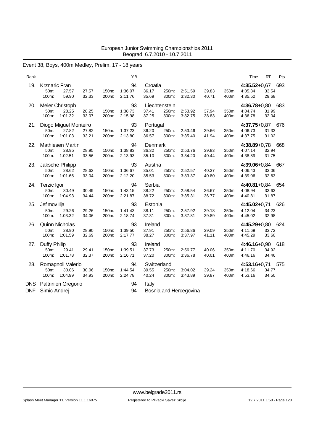# Event 38, Boys, 400m Medley, Prelim, 17 - 18 years

| Rank                     |                                                            |                |                | YB                       |                               |                                 |                        |                |                | Time                                   | <b>RT</b>      | Pts |
|--------------------------|------------------------------------------------------------|----------------|----------------|--------------------------|-------------------------------|---------------------------------|------------------------|----------------|----------------|----------------------------------------|----------------|-----|
| 19.                      | <b>Krznaric Fran</b><br>50m:<br>27.57<br>59.90<br>100m:    | 27.57<br>32.33 | 150m:<br>200m: | 94<br>1:36.07<br>2:11.76 | Croatia<br>36.17<br>35.69     | 250m:<br>300m:                  | 2:51.59<br>3:32.30     | 39.83<br>40.71 | 350m:<br>400m: | $4:35.52+0.67$<br>4:05.84<br>4:35.52   | 33.54<br>29.68 | 693 |
| 20.                      | Meier Christoph<br>28.25<br>50m:<br>100m:<br>1:01.32       | 28.25<br>33.07 | 150m:<br>200m: | 93<br>1:38.73<br>2:15.98 | 37.41<br>37.25                | Liechtenstein<br>250m:<br>300m: | 2:53.92<br>3:32.75     | 37.94<br>38.83 | 350m:<br>400m: | 4:36.78+0,80 683<br>4:04.74<br>4:36.78 | 31.99<br>32.04 |     |
| 21.                      | Diogo Miguel Monteiro<br>27.82<br>50m:<br>1:01.03<br>100m: | 27.82<br>33.21 | 150m:<br>200m: | 93<br>1:37.23<br>2:13.80 | Portugal<br>36.20<br>36.57    | 250m:<br>300m:                  | 2:53.46<br>3:35.40     | 39.66<br>41.94 | 350m:<br>400m: | 4:37.75+0,87 676<br>4:06.73<br>4:37.75 | 31.33<br>31.02 |     |
| 22.                      | Mathiesen Martin<br>28.95<br>50m:<br>100m:<br>1:02.51      | 28.95<br>33.56 | 150m:<br>200m: | 94<br>1:38.83<br>2:13.93 | Denmark<br>36.32<br>35.10     | 250m:<br>300m:                  | 2:53.76<br>3:34.20     | 39.83<br>40.44 | 350m:<br>400m: | 4:38.89+0,78 668<br>4:07.14<br>4:38.89 | 32.94<br>31.75 |     |
| 23.                      | Jaksche Philipp<br>50m:<br>28.62<br>100m:<br>1:01.66       | 28.62<br>33.04 | 150m:<br>200m: | 93<br>1:36.67<br>2:12.20 | Austria<br>35.01<br>35.53     | 250m:<br>300m:                  | 2:52.57<br>3:33.37     | 40.37<br>40.80 | 350m:<br>400m: | 4:39.06+0,84 667<br>4:06.43<br>4:39.06 | 33.06<br>32.63 |     |
| 24.                      | Terzic Igor<br>50m:<br>30.49<br>100m:<br>1:04.93           | 30.49<br>34.44 | 150m:<br>200m: | 94<br>1:43.15<br>2:21.87 | Serbia<br>38.22<br>38.72      | 250m:<br>300m:                  | 2:58.54<br>3:35.31     | 36.67<br>36.77 | 350m:<br>400m: | 4:40.81+0,84 654<br>4:08.94<br>4:40.81 | 33.63<br>31.87 |     |
| 25.                      | Jefimov Ilja<br>50m:<br>29.26<br>1:03.32<br>100m:          | 29.26<br>34.06 | 150m:<br>200m: | 93<br>1:41.43<br>2:18.74 | Estonia<br>38.11<br>37.31     | 250m:<br>300m:                  | 2:57.92<br>3:37.81     | 39.18<br>39.89 | 350m:<br>400m: | 4:45.02+0,71 626<br>4:12.04<br>4:45.02 | 34.23<br>32.98 |     |
| 26.                      | <b>Quinn Nicholas</b><br>28.90<br>50m:<br>100m:<br>1:01.59 | 28.90<br>32.69 | 150m:<br>200m: | 93<br>1:39.50<br>2:17.77 | Ireland<br>37.91<br>38.27     | 250m:<br>300m:                  | 2:56.86<br>3:37.97     | 39.09<br>41.11 | 350m:<br>400m: | 4:45.29+0,80 624<br>4:11.69<br>4:45.29 | 33.72<br>33.60 |     |
| 27.                      | Duffy Philip<br>50m:<br>29.41<br>1:01.78<br>100m:          | 29.41<br>32.37 | 150m:<br>200m: | 93<br>1:39.51<br>2:16.71 | Ireland<br>37.73<br>37.20     | 250m:<br>300m:                  | 2:56.77<br>3:36.78     | 40.06<br>40.01 | 350m:<br>400m: | 4:46.16+0,90 618<br>4:11.70<br>4:46.16 | 34.92<br>34.46 |     |
| 28.                      | Romagnoli Valerio<br>50m:<br>30.06<br>1:04.99<br>100m:     | 30.06<br>34.93 | 150m:<br>200m: | 94<br>1:44.54<br>2:24.78 | Switzerland<br>39.55<br>40.24 | 250m:<br>300m:                  | 3:04.02<br>3:43.89     | 39.24<br>39.87 | 350m:<br>400m: | 4:53.16+0,71 575<br>4:18.66<br>4:53.16 | 34.77<br>34.50 |     |
| <b>DNS</b><br><b>DNF</b> | Paltrinieri Gregorio<br>Simic Andrej                       |                |                | 94<br>94                 | Italy                         |                                 | Bosnia and Hercegovina |                |                |                                        |                |     |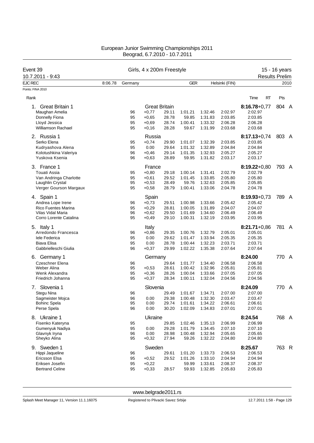| Event 39                           |         |          |                    | Girls, 4 x 200m Freestyle |                    |                    |                    |                       | 15 - 16 years |      |
|------------------------------------|---------|----------|--------------------|---------------------------|--------------------|--------------------|--------------------|-----------------------|---------------|------|
| 10.7.2011 - 9:43                   |         |          |                    |                           |                    |                    |                    | <b>Results Prelim</b> |               |      |
| <b>EJC REC</b>                     | 8:06.78 | Germany  |                    |                           | <b>GER</b>         |                    | Helsinki (FIN)     |                       |               | 2010 |
| Points: FINA 2010                  |         |          |                    |                           |                    |                    |                    |                       |               |      |
| Rank                               |         |          |                    |                           |                    |                    |                    | Time<br>RT            | Pts           |      |
| <b>Great Britain 1</b><br>1.       |         |          |                    | <b>Great Britain</b>      |                    |                    |                    | $8:16.78 + 0.77$      | 804 A         |      |
| Maughan Amelia                     |         | 96       | $+0,77$            | 29.11                     | 1:01.21            | 1:32.46            | 2:02.97            | 2:02.97               |               |      |
| Donnelly Fiona                     |         | 95       | $+0,65$            | 28.78                     | 59.85              | 1:31.83            | 2:03.85            | 2:03.85               |               |      |
| Lloyd Jessica                      |         | 95       | $+0,69$            | 28.74                     | 1:00.41            | 1:33.32            | 2:06.28            | 2:06.28               |               |      |
| <b>Williamson Rachael</b>          |         | 95       | $+0,16$            | 28.28                     | 59.67              | 1:31.99            | 2:03.68            | 2:03.68               |               |      |
| 2. Russia 1                        |         |          | Russia             |                           |                    |                    |                    | $8:17.13+0.74$        | 803 A         |      |
| Serko Elena                        |         | 95       | $+0,74$            | 29.90                     | 1:01.07            | 1:32.39            | 2:03.85            | 2:03.85               |               |      |
| Kudryashova Alena                  |         | 95       | 0.00               | 29.64                     | 1:01.32            | 1:32.89            | 2:04.84            | 2:04.84               |               |      |
| Kolotushkina Valeriya              |         | 96       | $+0,46$            | 29.14                     | 1:01.35            | 1:32.93            | 2:05.27            | 2:05.27               |               |      |
| Yuskova Ksenia                     |         | 96       | $+0,63$            | 28.89                     | 59.95              | 1:31.82            | 2:03.17            | 2:03.17               |               |      |
| 3. France 1                        |         |          | France             |                           |                    |                    |                    | $8:19.22+0.80$        | 793 A         |      |
| <b>Touati Assia</b>                |         | 95       | $+0,80$            | 29.18                     | 1:00.14            | 1:31.41            | 2:02.79            | 2:02.79               |               |      |
| Van Andringa Charlotte             |         | 95       | $+0,61$            | 29.52                     | 1:01.45            | 1:33.85            | 2:05.80            | 2:05.80               |               |      |
| Laughlin Crystal                   |         | 95       | $+0,53$            | 28.49                     | 59.76              | 1:32.63            | 2:05.85            | 2:05.85               |               |      |
| Verger Gourson Margaux             |         | 95       | $+0,58$            | 28.79                     | 1:00.41            | 1:33.06            | 2:04.78            | 2:04.78               |               |      |
| 4. Spain 1                         |         |          | Spain              |                           |                    |                    |                    | $8:19.93 + 0.73$      | 789 A         |      |
| Andrea Lope Irene                  |         | 96       | $+0,73$            | 29.51                     | 1:00.98            | 1:33.66            | 2:05.42            | 2:05.42               |               |      |
| <b>Rico Fuentes Marina</b>         |         | 95       | $+0,29$            | 28.81                     | 1:00.05            | 1:31.89            | 2:04.07            | 2:04.07               |               |      |
| Vilas Vidal Maria                  |         | 96       | $+0,62$            | 29.50                     | 1:01.69            | 1:34.60            | 2:06.49            | 2:06.49               |               |      |
| Corro Lorente Catalina             |         | 95       | $+0,49$            | 29.10                     | 1:00.31            | 1:32.19            | 2:03.95            | 2:03.95               |               |      |
| 5. Italy 1                         |         |          | Italy              |                           |                    |                    |                    | $8:21.71+0.86$        | 781 A         |      |
| Arredondo Francesca                |         | 96       | $+0,86$            | 29.35                     | 1:00.76            | 1:32.79            | 2:05.01            | 2:05.01               |               |      |
| lele Federica                      |         | 95       | 0.00               | 29.62                     | 1:01.47            | 1:33.94            | 2:05.35            | 2:05.35               |               |      |
| Biava Elisa                        |         | 95       | 0.00               | 28.78                     | 1:00.44            | 1:32.23            | 2:03.71            | 2:03.71               |               |      |
| Gabbrielleschi Giulia              |         | 96       | $+0,37$            | 29.99                     | 1:02.22            | 1:35.38            | 2:07.64            | 2:07.64               |               |      |
| 6. Germany 1                       |         |          | Germany            |                           |                    |                    |                    | 8:24.00               | 770 A         |      |
| <b>Czeschner Elena</b>             |         | 96       |                    | 29.64                     | 1:01.77            | 1:34.40            | 2:06.58            | 2:06.58               |               |      |
| Weber Alina                        |         | 95       | $+0,53$            | 28.61                     | 1:00.42            | 1:32.96            | 2:05.81            | 2:05.81               |               |      |
| Wenk Alexandra                     |         | 95       | $+0,36$            | 28.26                     | 1:00.04            | 1:33.66            | 2:07.05            | 2:07.05<br>2:04.56    |               |      |
| Friedrich Johanna                  |         | 95       | $+0,37$            | 28.34                     | 1:00.11            | 1:32.04            | 2:04.56            |                       |               |      |
| Slovenia 1<br>7.                   |         |          | Slovenia           |                           |                    |                    |                    | 8:24.09               | 770 A         |      |
| Stegu Nina                         |         | 96       |                    | 29.49                     | 1:01.67            | 1:34.71            | 2:07.00            | 2:07.00               |               |      |
| Sagmeister Mojca                   |         | 96       | 0.00               | 29.38                     | 1:00.48            | 1:32.30            | 2:03.47            | 2:03.47               |               |      |
| <b>Bohinc Spela</b><br>Perse Spela |         | 95<br>96 | 0.00<br>0.00       | 29.74<br>30.20            | 1:01.61<br>1:02.09 | 1:34.22<br>1:34.83 | 2:06.61<br>2:07.01 | 2:06.61<br>2:07.01    |               |      |
|                                    |         |          |                    |                           |                    |                    |                    |                       |               |      |
| 8. Ukraine 1                       |         |          | Ukraine            |                           |                    |                    |                    | 8:24.54               | 768 A         |      |
| Fisenko Kateryna                   |         | 95       |                    | 29.85                     | 1:02.46            | 1:35.13            | 2:06.99            | 2:06.99               |               |      |
| Gumenyuk Nadiya                    |         | 95       | 0.00               | 29.28                     | 1:01.79            | 1:34.45            | 2:07.10            | 2:07.10               |               |      |
| Glavnyk Iryna<br>Sheyko Alina      |         | 96<br>95 | 0.00<br>$+0,32$    | 28.98<br>27.94            | 1:00.48<br>59.26   | 1:32.94<br>1:32.22 | 2:05.65<br>2:04.80 | 2:05.65<br>2:04.80    |               |      |
|                                    |         |          |                    |                           |                    |                    |                    |                       |               |      |
| 9. Sweden 1                        |         |          | Sweden             |                           |                    |                    |                    | 8:25.67               | 763 R         |      |
| Hippi Jaqueline<br>Ericsson Elsa   |         | 96       |                    | 29.61                     | 1:01.20            | 1:33.73            | 2:06.53            | 2:06.53               |               |      |
| Eriksen Josefin                    |         | 95<br>95 | $+0,52$<br>$+0,22$ | 29.52                     | 1:01.26<br>59.99   | 1:33.10<br>1:33.61 | 2:04.94<br>2:08.37 | 2:04.94<br>2:08.37    |               |      |
| <b>Bertrand Celine</b>             |         | 95       | $+0,33$            | 28.57                     | 59.93              | 1:32.85            | 2:05.83            | 2:05.83               |               |      |
|                                    |         |          |                    |                           |                    |                    |                    |                       |               |      |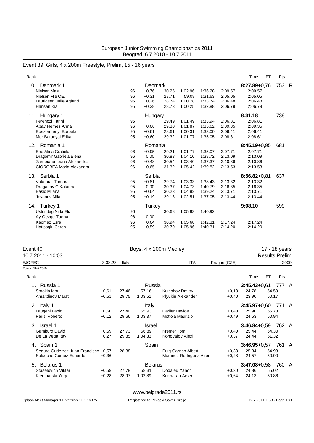# Event 39, Girls, 4 x 200m Freestyle, Prelim, 15 - 16 years

| Rank                      |    |                |       |         |         |         | <b>RT</b><br>Time | Pts |     |
|---------------------------|----|----------------|-------|---------|---------|---------|-------------------|-----|-----|
| 10.<br>Denmark 1          |    | <b>Denmark</b> |       |         |         |         | $8:27.89 + 0.76$  | 753 | - R |
| Nielsen Maja              | 96 | $+0.76$        | 30.25 | 1:02.96 | 1:36.28 | 2:09.57 | 2:09.57           |     |     |
| Nielsen Mie OE.           | 96 | $+0.31$        | 27.71 | 59.08   | 1:31.63 | 2:05.05 | 2:05.05           |     |     |
| Lauridsen Julie Aglund    | 96 | $+0,26$        | 28.74 | 1:00.78 | 1:33.74 | 2:06.48 | 2:06.48           |     |     |
| Hansen Kia                | 95 | $+0.38$        | 28.73 | 1:00.25 | 1:32.88 | 2:06.79 | 2:06.79           |     |     |
| 11. Hungary 1             |    | Hungary        |       |         |         |         | 8:31.18           | 738 |     |
| Ferenczi Fanni            | 96 |                | 29.49 | 1:01.49 | 1:33.94 | 2:06.81 | 2:06.81           |     |     |
| Abay Nemes Anna           | 96 | $+0.66$        | 29.30 | 1:01.87 | 1:35.62 | 2:09.35 | 2:09.35           |     |     |
| Boszormenyi Borbala       | 95 | $+0.61$        | 28.61 | 1:00.31 | 1:33.00 | 2:06.41 | 2:06.41           |     |     |
| Mor Baranyai Erika        | 95 | $+0,60$        | 29.32 | 1:01.77 | 1:35.05 | 2:08.61 | 2:08.61           |     |     |
| Romania 1<br>12.          |    | Romania        |       |         |         |         | $8:45.19+0.95$    | 681 |     |
| Ene Alina Gratiela        | 96 | $+0.95$        | 29.21 | 1:01.77 | 1:35.07 | 2:07.71 | 2:07.71           |     |     |
| Dragomir Gabriela Elena   | 96 | 0.00           | 30.83 | 1:04.10 | 1:38.72 | 2:13.09 | 2:13.09           |     |     |
| Zarnojanu Ioana Alexandra | 96 | $+0.48$        | 30.54 | 1:03.40 | 1:37.37 | 2:10.86 | 2:10.86           |     |     |
| CIOROBEA Maria Alexandra  | 96 | $+0,65$        | 31.32 | 1:05.42 | 1:39.82 | 2:13.53 | 2:13.53           |     |     |
| Serbia 1<br>13.           |    | Serbia         |       |         |         |         | $8:56.82+0.81$    | 637 |     |
| <b>Vukobrat Tamara</b>    | 95 | $+0.81$        | 29.74 | 1:03.33 | 1:38.43 | 2:13.32 | 2:13.32           |     |     |
| Draganov C Katarina       | 95 | 0.00           | 30.37 | 1:04.73 | 1:40.79 | 2:16.35 | 2:16.35           |     |     |
| <b>Basic Milana</b>       | 95 | $+0.64$        | 30.23 | 1:04.82 | 1:39.24 | 2:13.71 | 2:13.71           |     |     |
| Jovanov Mila              | 95 | $+0.19$        | 29.16 | 1:02.51 | 1:37.05 | 2:13.44 | 2:13.44           |     |     |
| Turkey 1<br>14.           |    | Turkey         |       |         |         |         | 9:08.10           | 599 |     |
| Ustundag Nida Eliz        | 96 |                | 30.68 | 1:05.83 | 1:40.92 |         |                   |     |     |
| Ay Oezge Tugba            | 96 | 0.00           |       |         |         |         |                   |     |     |
| Kacmaz Esra               | 96 | $+0.64$        | 30.94 | 1:05.68 | 1:42.31 | 2:17.24 | 2:17.24           |     |     |
| Hatipoglu Ceren           | 95 | $+0,59$        | 30.79 | 1:05.96 | 1:40.31 | 2:14.20 | 2:14.20           |     |     |
|                           |    |                |       |         |         |         |                   |     |     |

| Event 40<br>10.7.2011 - 10:03         |         | Boys, 4 x 100m Medley | 17 - 18 years<br><b>Results Prelim</b> |                            |              |                  |           |     |                |
|---------------------------------------|---------|-----------------------|----------------------------------------|----------------------------|--------------|------------------|-----------|-----|----------------|
| <b>EJC REC</b>                        | 3:38.28 | Italy                 |                                        | <b>ITA</b>                 | Prague (CZE) |                  |           |     | 2009           |
| Points: FINA 2010                     |         |                       |                                        |                            |              |                  |           |     |                |
| Rank                                  |         |                       |                                        |                            |              | Time             | <b>RT</b> | Pts |                |
| Russia 1                              |         |                       | Russia                                 |                            |              | $3:45.43+0.61$   |           | 777 | A              |
| Sorokin Igor                          | $+0,61$ | 27.46                 | 57.16                                  | <b>Kuleshov Dmitry</b>     | $+0,18$      | 24.78            | 54.59     |     |                |
| <b>Amaltdinov Marat</b>               | $+0,51$ | 29.75                 | 1:03.51                                | Klyukin Alexander          | $+0,40$      | 23.90            | 50.17     |     |                |
| 2. Italy 1                            |         |                       | Italy                                  |                            |              | $3:45.97+0.60$   |           | 771 | $\overline{A}$ |
| Laugeni Fabio                         | $+0.60$ | 27.40                 | 55.93                                  | <b>Carlier Davide</b>      | $+0,40$      | 25.90            | 55.73     |     |                |
| Parisi Roberto                        | $+0,12$ | 29.66                 | 1:03.37                                | Mottola Maurizio           | $+0,49$      | 24.53            | 50.94     |     |                |
| Israel 1<br>3.                        |         |                       | Israel                                 |                            |              | $3:46.84 + 0.59$ |           | 762 | - A            |
| Gamburg David                         | $+0,59$ | 27.73                 | 56.89                                  | <b>Kremer Tom</b>          | $+0,40$      | 25.44            | 54.30     |     |                |
| De La Vega Itay                       | $+0,27$ | 29.85                 | 1:04.33                                | Konovalov Alexi            | $+0,37$      | 24.44            | 51.32     |     |                |
| Spain 1<br>4.                         |         |                       | Spain                                  |                            |              | $3:46.95+0.57$   |           | 761 | $\overline{A}$ |
| Segura Gutierrez Juan Francisco +0,57 |         | 28.38                 |                                        | <b>Puig Garrich Albert</b> | $+0.33$      | 25.84            | 54.93     |     |                |
| Solaeche Gomez Eduardo                | $+0.36$ |                       |                                        | Martinez Rodriguez Aitor   | $+0,28$      | 24.57            | 50.90     |     |                |
| <b>Belarus 1</b><br>5.                |         |                       | <b>Belarus</b>                         |                            |              | $3:47.08 + 0.58$ |           | 760 | A              |
| Staselovich Viktar                    | $+0,58$ | 27.78                 | 58.31                                  | Dodaleu Yahor              | $+0,30$      | 24.86            | 55.02     |     |                |
| Klemparski Yury                       | $+0,28$ | 28.97                 | 1:02.89                                | Kukharau Arseni            | $+0,64$      | 24.13            | 50.86     |     |                |
|                                       |         |                       |                                        |                            |              |                  |           |     |                |

<www.belgrade2011.rs>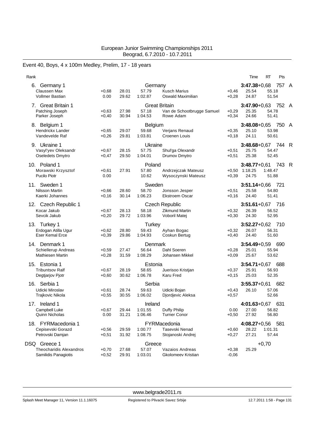# Event 40, Boys, 4 x 100m Medley, Prelim, 17 - 18 years

| Rank                                            |                    |                |                    |                                              |                    | Time                              | RT               | Pts   |                |
|-------------------------------------------------|--------------------|----------------|--------------------|----------------------------------------------|--------------------|-----------------------------------|------------------|-------|----------------|
| 6.<br>Germany 1<br>Claussen Max                 | $+0,68$            | 28.01          | Germany<br>57.79   | <b>Kusch Marius</b>                          | $+0,46$            | $3:47.38 + 0.68$<br>25.54         | 55.18            | 757 A |                |
| <b>Vollmer Bastian</b>                          | 0.00               | 29.62          | 1:02.87            | Oswald Maximilian                            | $+0,28$            | 24.87                             | 51.54            |       |                |
| 7. Great Britain 1                              |                    |                |                    | <b>Great Britain</b>                         |                    | $3:47.90 + 0.63$                  |                  | 752   | A              |
| Patching Joseph<br>Parker Joseph                | $+0.63$<br>$+0,40$ | 27.98<br>30.94 | 57.18<br>1:04.53   | Van de Schootbrugge Samuel<br>Rowe Adam      | $+0,29$<br>$+0,34$ | 25.35<br>24.66                    | 54.78<br>51.41   |       |                |
| 8. Belgium 1                                    |                    |                | Belgium            |                                              |                    | $3:48.08 + 0.65$                  |                  | 750   | $\overline{A}$ |
| Hendrickx Lander                                | $+0,65$            | 29.07          | 59.68              | Verjans Renaud                               | $+0,35$            | 25.10                             | 53.98            |       |                |
| Vandevelde Raf                                  | $+0,26$            | 29.81          | 1:03.81            | Croenen Louis                                | $+0,18$            | 24.11                             | 50.61            |       |                |
| 9. Ukraine 1                                    |                    |                | Ukraine            |                                              |                    | $3:48.68 + 0.67$                  |                  | 744   | R              |
| Vasyl'yev Oleksandr<br>Oseledets Dmytro         | $+0,67$<br>$+0,47$ | 28.15<br>29.50 | 57.75<br>1:04.01   | Shul'ga Olexandr<br>Drumov Dmytro            | $+0,51$<br>$+0,51$ | 25.75<br>25.38                    | 54.47<br>52.45   |       |                |
|                                                 |                    |                |                    |                                              |                    |                                   |                  |       |                |
| 10. Poland 1<br>Morawski Krzysztof              | $+0,61$            | 27.91          | Poland<br>57.80    | Andrzejczak Mateusz                          |                    | $3:48.77+0.61$<br>$+0,50$ 1:18.25 | 1:48.47          | 743   | R              |
| <b>Pucilo Piotr</b>                             | 0.00               |                | 10.62              | Wysoczynski Mateusz                          | $+0,39$            | 24.75                             | 51.88            |       |                |
| Sweden 1<br>11.                                 |                    |                | Sweden             |                                              |                    | $3:51.14 + 0.66$                  |                  | 721   |                |
| Nilsson Martin                                  | $+0,66$            | 28.60          | 58.70              | Jonsson Jesper                               | $+0,51$            | 25.58                             | 54.80            |       |                |
| Kaerki Johannes                                 | $+0,16$            | 30.14          | 1:06.23            | <b>Ekstroem Oscar</b>                        | $+0,16$            | 24.40                             | 51.41            |       |                |
| 12. Czech Republic 1                            |                    |                |                    | <b>Czech Republic</b>                        |                    | $3:51.61 + 0.67$                  |                  | 716   |                |
| Kocar Jakub                                     | $+0,67$            | 28.13          | 58.18              | <b>Zikmund Martin</b>                        | $+0,32$            | 26.39                             | 56.52            |       |                |
| Sevcik Jakub                                    | $+0,20$            | 29.72          | 1:03.96            | Voboril Matej                                | $+0,30$            | 24.30                             | 52.95            |       |                |
| 13. Turkey 1                                    |                    |                | <b>Turkey</b>      |                                              |                    | $3:52.27+0.62$                    |                  | 710   |                |
| Erdogan Atilla Ugur<br><b>Eser Kemal Erce</b>   | $+0.62$<br>$+0,39$ | 28.80<br>29.86 | 59.43<br>1:04.93   | Ayhan Bogac<br>Coskun Bertug                 | $+0,32$<br>$+0,40$ | 26.07<br>24.40                    | 56.31<br>51.60   |       |                |
|                                                 |                    |                |                    |                                              |                    |                                   |                  |       |                |
| 14. Denmark 1                                   |                    |                | Denmark<br>56.64   | Dahl Soeren                                  |                    | $3:54.49 + 0.59$                  |                  | 690   |                |
| Schiellerup Andreas<br><b>Mathiesen Martin</b>  | $+0,59$<br>$+0,28$ | 27.47<br>31.59 | 1:08.29            | Johansen Mikkel                              | $+0,28$<br>$+0,09$ | 25.01<br>25.67                    | 55.94<br>53.62   |       |                |
|                                                 |                    |                |                    |                                              |                    |                                   |                  |       |                |
| 15. Estonia 1<br><b>Tribuntsov Ralf</b>         | $+0,67$            | 28.19          | Estonia<br>58.65   | Juerisoo Kristjan                            | $+0,37$            | $3:54.71+0.67$<br>25.91           | 56.93            | 688   |                |
| Degtjarjov Pjotr                                | $+0,60$            | 30.62          | 1:06.78            | Karu Fred                                    | $+0,15$            | 25.03                             | 52.35            |       |                |
| Serbia 1<br>16.                                 |                    |                | Serbia             |                                              |                    | $3:55.37+0.61$                    |                  | 682   |                |
| Udicki Miroslav                                 | $+0,61$            | 28.74          | 59.63              | Udicki Bojan                                 | $+0,43$            | 26.10                             | 57.06            |       |                |
| <b>Trajkovic Nikola</b>                         | $+0,55$            | 30.55          | 1:06.02            | Djordjevic Aleksa                            | $+0,57$            |                                   | 52.66            |       |                |
| 17. Ireland 1                                   |                    |                | Ireland            |                                              |                    | $4:01.63 + 0.67$                  |                  | 631   |                |
| Campbell Luke                                   | $+0,67$            | 29.44          | 1:01.55            | Duffy Philip                                 | 0.00               | 27.00 56.82                       |                  |       |                |
| Quinn Nicholas                                  | 0.00               | 31.21          | 1:06.46            | <b>Turner Conor</b>                          | $+0,50$            | 27.92                             | 56.80            |       |                |
| 18. FYRMacedonia 1                              |                    |                |                    | FYRMacedonia                                 |                    | $4:08.27+0.56$ 581                |                  |       |                |
| Cepisevski Gorazd<br>Petrovski Damjan           | $+0,56$            | 29.59          | 1:00.77<br>1:08.75 | Tasevski Nenad<br>Stojanoski Andrej          | $+0,60$            | 28.22<br>27.21                    | 1:01.31<br>57.44 |       |                |
|                                                 | $+0,51$            | 31.92          |                    |                                              | $+0,27$            |                                   |                  |       |                |
| DSQ Greece 1                                    |                    |                | Greece             |                                              |                    |                                   | $+0,70$          |       |                |
| Theocharidis Alexandros<br>Samilidis Panagiotis | $+0,70$<br>$+0,52$ | 27.68<br>29.91 | 57.07<br>1:03.01   | Vazaios Andreas<br><b>Gkolomeev Kristian</b> | $+0,38$<br>$-0,06$ | 25.29                             |                  |       |                |
|                                                 |                    |                |                    |                                              |                    |                                   |                  |       |                |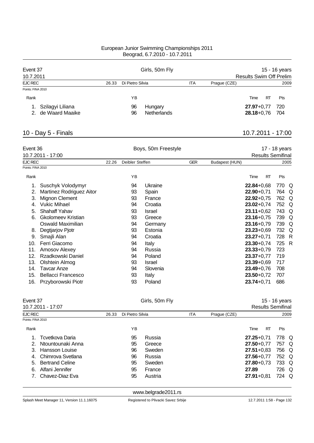| Event 37           |       |                  | Girls, 50m Fly | 15 - 16 years |              |                                |    |      |  |  |
|--------------------|-------|------------------|----------------|---------------|--------------|--------------------------------|----|------|--|--|
| 10.7.2011          |       |                  |                |               |              | <b>Results Swim Off Prelim</b> |    |      |  |  |
| <b>EJC REC</b>     | 26.33 | Di Pietro Silvia |                | <b>ITA</b>    | Prague (CZE) |                                |    | 2009 |  |  |
| Points: FINA 2010  |       |                  |                |               |              |                                |    |      |  |  |
| Rank               |       | ΥB               |                |               |              | Time                           | RT | Pts  |  |  |
| Szilagyi Liliana   |       | 96               | Hungary        |               |              | $27.97 + 0.77$                 |    | 720  |  |  |
| 2. de Waard Maaike |       | 96               | Netherlands    |               |              | $28.18 + 0.76$                 |    | 704  |  |  |

# 10 - Day 5 - Finals 10.7.2011 - 17:00

| Event 36          |                           |       |                 | Boys, 50m Freestyle |            | 17 - 18 years  |                |    |                          |              |  |
|-------------------|---------------------------|-------|-----------------|---------------------|------------|----------------|----------------|----|--------------------------|--------------|--|
|                   | 10.7.2011 - 17:00         |       |                 |                     |            |                |                |    | <b>Results Semifinal</b> |              |  |
| <b>EJC REC</b>    |                           | 22.26 | Deibler Steffen |                     | <b>GER</b> | Budapest (HUN) |                |    |                          | 2005         |  |
| Points: FINA 2010 |                           |       |                 |                     |            |                |                |    |                          |              |  |
| Rank              |                           |       | YB              |                     |            |                | Time           | RT | Pts                      |              |  |
| 1.                | Suschyk Volodymyr         |       | 94              | Ukraine             |            |                | $22.84 + 0.68$ |    | 770                      | Q            |  |
| 2.                | Martinez Rodriguez Aitor  |       | 93              | Spain               |            |                | $22.90 + 0.71$ |    | 764                      | Q            |  |
| 3.                | Mignon Clement            |       | 93              | France              |            |                | $22.92 + 0.75$ |    | 762                      | Q            |  |
| 4.                | <b>Vukic Mihael</b>       |       | 94              | Croatia             |            |                | $23.02 + 0.74$ |    | 752                      | Q            |  |
| 5.                | <b>Shahaff Yahav</b>      |       | 93              | Israel              |            |                | $23.11 + 0.62$ |    | 743                      | Q            |  |
| 6.                | <b>Gkolomeev Kristian</b> |       | 93              | Greece              |            |                | $23.16 + 0.75$ |    | 739                      | Q            |  |
|                   | Oswald Maximilian         |       | 94              | Germany             |            |                | $23.16 + 0.79$ |    | 739                      | Q            |  |
| 8.                | Degtjarjov Pjotr          |       | 93              | Estonia             |            |                | $23.23 + 0.69$ |    | 732                      | Q            |  |
| 9.                | Smajli Alan               |       | 94              | Croatia             |            |                | $23.27 + 0.71$ |    | 728 R                    |              |  |
| 10.               | Ferri Giacomo             |       | 94              | Italy               |            |                | $23.30 + 0.74$ |    | 725                      | $\mathsf{R}$ |  |
| 11.               | Amosov Alexey             |       | 94              | Russia              |            |                | $23.33 + 0.79$ |    | 723                      |              |  |
| 12.               | Rzadkowski Daniel         |       | 94              | Poland              |            |                | $23.37 + 0.77$ |    | 719                      |              |  |
| 13.               | Olshtein Almog            |       | 93              | Israel              |            |                | $23.39 + 0.69$ |    | 717                      |              |  |
| 14.               | Tavcar Anze               |       | 94              | Slovenia            |            |                | $23.49 + 0.76$ |    | 708                      |              |  |
| 15.               | <b>Bellacci Francesco</b> |       | 93              | Italy               |            |                | $23.50 + 0.72$ |    | 707                      |              |  |
| 16.               | Przyborowski Piotr        |       | 93              | Poland              |            |                | $23.74 + 0.71$ |    | 686                      |              |  |

| Event 37          | 10.7.2011 - 17:07      |       |                  | Girls, 50m Fly | 15 - 16 years<br><b>Results Semifinal</b> |              |                |           |            |      |
|-------------------|------------------------|-------|------------------|----------------|-------------------------------------------|--------------|----------------|-----------|------------|------|
| EJC REC           |                        | 26.33 | Di Pietro Silvia |                | <b>ITA</b>                                | Prague (CZE) |                |           |            | 2009 |
| Points: FINA 2010 |                        |       |                  |                |                                           |              |                |           |            |      |
| Rank              |                        |       | ΥB               |                |                                           |              | Time           | <b>RT</b> | <b>Pts</b> |      |
|                   | Tcvetkova Daria        |       | 95               | Russia         |                                           |              | $27.25 + 0.71$ |           | 778 Q      |      |
| 2.                | Ntountounaki Anna      |       | 95               | Greece         |                                           |              | $27.50 + 0.77$ |           | 757 Q      |      |
|                   | Hansson Louise         |       | 96               | Sweden         |                                           |              | $27.51 + 0.83$ |           | 756 Q      |      |
| 4.                | Chimrova Svetlana      |       | 96               | Russia         |                                           |              | $27.56 + 0.77$ |           | 752 Q      |      |
| 5.                | <b>Bertrand Celine</b> |       | 95               | Sweden         |                                           |              | $27.80 + 0.73$ |           | 733 Q      |      |
| 6.                | Alfani Jennifer        |       | 95               | France         |                                           |              | 27.89          |           | 726 Q      |      |
|                   | Chavez-Diaz Eva        |       | 95               | Austria        |                                           |              | $27.91 + 0.81$ |           | 724 Q      |      |
|                   |                        |       |                  |                |                                           |              |                |           |            |      |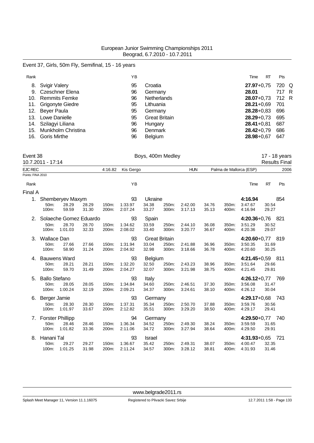### Event 37, Girls, 50m Fly, Semifinal, 15 - 16 years

| Rank |                        | ΥB |                      | Time             | <b>RT</b> | <b>Pts</b> |  |
|------|------------------------|----|----------------------|------------------|-----------|------------|--|
| 8.   | Svigir Valery          | 95 | Croatia              | $27.97 + 0.75$   |           | 720 Q      |  |
|      | 9. Czeschner Elena     | 96 | Germany              | 28.01            |           | 717 R      |  |
| 10.  | Remmits Femke          | 96 | Netherlands          | 28.07+0.73 712 R |           |            |  |
|      | 11. Grigonyte Giedre   | 95 | Lithuania            | $28.21 + 0.69$   |           | 701        |  |
|      | 12. Beyer Paula        | 95 | Germany              | $28.28 + 0.83$   |           | 696        |  |
| 13.  | Lowe Danielle          | 95 | <b>Great Britain</b> | $28.29 + 0.73$   |           | 695        |  |
|      | 14. Szilagyi Liliana   | 96 | Hungary              | $28.41 + 0.81$   |           | 687        |  |
|      | 15. Munkholm Christina | 96 | Denmark              | $28.42 + 0.79$   |           | 686        |  |
| 16.  | Goris Mirthe           | 96 | <b>Belgium</b>       | 28.98+0,67       |           | 647        |  |

| Event 38          |  |
|-------------------|--|
| 10.7.2011 - 17:14 |  |

| Event 38          | 10.7.2011 - 17:14    |                         |                |                |                    | Boys, 400m Medley    |                |                    |                |                         |                    |                | 17 - 18 years<br><b>Results Final</b> |
|-------------------|----------------------|-------------------------|----------------|----------------|--------------------|----------------------|----------------|--------------------|----------------|-------------------------|--------------------|----------------|---------------------------------------|
| <b>EJC REC</b>    |                      |                         |                | 4:16.82        | Kis Gergo          |                      |                | <b>HUN</b>         |                | Palma de Mallorca (ESP) |                    |                | 2006                                  |
| Points: FINA 2010 |                      |                         |                |                |                    |                      |                |                    |                |                         |                    |                |                                       |
| Rank              |                      |                         |                |                | YB                 |                      |                |                    |                |                         | Time               | <b>RT</b>      | Pts                                   |
| Final A           |                      |                         |                |                |                    |                      |                |                    |                |                         |                    |                |                                       |
| 1.                |                      | Shemberyev Maxym        |                |                | 93                 | Ukraine              |                |                    |                |                         | 4:16.94            |                | 854                                   |
|                   | 50m:<br>100m:        | 28.29<br>59.59          | 28.29<br>31.30 | 150m:<br>200m: | 1:33.97<br>2:07.24 | 34.38<br>33.27       | 250m:<br>300m: | 2:42.00<br>3:17.13 | 34.76<br>35.13 | 350m:<br>400m:          | 3:47.67<br>4:16.94 | 30.54<br>29.27 |                                       |
|                   |                      | Solaeche Gomez Eduardo  |                |                | 93                 | Spain                |                |                    |                |                         | $4:20.36 + 0.76$   |                | 821                                   |
|                   | 50m:                 | 28.70                   | 28.70          | 150m:          | 1:34.62            | 33.59                | 250m:          | 2:44.10            | 36.08          | 350m:                   | 3:51.29            | 30.52          |                                       |
|                   | 100m:                | 1:01.03                 | 32.33          | 200m:          | 2:08.02            | 33.40                | 300m:          | 3:20.77            | 36.67          | 400m:                   | 4:20.36            | 29.07          |                                       |
| 3.                | Wallace Dan          |                         |                |                | 93                 | <b>Great Britain</b> |                |                    |                |                         | $4:20.60 + 0.77$   |                | -819                                  |
|                   | 50m:                 | 27.66                   | 27.66          | 150m:          | 1:31.94            | 33.04                | 250m:          | 2:41.88            | 36.96          | 350m:                   | 3:50.35            | 31.69          |                                       |
|                   | 100m:                | 58.90                   | 31.24          | 200m:          | 2:04.92            | 32.98                | 300m:          | 3:18.66            | 36.78          | 400m:                   | 4:20.60            | 30.25          |                                       |
| 4.                |                      | <b>Bauwens Ward</b>     |                |                | 93                 | <b>Belgium</b>       |                |                    |                |                         | 4:21.45+0,59 811   |                |                                       |
|                   | 50m:                 | 28.21                   | 28.21          | 150m:          | 1:32.20            | 32.50                | 250m:          | 2:43.23            | 38.96          | 350m:                   | 3:51.64            | 29.66          |                                       |
|                   | 100m:                | 59.70                   | 31.49          | 200m:          | 2:04.27            | 32.07                | 300m:          | 3:21.98            | 38.75          | 400m:                   | 4:21.45            | 29.81          |                                       |
| 5.                | <b>Ballo Stefano</b> |                         |                |                | 93                 | Italy                |                |                    |                |                         | $4:26.12+0.77$     |                | 769                                   |
|                   | 50m:                 | 28.05                   | 28.05          | 150m:          | 1:34.84            | 34.60                | 250m:          | 2:46.51            | 37.30          | 350m:                   | 3:56.08            | 31.47          |                                       |
|                   | 100m:                | 1:00.24                 | 32.19          | 200m:          | 2:09.21            | 34.37                | 300m:          | 3:24.61            | 38.10          | 400m:                   | 4:26.12            | 30.04          |                                       |
| 6.                | Berger Jamie         |                         |                |                | 93                 | Germany              |                |                    |                |                         | $4:29.17+0.68$     |                | -743                                  |
|                   | 50m:                 | 28.30                   | 28.30          | 150m:          | 1:37.31            | 35.34                | 250m:          | 2:50.70            | 37.88          | 350m:                   | 3:59.76            | 30.56          |                                       |
|                   | 100m:                | 1:01.97                 | 33.67          | 200m:          | 2:12.82            | 35.51                | 300m:          | 3:29.20            | 38.50          | 400m:                   | 4:29.17            | 29.41          |                                       |
| 7.                |                      | <b>Forster Phillipp</b> |                |                | 94                 | Germany              |                |                    |                |                         | 4:29.50+0,77 740   |                |                                       |
|                   | 50m:                 | 28.46                   | 28.46          | 150m:          | 1:36.34            | 34.52                | 250m:          | 2:49.30            | 38.24          | 350m:                   | 3:59.59            | 31.65          |                                       |
|                   | 100m:                | 1:01.82                 | 33.36          | 200m:          | 2:11.06            | 34.72                | 300m:          | 3:27.94            | 38.64          | 400m:                   | 4:29.50            | 29.91          |                                       |
| 8.                | Hanani Tal           |                         |                |                | 93                 | <b>Israel</b>        |                |                    |                |                         | $4:31.93 + 0.65$   |                | 721                                   |
|                   | 50m:                 | 29.27                   | 29.27          | 150m:          | 1:36.67            | 35.42                | 250m:          | 2:49.31            | 38.07          | 350m:                   | 4:00.47            | 32.35          |                                       |
|                   | 100m:                | 1:01.25                 | 31.98          | 200m:          | 2:11.24            | 34.57                | 300m:          | 3:28.12            | 38.81          | 400m:                   | 4:31.93            | 31.46          |                                       |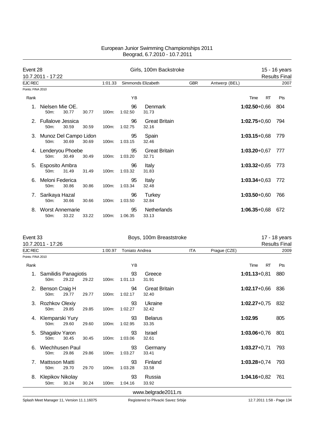| Event 28          |                                     |       |       |          |               | Girls, 100m Backstroke        |            |                  |           | 15 - 16 years        |
|-------------------|-------------------------------------|-------|-------|----------|---------------|-------------------------------|------------|------------------|-----------|----------------------|
|                   | 10.7.2011 - 17:22                   |       |       |          |               |                               |            |                  |           | <b>Results Final</b> |
| <b>EJC REC</b>    |                                     |       |       | 1:01.33  |               | Simmonds Elizabeth            | <b>GBR</b> | Antwerp (BEL)    |           | 2007                 |
| Points: FINA 2010 |                                     |       |       |          |               |                               |            |                  |           |                      |
| Rank              |                                     |       |       |          | YB            |                               |            | Time             | <b>RT</b> | Pts                  |
|                   | Nielsen Mie OE.<br>50m:             | 30.77 | 30.77 | $100m$ : | 96<br>1:02.50 | <b>Denmark</b><br>31.73       |            | $1:02.50 + 0.66$ |           | 804                  |
|                   | <b>Fullalove Jessica</b><br>$50m$ : | 30.59 | 30.59 | $100m$ : | 96<br>1:02.75 | <b>Great Britain</b><br>32.16 |            | $1:02.75+0.60$   |           | 794                  |
| 3.                | Munoz Del Campo Lidon<br>$50m$ :    | 30.69 | 30.69 | $100m$ : | 95<br>1:03.15 | Spain<br>32.46                |            | $1:03.15+0.68$   |           | 779                  |
| 4.                | Lenderyou Phoebe<br>$50m$ :         | 30.49 | 30.49 | $100m$ : | 95<br>1:03.20 | <b>Great Britain</b><br>32.71 |            | $1:03.20 + 0.67$ |           | 777                  |
| 5.                | Esposito Ambra<br>50m:              | 31.49 | 31.49 | $100m$ : | 96<br>1:03.32 | Italy<br>31.83                |            | $1:03.32+0.65$   |           | 773                  |
| 6.                | Meloni Federica<br>$50m$ :          | 30.86 | 30.86 | 100m:    | 95<br>1:03.34 | Italy<br>32.48                |            | $1:03.34 + 0.63$ |           | 772                  |
| 7.                | Sarikaya Hazal<br>50m:              | 30.66 | 30.66 | 100m:    | 96<br>1:03.50 | <b>Turkey</b><br>32.84        |            | $1:03.50 + 0.60$ |           | 766                  |
| 8.                | <b>Worst Annemarie</b><br>50m:      | 33.22 | 33.22 | $100m$ : | 95<br>1:06.35 | <b>Netherlands</b><br>33.13   |            | $1:06.35 + 0.68$ |           | 672                  |

| Event 33          | 10.7.2011 - 17:26               |       |       |         | Boys, 100m Breaststroke | 17 - 18 years<br><b>Results Final</b> |            |              |                   |      |
|-------------------|---------------------------------|-------|-------|---------|-------------------------|---------------------------------------|------------|--------------|-------------------|------|
| <b>EJC REC</b>    |                                 |       |       | 1:00.97 | <b>Toniato Andrea</b>   |                                       | <b>ITA</b> | Prague (CZE) |                   | 2009 |
| Points: FINA 2010 |                                 |       |       |         |                         |                                       |            |              |                   |      |
| Rank              |                                 |       |       |         | YB                      |                                       |            |              | <b>RT</b><br>Time | Pts  |
| 1.                | Samilidis Panagiotis<br>50m:    | 29.22 | 29.22 | 100m:   | 93<br>1:01.13           | Greece<br>31.91                       |            |              | $1:01.13 + 0.81$  | 880  |
| 2.                | Benson Craig H<br>50m:          | 29.77 | 29.77 | 100m:   | 94<br>1:02.17           | <b>Great Britain</b><br>32.40         |            |              | $1:02.17+0.66$    | 836  |
| З.                | Rozhkov Olexiy<br>50m:          | 29.85 | 29.85 | 100m:   | 93<br>1:02.27           | Ukraine<br>32.42                      |            |              | $1:02.27+0.75$    | 832  |
| 4.                | Klemparski Yury<br>50m:         | 29.60 | 29.60 | 100m:   | 93<br>1:02.95           | <b>Belarus</b><br>33.35               |            |              | 1:02.95           | 805  |
| 5.                | Shagalov Yaron<br>50m:          | 30.45 | 30.45 | 100m:   | 93<br>1:03.06           | <b>Israel</b><br>32.61                |            |              | $1:03.06 + 0.76$  | 801  |
| 6.                | Wiechhusen Paul<br>50m:         | 29.86 | 29.86 | 100m:   | 93<br>1:03.27           | Germany<br>33.41                      |            |              | $1:03.27+0.71$    | 793  |
|                   | Mattsson Matti<br>50m:          | 29.70 | 29.70 | 100m:   | 93<br>1:03.28           | Finland<br>33.58                      |            |              | $1:03.28 + 0.74$  | 793  |
| 8.                | <b>Klepikov Nikolay</b><br>50m: | 30.24 | 30.24 | 100m:   | 93<br>1:04.16           | Russia<br>33.92                       |            |              | $1:04.16 + 0.82$  | 761  |
|                   |                                 |       |       |         |                         | www.belgrade2011.rs                   |            |              |                   |      |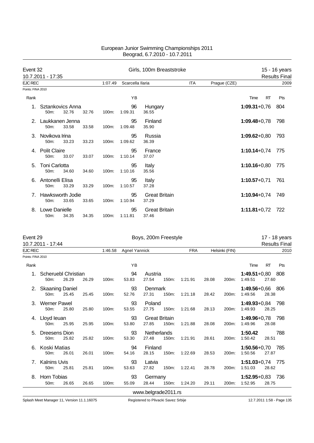|                   | Event 32                                  |       |       |          | Girls, 100m Breaststroke |                               |            |              | 15 - 16 years    |           |                      |
|-------------------|-------------------------------------------|-------|-------|----------|--------------------------|-------------------------------|------------|--------------|------------------|-----------|----------------------|
|                   | 10.7.2011 - 17:35                         |       |       |          |                          |                               |            |              |                  |           | <b>Results Final</b> |
| <b>EJC REC</b>    |                                           |       |       | 1:07.49  | Scarcella llaria         |                               | <b>ITA</b> | Prague (CZE) |                  |           | 2009                 |
| Points: FINA 2010 |                                           |       |       |          |                          |                               |            |              |                  |           |                      |
| Rank              |                                           |       |       |          | YB                       |                               |            |              | Time             | <b>RT</b> | Pts                  |
|                   | Sztankovics Anna<br>50 <sub>m</sub> :     | 32.76 | 32.76 | $100m$ : | 96<br>1:09.31            | Hungary<br>36.55              |            |              | $1:09.31+0.76$   |           | 804                  |
|                   | Laukkanen Jenna<br>50 <sub>m</sub> :      | 33.58 | 33.58 | 100m:    | 95<br>1:09.48            | Finland<br>35.90              |            |              | $1:09.48 + 0.78$ |           | 798                  |
| 3.                | Novikova Irina<br>50m:                    | 33.23 | 33.23 | $100m$ : | 95<br>1:09.62            | Russia<br>36.39               |            |              | $1:09.62 + 0.80$ |           | 793                  |
| 4                 | <b>Polit Claire</b><br>$50m$ :            | 33.07 | 33.07 | $100m$ : | 95<br>1:10.14            | France<br>37.07               |            |              | $1:10.14 + 0.74$ |           | 775                  |
| 5.                | <b>Toni Carlotta</b><br>50 <sub>m</sub> : | 34.60 | 34.60 | $100m$ : | 95<br>1:10.16            | Italy<br>35.56                |            |              | $1:10.16 + 0.80$ |           | 775                  |
|                   | Antonelli Elisa<br>50m:                   | 33.29 | 33.29 | 100m:    | 95<br>1:10.57            | Italy<br>37.28                |            |              | $1:10.57+0.71$   |           | 761                  |
| 7                 | Hawksworth Jodie<br>50 <sub>m</sub> :     | 33.65 | 33.65 | $100m$ : | 95<br>1:10.94            | <b>Great Britain</b><br>37.29 |            |              | $1:10.94 + 0.74$ |           | 749                  |
| 8.                | Lowe Danielle<br>$50m$ :                  | 34.35 | 34.35 | 100m:    | 95<br>1:11.81            | <b>Great Britain</b><br>37.46 |            |              | $1:11.81 + 0.72$ |           | 722                  |

| Event 29          | 10.7.2011 - 17:44              |       |       |         |                      | Boys, 200m Freestyle          |       |            |       |                |                                 |           | 17 - 18 years<br><b>Results Final</b> |
|-------------------|--------------------------------|-------|-------|---------|----------------------|-------------------------------|-------|------------|-------|----------------|---------------------------------|-----------|---------------------------------------|
| EJC REC           |                                |       |       | 1:46.58 | <b>Agnel Yannick</b> |                               |       | <b>FRA</b> |       | Helsinki (FIN) |                                 |           | 2010                                  |
| Points: FINA 2010 |                                |       |       |         |                      |                               |       |            |       |                |                                 |           |                                       |
| Rank              |                                |       |       |         | YB                   |                               |       |            |       |                | Time                            | <b>RT</b> | Pts                                   |
| 1.                | Scheruebl Christian<br>50m:    | 26.29 | 26.29 | 100m:   | 94<br>53.83          | Austria<br>27.54              | 150m: | 1:21.91    | 28.08 | 200m:          | $1:49.51+0,80$<br>1:49.51       | 27.60     | 808                                   |
| 2.                | <b>Skaaning Daniel</b><br>50m: | 25.45 | 25.45 | 100m:   | 93<br>52.76          | Denmark<br>27.31              | 150m: | 1:21.18    | 28.42 | 200m:          | 1:49.56+0,66 806<br>1:49.56     | 28.38     |                                       |
|                   | <b>Werner Pawel</b><br>50m:    | 25.80 | 25.80 | 100m:   | 93<br>53.55          | Poland<br>27.75               | 150m: | 1:21.68    | 28.13 | 200m:          | $1:49.93+0.84$<br>1:49.93       | 28.25     | 798                                   |
| 4.                | Lloyd leuan<br>50m:            | 25.95 | 25.95 | 100m:   | 93<br>53.80          | <b>Great Britain</b><br>27.85 | 150m: | 1:21.88    | 28.08 | 200m:          | $1:49.96 + 0.78$<br>1:49.96     | 28.08     | 798                                   |
| 5.                | Dreesens Dion<br>50m:          | 25.82 | 25.82 | 100m:   | 93<br>53.30          | Netherlands<br>27.48          | 150m: | 1:21.91    | 28.61 | 200m:          | 1:50.42<br>1:50.42              | 28.51     | 788                                   |
| 6.                | Koski Matias<br>50m:           | 26.01 | 26.01 | 100m:   | 94<br>54.16          | Finland<br>28.15              | 150m: | 1:22.69    | 28.53 | 200m:          | $1:50.56 + 0.70$<br>1:50.56     | 27.87     | - 785                                 |
|                   | <b>Kalnins Uvis</b><br>50m:    | 25.81 | 25.81 | 100m:   | 93<br>53.63          | Latvia<br>27.82               | 150m: | 1:22.41    | 28.78 | 200m:          | $1:51.03 + 0.74$ 775<br>1:51.03 | 28.62     |                                       |
| 8.                | Horn Tobias<br>50m:            | 26.65 | 26.65 | 100m:   | 93<br>55.09          | Germany<br>28.44              | 150m: | 1:24.20    | 29.11 | 200m:          | $1:52.95+0.83$<br>1:52.95       | 28.75     | - 736                                 |
|                   |                                |       |       |         |                      | www.belgrade2011.rs           |       |            |       |                |                                 |           |                                       |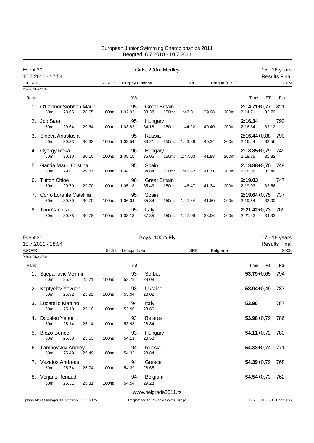| Event 30          |                                |       |       |         |                | Girls, 200m Medley            |       |            |       |              |                               |           | 15 - 16 years        |
|-------------------|--------------------------------|-------|-------|---------|----------------|-------------------------------|-------|------------|-------|--------------|-------------------------------|-----------|----------------------|
|                   | 10.7.2011 - 17:54              |       |       |         |                |                               |       |            |       |              |                               |           | <b>Results Final</b> |
| <b>EJC REC</b>    |                                |       |       | 2:14.15 | Murphy Grainne |                               |       | <b>IRL</b> |       | Prague (CZE) |                               |           | 2009                 |
| Points: FINA 2010 |                                |       |       |         |                |                               |       |            |       |              |                               |           |                      |
| Rank              |                                |       |       |         | YB             |                               |       |            |       |              | Time                          | <b>RT</b> | Pts                  |
|                   | O'Connor Siobhan-Marie<br>50m: | 28.65 | 28.65 | 100m:   | 95<br>1:02.03  | <b>Great Britain</b><br>33.38 | 150m: | 1:42.01    | 39.98 | 200m:        | $2:14.71+0.77$ 821<br>2:14.71 | 32.70     |                      |
| 2.                | Joo Sara<br>50m:               | 29.64 | 29.64 | 100m:   | 95<br>1:03.82  | Hungary<br>34.18              | 150m: | 1:44.22    | 40.40 | 200m:        | 2:16.34<br>2:16.34            | 32.12     | 792                  |
| 3.                | Sineva Anastasia<br>50m:       | 30.33 | 30.33 | 100m:   | 95<br>1:03.54  | Russia<br>33.21               | 150m: | 1:43.88    | 40.34 | 200m:        | $2:16.44 + 0.88$<br>2:16.44   | 32.56     | - 790                |
|                   | 4. Gyorgy Reka<br>$50m$ :      | 30.10 | 30.10 | 100m:   | 96<br>1:05.15  | Hungary<br>35.05              | 150m: | 1:47.03    | 41.88 | 200m:        | $2:18.85+0.79$ 749<br>2:18.85 | 31.82     |                      |
| 5.                | Garcia Mauri Cristina<br>50m:  | 29.87 | 29.87 | 100m:   | 95<br>1:04.71  | Spain<br>34.84                | 150m: | 1:46.42    | 41.71 | 200m:        | $2:18.88+0,70$ 749<br>2:18.88 | 32.46     |                      |
| 6.                | <b>Tutton Chloe</b><br>50m:    | 29.70 | 29.70 | 100m:   | 96<br>1:05.13  | <b>Great Britain</b><br>35.43 | 150m: | 1:46.47    | 41.34 | 200m:        | 2:19.03<br>2:19.03            | 32.56     | 747                  |
|                   | Corro Lorente Catalina<br>50m: | 30.70 | 30.70 | 100m:   | 95<br>1:06.04  | Spain<br>35.34                | 150m: | 1:47.64    | 41.60 | 200m:        | $2:19.64 + 0.75$<br>2:19.64   | 32.00     | -737                 |
| 8.                | <b>Toni Carlotta</b><br>50m:   | 30.78 | 30.78 | 100m:   | 95<br>1:08.13  | Italy<br>37.35                | 150m: | 1:47.09    | 38.96 | 200m:        | $2:21.42+0.73$<br>2:21.42     | 34.33     | 709                  |

| Event 31<br>10.7.2011 - 18:04 |                                  |       |       |       |              | Boys, 100m Fly          |            |          |                   | 17 - 18 years<br><b>Results Final</b> |
|-------------------------------|----------------------------------|-------|-------|-------|--------------|-------------------------|------------|----------|-------------------|---------------------------------------|
| EJC REC                       |                                  |       |       | 52.53 | Lendjar Ivan |                         | <b>SRB</b> | Belgrade |                   | 2008                                  |
| Points: FINA 2010             |                                  |       |       |       |              |                         |            |          |                   |                                       |
| Rank                          |                                  |       |       |       | YB           |                         |            |          | Time<br><b>RT</b> | Pts                                   |
| 1.                            | Stjepanovic Velimir<br>50m:      | 25.71 | 25.71 | 100m: | 93<br>53.79  | Serbia<br>28.08         |            |          | $53.79 + 0.65$    | 794                                   |
| 2.                            | Koptyelov Yevgen<br>50m:         | 25.92 | 25.92 | 100m: | 93<br>53.94  | Ukraine<br>28.02        |            |          | $53.94 + 0.49$    | 787                                   |
| 3.                            | Lucatello Martino<br>50m:        | 25.10 | 25.10 | 100m: | 94<br>53.96  | Italy<br>28.86          |            |          | 53.96             | 787                                   |
| 4.                            | Dodaleu Yahor<br>50m:            | 25.14 | 25.14 | 100m: | 93<br>53.98  | <b>Belarus</b><br>28.84 |            |          | $53.98 + 0.79$    | 786                                   |
| 5.                            | <b>Biczo Bence</b><br>50m:       | 25.53 | 25.53 | 100m: | 93<br>54.11  | Hungary<br>28.58        |            |          | $54.11+0.72$      | 780                                   |
| 6.                            | <b>Tambovskiy Andrey</b><br>50m: | 25.49 | 25.49 | 100m: | 94<br>54.33  | Russia<br>28.84         |            |          | $54.33 + 0.74$    | 771                                   |
| 7.                            | Vazaios Andreas<br>50m:          | 25.74 | 25.74 | 100m: | 94<br>54.39  | Greece<br>28.65         |            |          | $54.39 + 0.79$    | 768                                   |
| 8.                            | Verjans Renaud<br>50m:           | 25.31 | 25.31 | 100m: | 94<br>54.54  | Belgium<br>29.23        |            |          | $54.54 + 0.73$    | 762                                   |
|                               |                                  |       |       |       |              | www.belgrade2011.rs     |            |          |                   |                                       |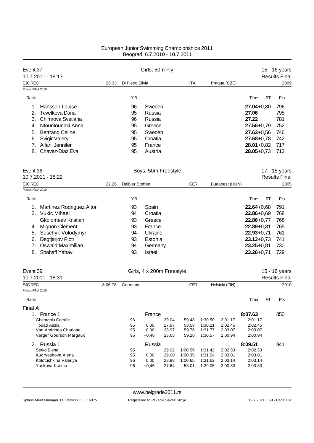| Event 37                                      |         | Girls, 50m Fly   |                           | 15 - 16 years  |                |                    |                    |                                       |           |                      |
|-----------------------------------------------|---------|------------------|---------------------------|----------------|----------------|--------------------|--------------------|---------------------------------------|-----------|----------------------|
| 10.7.2011 - 18:13                             |         |                  |                           |                |                |                    |                    |                                       |           | <b>Results Final</b> |
| <b>EJC REC</b>                                | 26.33   | Di Pietro Silvia |                           |                | ITA            |                    | Prague (CZE)       |                                       |           | 2009                 |
| Points: FINA 2010                             |         |                  |                           |                |                |                    |                    |                                       |           |                      |
| Rank                                          |         | ΥB               |                           |                |                |                    |                    | Time                                  | RT        | Pts                  |
| Hansson Louise<br>1.                          |         | 96               | Sweden                    |                |                |                    |                    | $27.04 + 0.80$                        |           | 796                  |
| 2.<br>Tcvetkova Daria                         |         | 95               | Russia                    |                |                |                    |                    | 27.06                                 |           | 795                  |
| Chimrova Svetlana<br>3.                       |         | 96               | Russia                    |                |                |                    |                    | 27.22                                 |           | 781                  |
| Ntountounaki Anna<br>4.                       |         | 95               | Greece                    |                |                |                    |                    | $27.56 + 0.79$                        |           | 752                  |
| <b>Bertrand Celine</b><br>5.                  |         | 95               | Sweden                    |                |                |                    |                    | $27.63 + 0.56$                        |           | 746                  |
| <b>Svigir Valery</b><br>6.                    |         | 95               | Croatia                   |                |                |                    |                    | $27.68 + 0.78$                        |           | 742                  |
| Alfani Jennifer<br>7.                         |         | 95               | France                    |                |                |                    |                    | $28.01 + 0.82$                        |           | 717                  |
| Chavez-Diaz Eva<br>8.                         |         | 95               | Austria                   |                |                |                    |                    | $28.05 + 0.73$                        |           | 713                  |
|                                               |         |                  |                           |                |                |                    |                    |                                       |           |                      |
| Event 36<br>10.7.2011 - 18:22                 |         |                  | Boys, 50m Freestyle       |                |                |                    |                    | 17 - 18 years<br><b>Results Final</b> |           |                      |
|                                               |         |                  |                           |                |                |                    |                    |                                       |           |                      |
| <b>EJC REC</b><br>Points: FINA 2010           | 22.26   | Deibler Steffen  |                           |                | <b>GER</b>     |                    | Budapest (HUN)     |                                       |           | 2005                 |
|                                               |         |                  |                           |                |                |                    |                    |                                       |           |                      |
| Rank                                          |         | ΥB               |                           |                |                |                    |                    | Time                                  | RT        | Pts                  |
| Martinez Rodriguez Aitor<br>1.                |         | 93               | Spain                     |                |                |                    |                    | $22.64 + 0.68$                        |           | 791                  |
| <b>Vukic Mihael</b><br>2.                     |         | 94               | Croatia                   |                |                |                    |                    | $22.86 + 0.69$                        |           | 768                  |
| <b>Gkolomeev Kristian</b>                     |         | 93               | Greece                    |                |                |                    |                    | $22.86 + 0.77$                        |           | 768                  |
| 4. Mignon Clement                             |         | 93               | France                    |                |                |                    |                    | $22.89 + 0.81$                        |           | 765                  |
| Suschyk Volodymyr<br>5.                       |         | 94               | Ukraine                   |                |                |                    |                    | $22.93 + 0.71$                        |           | 761                  |
| Degtjarjov Pjotr<br>6.                        |         | 93               | Estonia                   |                |                |                    |                    | $23.13 + 0.73$                        |           | 741                  |
| Oswald Maximilian<br>7.                       |         | 94               | Germany                   |                |                |                    |                    | $23.25 + 0.81$                        |           | 730                  |
| <b>Shahaff Yahav</b><br>8.                    |         | 93               | <b>Israel</b>             |                |                |                    |                    | $23.26 + 0.71$                        |           | 729                  |
| Event 39                                      |         |                  | Girls, 4 x 200m Freestyle |                |                |                    |                    |                                       |           | 15 - 16 years        |
| 10.7.2011 - 18:31                             |         |                  |                           |                |                |                    |                    |                                       |           | <b>Results Final</b> |
| <b>EJC REC</b>                                | 8:06.78 | Germany          |                           |                | <b>GER</b>     |                    | Helsinki (FIN)     |                                       |           | 2010                 |
| Points: FINA 2010                             |         |                  |                           |                |                |                    |                    |                                       |           |                      |
| Rank                                          |         |                  |                           |                |                |                    |                    | Time                                  | <b>RT</b> | Pts                  |
| Final A                                       |         |                  |                           |                |                |                    |                    |                                       |           |                      |
| 1. France 1                                   |         |                  | France                    |                |                |                    |                    | 8:07.63                               |           | 850                  |
| Gheorghiu Camille                             |         | 96               |                           | 29.04          | 59.48          | 1:30.50            | 2:01.17            | 2:01.17                               |           |                      |
| <b>Touati Assia</b><br>Van Andringa Charlotte |         | 95<br>95         | 0.00<br>0.00              | 27.97<br>28.97 | 58.58<br>59.76 | 1:30.21<br>1:31.77 | 2:02.45<br>2:03.07 | 2:02.45<br>2:03.07                    |           |                      |
| Verger Gourson Margaux                        |         | 95               | $+0,48$                   | 28.65          | 59.28          | 1:30.57            | 2:00.94            | 2:00.94                               |           |                      |
| 2. Russia 1                                   |         |                  | Russia                    |                |                |                    |                    | 8:09.51                               |           | 841                  |
| Serko Elena                                   |         | 95               |                           | 29.92          | 1:00.59        | 1:31.42            | 2:02.53            | 2:02.53                               |           |                      |
| Kudryashova Alena                             |         | 95               | 0.00                      | 29.00          | 1:00.35        | 1:31.54            | 2:03.01            | 2:03.01                               |           |                      |
| Kolotushkina Valeriya                         |         | 96               | 0.00                      | 28.88          | 1:00.65        | 1:31.62            | 2:03.14            | 2:03.14                               |           |                      |
| Yuskova Ksenia                                |         | 96               | $+0,45$                   | 27.64          | 58.01          | 1:29.05            | 2:00.83            | 2:00.83                               |           |                      |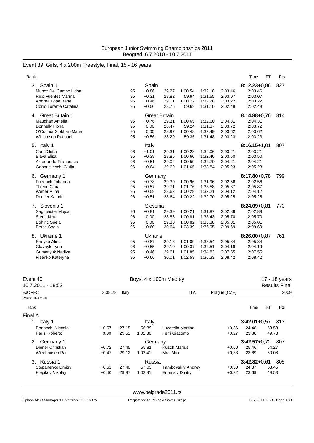# Event 39, Girls, 4 x 200m Freestyle, Final, 15 - 16 years

| Rank                                                                                                                    |                      |                                                            |                                  |                                          |                                          |                                          | <b>RT</b><br>Time                                            | Pts |
|-------------------------------------------------------------------------------------------------------------------------|----------------------|------------------------------------------------------------|----------------------------------|------------------------------------------|------------------------------------------|------------------------------------------|--------------------------------------------------------------|-----|
| Spain 1<br>3.<br>Munoz Del Campo Lidon<br><b>Rico Fuentes Marina</b><br>Andrea Lope Irene<br>Corro Lorente Catalina     | 95<br>95<br>96<br>95 | Spain<br>$+0.86$<br>$+0,31$<br>$+0,46$<br>$+0,50$          | 29.27<br>28.82<br>29.11<br>28.76 | 1:00.54<br>59.94<br>1:00.72<br>59.69     | 1:32.18<br>1:31.55<br>1:32.28<br>1:31.10 | 2:03.46<br>2:03.07<br>2:03.22<br>2:02.48 | $8:12.23 + 0.86$<br>2:03.46<br>2:03.07<br>2:03.22<br>2:02.48 | 827 |
| <b>Great Britain 1</b><br>4.<br>Maughan Amelia<br>Donnelly Fiona<br>O'Connor Siobhan-Marie<br><b>Williamson Rachael</b> | 96<br>95<br>95<br>95 | <b>Great Britain</b><br>$+0.76$<br>0.00<br>0.00<br>$+0,56$ | 29.31<br>28.47<br>28.97<br>28.29 | 1:00.65<br>59.24<br>1:00.48<br>59.35     | 1:32.60<br>1:31.37<br>1:32.49<br>1:31.48 | 2:04.31<br>2:03.72<br>2:03.62<br>2:03.23 | $8:14.88 + 0.76$<br>2:04.31<br>2:03.72<br>2:03.62<br>2:03.23 | 814 |
| ltaly 1<br>5.<br>Carli Diletta<br><b>Biava Elisa</b><br>Arredondo Francesca<br>Gabbrielleschi Giulia                    | 96<br>95<br>96<br>96 | Italy<br>$+1,01$<br>$+0,38$<br>$+0,51$<br>$+0.64$          | 29.31<br>28.86<br>29.02<br>29.69 | 1:00.28<br>1:00.60<br>1:00.59<br>1:01.65 | 1:32.06<br>1:32.46<br>1:32.70<br>1:33.84 | 2:03.21<br>2:03.50<br>2:04.21<br>2:05.23 | $8:16.15+1,01$<br>2:03.21<br>2:03.50<br>2:04.21<br>2:05.23   | 807 |
| Germany 1<br>6.<br>Friedrich Johanna<br><b>Thiede Clara</b><br>Weber Alina<br>Demler Kathrin                            | 95<br>95<br>95<br>96 | Germany<br>$+0,78$<br>$+0.57$<br>$+0,59$<br>$+0,51$        | 29.30<br>29.71<br>28.62<br>28.64 | 1:00.96<br>1:01.76<br>1:00.28<br>1:00.22 | 1:31.96<br>1:33.58<br>1:32.21<br>1:32.70 | 2:02.56<br>2:05.87<br>2:04.12<br>2:05.25 | $8:17.80 + 0.78$<br>2:02.56<br>2:05.87<br>2:04.12<br>2:05.25 | 799 |
| Slovenia 1<br>7 <sub>1</sub><br>Sagmeister Mojca<br>Stegu Nina<br><b>Bohinc Spela</b><br>Perse Spela                    | 96<br>96<br>95<br>96 | Slovenia<br>$+0,81$<br>0.00<br>0.00<br>$+0,60$             | 29.39<br>28.86<br>29.30<br>30.64 | 1:00.21<br>1:00.81<br>1:00.82<br>1:03.39 | 1:31.87<br>1:33.43<br>1:33.38<br>1:36.95 | 2:02.89<br>2:05.70<br>2:05.81<br>2:09.69 | $8:24.09 + 0.81$<br>2:02.89<br>2:05.70<br>2:05.81<br>2:09.69 | 770 |
| Ukraine 1<br>8.<br>Sheyko Alina<br>Glavnyk Iryna<br>Gumenyuk Nadiya<br>Fisenko Kateryna                                 | 95<br>96<br>95<br>95 | Ukraine<br>$+0,87$<br>$+0,55$<br>$+0,46$<br>$+0.66$        | 29.13<br>29.10<br>29.61<br>30.01 | 1:01.09<br>1:00.37<br>1:01.85<br>1:02.53 | 1:33.54<br>1:32.51<br>1:34.83<br>1:36.33 | 2:05.84<br>2:04.19<br>2:07.55<br>2:08.42 | $8:26.00+0.87$<br>2:05.84<br>2:04.19<br>2:07.55<br>2:08.42   | 761 |

| Event 40<br>10.7.2011 - 18:52 |       |         | Boys, 4 x 100m Medley |              |                    |           | 17 - 18 years<br><b>Results Final</b> |
|-------------------------------|-------|---------|-----------------------|--------------|--------------------|-----------|---------------------------------------|
| <b>EJC REC</b><br>3:38.28     | Italy |         | <b>ITA</b>            | Prague (CZE) |                    |           | 2009                                  |
| Points: FINA 2010             |       |         |                       |              |                    |           |                                       |
| Rank                          |       |         |                       |              | Time               | <b>RT</b> | Pts                                   |
| Final A                       |       |         |                       |              |                    |           |                                       |
| Italy 1<br>1.                 |       | Italy   |                       |              | $3:42.01+0.57$     |           | 813                                   |
| Bonacchi Niccolo'<br>$+0.57$  | 27.15 | 56.39   | Lucatello Martino     | $+0,36$      | 24.48              | 53.53     |                                       |
| Parisi Roberto<br>0.00        | 29.52 | 1:02.36 | Ferri Giacomo         | $+0,27$      | 23.88              | 49.73     |                                       |
| Germany 1<br>2.               |       | Germany |                       |              | $3:42.57+0.72$ 807 |           |                                       |
| Diener Christian<br>$+0,72$   | 27.45 | 55.81   | Kusch Marius          | $+0,60$      | 25.46              | 54.27     |                                       |
| Wiechhusen Paul<br>$+0,47$    | 29.12 | 1:02.41 | Mral Max              | $+0.33$      | 23.69              | 50.08     |                                       |
| Russia 1<br>3.                |       | Russia  |                       |              | $3:42.82+0.61$     |           | 805                                   |
| Stepanenko Dmitry<br>$+0.61$  | 27.40 | 57.03   | Tambovskiy Andrey     | $+0,30$      | 24.87              | 53.45     |                                       |
| Klepikov Nikolay<br>$+0,40$   | 29.87 | 1:02.81 | Ermakov Dmitry        | $+0,32$      | 23.69              | 49.53     |                                       |

<www.belgrade2011.rs>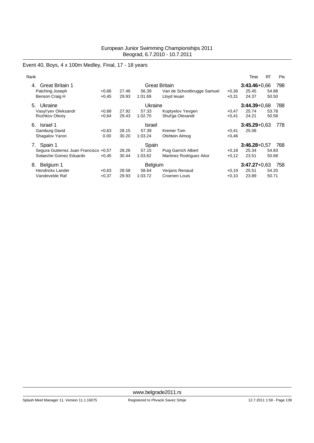# Event 40, Boys, 4 x 100m Medley, Final, 17 - 18 years

| Rank                                  |         |       |                      |                            |                  | Time             | <b>RT</b> | Pts |
|---------------------------------------|---------|-------|----------------------|----------------------------|------------------|------------------|-----------|-----|
| <b>Great Britain 1</b><br>4.          |         |       | <b>Great Britain</b> |                            | $3:43.46 + 0.66$ |                  | 798       |     |
| Patching Joseph                       | $+0.66$ | 27.46 | 56.39                | Van de Schootbrugge Samuel | $+0.36$          | 25.45            | 54.88     |     |
| Benson Craig H                        | $+0.45$ | 29.93 | 1:01.69              | Lloyd leuan                | $+0,31$          | 24.37            | 50.50     |     |
| Ukraine<br>5.                         |         |       | Ukraine              |                            |                  | $3:44.39 + 0.68$ |           | 788 |
| Vasyl'yev Oleksandr                   | $+0.68$ | 27.92 | 57.33                | Koptyelov Yevgen           | $+0,47$          | 25.74            | 53.78     |     |
| Rozhkov Olexiy                        | $+0.64$ | 29.43 | 1:02.70              | Shul'ga Olexandr           | $+0,41$          | 24.21            | 50.58     |     |
| Israel 1<br>6.                        |         |       | Israel               |                            |                  | $3:45.29 + 0.63$ |           | 778 |
| Gamburg David                         | $+0.63$ | 28.15 | 57.39                | Kremer Tom                 | $+0,41$          | 25.08            |           |     |
| Shagalov Yaron                        | 0.00    | 30.20 | 1:03.24              | Olshtein Almog             | $+0,46$          |                  |           |     |
| Spain 1<br>7.                         |         |       | Spain                |                            |                  | $3:46.28 + 0.57$ |           | 768 |
| Segura Gutierrez Juan Francisco +0,57 |         | 28.26 | 57.15                | <b>Puig Garrich Albert</b> | $+0,18$          | 25.34            | 54.83     |     |
| Solaeche Gomez Eduardo                | $+0.45$ | 30.44 | 1:03.62              | Martinez Rodriguez Aitor   | $+0,12$          | 23.51            | 50.68     |     |
| Belgium 1<br>8.                       |         |       | Belgium              |                            |                  | $3:47.27+0.63$   |           | 758 |
| <b>Hendrickx Lander</b>               | $+0.63$ | 28.58 | 58.64                | Verjans Renaud             | $+0.19$          | 25.51            | 54.20     |     |
| Vandevelde Raf                        | $+0.37$ | 29.93 | 1:03.72              | Croenen Louis              | $+0,10$          | 23.89            | 50.71     |     |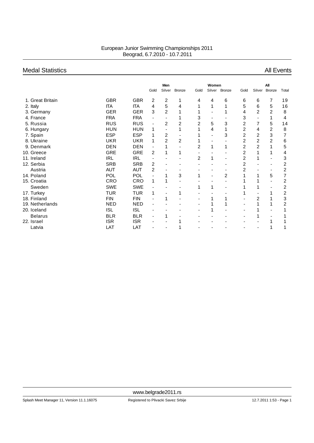# Medal Statistics **All Events** All Events

|                  |            |            |                              | Men            |                |                | Women  |                |                |        | All           |                |
|------------------|------------|------------|------------------------------|----------------|----------------|----------------|--------|----------------|----------------|--------|---------------|----------------|
|                  |            |            | Gold                         | Silver         | <b>Bronze</b>  | Gold           | Silver | <b>Bronze</b>  | Gold           | Silver | <b>Bronze</b> | Total          |
| 1. Great Britain | <b>GBR</b> | <b>GBR</b> | 2                            | 2              |                | 4              | 4      | 6              | 6              | 6      | 7             | 19             |
| 2. Italy         | ITA        | <b>ITA</b> | 4                            | 5              | 4              | 1              | 1      |                | 5              | 6      | 5             | 16             |
| 3. Germany       | <b>GER</b> | <b>GER</b> | 3                            | 2              |                |                |        |                | 4              | 2      | 2             | 8              |
| 4. France        | <b>FRA</b> | <b>FRA</b> | $\qquad \qquad \blacksquare$ |                |                | 3              |        |                | 3              |        |               | 4              |
| 5. Russia        | <b>RUS</b> | <b>RUS</b> | $\overline{a}$               | $\overline{2}$ | $\overline{2}$ | $\overline{2}$ | 5      | 3              | $\overline{2}$ | 7      | 5             | 14             |
| 6. Hungary       | <b>HUN</b> | <b>HUN</b> | 1                            |                |                |                | 4      |                | 2              | 4      | 2             | 8              |
| 7. Spain         | <b>ESP</b> | <b>ESP</b> | 1                            | 2              |                |                | ٠      | 3              | 2              | 2      | 3             | 7              |
| 8. Ukraine       | <b>UKR</b> | <b>UKR</b> | 1                            | $\overline{2}$ | $\overline{2}$ |                |        |                | 2              | 2      | 2             | 6              |
| 9. Denmark       | <b>DEN</b> | <b>DEN</b> | ä,                           |                |                | $\overline{c}$ |        | 1              | 2              | 2      |               | 5              |
| 10. Greece       | <b>GRE</b> | <b>GRE</b> | 2                            | 1              |                |                |        |                | 2              | 1      |               | 4              |
| 11. Ireland      | <b>IRL</b> | <b>IRL</b> | $\overline{a}$               |                |                | 2              |        |                | $\overline{c}$ | 1      | ٠             | 3              |
| 12. Serbia       | <b>SRB</b> | <b>SRB</b> | 2                            |                |                |                |        |                | 2              |        |               | 2              |
| Austria          | <b>AUT</b> | <b>AUT</b> | 2                            |                |                |                |        |                | $\overline{2}$ |        |               | $\overline{c}$ |
| 14. Poland       | POL        | POL        |                              |                | 3              |                |        | $\overline{c}$ |                |        | 5             |                |
| 15. Croatia      | <b>CRO</b> | <b>CRO</b> | 1                            | 1              |                |                |        |                |                |        | ۰             | 2              |
| Sweden           | <b>SWE</b> | <b>SWE</b> |                              |                |                | 1              |        |                |                |        |               | 2              |
| 17. Turkey       | TUR        | TUR        | 1                            |                |                |                |        |                |                |        |               | 2              |
| 18. Finland      | <b>FIN</b> | <b>FIN</b> | ÷                            | 1              |                |                |        |                |                | 2      |               | 3              |
| 19. Netherlands  | <b>NED</b> | <b>NED</b> |                              |                |                |                |        |                |                |        |               | $\overline{c}$ |
| 20. Iceland      | <b>ISL</b> | <b>ISL</b> |                              |                |                |                |        |                |                |        |               |                |
| <b>Belarus</b>   | <b>BLR</b> | <b>BLR</b> | $\overline{\phantom{0}}$     | 1              |                |                |        |                |                |        |               |                |
| 22. Israel       | <b>ISR</b> | <b>ISR</b> |                              |                |                |                |        |                |                |        |               |                |
| Latvia           | LAT        | LAT        | -                            | ٠              |                |                |        |                |                |        |               |                |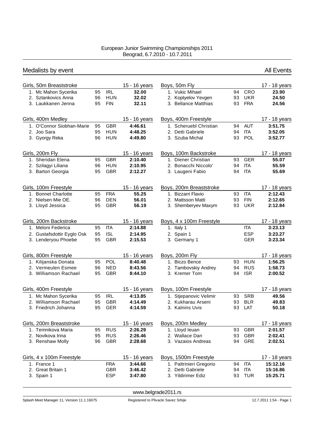| Medalists by event         |    |            |               |                          |    |            | <b>All Events</b> |
|----------------------------|----|------------|---------------|--------------------------|----|------------|-------------------|
| Girls, 50m Breaststroke    |    |            | 15 - 16 years | Boys, 50m Fly            |    |            | 17 - 18 years     |
| 1. Mc Mahon Sycerika       | 95 | <b>IRL</b> | 32.00         | 1. Vukic Mihael          | 94 | <b>CRO</b> | 23.90             |
| 2. Sztankovics Anna        | 96 | <b>HUN</b> | 32.02         | 2. Koptyelov Yevgen      | 93 | <b>UKR</b> | 24.50             |
| 3. Laukkanen Jenna         | 95 | <b>FIN</b> | 32.11         | 3. Bellance Matthias     | 93 | <b>FRA</b> | 24.56             |
| Girls, 400m Medley         |    |            | 15 - 16 years | Boys, 400m Freestyle     |    |            | 17 - 18 years     |
| 1. O'Connor Siobhan-Marie  | 95 | <b>GBR</b> | 4:46.61       | 1. Scheruebl Christian   | 94 | <b>AUT</b> | 3:51.75           |
| 2. Joo Sara                | 95 | <b>HUN</b> | 4:48.25       | 2. Detti Gabriele        | 94 | <b>ITA</b> | 3:52.05           |
| 3. Gyorgy Reka             | 96 | <b>HUN</b> | 4:49.80       | 3. Szuba Michal          | 93 | POL        | 3:52.77           |
| Girls, 200m Fly            |    |            | 15 - 16 years | Boys, 100m Backstroke    |    |            | 17 - 18 years     |
| 1. Sheridan Elena          | 95 | <b>GBR</b> | 2:10.40       | 1. Diener Christian      | 93 | <b>GER</b> | 55.07             |
| 2. Szilagyi Liliana        | 96 | <b>HUN</b> | 2:10.95       | 2. Bonacchi Niccolo'     | 94 | <b>ITA</b> | 55.59             |
| 3. Barton Georgia          | 95 | <b>GBR</b> | 2:12.27       | 3. Laugeni Fabio         | 94 | <b>ITA</b> | 55.69             |
| Girls, 100m Freestyle      |    |            | 15 - 16 years | Boys, 200m Breaststroke  |    |            | 17 - 18 years     |
| 1. Bonnet Charlotte        | 95 | <b>FRA</b> | 55.25         | 1. Bizzarri Flavio       | 93 | <b>ITA</b> | 2:12.43           |
| 2. Nielsen Mie OE.         | 96 | <b>DEN</b> | 56.01         | 2. Mattsson Matti        | 93 | <b>FIN</b> | 2:12.65           |
| 3. Lloyd Jessica           | 95 | <b>GBR</b> | 56.19         | 3. Shemberyev Maxym      | 93 | <b>UKR</b> | 2:12.84           |
| Girls, 200m Backstroke     |    |            | 15 - 16 years | Boys, 4 x 100m Freestyle |    |            | 17 - 18 years     |
| 1. Meloni Federica         | 95 | <b>ITA</b> | 2:14.88       | 1. Italy 1               |    | ITA.       | 3:23.13           |
| 2. Gustafsdottir Eyglo Osk | 95 | <b>ISL</b> | 2:14.95       | 2. Spain 1               |    | <b>ESP</b> | 3:23.27           |
| 3. Lenderyou Phoebe        | 95 | <b>GBR</b> | 2:15.53       | 3. Germany 1             |    | <b>GER</b> | 3:23.34           |
| Girls, 800m Freestyle      |    |            | 15 - 16 years | Boys, 200m Fly           |    |            | 17 - 18 years     |
| 1. Kilijanska Donata       | 95 | POL        | 8:40.48       | 1. Biczo Bence           | 93 | <b>HUN</b> | 1:56.25           |
| 2. Vermeulen Esmee         | 96 | <b>NED</b> | 8:43.56       | 2. Tambovskiy Andrey     | 94 | <b>RUS</b> | 1:58.73           |
| 3. Williamson Rachael      | 95 | <b>GBR</b> | 8:44.10       | 3. Kremer Tom            | 94 | <b>ISR</b> | 2:00.52           |
| Girls, 400m Freestyle      |    |            | 15 - 16 years | Boys, 100m Freestyle     |    |            | 17 - 18 years     |
| 1. Mc Mahon Sycerika       | 95 | <b>IRL</b> | 4:13.85       | 1. Stjepanovic Velimir   |    | 93 SRB     | 49.56             |
| 2. Williamson Rachael      | 95 | GBR        | 4:14.49       | 2. Kukharau Arseni       |    | 93 BLR     | 49.83             |
| 3. Friedrich Johanna       | 95 | <b>GER</b> | 4:14.59       | 3. Kalnins Uvis          |    | 93 LAT     | 50.18             |
| Girls, 200m Breaststroke   |    |            | 15 - 16 years | Boys, 200m Medley        |    |            | 17 - 18 years     |
| 1. Temnikova Maria         | 95 | <b>RUS</b> | 2:26.29       | 1. Lloyd leuan           | 93 | <b>GBR</b> | 2:01.57           |
| 2. Novikova Irina          | 95 | <b>RUS</b> | 2:26.46       | 2. Wallace Dan           | 93 | <b>GBR</b> | 2:02.41           |
| 3. Renshaw Molly           | 96 | <b>GBR</b> | 2:28.68       | 3. Vazaios Andreas       | 94 | <b>GRE</b> | 2:02.51           |
| Girls, 4 x 100m Freestyle  |    |            | 15 - 16 years | Boys, 1500m Freestyle    |    |            | 17 - 18 years     |
| 1. France 1                |    | <b>FRA</b> | 3:44.66       | 1. Paltrinieri Gregorio  | 94 | <b>ITA</b> | 15:12.16          |
| 2. Great Britain 1         |    | <b>GBR</b> | 3:46.42       | 2. Detti Gabriele        | 94 | ITA        | 15:16.86          |
| 3. Spain 1                 |    | <b>ESP</b> | 3:47.80       | 3. Yildirimer Ediz       | 93 | <b>TUR</b> | 15:25.71          |

<www.belgrade2011.rs>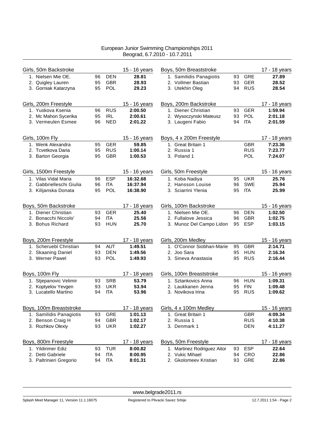| Girls, 50m Backstroke    |    |            | 15 - 16 years | Boys, 50m Breaststroke      |    |            | 17 - 18 years |
|--------------------------|----|------------|---------------|-----------------------------|----|------------|---------------|
| 1. Nielsen Mie OE.       | 96 | <b>DEN</b> | 28.81         | 1. Samilidis Panagiotis     | 93 | <b>GRE</b> | 27.89         |
| 2. Quigley Lauren        | 95 | <b>GBR</b> | 28.93         | 2. Vollmer Bastian          | 93 | <b>GER</b> | 28.52         |
| 3. Gorniak Katarzyna     | 95 | POL        | 29.23         | 3. Utekhin Oleg             | 94 | <b>RUS</b> | 28.54         |
| Girls, 200m Freestyle    |    |            | 15 - 16 years | Boys, 200m Backstroke       |    |            | 17 - 18 years |
| 1. Yuskova Ksenia        | 96 | <b>RUS</b> | 2:00.50       | 1. Diener Christian         | 93 | <b>GER</b> | 1:59.94       |
| 2. Mc Mahon Sycerika     | 95 | <b>IRL</b> | 2:00.61       | 2. Wysoczynski Mateusz      | 93 | POL        | 2:01.18       |
| 3. Vermeulen Esmee       | 96 | <b>NED</b> | 2:01.22       | 3. Laugeni Fabio            | 94 | <b>ITA</b> | 2:01.59       |
| Girls, 100m Fly          |    |            | 15 - 16 years | Boys, 4 x 200m Freestyle    |    |            | 17 - 18 years |
| 1. Wenk Alexandra        | 95 | <b>GER</b> | 59.85         | 1. Great Britain 1          |    | <b>GBR</b> | 7:23.36       |
| 2. Tcvetkova Daria       | 95 | <b>RUS</b> | 1:00.14       | 2. Russia 1                 |    | <b>RUS</b> | 7:23.77       |
| 3. Barton Georgia        | 95 | <b>GBR</b> | 1:00.53       | 3. Poland 1                 |    | <b>POL</b> | 7:24.07       |
| Girls, 1500m Freestyle   |    |            | 15 - 16 years | Girls, 50m Freestyle        |    |            | 15 - 16 years |
| 1. Vilas Vidal Maria     | 96 | <b>ESP</b> | 16:32.68      | 1. Koba Nadiya              | 95 | <b>UKR</b> | 25.76         |
| 2. Gabbrielleschi Giulia | 96 | <b>ITA</b> | 16:37.94      | 2. Hansson Louise           | 96 | <b>SWE</b> | 25.94         |
| 3. Kilijanska Donata     | 95 | POL        | 16:38.90      | 3. Sciarrini Ylenia         | 95 | <b>ITA</b> | 25.99         |
| Boys, 50m Backstroke     |    |            | 17 - 18 years | Girls, 100m Backstroke      |    |            | 15 - 16 years |
| 1. Diener Christian      | 93 | <b>GER</b> | 25.40         | 1. Nielsen Mie OE.          | 96 | <b>DEN</b> | 1:02.50       |
| 2. Bonacchi Niccolo'     | 94 | <b>ITA</b> | 25.56         | 2. Fullalove Jessica        | 96 | <b>GBR</b> | 1:02.75       |
| 3. Bohus Richard         | 93 | <b>HUN</b> | 25.70         | 3. Munoz Del Campo Lidon    | 95 | <b>ESP</b> | 1:03.15       |
| Boys, 200m Freestyle     |    |            | 17 - 18 years | Girls, 200m Medley          |    |            | 15 - 16 years |
| 1. Scheruebl Christian   | 94 | <b>AUT</b> | 1:49.51       | 1. O'Connor Siobhan-Marie   | 95 | <b>GBR</b> | 2:14.71       |
| 2. Skaaning Daniel       | 93 | <b>DEN</b> | 1:49.56       | 2. Joo Sara                 | 95 | <b>HUN</b> | 2:16.34       |
| 3. Werner Pawel          | 93 | POL        | 1:49.93       | 3. Sineva Anastasia         | 95 | <b>RUS</b> | 2:16.44       |
| Boys, 100m Fly           |    |            | 17 - 18 years | Girls, 100m Breaststroke    |    |            | 15 - 16 years |
| 1. Stjepanovic Velimir   | 93 | <b>SRB</b> | 53.79         | 1. Sztankovics Anna         | 96 | <b>HUN</b> | 1:09.31       |
| 2. Koptyelov Yevgen      | 93 | <b>UKR</b> | 53.94         | 2. Laukkanen Jenna          | 95 | <b>FIN</b> | 1:09.48       |
| 3. Lucatello Martino     | 94 | IТA        | 53.96         | 3. Novikova Irina           | 95 | <b>RUS</b> | 1:09.62       |
| Boys, 100m Breaststroke  |    |            | 17 - 18 years | Girls, 4 x 100m Medley      |    |            | 15 - 16 years |
| 1. Samilidis Panagiotis  | 93 | GRE        | 1:01.13       | 1. Great Britain 1          |    | <b>GBR</b> | 4:09.34       |
| 2. Benson Craig H        | 94 | <b>GBR</b> | 1:02.17       | 2. Russia 1                 |    | <b>RUS</b> | 4:10.38       |
| 3. Rozhkov Olexiy        | 93 | <b>UKR</b> | 1:02.27       | 3. Denmark 1                |    | <b>DEN</b> | 4:11.27       |
| Boys, 800m Freestyle     |    |            | 17 - 18 years | Boys, 50m Freestyle         |    |            | 17 - 18 years |
| 1. Yildirimer Ediz       | 93 | <b>TUR</b> | 8:00.82       | 1. Martinez Rodriguez Aitor | 93 | <b>ESP</b> | 22.64         |
| 2. Detti Gabriele        | 94 | <b>ITA</b> | 8:00.95       | 2. Vukic Mihael             | 94 | <b>CRO</b> | 22.86         |
| 3. Paltrinieri Gregorio  | 94 | <b>ITA</b> | 8:01.31       | 2. Gkolomeev Kristian       | 93 | GRE        | 22.86         |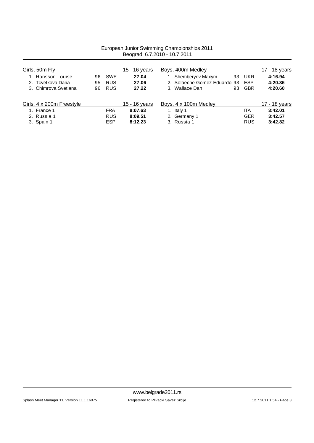|                           | $1000$ $1000$ $1000$ $1000$ $1000$ $1000$ |            |               |                                     |               |  |  |  |
|---------------------------|-------------------------------------------|------------|---------------|-------------------------------------|---------------|--|--|--|
| Girls, 50m Fly            |                                           |            | 15 - 16 years | Boys, 400m Medley                   | 17 - 18 years |  |  |  |
| 1. Hansson Louise         | 96                                        | <b>SWE</b> | 27.04         | 1. Shemberyev Maxym<br>UKR<br>93    | 4:16.94       |  |  |  |
| 2. Tcvetkova Daria        | 95                                        | <b>RUS</b> | 27.06         | 2. Solaeche Gomez Eduardo 93<br>ESP | 4:20.36       |  |  |  |
| 3. Chimrova Svetlana      | 96                                        | <b>RUS</b> | 27.22         | 3. Wallace Dan<br><b>GBR</b><br>93  | 4:20.60       |  |  |  |
| Girls, 4 x 200m Freestyle |                                           |            | 15 - 16 years | Boys, 4 x 100m Medley               | 17 - 18 years |  |  |  |
| 1. France 1               |                                           | <b>FRA</b> | 8:07.63       | 1. Italy 1<br>IТA                   | 3:42.01       |  |  |  |
| 2. Russia 1               |                                           | <b>RUS</b> | 8:09.51       | <b>GER</b><br>2. Germany 1          | 3:42.57       |  |  |  |
| 3. Spain 1                |                                           | <b>ESP</b> | 8:12.23       | 3. Russia 1<br><b>RUS</b>           | 3:42.82       |  |  |  |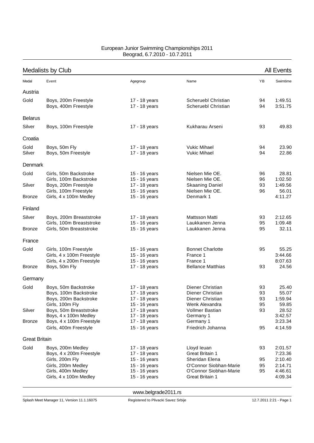|                      | <b>Medalists by Club</b>                                                                  |                                                                  |                                                                            |                      | <b>All Events</b>                  |
|----------------------|-------------------------------------------------------------------------------------------|------------------------------------------------------------------|----------------------------------------------------------------------------|----------------------|------------------------------------|
| Medal                | Event                                                                                     | Agegroup                                                         | Name                                                                       | ΥB                   | Swimtime                           |
| Austria              |                                                                                           |                                                                  |                                                                            |                      |                                    |
| Gold                 | Boys, 200m Freestyle<br>Boys, 400m Freestyle                                              | 17 - 18 years<br>17 - 18 years                                   | Scheruebl Christian<br>Scheruebl Christian                                 | 94<br>94             | 1:49.51<br>3:51.75                 |
| <b>Belarus</b>       |                                                                                           |                                                                  |                                                                            |                      |                                    |
| Silver               | Boys, 100m Freestyle                                                                      | 17 - 18 years                                                    | Kukharau Arseni                                                            | 93                   | 49.83                              |
| Croatia              |                                                                                           |                                                                  |                                                                            |                      |                                    |
| Gold<br>Silver       | Boys, 50m Fly<br>Boys, 50m Freestyle                                                      | 17 - 18 years<br>17 - 18 years                                   | <b>Vukic Mihael</b><br><b>Vukic Mihael</b>                                 | 94<br>94             | 23.90<br>22.86                     |
| Denmark              |                                                                                           |                                                                  |                                                                            |                      |                                    |
| Gold                 | Girls, 50m Backstroke                                                                     | 15 - 16 years                                                    | Nielsen Mie OE.                                                            | 96                   | 28.81                              |
| Silver               | Girls, 100m Backstroke<br>Boys, 200m Freestyle<br>Girls, 100m Freestyle                   | 15 - 16 years<br>17 - 18 years<br>15 - 16 years                  | Nielsen Mie OE.<br><b>Skaaning Daniel</b><br>Nielsen Mie OE.               | 96<br>93<br>96       | 1:02.50<br>1:49.56<br>56.01        |
| <b>Bronze</b>        | Girls, 4 x 100m Medley                                                                    | 15 - 16 years                                                    | Denmark 1                                                                  |                      | 4:11.27                            |
| Finland              |                                                                                           |                                                                  |                                                                            |                      |                                    |
| Silver               | Boys, 200m Breaststroke                                                                   | 17 - 18 years                                                    | <b>Mattsson Matti</b>                                                      | 93                   | 2:12.65                            |
| <b>Bronze</b>        | Girls, 100m Breaststroke<br>Girls, 50m Breaststroke                                       | 15 - 16 years<br>15 - 16 years                                   | Laukkanen Jenna<br>Laukkanen Jenna                                         | 95<br>95             | 1:09.48<br>32.11                   |
| France               |                                                                                           |                                                                  |                                                                            |                      |                                    |
| Gold                 | Girls, 100m Freestyle<br>Girls, 4 x 100m Freestyle<br>Girls, 4 x 200m Freestyle           | 15 - 16 years<br>15 - 16 years<br>15 - 16 years                  | <b>Bonnet Charlotte</b><br>France 1<br>France 1                            | 95                   | 55.25<br>3:44.66<br>8:07.63        |
| <b>Bronze</b>        | Boys, 50m Fly                                                                             | 17 - 18 years                                                    | <b>Bellance Matthias</b>                                                   | 93                   | 24.56                              |
| Germany              |                                                                                           |                                                                  |                                                                            |                      |                                    |
| Gold                 | Boys, 50m Backstroke<br>Boys, 100m Backstroke<br>Boys, 200m Backstroke<br>Girls, 100m Fly | 17 - 18 years<br>17 - 18 years<br>17 - 18 years<br>15 - 16 years | Diener Christian<br>Diener Christian<br>Diener Christian<br>Wenk Alexandra | 93<br>93<br>93<br>95 | 25.40<br>55.07<br>1:59.94<br>59.85 |
| Silver               | Boys, 50m Breaststroke<br>Boys, 4 x 100m Medley                                           | 17 - 18 years                                                    | Vollmer Bastian                                                            | 93                   | 28.52                              |
| Bronze               | Boys, 4 x 100m Freestyle<br>Girls, 400m Freestyle                                         | 17 - 18 years<br>17 - 18 years<br>15 - 16 years                  | Germany 1<br>Germany 1<br>Friedrich Johanna                                | 95                   | 3:42.57<br>3:23.34<br>4:14.59      |
| <b>Great Britain</b> |                                                                                           |                                                                  |                                                                            |                      |                                    |
| Gold                 | Boys, 200m Medley<br>Boys, 4 x 200m Freestyle                                             | 17 - 18 years<br>17 - 18 years                                   | Lloyd leuan<br><b>Great Britain 1</b>                                      | 93                   | 2:01.57<br>7:23.36                 |
|                      | Girls, 200m Fly                                                                           | 15 - 16 years                                                    | Sheridan Elena<br>O'Connor Siobhan-Marie                                   | 95                   | 2:10.40                            |
|                      | Girls, 200m Medley<br>Girls, 400m Medley<br>Girls, 4 x 100m Medley                        | 15 - 16 years<br>15 - 16 years<br>15 - 16 years                  | O'Connor Siobhan-Marie<br>Great Britain 1                                  | 95<br>95             | 2:14.71<br>4:46.61<br>4:09.34      |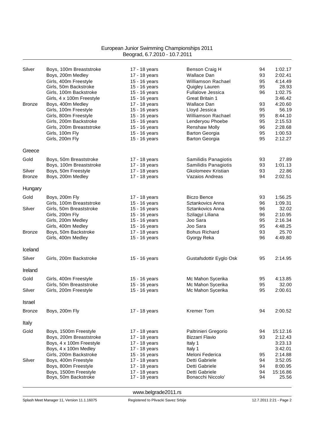| Silver        | Boys, 100m Breaststroke                          | 17 - 18 years                  | Benson Craig H                         | 94       | 1:02.17          |
|---------------|--------------------------------------------------|--------------------------------|----------------------------------------|----------|------------------|
|               | Boys, 200m Medley                                | 17 - 18 years                  | <b>Wallace Dan</b>                     | 93       | 2:02.41          |
|               | Girls, 400m Freestyle                            | 15 - 16 years                  | Williamson Rachael                     | 95       | 4:14.49          |
|               | Girls, 50m Backstroke                            | 15 - 16 years                  | Quigley Lauren                         | 95       | 28.93            |
|               | Girls, 100m Backstroke                           | 15 - 16 years                  | <b>Fullalove Jessica</b>               | 96       | 1:02.75          |
|               | Girls, 4 x 100m Freestyle                        | 15 - 16 years                  | <b>Great Britain 1</b>                 |          | 3:46.42          |
| <b>Bronze</b> | Boys, 400m Medley                                | 17 - 18 years                  | <b>Wallace Dan</b>                     | 93       | 4:20.60          |
|               | Girls, 100m Freestyle                            | 15 - 16 years                  | Lloyd Jessica                          | 95       | 56.19            |
|               | Girls, 800m Freestyle                            | 15 - 16 years                  | <b>Williamson Rachael</b>              | 95       | 8:44.10          |
|               | Girls, 200m Backstroke                           | 15 - 16 years                  | Lenderyou Phoebe                       | 95       | 2:15.53          |
|               | Girls, 200m Breaststroke                         | 15 - 16 years                  | Renshaw Molly                          | 96       | 2:28.68          |
|               | Girls, 100m Fly                                  | 15 - 16 years                  | <b>Barton Georgia</b>                  | 95       | 1:00.53          |
|               | Girls, 200m Fly                                  | 15 - 16 years                  | <b>Barton Georgia</b>                  | 95       | 2:12.27          |
| Greece        |                                                  |                                |                                        |          |                  |
| Gold          | Boys, 50m Breaststroke                           | 17 - 18 years                  | Samilidis Panagiotis                   | 93       | 27.89            |
|               | Boys, 100m Breaststroke                          | 17 - 18 years                  | Samilidis Panagiotis                   | 93       | 1:01.13          |
| Silver        | Boys, 50m Freestyle                              | 17 - 18 years                  | Gkolomeev Kristian                     | 93       | 22.86            |
| <b>Bronze</b> | Boys, 200m Medley                                | 17 - 18 years                  | Vazaios Andreas                        | 94       | 2:02.51          |
| Hungary       |                                                  |                                |                                        |          |                  |
| Gold          |                                                  | 17 - 18 years                  | <b>Biczo Bence</b>                     |          | 1:56.25          |
|               | Boys, 200m Fly<br>Girls, 100m Breaststroke       |                                | Sztankovics Anna                       | 93<br>96 | 1:09.31          |
| Silver        | Girls, 50m Breaststroke                          | 15 - 16 years<br>15 - 16 years | Sztankovics Anna                       | 96       | 32.02            |
|               | Girls, 200m Fly                                  | 15 - 16 years                  | Szilagyi Liliana                       | 96       | 2:10.95          |
|               | Girls, 200m Medley                               | 15 - 16 years                  | Joo Sara                               | 95       | 2:16.34          |
|               | Girls, 400m Medley                               | 15 - 16 years                  | Joo Sara                               | 95       | 4:48.25          |
| <b>Bronze</b> | Boys, 50m Backstroke                             | 17 - 18 years                  | <b>Bohus Richard</b>                   | 93       | 25.70            |
|               | Girls, 400m Medley                               | 15 - 16 years                  | Gyorgy Reka                            | 96       | 4:49.80          |
|               |                                                  |                                |                                        |          |                  |
| Iceland       |                                                  |                                |                                        |          |                  |
| Silver        | Girls, 200m Backstroke                           | 15 - 16 years                  | Gustafsdottir Eyglo Osk                | 95       | 2:14.95          |
| Ireland       |                                                  |                                |                                        |          |                  |
|               |                                                  |                                |                                        |          |                  |
| Gold          | Girls, 400m Freestyle<br>Girls, 50m Breaststroke | 15 - 16 years                  | Mc Mahon Sycerika<br>Mc Mahon Sycerika | 95<br>95 | 4:13.85<br>32.00 |
| Silver        |                                                  | 15 - 16 years                  | Mc Mahon Sycerika                      | 95       | 2:00.61          |
|               | Girls, 200m Freestyle                            | 15 - 16 years                  |                                        |          |                  |
| Israel        |                                                  |                                |                                        |          |                  |
| <b>Bronze</b> | Boys, 200m Fly                                   | 17 - 18 years                  | <b>Kremer Tom</b>                      | 94       | 2:00.52          |
| Italy         |                                                  |                                |                                        |          |                  |
| Gold          | Boys, 1500m Freestyle                            | 17 - 18 years                  | Paltrinieri Gregorio                   | 94       | 15:12.16         |
|               | Boys, 200m Breaststroke                          | 17 - 18 years                  | Bizzarri Flavio                        | 93       | 2:12.43          |
|               | Boys, 4 x 100m Freestyle                         | 17 - 18 years                  | Italy 1                                |          | 3:23.13          |
|               | Boys, 4 x 100m Medley                            | 17 - 18 years                  | Italy 1                                |          | 3:42.01          |
|               | Girls, 200m Backstroke                           | 15 - 16 years                  | Meloni Federica                        | 95       | 2:14.88          |
| Silver        | Boys, 400m Freestyle                             | 17 - 18 years                  | Detti Gabriele                         | 94       | 3:52.05          |
|               | Boys, 800m Freestyle                             | 17 - 18 years                  | Detti Gabriele                         | 94       | 8:00.95          |
|               | Boys, 1500m Freestyle                            | 17 - 18 years                  | Detti Gabriele                         | 94       | 15:16.86         |
|               | Boys, 50m Backstroke                             | 17 - 18 years                  | Bonacchi Niccolo'                      | 94       | 25.56            |
|               |                                                  |                                |                                        |          |                  |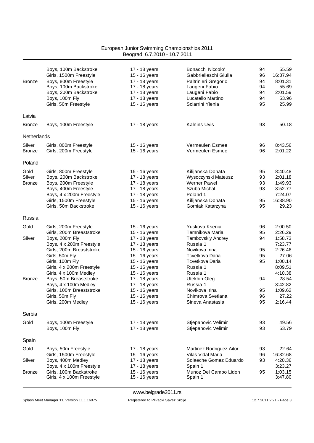|               | Boys, 100m Backstroke                               | 17 - 18 years                  | Bonacchi Niccolo'                     | 94       | 55.59              |
|---------------|-----------------------------------------------------|--------------------------------|---------------------------------------|----------|--------------------|
|               | Girls, 1500m Freestyle                              | 15 - 16 years                  | Gabbrielleschi Giulia                 | 96       | 16:37.94           |
| <b>Bronze</b> | Boys, 800m Freestyle                                | 17 - 18 years                  | Paltrinieri Gregorio                  | 94       | 8:01.31            |
|               | Boys, 100m Backstroke                               | 17 - 18 years                  | Laugeni Fabio                         | 94       | 55.69              |
|               | Boys, 200m Backstroke                               | 17 - 18 years                  | Laugeni Fabio                         | 94       | 2:01.59<br>53.96   |
|               | Boys, 100m Fly<br>Girls, 50m Freestyle              | 17 - 18 years<br>15 - 16 years | Lucatello Martino<br>Sciarrini Ylenia | 94<br>95 | 25.99              |
|               |                                                     |                                |                                       |          |                    |
| Latvia        |                                                     |                                |                                       |          |                    |
| <b>Bronze</b> | Boys, 100m Freestyle                                | 17 - 18 years                  | <b>Kalnins Uvis</b>                   | 93       | 50.18              |
|               |                                                     |                                |                                       |          |                    |
| Netherlands   |                                                     |                                |                                       |          |                    |
| Silver        | Girls, 800m Freestyle                               | 15 - 16 years                  | Vermeulen Esmee                       | 96       | 8:43.56            |
| <b>Bronze</b> | Girls, 200m Freestyle                               | 15 - 16 years                  | Vermeulen Esmee                       | 96       | 2:01.22            |
| Poland        |                                                     |                                |                                       |          |                    |
| Gold          | Girls, 800m Freestyle                               | 15 - 16 years                  | Kilijanska Donata                     | 95       | 8:40.48            |
| Silver        | Boys, 200m Backstroke                               | 17 - 18 years                  | Wysoczynski Mateusz                   | 93       | 2:01.18            |
| <b>Bronze</b> | Boys, 200m Freestyle                                | 17 - 18 years                  | <b>Werner Pawel</b>                   | 93       | 1:49.93            |
|               | Boys, 400m Freestyle                                | 17 - 18 years                  | Szuba Michal                          | 93       | 3:52.77            |
|               | Boys, 4 x 200m Freestyle                            | 17 - 18 years                  | Poland 1                              |          | 7:24.07            |
|               | Girls, 1500m Freestyle                              | 15 - 16 years                  | Kilijanska Donata                     | 95       | 16:38.90           |
|               | Girls, 50m Backstroke                               | 15 - 16 years                  | Gorniak Katarzyna                     | 95       | 29.23              |
| Russia        |                                                     |                                |                                       |          |                    |
|               |                                                     |                                |                                       |          |                    |
| Gold          | Girls, 200m Freestyle                               | 15 - 16 years                  | Yuskova Ksenia<br>Temnikova Maria     | 96       | 2:00.50<br>2:26.29 |
| Silver        | Girls, 200m Breaststroke<br>Boys, 200m Fly          | 15 - 16 years<br>17 - 18 years | Tambovskiy Andrey                     | 95<br>94 | 1:58.73            |
|               | Boys, 4 x 200m Freestyle                            | 17 - 18 years                  | Russia 1                              |          | 7:23.77            |
|               | Girls, 200m Breaststroke                            | 15 - 16 years                  | Novikova Irina                        | 95       | 2:26.46            |
|               | Girls, 50m Fly                                      | 15 - 16 years                  | Tcvetkova Daria                       | 95       | 27.06              |
|               | Girls, 100m Fly                                     | 15 - 16 years                  | Tcvetkova Daria                       | 95       | 1:00.14            |
|               | Girls, 4 x 200m Freestyle                           | 15 - 16 years                  | Russia 1                              |          | 8:09.51            |
|               | Girls, 4 x 100m Medley                              | 15 - 16 years                  | Russia 1                              |          | 4:10.38            |
| <b>Bronze</b> | Boys, 50m Breaststroke                              | 17 - 18 years                  | Utekhin Oleg                          | 94       | 28.54              |
|               | Boys, 4 x 100m Medley                               | 17 - 18 years                  | Russia 1                              |          | 3:42.82            |
|               | Girls, 100m Breaststroke                            | 15 - 16 years                  | Novikova Irina                        | 95       | 1:09.62            |
|               | Girls, 50m Fly                                      | 15 - 16 years                  | Chimrova Svetlana                     | 96       | 27.22              |
|               | Girls, 200m Medley                                  | 15 - 16 years                  | Sineva Anastasia                      | 95       | 2:16.44            |
| Serbia        |                                                     |                                |                                       |          |                    |
| Gold          | Boys, 100m Freestyle                                | 17 - 18 years                  | Stjepanovic Velimir                   | 93       | 49.56              |
|               | Boys, 100m Fly                                      | 17 - 18 years                  | Stjepanovic Velimir                   | 93       | 53.79              |
|               |                                                     |                                |                                       |          |                    |
| Spain         |                                                     |                                |                                       |          |                    |
| Gold          | Boys, 50m Freestyle                                 | 17 - 18 years                  | Martinez Rodriguez Aitor              | 93       | 22.64              |
|               | Girls, 1500m Freestyle                              | 15 - 16 years                  | Vilas Vidal Maria                     | 96       | 16:32.68           |
| Silver        | Boys, 400m Medley                                   | 17 - 18 years                  | Solaeche Gomez Eduardo                | 93       | 4:20.36            |
|               | Boys, 4 x 100m Freestyle                            | 17 - 18 years                  | Spain 1                               |          | 3:23.27            |
| <b>Bronze</b> | Girls, 100m Backstroke<br>Girls, 4 x 100m Freestyle | 15 - 16 years<br>15 - 16 years | Munoz Del Campo Lidon<br>Spain 1      | 95       | 1:03.15<br>3:47.80 |
|               |                                                     |                                |                                       |          |                    |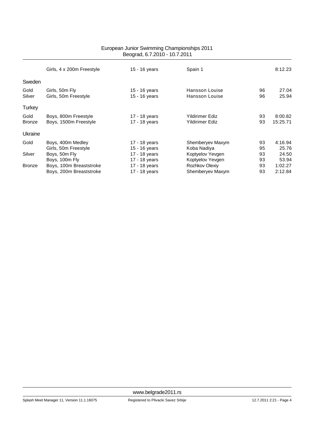|               |                           | <u>Beograu, 0.7.2010 - 10.7.2011</u> |                        |    |          |
|---------------|---------------------------|--------------------------------------|------------------------|----|----------|
|               | Girls, 4 x 200m Freestyle | 15 - 16 years                        | Spain 1                |    | 8:12.23  |
| Sweden        |                           |                                      |                        |    |          |
| Gold          | Girls, 50m Fly            | 15 - 16 years                        | Hansson Louise         | 96 | 27.04    |
| Silver        | Girls, 50m Freestyle      | 15 - 16 years                        | Hansson Louise         | 96 | 25.94    |
| <b>Turkey</b> |                           |                                      |                        |    |          |
| Gold          | Boys, 800m Freestyle      | 17 - 18 years                        | <b>Yildirimer Ediz</b> | 93 | 8:00.82  |
| <b>Bronze</b> | Boys, 1500m Freestyle     | 17 - 18 years                        | Yildirimer Ediz        | 93 | 15:25.71 |
| Ukraine       |                           |                                      |                        |    |          |
| Gold          | Boys, 400m Medley         | 17 - 18 years                        | Shemberyev Maxym       | 93 | 4:16.94  |
|               | Girls, 50m Freestyle      | 15 - 16 years                        | Koba Nadiya            | 95 | 25.76    |
| Silver        | Boys, 50m Fly             | 17 - 18 years                        | Koptyelov Yevgen       | 93 | 24.50    |
|               | Boys, 100m Fly            | 17 - 18 years                        | Koptyelov Yevgen       | 93 | 53.94    |
| <b>Bronze</b> | Boys, 100m Breaststroke   | 17 - 18 years                        | Rozhkov Olexiy         | 93 | 1:02.27  |
|               | Boys, 200m Breaststroke   | 17 - 18 years                        | Shemberyev Maxym       | 93 | 2:12.84  |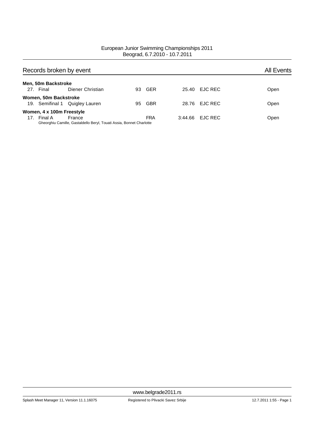|                 | Records broken by event   |                                                                                |     |            |         |                | <b>All Events</b> |
|-----------------|---------------------------|--------------------------------------------------------------------------------|-----|------------|---------|----------------|-------------------|
|                 | Men, 50m Backstroke       |                                                                                |     |            |         |                |                   |
|                 | 27. Final                 | Diener Christian                                                               | 93. | GER        |         | 25.40 EJC REC  | Open              |
|                 | Women, 50m Backstroke     |                                                                                |     |            |         |                |                   |
|                 |                           | 19. Semifinal 1 Quigley Lauren                                                 | 95  | <b>GBR</b> |         | 28.76 EJC REC  | Open              |
|                 | Women, 4 x 100m Freestyle |                                                                                |     |            |         |                |                   |
| 17 <sub>1</sub> | Final A                   | France<br>Gheorghiu Camille, Gastaldello Beryl, Touati Assia, Bonnet Charlotte |     | <b>FRA</b> | 3:44.66 | <b>EJC REC</b> | Open              |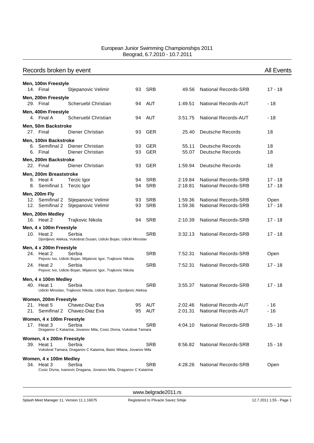| Records broken by event |                                         |                                                                           |          |                          |                |                                                    | <b>All Events</b> |
|-------------------------|-----------------------------------------|---------------------------------------------------------------------------|----------|--------------------------|----------------|----------------------------------------------------|-------------------|
|                         | Men, 100m Freestyle                     |                                                                           |          |                          |                |                                                    |                   |
|                         | 14. Final                               | Stjepanovic Velimir                                                       | 93       | SRB                      | 49.56          | <b>National Records-SRB</b>                        | $17 - 18$         |
|                         | Men, 200m Freestyle                     |                                                                           |          |                          |                |                                                    |                   |
|                         | 29. Final                               | Scheruebl Christian                                                       |          | 94 AUT                   | 1:49.51        | <b>National Records-AUT</b>                        | $-18$             |
|                         | Men, 400m Freestyle                     |                                                                           |          |                          |                |                                                    |                   |
|                         | 4. Final A                              | Scheruebl Christian                                                       | 94       | AUT                      | 3:51.75        | <b>National Records-AUT</b>                        | - 18              |
|                         | Men, 50m Backstroke                     |                                                                           |          |                          |                |                                                    |                   |
|                         | 27. Final                               | Diener Christian                                                          | 93       | <b>GER</b>               | 25.40          | <b>Deutsche Records</b>                            | 18                |
|                         | Men, 100m Backstroke                    |                                                                           |          |                          |                |                                                    |                   |
|                         | 6. Final                                | 6. Semifinal 2 Diener Christian<br>Diener Christian                       | 93<br>93 | <b>GER</b><br><b>GER</b> | 55.11<br>55.07 | <b>Deutsche Records</b><br><b>Deutsche Records</b> | 18<br>18          |
|                         |                                         |                                                                           |          |                          |                |                                                    |                   |
|                         | Men, 200m Backstroke<br>22. Final       | Diener Christian                                                          | 93       | <b>GER</b>               | 1:59.94        | Deutsche Records                                   | 18                |
|                         |                                         |                                                                           |          |                          |                |                                                    |                   |
|                         | Men, 200m Breaststroke<br>8. Heat 4     | Terzic Igor                                                               | 94       | SRB                      | 2:19.84        | <b>National Records-SRB</b>                        | $17 - 18$         |
|                         | 8. Semifinal 1                          | Terzic Igor                                                               | 94       | <b>SRB</b>               | 2:18.81        | <b>National Records-SRB</b>                        | $17 - 18$         |
|                         | Men, 200m Fly                           |                                                                           |          |                          |                |                                                    |                   |
|                         | 12. Semifinal 2                         | Stjepanovic Velimir                                                       | 93       | SRB                      | 1:59.36        | <b>National Records-SRB</b>                        | Open              |
|                         | 12. Semifinal 2                         | Stjepanovic Velimir                                                       | 93       | <b>SRB</b>               | 1:59.36        | <b>National Records-SRB</b>                        | $17 - 18$         |
|                         | Men, 200m Medley                        |                                                                           |          |                          |                |                                                    |                   |
|                         | 16. Heat 2                              | Trajkovic Nikola                                                          | 94       | <b>SRB</b>               | 2:10.39        | <b>National Records-SRB</b>                        | $17 - 18$         |
|                         | Men, 4 x 100m Freestyle                 |                                                                           |          |                          |                |                                                    |                   |
|                         | 10. Heat 2                              | Serbia                                                                    |          | <b>SRB</b>               | 3:32.13        | <b>National Records-SRB</b>                        | $17 - 18$         |
|                         |                                         | Djordjevic Aleksa, Vukobrat Dusan, Udicki Bojan, Udicki Miroslav          |          |                          |                |                                                    |                   |
|                         | Men, 4 x 200m Freestyle                 |                                                                           |          |                          |                |                                                    |                   |
|                         | 24. Heat 2                              | Serbia<br>Pejovic Ivo, Udicki Bojan, Mijatovic Igor, Trajkovic Nikola     |          | <b>SRB</b>               | 7:52.31        | <b>National Records-SRB</b>                        | Open              |
|                         | 24. Heat 2                              | Serbia                                                                    |          | <b>SRB</b>               | 7:52.31        | <b>National Records-SRB</b>                        | $17 - 18$         |
|                         |                                         | Pejovic Ivo, Udicki Bojan, Mijatovic Igor, Trajkovic Nikola               |          |                          |                |                                                    |                   |
|                         | Men, 4 x 100m Medley                    |                                                                           |          |                          |                |                                                    |                   |
|                         | 40. Heat 1                              | Serbia                                                                    |          | <b>SRB</b>               | 3:55.37        | <b>National Records-SRB</b>                        | 17 - 18           |
|                         |                                         | Udicki Miroslav, Trajkovic Nikola, Udicki Bojan, Djordjevic Aleksa        |          |                          |                |                                                    |                   |
|                         | Women, 200m Freestyle                   |                                                                           |          |                          |                |                                                    |                   |
|                         | 21. Heat 5                              | Chavez-Diaz Eva                                                           | 95       | AUT                      | 2:02.46        | <b>National Records-AUT</b>                        | $-16$             |
|                         | 21. Semifinal 2                         | Chavez-Diaz Eva                                                           | 95       | AUT                      | 2:01.31        | <b>National Records-AUT</b>                        | - 16              |
|                         | Women, 4 x 100m Freestyle               |                                                                           |          |                          |                |                                                    |                   |
|                         | 17. Heat 3                              | Serbia<br>Draganov C Katarina, Jovanov Mila, Cosic Divna, Vukobrat Tamara |          | <b>SRB</b>               | 4:04.10        | <b>National Records-SRB</b>                        | $15 - 16$         |
|                         |                                         |                                                                           |          |                          |                |                                                    |                   |
|                         | Women, 4 x 200m Freestyle<br>39. Heat 1 | Serbia                                                                    |          | <b>SRB</b>               | 8:56.82        | <b>National Records-SRB</b>                        | $15 - 16$         |
|                         |                                         | Vukobrat Tamara, Draganov C Katarina, Basic Milana, Jovanov Mila          |          |                          |                |                                                    |                   |
|                         | Women, 4 x 100m Medley                  |                                                                           |          |                          |                |                                                    |                   |
|                         | 34. Heat 3                              | Serbia                                                                    |          | SRB                      | 4:28.26        | <b>National Records-SRB</b>                        | Open              |
|                         |                                         | Cosic Divna, Ivanovic Dragana, Jovanov Mila, Draganov C Katarina          |          |                          |                |                                                    |                   |